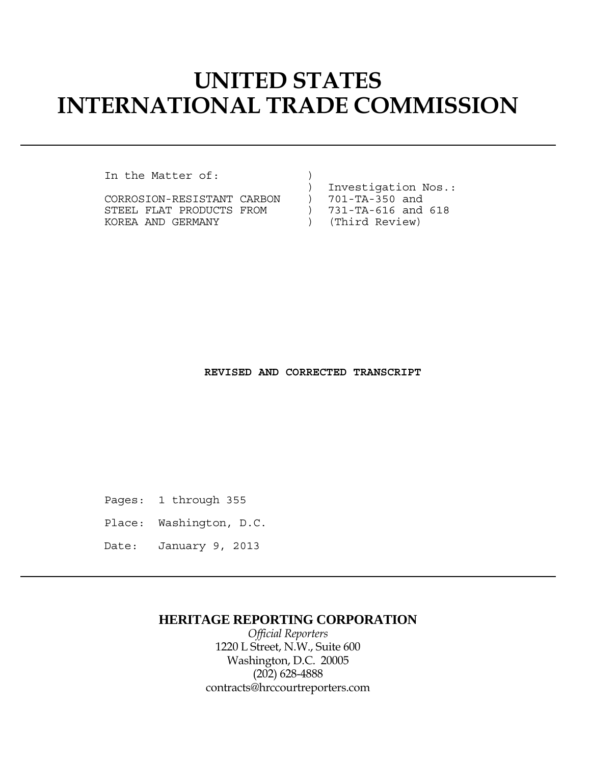# **UNITED STATES INTERNATIONAL TRADE COMMISSION**

In the Matter of: )

|                            |  | Investigation Nos.: |
|----------------------------|--|---------------------|
| CORROSION-RESISTANT CARBON |  | 701-TA-350 and      |
| STEEL FLAT PRODUCTS FROM   |  | 731-TA-616 and 618  |
| KOREA AND GERMANY          |  | (Third Review)      |

 **REVISED AND CORRECTED TRANSCRIPT**

Pages: 1 through 355

Place: Washington, D.C.

Date: January 9, 2013

## **HERITAGE REPORTING CORPORATION**

*Official Reporters* 1220 L Street, N.W., Suite 600 Washington, D.C. 20005 (202) 628-4888 contracts@hrccourtreporters.com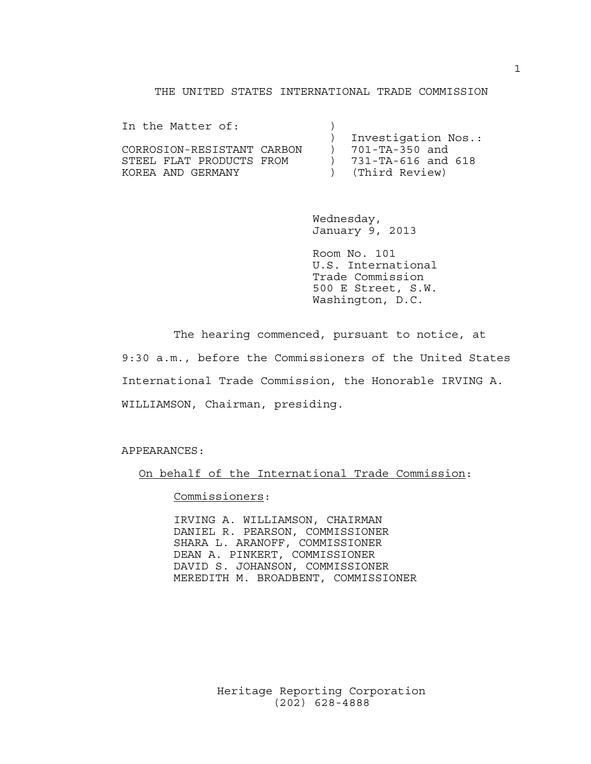#### THE UNITED STATES INTERNATIONAL TRADE COMMISSION

| In the Matter of:          |  |                          |
|----------------------------|--|--------------------------|
|                            |  | Investigation Nos.:      |
| CORROSION-RESISTANT CARBON |  | 701-TA-350 and           |
| STEEL FLAT PRODUCTS FROM   |  | $731 - TA - 616$ and 618 |
| KOREA AND GERMANY          |  | ) (Third Review)         |

 Wednesday, January 9, 2013

 Room No. 101 U.S. International Trade Commission 500 E Street, S.W. Washington, D.C.

 The hearing commenced, pursuant to notice, at 9:30 a.m., before the Commissioners of the United States International Trade Commission, the Honorable IRVING A. WILLIAMSON, Chairman, presiding.

APPEARANCES:

On behalf of the International Trade Commission:

Commissioners:

 IRVING A. WILLIAMSON, CHAIRMAN DANIEL R. PEARSON, COMMISSIONER SHARA L. ARANOFF, COMMISSIONER DEAN A. PINKERT, COMMISSIONER DAVID S. JOHANSON, COMMISSIONER MEREDITH M. BROADBENT, COMMISSIONER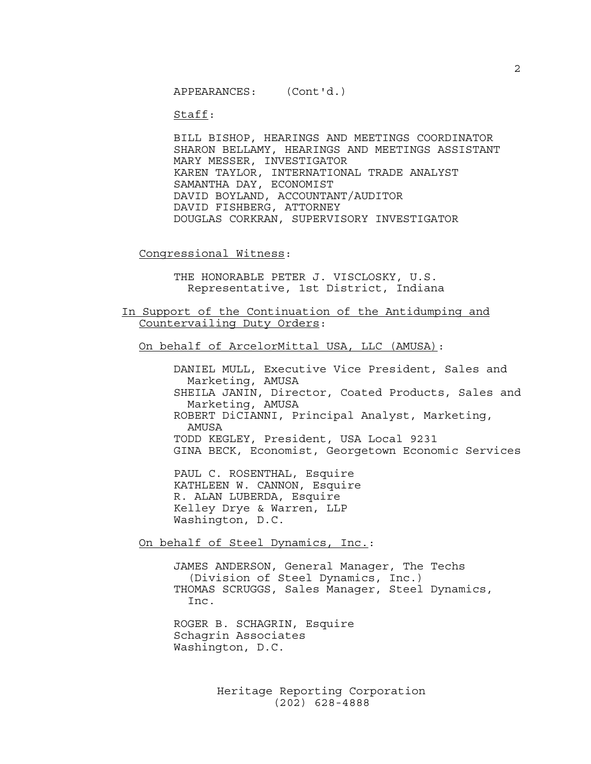APPEARANCES: (Cont'd.)

Staff:

 BILL BISHOP, HEARINGS AND MEETINGS COORDINATOR SHARON BELLAMY, HEARINGS AND MEETINGS ASSISTANT MARY MESSER, INVESTIGATOR KAREN TAYLOR, INTERNATIONAL TRADE ANALYST SAMANTHA DAY, ECONOMIST DAVID BOYLAND, ACCOUNTANT/AUDITOR DAVID FISHBERG, ATTORNEY DOUGLAS CORKRAN, SUPERVISORY INVESTIGATOR

Congressional Witness:

 THE HONORABLE PETER J. VISCLOSKY, U.S. Representative, 1st District, Indiana

In Support of the Continuation of the Antidumping and Countervailing Duty Orders:

On behalf of ArcelorMittal USA, LLC (AMUSA):

 DANIEL MULL, Executive Vice President, Sales and Marketing, AMUSA SHEILA JANIN, Director, Coated Products, Sales and Marketing, AMUSA ROBERT DiCIANNI, Principal Analyst, Marketing, AMUSA TODD KEGLEY, President, USA Local 9231 GINA BECK, Economist, Georgetown Economic Services

 PAUL C. ROSENTHAL, Esquire KATHLEEN W. CANNON, Esquire R. ALAN LUBERDA, Esquire Kelley Drye & Warren, LLP Washington, D.C.

On behalf of Steel Dynamics, Inc.:

 JAMES ANDERSON, General Manager, The Techs (Division of Steel Dynamics, Inc.) THOMAS SCRUGGS, Sales Manager, Steel Dynamics, Inc.

 ROGER B. SCHAGRIN, Esquire Schagrin Associates Washington, D.C.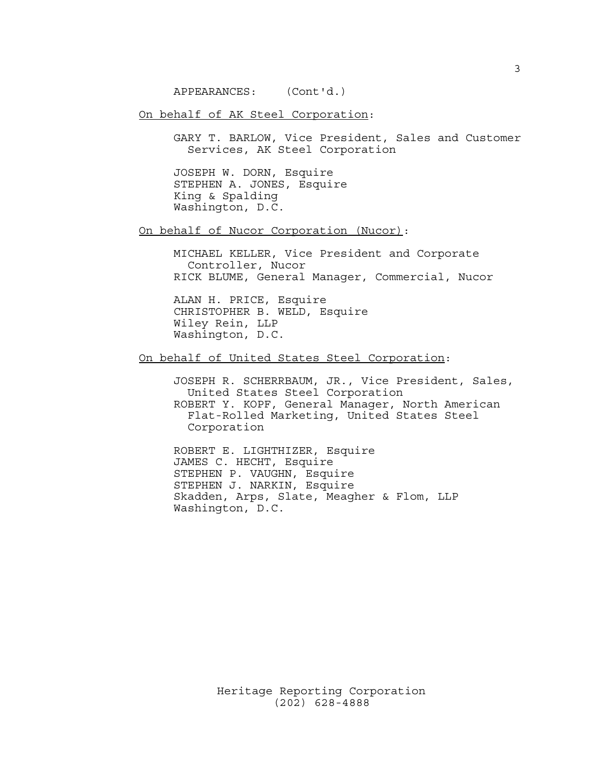APPEARANCES: (Cont'd.)

### On behalf of AK Steel Corporation:

 GARY T. BARLOW, Vice President, Sales and Customer Services, AK Steel Corporation

 JOSEPH W. DORN, Esquire STEPHEN A. JONES, Esquire King & Spalding Washington, D.C.

On behalf of Nucor Corporation (Nucor):

 MICHAEL KELLER, Vice President and Corporate Controller, Nucor RICK BLUME, General Manager, Commercial, Nucor

 ALAN H. PRICE, Esquire CHRISTOPHER B. WELD, Esquire Wiley Rein, LLP Washington, D.C.

On behalf of United States Steel Corporation:

 JOSEPH R. SCHERRBAUM, JR., Vice President, Sales, United States Steel Corporation ROBERT Y. KOPF, General Manager, North American Flat-Rolled Marketing, United States Steel Corporation

 ROBERT E. LIGHTHIZER, Esquire JAMES C. HECHT, Esquire STEPHEN P. VAUGHN, Esquire STEPHEN J. NARKIN, Esquire Skadden, Arps, Slate, Meagher & Flom, LLP Washington, D.C.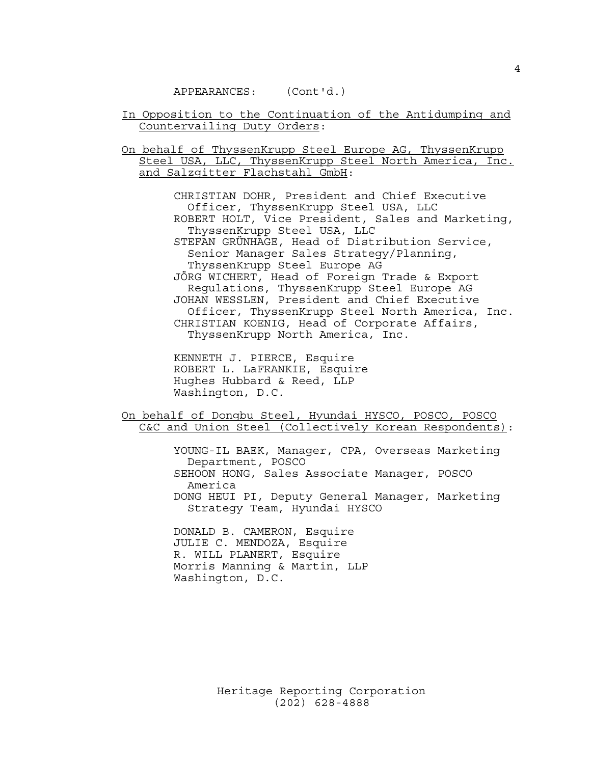#### APPEARANCES: (Cont'd.)

In Opposition to the Continuation of the Antidumping and Countervailing Duty Orders:

On behalf of ThyssenKrupp Steel Europe AG, ThyssenKrupp Steel USA, LLC, ThyssenKrupp Steel North America, Inc. and Salzgitter Flachstahl GmbH:

> CHRISTIAN DOHR, President and Chief Executive Officer, ThyssenKrupp Steel USA, LLC ROBERT HOLT, Vice President, Sales and Marketing, ThyssenKrupp Steel USA, LLC STEFAN GRÜNHAGE, Head of Distribution Service, Senior Manager Sales Strategy/Planning, ThyssenKrupp Steel Europe AG JÖRG WICHERT, Head of Foreign Trade & Export Regulations, ThyssenKrupp Steel Europe AG JOHAN WESSLEN, President and Chief Executive Officer, ThyssenKrupp Steel North America, Inc. CHRISTIAN KOENIG, Head of Corporate Affairs, ThyssenKrupp North America, Inc.

 KENNETH J. PIERCE, Esquire ROBERT L. LaFRANKIE, Esquire Hughes Hubbard & Reed, LLP Washington, D.C.

On behalf of Dongbu Steel, Hyundai HYSCO, POSCO, POSCO C&C and Union Steel (Collectively Korean Respondents):

> YOUNG-IL BAEK, Manager, CPA, Overseas Marketing Department, POSCO SEHOON HONG, Sales Associate Manager, POSCO America DONG HEUI PI, Deputy General Manager, Marketing Strategy Team, Hyundai HYSCO

 DONALD B. CAMERON, Esquire JULIE C. MENDOZA, Esquire R. WILL PLANERT, Esquire Morris Manning & Martin, LLP Washington, D.C.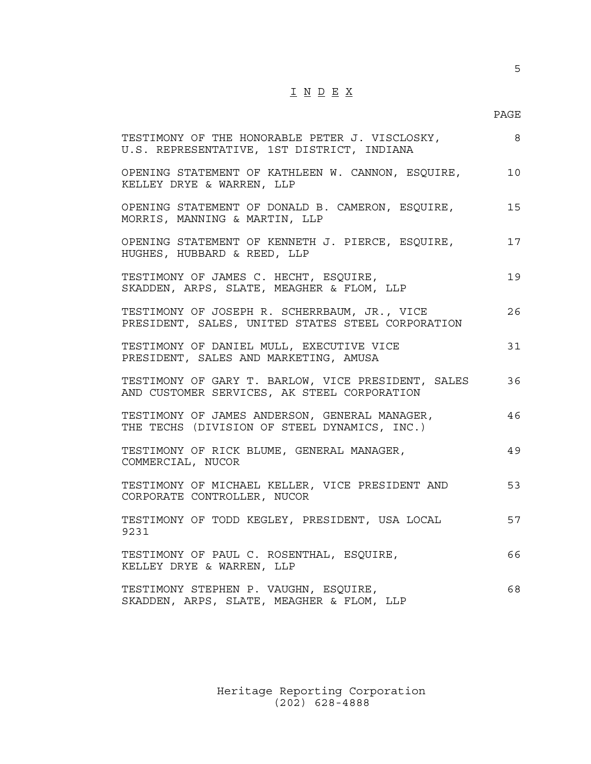# I N D E X

#### en de la provincia de la provincia de la provincia de la provincia de la provincia de la provincia de la provi

| TESTIMONY OF THE HONORABLE PETER J. VISCLOSKY,<br>U.S. REPRESENTATIVE, 1ST DISTRICT, INDIANA      | -8 |
|---------------------------------------------------------------------------------------------------|----|
| OPENING STATEMENT OF KATHLEEN W. CANNON, ESQUIRE,<br>KELLEY DRYE & WARREN, LLP                    | 10 |
| OPENING STATEMENT OF DONALD B. CAMERON, ESQUIRE,<br>MORRIS, MANNING & MARTIN, LLP                 | 15 |
| OPENING STATEMENT OF KENNETH J. PIERCE, ESQUIRE,<br>HUGHES, HUBBARD & REED, LLP                   | 17 |
| TESTIMONY OF JAMES C. HECHT, ESQUIRE,<br>SKADDEN, ARPS, SLATE, MEAGHER & FLOM, LLP                | 19 |
| TESTIMONY OF JOSEPH R. SCHERRBAUM, JR., VICE<br>PRESIDENT, SALES, UNITED STATES STEEL CORPORATION | 26 |
| TESTIMONY OF DANIEL MULL, EXECUTIVE VICE<br>PRESIDENT, SALES AND MARKETING, AMUSA                 | 31 |
| TESTIMONY OF GARY T. BARLOW, VICE PRESIDENT, SALES<br>AND CUSTOMER SERVICES, AK STEEL CORPORATION | 36 |
| TESTIMONY OF JAMES ANDERSON, GENERAL MANAGER,<br>THE TECHS (DIVISION OF STEEL DYNAMICS, INC.)     | 46 |
| TESTIMONY OF RICK BLUME, GENERAL MANAGER,<br>COMMERCIAL, NUCOR                                    | 49 |
| TESTIMONY OF MICHAEL KELLER, VICE PRESIDENT AND<br>CORPORATE CONTROLLER, NUCOR                    | 53 |
| TESTIMONY OF TODD KEGLEY, PRESIDENT, USA LOCAL<br>9231                                            | 57 |
| TESTIMONY OF PAUL C. ROSENTHAL, ESQUIRE,<br>KELLEY DRYE & WARREN, LLP                             | 66 |
| TESTIMONY STEPHEN P. VAUGHN, ESQUIRE,<br>SKADDEN, ARPS, SLATE, MEAGHER & FLOM, LLP                | 68 |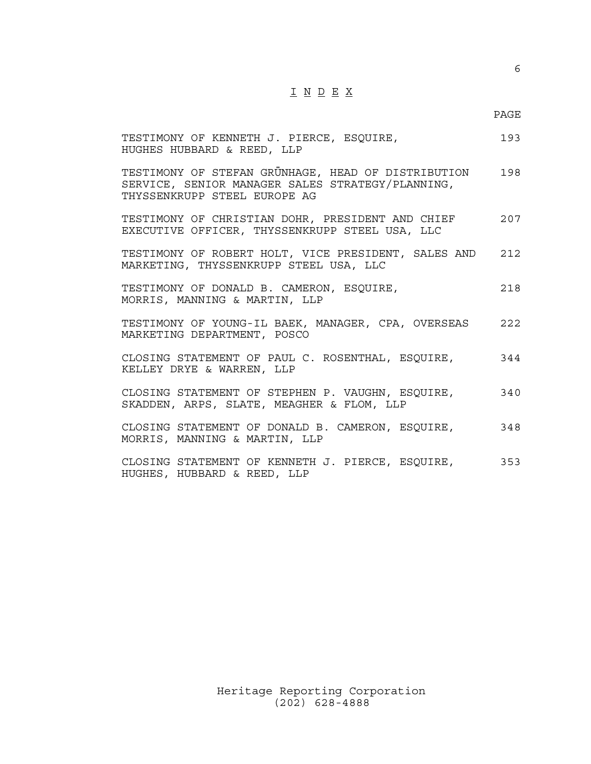# I N D E X

#### en de la provincia de la provincia de la provincia de la provincia de la provincia de la provincia de la provi

| TESTIMONY OF KENNETH J. PIERCE, ESQUIRE,<br>HUGHES HUBBARD & REED, LLP                                                                 | 193 |
|----------------------------------------------------------------------------------------------------------------------------------------|-----|
| TESTIMONY OF STEFAN GRÜNHAGE, HEAD OF DISTRIBUTION<br>SERVICE, SENIOR MANAGER SALES STRATEGY/PLANNING,<br>THYSSENKRUPP STEEL EUROPE AG | 198 |
| TESTIMONY OF CHRISTIAN DOHR, PRESIDENT AND CHIEF<br>EXECUTIVE OFFICER, THYSSENKRUPP STEEL USA, LLC                                     | 207 |
| TESTIMONY OF ROBERT HOLT, VICE PRESIDENT, SALES AND<br>MARKETING, THYSSENKRUPP STEEL USA, LLC                                          | 212 |
| TESTIMONY OF DONALD B. CAMERON, ESQUIRE,<br>MORRIS, MANNING & MARTIN, LLP                                                              | 218 |
| TESTIMONY OF YOUNG-IL BAEK, MANAGER, CPA, OVERSEAS<br>MARKETING DEPARTMENT, POSCO                                                      | 222 |
| CLOSING STATEMENT OF PAUL C. ROSENTHAL, ESQUIRE,<br>KELLEY DRYE & WARREN, LLP                                                          | 344 |
| CLOSING STATEMENT OF STEPHEN P. VAUGHN, ESQUIRE,<br>SKADDEN, ARPS, SLATE, MEAGHER & FLOM, LLP                                          | 340 |
| CLOSING STATEMENT OF DONALD B. CAMERON, ESQUIRE,<br>MORRIS, MANNING & MARTIN, LLP                                                      | 348 |
| CLOSING STATEMENT OF KENNETH J. PIERCE, ESQUIRE,<br>HUGHES, HUBBARD & REED, LLP                                                        | 353 |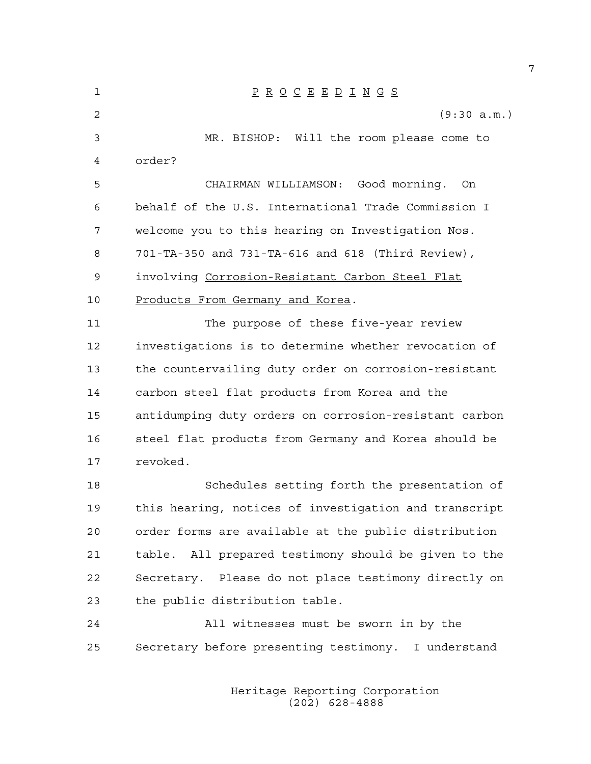| 1  | $\underline{P} \underline{R} \underline{O} \underline{C} \underline{E} \underline{E} \underline{D} \underline{I} \underline{N} \underline{G} \underline{S}$ |
|----|-------------------------------------------------------------------------------------------------------------------------------------------------------------|
| 2  | (9:30 a.m.)                                                                                                                                                 |
| 3  | MR. BISHOP: Will the room please come to                                                                                                                    |
| 4  | order?                                                                                                                                                      |
| 5  | CHAIRMAN WILLIAMSON: Good morning. On                                                                                                                       |
| 6  | behalf of the U.S. International Trade Commission I                                                                                                         |
| 7  | welcome you to this hearing on Investigation Nos.                                                                                                           |
| 8  | 701-TA-350 and 731-TA-616 and 618 (Third Review),                                                                                                           |
| 9  | involving Corrosion-Resistant Carbon Steel Flat                                                                                                             |
| 10 | Products From Germany and Korea.                                                                                                                            |
| 11 | The purpose of these five-year review                                                                                                                       |
| 12 | investigations is to determine whether revocation of                                                                                                        |
| 13 | the countervailing duty order on corrosion-resistant                                                                                                        |
| 14 | carbon steel flat products from Korea and the                                                                                                               |
| 15 | antidumping duty orders on corrosion-resistant carbon                                                                                                       |
| 16 | steel flat products from Germany and Korea should be                                                                                                        |
| 17 | revoked.                                                                                                                                                    |
| 18 | Schedules setting forth the presentation of                                                                                                                 |
| 19 | this hearing, notices of investigation and transcript                                                                                                       |
| 20 | order forms are available at the public distribution                                                                                                        |
| 21 | table. All prepared testimony should be given to the                                                                                                        |
| 22 | Secretary. Please do not place testimony directly on                                                                                                        |
| 23 | the public distribution table.                                                                                                                              |
| 24 | All witnesses must be sworn in by the                                                                                                                       |
| 25 | Secretary before presenting testimony. I understand                                                                                                         |

 Heritage Reporting Corporation (202) 628-4888

7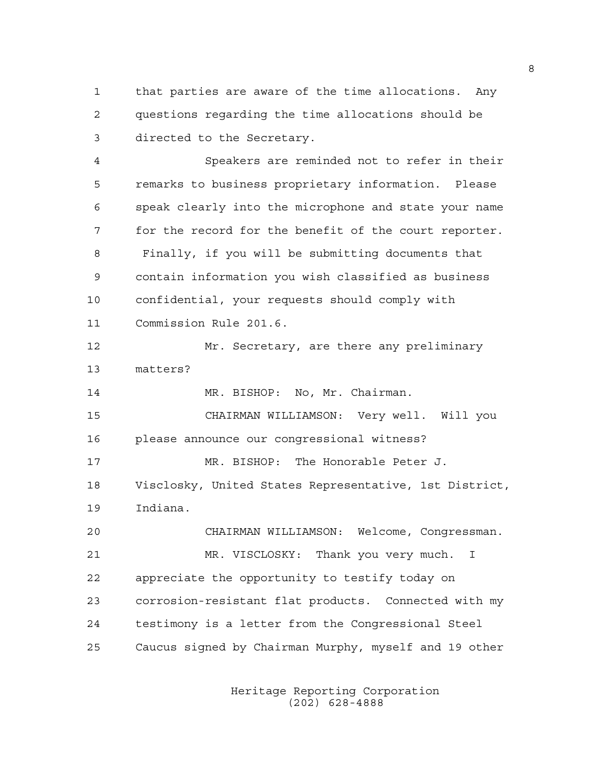1 that parties are aware of the time allocations. Any 2 questions regarding the time allocations should be 3 directed to the Secretary.

4 Speakers are reminded not to refer in their 5 remarks to business proprietary information. Please 6 speak clearly into the microphone and state your name 7 for the record for the benefit of the court reporter. 8 Finally, if you will be submitting documents that 9 contain information you wish classified as business 10 confidential, your requests should comply with 11 Commission Rule 201.6.

12 Mr. Secretary, are there any preliminary 13 matters?

14 MR. BISHOP: No, Mr. Chairman.

15 CHAIRMAN WILLIAMSON: Very well. Will you 16 please announce our congressional witness?

17 MR. BISHOP: The Honorable Peter J. 18 Visclosky, United States Representative, 1st District, 19 Indiana.

20 CHAIRMAN WILLIAMSON: Welcome, Congressman. 21 MR. VISCLOSKY: Thank you very much. I 22 appreciate the opportunity to testify today on 23 corrosion-resistant flat products. Connected with my 24 testimony is a letter from the Congressional Steel 25 Caucus signed by Chairman Murphy, myself and 19 other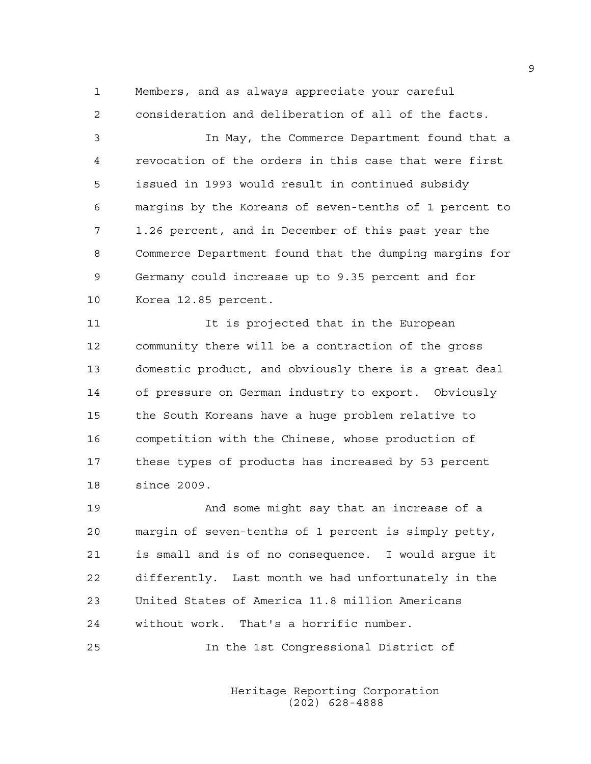1 Members, and as always appreciate your careful 2 consideration and deliberation of all of the facts.

3 In May, the Commerce Department found that a 4 revocation of the orders in this case that were first 5 issued in 1993 would result in continued subsidy 6 margins by the Koreans of seven-tenths of 1 percent to 7 1.26 percent, and in December of this past year the 8 Commerce Department found that the dumping margins for 9 Germany could increase up to 9.35 percent and for 10 Korea 12.85 percent.

11 11 It is projected that in the European 12 community there will be a contraction of the gross 13 domestic product, and obviously there is a great deal 14 of pressure on German industry to export. Obviously 15 the South Koreans have a huge problem relative to 16 competition with the Chinese, whose production of 17 these types of products has increased by 53 percent 18 since 2009.

19 And some might say that an increase of a 20 margin of seven-tenths of 1 percent is simply petty, 21 is small and is of no consequence. I would argue it 22 differently. Last month we had unfortunately in the 23 United States of America 11.8 million Americans 24 without work. That's a horrific number.

25 In the 1st Congressional District of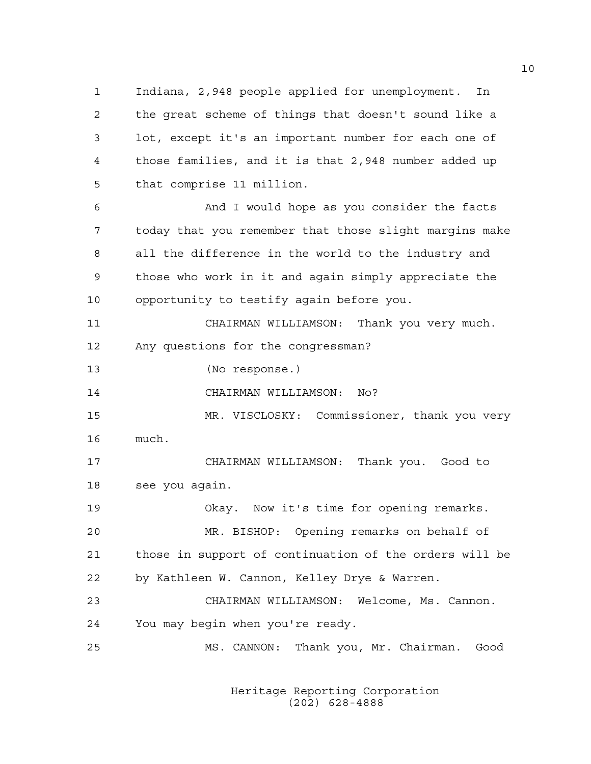1 Indiana, 2,948 people applied for unemployment. In 2 the great scheme of things that doesn't sound like a 3 lot, except it's an important number for each one of 4 those families, and it is that 2,948 number added up 5 that comprise 11 million.

6 And I would hope as you consider the facts 7 today that you remember that those slight margins make 8 all the difference in the world to the industry and 9 those who work in it and again simply appreciate the 10 opportunity to testify again before you.

11 CHAIRMAN WILLIAMSON: Thank you very much. 12 Any questions for the congressman?

13 (No response.)

14 CHAIRMAN WILLIAMSON: No?

15 MR. VISCLOSKY: Commissioner, thank you very 16 much.

17 CHAIRMAN WILLIAMSON: Thank you. Good to 18 see you again.

19 Okay. Now it's time for opening remarks. 20 MR. BISHOP: Opening remarks on behalf of 21 those in support of continuation of the orders will be 22 by Kathleen W. Cannon, Kelley Drye & Warren.

23 CHAIRMAN WILLIAMSON: Welcome, Ms. Cannon. 24 You may begin when you're ready.

25 MS. CANNON: Thank you, Mr. Chairman. Good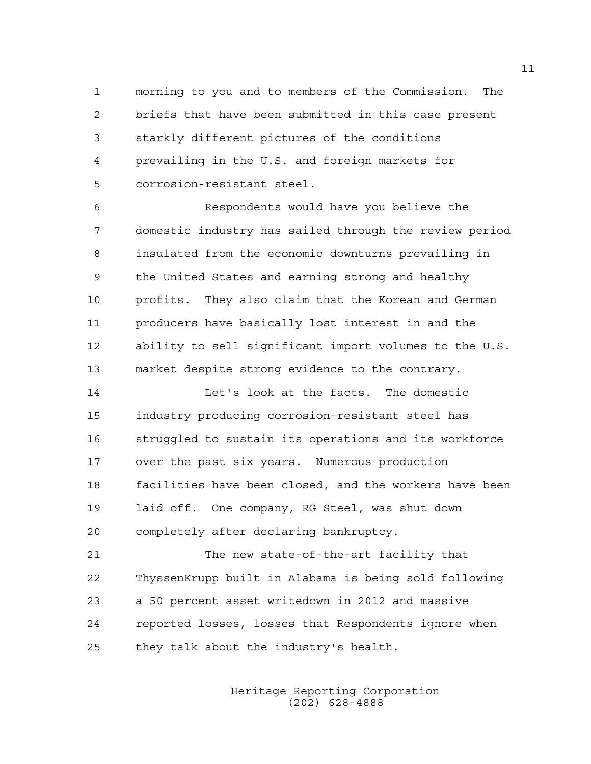1 morning to you and to members of the Commission. The 2 briefs that have been submitted in this case present 3 starkly different pictures of the conditions 4 prevailing in the U.S. and foreign markets for 5 corrosion-resistant steel.

6 Respondents would have you believe the 7 domestic industry has sailed through the review period 8 insulated from the economic downturns prevailing in 9 the United States and earning strong and healthy 10 profits. They also claim that the Korean and German 11 producers have basically lost interest in and the 12 ability to sell significant import volumes to the U.S. 13 market despite strong evidence to the contrary.

14 Let's look at the facts. The domestic 15 industry producing corrosion-resistant steel has 16 struggled to sustain its operations and its workforce 17 over the past six years. Numerous production 18 facilities have been closed, and the workers have been 19 laid off. One company, RG Steel, was shut down 20 completely after declaring bankruptcy.

21 The new state-of-the-art facility that 22 ThyssenKrupp built in Alabama is being sold following 23 a 50 percent asset writedown in 2012 and massive 24 reported losses, losses that Respondents ignore when 25 they talk about the industry's health.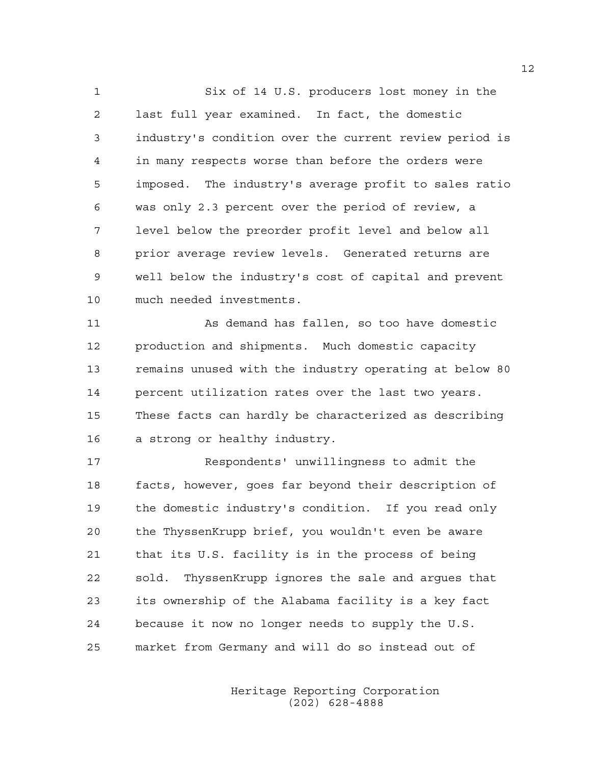1 Six of 14 U.S. producers lost money in the 2 last full year examined. In fact, the domestic 3 industry's condition over the current review period is 4 in many respects worse than before the orders were 5 imposed. The industry's average profit to sales ratio 6 was only 2.3 percent over the period of review, a 7 level below the preorder profit level and below all 8 prior average review levels. Generated returns are 9 well below the industry's cost of capital and prevent 10 much needed investments.

11 As demand has fallen, so too have domestic 12 production and shipments. Much domestic capacity 13 remains unused with the industry operating at below 80 14 percent utilization rates over the last two years. 15 These facts can hardly be characterized as describing 16 a strong or healthy industry.

17 Respondents' unwillingness to admit the 18 facts, however, goes far beyond their description of 19 the domestic industry's condition. If you read only 20 the ThyssenKrupp brief, you wouldn't even be aware 21 that its U.S. facility is in the process of being 22 sold. ThyssenKrupp ignores the sale and argues that 23 its ownership of the Alabama facility is a key fact 24 because it now no longer needs to supply the U.S. 25 market from Germany and will do so instead out of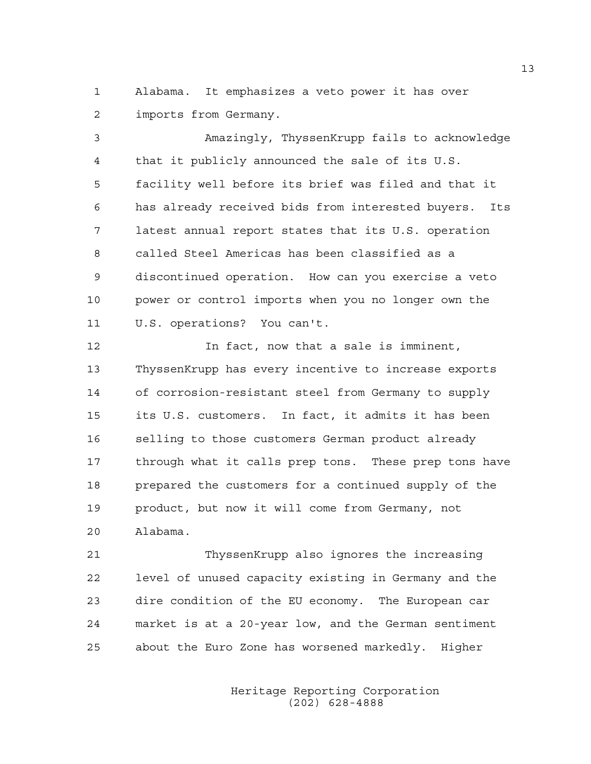1 Alabama. It emphasizes a veto power it has over 2 imports from Germany.

3 Amazingly, ThyssenKrupp fails to acknowledge 4 that it publicly announced the sale of its U.S. 5 facility well before its brief was filed and that it 6 has already received bids from interested buyers. Its 7 latest annual report states that its U.S. operation 8 called Steel Americas has been classified as a 9 discontinued operation. How can you exercise a veto 10 power or control imports when you no longer own the 11 U.S. operations? You can't.

12 In fact, now that a sale is imminent, 13 ThyssenKrupp has every incentive to increase exports 14 of corrosion-resistant steel from Germany to supply 15 its U.S. customers. In fact, it admits it has been 16 selling to those customers German product already 17 through what it calls prep tons. These prep tons have 18 prepared the customers for a continued supply of the 19 product, but now it will come from Germany, not 20 Alabama.

21 ThyssenKrupp also ignores the increasing 22 level of unused capacity existing in Germany and the 23 dire condition of the EU economy. The European car 24 market is at a 20-year low, and the German sentiment 25 about the Euro Zone has worsened markedly. Higher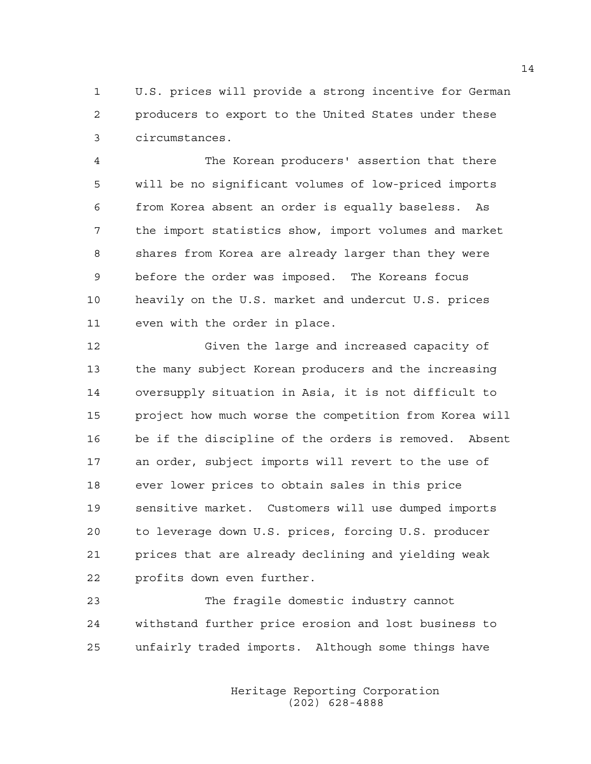1 U.S. prices will provide a strong incentive for German 2 producers to export to the United States under these 3 circumstances.

4 The Korean producers' assertion that there 5 will be no significant volumes of low-priced imports 6 from Korea absent an order is equally baseless. As 7 the import statistics show, import volumes and market 8 shares from Korea are already larger than they were 9 before the order was imposed. The Koreans focus 10 heavily on the U.S. market and undercut U.S. prices 11 even with the order in place.

12 Given the large and increased capacity of 13 the many subject Korean producers and the increasing 14 oversupply situation in Asia, it is not difficult to 15 project how much worse the competition from Korea will 16 be if the discipline of the orders is removed. Absent 17 an order, subject imports will revert to the use of 18 ever lower prices to obtain sales in this price 19 sensitive market. Customers will use dumped imports 20 to leverage down U.S. prices, forcing U.S. producer 21 prices that are already declining and yielding weak 22 profits down even further.

23 The fragile domestic industry cannot 24 withstand further price erosion and lost business to 25 unfairly traded imports. Although some things have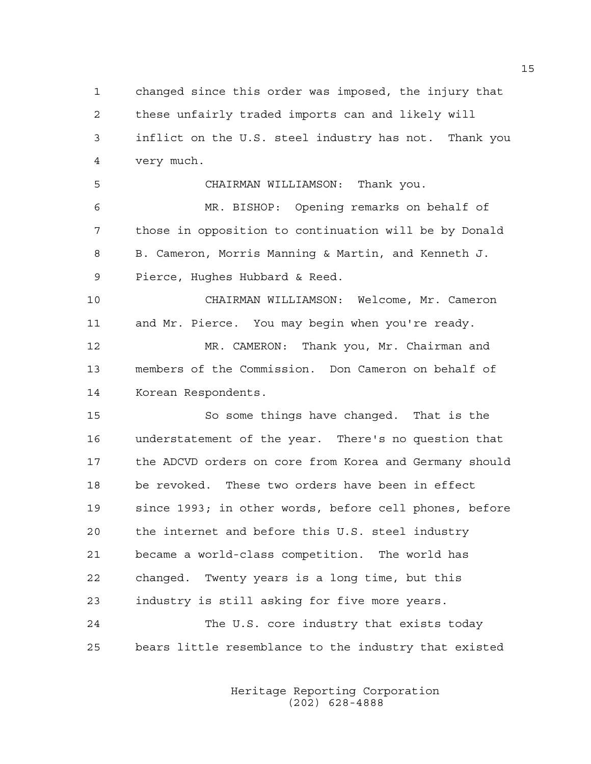1 changed since this order was imposed, the injury that 2 these unfairly traded imports can and likely will 3 inflict on the U.S. steel industry has not. Thank you 4 very much.

5 CHAIRMAN WILLIAMSON: Thank you.

6 MR. BISHOP: Opening remarks on behalf of 7 those in opposition to continuation will be by Donald 8 B. Cameron, Morris Manning & Martin, and Kenneth J. 9 Pierce, Hughes Hubbard & Reed.

10 CHAIRMAN WILLIAMSON: Welcome, Mr. Cameron 11 and Mr. Pierce. You may begin when you're ready. 12 MR. CAMERON: Thank you, Mr. Chairman and

13 members of the Commission. Don Cameron on behalf of 14 Korean Respondents.

15 So some things have changed. That is the 16 understatement of the year. There's no question that 17 the ADCVD orders on core from Korea and Germany should 18 be revoked. These two orders have been in effect 19 since 1993; in other words, before cell phones, before 20 the internet and before this U.S. steel industry 21 became a world-class competition. The world has 22 changed. Twenty years is a long time, but this 23 industry is still asking for five more years. 24 The U.S. core industry that exists today

25 bears little resemblance to the industry that existed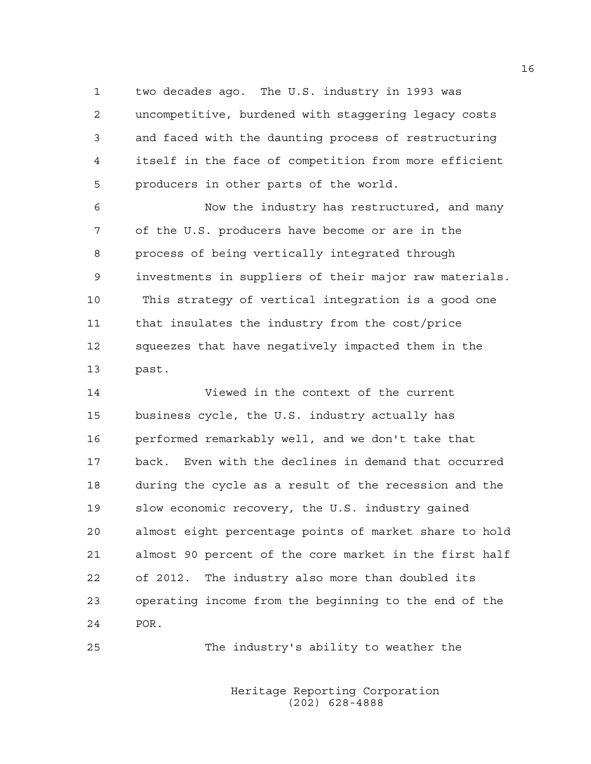1 two decades ago. The U.S. industry in 1993 was 2 uncompetitive, burdened with staggering legacy costs 3 and faced with the daunting process of restructuring 4 itself in the face of competition from more efficient 5 producers in other parts of the world.

6 Now the industry has restructured, and many 7 of the U.S. producers have become or are in the 8 process of being vertically integrated through 9 investments in suppliers of their major raw materials. 10 This strategy of vertical integration is a good one 11 that insulates the industry from the cost/price 12 squeezes that have negatively impacted them in the 13 past.

14 Viewed in the context of the current 15 business cycle, the U.S. industry actually has 16 performed remarkably well, and we don't take that 17 back. Even with the declines in demand that occurred 18 during the cycle as a result of the recession and the 19 slow economic recovery, the U.S. industry gained 20 almost eight percentage points of market share to hold 21 almost 90 percent of the core market in the first half 22 of 2012. The industry also more than doubled its 23 operating income from the beginning to the end of the 24 POR.

25 The industry's ability to weather the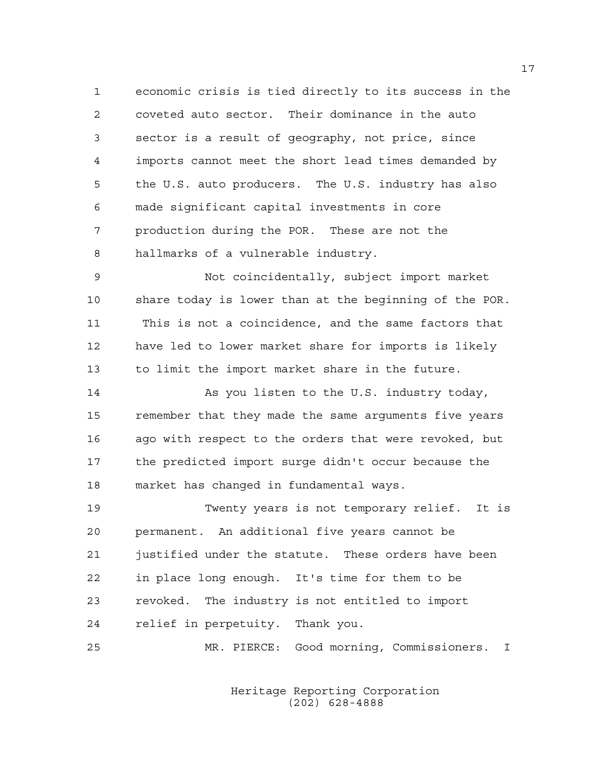1 economic crisis is tied directly to its success in the 2 coveted auto sector. Their dominance in the auto 3 sector is a result of geography, not price, since 4 imports cannot meet the short lead times demanded by 5 the U.S. auto producers. The U.S. industry has also 6 made significant capital investments in core 7 production during the POR. These are not the 8 hallmarks of a vulnerable industry.

9 Not coincidentally, subject import market 10 share today is lower than at the beginning of the POR. 11 This is not a coincidence, and the same factors that 12 have led to lower market share for imports is likely 13 to limit the import market share in the future.

14 As you listen to the U.S. industry today, 15 remember that they made the same arguments five years 16 ago with respect to the orders that were revoked, but 17 the predicted import surge didn't occur because the 18 market has changed in fundamental ways.

19 Twenty years is not temporary relief. It is 20 permanent. An additional five years cannot be 21 justified under the statute. These orders have been 22 in place long enough. It's time for them to be 23 revoked. The industry is not entitled to import 24 relief in perpetuity. Thank you.

25 MR. PIERCE: Good morning, Commissioners. I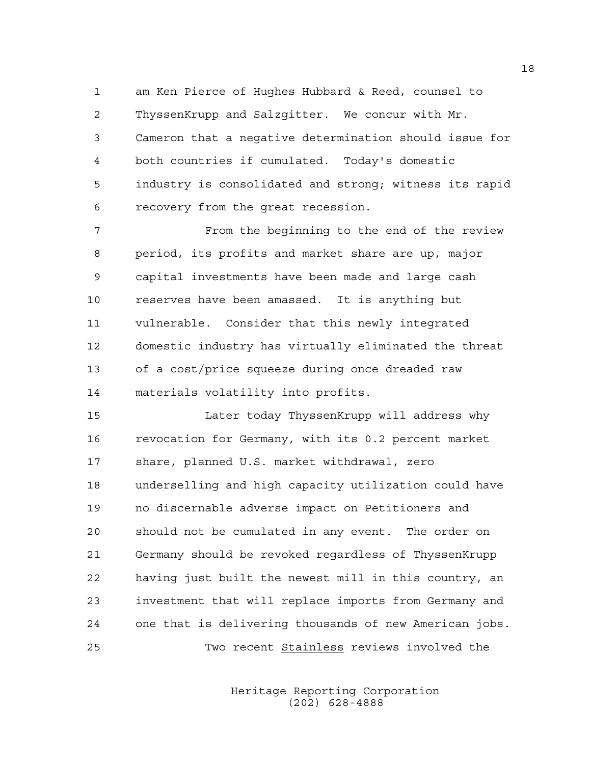1 am Ken Pierce of Hughes Hubbard & Reed, counsel to 2 ThyssenKrupp and Salzgitter. We concur with Mr. 3 Cameron that a negative determination should issue for 4 both countries if cumulated. Today's domestic 5 industry is consolidated and strong; witness its rapid 6 recovery from the great recession.

7 From the beginning to the end of the review 8 period, its profits and market share are up, major 9 capital investments have been made and large cash 10 reserves have been amassed. It is anything but 11 vulnerable. Consider that this newly integrated 12 domestic industry has virtually eliminated the threat 13 of a cost/price squeeze during once dreaded raw 14 materials volatility into profits.

15 Later today ThyssenKrupp will address why 16 revocation for Germany, with its 0.2 percent market 17 share, planned U.S. market withdrawal, zero 18 underselling and high capacity utilization could have 19 no discernable adverse impact on Petitioners and 20 should not be cumulated in any event. The order on 21 Germany should be revoked regardless of ThyssenKrupp 22 having just built the newest mill in this country, an 23 investment that will replace imports from Germany and 24 one that is delivering thousands of new American jobs. 25 Two recent Stainless reviews involved the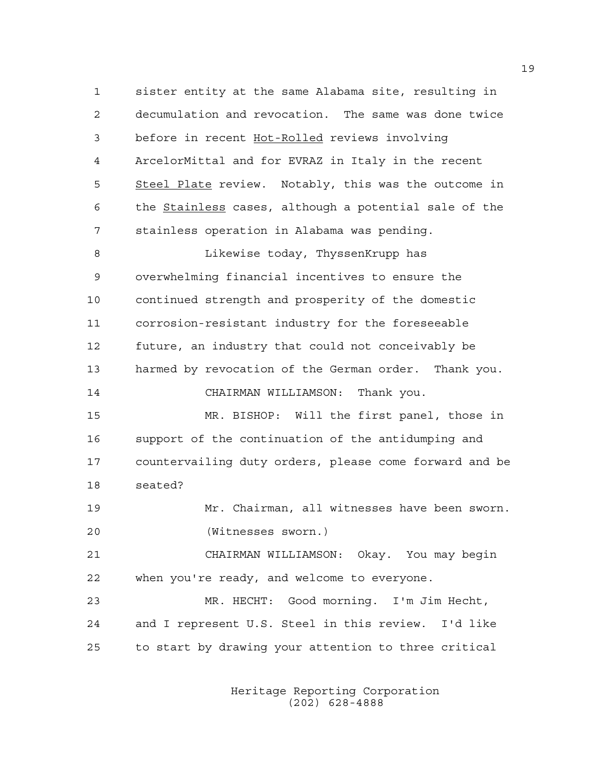1 sister entity at the same Alabama site, resulting in 2 decumulation and revocation. The same was done twice 3 before in recent Hot-Rolled reviews involving 4 ArcelorMittal and for EVRAZ in Italy in the recent 5 Steel Plate review. Notably, this was the outcome in 6 the Stainless cases, although a potential sale of the 7 stainless operation in Alabama was pending.

8 Likewise today, ThyssenKrupp has 9 overwhelming financial incentives to ensure the 10 continued strength and prosperity of the domestic 11 corrosion-resistant industry for the foreseeable 12 future, an industry that could not conceivably be 13 harmed by revocation of the German order. Thank you.

14 CHAIRMAN WILLIAMSON: Thank you.

15 MR. BISHOP: Will the first panel, those in 16 support of the continuation of the antidumping and 17 countervailing duty orders, please come forward and be 18 seated?

19 Mr. Chairman, all witnesses have been sworn. 20 (Witnesses sworn.)

21 CHAIRMAN WILLIAMSON: Okay. You may begin 22 when you're ready, and welcome to everyone.

23 MR. HECHT: Good morning. I'm Jim Hecht, 24 and I represent U.S. Steel in this review. I'd like 25 to start by drawing your attention to three critical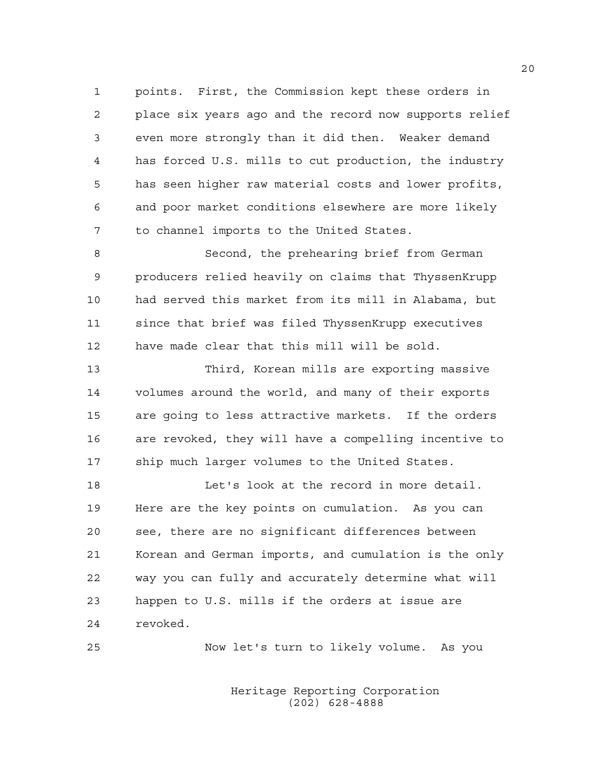1 points. First, the Commission kept these orders in 2 place six years ago and the record now supports relief 3 even more strongly than it did then. Weaker demand 4 has forced U.S. mills to cut production, the industry 5 has seen higher raw material costs and lower profits, 6 and poor market conditions elsewhere are more likely 7 to channel imports to the United States.

8 Second, the prehearing brief from German 9 producers relied heavily on claims that ThyssenKrupp 10 had served this market from its mill in Alabama, but 11 since that brief was filed ThyssenKrupp executives 12 have made clear that this mill will be sold.

13 Third, Korean mills are exporting massive 14 volumes around the world, and many of their exports 15 are going to less attractive markets. If the orders 16 are revoked, they will have a compelling incentive to 17 ship much larger volumes to the United States.

18 Let's look at the record in more detail. 19 Here are the key points on cumulation. As you can 20 see, there are no significant differences between 21 Korean and German imports, and cumulation is the only 22 way you can fully and accurately determine what will 23 happen to U.S. mills if the orders at issue are 24 revoked.

25 Now let's turn to likely volume. As you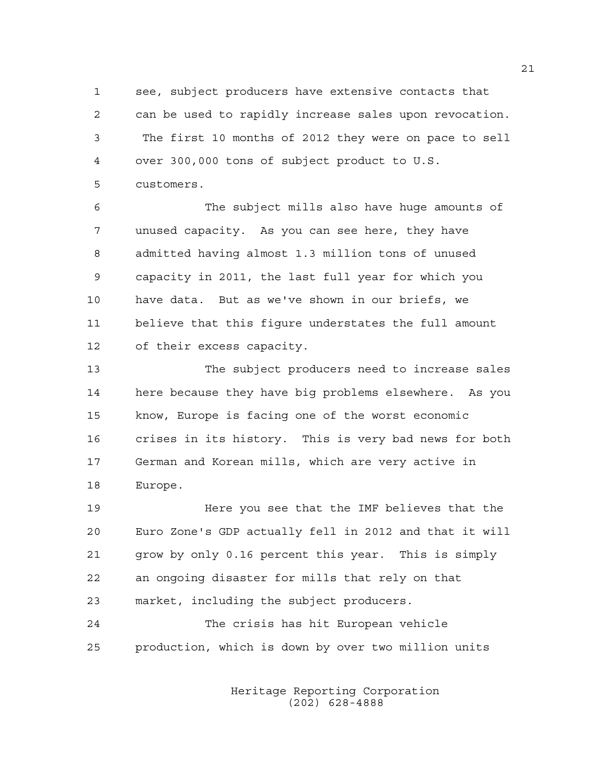1 see, subject producers have extensive contacts that 2 can be used to rapidly increase sales upon revocation. 3 The first 10 months of 2012 they were on pace to sell 4 over 300,000 tons of subject product to U.S. 5 customers.

6 The subject mills also have huge amounts of 7 unused capacity. As you can see here, they have 8 admitted having almost 1.3 million tons of unused 9 capacity in 2011, the last full year for which you 10 have data. But as we've shown in our briefs, we 11 believe that this figure understates the full amount 12 of their excess capacity.

13 The subject producers need to increase sales 14 here because they have big problems elsewhere. As you 15 know, Europe is facing one of the worst economic 16 crises in its history. This is very bad news for both 17 German and Korean mills, which are very active in 18 Europe.

19 Here you see that the IMF believes that the 20 Euro Zone's GDP actually fell in 2012 and that it will 21 grow by only 0.16 percent this year. This is simply 22 an ongoing disaster for mills that rely on that 23 market, including the subject producers.

24 The crisis has hit European vehicle 25 production, which is down by over two million units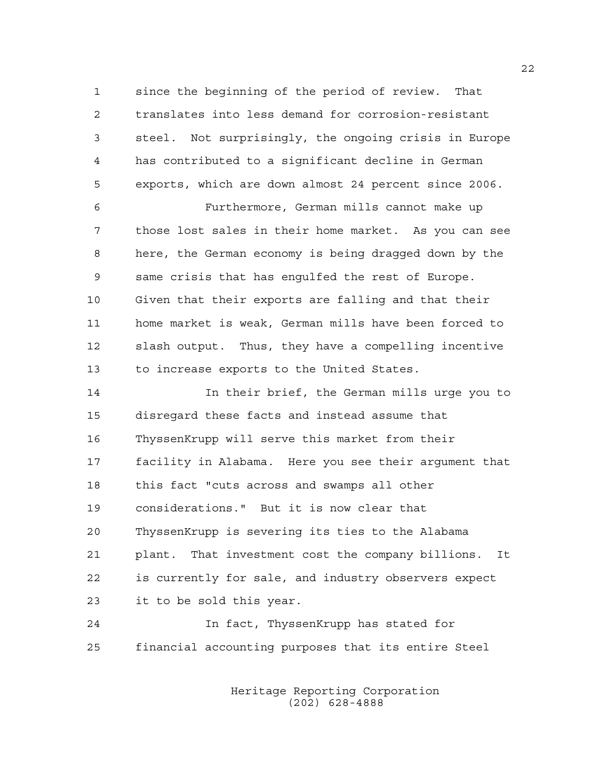1 since the beginning of the period of review. That 2 translates into less demand for corrosion-resistant 3 steel. Not surprisingly, the ongoing crisis in Europe 4 has contributed to a significant decline in German 5 exports, which are down almost 24 percent since 2006.

6 Furthermore, German mills cannot make up 7 those lost sales in their home market. As you can see 8 here, the German economy is being dragged down by the 9 same crisis that has engulfed the rest of Europe. 10 Given that their exports are falling and that their 11 home market is weak, German mills have been forced to 12 slash output. Thus, they have a compelling incentive 13 to increase exports to the United States.

14 In their brief, the German mills urge you to 15 disregard these facts and instead assume that 16 ThyssenKrupp will serve this market from their 17 facility in Alabama. Here you see their argument that 18 this fact "cuts across and swamps all other 19 considerations." But it is now clear that 20 ThyssenKrupp is severing its ties to the Alabama 21 plant. That investment cost the company billions. It 22 is currently for sale, and industry observers expect 23 it to be sold this year.

24 In fact, ThyssenKrupp has stated for 25 financial accounting purposes that its entire Steel

> Heritage Reporting Corporation (202) 628-4888

22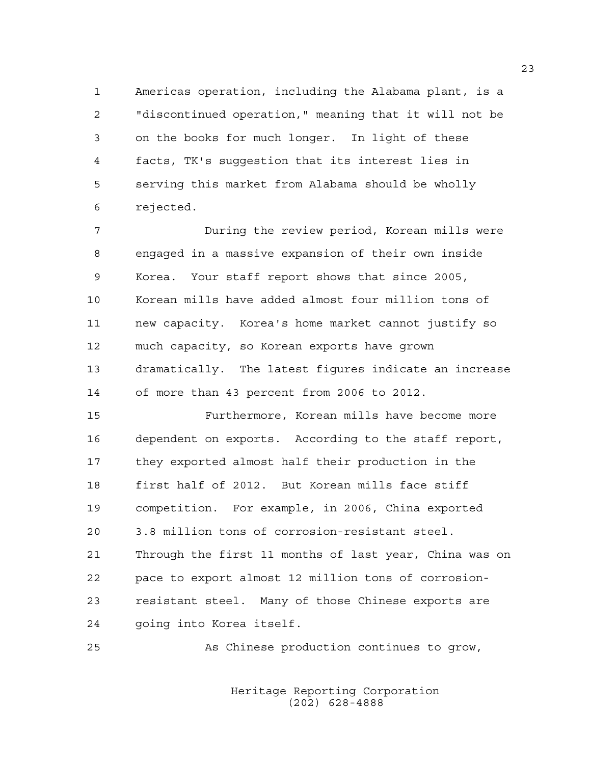1 Americas operation, including the Alabama plant, is a 2 "discontinued operation," meaning that it will not be 3 on the books for much longer. In light of these 4 facts, TK's suggestion that its interest lies in 5 serving this market from Alabama should be wholly 6 rejected.

7 During the review period, Korean mills were 8 engaged in a massive expansion of their own inside 9 Korea. Your staff report shows that since 2005, 10 Korean mills have added almost four million tons of 11 new capacity. Korea's home market cannot justify so 12 much capacity, so Korean exports have grown 13 dramatically. The latest figures indicate an increase 14 of more than 43 percent from 2006 to 2012.

15 Furthermore, Korean mills have become more 16 dependent on exports. According to the staff report, 17 they exported almost half their production in the 18 first half of 2012. But Korean mills face stiff 19 competition. For example, in 2006, China exported 20 3.8 million tons of corrosion-resistant steel. 21 Through the first 11 months of last year, China was on 22 pace to export almost 12 million tons of corrosion-23 resistant steel. Many of those Chinese exports are 24 going into Korea itself.

25 As Chinese production continues to grow,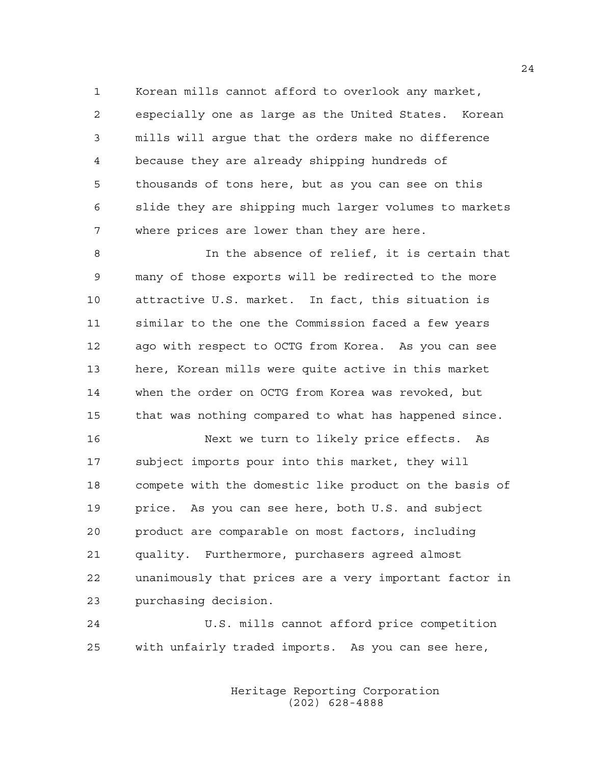1 Korean mills cannot afford to overlook any market, 2 especially one as large as the United States. Korean 3 mills will argue that the orders make no difference 4 because they are already shipping hundreds of 5 thousands of tons here, but as you can see on this 6 slide they are shipping much larger volumes to markets 7 where prices are lower than they are here.

8 In the absence of relief, it is certain that 9 many of those exports will be redirected to the more 10 attractive U.S. market. In fact, this situation is 11 similar to the one the Commission faced a few years 12 ago with respect to OCTG from Korea. As you can see 13 here, Korean mills were quite active in this market 14 when the order on OCTG from Korea was revoked, but 15 that was nothing compared to what has happened since.

16 Next we turn to likely price effects. As 17 subject imports pour into this market, they will 18 compete with the domestic like product on the basis of 19 price. As you can see here, both U.S. and subject 20 product are comparable on most factors, including 21 quality. Furthermore, purchasers agreed almost 22 unanimously that prices are a very important factor in 23 purchasing decision.

24 U.S. mills cannot afford price competition 25 with unfairly traded imports. As you can see here,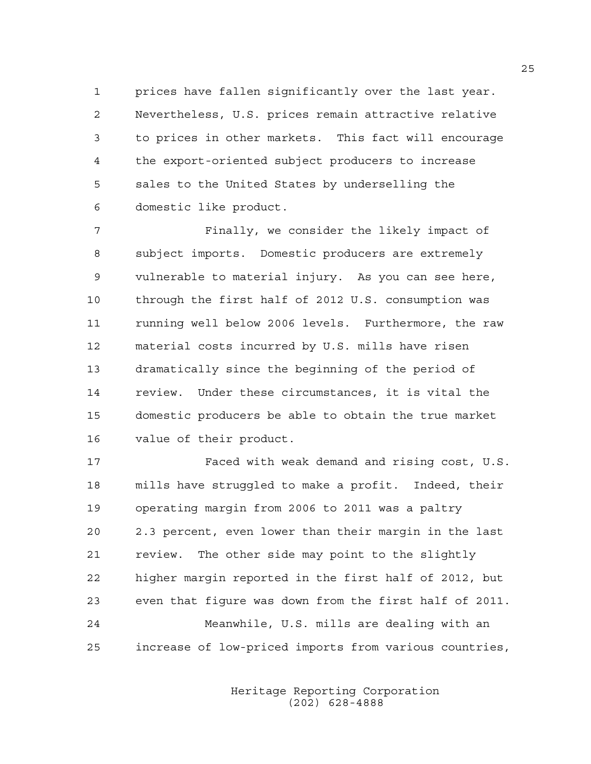1 prices have fallen significantly over the last year. 2 Nevertheless, U.S. prices remain attractive relative 3 to prices in other markets. This fact will encourage 4 the export-oriented subject producers to increase 5 sales to the United States by underselling the 6 domestic like product.

7 Finally, we consider the likely impact of 8 subject imports. Domestic producers are extremely 9 vulnerable to material injury. As you can see here, 10 through the first half of 2012 U.S. consumption was 11 running well below 2006 levels. Furthermore, the raw 12 material costs incurred by U.S. mills have risen 13 dramatically since the beginning of the period of 14 review. Under these circumstances, it is vital the 15 domestic producers be able to obtain the true market 16 value of their product.

17 Faced with weak demand and rising cost, U.S. 18 mills have struggled to make a profit. Indeed, their 19 operating margin from 2006 to 2011 was a paltry 20 2.3 percent, even lower than their margin in the last 21 review. The other side may point to the slightly 22 higher margin reported in the first half of 2012, but 23 even that figure was down from the first half of 2011. 24 Meanwhile, U.S. mills are dealing with an 25 increase of low-priced imports from various countries,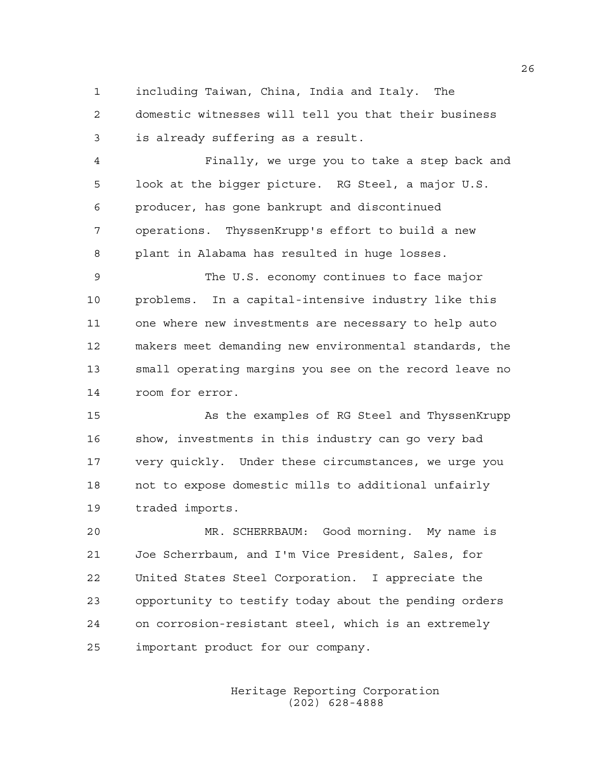1 including Taiwan, China, India and Italy. The

2 domestic witnesses will tell you that their business 3 is already suffering as a result.

4 Finally, we urge you to take a step back and 5 look at the bigger picture. RG Steel, a major U.S. 6 producer, has gone bankrupt and discontinued 7 operations. ThyssenKrupp's effort to build a new 8 plant in Alabama has resulted in huge losses.

9 The U.S. economy continues to face major 10 problems. In a capital-intensive industry like this 11 one where new investments are necessary to help auto 12 makers meet demanding new environmental standards, the 13 small operating margins you see on the record leave no 14 room for error.

15 As the examples of RG Steel and ThyssenKrupp 16 show, investments in this industry can go very bad 17 very quickly. Under these circumstances, we urge you 18 not to expose domestic mills to additional unfairly 19 traded imports.

20 MR. SCHERRBAUM: Good morning. My name is 21 Joe Scherrbaum, and I'm Vice President, Sales, for 22 United States Steel Corporation. I appreciate the 23 opportunity to testify today about the pending orders 24 on corrosion-resistant steel, which is an extremely 25 important product for our company.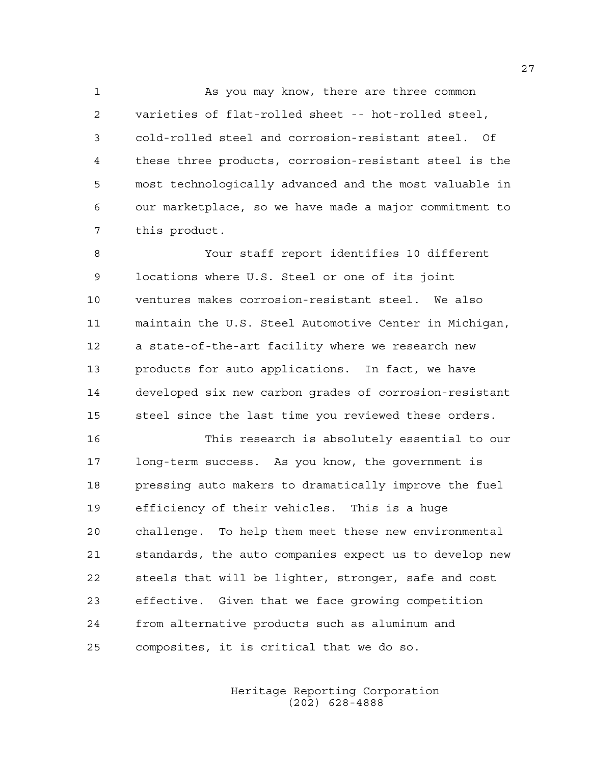1 As you may know, there are three common 2 varieties of flat-rolled sheet -- hot-rolled steel, 3 cold-rolled steel and corrosion-resistant steel. Of 4 these three products, corrosion-resistant steel is the 5 most technologically advanced and the most valuable in 6 our marketplace, so we have made a major commitment to 7 this product.

8 Your staff report identifies 10 different 9 locations where U.S. Steel or one of its joint 10 ventures makes corrosion-resistant steel. We also 11 maintain the U.S. Steel Automotive Center in Michigan, 12 a state-of-the-art facility where we research new 13 products for auto applications. In fact, we have 14 developed six new carbon grades of corrosion-resistant 15 steel since the last time you reviewed these orders.

16 This research is absolutely essential to our 17 long-term success. As you know, the government is 18 pressing auto makers to dramatically improve the fuel 19 efficiency of their vehicles. This is a huge 20 challenge. To help them meet these new environmental 21 standards, the auto companies expect us to develop new 22 steels that will be lighter, stronger, safe and cost 23 effective. Given that we face growing competition 24 from alternative products such as aluminum and 25 composites, it is critical that we do so.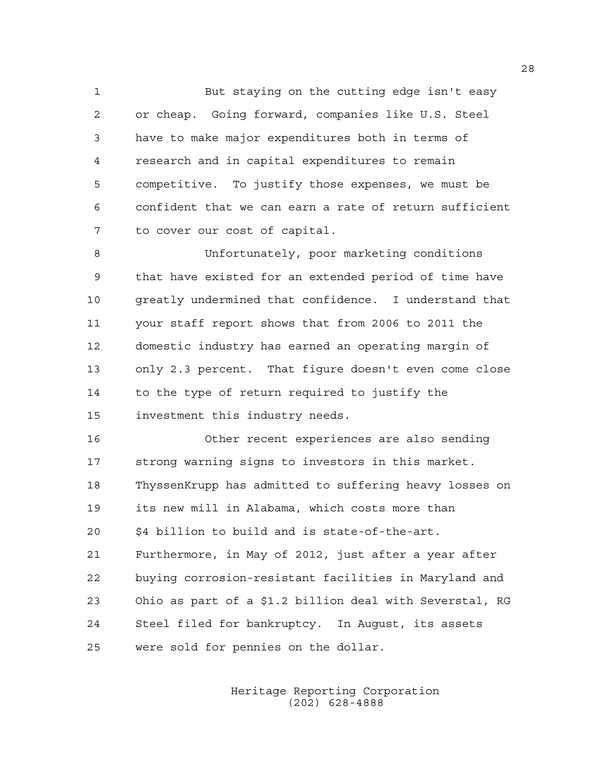1 But staying on the cutting edge isn't easy 2 or cheap. Going forward, companies like U.S. Steel 3 have to make major expenditures both in terms of 4 research and in capital expenditures to remain 5 competitive. To justify those expenses, we must be 6 confident that we can earn a rate of return sufficient 7 to cover our cost of capital.

8 Unfortunately, poor marketing conditions 9 that have existed for an extended period of time have 10 greatly undermined that confidence. I understand that 11 your staff report shows that from 2006 to 2011 the 12 domestic industry has earned an operating margin of 13 only 2.3 percent. That figure doesn't even come close 14 to the type of return required to justify the 15 investment this industry needs.

16 Other recent experiences are also sending 17 strong warning signs to investors in this market. 18 ThyssenKrupp has admitted to suffering heavy losses on 19 its new mill in Alabama, which costs more than 20 \$4 billion to build and is state-of-the-art. 21 Furthermore, in May of 2012, just after a year after 22 buying corrosion-resistant facilities in Maryland and 23 Ohio as part of a \$1.2 billion deal with Severstal, RG 24 Steel filed for bankruptcy. In August, its assets 25 were sold for pennies on the dollar.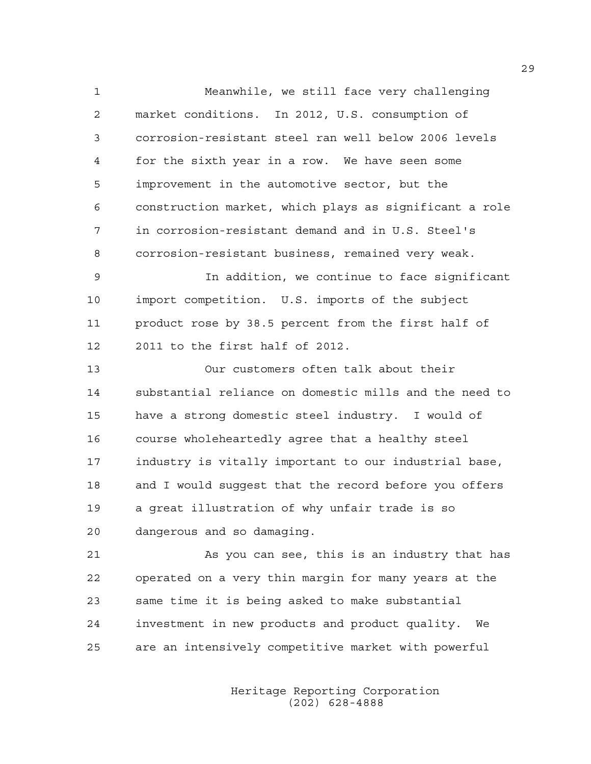1 Meanwhile, we still face very challenging 2 market conditions. In 2012, U.S. consumption of 3 corrosion-resistant steel ran well below 2006 levels 4 for the sixth year in a row. We have seen some 5 improvement in the automotive sector, but the 6 construction market, which plays as significant a role 7 in corrosion-resistant demand and in U.S. Steel's 8 corrosion-resistant business, remained very weak. 9 In addition, we continue to face significant 10 import competition. U.S. imports of the subject 11 product rose by 38.5 percent from the first half of 12 2011 to the first half of 2012. 13 Our customers often talk about their 14 substantial reliance on domestic mills and the need to 15 have a strong domestic steel industry. I would of 16 course wholeheartedly agree that a healthy steel 17 industry is vitally important to our industrial base, 18 and I would suggest that the record before you offers 19 a great illustration of why unfair trade is so 20 dangerous and so damaging. 21 As you can see, this is an industry that has 22 operated on a very thin margin for many years at the

23 same time it is being asked to make substantial 24 investment in new products and product quality. We 25 are an intensively competitive market with powerful

> Heritage Reporting Corporation (202) 628-4888

29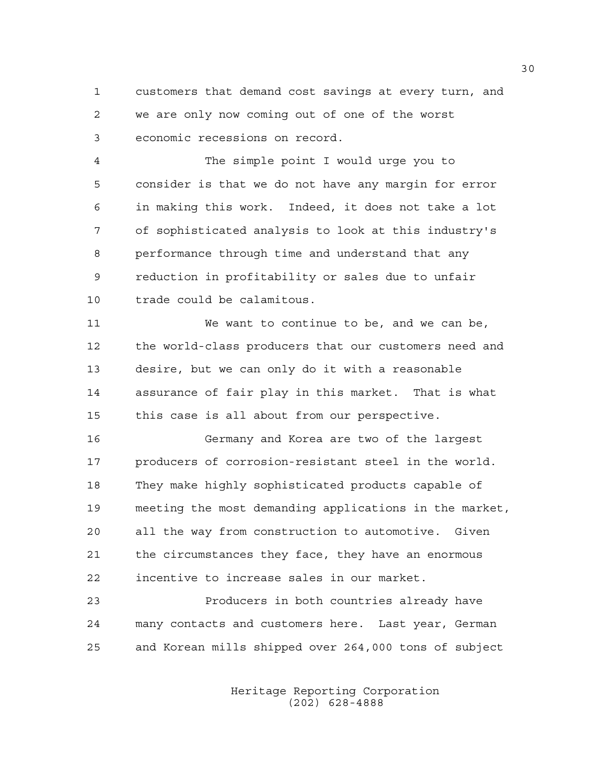1 customers that demand cost savings at every turn, and 2 we are only now coming out of one of the worst 3 economic recessions on record.

4 The simple point I would urge you to 5 consider is that we do not have any margin for error 6 in making this work. Indeed, it does not take a lot 7 of sophisticated analysis to look at this industry's 8 performance through time and understand that any 9 reduction in profitability or sales due to unfair 10 trade could be calamitous.

11 We want to continue to be, and we can be, 12 the world-class producers that our customers need and 13 desire, but we can only do it with a reasonable 14 assurance of fair play in this market. That is what 15 this case is all about from our perspective.

16 Germany and Korea are two of the largest 17 producers of corrosion-resistant steel in the world. 18 They make highly sophisticated products capable of 19 meeting the most demanding applications in the market, 20 all the way from construction to automotive. Given 21 the circumstances they face, they have an enormous 22 incentive to increase sales in our market.

23 Producers in both countries already have 24 many contacts and customers here. Last year, German 25 and Korean mills shipped over 264,000 tons of subject

> Heritage Reporting Corporation (202) 628-4888

30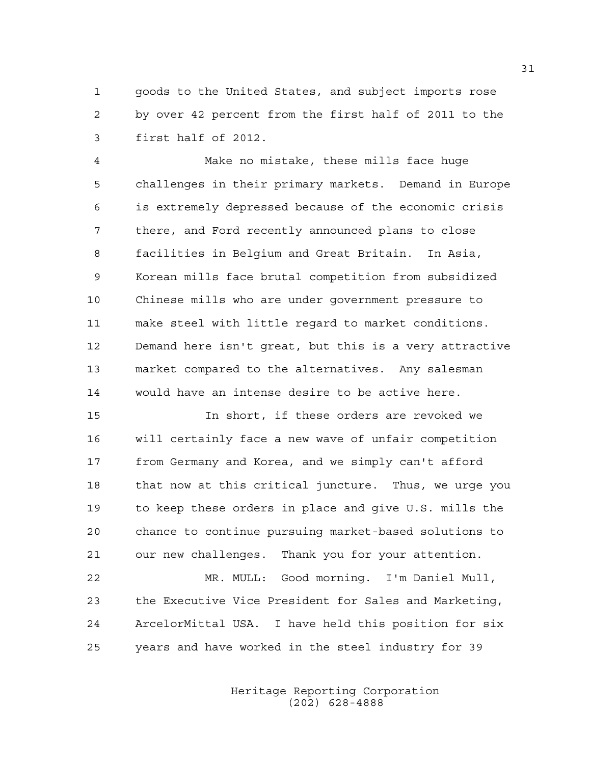1 goods to the United States, and subject imports rose 2 by over 42 percent from the first half of 2011 to the 3 first half of 2012.

4 Make no mistake, these mills face huge 5 challenges in their primary markets. Demand in Europe 6 is extremely depressed because of the economic crisis 7 there, and Ford recently announced plans to close 8 facilities in Belgium and Great Britain. In Asia, 9 Korean mills face brutal competition from subsidized 10 Chinese mills who are under government pressure to 11 make steel with little regard to market conditions. 12 Demand here isn't great, but this is a very attractive 13 market compared to the alternatives. Any salesman 14 would have an intense desire to be active here.

15 In short, if these orders are revoked we 16 will certainly face a new wave of unfair competition 17 from Germany and Korea, and we simply can't afford 18 that now at this critical juncture. Thus, we urge you 19 to keep these orders in place and give U.S. mills the 20 chance to continue pursuing market-based solutions to 21 our new challenges. Thank you for your attention.

22 MR. MULL: Good morning. I'm Daniel Mull, 23 the Executive Vice President for Sales and Marketing, 24 ArcelorMittal USA. I have held this position for six 25 years and have worked in the steel industry for 39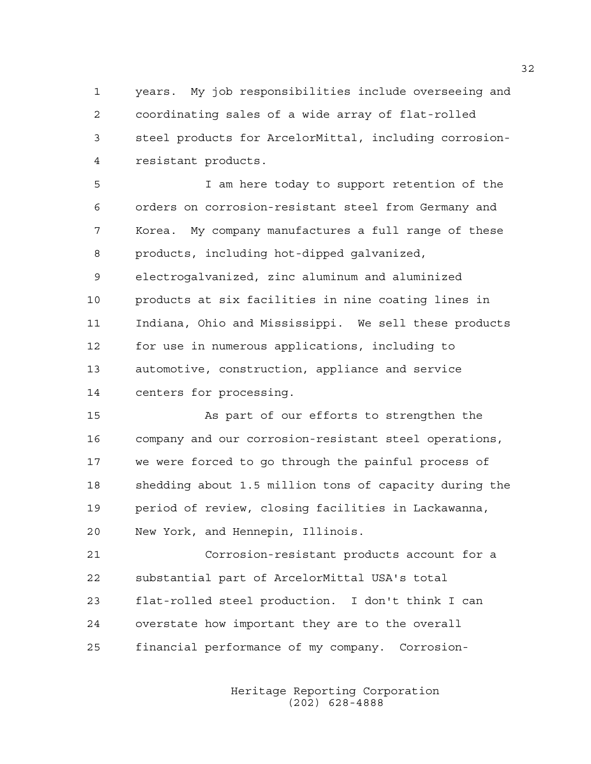1 years. My job responsibilities include overseeing and 2 coordinating sales of a wide array of flat-rolled 3 steel products for ArcelorMittal, including corrosion-4 resistant products.

5 I am here today to support retention of the 6 orders on corrosion-resistant steel from Germany and 7 Korea. My company manufactures a full range of these 8 products, including hot-dipped galvanized, 9 electrogalvanized, zinc aluminum and aluminized 10 products at six facilities in nine coating lines in 11 Indiana, Ohio and Mississippi. We sell these products 12 for use in numerous applications, including to 13 automotive, construction, appliance and service 14 centers for processing.

15 As part of our efforts to strengthen the 16 company and our corrosion-resistant steel operations, 17 we were forced to go through the painful process of 18 shedding about 1.5 million tons of capacity during the 19 period of review, closing facilities in Lackawanna, 20 New York, and Hennepin, Illinois.

21 Corrosion-resistant products account for a 22 substantial part of ArcelorMittal USA's total 23 flat-rolled steel production. I don't think I can 24 overstate how important they are to the overall 25 financial performance of my company. Corrosion-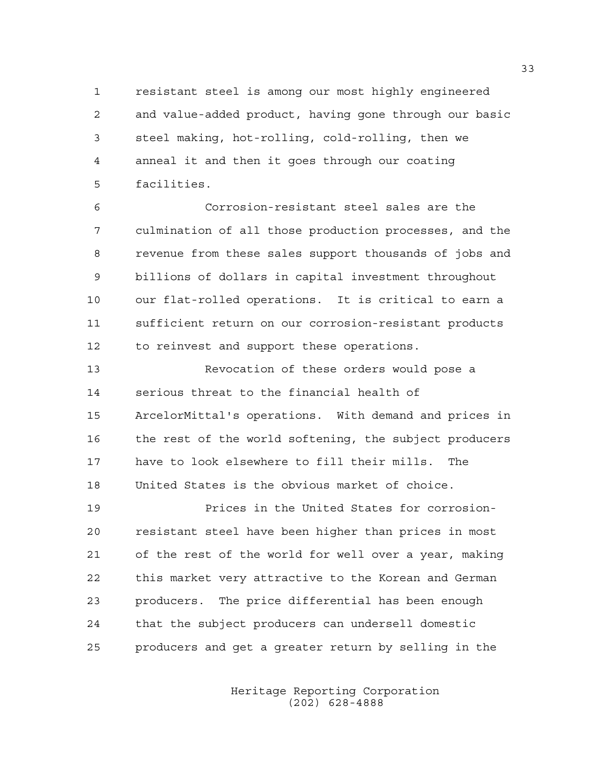1 resistant steel is among our most highly engineered 2 and value-added product, having gone through our basic 3 steel making, hot-rolling, cold-rolling, then we 4 anneal it and then it goes through our coating 5 facilities.

6 Corrosion-resistant steel sales are the 7 culmination of all those production processes, and the 8 revenue from these sales support thousands of jobs and 9 billions of dollars in capital investment throughout 10 our flat-rolled operations. It is critical to earn a 11 sufficient return on our corrosion-resistant products 12 to reinvest and support these operations.

13 Revocation of these orders would pose a 14 serious threat to the financial health of 15 ArcelorMittal's operations. With demand and prices in 16 the rest of the world softening, the subject producers 17 have to look elsewhere to fill their mills. The 18 United States is the obvious market of choice.

19 Prices in the United States for corrosion-20 resistant steel have been higher than prices in most 21 of the rest of the world for well over a year, making 22 this market very attractive to the Korean and German 23 producers. The price differential has been enough 24 that the subject producers can undersell domestic 25 producers and get a greater return by selling in the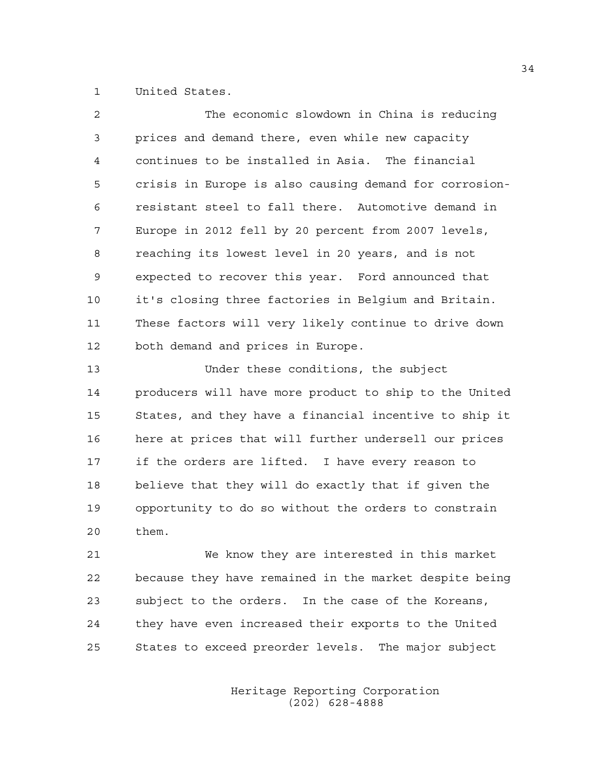1 United States.

| $\overline{2}$ | The economic slowdown in China is reducing             |
|----------------|--------------------------------------------------------|
| 3              | prices and demand there, even while new capacity       |
| 4              | continues to be installed in Asia. The financial       |
| 5              | crisis in Europe is also causing demand for corrosion- |
| 6              | resistant steel to fall there. Automotive demand in    |
| 7              | Europe in 2012 fell by 20 percent from 2007 levels,    |
| 8              | reaching its lowest level in 20 years, and is not      |
| 9              | expected to recover this year. Ford announced that     |
| 10             | it's closing three factories in Belgium and Britain.   |
| 11             | These factors will very likely continue to drive down  |
| 12             | both demand and prices in Europe.                      |
| 13             | Under these conditions, the subject                    |
| 14             | producers will have more product to ship to the United |
| 15             | States, and they have a financial incentive to ship it |
| 16             | here at prices that will further undersell our prices  |
| 17             | if the orders are lifted. I have every reason to       |
| 18             | believe that they will do exactly that if given the    |
| 19             | opportunity to do so without the orders to constrain   |
| 20             | them.                                                  |
| 21             | We know they are interested in this market             |
| つつ             | hecause they have remained in the market desnite heing |

22 because they have remained in the market despite being 23 subject to the orders. In the case of the Koreans, 24 they have even increased their exports to the United 25 States to exceed preorder levels. The major subject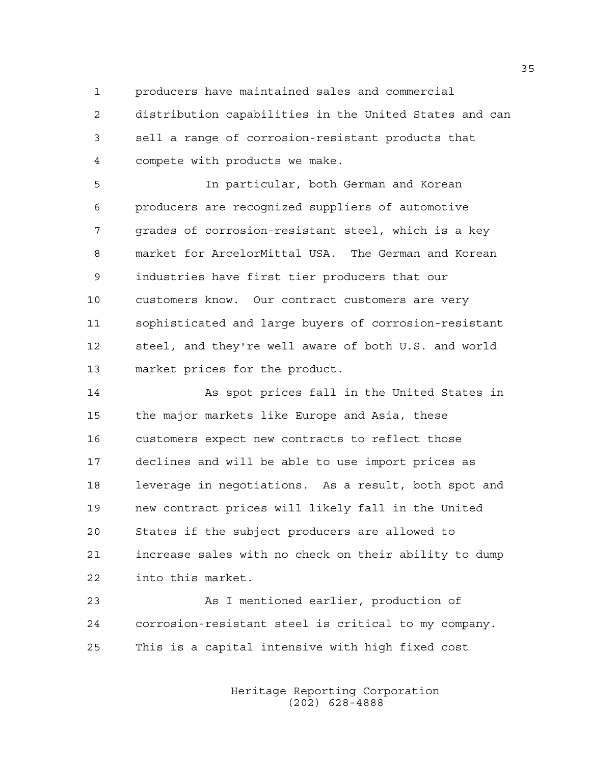1 producers have maintained sales and commercial

2 distribution capabilities in the United States and can 3 sell a range of corrosion-resistant products that 4 compete with products we make.

5 In particular, both German and Korean 6 producers are recognized suppliers of automotive 7 grades of corrosion-resistant steel, which is a key 8 market for ArcelorMittal USA. The German and Korean 9 industries have first tier producers that our 10 customers know. Our contract customers are very 11 sophisticated and large buyers of corrosion-resistant 12 steel, and they're well aware of both U.S. and world 13 market prices for the product.

14 As spot prices fall in the United States in 15 the major markets like Europe and Asia, these 16 customers expect new contracts to reflect those 17 declines and will be able to use import prices as 18 leverage in negotiations. As a result, both spot and 19 new contract prices will likely fall in the United 20 States if the subject producers are allowed to 21 increase sales with no check on their ability to dump 22 into this market.

23 As I mentioned earlier, production of 24 corrosion-resistant steel is critical to my company. 25 This is a capital intensive with high fixed cost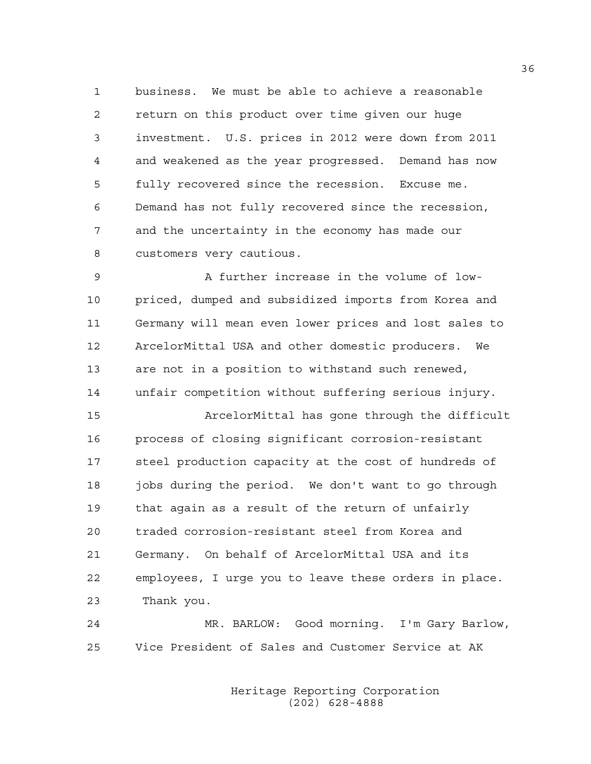1 business. We must be able to achieve a reasonable 2 return on this product over time given our huge 3 investment. U.S. prices in 2012 were down from 2011 4 and weakened as the year progressed. Demand has now 5 fully recovered since the recession. Excuse me. 6 Demand has not fully recovered since the recession, 7 and the uncertainty in the economy has made our 8 customers very cautious.

9 A further increase in the volume of low-10 priced, dumped and subsidized imports from Korea and 11 Germany will mean even lower prices and lost sales to 12 ArcelorMittal USA and other domestic producers. We 13 are not in a position to withstand such renewed, 14 unfair competition without suffering serious injury.

15 ArcelorMittal has gone through the difficult 16 process of closing significant corrosion-resistant 17 steel production capacity at the cost of hundreds of 18 jobs during the period. We don't want to go through 19 that again as a result of the return of unfairly 20 traded corrosion-resistant steel from Korea and 21 Germany. On behalf of ArcelorMittal USA and its 22 employees, I urge you to leave these orders in place. 23 Thank you.

24 MR. BARLOW: Good morning. I'm Gary Barlow, 25 Vice President of Sales and Customer Service at AK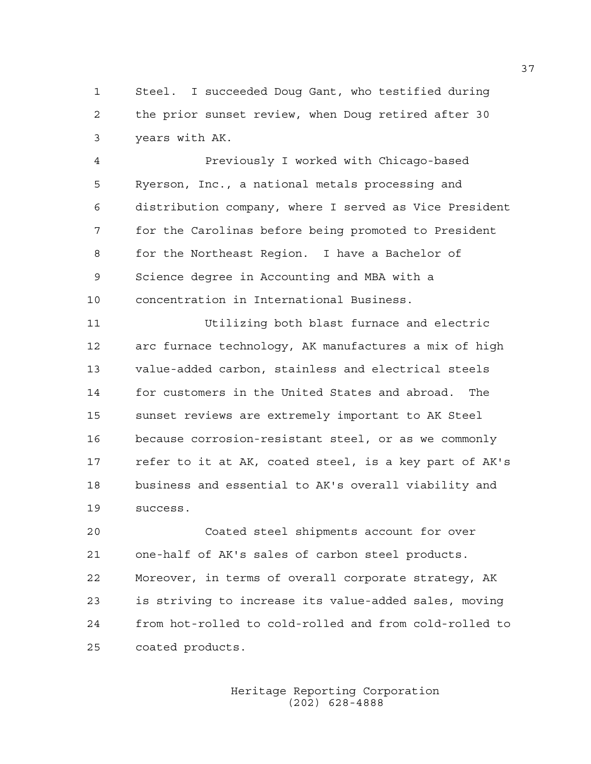1 Steel. I succeeded Doug Gant, who testified during 2 the prior sunset review, when Doug retired after 30 3 years with AK.

4 Previously I worked with Chicago-based 5 Ryerson, Inc., a national metals processing and 6 distribution company, where I served as Vice President 7 for the Carolinas before being promoted to President 8 for the Northeast Region. I have a Bachelor of 9 Science degree in Accounting and MBA with a 10 concentration in International Business.

11 Utilizing both blast furnace and electric 12 arc furnace technology, AK manufactures a mix of high 13 value-added carbon, stainless and electrical steels 14 for customers in the United States and abroad. The 15 sunset reviews are extremely important to AK Steel 16 because corrosion-resistant steel, or as we commonly 17 refer to it at AK, coated steel, is a key part of AK's 18 business and essential to AK's overall viability and 19 success.

20 Coated steel shipments account for over 21 one-half of AK's sales of carbon steel products. 22 Moreover, in terms of overall corporate strategy, AK 23 is striving to increase its value-added sales, moving 24 from hot-rolled to cold-rolled and from cold-rolled to 25 coated products.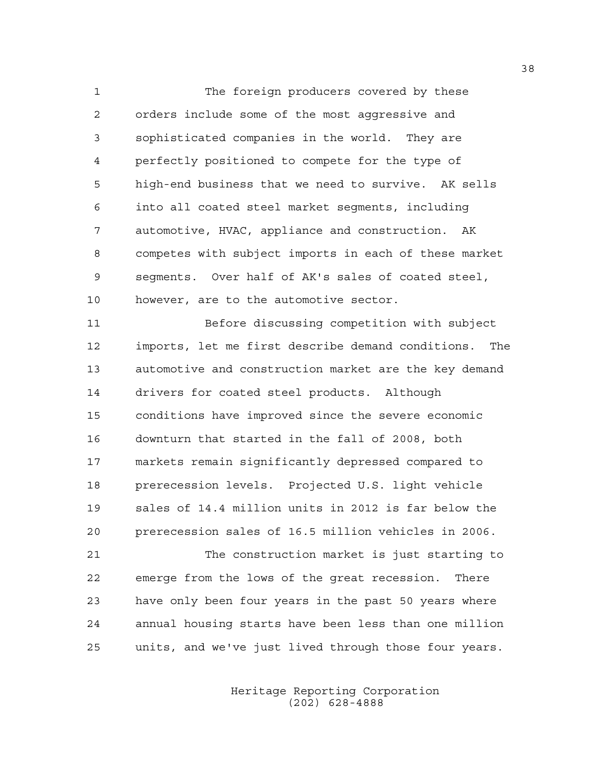1 The foreign producers covered by these 2 orders include some of the most aggressive and 3 sophisticated companies in the world. They are 4 perfectly positioned to compete for the type of 5 high-end business that we need to survive. AK sells 6 into all coated steel market segments, including 7 automotive, HVAC, appliance and construction. AK 8 competes with subject imports in each of these market 9 segments. Over half of AK's sales of coated steel, 10 however, are to the automotive sector.

11 Before discussing competition with subject 12 imports, let me first describe demand conditions. The 13 automotive and construction market are the key demand 14 drivers for coated steel products. Although 15 conditions have improved since the severe economic 16 downturn that started in the fall of 2008, both 17 markets remain significantly depressed compared to 18 prerecession levels. Projected U.S. light vehicle 19 sales of 14.4 million units in 2012 is far below the 20 prerecession sales of 16.5 million vehicles in 2006.

21 The construction market is just starting to 22 emerge from the lows of the great recession. There 23 have only been four years in the past 50 years where 24 annual housing starts have been less than one million 25 units, and we've just lived through those four years.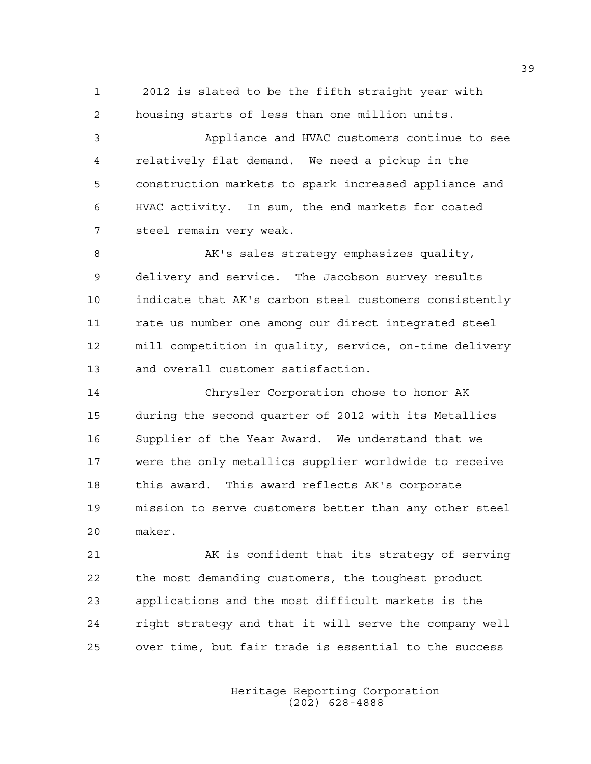1 2012 is slated to be the fifth straight year with 2 housing starts of less than one million units.

3 Appliance and HVAC customers continue to see 4 relatively flat demand. We need a pickup in the 5 construction markets to spark increased appliance and 6 HVAC activity. In sum, the end markets for coated 7 steel remain very weak.

8 AK's sales strategy emphasizes quality, 9 delivery and service. The Jacobson survey results 10 indicate that AK's carbon steel customers consistently 11 rate us number one among our direct integrated steel 12 mill competition in quality, service, on-time delivery 13 and overall customer satisfaction.

14 Chrysler Corporation chose to honor AK 15 during the second quarter of 2012 with its Metallics 16 Supplier of the Year Award. We understand that we 17 were the only metallics supplier worldwide to receive 18 this award. This award reflects AK's corporate 19 mission to serve customers better than any other steel 20 maker.

21 AK is confident that its strategy of serving 22 the most demanding customers, the toughest product 23 applications and the most difficult markets is the 24 right strategy and that it will serve the company well 25 over time, but fair trade is essential to the success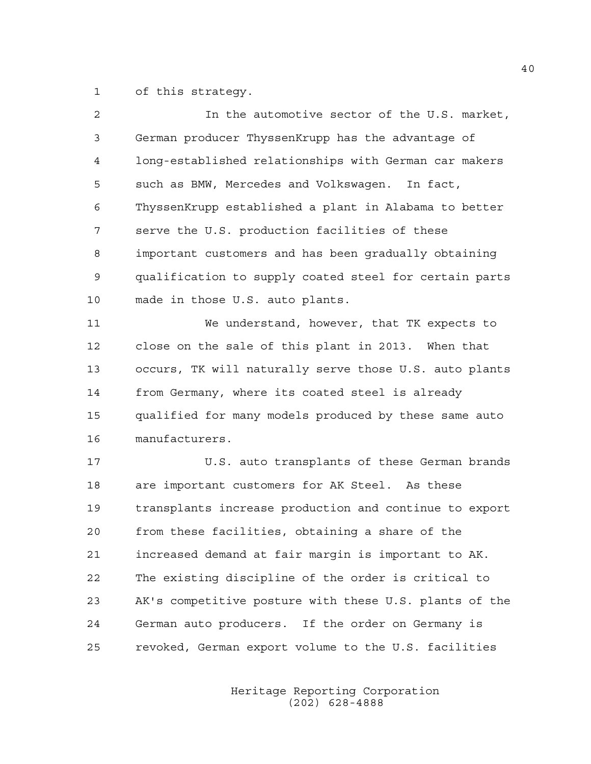1 of this strategy.

| 2  | In the automotive sector of the U.S. market,           |
|----|--------------------------------------------------------|
| 3  | German producer ThyssenKrupp has the advantage of      |
| 4  | long-established relationships with German car makers  |
| 5  | such as BMW, Mercedes and Volkswagen. In fact,         |
| 6  | ThyssenKrupp established a plant in Alabama to better  |
| 7  | serve the U.S. production facilities of these          |
| 8  | important customers and has been gradually obtaining   |
| 9  | qualification to supply coated steel for certain parts |
| 10 | made in those U.S. auto plants.                        |
| 11 | We understand, however, that TK expects to             |
| 12 | close on the sale of this plant in 2013. When that     |
| 13 | occurs, TK will naturally serve those U.S. auto plants |
| 14 | from Germany, where its coated steel is already        |
| 15 | qualified for many models produced by these same auto  |
| 16 | manufacturers.                                         |
| 17 | U.S. auto transplants of these German brands           |
| 18 | are important customers for AK Steel. As these         |
| 19 | transplants increase production and continue to export |
| 20 | from these facilities, obtaining a share of the        |
| 21 | increased demand at fair margin is important to AK.    |
| 22 | The existing discipline of the order is critical to    |
| 23 | AK's competitive posture with these U.S. plants of the |
| 24 | German auto producers. If the order on Germany is      |
| 25 | revoked, German export volume to the U.S. facilities   |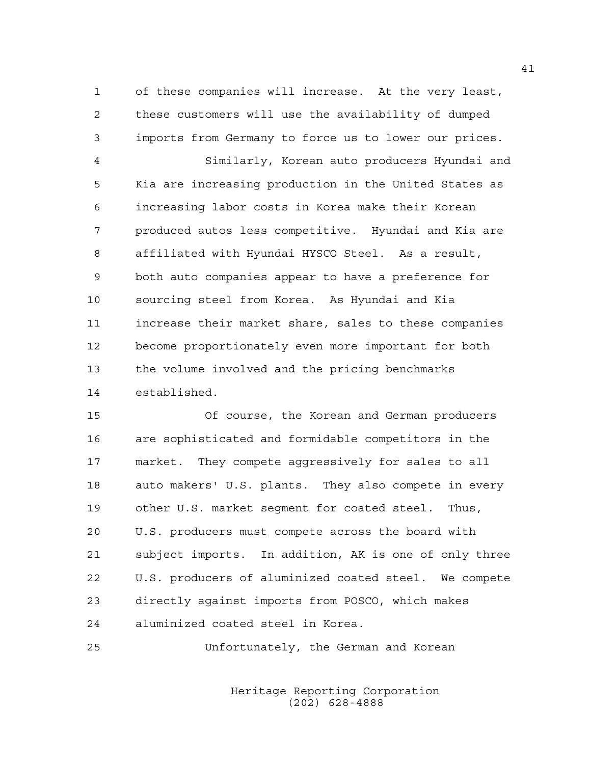1 of these companies will increase. At the very least, 2 these customers will use the availability of dumped 3 imports from Germany to force us to lower our prices.

4 Similarly, Korean auto producers Hyundai and 5 Kia are increasing production in the United States as 6 increasing labor costs in Korea make their Korean 7 produced autos less competitive. Hyundai and Kia are 8 affiliated with Hyundai HYSCO Steel. As a result, 9 both auto companies appear to have a preference for 10 sourcing steel from Korea. As Hyundai and Kia 11 increase their market share, sales to these companies 12 become proportionately even more important for both 13 the volume involved and the pricing benchmarks 14 established.

15 Of course, the Korean and German producers 16 are sophisticated and formidable competitors in the 17 market. They compete aggressively for sales to all 18 auto makers' U.S. plants. They also compete in every 19 other U.S. market segment for coated steel. Thus, 20 U.S. producers must compete across the board with 21 subject imports. In addition, AK is one of only three 22 U.S. producers of aluminized coated steel. We compete 23 directly against imports from POSCO, which makes 24 aluminized coated steel in Korea.

25 Unfortunately, the German and Korean

 Heritage Reporting Corporation (202) 628-4888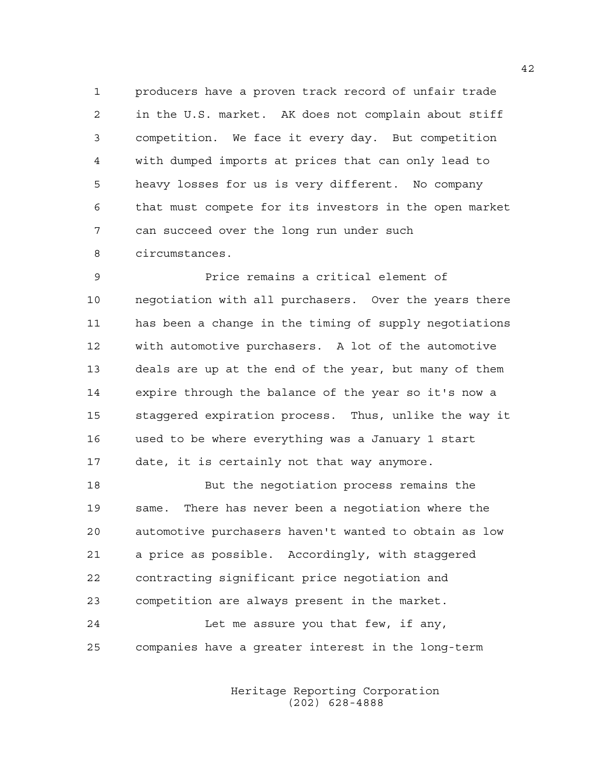1 producers have a proven track record of unfair trade 2 in the U.S. market. AK does not complain about stiff 3 competition. We face it every day. But competition 4 with dumped imports at prices that can only lead to 5 heavy losses for us is very different. No company 6 that must compete for its investors in the open market 7 can succeed over the long run under such 8 circumstances.

9 Price remains a critical element of 10 negotiation with all purchasers. Over the years there 11 has been a change in the timing of supply negotiations 12 with automotive purchasers. A lot of the automotive 13 deals are up at the end of the year, but many of them 14 expire through the balance of the year so it's now a 15 staggered expiration process. Thus, unlike the way it 16 used to be where everything was a January 1 start 17 date, it is certainly not that way anymore.

18 But the negotiation process remains the 19 same. There has never been a negotiation where the 20 automotive purchasers haven't wanted to obtain as low 21 a price as possible. Accordingly, with staggered 22 contracting significant price negotiation and 23 competition are always present in the market. 24 Let me assure you that few, if any,

25 companies have a greater interest in the long-term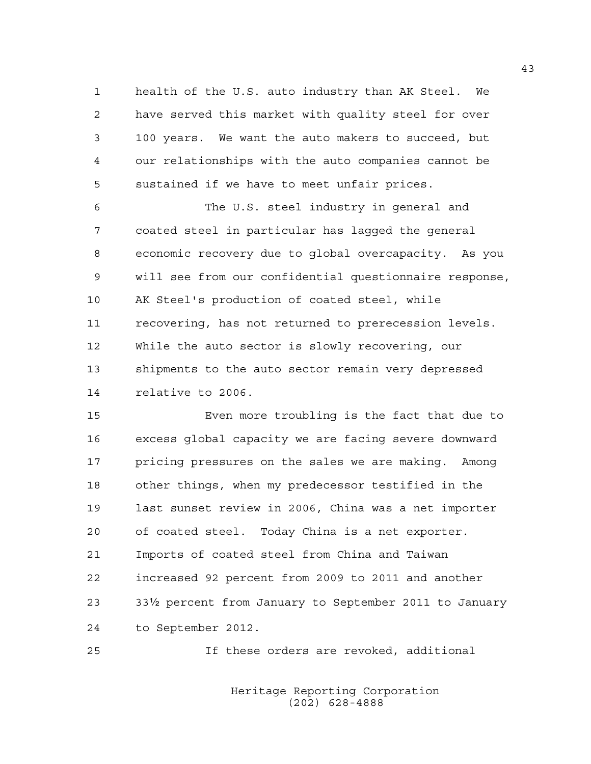1 health of the U.S. auto industry than AK Steel. We 2 have served this market with quality steel for over 3 100 years. We want the auto makers to succeed, but 4 our relationships with the auto companies cannot be 5 sustained if we have to meet unfair prices.

6 The U.S. steel industry in general and 7 coated steel in particular has lagged the general 8 economic recovery due to global overcapacity. As you 9 will see from our confidential questionnaire response, 10 AK Steel's production of coated steel, while 11 recovering, has not returned to prerecession levels. 12 While the auto sector is slowly recovering, our 13 shipments to the auto sector remain very depressed 14 relative to 2006.

15 Even more troubling is the fact that due to 16 excess global capacity we are facing severe downward 17 pricing pressures on the sales we are making. Among 18 other things, when my predecessor testified in the 19 last sunset review in 2006, China was a net importer 20 of coated steel. Today China is a net exporter. 21 Imports of coated steel from China and Taiwan 22 increased 92 percent from 2009 to 2011 and another 23 332 percent from January to September 2011 to January 24 to September 2012.

25 If these orders are revoked, additional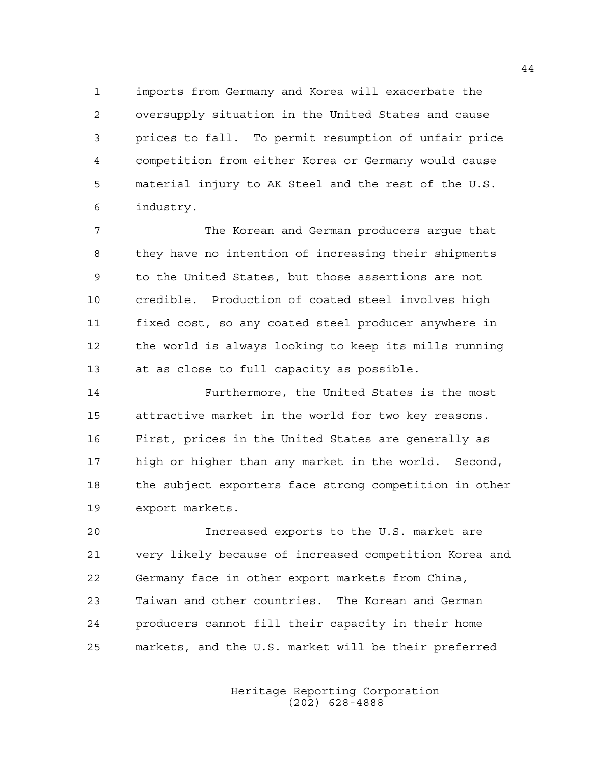1 imports from Germany and Korea will exacerbate the 2 oversupply situation in the United States and cause 3 prices to fall. To permit resumption of unfair price 4 competition from either Korea or Germany would cause 5 material injury to AK Steel and the rest of the U.S. 6 industry.

7 The Korean and German producers argue that 8 they have no intention of increasing their shipments 9 to the United States, but those assertions are not 10 credible. Production of coated steel involves high 11 fixed cost, so any coated steel producer anywhere in 12 the world is always looking to keep its mills running 13 at as close to full capacity as possible.

14 Furthermore, the United States is the most 15 attractive market in the world for two key reasons. 16 First, prices in the United States are generally as 17 high or higher than any market in the world. Second, 18 the subject exporters face strong competition in other 19 export markets.

20 Increased exports to the U.S. market are 21 very likely because of increased competition Korea and 22 Germany face in other export markets from China, 23 Taiwan and other countries. The Korean and German 24 producers cannot fill their capacity in their home 25 markets, and the U.S. market will be their preferred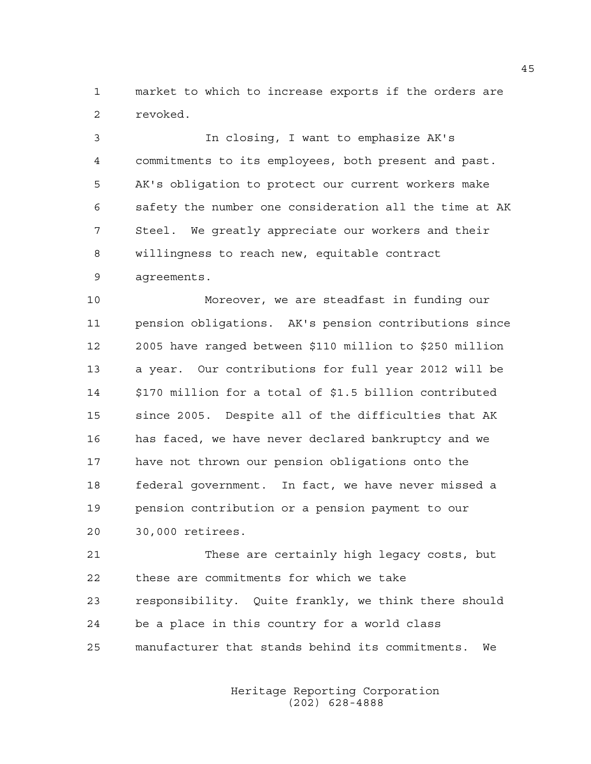1 market to which to increase exports if the orders are 2 revoked.

3 In closing, I want to emphasize AK's 4 commitments to its employees, both present and past. 5 AK's obligation to protect our current workers make 6 safety the number one consideration all the time at AK 7 Steel. We greatly appreciate our workers and their 8 willingness to reach new, equitable contract 9 agreements.

10 Moreover, we are steadfast in funding our 11 pension obligations. AK's pension contributions since 12 2005 have ranged between \$110 million to \$250 million 13 a year. Our contributions for full year 2012 will be 14 \$170 million for a total of \$1.5 billion contributed 15 since 2005. Despite all of the difficulties that AK 16 has faced, we have never declared bankruptcy and we 17 have not thrown our pension obligations onto the 18 federal government. In fact, we have never missed a 19 pension contribution or a pension payment to our 20 30,000 retirees.

21 These are certainly high legacy costs, but 22 these are commitments for which we take 23 responsibility. Quite frankly, we think there should 24 be a place in this country for a world class 25 manufacturer that stands behind its commitments. We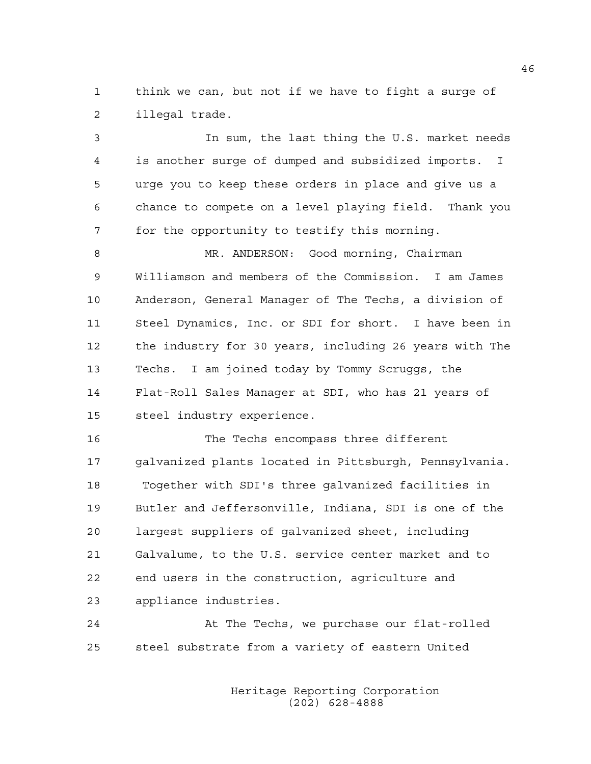1 think we can, but not if we have to fight a surge of 2 illegal trade.

3 In sum, the last thing the U.S. market needs 4 is another surge of dumped and subsidized imports. I 5 urge you to keep these orders in place and give us a 6 chance to compete on a level playing field. Thank you 7 for the opportunity to testify this morning.

8 MR. ANDERSON: Good morning, Chairman 9 Williamson and members of the Commission. I am James 10 Anderson, General Manager of The Techs, a division of 11 Steel Dynamics, Inc. or SDI for short. I have been in 12 the industry for 30 years, including 26 years with The 13 Techs. I am joined today by Tommy Scruggs, the 14 Flat-Roll Sales Manager at SDI, who has 21 years of 15 steel industry experience.

16 The Techs encompass three different 17 galvanized plants located in Pittsburgh, Pennsylvania. 18 Together with SDI's three galvanized facilities in 19 Butler and Jeffersonville, Indiana, SDI is one of the 20 largest suppliers of galvanized sheet, including 21 Galvalume, to the U.S. service center market and to 22 end users in the construction, agriculture and 23 appliance industries.

24 At The Techs, we purchase our flat-rolled 25 steel substrate from a variety of eastern United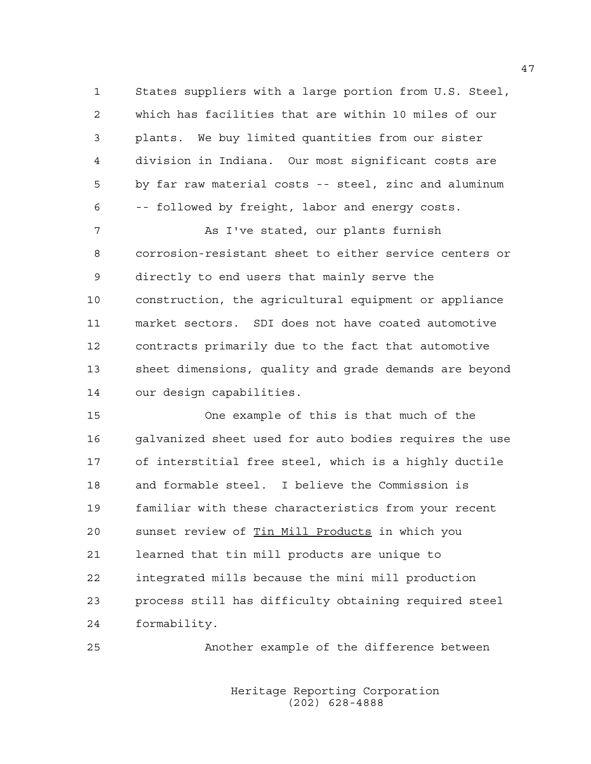1 States suppliers with a large portion from U.S. Steel, 2 which has facilities that are within 10 miles of our 3 plants. We buy limited quantities from our sister 4 division in Indiana. Our most significant costs are 5 by far raw material costs -- steel, zinc and aluminum 6 -- followed by freight, labor and energy costs.

7 As I've stated, our plants furnish 8 corrosion-resistant sheet to either service centers or 9 directly to end users that mainly serve the 10 construction, the agricultural equipment or appliance 11 market sectors. SDI does not have coated automotive 12 contracts primarily due to the fact that automotive 13 sheet dimensions, quality and grade demands are beyond 14 our design capabilities.

15 One example of this is that much of the 16 galvanized sheet used for auto bodies requires the use 17 of interstitial free steel, which is a highly ductile 18 and formable steel. I believe the Commission is 19 familiar with these characteristics from your recent 20 sunset review of Tin Mill Products in which you 21 learned that tin mill products are unique to 22 integrated mills because the mini mill production 23 process still has difficulty obtaining required steel 24 formability.

25 Another example of the difference between

 Heritage Reporting Corporation (202) 628-4888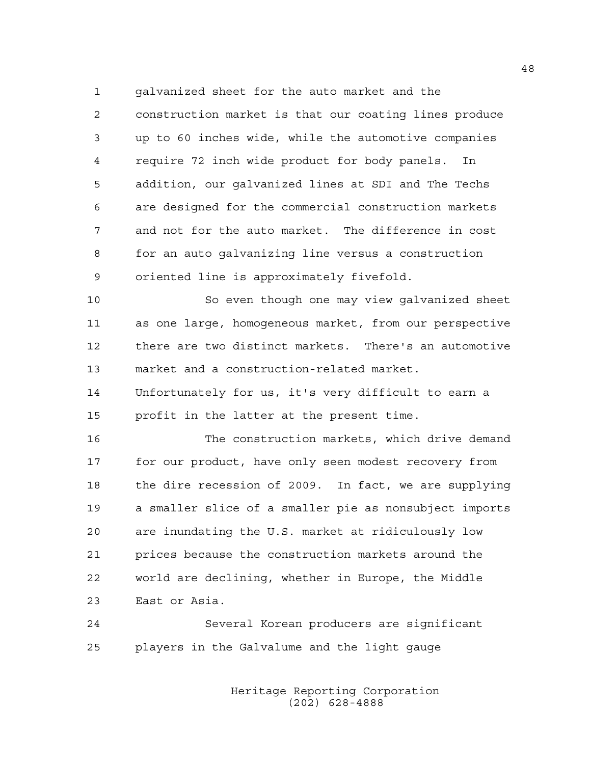1 galvanized sheet for the auto market and the 2 construction market is that our coating lines produce 3 up to 60 inches wide, while the automotive companies 4 require 72 inch wide product for body panels. In 5 addition, our galvanized lines at SDI and The Techs 6 are designed for the commercial construction markets 7 and not for the auto market. The difference in cost 8 for an auto galvanizing line versus a construction 9 oriented line is approximately fivefold.

10 So even though one may view galvanized sheet 11 as one large, homogeneous market, from our perspective 12 there are two distinct markets. There's an automotive 13 market and a construction-related market.

14 Unfortunately for us, it's very difficult to earn a 15 profit in the latter at the present time.

16 The construction markets, which drive demand 17 for our product, have only seen modest recovery from 18 the dire recession of 2009. In fact, we are supplying 19 a smaller slice of a smaller pie as nonsubject imports 20 are inundating the U.S. market at ridiculously low 21 prices because the construction markets around the 22 world are declining, whether in Europe, the Middle 23 East or Asia.

24 Several Korean producers are significant 25 players in the Galvalume and the light gauge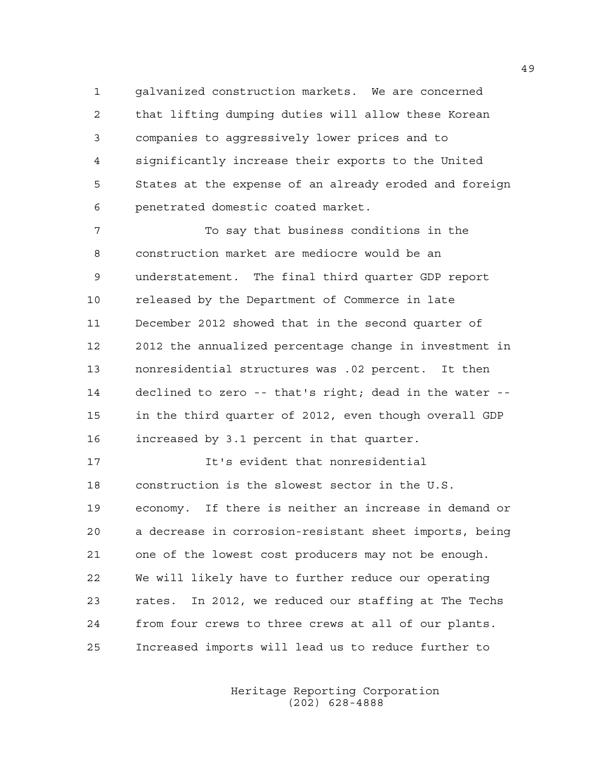1 galvanized construction markets. We are concerned 2 that lifting dumping duties will allow these Korean 3 companies to aggressively lower prices and to 4 significantly increase their exports to the United 5 States at the expense of an already eroded and foreign 6 penetrated domestic coated market.

7 To say that business conditions in the 8 construction market are mediocre would be an 9 understatement. The final third quarter GDP report 10 released by the Department of Commerce in late 11 December 2012 showed that in the second quarter of 12 2012 the annualized percentage change in investment in 13 nonresidential structures was .02 percent. It then 14 declined to zero -- that's right; dead in the water -- 15 in the third quarter of 2012, even though overall GDP 16 increased by 3.1 percent in that quarter.

17 It's evident that nonresidential 18 construction is the slowest sector in the U.S. 19 economy. If there is neither an increase in demand or 20 a decrease in corrosion-resistant sheet imports, being 21 one of the lowest cost producers may not be enough. 22 We will likely have to further reduce our operating 23 rates. In 2012, we reduced our staffing at The Techs 24 from four crews to three crews at all of our plants. 25 Increased imports will lead us to reduce further to

> Heritage Reporting Corporation (202) 628-4888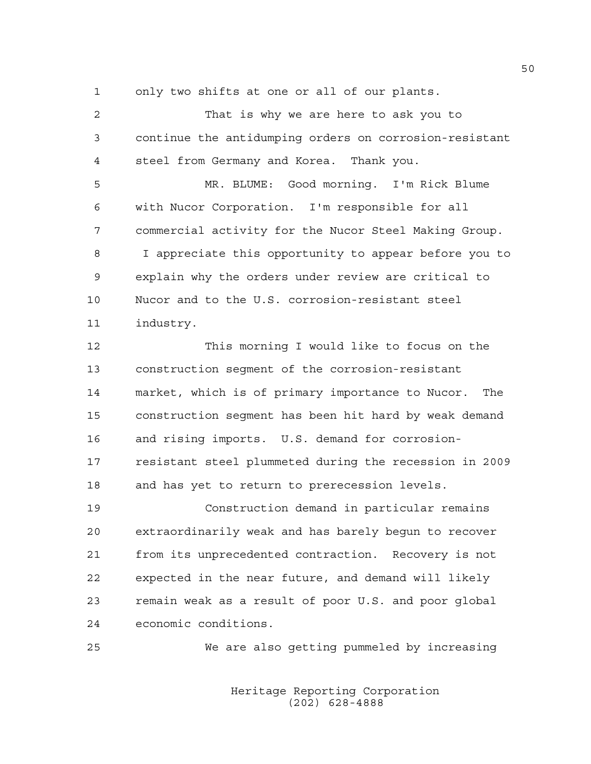1 only two shifts at one or all of our plants.

| 2  | That is why we are here to ask you to                   |
|----|---------------------------------------------------------|
| 3  | continue the antidumping orders on corrosion-resistant  |
| 4  | steel from Germany and Korea. Thank you.                |
| 5  | MR. BLUME: Good morning. I'm Rick Blume                 |
| 6  | with Nucor Corporation. I'm responsible for all         |
| 7  | commercial activity for the Nucor Steel Making Group.   |
| 8  | I appreciate this opportunity to appear before you to   |
| 9  | explain why the orders under review are critical to     |
| 10 | Nucor and to the U.S. corrosion-resistant steel         |
| 11 | industry.                                               |
| 12 | This morning I would like to focus on the               |
| 13 | construction seqment of the corrosion-resistant         |
| 14 | market, which is of primary importance to Nucor.<br>The |
| 15 |                                                         |
|    | construction seqment has been hit hard by weak demand   |
| 16 | and rising imports. U.S. demand for corrosion-          |
| 17 | resistant steel plummeted during the recession in 2009  |
| 18 | and has yet to return to prerecession levels.           |
| 19 | Construction demand in particular remains               |
| 20 | extraordinarily weak and has barely begun to recover    |
| 21 | from its unprecedented contraction. Recovery is not     |

22 expected in the near future, and demand will likely 23 remain weak as a result of poor U.S. and poor global 24 economic conditions.

25 We are also getting pummeled by increasing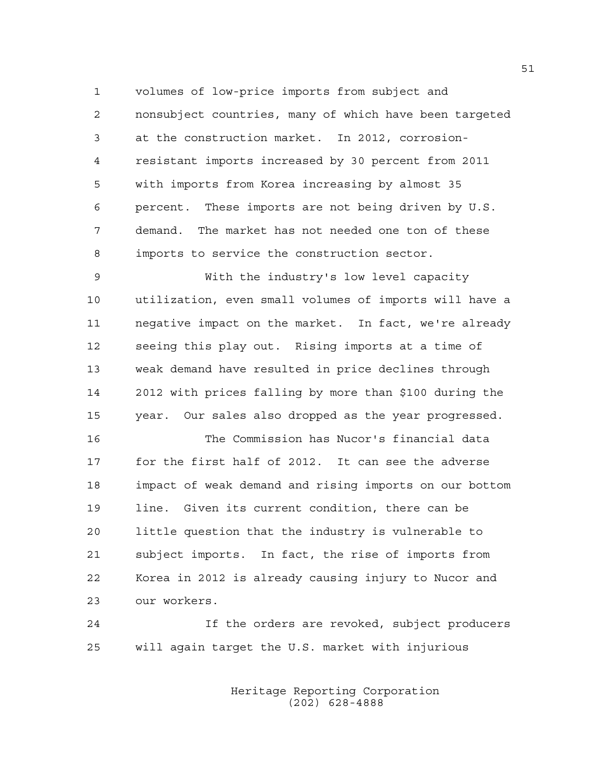1 volumes of low-price imports from subject and 2 nonsubject countries, many of which have been targeted 3 at the construction market. In 2012, corrosion-4 resistant imports increased by 30 percent from 2011 5 with imports from Korea increasing by almost 35 6 percent. These imports are not being driven by U.S. 7 demand. The market has not needed one ton of these 8 imports to service the construction sector.

9 With the industry's low level capacity 10 utilization, even small volumes of imports will have a 11 negative impact on the market. In fact, we're already 12 seeing this play out. Rising imports at a time of 13 weak demand have resulted in price declines through 14 2012 with prices falling by more than \$100 during the 15 year. Our sales also dropped as the year progressed.

16 The Commission has Nucor's financial data 17 for the first half of 2012. It can see the adverse 18 impact of weak demand and rising imports on our bottom 19 line. Given its current condition, there can be 20 little question that the industry is vulnerable to 21 subject imports. In fact, the rise of imports from 22 Korea in 2012 is already causing injury to Nucor and 23 our workers.

24 If the orders are revoked, subject producers 25 will again target the U.S. market with injurious

> Heritage Reporting Corporation (202) 628-4888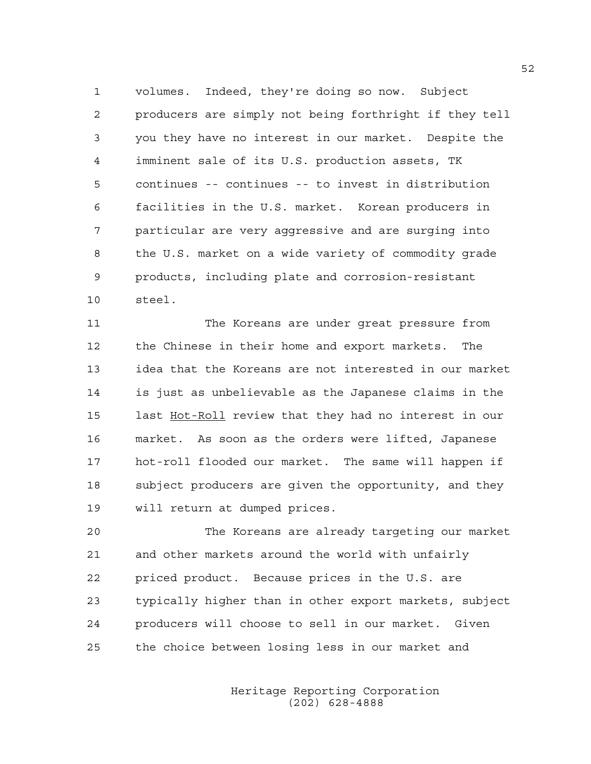1 volumes. Indeed, they're doing so now. Subject 2 producers are simply not being forthright if they tell 3 you they have no interest in our market. Despite the 4 imminent sale of its U.S. production assets, TK 5 continues -- continues -- to invest in distribution 6 facilities in the U.S. market. Korean producers in 7 particular are very aggressive and are surging into 8 the U.S. market on a wide variety of commodity grade 9 products, including plate and corrosion-resistant 10 steel.

11 The Koreans are under great pressure from 12 the Chinese in their home and export markets. The 13 idea that the Koreans are not interested in our market 14 is just as unbelievable as the Japanese claims in the 15 last Hot-Roll review that they had no interest in our 16 market. As soon as the orders were lifted, Japanese 17 hot-roll flooded our market. The same will happen if 18 subject producers are given the opportunity, and they 19 will return at dumped prices.

20 The Koreans are already targeting our market 21 and other markets around the world with unfairly 22 priced product. Because prices in the U.S. are 23 typically higher than in other export markets, subject 24 producers will choose to sell in our market. Given 25 the choice between losing less in our market and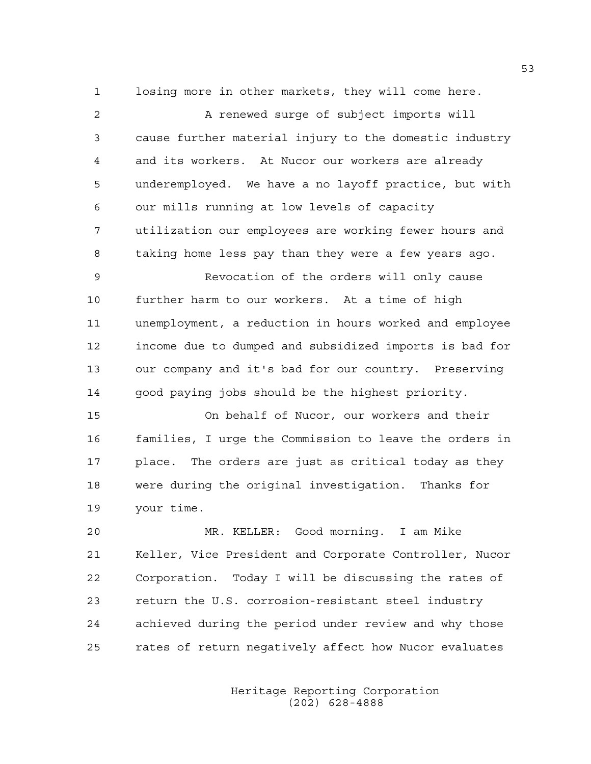1 losing more in other markets, they will come here.

2 A renewed surge of subject imports will 3 cause further material injury to the domestic industry 4 and its workers. At Nucor our workers are already 5 underemployed. We have a no layoff practice, but with 6 our mills running at low levels of capacity 7 utilization our employees are working fewer hours and 8 taking home less pay than they were a few years ago. 9 Revocation of the orders will only cause 10 further harm to our workers. At a time of high 11 unemployment, a reduction in hours worked and employee 12 income due to dumped and subsidized imports is bad for 13 our company and it's bad for our country. Preserving 14 good paying jobs should be the highest priority. 15 On behalf of Nucor, our workers and their 16 families, I urge the Commission to leave the orders in 17 place. The orders are just as critical today as they 18 were during the original investigation. Thanks for 19 your time. 20 MR. KELLER: Good morning. I am Mike

21 Keller, Vice President and Corporate Controller, Nucor 22 Corporation. Today I will be discussing the rates of 23 return the U.S. corrosion-resistant steel industry 24 achieved during the period under review and why those 25 rates of return negatively affect how Nucor evaluates

> Heritage Reporting Corporation (202) 628-4888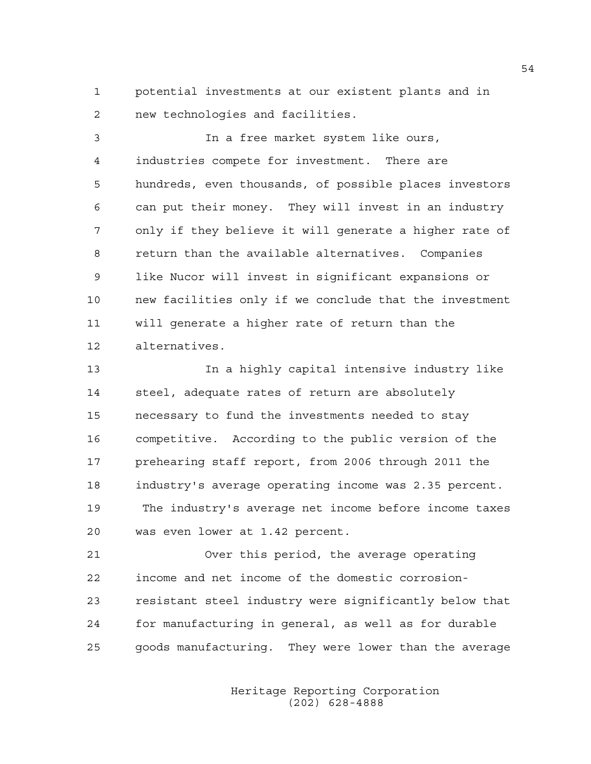1 potential investments at our existent plants and in 2 new technologies and facilities.

3 In a free market system like ours, 4 industries compete for investment. There are 5 hundreds, even thousands, of possible places investors 6 can put their money. They will invest in an industry 7 only if they believe it will generate a higher rate of 8 return than the available alternatives. Companies 9 like Nucor will invest in significant expansions or 10 new facilities only if we conclude that the investment 11 will generate a higher rate of return than the 12 alternatives.

13 In a highly capital intensive industry like 14 steel, adequate rates of return are absolutely 15 necessary to fund the investments needed to stay 16 competitive. According to the public version of the 17 prehearing staff report, from 2006 through 2011 the 18 industry's average operating income was 2.35 percent. 19 The industry's average net income before income taxes 20 was even lower at 1.42 percent.

21 Over this period, the average operating 22 income and net income of the domestic corrosion-23 resistant steel industry were significantly below that 24 for manufacturing in general, as well as for durable 25 goods manufacturing. They were lower than the average

> Heritage Reporting Corporation (202) 628-4888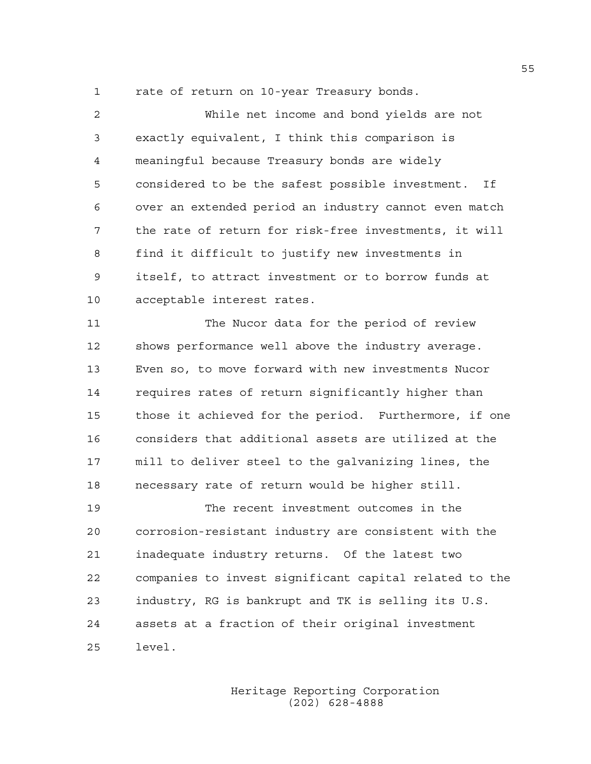1 rate of return on 10-year Treasury bonds.

2 While net income and bond yields are not 3 exactly equivalent, I think this comparison is 4 meaningful because Treasury bonds are widely 5 considered to be the safest possible investment. If 6 over an extended period an industry cannot even match 7 the rate of return for risk-free investments, it will 8 find it difficult to justify new investments in 9 itself, to attract investment or to borrow funds at 10 acceptable interest rates.

11 The Nucor data for the period of review 12 shows performance well above the industry average. 13 Even so, to move forward with new investments Nucor 14 requires rates of return significantly higher than 15 those it achieved for the period. Furthermore, if one 16 considers that additional assets are utilized at the 17 mill to deliver steel to the galvanizing lines, the 18 necessary rate of return would be higher still.

19 The recent investment outcomes in the 20 corrosion-resistant industry are consistent with the 21 inadequate industry returns. Of the latest two 22 companies to invest significant capital related to the 23 industry, RG is bankrupt and TK is selling its U.S. 24 assets at a fraction of their original investment 25 level.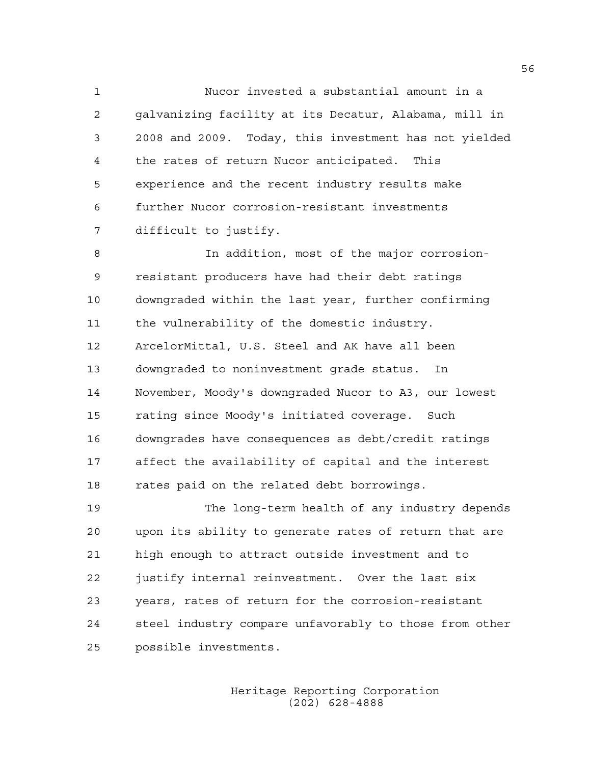1 Nucor invested a substantial amount in a 2 galvanizing facility at its Decatur, Alabama, mill in 3 2008 and 2009. Today, this investment has not yielded 4 the rates of return Nucor anticipated. This 5 experience and the recent industry results make 6 further Nucor corrosion-resistant investments 7 difficult to justify.

8 In addition, most of the major corrosion-9 resistant producers have had their debt ratings 10 downgraded within the last year, further confirming 11 the vulnerability of the domestic industry. 12 ArcelorMittal, U.S. Steel and AK have all been 13 downgraded to noninvestment grade status. In 14 November, Moody's downgraded Nucor to A3, our lowest 15 rating since Moody's initiated coverage. Such 16 downgrades have consequences as debt/credit ratings 17 affect the availability of capital and the interest 18 rates paid on the related debt borrowings.

19 The long-term health of any industry depends 20 upon its ability to generate rates of return that are 21 high enough to attract outside investment and to 22 justify internal reinvestment. Over the last six 23 years, rates of return for the corrosion-resistant 24 steel industry compare unfavorably to those from other 25 possible investments.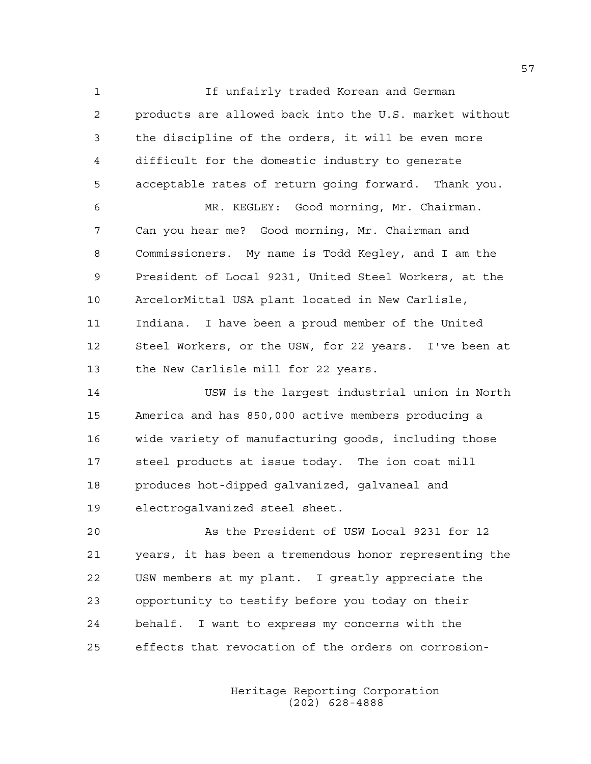1 If unfairly traded Korean and German 2 products are allowed back into the U.S. market without 3 the discipline of the orders, it will be even more 4 difficult for the domestic industry to generate 5 acceptable rates of return going forward. Thank you.

6 MR. KEGLEY: Good morning, Mr. Chairman. 7 Can you hear me? Good morning, Mr. Chairman and 8 Commissioners. My name is Todd Kegley, and I am the 9 President of Local 9231, United Steel Workers, at the 10 ArcelorMittal USA plant located in New Carlisle, 11 Indiana. I have been a proud member of the United 12 Steel Workers, or the USW, for 22 years. I've been at 13 the New Carlisle mill for 22 years.

14 USW is the largest industrial union in North 15 America and has 850,000 active members producing a 16 wide variety of manufacturing goods, including those 17 steel products at issue today. The ion coat mill 18 produces hot-dipped galvanized, galvaneal and 19 electrogalvanized steel sheet.

20 As the President of USW Local 9231 for 12 21 years, it has been a tremendous honor representing the 22 USW members at my plant. I greatly appreciate the 23 opportunity to testify before you today on their 24 behalf. I want to express my concerns with the 25 effects that revocation of the orders on corrosion-

> Heritage Reporting Corporation (202) 628-4888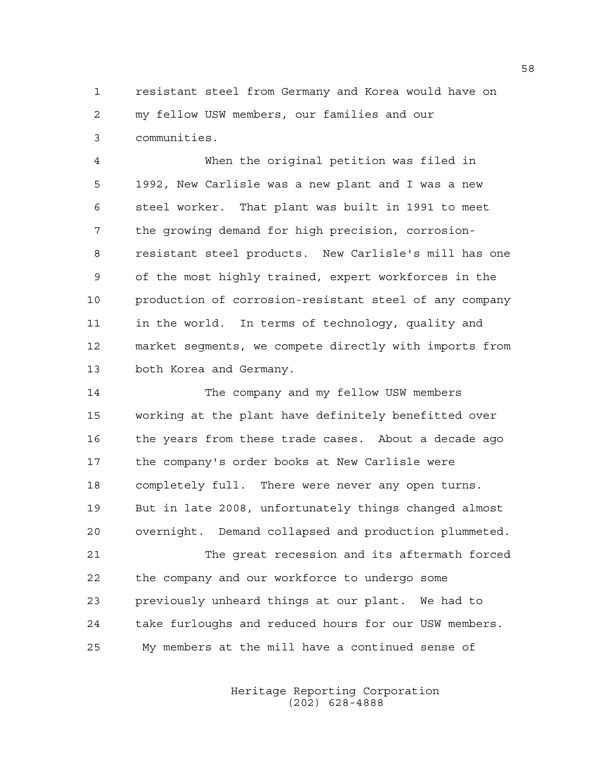1 resistant steel from Germany and Korea would have on 2 my fellow USW members, our families and our 3 communities.

4 When the original petition was filed in 5 1992, New Carlisle was a new plant and I was a new 6 steel worker. That plant was built in 1991 to meet 7 the growing demand for high precision, corrosion-8 resistant steel products. New Carlisle's mill has one 9 of the most highly trained, expert workforces in the 10 production of corrosion-resistant steel of any company 11 in the world. In terms of technology, quality and 12 market segments, we compete directly with imports from 13 both Korea and Germany.

14 The company and my fellow USW members 15 working at the plant have definitely benefitted over 16 the years from these trade cases. About a decade ago 17 the company's order books at New Carlisle were 18 completely full. There were never any open turns. 19 But in late 2008, unfortunately things changed almost 20 overnight. Demand collapsed and production plummeted.

21 The great recession and its aftermath forced 22 the company and our workforce to undergo some 23 previously unheard things at our plant. We had to 24 take furloughs and reduced hours for our USW members. 25 My members at the mill have a continued sense of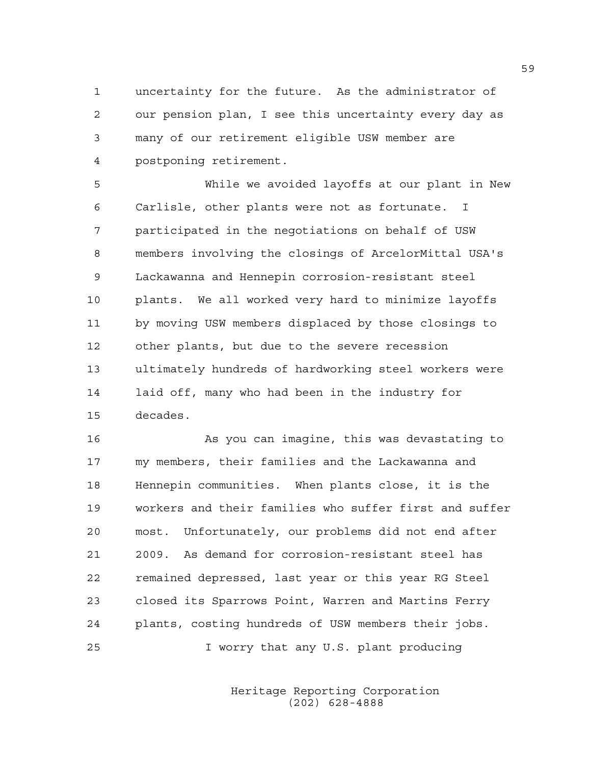1 uncertainty for the future. As the administrator of 2 our pension plan, I see this uncertainty every day as 3 many of our retirement eligible USW member are 4 postponing retirement.

5 While we avoided layoffs at our plant in New 6 Carlisle, other plants were not as fortunate. I 7 participated in the negotiations on behalf of USW 8 members involving the closings of ArcelorMittal USA's 9 Lackawanna and Hennepin corrosion-resistant steel 10 plants. We all worked very hard to minimize layoffs 11 by moving USW members displaced by those closings to 12 other plants, but due to the severe recession 13 ultimately hundreds of hardworking steel workers were 14 laid off, many who had been in the industry for 15 decades.

16 As you can imagine, this was devastating to 17 my members, their families and the Lackawanna and 18 Hennepin communities. When plants close, it is the 19 workers and their families who suffer first and suffer 20 most. Unfortunately, our problems did not end after 21 2009. As demand for corrosion-resistant steel has 22 remained depressed, last year or this year RG Steel 23 closed its Sparrows Point, Warren and Martins Ferry 24 plants, costing hundreds of USW members their jobs. 25 I worry that any U.S. plant producing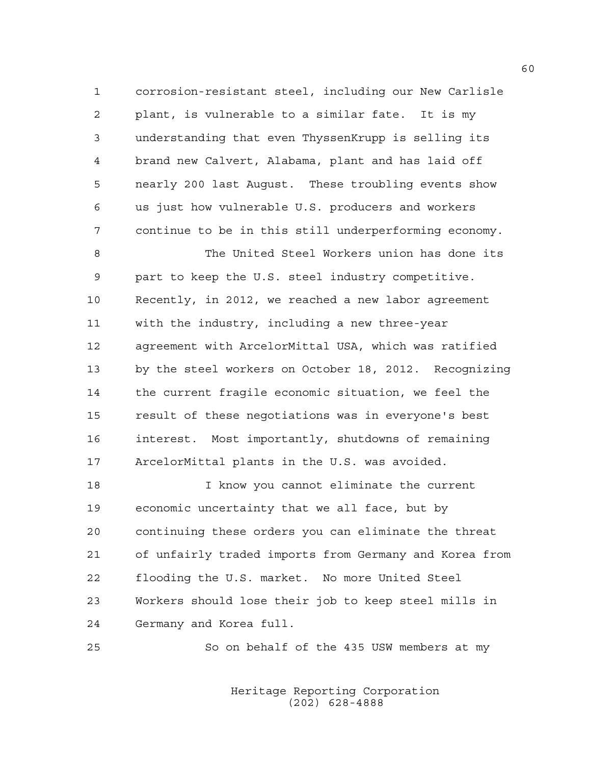1 corrosion-resistant steel, including our New Carlisle 2 plant, is vulnerable to a similar fate. It is my 3 understanding that even ThyssenKrupp is selling its 4 brand new Calvert, Alabama, plant and has laid off 5 nearly 200 last August. These troubling events show 6 us just how vulnerable U.S. producers and workers 7 continue to be in this still underperforming economy.

8 The United Steel Workers union has done its 9 part to keep the U.S. steel industry competitive. 10 Recently, in 2012, we reached a new labor agreement 11 with the industry, including a new three-year 12 agreement with ArcelorMittal USA, which was ratified 13 by the steel workers on October 18, 2012. Recognizing 14 the current fragile economic situation, we feel the 15 result of these negotiations was in everyone's best 16 interest. Most importantly, shutdowns of remaining 17 ArcelorMittal plants in the U.S. was avoided.

18 I know you cannot eliminate the current 19 economic uncertainty that we all face, but by 20 continuing these orders you can eliminate the threat 21 of unfairly traded imports from Germany and Korea from 22 flooding the U.S. market. No more United Steel 23 Workers should lose their job to keep steel mills in 24 Germany and Korea full.

25 So on behalf of the 435 USW members at my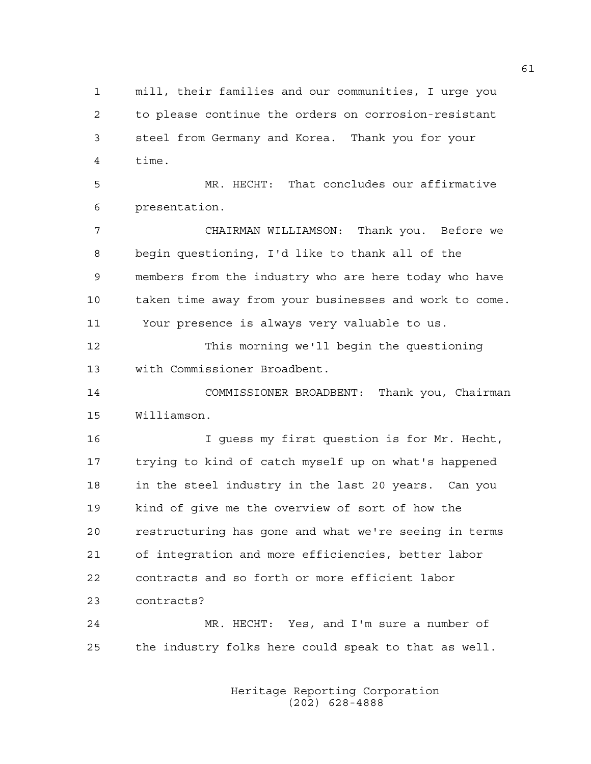1 mill, their families and our communities, I urge you 2 to please continue the orders on corrosion-resistant 3 steel from Germany and Korea. Thank you for your 4 time.

5 MR. HECHT: That concludes our affirmative 6 presentation.

7 CHAIRMAN WILLIAMSON: Thank you. Before we 8 begin questioning, I'd like to thank all of the 9 members from the industry who are here today who have 10 taken time away from your businesses and work to come. 11 Your presence is always very valuable to us.

12 This morning we'll begin the questioning 13 with Commissioner Broadbent.

14 COMMISSIONER BROADBENT: Thank you, Chairman 15 Williamson.

16 I guess my first question is for Mr. Hecht, 17 trying to kind of catch myself up on what's happened 18 in the steel industry in the last 20 years. Can you 19 kind of give me the overview of sort of how the 20 restructuring has gone and what we're seeing in terms 21 of integration and more efficiencies, better labor 22 contracts and so forth or more efficient labor 23 contracts?

24 MR. HECHT: Yes, and I'm sure a number of 25 the industry folks here could speak to that as well.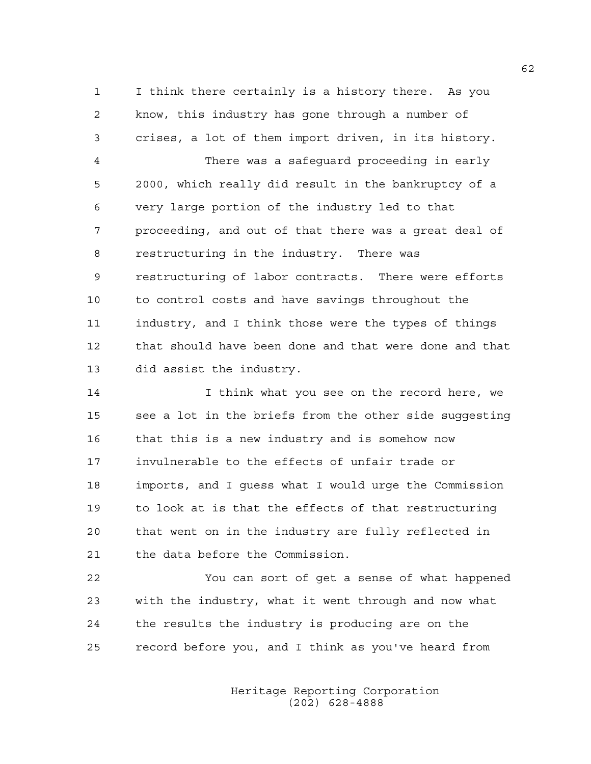1 I think there certainly is a history there. As you 2 know, this industry has gone through a number of 3 crises, a lot of them import driven, in its history.

4 There was a safeguard proceeding in early 5 2000, which really did result in the bankruptcy of a 6 very large portion of the industry led to that 7 proceeding, and out of that there was a great deal of 8 restructuring in the industry. There was 9 restructuring of labor contracts. There were efforts 10 to control costs and have savings throughout the 11 industry, and I think those were the types of things 12 that should have been done and that were done and that 13 did assist the industry.

14 I think what you see on the record here, we 15 see a lot in the briefs from the other side suggesting 16 that this is a new industry and is somehow now 17 invulnerable to the effects of unfair trade or 18 imports, and I guess what I would urge the Commission 19 to look at is that the effects of that restructuring 20 that went on in the industry are fully reflected in 21 the data before the Commission.

22 You can sort of get a sense of what happened 23 with the industry, what it went through and now what 24 the results the industry is producing are on the 25 record before you, and I think as you've heard from

> Heritage Reporting Corporation (202) 628-4888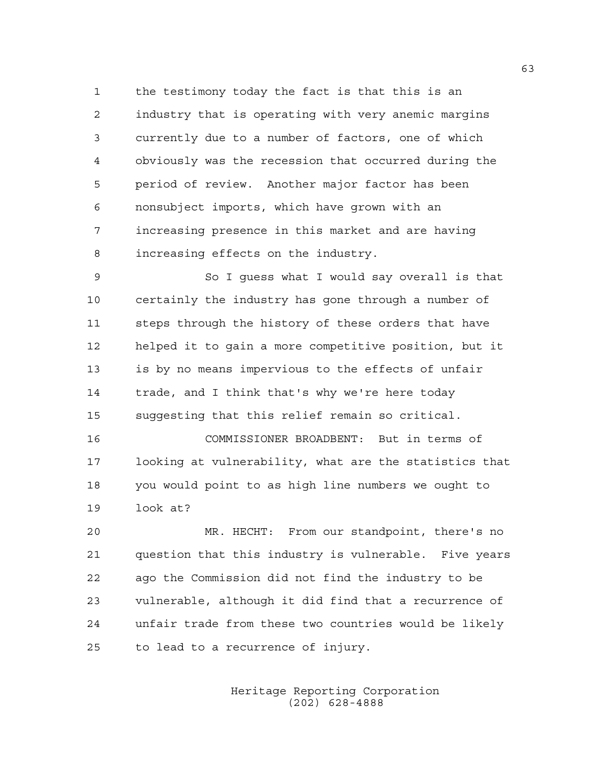1 the testimony today the fact is that this is an 2 industry that is operating with very anemic margins 3 currently due to a number of factors, one of which 4 obviously was the recession that occurred during the 5 period of review. Another major factor has been 6 nonsubject imports, which have grown with an 7 increasing presence in this market and are having 8 increasing effects on the industry.

9 So I guess what I would say overall is that 10 certainly the industry has gone through a number of 11 steps through the history of these orders that have 12 helped it to gain a more competitive position, but it 13 is by no means impervious to the effects of unfair 14 trade, and I think that's why we're here today 15 suggesting that this relief remain so critical.

16 COMMISSIONER BROADBENT: But in terms of 17 looking at vulnerability, what are the statistics that 18 you would point to as high line numbers we ought to 19 look at?

20 MR. HECHT: From our standpoint, there's no 21 question that this industry is vulnerable. Five years 22 ago the Commission did not find the industry to be 23 vulnerable, although it did find that a recurrence of 24 unfair trade from these two countries would be likely 25 to lead to a recurrence of injury.

> Heritage Reporting Corporation (202) 628-4888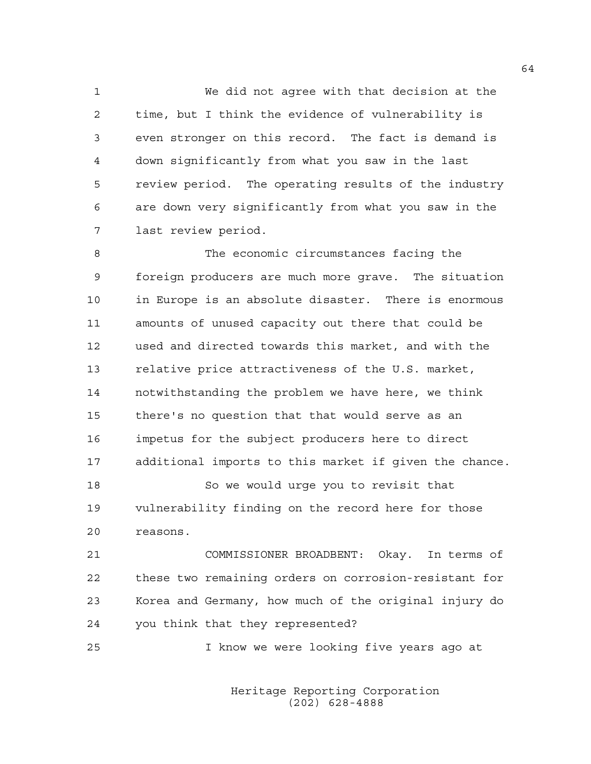1 We did not agree with that decision at the 2 time, but I think the evidence of vulnerability is 3 even stronger on this record. The fact is demand is 4 down significantly from what you saw in the last 5 review period. The operating results of the industry 6 are down very significantly from what you saw in the 7 last review period.

8 The economic circumstances facing the 9 foreign producers are much more grave. The situation 10 in Europe is an absolute disaster. There is enormous 11 amounts of unused capacity out there that could be 12 used and directed towards this market, and with the 13 relative price attractiveness of the U.S. market, 14 notwithstanding the problem we have here, we think 15 there's no question that that would serve as an 16 impetus for the subject producers here to direct 17 additional imports to this market if given the chance. 18 So we would urge you to revisit that 19 vulnerability finding on the record here for those

20 reasons.

21 COMMISSIONER BROADBENT: Okay. In terms of 22 these two remaining orders on corrosion-resistant for 23 Korea and Germany, how much of the original injury do 24 you think that they represented?

25 I know we were looking five years ago at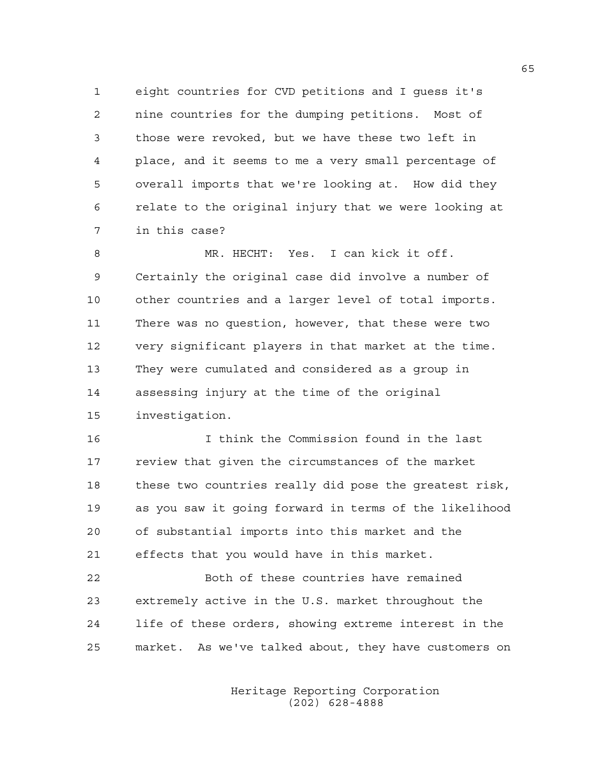1 eight countries for CVD petitions and I guess it's 2 nine countries for the dumping petitions. Most of 3 those were revoked, but we have these two left in 4 place, and it seems to me a very small percentage of 5 overall imports that we're looking at. How did they 6 relate to the original injury that we were looking at 7 in this case?

8 MR. HECHT: Yes. I can kick it off. 9 Certainly the original case did involve a number of 10 other countries and a larger level of total imports. 11 There was no question, however, that these were two 12 very significant players in that market at the time. 13 They were cumulated and considered as a group in 14 assessing injury at the time of the original 15 investigation.

16 I think the Commission found in the last 17 review that given the circumstances of the market 18 these two countries really did pose the greatest risk, 19 as you saw it going forward in terms of the likelihood 20 of substantial imports into this market and the 21 effects that you would have in this market.

22 Both of these countries have remained 23 extremely active in the U.S. market throughout the 24 life of these orders, showing extreme interest in the 25 market. As we've talked about, they have customers on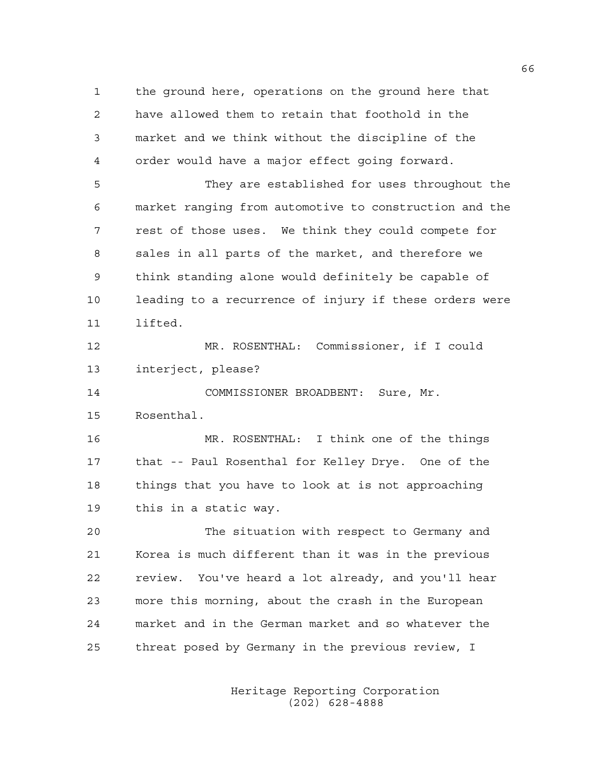1 the ground here, operations on the ground here that 2 have allowed them to retain that foothold in the 3 market and we think without the discipline of the 4 order would have a major effect going forward. 5 They are established for uses throughout the 6 market ranging from automotive to construction and the 7 rest of those uses. We think they could compete for 8 sales in all parts of the market, and therefore we 9 think standing alone would definitely be capable of 10 leading to a recurrence of injury if these orders were 11 lifted. 12 MR. ROSENTHAL: Commissioner, if I could 13 interject, please? 14 COMMISSIONER BROADBENT: Sure, Mr. 15 Rosenthal. 16 MR. ROSENTHAL: I think one of the things 17 that -- Paul Rosenthal for Kelley Drye. One of the 18 things that you have to look at is not approaching 19 this in a static way. 20 The situation with respect to Germany and 21 Korea is much different than it was in the previous 22 review. You've heard a lot already, and you'll hear 23 more this morning, about the crash in the European 24 market and in the German market and so whatever the 25 threat posed by Germany in the previous review, I

> Heritage Reporting Corporation (202) 628-4888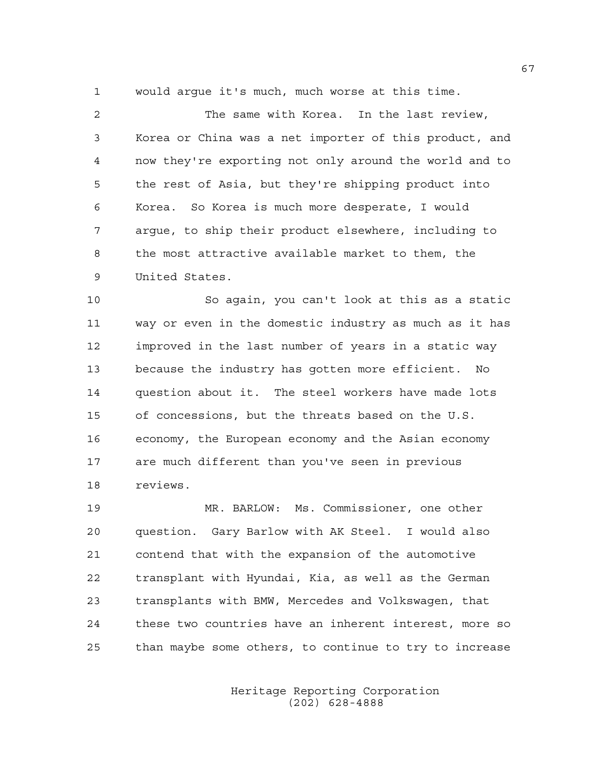1 would argue it's much, much worse at this time.

2 The same with Korea. In the last review, 3 Korea or China was a net importer of this product, and 4 now they're exporting not only around the world and to 5 the rest of Asia, but they're shipping product into 6 Korea. So Korea is much more desperate, I would 7 argue, to ship their product elsewhere, including to 8 the most attractive available market to them, the 9 United States.

10 So again, you can't look at this as a static 11 way or even in the domestic industry as much as it has 12 improved in the last number of years in a static way 13 because the industry has gotten more efficient. No 14 question about it. The steel workers have made lots 15 of concessions, but the threats based on the U.S. 16 economy, the European economy and the Asian economy 17 are much different than you've seen in previous 18 reviews.

19 MR. BARLOW: Ms. Commissioner, one other 20 question. Gary Barlow with AK Steel. I would also 21 contend that with the expansion of the automotive 22 transplant with Hyundai, Kia, as well as the German 23 transplants with BMW, Mercedes and Volkswagen, that 24 these two countries have an inherent interest, more so 25 than maybe some others, to continue to try to increase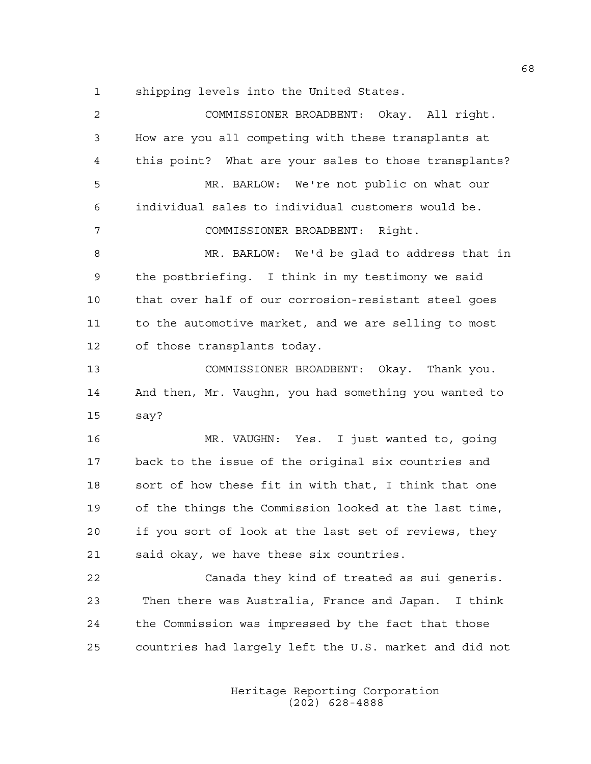1 shipping levels into the United States.

| $\mathbf{2}$   | COMMISSIONER BROADBENT: Okay. All right.               |
|----------------|--------------------------------------------------------|
| $\mathfrak{Z}$ | How are you all competing with these transplants at    |
| $\overline{4}$ | this point? What are your sales to those transplants?  |
| 5              | MR. BARLOW: We're not public on what our               |
| 6              | individual sales to individual customers would be.     |
| 7              | COMMISSIONER BROADBENT: Right.                         |
| 8              | MR. BARLOW: We'd be glad to address that in            |
| $\mathsf 9$    | the postbriefing. I think in my testimony we said      |
| 10             | that over half of our corrosion-resistant steel goes   |
| 11             | to the automotive market, and we are selling to most   |
| 12             | of those transplants today.                            |
| 13             | COMMISSIONER BROADBENT: Okay. Thank you.               |
| 14             | And then, Mr. Vaughn, you had something you wanted to  |
| 15             | say?                                                   |
| 16             | MR. VAUGHN: Yes. I just wanted to, going               |
| 17             | back to the issue of the original six countries and    |
| 18             | sort of how these fit in with that, I think that one   |
| 19             | of the things the Commission looked at the last time,  |
| 20             | if you sort of look at the last set of reviews, they   |
| 21             | said okay, we have these six countries.                |
| 22             | Canada they kind of treated as sui generis.            |
| 23             | Then there was Australia, France and Japan. I think    |
| 24             | the Commission was impressed by the fact that those    |
| 25             | countries had largely left the U.S. market and did not |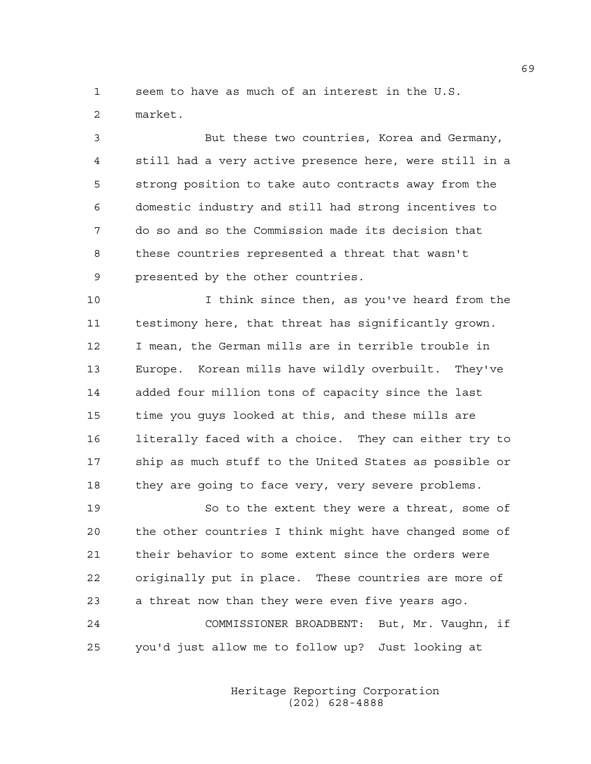1 seem to have as much of an interest in the U.S.

2 market.

3 But these two countries, Korea and Germany, 4 still had a very active presence here, were still in a 5 strong position to take auto contracts away from the 6 domestic industry and still had strong incentives to 7 do so and so the Commission made its decision that 8 these countries represented a threat that wasn't 9 presented by the other countries.

10 I think since then, as you've heard from the 11 testimony here, that threat has significantly grown. 12 I mean, the German mills are in terrible trouble in 13 Europe. Korean mills have wildly overbuilt. They've 14 added four million tons of capacity since the last 15 time you guys looked at this, and these mills are 16 literally faced with a choice. They can either try to 17 ship as much stuff to the United States as possible or 18 they are going to face very, very severe problems.

19 So to the extent they were a threat, some of 20 the other countries I think might have changed some of 21 their behavior to some extent since the orders were 22 originally put in place. These countries are more of 23 a threat now than they were even five years ago.

24 COMMISSIONER BROADBENT: But, Mr. Vaughn, if 25 you'd just allow me to follow up? Just looking at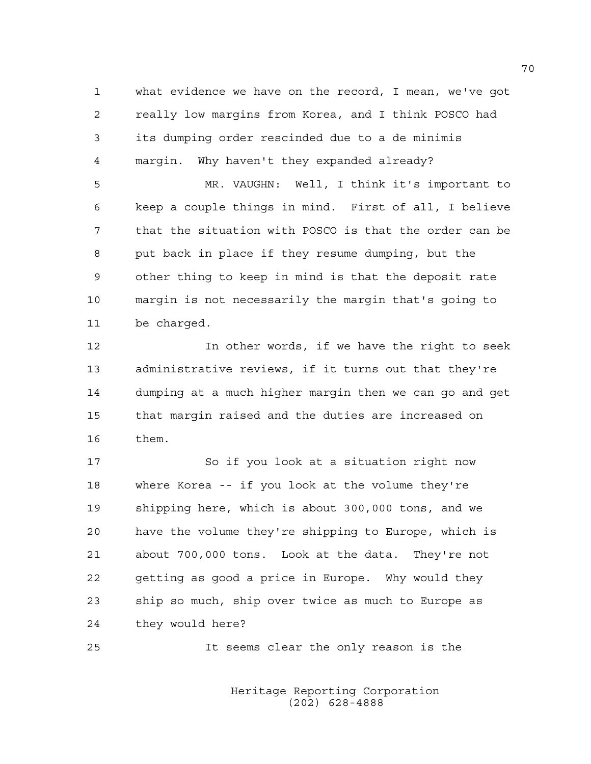1 what evidence we have on the record, I mean, we've got 2 really low margins from Korea, and I think POSCO had 3 its dumping order rescinded due to a de minimis 4 margin. Why haven't they expanded already?

5 MR. VAUGHN: Well, I think it's important to 6 keep a couple things in mind. First of all, I believe 7 that the situation with POSCO is that the order can be 8 put back in place if they resume dumping, but the 9 other thing to keep in mind is that the deposit rate 10 margin is not necessarily the margin that's going to 11 be charged.

12 In other words, if we have the right to seek 13 administrative reviews, if it turns out that they're 14 dumping at a much higher margin then we can go and get 15 that margin raised and the duties are increased on 16 them.

17 So if you look at a situation right now 18 where Korea -- if you look at the volume they're 19 shipping here, which is about 300,000 tons, and we 20 have the volume they're shipping to Europe, which is 21 about 700,000 tons. Look at the data. They're not 22 getting as good a price in Europe. Why would they 23 ship so much, ship over twice as much to Europe as 24 they would here?

25 It seems clear the only reason is the

 Heritage Reporting Corporation (202) 628-4888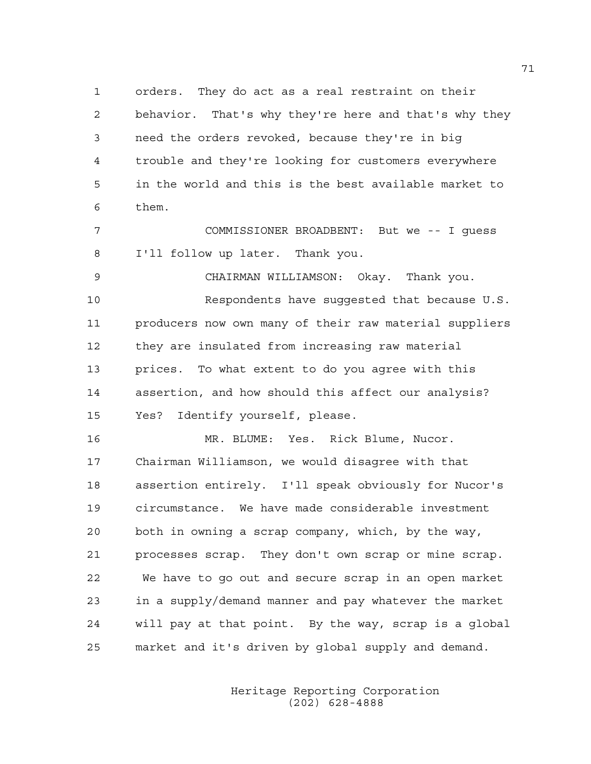1 orders. They do act as a real restraint on their 2 behavior. That's why they're here and that's why they 3 need the orders revoked, because they're in big 4 trouble and they're looking for customers everywhere 5 in the world and this is the best available market to 6 them.

7 COMMISSIONER BROADBENT: But we -- I guess 8 I'll follow up later. Thank you.

9 CHAIRMAN WILLIAMSON: Okay. Thank you. 10 Respondents have suggested that because U.S. 11 producers now own many of their raw material suppliers 12 they are insulated from increasing raw material 13 prices. To what extent to do you agree with this 14 assertion, and how should this affect our analysis? 15 Yes? Identify yourself, please.

16 MR. BLUME: Yes. Rick Blume, Nucor. 17 Chairman Williamson, we would disagree with that 18 assertion entirely. I'll speak obviously for Nucor's 19 circumstance. We have made considerable investment 20 both in owning a scrap company, which, by the way, 21 processes scrap. They don't own scrap or mine scrap. 22 We have to go out and secure scrap in an open market 23 in a supply/demand manner and pay whatever the market 24 will pay at that point. By the way, scrap is a global 25 market and it's driven by global supply and demand.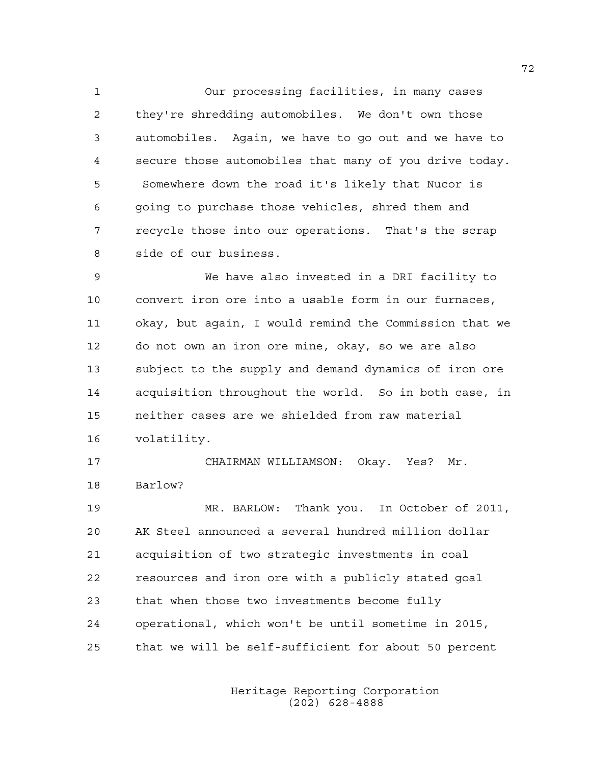1 Our processing facilities, in many cases 2 they're shredding automobiles. We don't own those 3 automobiles. Again, we have to go out and we have to 4 secure those automobiles that many of you drive today. 5 Somewhere down the road it's likely that Nucor is 6 going to purchase those vehicles, shred them and 7 recycle those into our operations. That's the scrap 8 side of our business.

9 We have also invested in a DRI facility to 10 convert iron ore into a usable form in our furnaces, 11 okay, but again, I would remind the Commission that we 12 do not own an iron ore mine, okay, so we are also 13 subject to the supply and demand dynamics of iron ore 14 acquisition throughout the world. So in both case, in 15 neither cases are we shielded from raw material 16 volatility.

17 CHAIRMAN WILLIAMSON: Okay. Yes? Mr. 18 Barlow?

19 MR. BARLOW: Thank you. In October of 2011, 20 AK Steel announced a several hundred million dollar 21 acquisition of two strategic investments in coal 22 resources and iron ore with a publicly stated goal 23 that when those two investments become fully 24 operational, which won't be until sometime in 2015, 25 that we will be self-sufficient for about 50 percent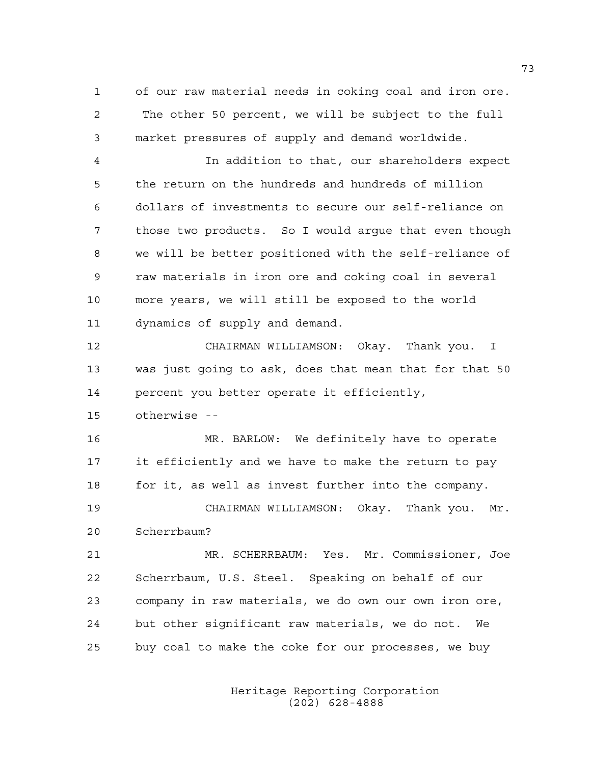1 of our raw material needs in coking coal and iron ore. 2 The other 50 percent, we will be subject to the full 3 market pressures of supply and demand worldwide.

4 In addition to that, our shareholders expect 5 the return on the hundreds and hundreds of million 6 dollars of investments to secure our self-reliance on 7 those two products. So I would argue that even though 8 we will be better positioned with the self-reliance of 9 raw materials in iron ore and coking coal in several 10 more years, we will still be exposed to the world 11 dynamics of supply and demand.

12 CHAIRMAN WILLIAMSON: Okay. Thank you. I 13 was just going to ask, does that mean that for that 50 14 percent you better operate it efficiently,

15 otherwise --

16 MR. BARLOW: We definitely have to operate 17 it efficiently and we have to make the return to pay 18 for it, as well as invest further into the company.

19 CHAIRMAN WILLIAMSON: Okay. Thank you. Mr. 20 Scherrbaum?

21 MR. SCHERRBAUM: Yes. Mr. Commissioner, Joe 22 Scherrbaum, U.S. Steel. Speaking on behalf of our 23 company in raw materials, we do own our own iron ore, 24 but other significant raw materials, we do not. We 25 buy coal to make the coke for our processes, we buy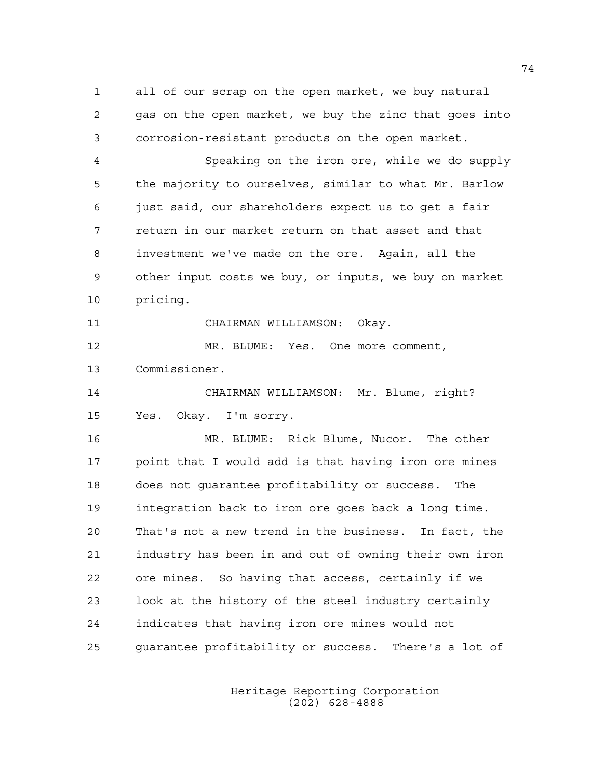1 all of our scrap on the open market, we buy natural 2 gas on the open market, we buy the zinc that goes into 3 corrosion-resistant products on the open market.

4 Speaking on the iron ore, while we do supply 5 the majority to ourselves, similar to what Mr. Barlow 6 just said, our shareholders expect us to get a fair 7 return in our market return on that asset and that 8 investment we've made on the ore. Again, all the 9 other input costs we buy, or inputs, we buy on market 10 pricing.

11 CHAIRMAN WILLIAMSON: Okay.

12 MR. BLUME: Yes. One more comment, 13 Commissioner.

14 CHAIRMAN WILLIAMSON: Mr. Blume, right? 15 Yes. Okay. I'm sorry.

16 MR. BLUME: Rick Blume, Nucor. The other 17 point that I would add is that having iron ore mines 18 does not guarantee profitability or success. The 19 integration back to iron ore goes back a long time. 20 That's not a new trend in the business. In fact, the 21 industry has been in and out of owning their own iron 22 ore mines. So having that access, certainly if we 23 look at the history of the steel industry certainly 24 indicates that having iron ore mines would not 25 guarantee profitability or success. There's a lot of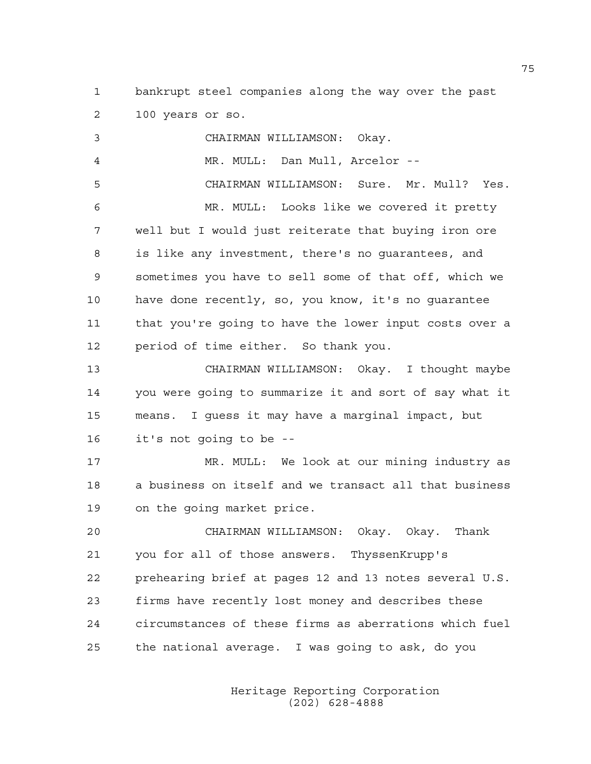1 bankrupt steel companies along the way over the past 2 100 years or so.

3 CHAIRMAN WILLIAMSON: Okay. 4 MR. MULL: Dan Mull, Arcelor -- 5 CHAIRMAN WILLIAMSON: Sure. Mr. Mull? Yes. 6 MR. MULL: Looks like we covered it pretty 7 well but I would just reiterate that buying iron ore 8 is like any investment, there's no guarantees, and 9 sometimes you have to sell some of that off, which we 10 have done recently, so, you know, it's no guarantee 11 that you're going to have the lower input costs over a 12 period of time either. So thank you. 13 CHAIRMAN WILLIAMSON: Okay. I thought maybe 14 you were going to summarize it and sort of say what it 15 means. I guess it may have a marginal impact, but 16 it's not going to be -- 17 MR. MULL: We look at our mining industry as 18 a business on itself and we transact all that business 19 on the going market price. 20 CHAIRMAN WILLIAMSON: Okay. Okay. Thank 21 you for all of those answers. ThyssenKrupp's 22 prehearing brief at pages 12 and 13 notes several U.S. 23 firms have recently lost money and describes these 24 circumstances of these firms as aberrations which fuel 25 the national average. I was going to ask, do you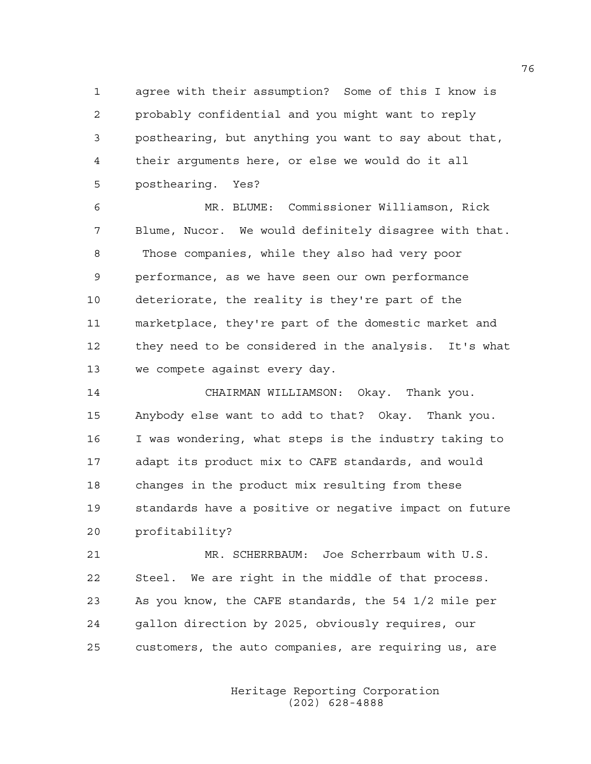1 agree with their assumption? Some of this I know is 2 probably confidential and you might want to reply 3 posthearing, but anything you want to say about that, 4 their arguments here, or else we would do it all 5 posthearing. Yes?

6 MR. BLUME: Commissioner Williamson, Rick 7 Blume, Nucor. We would definitely disagree with that. 8 Those companies, while they also had very poor 9 performance, as we have seen our own performance 10 deteriorate, the reality is they're part of the 11 marketplace, they're part of the domestic market and 12 they need to be considered in the analysis. It's what 13 we compete against every day.

14 CHAIRMAN WILLIAMSON: Okay. Thank you. 15 Anybody else want to add to that? Okay. Thank you. 16 I was wondering, what steps is the industry taking to 17 adapt its product mix to CAFE standards, and would 18 changes in the product mix resulting from these 19 standards have a positive or negative impact on future 20 profitability?

21 MR. SCHERRBAUM: Joe Scherrbaum with U.S. 22 Steel. We are right in the middle of that process. 23 As you know, the CAFE standards, the 54 1/2 mile per 24 gallon direction by 2025, obviously requires, our 25 customers, the auto companies, are requiring us, are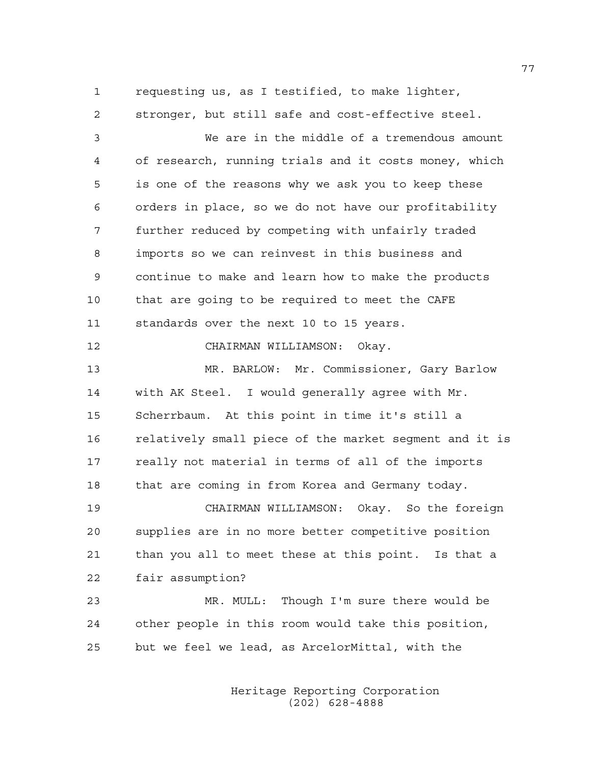1 requesting us, as I testified, to make lighter, 2 stronger, but still safe and cost-effective steel.

3 We are in the middle of a tremendous amount 4 of research, running trials and it costs money, which 5 is one of the reasons why we ask you to keep these 6 orders in place, so we do not have our profitability 7 further reduced by competing with unfairly traded 8 imports so we can reinvest in this business and 9 continue to make and learn how to make the products 10 that are going to be required to meet the CAFE 11 standards over the next 10 to 15 years.

12 CHAIRMAN WILLIAMSON: Okay.

13 MR. BARLOW: Mr. Commissioner, Gary Barlow 14 with AK Steel. I would generally agree with Mr. 15 Scherrbaum. At this point in time it's still a 16 relatively small piece of the market segment and it is 17 really not material in terms of all of the imports 18 that are coming in from Korea and Germany today.

19 CHAIRMAN WILLIAMSON: Okay. So the foreign 20 supplies are in no more better competitive position 21 than you all to meet these at this point. Is that a 22 fair assumption?

23 MR. MULL: Though I'm sure there would be 24 other people in this room would take this position, 25 but we feel we lead, as ArcelorMittal, with the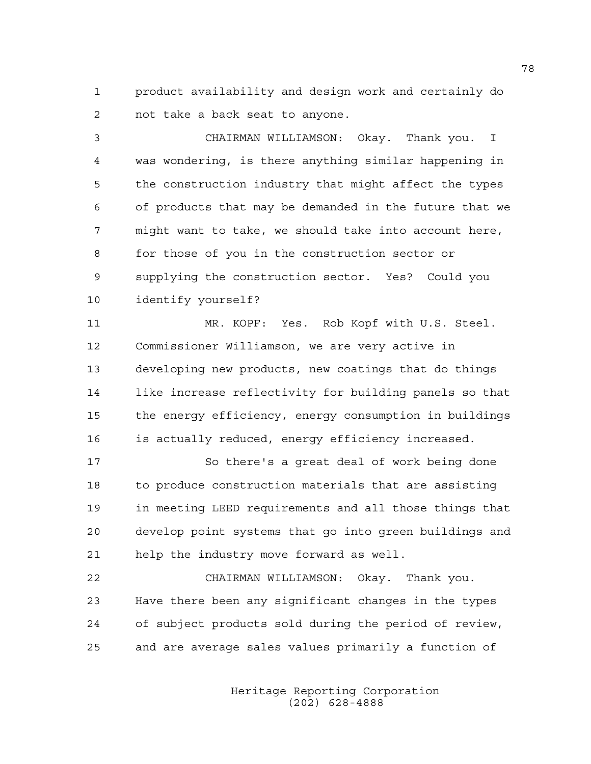1 product availability and design work and certainly do 2 not take a back seat to anyone.

3 CHAIRMAN WILLIAMSON: Okay. Thank you. I 4 was wondering, is there anything similar happening in 5 the construction industry that might affect the types 6 of products that may be demanded in the future that we 7 might want to take, we should take into account here, 8 for those of you in the construction sector or 9 supplying the construction sector. Yes? Could you 10 identify yourself?

11 MR. KOPF: Yes. Rob Kopf with U.S. Steel. 12 Commissioner Williamson, we are very active in 13 developing new products, new coatings that do things 14 like increase reflectivity for building panels so that 15 the energy efficiency, energy consumption in buildings 16 is actually reduced, energy efficiency increased.

17 So there's a great deal of work being done 18 to produce construction materials that are assisting 19 in meeting LEED requirements and all those things that 20 develop point systems that go into green buildings and 21 help the industry move forward as well.

22 CHAIRMAN WILLIAMSON: Okay. Thank you. 23 Have there been any significant changes in the types 24 of subject products sold during the period of review, 25 and are average sales values primarily a function of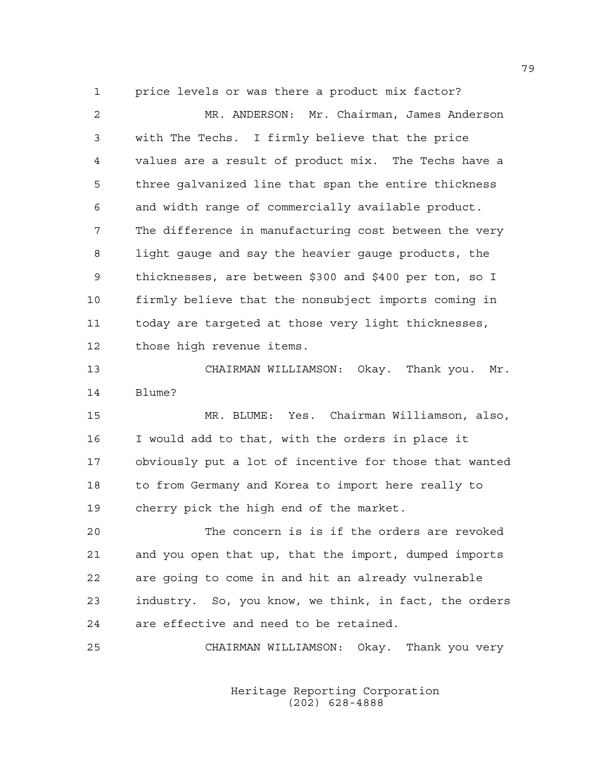1 price levels or was there a product mix factor?

2 MR. ANDERSON: Mr. Chairman, James Anderson 3 with The Techs. I firmly believe that the price 4 values are a result of product mix. The Techs have a 5 three galvanized line that span the entire thickness 6 and width range of commercially available product. 7 The difference in manufacturing cost between the very 8 light gauge and say the heavier gauge products, the 9 thicknesses, are between \$300 and \$400 per ton, so I 10 firmly believe that the nonsubject imports coming in 11 today are targeted at those very light thicknesses, 12 those high revenue items. 13 CHAIRMAN WILLIAMSON: Okay. Thank you. Mr. 14 Blume? 15 MR. BLUME: Yes. Chairman Williamson, also, 16 I would add to that, with the orders in place it 17 obviously put a lot of incentive for those that wanted 18 to from Germany and Korea to import here really to 19 cherry pick the high end of the market. 20 The concern is is if the orders are revoked 21 and you open that up, that the import, dumped imports 22 are going to come in and hit an already vulnerable 23 industry. So, you know, we think, in fact, the orders 24 are effective and need to be retained.

25 CHAIRMAN WILLIAMSON: Okay. Thank you very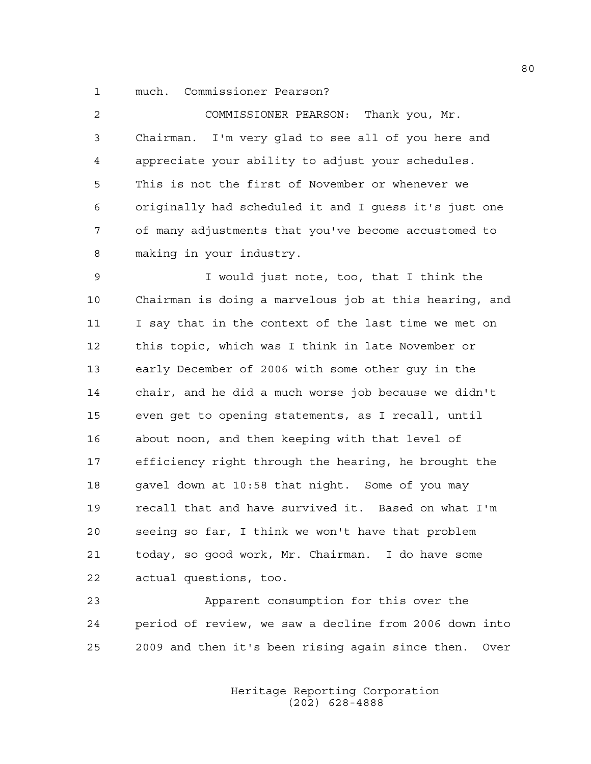1 much. Commissioner Pearson?

| $\overline{2}$ | COMMISSIONER PEARSON: Thank you, Mr.                   |
|----------------|--------------------------------------------------------|
| 3              | Chairman. I'm very glad to see all of you here and     |
| 4              | appreciate your ability to adjust your schedules.      |
| 5              | This is not the first of November or whenever we       |
| 6              | originally had scheduled it and I quess it's just one  |
| 7              | of many adjustments that you've become accustomed to   |
| 8              | making in your industry.                               |
| $\mathsf 9$    | I would just note, too, that I think the               |
| 10             | Chairman is doing a marvelous job at this hearing, and |
| 11             | I say that in the context of the last time we met on   |
| 12             | this topic, which was I think in late November or      |
| 13             | early December of 2006 with some other quy in the      |
| 14             | chair, and he did a much worse job because we didn't   |
| 15             | even get to opening statements, as I recall, until     |
| 16             | about noon, and then keeping with that level of        |
| 17             | efficiency right through the hearing, he brought the   |
| 18             | gavel down at 10:58 that night. Some of you may        |

19 recall that and have survived it. Based on what I'm 20 seeing so far, I think we won't have that problem 21 today, so good work, Mr. Chairman. I do have some 22 actual questions, too.

23 Apparent consumption for this over the 24 period of review, we saw a decline from 2006 down into 25 2009 and then it's been rising again since then. Over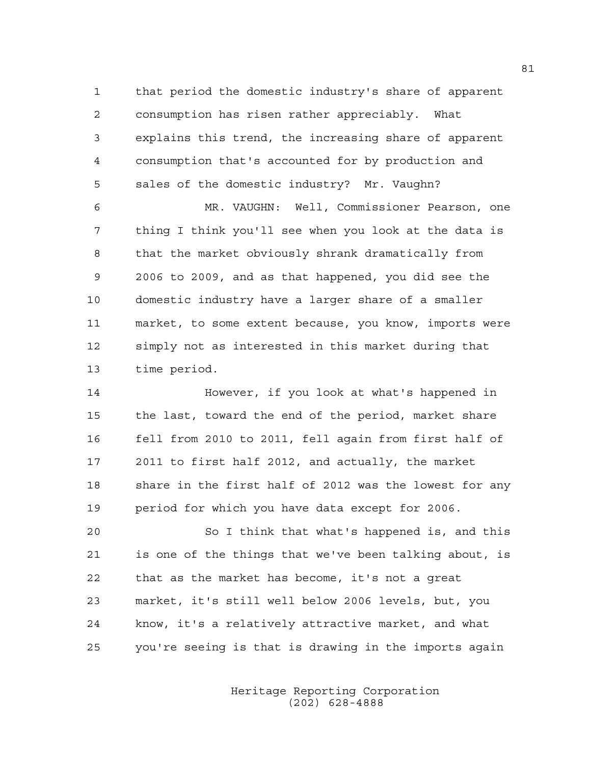1 that period the domestic industry's share of apparent 2 consumption has risen rather appreciably. What 3 explains this trend, the increasing share of apparent 4 consumption that's accounted for by production and 5 sales of the domestic industry? Mr. Vaughn?

6 MR. VAUGHN: Well, Commissioner Pearson, one 7 thing I think you'll see when you look at the data is 8 that the market obviously shrank dramatically from 9 2006 to 2009, and as that happened, you did see the 10 domestic industry have a larger share of a smaller 11 market, to some extent because, you know, imports were 12 simply not as interested in this market during that 13 time period.

14 However, if you look at what's happened in 15 the last, toward the end of the period, market share 16 fell from 2010 to 2011, fell again from first half of 17 2011 to first half 2012, and actually, the market 18 share in the first half of 2012 was the lowest for any 19 period for which you have data except for 2006.

20 So I think that what's happened is, and this 21 is one of the things that we've been talking about, is 22 that as the market has become, it's not a great 23 market, it's still well below 2006 levels, but, you 24 know, it's a relatively attractive market, and what 25 you're seeing is that is drawing in the imports again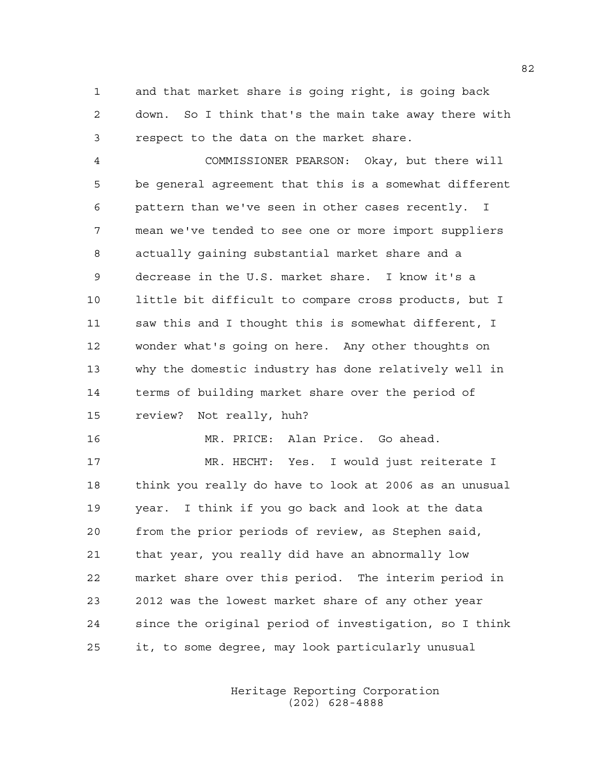1 and that market share is going right, is going back 2 down. So I think that's the main take away there with 3 respect to the data on the market share.

4 COMMISSIONER PEARSON: Okay, but there will 5 be general agreement that this is a somewhat different 6 pattern than we've seen in other cases recently. I 7 mean we've tended to see one or more import suppliers 8 actually gaining substantial market share and a 9 decrease in the U.S. market share. I know it's a 10 little bit difficult to compare cross products, but I 11 saw this and I thought this is somewhat different, I 12 wonder what's going on here. Any other thoughts on 13 why the domestic industry has done relatively well in 14 terms of building market share over the period of 15 review? Not really, huh?

16 MR. PRICE: Alan Price. Go ahead.

17 MR. HECHT: Yes. I would just reiterate I 18 think you really do have to look at 2006 as an unusual 19 year. I think if you go back and look at the data 20 from the prior periods of review, as Stephen said, 21 that year, you really did have an abnormally low 22 market share over this period. The interim period in 23 2012 was the lowest market share of any other year 24 since the original period of investigation, so I think 25 it, to some degree, may look particularly unusual

> Heritage Reporting Corporation (202) 628-4888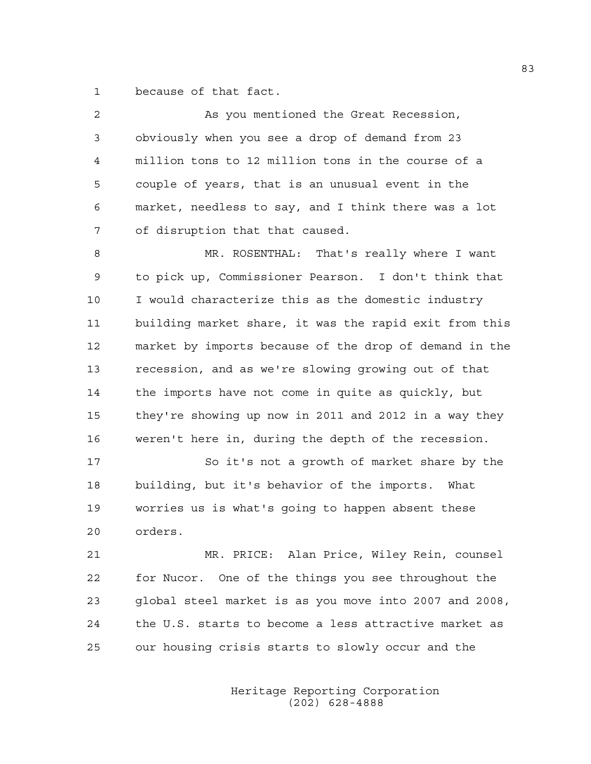1 because of that fact.

| $\overline{c}$ | As you mentioned the Great Recession,                  |
|----------------|--------------------------------------------------------|
| 3              | obviously when you see a drop of demand from 23        |
| 4              | million tons to 12 million tons in the course of a     |
| 5              | couple of years, that is an unusual event in the       |
| 6              | market, needless to say, and I think there was a lot   |
| 7              | of disruption that that caused.                        |
| 8              | MR. ROSENTHAL: That's really where I want              |
| 9              | to pick up, Commissioner Pearson. I don't think that   |
| 10             | I would characterize this as the domestic industry     |
| 11             | building market share, it was the rapid exit from this |
| 12             | market by imports because of the drop of demand in the |
| 13             | recession, and as we're slowing growing out of that    |
| 14             | the imports have not come in quite as quickly, but     |
| 15             | they're showing up now in 2011 and 2012 in a way they  |
| 16             | weren't here in, during the depth of the recession.    |
| 17             | So it's not a growth of market share by the            |
| 18             | building, but it's behavior of the imports. What       |
| 19             | worries us is what's going to happen absent these      |
| 20             | orders.                                                |
| 21             | MR. PRICE: Alan Price, Wiley Rein, counsel             |
| 22             | for Nucor. One of the things you see throughout the    |
| 23             | global steel market is as you move into 2007 and 2008, |
| 24             | the U.S. starts to become a less attractive market as  |
|                |                                                        |

25 our housing crisis starts to slowly occur and the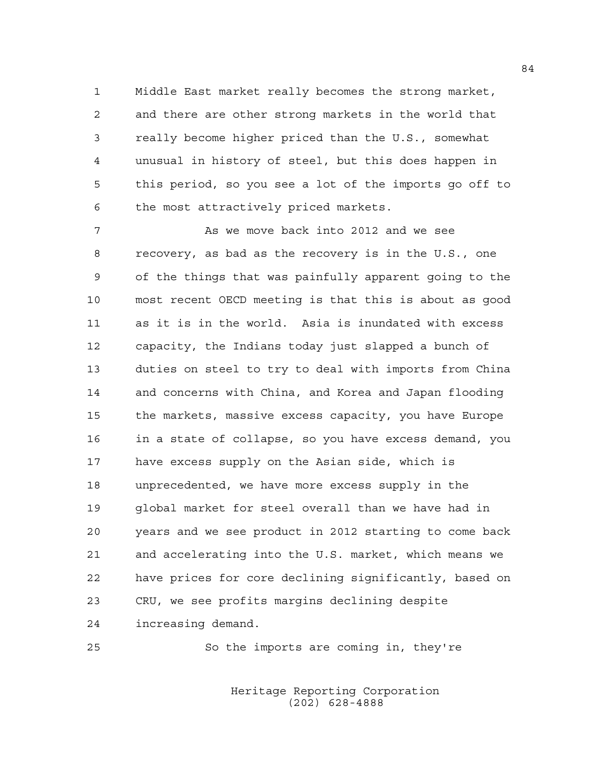1 Middle East market really becomes the strong market, 2 and there are other strong markets in the world that 3 really become higher priced than the U.S., somewhat 4 unusual in history of steel, but this does happen in 5 this period, so you see a lot of the imports go off to 6 the most attractively priced markets.

7 As we move back into 2012 and we see 8 recovery, as bad as the recovery is in the U.S., one 9 of the things that was painfully apparent going to the 10 most recent OECD meeting is that this is about as good 11 as it is in the world. Asia is inundated with excess 12 capacity, the Indians today just slapped a bunch of 13 duties on steel to try to deal with imports from China 14 and concerns with China, and Korea and Japan flooding 15 the markets, massive excess capacity, you have Europe 16 in a state of collapse, so you have excess demand, you 17 have excess supply on the Asian side, which is 18 unprecedented, we have more excess supply in the 19 global market for steel overall than we have had in 20 years and we see product in 2012 starting to come back 21 and accelerating into the U.S. market, which means we 22 have prices for core declining significantly, based on 23 CRU, we see profits margins declining despite 24 increasing demand.

25 So the imports are coming in, they're

 Heritage Reporting Corporation (202) 628-4888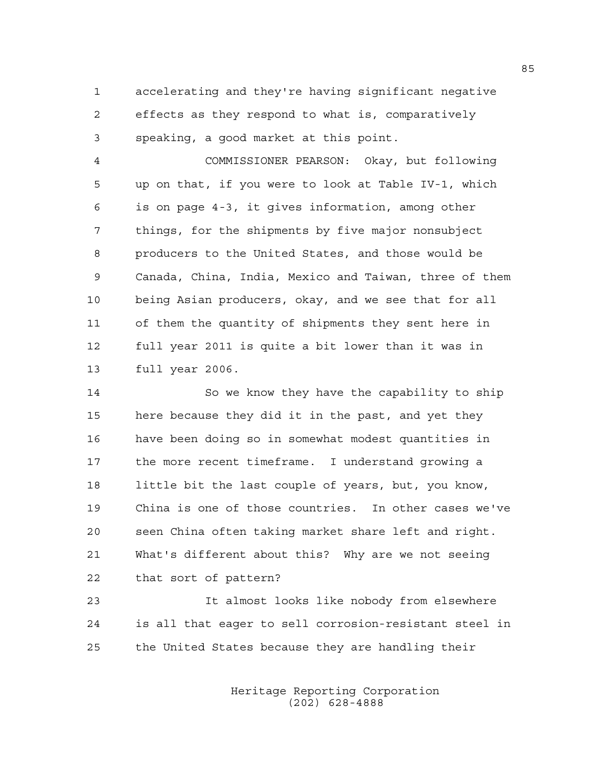1 accelerating and they're having significant negative 2 effects as they respond to what is, comparatively 3 speaking, a good market at this point.

4 COMMISSIONER PEARSON: Okay, but following 5 up on that, if you were to look at Table IV-1, which 6 is on page 4-3, it gives information, among other 7 things, for the shipments by five major nonsubject 8 producers to the United States, and those would be 9 Canada, China, India, Mexico and Taiwan, three of them 10 being Asian producers, okay, and we see that for all 11 of them the quantity of shipments they sent here in 12 full year 2011 is quite a bit lower than it was in 13 full year 2006.

14 So we know they have the capability to ship 15 here because they did it in the past, and yet they 16 have been doing so in somewhat modest quantities in 17 the more recent timeframe. I understand growing a 18 little bit the last couple of years, but, you know, 19 China is one of those countries. In other cases we've 20 seen China often taking market share left and right. 21 What's different about this? Why are we not seeing 22 that sort of pattern?

23 It almost looks like nobody from elsewhere 24 is all that eager to sell corrosion-resistant steel in 25 the United States because they are handling their

> Heritage Reporting Corporation (202) 628-4888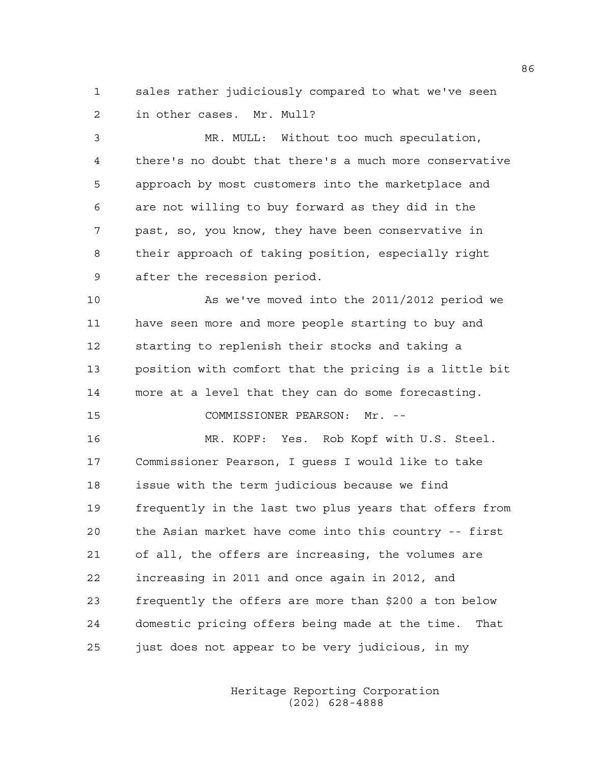1 sales rather judiciously compared to what we've seen 2 in other cases. Mr. Mull?

3 MR. MULL: Without too much speculation, 4 there's no doubt that there's a much more conservative 5 approach by most customers into the marketplace and 6 are not willing to buy forward as they did in the 7 past, so, you know, they have been conservative in 8 their approach of taking position, especially right 9 after the recession period.

10 As we've moved into the 2011/2012 period we 11 have seen more and more people starting to buy and 12 starting to replenish their stocks and taking a 13 position with comfort that the pricing is a little bit 14 more at a level that they can do some forecasting. 15 COMMISSIONER PEARSON: Mr. --

16 MR. KOPF: Yes. Rob Kopf with U.S. Steel. 17 Commissioner Pearson, I guess I would like to take 18 issue with the term judicious because we find 19 frequently in the last two plus years that offers from 20 the Asian market have come into this country -- first 21 of all, the offers are increasing, the volumes are 22 increasing in 2011 and once again in 2012, and 23 frequently the offers are more than \$200 a ton below 24 domestic pricing offers being made at the time. That 25 just does not appear to be very judicious, in my

> Heritage Reporting Corporation (202) 628-4888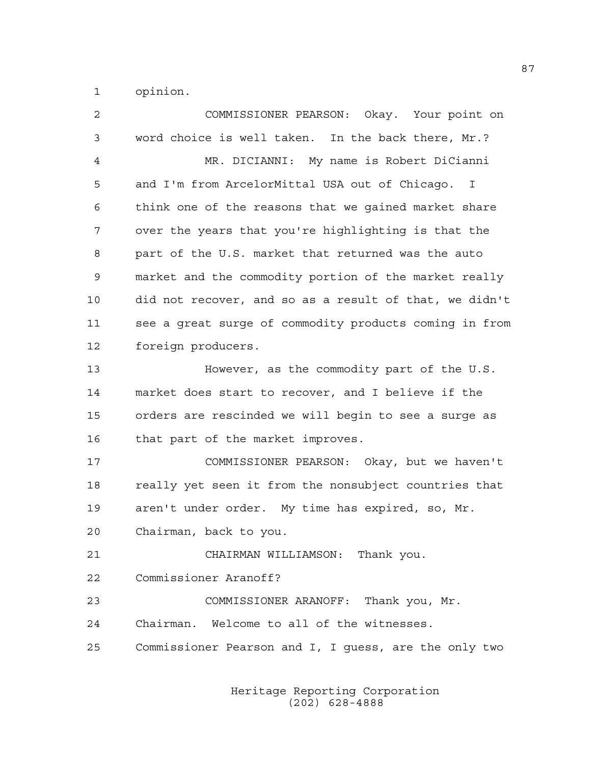1 opinion.

| $\overline{c}$ | COMMISSIONER PEARSON: Okay. Your point on              |
|----------------|--------------------------------------------------------|
| 3              | word choice is well taken. In the back there, Mr.?     |
| 4              | MR. DICIANNI: My name is Robert DiCianni               |
| 5              | and I'm from ArcelorMittal USA out of Chicago. I       |
| 6              | think one of the reasons that we gained market share   |
| 7              | over the years that you're highlighting is that the    |
| 8              | part of the U.S. market that returned was the auto     |
| 9              | market and the commodity portion of the market really  |
| 10             | did not recover, and so as a result of that, we didn't |
| 11             | see a great surge of commodity products coming in from |
| 12             | foreign producers.                                     |
| 13             | However, as the commodity part of the U.S.             |
| 14             | market does start to recover, and I believe if the     |
| 15             | orders are rescinded we will begin to see a surge as   |
| 16             | that part of the market improves.                      |
| 17             | COMMISSIONER PEARSON: Okay, but we haven't             |
| 18             | really yet seen it from the nonsubject countries that  |
| 19             | aren't under order. My time has expired, so, Mr.       |
| 20             | Chairman, back to you.                                 |
| 21             | CHAIRMAN WILLIAMSON: Thank you.                        |
| 22             | Commissioner Aranoff?                                  |
| 23             | COMMISSIONER ARANOFF: Thank you, Mr.                   |
| 24             | Chairman. Welcome to all of the witnesses.             |
| 25             | Commissioner Pearson and I, I quess, are the only two  |
|                |                                                        |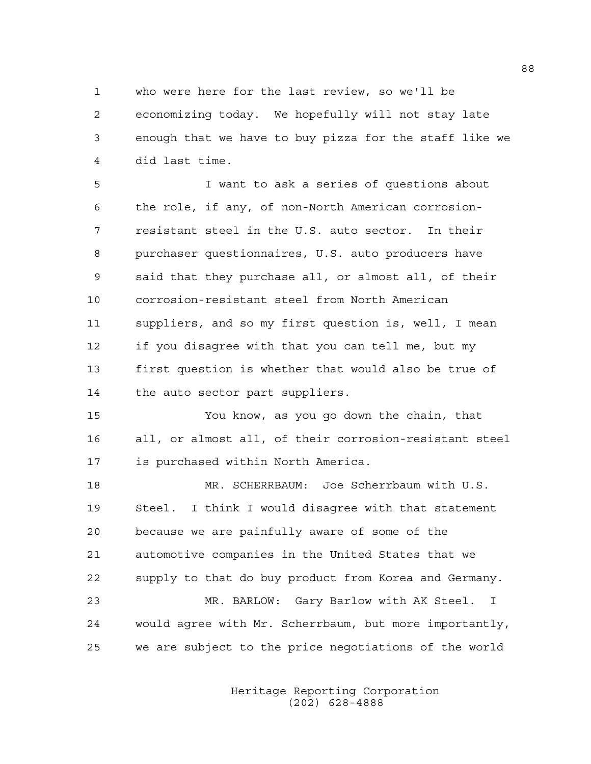1 who were here for the last review, so we'll be 2 economizing today. We hopefully will not stay late 3 enough that we have to buy pizza for the staff like we 4 did last time.

5 I want to ask a series of questions about 6 the role, if any, of non-North American corrosion-7 resistant steel in the U.S. auto sector. In their 8 purchaser questionnaires, U.S. auto producers have 9 said that they purchase all, or almost all, of their 10 corrosion-resistant steel from North American 11 suppliers, and so my first question is, well, I mean 12 if you disagree with that you can tell me, but my 13 first question is whether that would also be true of 14 the auto sector part suppliers.

15 You know, as you go down the chain, that 16 all, or almost all, of their corrosion-resistant steel 17 is purchased within North America.

18 MR. SCHERRBAUM: Joe Scherrbaum with U.S. 19 Steel. I think I would disagree with that statement 20 because we are painfully aware of some of the 21 automotive companies in the United States that we 22 supply to that do buy product from Korea and Germany. 23 MR. BARLOW: Gary Barlow with AK Steel. I 24 would agree with Mr. Scherrbaum, but more importantly, 25 we are subject to the price negotiations of the world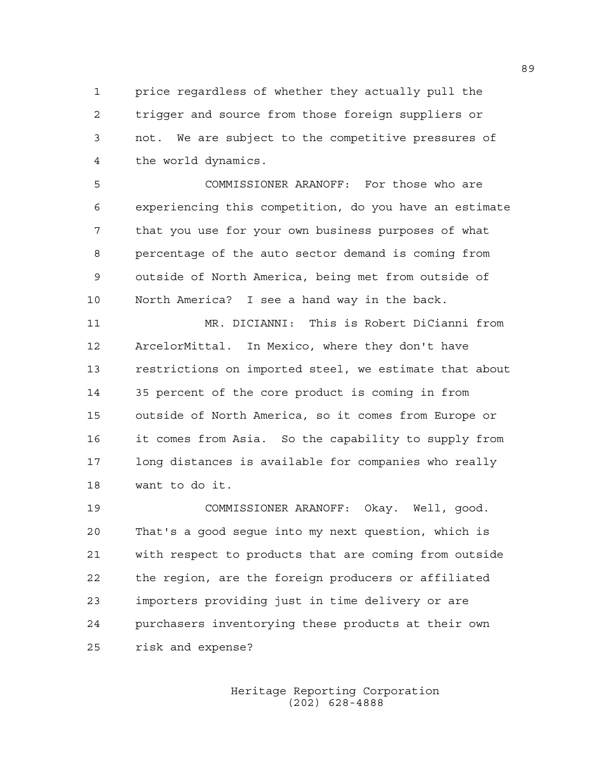1 price regardless of whether they actually pull the 2 trigger and source from those foreign suppliers or 3 not. We are subject to the competitive pressures of 4 the world dynamics.

5 COMMISSIONER ARANOFF: For those who are 6 experiencing this competition, do you have an estimate 7 that you use for your own business purposes of what 8 percentage of the auto sector demand is coming from 9 outside of North America, being met from outside of 10 North America? I see a hand way in the back.

11 MR. DICIANNI: This is Robert DiCianni from 12 ArcelorMittal. In Mexico, where they don't have 13 restrictions on imported steel, we estimate that about 14 35 percent of the core product is coming in from 15 outside of North America, so it comes from Europe or 16 it comes from Asia. So the capability to supply from 17 long distances is available for companies who really 18 want to do it.

19 COMMISSIONER ARANOFF: Okay. Well, good. 20 That's a good segue into my next question, which is 21 with respect to products that are coming from outside 22 the region, are the foreign producers or affiliated 23 importers providing just in time delivery or are 24 purchasers inventorying these products at their own 25 risk and expense?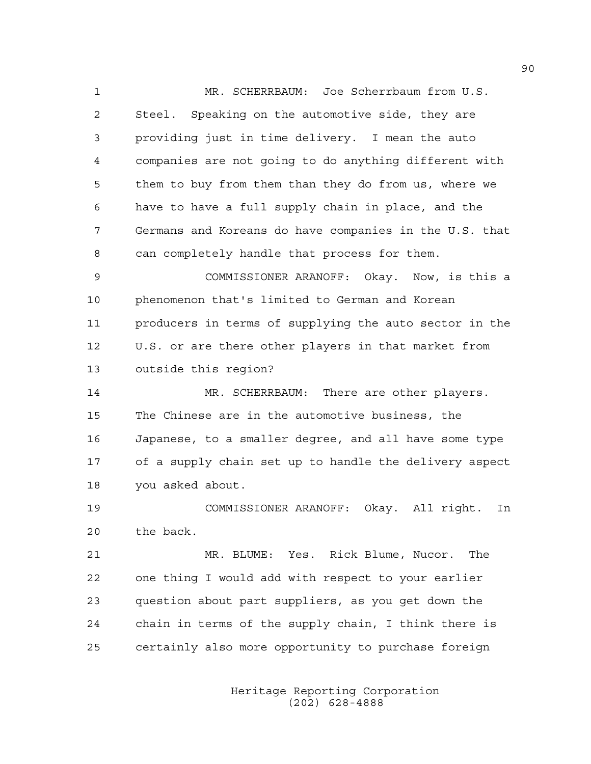1 MR. SCHERRBAUM: Joe Scherrbaum from U.S. 2 Steel. Speaking on the automotive side, they are 3 providing just in time delivery. I mean the auto 4 companies are not going to do anything different with 5 them to buy from them than they do from us, where we 6 have to have a full supply chain in place, and the 7 Germans and Koreans do have companies in the U.S. that 8 can completely handle that process for them.

9 COMMISSIONER ARANOFF: Okay. Now, is this a 10 phenomenon that's limited to German and Korean 11 producers in terms of supplying the auto sector in the 12 U.S. or are there other players in that market from 13 outside this region?

14 MR. SCHERRBAUM: There are other players. 15 The Chinese are in the automotive business, the 16 Japanese, to a smaller degree, and all have some type 17 of a supply chain set up to handle the delivery aspect 18 you asked about.

19 COMMISSIONER ARANOFF: Okay. All right. In 20 the back.

21 MR. BLUME: Yes. Rick Blume, Nucor. The 22 one thing I would add with respect to your earlier 23 question about part suppliers, as you get down the 24 chain in terms of the supply chain, I think there is 25 certainly also more opportunity to purchase foreign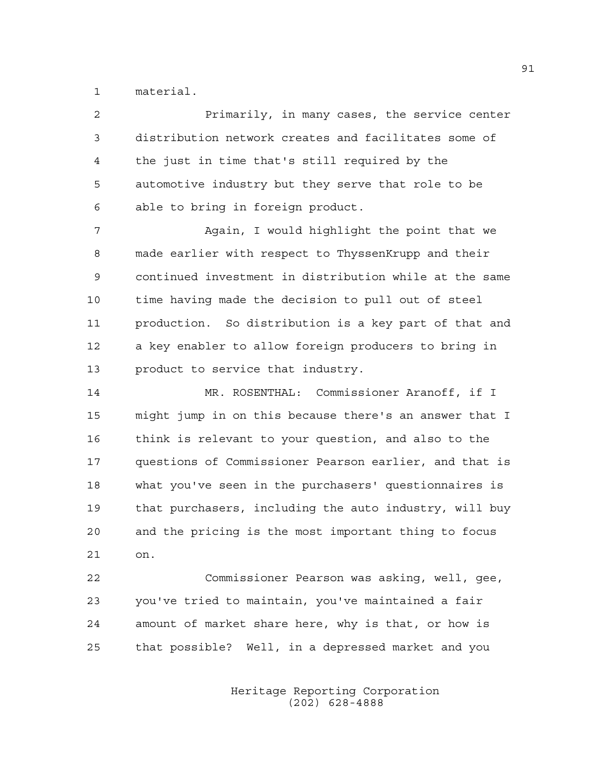1 material.

| 2  | Primarily, in many cases, the service center           |
|----|--------------------------------------------------------|
| 3  | distribution network creates and facilitates some of   |
| 4  | the just in time that's still required by the          |
| 5  | automotive industry but they serve that role to be     |
| 6  | able to bring in foreign product.                      |
| 7  | Again, I would highlight the point that we             |
| 8  | made earlier with respect to ThyssenKrupp and their    |
| 9  | continued investment in distribution while at the same |
| 10 | time having made the decision to pull out of steel     |
| 11 | production. So distribution is a key part of that and  |
| 12 | a key enabler to allow foreign producers to bring in   |
| 13 | product to service that industry.                      |
| 14 | MR. ROSENTHAL: Commissioner Aranoff, if I              |
| 15 | might jump in on this because there's an answer that I |
| 16 | think is relevant to your question, and also to the    |
| 17 | questions of Commissioner Pearson earlier, and that is |
| 18 | what you've seen in the purchasers' questionnaires is  |
| 19 | that purchasers, including the auto industry, will buy |
| 20 | and the pricing is the most important thing to focus   |

21 on.

22 Commissioner Pearson was asking, well, gee, 23 you've tried to maintain, you've maintained a fair 24 amount of market share here, why is that, or how is 25 that possible? Well, in a depressed market and you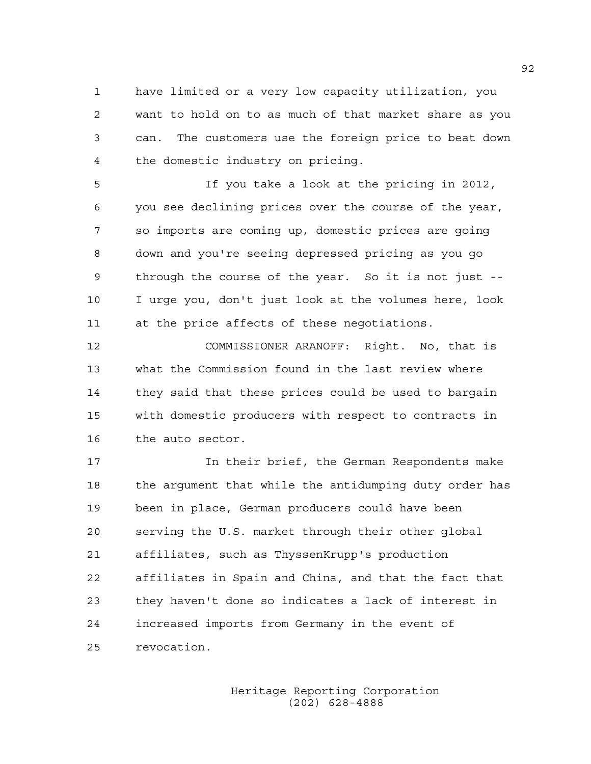1 have limited or a very low capacity utilization, you 2 want to hold on to as much of that market share as you 3 can. The customers use the foreign price to beat down 4 the domestic industry on pricing.

5 If you take a look at the pricing in 2012, 6 you see declining prices over the course of the year, 7 so imports are coming up, domestic prices are going 8 down and you're seeing depressed pricing as you go 9 through the course of the year. So it is not just -- 10 I urge you, don't just look at the volumes here, look 11 at the price affects of these negotiations.

12 COMMISSIONER ARANOFF: Right. No, that is 13 what the Commission found in the last review where 14 they said that these prices could be used to bargain 15 with domestic producers with respect to contracts in 16 the auto sector.

17 **In their brief, the German Respondents make** 18 the argument that while the antidumping duty order has 19 been in place, German producers could have been 20 serving the U.S. market through their other global 21 affiliates, such as ThyssenKrupp's production 22 affiliates in Spain and China, and that the fact that 23 they haven't done so indicates a lack of interest in 24 increased imports from Germany in the event of 25 revocation.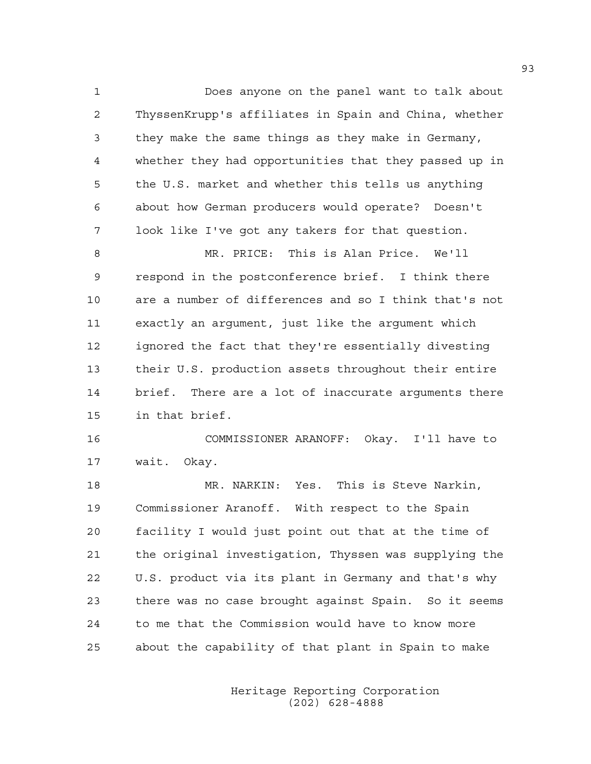1 Does anyone on the panel want to talk about 2 ThyssenKrupp's affiliates in Spain and China, whether 3 they make the same things as they make in Germany, 4 whether they had opportunities that they passed up in 5 the U.S. market and whether this tells us anything 6 about how German producers would operate? Doesn't 7 look like I've got any takers for that question. 8 MR. PRICE: This is Alan Price. We'll 9 respond in the postconference brief. I think there 10 are a number of differences and so I think that's not 11 exactly an argument, just like the argument which 12 ignored the fact that they're essentially divesting 13 their U.S. production assets throughout their entire 14 brief. There are a lot of inaccurate arguments there 15 in that brief.

16 COMMISSIONER ARANOFF: Okay. I'll have to 17 wait. Okay.

18 MR. NARKIN: Yes. This is Steve Narkin, 19 Commissioner Aranoff. With respect to the Spain 20 facility I would just point out that at the time of 21 the original investigation, Thyssen was supplying the 22 U.S. product via its plant in Germany and that's why 23 there was no case brought against Spain. So it seems 24 to me that the Commission would have to know more 25 about the capability of that plant in Spain to make

> Heritage Reporting Corporation (202) 628-4888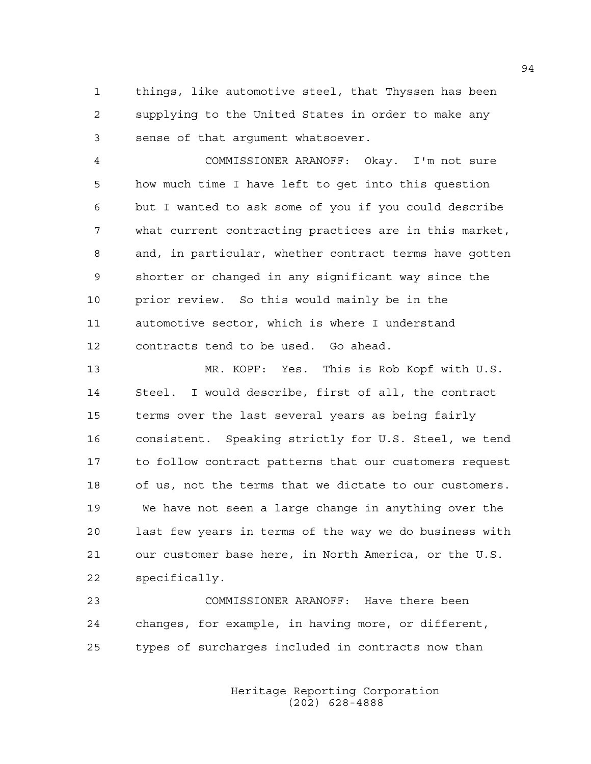1 things, like automotive steel, that Thyssen has been 2 supplying to the United States in order to make any 3 sense of that argument whatsoever.

4 COMMISSIONER ARANOFF: Okay. I'm not sure 5 how much time I have left to get into this question 6 but I wanted to ask some of you if you could describe 7 what current contracting practices are in this market, 8 and, in particular, whether contract terms have gotten 9 shorter or changed in any significant way since the 10 prior review. So this would mainly be in the 11 automotive sector, which is where I understand 12 contracts tend to be used. Go ahead.

13 MR. KOPF: Yes. This is Rob Kopf with U.S. 14 Steel. I would describe, first of all, the contract 15 terms over the last several years as being fairly 16 consistent. Speaking strictly for U.S. Steel, we tend 17 to follow contract patterns that our customers request 18 of us, not the terms that we dictate to our customers. 19 We have not seen a large change in anything over the 20 last few years in terms of the way we do business with 21 our customer base here, in North America, or the U.S. 22 specifically.

23 COMMISSIONER ARANOFF: Have there been 24 changes, for example, in having more, or different, 25 types of surcharges included in contracts now than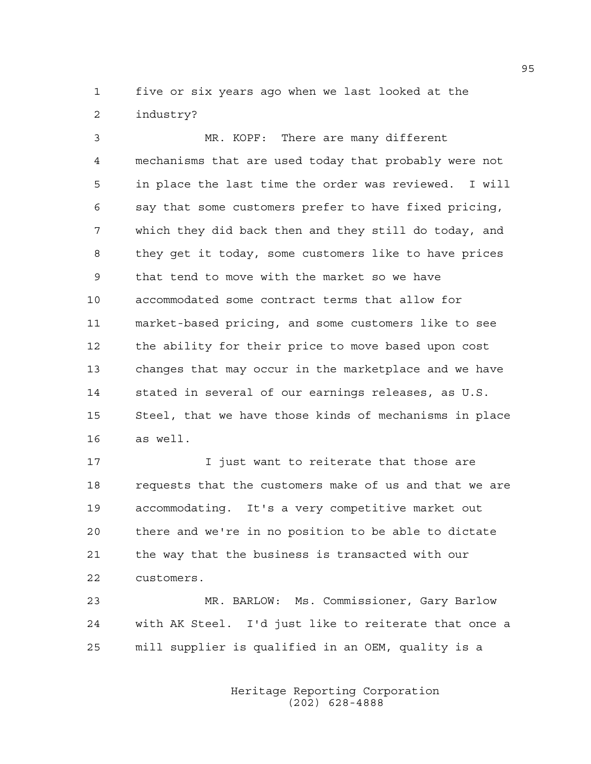1 five or six years ago when we last looked at the 2 industry?

3 MR. KOPF: There are many different 4 mechanisms that are used today that probably were not 5 in place the last time the order was reviewed. I will 6 say that some customers prefer to have fixed pricing, 7 which they did back then and they still do today, and 8 they get it today, some customers like to have prices 9 that tend to move with the market so we have 10 accommodated some contract terms that allow for 11 market-based pricing, and some customers like to see 12 the ability for their price to move based upon cost 13 changes that may occur in the marketplace and we have 14 stated in several of our earnings releases, as U.S. 15 Steel, that we have those kinds of mechanisms in place 16 as well.

17 **I** iust want to reiterate that those are 18 requests that the customers make of us and that we are 19 accommodating. It's a very competitive market out 20 there and we're in no position to be able to dictate 21 the way that the business is transacted with our 22 customers.

23 MR. BARLOW: Ms. Commissioner, Gary Barlow 24 with AK Steel. I'd just like to reiterate that once a 25 mill supplier is qualified in an OEM, quality is a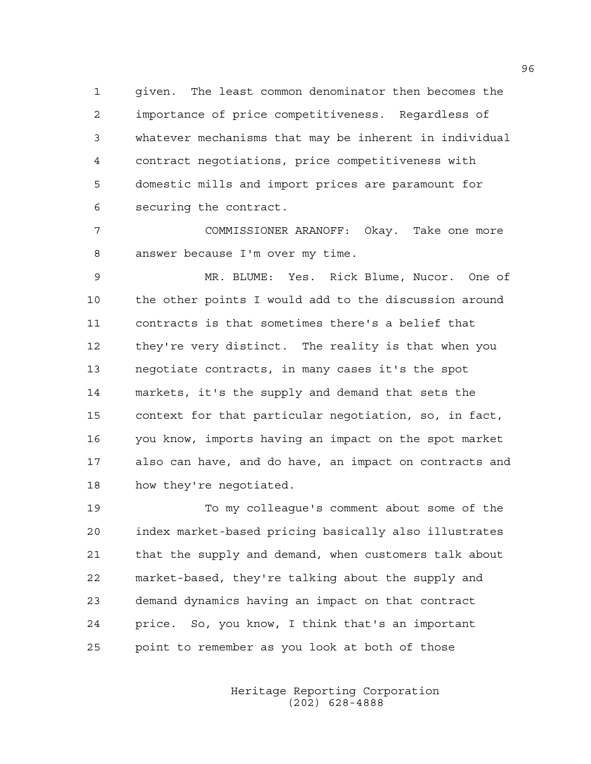1 given. The least common denominator then becomes the 2 importance of price competitiveness. Regardless of 3 whatever mechanisms that may be inherent in individual 4 contract negotiations, price competitiveness with 5 domestic mills and import prices are paramount for 6 securing the contract.

7 COMMISSIONER ARANOFF: Okay. Take one more 8 answer because I'm over my time.

9 MR. BLUME: Yes. Rick Blume, Nucor. One of 10 the other points I would add to the discussion around 11 contracts is that sometimes there's a belief that 12 they're very distinct. The reality is that when you 13 negotiate contracts, in many cases it's the spot 14 markets, it's the supply and demand that sets the 15 context for that particular negotiation, so, in fact, 16 you know, imports having an impact on the spot market 17 also can have, and do have, an impact on contracts and 18 how they're negotiated.

19 To my colleague's comment about some of the 20 index market-based pricing basically also illustrates 21 that the supply and demand, when customers talk about 22 market-based, they're talking about the supply and 23 demand dynamics having an impact on that contract 24 price. So, you know, I think that's an important 25 point to remember as you look at both of those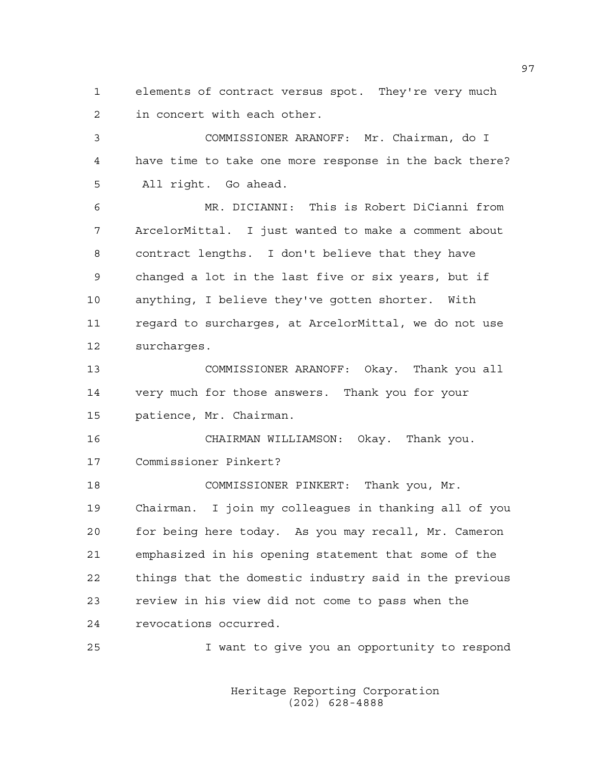1 elements of contract versus spot. They're very much 2 in concert with each other.

3 COMMISSIONER ARANOFF: Mr. Chairman, do I 4 have time to take one more response in the back there? 5 All right. Go ahead.

6 MR. DICIANNI: This is Robert DiCianni from 7 ArcelorMittal. I just wanted to make a comment about 8 contract lengths. I don't believe that they have 9 changed a lot in the last five or six years, but if 10 anything, I believe they've gotten shorter. With 11 regard to surcharges, at ArcelorMittal, we do not use 12 surcharges.

13 COMMISSIONER ARANOFF: Okay. Thank you all 14 very much for those answers. Thank you for your 15 patience, Mr. Chairman.

16 CHAIRMAN WILLIAMSON: Okay. Thank you. 17 Commissioner Pinkert?

18 COMMISSIONER PINKERT: Thank you, Mr. 19 Chairman. I join my colleagues in thanking all of you 20 for being here today. As you may recall, Mr. Cameron 21 emphasized in his opening statement that some of the 22 things that the domestic industry said in the previous 23 review in his view did not come to pass when the 24 revocations occurred.

25 I want to give you an opportunity to respond

 Heritage Reporting Corporation (202) 628-4888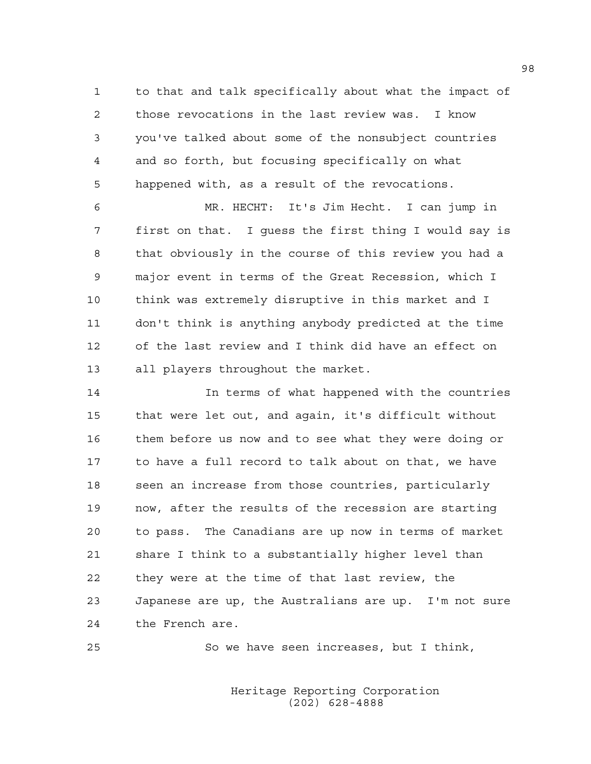1 to that and talk specifically about what the impact of 2 those revocations in the last review was. I know 3 you've talked about some of the nonsubject countries 4 and so forth, but focusing specifically on what 5 happened with, as a result of the revocations.

6 MR. HECHT: It's Jim Hecht. I can jump in 7 first on that. I guess the first thing I would say is 8 that obviously in the course of this review you had a 9 major event in terms of the Great Recession, which I 10 think was extremely disruptive in this market and I 11 don't think is anything anybody predicted at the time 12 of the last review and I think did have an effect on 13 all players throughout the market.

14 In terms of what happened with the countries 15 that were let out, and again, it's difficult without 16 them before us now and to see what they were doing or 17 to have a full record to talk about on that, we have 18 seen an increase from those countries, particularly 19 now, after the results of the recession are starting 20 to pass. The Canadians are up now in terms of market 21 share I think to a substantially higher level than 22 they were at the time of that last review, the 23 Japanese are up, the Australians are up. I'm not sure 24 the French are.

25 So we have seen increases, but I think,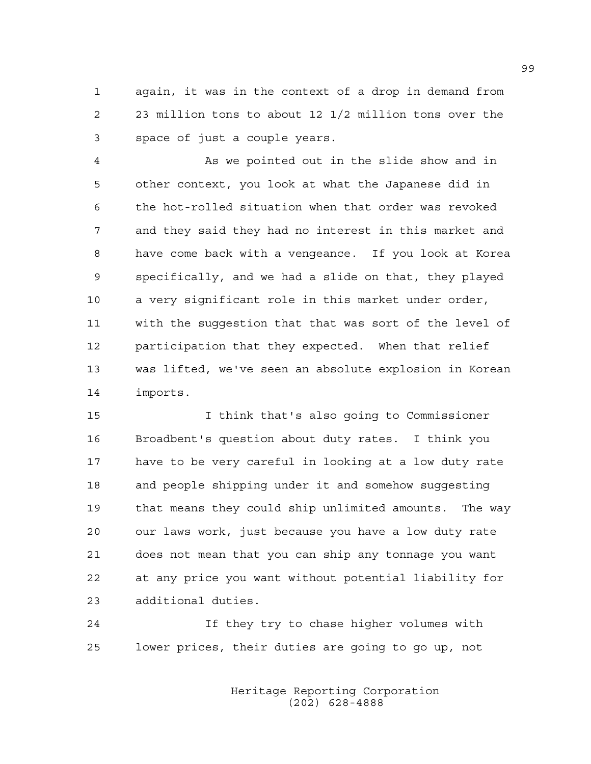1 again, it was in the context of a drop in demand from 2 23 million tons to about 12 1/2 million tons over the 3 space of just a couple years.

4 As we pointed out in the slide show and in 5 other context, you look at what the Japanese did in 6 the hot-rolled situation when that order was revoked 7 and they said they had no interest in this market and 8 have come back with a vengeance. If you look at Korea 9 specifically, and we had a slide on that, they played 10 a very significant role in this market under order, 11 with the suggestion that that was sort of the level of 12 participation that they expected. When that relief 13 was lifted, we've seen an absolute explosion in Korean 14 imports.

15 I think that's also going to Commissioner 16 Broadbent's question about duty rates. I think you 17 have to be very careful in looking at a low duty rate 18 and people shipping under it and somehow suggesting 19 that means they could ship unlimited amounts. The way 20 our laws work, just because you have a low duty rate 21 does not mean that you can ship any tonnage you want 22 at any price you want without potential liability for 23 additional duties.

24 If they try to chase higher volumes with 25 lower prices, their duties are going to go up, not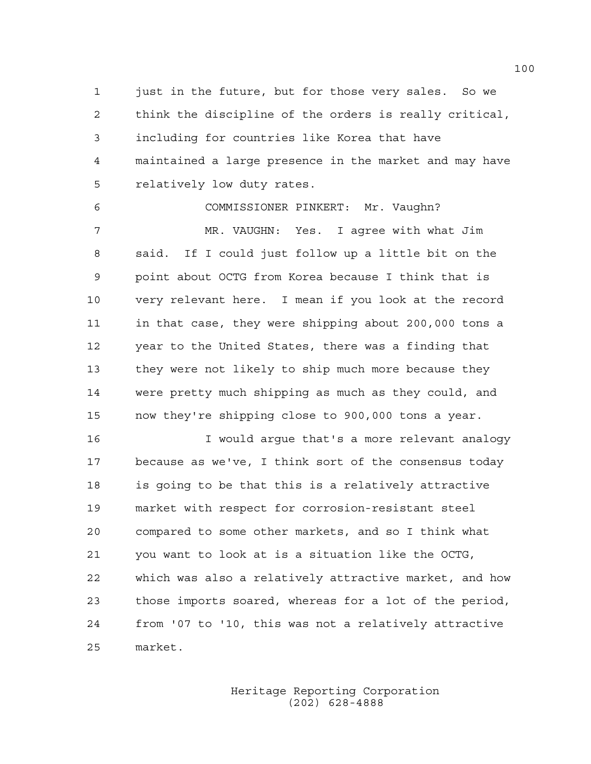1 just in the future, but for those very sales. So we 2 think the discipline of the orders is really critical, 3 including for countries like Korea that have 4 maintained a large presence in the market and may have 5 relatively low duty rates.

6 COMMISSIONER PINKERT: Mr. Vaughn? 7 MR. VAUGHN: Yes. I agree with what Jim 8 said. If I could just follow up a little bit on the 9 point about OCTG from Korea because I think that is 10 very relevant here. I mean if you look at the record 11 in that case, they were shipping about 200,000 tons a 12 year to the United States, there was a finding that 13 they were not likely to ship much more because they 14 were pretty much shipping as much as they could, and 15 now they're shipping close to 900,000 tons a year.

16 I would argue that's a more relevant analogy 17 because as we've, I think sort of the consensus today 18 is going to be that this is a relatively attractive 19 market with respect for corrosion-resistant steel 20 compared to some other markets, and so I think what 21 you want to look at is a situation like the OCTG, 22 which was also a relatively attractive market, and how 23 those imports soared, whereas for a lot of the period, 24 from '07 to '10, this was not a relatively attractive 25 market.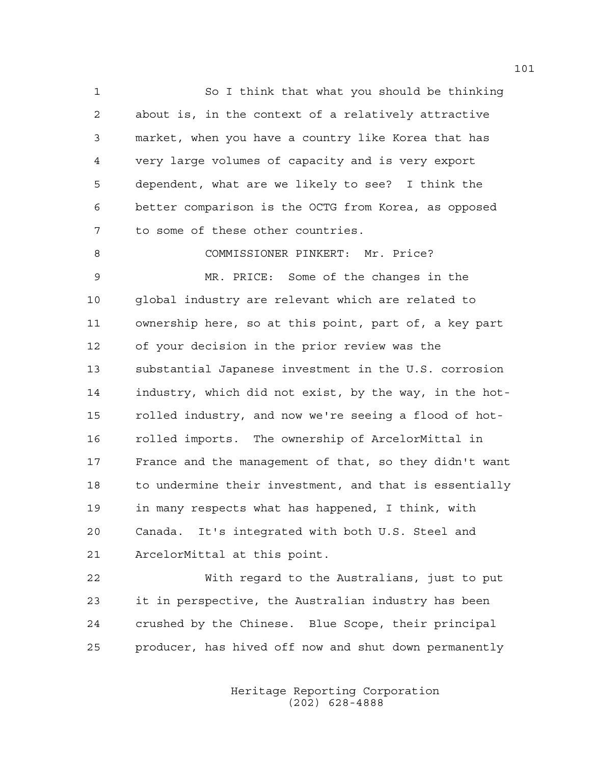1 So I think that what you should be thinking 2 about is, in the context of a relatively attractive 3 market, when you have a country like Korea that has 4 very large volumes of capacity and is very export 5 dependent, what are we likely to see? I think the 6 better comparison is the OCTG from Korea, as opposed 7 to some of these other countries.

8 COMMISSIONER PINKERT: Mr. Price?

9 MR. PRICE: Some of the changes in the 10 global industry are relevant which are related to 11 ownership here, so at this point, part of, a key part 12 of your decision in the prior review was the 13 substantial Japanese investment in the U.S. corrosion 14 industry, which did not exist, by the way, in the hot-15 rolled industry, and now we're seeing a flood of hot-16 rolled imports. The ownership of ArcelorMittal in 17 France and the management of that, so they didn't want 18 to undermine their investment, and that is essentially 19 in many respects what has happened, I think, with 20 Canada. It's integrated with both U.S. Steel and 21 ArcelorMittal at this point.

22 With regard to the Australians, just to put 23 it in perspective, the Australian industry has been 24 crushed by the Chinese. Blue Scope, their principal 25 producer, has hived off now and shut down permanently

> Heritage Reporting Corporation (202) 628-4888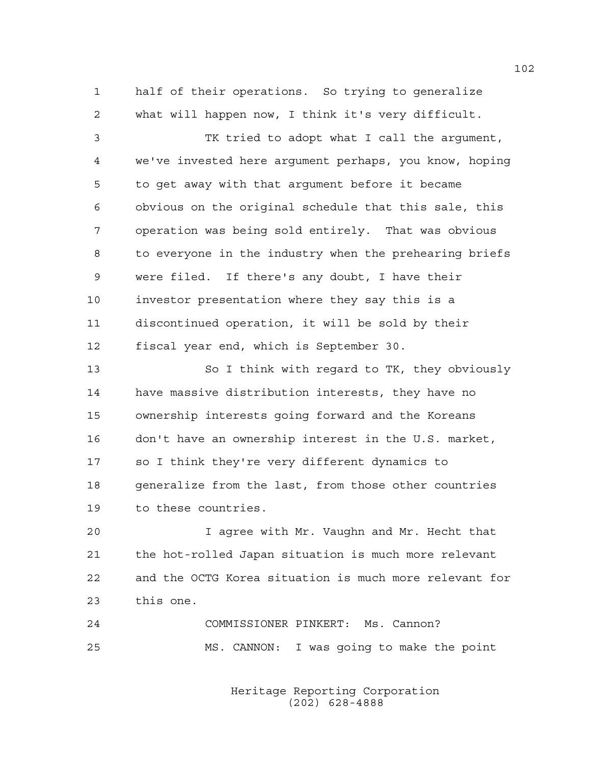1 half of their operations. So trying to generalize 2 what will happen now, I think it's very difficult.

3 TK tried to adopt what I call the argument, 4 we've invested here argument perhaps, you know, hoping 5 to get away with that argument before it became 6 obvious on the original schedule that this sale, this 7 operation was being sold entirely. That was obvious 8 to everyone in the industry when the prehearing briefs 9 were filed. If there's any doubt, I have their 10 investor presentation where they say this is a 11 discontinued operation, it will be sold by their 12 fiscal year end, which is September 30.

13 So I think with regard to TK, they obviously 14 have massive distribution interests, they have no 15 ownership interests going forward and the Koreans 16 don't have an ownership interest in the U.S. market, 17 so I think they're very different dynamics to 18 generalize from the last, from those other countries 19 to these countries.

20 I agree with Mr. Vaughn and Mr. Hecht that 21 the hot-rolled Japan situation is much more relevant 22 and the OCTG Korea situation is much more relevant for 23 this one.

24 COMMISSIONER PINKERT: Ms. Cannon? 25 MS. CANNON: I was going to make the point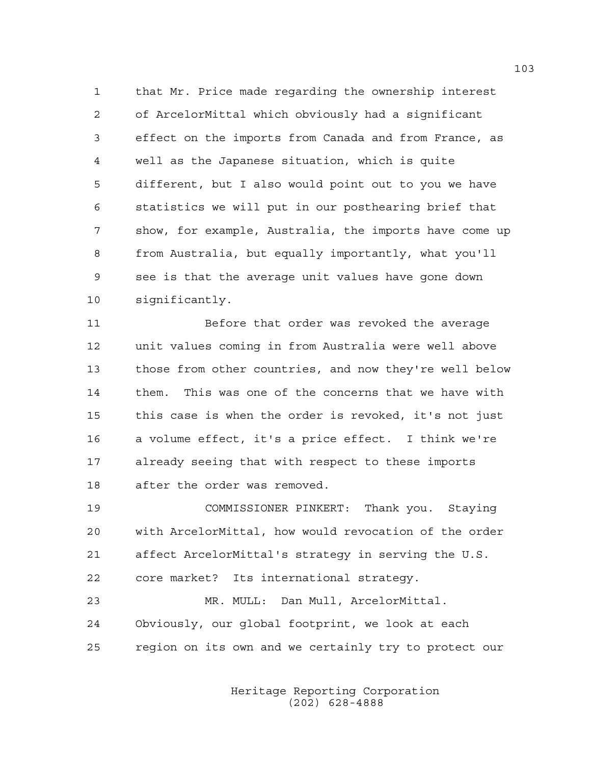1 that Mr. Price made regarding the ownership interest 2 of ArcelorMittal which obviously had a significant 3 effect on the imports from Canada and from France, as 4 well as the Japanese situation, which is quite 5 different, but I also would point out to you we have 6 statistics we will put in our posthearing brief that 7 show, for example, Australia, the imports have come up 8 from Australia, but equally importantly, what you'll 9 see is that the average unit values have gone down 10 significantly.

11 Before that order was revoked the average 12 unit values coming in from Australia were well above 13 those from other countries, and now they're well below 14 them. This was one of the concerns that we have with 15 this case is when the order is revoked, it's not just 16 a volume effect, it's a price effect. I think we're 17 already seeing that with respect to these imports 18 after the order was removed.

19 COMMISSIONER PINKERT: Thank you. Staying 20 with ArcelorMittal, how would revocation of the order 21 affect ArcelorMittal's strategy in serving the U.S. 22 core market? Its international strategy.

23 MR. MULL: Dan Mull, ArcelorMittal. 24 Obviously, our global footprint, we look at each 25 region on its own and we certainly try to protect our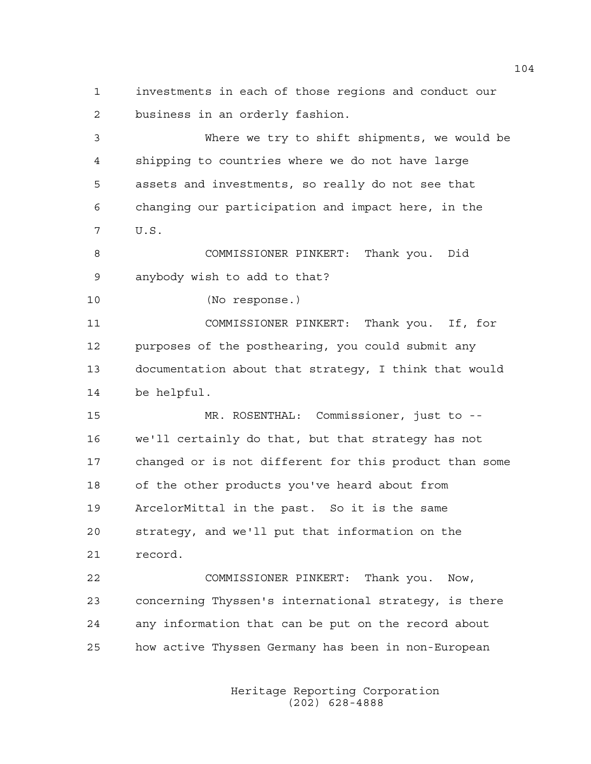1 investments in each of those regions and conduct our 2 business in an orderly fashion.

3 Where we try to shift shipments, we would be 4 shipping to countries where we do not have large 5 assets and investments, so really do not see that 6 changing our participation and impact here, in the 7 U.S.

8 COMMISSIONER PINKERT: Thank you. Did 9 anybody wish to add to that?

10 (No response.)

11 COMMISSIONER PINKERT: Thank you. If, for 12 purposes of the posthearing, you could submit any 13 documentation about that strategy, I think that would 14 be helpful.

15 MR. ROSENTHAL: Commissioner, just to -- 16 we'll certainly do that, but that strategy has not 17 changed or is not different for this product than some 18 of the other products you've heard about from 19 ArcelorMittal in the past. So it is the same 20 strategy, and we'll put that information on the 21 record.

22 COMMISSIONER PINKERT: Thank you. Now, 23 concerning Thyssen's international strategy, is there 24 any information that can be put on the record about 25 how active Thyssen Germany has been in non-European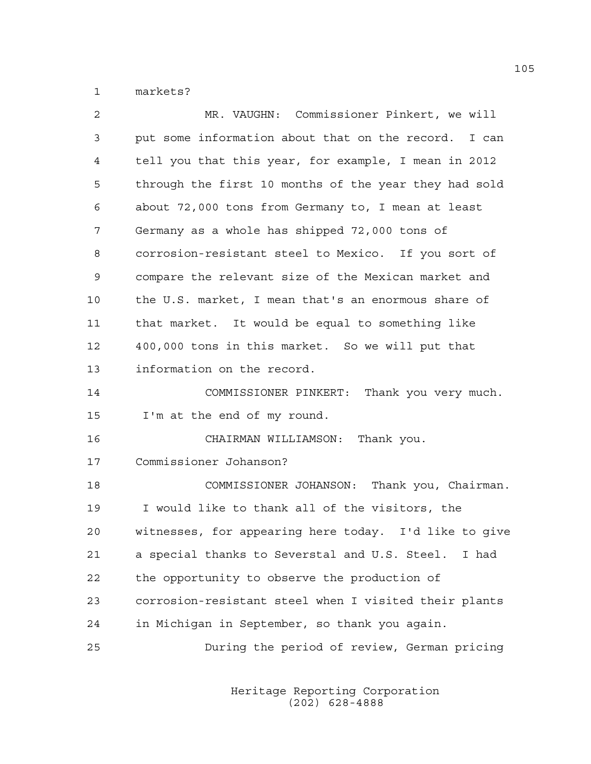1 markets?

| 2  | MR. VAUGHN: Commissioner Pinkert, we will             |
|----|-------------------------------------------------------|
| 3  | put some information about that on the record. I can  |
| 4  | tell you that this year, for example, I mean in 2012  |
| 5  | through the first 10 months of the year they had sold |
| 6  | about 72,000 tons from Germany to, I mean at least    |
| 7  | Germany as a whole has shipped 72,000 tons of         |
| 8  | corrosion-resistant steel to Mexico. If you sort of   |
| 9  | compare the relevant size of the Mexican market and   |
| 10 | the U.S. market, I mean that's an enormous share of   |
| 11 | that market. It would be equal to something like      |
| 12 | 400,000 tons in this market. So we will put that      |
| 13 | information on the record.                            |
| 14 | COMMISSIONER PINKERT: Thank you very much.            |
| 15 | I'm at the end of my round.                           |
| 16 | CHAIRMAN WILLIAMSON: Thank you.                       |
| 17 | Commissioner Johanson?                                |
| 18 | COMMISSIONER JOHANSON: Thank you, Chairman.           |
| 19 | I would like to thank all of the visitors, the        |
| 20 | witnesses, for appearing here today. I'd like to give |
| 21 | a special thanks to Severstal and U.S. Steel. I had   |
| 22 | the opportunity to observe the production of          |
| 23 | corrosion-resistant steel when I visited their plants |
| 24 | in Michigan in September, so thank you again.         |
| 25 | During the period of review, German pricing           |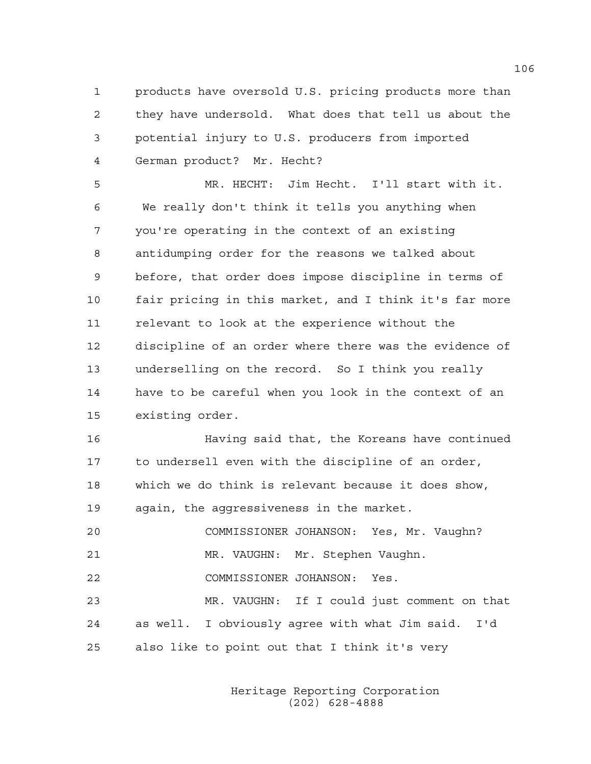1 products have oversold U.S. pricing products more than 2 they have undersold. What does that tell us about the 3 potential injury to U.S. producers from imported 4 German product? Mr. Hecht?

5 MR. HECHT: Jim Hecht. I'll start with it. 6 We really don't think it tells you anything when 7 you're operating in the context of an existing 8 antidumping order for the reasons we talked about 9 before, that order does impose discipline in terms of 10 fair pricing in this market, and I think it's far more 11 relevant to look at the experience without the 12 discipline of an order where there was the evidence of 13 underselling on the record. So I think you really 14 have to be careful when you look in the context of an 15 existing order.

16 Having said that, the Koreans have continued 17 to undersell even with the discipline of an order, 18 which we do think is relevant because it does show, 19 again, the aggressiveness in the market.

20 COMMISSIONER JOHANSON: Yes, Mr. Vaughn? 21 MR. VAUGHN: Mr. Stephen Vaughn. 22 COMMISSIONER JOHANSON: Yes. 23 MR. VAUGHN: If I could just comment on that 24 as well. I obviously agree with what Jim said. I'd 25 also like to point out that I think it's very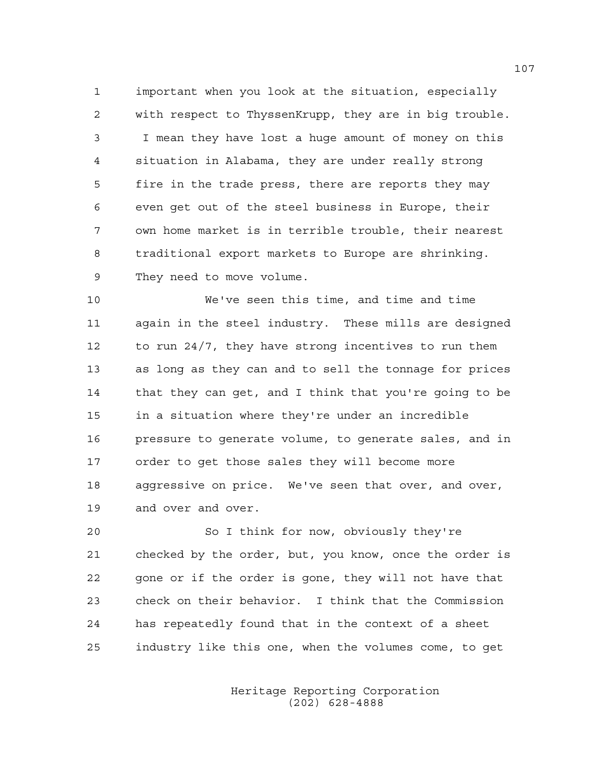1 important when you look at the situation, especially 2 with respect to ThyssenKrupp, they are in big trouble. 3 I mean they have lost a huge amount of money on this 4 situation in Alabama, they are under really strong 5 fire in the trade press, there are reports they may 6 even get out of the steel business in Europe, their 7 own home market is in terrible trouble, their nearest 8 traditional export markets to Europe are shrinking. 9 They need to move volume.

10 We've seen this time, and time and time 11 again in the steel industry. These mills are designed 12 to run 24/7, they have strong incentives to run them 13 as long as they can and to sell the tonnage for prices 14 that they can get, and I think that you're going to be 15 in a situation where they're under an incredible 16 pressure to generate volume, to generate sales, and in 17 order to get those sales they will become more 18 aggressive on price. We've seen that over, and over, 19 and over and over.

20 So I think for now, obviously they're 21 checked by the order, but, you know, once the order is 22 gone or if the order is gone, they will not have that 23 check on their behavior. I think that the Commission 24 has repeatedly found that in the context of a sheet 25 industry like this one, when the volumes come, to get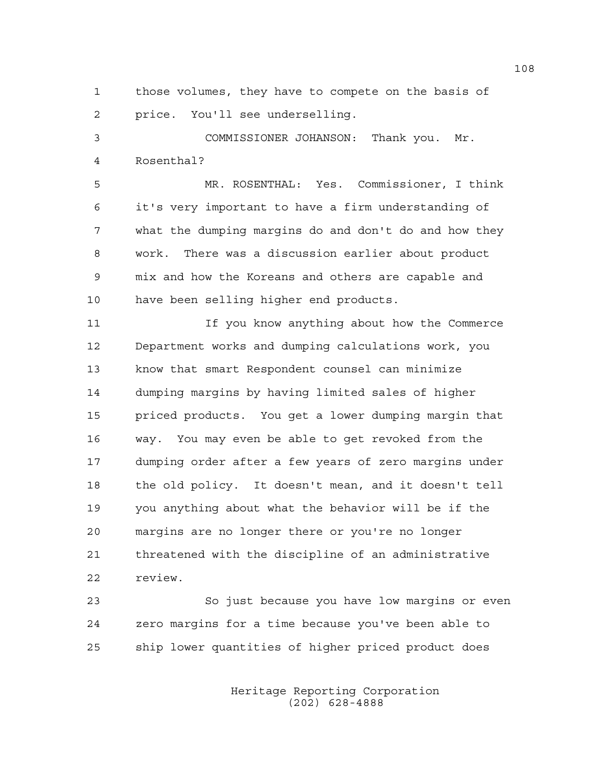1 those volumes, they have to compete on the basis of 2 price. You'll see underselling.

3 COMMISSIONER JOHANSON: Thank you. Mr. 4 Rosenthal?

5 MR. ROSENTHAL: Yes. Commissioner, I think 6 it's very important to have a firm understanding of 7 what the dumping margins do and don't do and how they 8 work. There was a discussion earlier about product 9 mix and how the Koreans and others are capable and 10 have been selling higher end products.

11 If you know anything about how the Commerce 12 Department works and dumping calculations work, you 13 know that smart Respondent counsel can minimize 14 dumping margins by having limited sales of higher 15 priced products. You get a lower dumping margin that 16 way. You may even be able to get revoked from the 17 dumping order after a few years of zero margins under 18 the old policy. It doesn't mean, and it doesn't tell 19 you anything about what the behavior will be if the 20 margins are no longer there or you're no longer 21 threatened with the discipline of an administrative 22 review.

23 So just because you have low margins or even 24 zero margins for a time because you've been able to 25 ship lower quantities of higher priced product does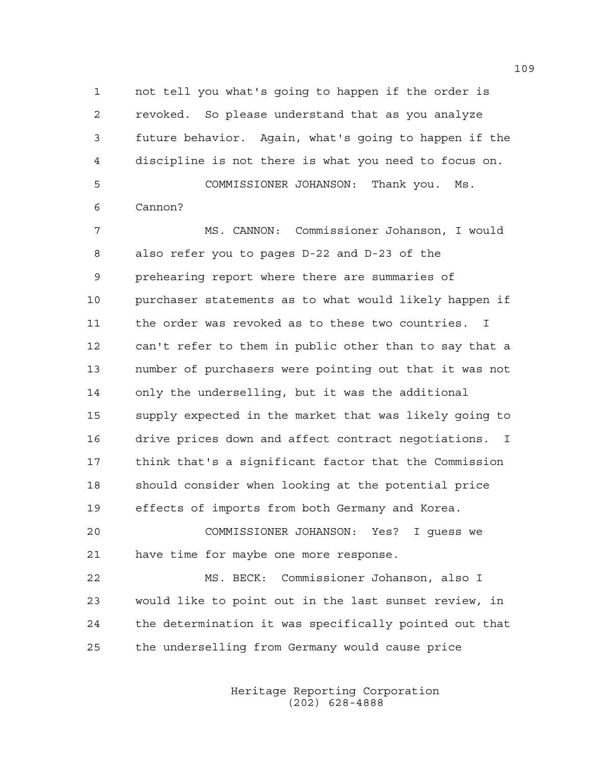1 not tell you what's going to happen if the order is 2 revoked. So please understand that as you analyze 3 future behavior. Again, what's going to happen if the 4 discipline is not there is what you need to focus on. 5 COMMISSIONER JOHANSON: Thank you. Ms. 6 Cannon?

7 MS. CANNON: Commissioner Johanson, I would 8 also refer you to pages D-22 and D-23 of the 9 prehearing report where there are summaries of 10 purchaser statements as to what would likely happen if 11 the order was revoked as to these two countries. I 12 can't refer to them in public other than to say that a 13 number of purchasers were pointing out that it was not 14 only the underselling, but it was the additional 15 supply expected in the market that was likely going to 16 drive prices down and affect contract negotiations. I 17 think that's a significant factor that the Commission 18 should consider when looking at the potential price 19 effects of imports from both Germany and Korea.

20 COMMISSIONER JOHANSON: Yes? I guess we 21 have time for maybe one more response.

22 MS. BECK: Commissioner Johanson, also I 23 would like to point out in the last sunset review, in 24 the determination it was specifically pointed out that 25 the underselling from Germany would cause price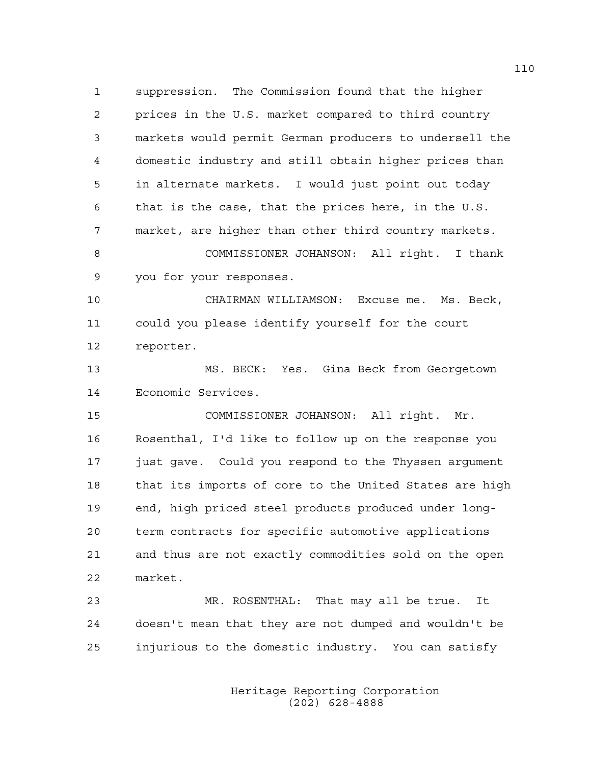1 suppression. The Commission found that the higher 2 prices in the U.S. market compared to third country 3 markets would permit German producers to undersell the 4 domestic industry and still obtain higher prices than 5 in alternate markets. I would just point out today 6 that is the case, that the prices here, in the U.S. 7 market, are higher than other third country markets. 8 COMMISSIONER JOHANSON: All right. I thank 9 you for your responses.

10 CHAIRMAN WILLIAMSON: Excuse me. Ms. Beck, 11 could you please identify yourself for the court 12 reporter.

13 MS. BECK: Yes. Gina Beck from Georgetown 14 Economic Services.

15 COMMISSIONER JOHANSON: All right. Mr. 16 Rosenthal, I'd like to follow up on the response you 17 just gave. Could you respond to the Thyssen argument 18 that its imports of core to the United States are high 19 end, high priced steel products produced under long-20 term contracts for specific automotive applications 21 and thus are not exactly commodities sold on the open 22 market.

23 MR. ROSENTHAL: That may all be true. It 24 doesn't mean that they are not dumped and wouldn't be 25 injurious to the domestic industry. You can satisfy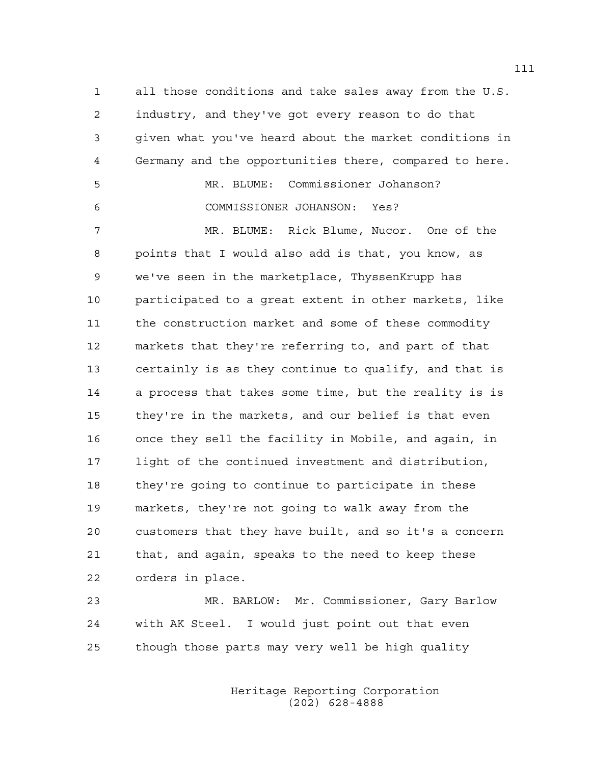1 all those conditions and take sales away from the U.S. 2 industry, and they've got every reason to do that 3 given what you've heard about the market conditions in 4 Germany and the opportunities there, compared to here.

5 MR. BLUME: Commissioner Johanson? 6 COMMISSIONER JOHANSON: Yes?

7 MR. BLUME: Rick Blume, Nucor. One of the 8 points that I would also add is that, you know, as 9 we've seen in the marketplace, ThyssenKrupp has 10 participated to a great extent in other markets, like 11 the construction market and some of these commodity 12 markets that they're referring to, and part of that 13 certainly is as they continue to qualify, and that is 14 a process that takes some time, but the reality is is 15 they're in the markets, and our belief is that even 16 once they sell the facility in Mobile, and again, in 17 light of the continued investment and distribution, 18 they're going to continue to participate in these 19 markets, they're not going to walk away from the 20 customers that they have built, and so it's a concern 21 that, and again, speaks to the need to keep these 22 orders in place.

23 MR. BARLOW: Mr. Commissioner, Gary Barlow 24 with AK Steel. I would just point out that even 25 though those parts may very well be high quality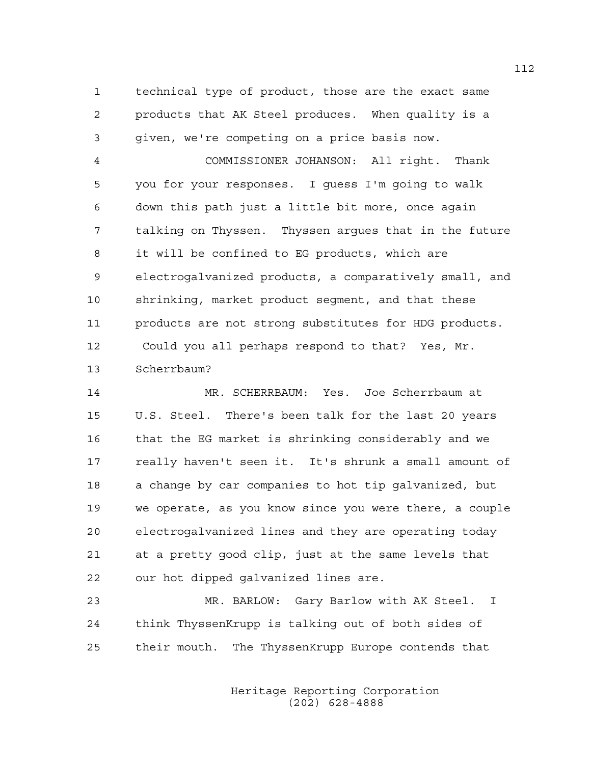1 technical type of product, those are the exact same 2 products that AK Steel produces. When quality is a 3 given, we're competing on a price basis now.

4 COMMISSIONER JOHANSON: All right. Thank 5 you for your responses. I guess I'm going to walk 6 down this path just a little bit more, once again 7 talking on Thyssen. Thyssen argues that in the future 8 it will be confined to EG products, which are 9 electrogalvanized products, a comparatively small, and 10 shrinking, market product segment, and that these 11 products are not strong substitutes for HDG products. 12 Could you all perhaps respond to that? Yes, Mr. 13 Scherrbaum?

14 MR. SCHERRBAUM: Yes. Joe Scherrbaum at 15 U.S. Steel. There's been talk for the last 20 years 16 that the EG market is shrinking considerably and we 17 really haven't seen it. It's shrunk a small amount of 18 a change by car companies to hot tip galvanized, but 19 we operate, as you know since you were there, a couple 20 electrogalvanized lines and they are operating today 21 at a pretty good clip, just at the same levels that 22 our hot dipped galvanized lines are.

23 MR. BARLOW: Gary Barlow with AK Steel. I 24 think ThyssenKrupp is talking out of both sides of 25 their mouth. The ThyssenKrupp Europe contends that

> Heritage Reporting Corporation (202) 628-4888

112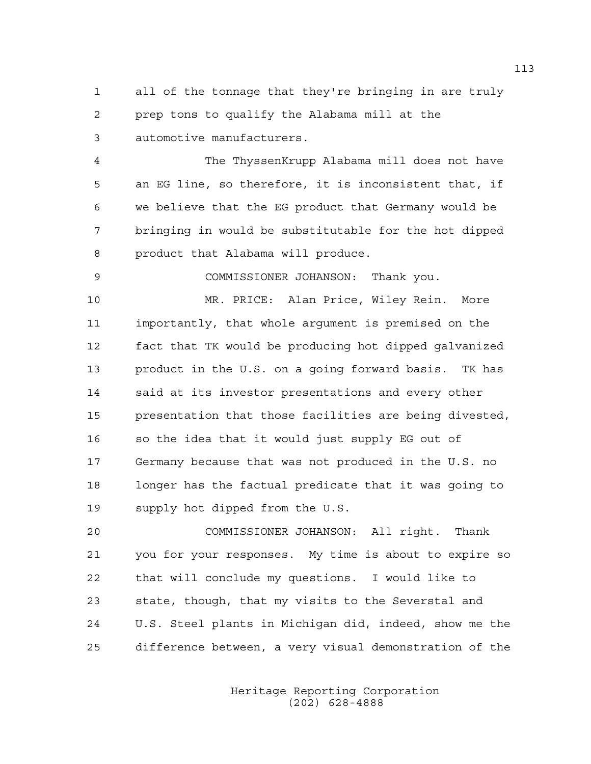1 all of the tonnage that they're bringing in are truly 2 prep tons to qualify the Alabama mill at the 3 automotive manufacturers.

4 The ThyssenKrupp Alabama mill does not have 5 an EG line, so therefore, it is inconsistent that, if 6 we believe that the EG product that Germany would be 7 bringing in would be substitutable for the hot dipped 8 product that Alabama will produce.

9 COMMISSIONER JOHANSON: Thank you.

10 MR. PRICE: Alan Price, Wiley Rein. More 11 importantly, that whole argument is premised on the 12 fact that TK would be producing hot dipped galvanized 13 product in the U.S. on a going forward basis. TK has 14 said at its investor presentations and every other 15 presentation that those facilities are being divested, 16 so the idea that it would just supply EG out of 17 Germany because that was not produced in the U.S. no 18 longer has the factual predicate that it was going to 19 supply hot dipped from the U.S.

20 COMMISSIONER JOHANSON: All right. Thank 21 you for your responses. My time is about to expire so 22 that will conclude my questions. I would like to 23 state, though, that my visits to the Severstal and 24 U.S. Steel plants in Michigan did, indeed, show me the 25 difference between, a very visual demonstration of the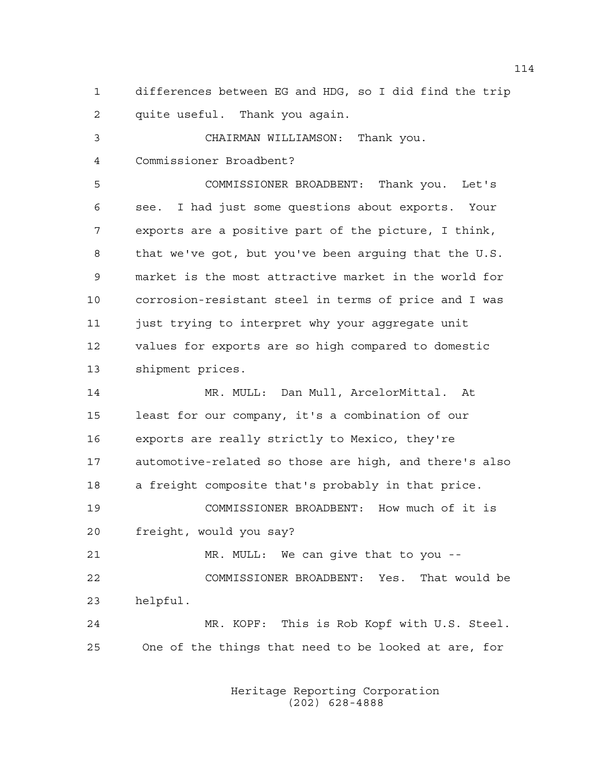1 differences between EG and HDG, so I did find the trip 2 quite useful. Thank you again.

3 CHAIRMAN WILLIAMSON: Thank you. 4 Commissioner Broadbent? 5 COMMISSIONER BROADBENT: Thank you. Let's 6 see. I had just some questions about exports. Your 7 exports are a positive part of the picture, I think, 8 that we've got, but you've been arguing that the U.S. 9 market is the most attractive market in the world for 10 corrosion-resistant steel in terms of price and I was 11 just trying to interpret why your aggregate unit 12 values for exports are so high compared to domestic 13 shipment prices. 14 MR. MULL: Dan Mull, ArcelorMittal. At 15 least for our company, it's a combination of our 16 exports are really strictly to Mexico, they're 17 automotive-related so those are high, and there's also 18 a freight composite that's probably in that price.

19 COMMISSIONER BROADBENT: How much of it is 20 freight, would you say?

21 MR. MULL: We can give that to you -- 22 COMMISSIONER BROADBENT: Yes. That would be 23 helpful.

24 MR. KOPF: This is Rob Kopf with U.S. Steel. 25 One of the things that need to be looked at are, for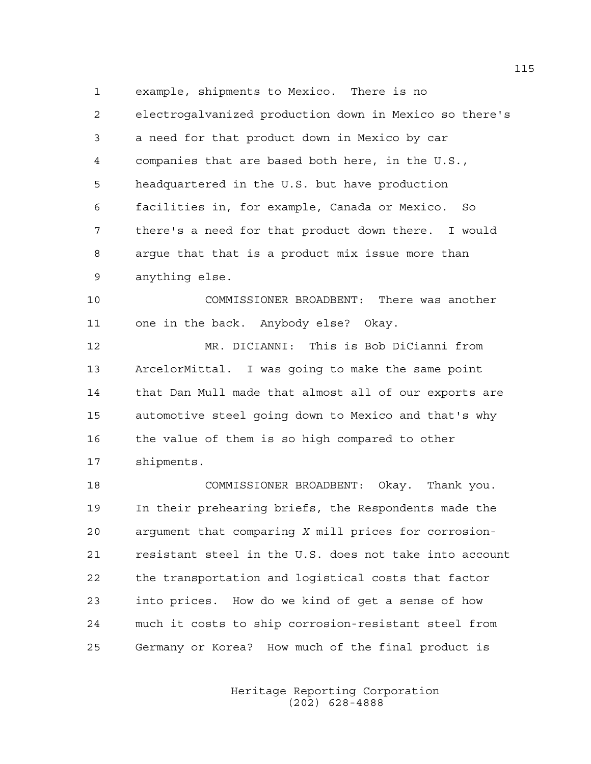1 example, shipments to Mexico. There is no 2 electrogalvanized production down in Mexico so there's 3 a need for that product down in Mexico by car 4 companies that are based both here, in the U.S., 5 headquartered in the U.S. but have production 6 facilities in, for example, Canada or Mexico. So 7 there's a need for that product down there. I would 8 argue that that is a product mix issue more than 9 anything else.

10 COMMISSIONER BROADBENT: There was another 11 one in the back. Anybody else? Okay.

12 MR. DICIANNI: This is Bob DiCianni from 13 ArcelorMittal. I was going to make the same point 14 that Dan Mull made that almost all of our exports are 15 automotive steel going down to Mexico and that's why 16 the value of them is so high compared to other 17 shipments.

18 COMMISSIONER BROADBENT: Okay. Thank you. 19 In their prehearing briefs, the Respondents made the 20 argument that comparing *X* mill prices for corrosion-21 resistant steel in the U.S. does not take into account 22 the transportation and logistical costs that factor 23 into prices. How do we kind of get a sense of how 24 much it costs to ship corrosion-resistant steel from 25 Germany or Korea? How much of the final product is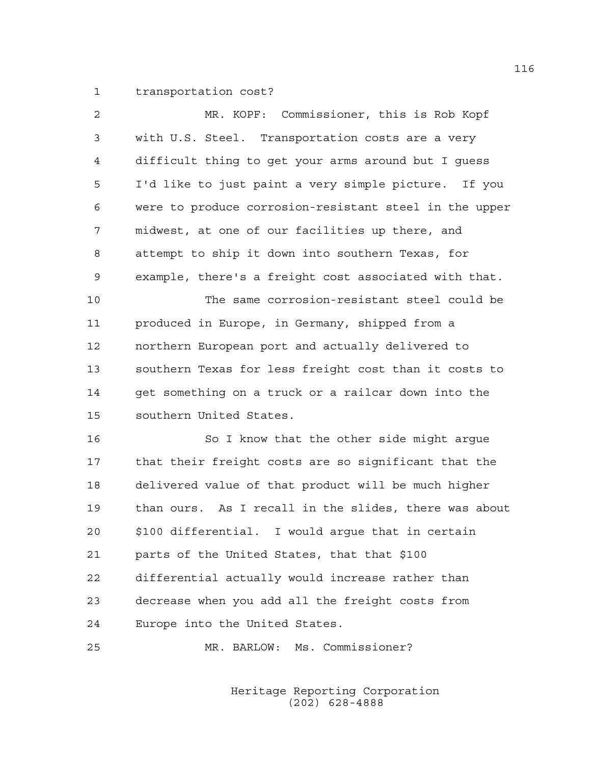1 transportation cost?

| 2  | MR. KOPF: Commissioner, this is Rob Kopf               |
|----|--------------------------------------------------------|
| 3  | with U.S. Steel. Transportation costs are a very       |
| 4  | difficult thing to get your arms around but I guess    |
| 5  | I'd like to just paint a very simple picture. If you   |
| 6  | were to produce corrosion-resistant steel in the upper |
| 7  | midwest, at one of our facilities up there, and        |
| 8  | attempt to ship it down into southern Texas, for       |
| 9  | example, there's a freight cost associated with that.  |
| 10 | The same corrosion-resistant steel could be            |
| 11 | produced in Europe, in Germany, shipped from a         |
| 12 | northern European port and actually delivered to       |
| 13 | southern Texas for less freight cost than it costs to  |
| 14 | get something on a truck or a railcar down into the    |
| 15 | southern United States.                                |
| 16 | So I know that the other side might argue              |
| 17 | that their freight costs are so significant that the   |
| 18 | delivered value of that product will be much higher    |
| 19 | than ours. As I recall in the slides, there was about  |
| 20 | \$100 differential. I would argue that in certain      |
| 21 | parts of the United States, that that \$100            |
| 22 | differential actually would increase rather than       |
| 23 | decrease when you add all the freight costs from       |
| 24 | Europe into the United States.                         |

25 MR. BARLOW: Ms. Commissioner?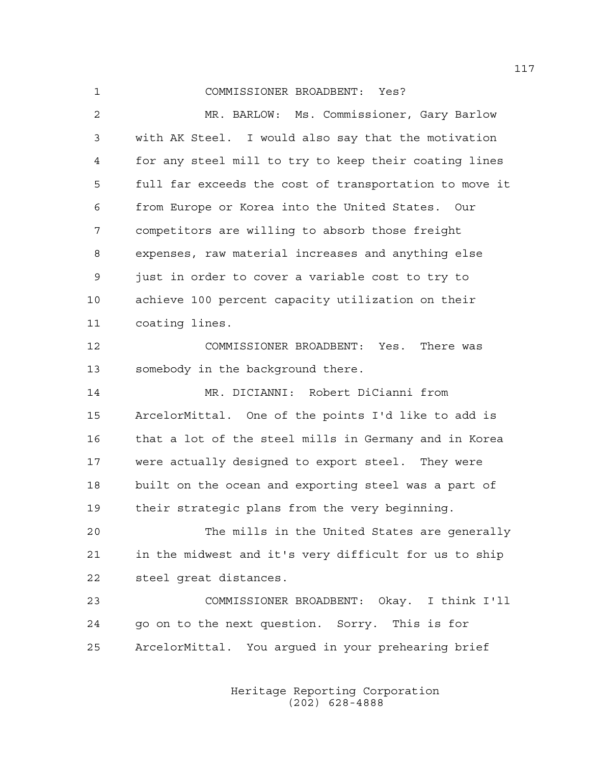1 COMMISSIONER BROADBENT: Yes? 2 MR. BARLOW: Ms. Commissioner, Gary Barlow 3 with AK Steel. I would also say that the motivation 4 for any steel mill to try to keep their coating lines 5 full far exceeds the cost of transportation to move it 6 from Europe or Korea into the United States. Our 7 competitors are willing to absorb those freight 8 expenses, raw material increases and anything else 9 just in order to cover a variable cost to try to 10 achieve 100 percent capacity utilization on their 11 coating lines. 12 COMMISSIONER BROADBENT: Yes. There was 13 somebody in the background there. 14 MR. DICIANNI: Robert DiCianni from 15 ArcelorMittal. One of the points I'd like to add is 16 that a lot of the steel mills in Germany and in Korea 17 were actually designed to export steel. They were 18 built on the ocean and exporting steel was a part of 19 their strategic plans from the very beginning. 20 The mills in the United States are generally 21 in the midwest and it's very difficult for us to ship 22 steel great distances. 23 COMMISSIONER BROADBENT: Okay. I think I'll 24 go on to the next question. Sorry. This is for 25 ArcelorMittal. You argued in your prehearing brief

> Heritage Reporting Corporation (202) 628-4888

117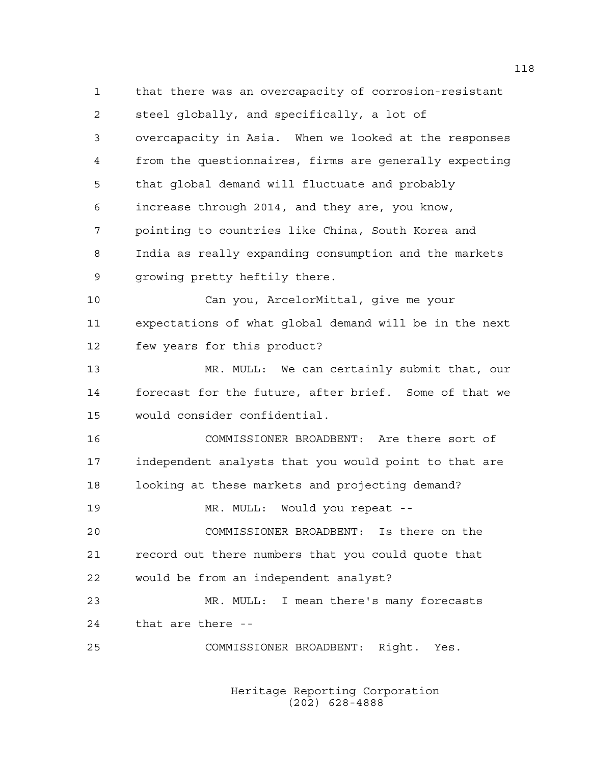1 that there was an overcapacity of corrosion-resistant 2 steel globally, and specifically, a lot of 3 overcapacity in Asia. When we looked at the responses 4 from the questionnaires, firms are generally expecting 5 that global demand will fluctuate and probably 6 increase through 2014, and they are, you know, 7 pointing to countries like China, South Korea and 8 India as really expanding consumption and the markets 9 growing pretty heftily there. 10 Can you, ArcelorMittal, give me your 11 expectations of what global demand will be in the next 12 few years for this product? 13 MR. MULL: We can certainly submit that, our 14 forecast for the future, after brief. Some of that we 15 would consider confidential. 16 COMMISSIONER BROADBENT: Are there sort of 17 independent analysts that you would point to that are 18 looking at these markets and projecting demand? 19 MR. MULL: Would you repeat -- 20 COMMISSIONER BROADBENT: Is there on the 21 record out there numbers that you could quote that 22 would be from an independent analyst? 23 MR. MULL: I mean there's many forecasts 24 that are there -- 25 COMMISSIONER BROADBENT: Right. Yes.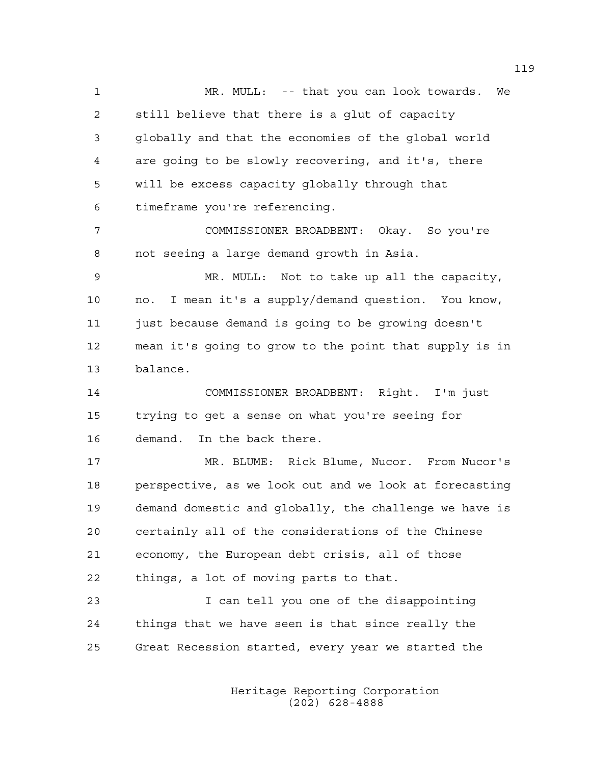1 MR. MULL: -- that you can look towards. We 2 still believe that there is a glut of capacity 3 globally and that the economies of the global world 4 are going to be slowly recovering, and it's, there 5 will be excess capacity globally through that 6 timeframe you're referencing. 7 COMMISSIONER BROADBENT: Okay. So you're 8 not seeing a large demand growth in Asia. 9 MR. MULL: Not to take up all the capacity, 10 no. I mean it's a supply/demand question. You know, 11 just because demand is going to be growing doesn't 12 mean it's going to grow to the point that supply is in 13 balance. 14 COMMISSIONER BROADBENT: Right. I'm just 15 trying to get a sense on what you're seeing for 16 demand. In the back there. 17 MR. BLUME: Rick Blume, Nucor. From Nucor's 18 perspective, as we look out and we look at forecasting 19 demand domestic and globally, the challenge we have is 20 certainly all of the considerations of the Chinese 21 economy, the European debt crisis, all of those 22 things, a lot of moving parts to that. 23 I can tell you one of the disappointing 24 things that we have seen is that since really the 25 Great Recession started, every year we started the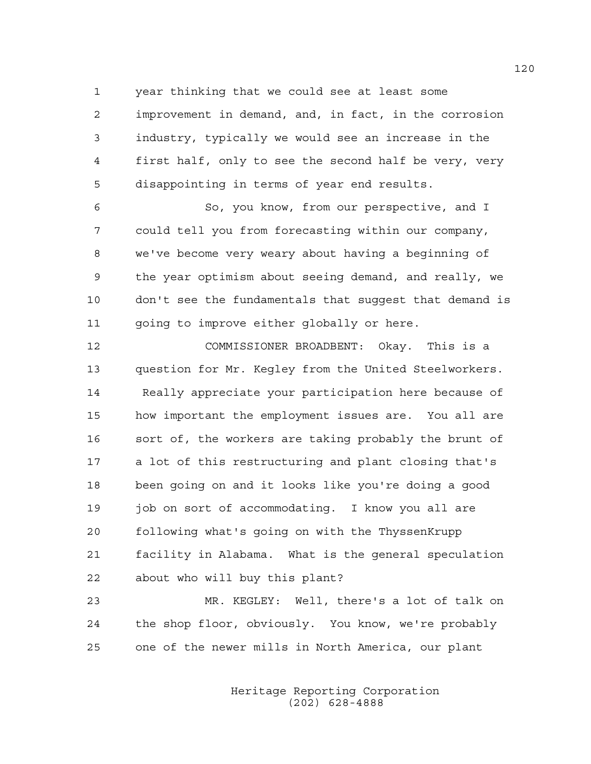1 year thinking that we could see at least some

2 improvement in demand, and, in fact, in the corrosion 3 industry, typically we would see an increase in the 4 first half, only to see the second half be very, very 5 disappointing in terms of year end results.

6 So, you know, from our perspective, and I 7 could tell you from forecasting within our company, 8 we've become very weary about having a beginning of 9 the year optimism about seeing demand, and really, we 10 don't see the fundamentals that suggest that demand is 11 going to improve either globally or here.

12 COMMISSIONER BROADBENT: Okay. This is a 13 question for Mr. Kegley from the United Steelworkers. 14 Really appreciate your participation here because of 15 how important the employment issues are. You all are 16 sort of, the workers are taking probably the brunt of 17 a lot of this restructuring and plant closing that's 18 been going on and it looks like you're doing a good 19 job on sort of accommodating. I know you all are 20 following what's going on with the ThyssenKrupp 21 facility in Alabama. What is the general speculation 22 about who will buy this plant?

23 MR. KEGLEY: Well, there's a lot of talk on 24 the shop floor, obviously. You know, we're probably 25 one of the newer mills in North America, our plant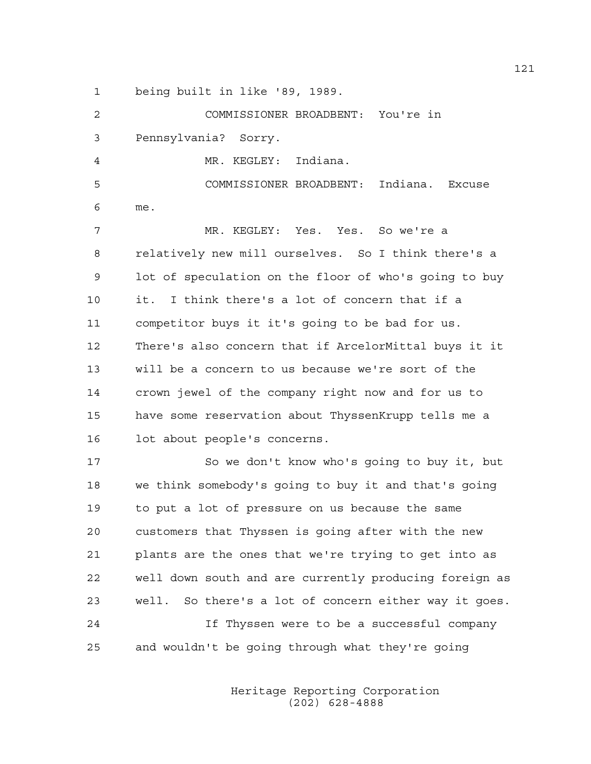1 being built in like '89, 1989.

2 COMMISSIONER BROADBENT: You're in 3 Pennsylvania? Sorry. 4 MR. KEGLEY: Indiana. 5 COMMISSIONER BROADBENT: Indiana. Excuse 6 me. 7 MR. KEGLEY: Yes. Yes. So we're a 8 relatively new mill ourselves. So I think there's a 9 lot of speculation on the floor of who's going to buy 10 it. I think there's a lot of concern that if a 11 competitor buys it it's going to be bad for us. 12 There's also concern that if ArcelorMittal buys it it 13 will be a concern to us because we're sort of the 14 crown jewel of the company right now and for us to 15 have some reservation about ThyssenKrupp tells me a 16 lot about people's concerns. 17 So we don't know who's going to buy it, but 18 we think somebody's going to buy it and that's going 19 to put a lot of pressure on us because the same 20 customers that Thyssen is going after with the new 21 plants are the ones that we're trying to get into as 22 well down south and are currently producing foreign as 23 well. So there's a lot of concern either way it goes.

24 If Thyssen were to be a successful company 25 and wouldn't be going through what they're going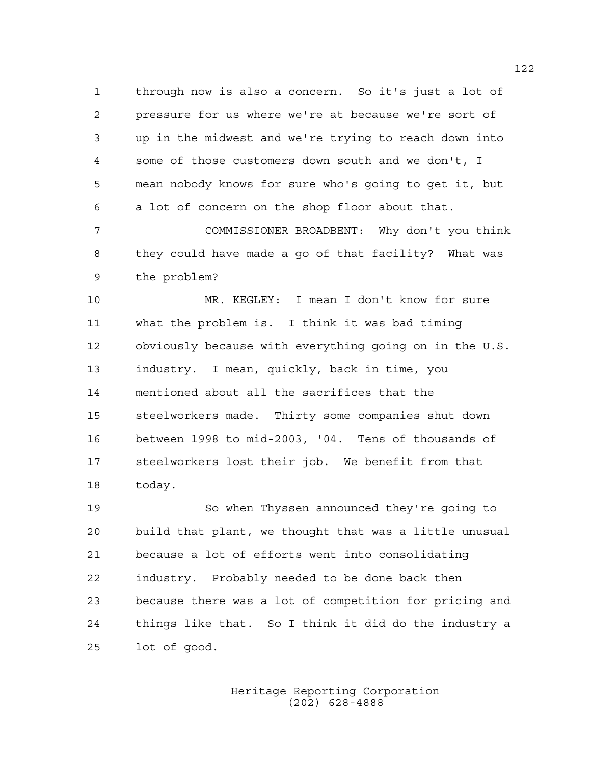1 through now is also a concern. So it's just a lot of 2 pressure for us where we're at because we're sort of 3 up in the midwest and we're trying to reach down into 4 some of those customers down south and we don't, I 5 mean nobody knows for sure who's going to get it, but 6 a lot of concern on the shop floor about that.

7 COMMISSIONER BROADBENT: Why don't you think 8 they could have made a go of that facility? What was 9 the problem?

10 MR. KEGLEY: I mean I don't know for sure 11 what the problem is. I think it was bad timing 12 obviously because with everything going on in the U.S. 13 industry. I mean, quickly, back in time, you 14 mentioned about all the sacrifices that the 15 steelworkers made. Thirty some companies shut down 16 between 1998 to mid-2003, '04. Tens of thousands of 17 steelworkers lost their job. We benefit from that 18 today.

19 So when Thyssen announced they're going to 20 build that plant, we thought that was a little unusual 21 because a lot of efforts went into consolidating 22 industry. Probably needed to be done back then 23 because there was a lot of competition for pricing and 24 things like that. So I think it did do the industry a 25 lot of good.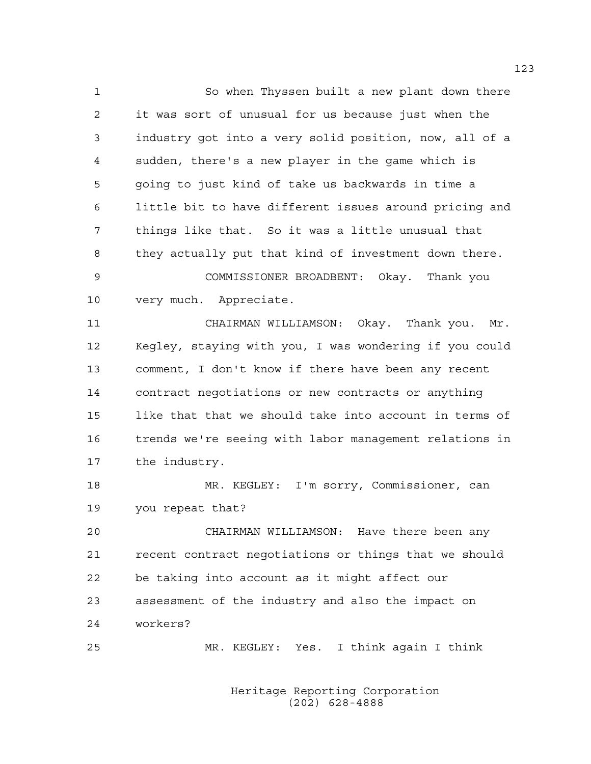1 So when Thyssen built a new plant down there 2 it was sort of unusual for us because just when the 3 industry got into a very solid position, now, all of a 4 sudden, there's a new player in the game which is 5 going to just kind of take us backwards in time a 6 little bit to have different issues around pricing and 7 things like that. So it was a little unusual that 8 they actually put that kind of investment down there. 9 COMMISSIONER BROADBENT: Okay. Thank you 10 very much. Appreciate.

11 CHAIRMAN WILLIAMSON: Okay. Thank you. Mr. 12 Kegley, staying with you, I was wondering if you could 13 comment, I don't know if there have been any recent 14 contract negotiations or new contracts or anything 15 like that that we should take into account in terms of 16 trends we're seeing with labor management relations in 17 the industry.

18 MR. KEGLEY: I'm sorry, Commissioner, can 19 you repeat that?

20 CHAIRMAN WILLIAMSON: Have there been any 21 recent contract negotiations or things that we should 22 be taking into account as it might affect our 23 assessment of the industry and also the impact on 24 workers?

25 MR. KEGLEY: Yes. I think again I think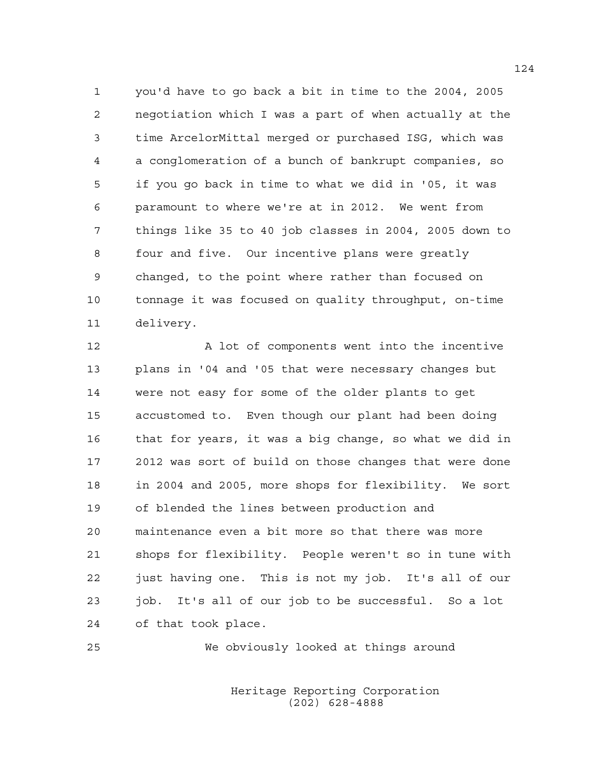1 you'd have to go back a bit in time to the 2004, 2005 2 negotiation which I was a part of when actually at the 3 time ArcelorMittal merged or purchased ISG, which was 4 a conglomeration of a bunch of bankrupt companies, so 5 if you go back in time to what we did in '05, it was 6 paramount to where we're at in 2012. We went from 7 things like 35 to 40 job classes in 2004, 2005 down to 8 four and five. Our incentive plans were greatly 9 changed, to the point where rather than focused on 10 tonnage it was focused on quality throughput, on-time 11 delivery.

12 A lot of components went into the incentive 13 plans in '04 and '05 that were necessary changes but 14 were not easy for some of the older plants to get 15 accustomed to. Even though our plant had been doing 16 that for years, it was a big change, so what we did in 17 2012 was sort of build on those changes that were done 18 in 2004 and 2005, more shops for flexibility. We sort 19 of blended the lines between production and 20 maintenance even a bit more so that there was more 21 shops for flexibility. People weren't so in tune with 22 just having one. This is not my job. It's all of our 23 job. It's all of our job to be successful. So a lot 24 of that took place.

25 We obviously looked at things around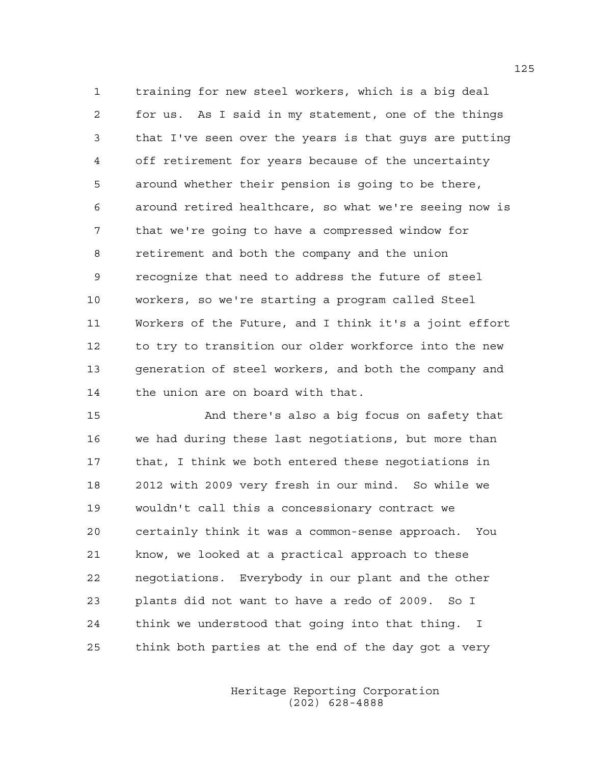1 training for new steel workers, which is a big deal 2 for us. As I said in my statement, one of the things 3 that I've seen over the years is that guys are putting 4 off retirement for years because of the uncertainty 5 around whether their pension is going to be there, 6 around retired healthcare, so what we're seeing now is 7 that we're going to have a compressed window for 8 retirement and both the company and the union 9 recognize that need to address the future of steel 10 workers, so we're starting a program called Steel 11 Workers of the Future, and I think it's a joint effort 12 to try to transition our older workforce into the new 13 generation of steel workers, and both the company and 14 the union are on board with that.

15 And there's also a big focus on safety that 16 we had during these last negotiations, but more than 17 that, I think we both entered these negotiations in 18 2012 with 2009 very fresh in our mind. So while we 19 wouldn't call this a concessionary contract we 20 certainly think it was a common-sense approach. You 21 know, we looked at a practical approach to these 22 negotiations. Everybody in our plant and the other 23 plants did not want to have a redo of 2009. So I 24 think we understood that going into that thing. I 25 think both parties at the end of the day got a very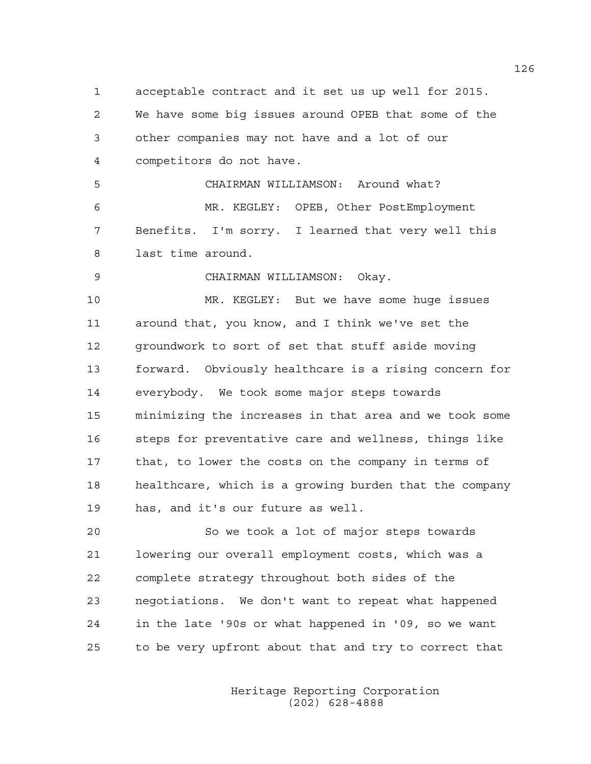1 acceptable contract and it set us up well for 2015. 2 We have some big issues around OPEB that some of the 3 other companies may not have and a lot of our 4 competitors do not have. 5 CHAIRMAN WILLIAMSON: Around what?

6 MR. KEGLEY: OPEB, Other PostEmployment 7 Benefits. I'm sorry. I learned that very well this 8 last time around.

9 CHAIRMAN WILLIAMSON: Okay.

10 MR. KEGLEY: But we have some huge issues 11 around that, you know, and I think we've set the 12 groundwork to sort of set that stuff aside moving 13 forward. Obviously healthcare is a rising concern for 14 everybody. We took some major steps towards 15 minimizing the increases in that area and we took some 16 steps for preventative care and wellness, things like 17 that, to lower the costs on the company in terms of 18 healthcare, which is a growing burden that the company 19 has, and it's our future as well.

20 So we took a lot of major steps towards 21 lowering our overall employment costs, which was a 22 complete strategy throughout both sides of the 23 negotiations. We don't want to repeat what happened 24 in the late '90s or what happened in '09, so we want 25 to be very upfront about that and try to correct that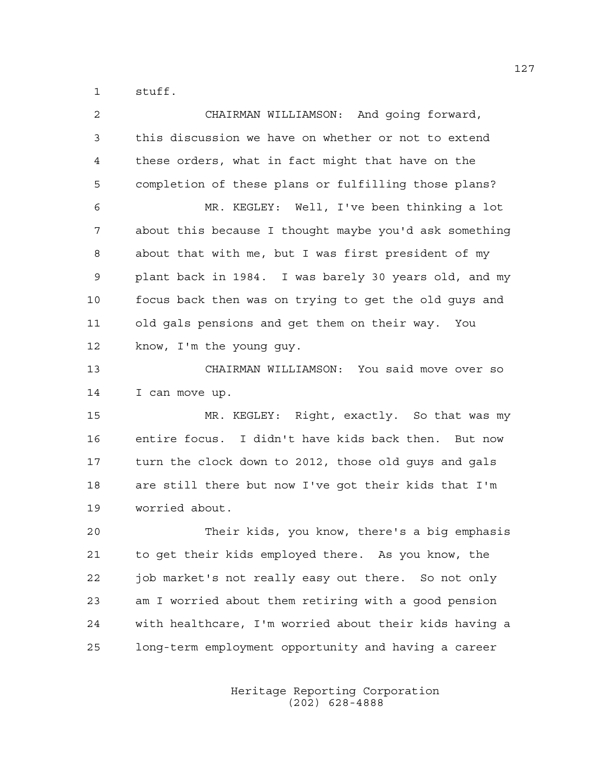1 stuff.

| 2  | CHAIRMAN WILLIAMSON: And going forward,                |
|----|--------------------------------------------------------|
| 3  | this discussion we have on whether or not to extend    |
| 4  | these orders, what in fact might that have on the      |
| 5  | completion of these plans or fulfilling those plans?   |
| 6  | MR. KEGLEY: Well, I've been thinking a lot             |
| 7  | about this because I thought maybe you'd ask something |
| 8  | about that with me, but I was first president of my    |
| 9  | plant back in 1984. I was barely 30 years old, and my  |
| 10 | focus back then was on trying to get the old guys and  |
| 11 | old gals pensions and get them on their way. You       |
| 12 | know, I'm the young guy.                               |
| 13 | CHAIRMAN WILLIAMSON: You said move over so             |
| 14 | I can move up.                                         |
| 15 | MR. KEGLEY: Right, exactly. So that was my             |
| 16 | entire focus. I didn't have kids back then. But now    |
| 17 | turn the clock down to 2012, those old guys and gals   |
| 18 | are still there but now I've got their kids that I'm   |
| 19 | worried about.                                         |
| 20 | Their kids, you know, there's a big emphasis           |
| 21 | to get their kids employed there. As you know, the     |
| 22 | job market's not really easy out there. So not only    |
| 23 | am I worried about them retiring with a good pension   |
| 24 | with healthcare, I'm worried about their kids having a |
| 25 | long-term employment opportunity and having a career   |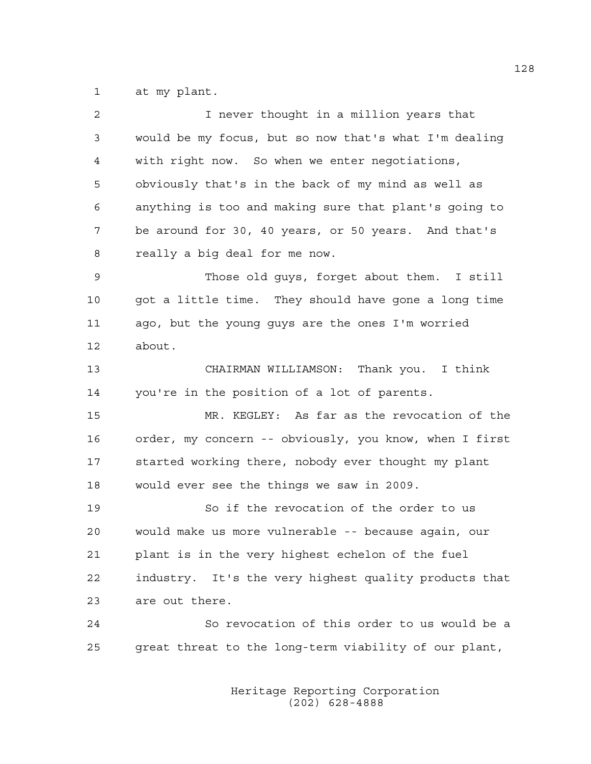1 at my plant.

| 2  | I never thought in a million years that                |
|----|--------------------------------------------------------|
| 3  | would be my focus, but so now that's what I'm dealing  |
| 4  | with right now. So when we enter negotiations,         |
| 5  | obviously that's in the back of my mind as well as     |
| 6  | anything is too and making sure that plant's going to  |
| 7  | be around for 30, 40 years, or 50 years. And that's    |
| 8  | really a big deal for me now.                          |
| 9  | Those old guys, forget about them. I still             |
| 10 | got a little time. They should have gone a long time   |
| 11 | ago, but the young guys are the ones I'm worried       |
| 12 | about.                                                 |
| 13 | CHAIRMAN WILLIAMSON: Thank you. I think                |
| 14 | you're in the position of a lot of parents.            |
| 15 | MR. KEGLEY: As far as the revocation of the            |
| 16 | order, my concern -- obviously, you know, when I first |
| 17 | started working there, nobody ever thought my plant    |
| 18 | would ever see the things we saw in 2009.              |
| 19 | So if the revocation of the order to us                |
| 20 | would make us more vulnerable -- because again, our    |
| 21 | plant is in the very highest echelon of the fuel       |
| 22 | industry. It's the very highest quality products that  |
| 23 | are out there.                                         |
| 24 | So revocation of this order to us would be a           |
| 25 | great threat to the long-term viability of our plant,  |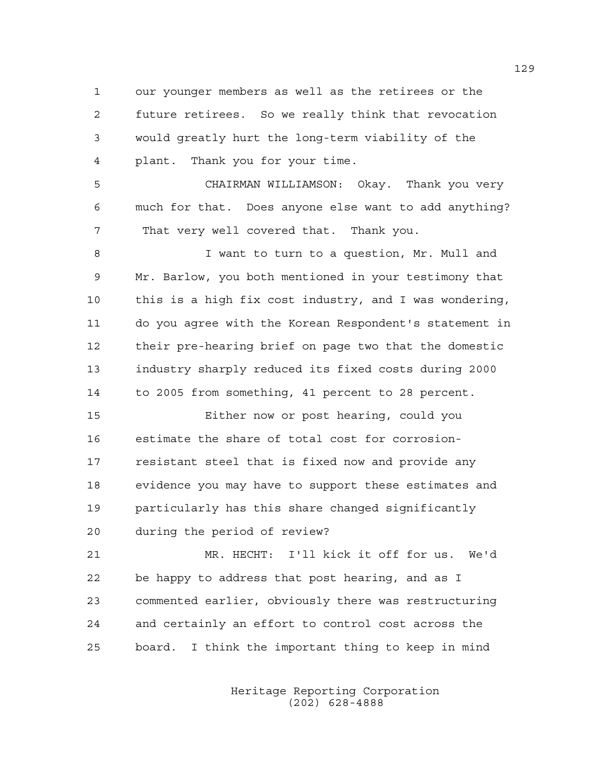1 our younger members as well as the retirees or the 2 future retirees. So we really think that revocation 3 would greatly hurt the long-term viability of the 4 plant. Thank you for your time.

5 CHAIRMAN WILLIAMSON: Okay. Thank you very 6 much for that. Does anyone else want to add anything? 7 That very well covered that. Thank you.

8 I want to turn to a question, Mr. Mull and 9 Mr. Barlow, you both mentioned in your testimony that 10 this is a high fix cost industry, and I was wondering, 11 do you agree with the Korean Respondent's statement in 12 their pre-hearing brief on page two that the domestic 13 industry sharply reduced its fixed costs during 2000 14 to 2005 from something, 41 percent to 28 percent.

15 Either now or post hearing, could you 16 estimate the share of total cost for corrosion-17 resistant steel that is fixed now and provide any 18 evidence you may have to support these estimates and 19 particularly has this share changed significantly 20 during the period of review?

21 MR. HECHT: I'll kick it off for us. We'd 22 be happy to address that post hearing, and as I 23 commented earlier, obviously there was restructuring 24 and certainly an effort to control cost across the 25 board. I think the important thing to keep in mind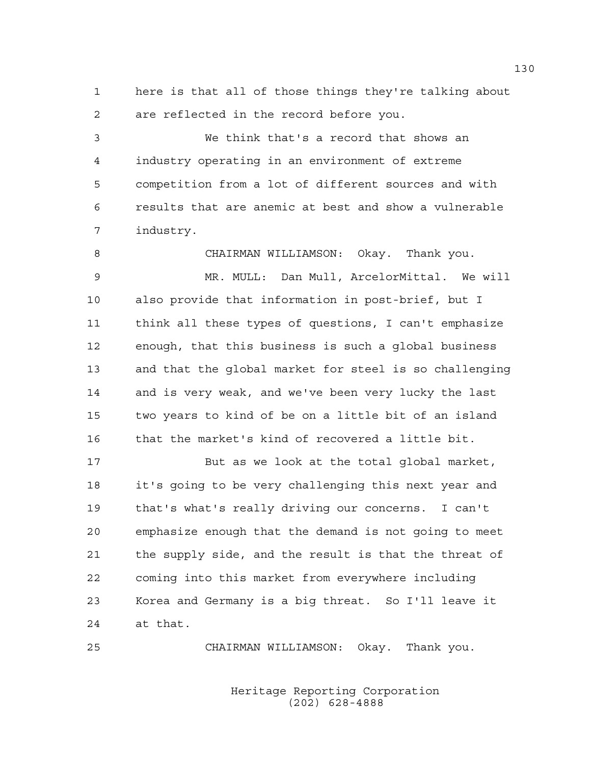1 here is that all of those things they're talking about 2 are reflected in the record before you.

3 We think that's a record that shows an 4 industry operating in an environment of extreme 5 competition from a lot of different sources and with 6 results that are anemic at best and show a vulnerable 7 industry.

8 CHAIRMAN WILLIAMSON: Okay. Thank you. 9 MR. MULL: Dan Mull, ArcelorMittal. We will 10 also provide that information in post-brief, but I 11 think all these types of questions, I can't emphasize 12 enough, that this business is such a global business 13 and that the global market for steel is so challenging 14 and is very weak, and we've been very lucky the last 15 two years to kind of be on a little bit of an island 16 that the market's kind of recovered a little bit.

17 But as we look at the total global market, 18 it's going to be very challenging this next year and 19 that's what's really driving our concerns. I can't 20 emphasize enough that the demand is not going to meet 21 the supply side, and the result is that the threat of 22 coming into this market from everywhere including 23 Korea and Germany is a big threat. So I'll leave it 24 at that.

25 CHAIRMAN WILLIAMSON: Okay. Thank you.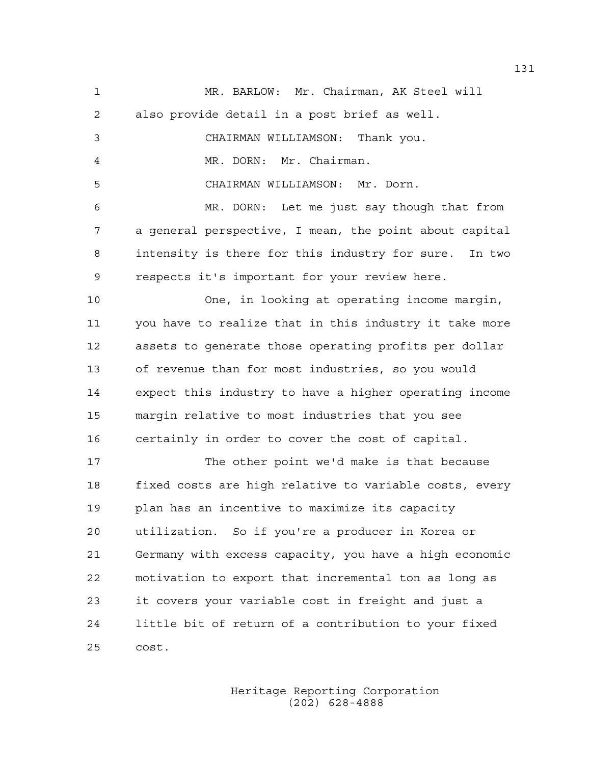1 MR. BARLOW: Mr. Chairman, AK Steel will 2 also provide detail in a post brief as well. 3 CHAIRMAN WILLIAMSON: Thank you. 4 MR. DORN: Mr. Chairman. 5 CHAIRMAN WILLIAMSON: Mr. Dorn. 6 MR. DORN: Let me just say though that from 7 a general perspective, I mean, the point about capital 8 intensity is there for this industry for sure. In two 9 respects it's important for your review here. 10 One, in looking at operating income margin, 11 you have to realize that in this industry it take more 12 assets to generate those operating profits per dollar 13 of revenue than for most industries, so you would 14 expect this industry to have a higher operating income 15 margin relative to most industries that you see 16 certainly in order to cover the cost of capital. 17 The other point we'd make is that because 18 fixed costs are high relative to variable costs, every 19 plan has an incentive to maximize its capacity 20 utilization. So if you're a producer in Korea or 21 Germany with excess capacity, you have a high economic 22 motivation to export that incremental ton as long as 23 it covers your variable cost in freight and just a 24 little bit of return of a contribution to your fixed 25 cost.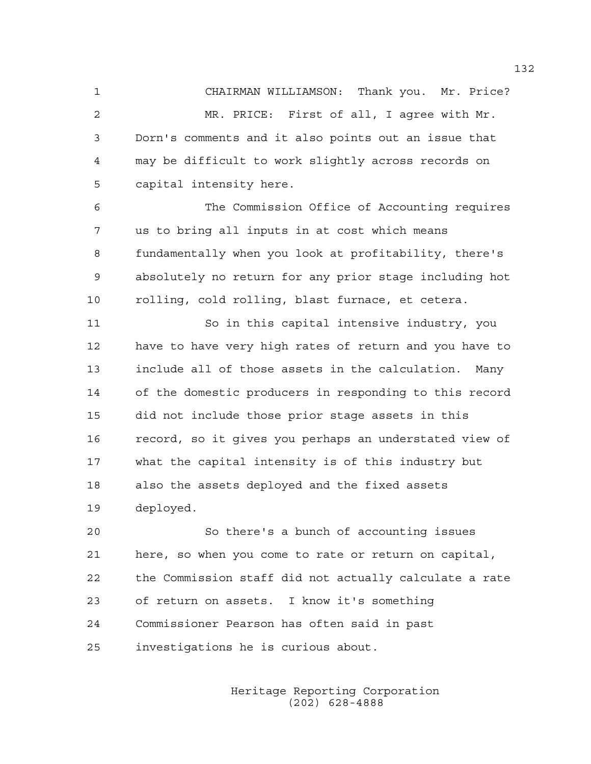1 CHAIRMAN WILLIAMSON: Thank you. Mr. Price? 2 MR. PRICE: First of all, I agree with Mr. 3 Dorn's comments and it also points out an issue that 4 may be difficult to work slightly across records on 5 capital intensity here.

6 The Commission Office of Accounting requires 7 us to bring all inputs in at cost which means 8 fundamentally when you look at profitability, there's 9 absolutely no return for any prior stage including hot 10 rolling, cold rolling, blast furnace, et cetera.

11 So in this capital intensive industry, you 12 have to have very high rates of return and you have to 13 include all of those assets in the calculation. Many 14 of the domestic producers in responding to this record 15 did not include those prior stage assets in this 16 record, so it gives you perhaps an understated view of 17 what the capital intensity is of this industry but 18 also the assets deployed and the fixed assets 19 deployed.

20 So there's a bunch of accounting issues 21 here, so when you come to rate or return on capital, 22 the Commission staff did not actually calculate a rate 23 of return on assets. I know it's something 24 Commissioner Pearson has often said in past 25 investigations he is curious about.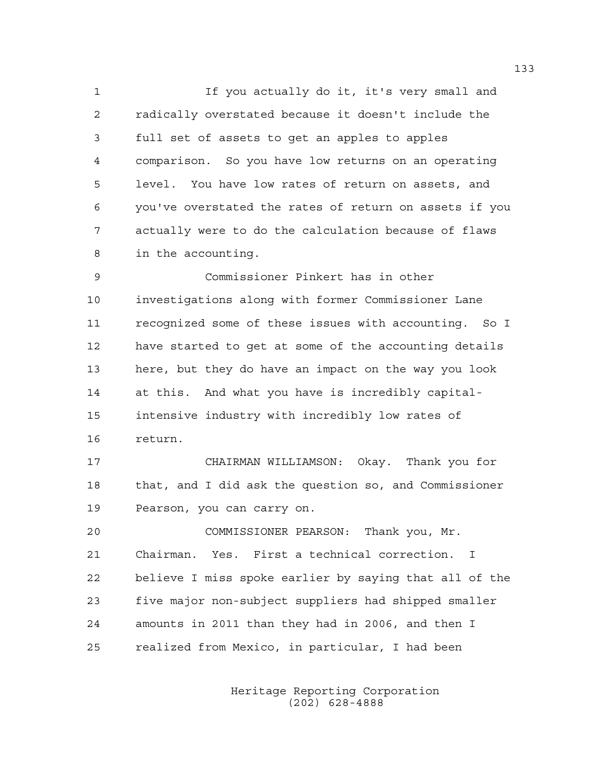1 If you actually do it, it's very small and 2 radically overstated because it doesn't include the 3 full set of assets to get an apples to apples 4 comparison. So you have low returns on an operating 5 level. You have low rates of return on assets, and 6 you've overstated the rates of return on assets if you 7 actually were to do the calculation because of flaws 8 in the accounting.

9 Commissioner Pinkert has in other 10 investigations along with former Commissioner Lane 11 recognized some of these issues with accounting. So I 12 have started to get at some of the accounting details 13 here, but they do have an impact on the way you look 14 at this. And what you have is incredibly capital-15 intensive industry with incredibly low rates of 16 return.

17 CHAIRMAN WILLIAMSON: Okay. Thank you for 18 that, and I did ask the question so, and Commissioner 19 Pearson, you can carry on.

20 COMMISSIONER PEARSON: Thank you, Mr. 21 Chairman. Yes. First a technical correction. I 22 believe I miss spoke earlier by saying that all of the 23 five major non-subject suppliers had shipped smaller 24 amounts in 2011 than they had in 2006, and then I 25 realized from Mexico, in particular, I had been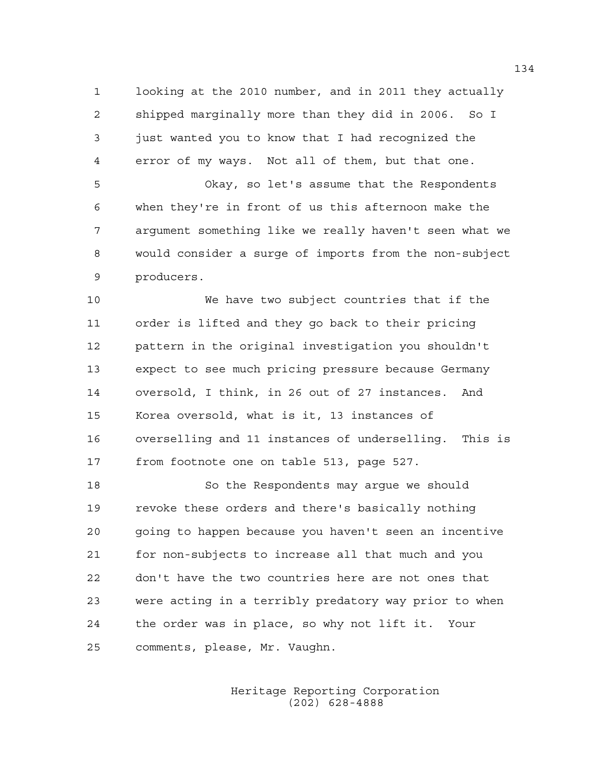1 looking at the 2010 number, and in 2011 they actually 2 shipped marginally more than they did in 2006. So I 3 just wanted you to know that I had recognized the 4 error of my ways. Not all of them, but that one.

5 Okay, so let's assume that the Respondents 6 when they're in front of us this afternoon make the 7 argument something like we really haven't seen what we 8 would consider a surge of imports from the non-subject 9 producers.

10 We have two subject countries that if the 11 order is lifted and they go back to their pricing 12 pattern in the original investigation you shouldn't 13 expect to see much pricing pressure because Germany 14 oversold, I think, in 26 out of 27 instances. And 15 Korea oversold, what is it, 13 instances of 16 overselling and 11 instances of underselling. This is 17 from footnote one on table 513, page 527.

18 So the Respondents may argue we should 19 revoke these orders and there's basically nothing 20 going to happen because you haven't seen an incentive 21 for non-subjects to increase all that much and you 22 don't have the two countries here are not ones that 23 were acting in a terribly predatory way prior to when 24 the order was in place, so why not lift it. Your 25 comments, please, Mr. Vaughn.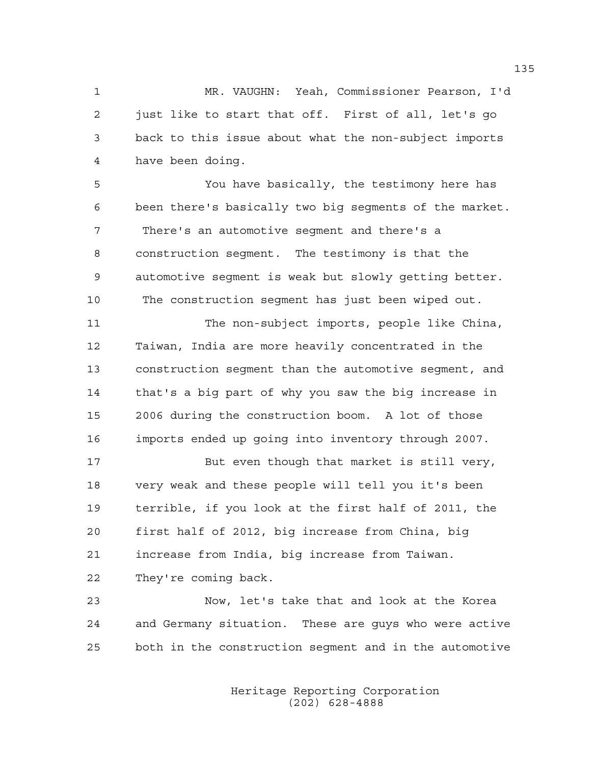1 MR. VAUGHN: Yeah, Commissioner Pearson, I'd 2 just like to start that off. First of all, let's go 3 back to this issue about what the non-subject imports 4 have been doing.

5 You have basically, the testimony here has 6 been there's basically two big segments of the market. 7 There's an automotive segment and there's a 8 construction segment. The testimony is that the 9 automotive segment is weak but slowly getting better. 10 The construction segment has just been wiped out.

11 The non-subject imports, people like China, 12 Taiwan, India are more heavily concentrated in the 13 construction segment than the automotive segment, and 14 that's a big part of why you saw the big increase in 15 2006 during the construction boom. A lot of those 16 imports ended up going into inventory through 2007.

17 But even though that market is still very, 18 very weak and these people will tell you it's been 19 terrible, if you look at the first half of 2011, the 20 first half of 2012, big increase from China, big 21 increase from India, big increase from Taiwan. 22 They're coming back.

23 Now, let's take that and look at the Korea 24 and Germany situation. These are guys who were active 25 both in the construction segment and in the automotive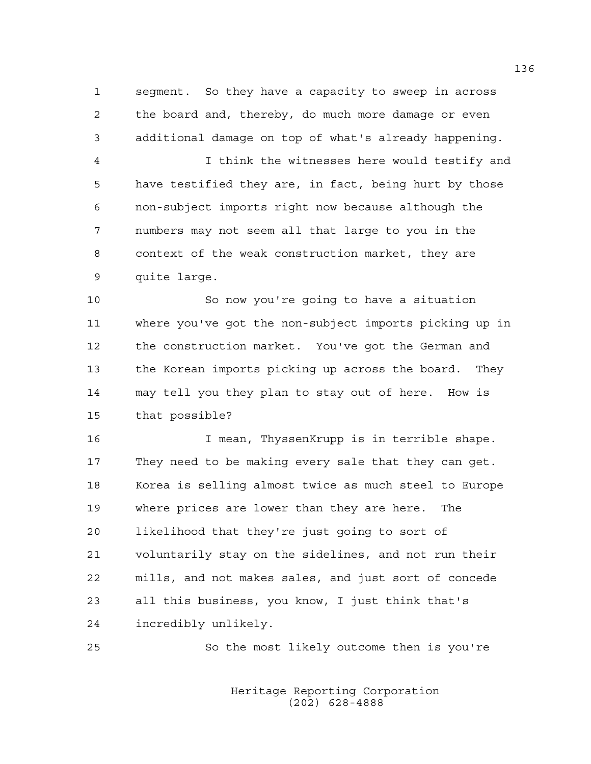1 segment. So they have a capacity to sweep in across 2 the board and, thereby, do much more damage or even 3 additional damage on top of what's already happening.

4 I think the witnesses here would testify and 5 have testified they are, in fact, being hurt by those 6 non-subject imports right now because although the 7 numbers may not seem all that large to you in the 8 context of the weak construction market, they are 9 quite large.

10 So now you're going to have a situation 11 where you've got the non-subject imports picking up in 12 the construction market. You've got the German and 13 the Korean imports picking up across the board. They 14 may tell you they plan to stay out of here. How is 15 that possible?

16 I mean, ThyssenKrupp is in terrible shape. 17 They need to be making every sale that they can get. 18 Korea is selling almost twice as much steel to Europe 19 where prices are lower than they are here. The 20 likelihood that they're just going to sort of 21 voluntarily stay on the sidelines, and not run their 22 mills, and not makes sales, and just sort of concede 23 all this business, you know, I just think that's 24 incredibly unlikely.

25 So the most likely outcome then is you're

 Heritage Reporting Corporation (202) 628-4888

136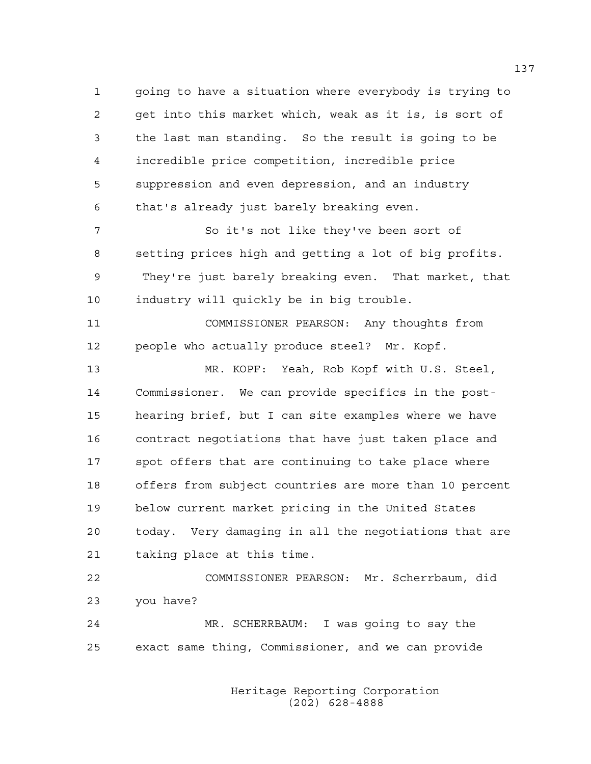1 going to have a situation where everybody is trying to 2 get into this market which, weak as it is, is sort of 3 the last man standing. So the result is going to be 4 incredible price competition, incredible price 5 suppression and even depression, and an industry 6 that's already just barely breaking even.

7 So it's not like they've been sort of 8 setting prices high and getting a lot of big profits. 9 They're just barely breaking even. That market, that 10 industry will quickly be in big trouble.

11 COMMISSIONER PEARSON: Any thoughts from 12 people who actually produce steel? Mr. Kopf.

13 MR. KOPF: Yeah, Rob Kopf with U.S. Steel, 14 Commissioner. We can provide specifics in the post-15 hearing brief, but I can site examples where we have 16 contract negotiations that have just taken place and 17 spot offers that are continuing to take place where 18 offers from subject countries are more than 10 percent 19 below current market pricing in the United States 20 today. Very damaging in all the negotiations that are 21 taking place at this time.

22 COMMISSIONER PEARSON: Mr. Scherrbaum, did 23 you have?

24 MR. SCHERRBAUM: I was going to say the 25 exact same thing, Commissioner, and we can provide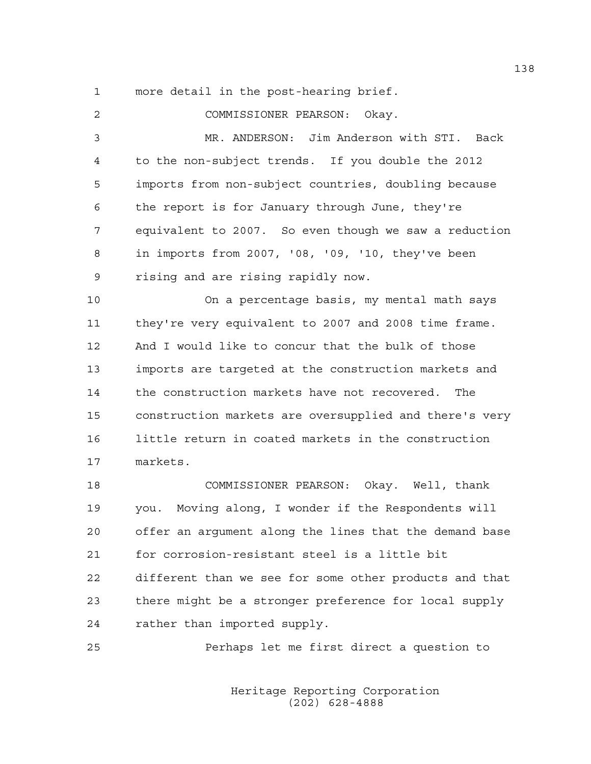1 more detail in the post-hearing brief.

2 COMMISSIONER PEARSON: Okay. 3 MR. ANDERSON: Jim Anderson with STI. Back 4 to the non-subject trends. If you double the 2012 5 imports from non-subject countries, doubling because 6 the report is for January through June, they're 7 equivalent to 2007. So even though we saw a reduction 8 in imports from 2007, '08, '09, '10, they've been 9 rising and are rising rapidly now. 10 On a percentage basis, my mental math says 11 they're very equivalent to 2007 and 2008 time frame. 12 And I would like to concur that the bulk of those 13 imports are targeted at the construction markets and 14 the construction markets have not recovered. The 15 construction markets are oversupplied and there's very 16 little return in coated markets in the construction 17 markets. 18 COMMISSIONER PEARSON: Okay. Well, thank 19 you. Moving along, I wonder if the Respondents will 20 offer an argument along the lines that the demand base 21 for corrosion-resistant steel is a little bit 22 different than we see for some other products and that 23 there might be a stronger preference for local supply 24 rather than imported supply. 25 Perhaps let me first direct a question to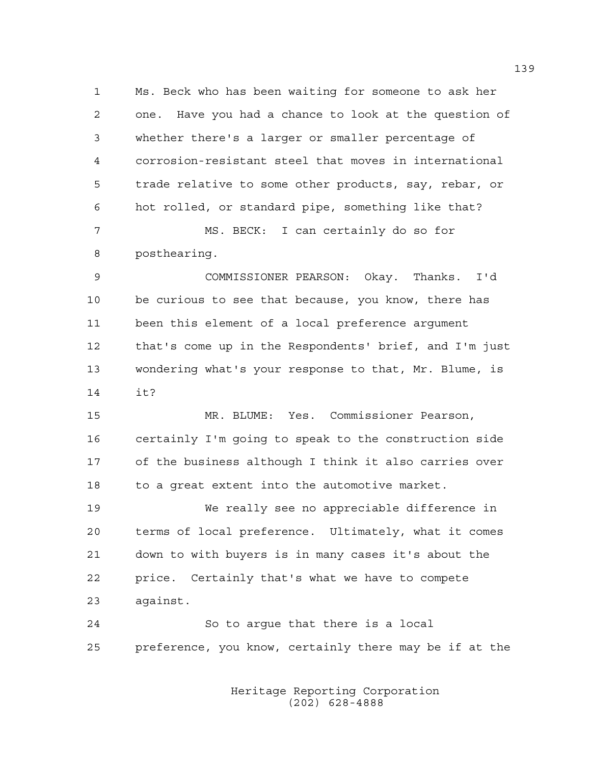1 Ms. Beck who has been waiting for someone to ask her 2 one. Have you had a chance to look at the question of 3 whether there's a larger or smaller percentage of 4 corrosion-resistant steel that moves in international 5 trade relative to some other products, say, rebar, or 6 hot rolled, or standard pipe, something like that? 7 MS. BECK: I can certainly do so for

8 posthearing.

9 COMMISSIONER PEARSON: Okay. Thanks. I'd 10 be curious to see that because, you know, there has 11 been this element of a local preference argument 12 that's come up in the Respondents' brief, and I'm just 13 wondering what's your response to that, Mr. Blume, is 14 it?

15 MR. BLUME: Yes. Commissioner Pearson, 16 certainly I'm going to speak to the construction side 17 of the business although I think it also carries over 18 to a great extent into the automotive market.

19 We really see no appreciable difference in 20 terms of local preference. Ultimately, what it comes 21 down to with buyers is in many cases it's about the 22 price. Certainly that's what we have to compete 23 against.

24 So to argue that there is a local 25 preference, you know, certainly there may be if at the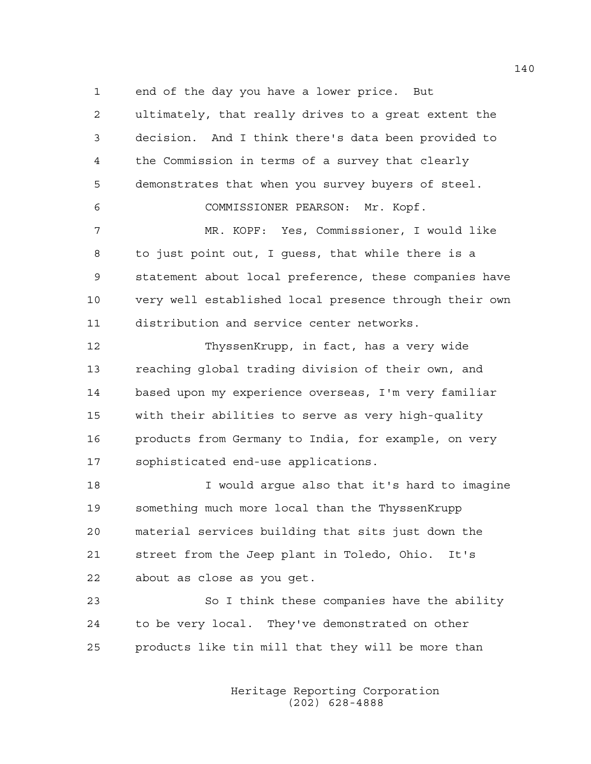1 end of the day you have a lower price. But

2 ultimately, that really drives to a great extent the 3 decision. And I think there's data been provided to 4 the Commission in terms of a survey that clearly 5 demonstrates that when you survey buyers of steel.

6 COMMISSIONER PEARSON: Mr. Kopf.

7 MR. KOPF: Yes, Commissioner, I would like 8 to just point out, I guess, that while there is a 9 statement about local preference, these companies have 10 very well established local presence through their own 11 distribution and service center networks.

12 ThyssenKrupp, in fact, has a very wide 13 reaching global trading division of their own, and 14 based upon my experience overseas, I'm very familiar 15 with their abilities to serve as very high-quality 16 products from Germany to India, for example, on very 17 sophisticated end-use applications.

18 I would argue also that it's hard to imagine 19 something much more local than the ThyssenKrupp 20 material services building that sits just down the 21 street from the Jeep plant in Toledo, Ohio. It's 22 about as close as you get.

23 So I think these companies have the ability 24 to be very local. They've demonstrated on other 25 products like tin mill that they will be more than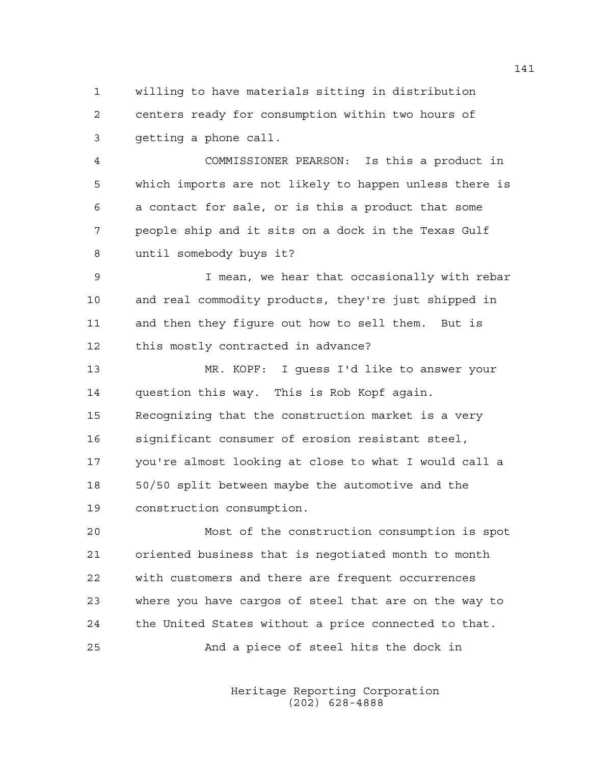1 willing to have materials sitting in distribution 2 centers ready for consumption within two hours of 3 getting a phone call.

4 COMMISSIONER PEARSON: Is this a product in 5 which imports are not likely to happen unless there is 6 a contact for sale, or is this a product that some 7 people ship and it sits on a dock in the Texas Gulf 8 until somebody buys it?

9 I mean, we hear that occasionally with rebar 10 and real commodity products, they're just shipped in 11 and then they figure out how to sell them. But is 12 this mostly contracted in advance?

13 MR. KOPF: I guess I'd like to answer your 14 question this way. This is Rob Kopf again. 15 Recognizing that the construction market is a very 16 significant consumer of erosion resistant steel, 17 you're almost looking at close to what I would call a 18 50/50 split between maybe the automotive and the 19 construction consumption.

20 Most of the construction consumption is spot 21 oriented business that is negotiated month to month 22 with customers and there are frequent occurrences 23 where you have cargos of steel that are on the way to 24 the United States without a price connected to that. 25 And a piece of steel hits the dock in

> Heritage Reporting Corporation (202) 628-4888

141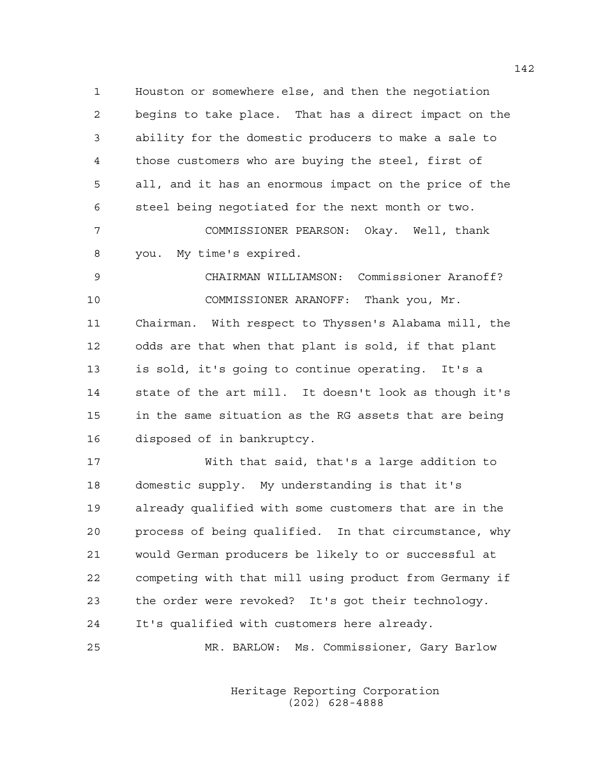1 Houston or somewhere else, and then the negotiation 2 begins to take place. That has a direct impact on the 3 ability for the domestic producers to make a sale to 4 those customers who are buying the steel, first of 5 all, and it has an enormous impact on the price of the 6 steel being negotiated for the next month or two.

7 COMMISSIONER PEARSON: Okay. Well, thank 8 you. My time's expired.

9 CHAIRMAN WILLIAMSON: Commissioner Aranoff? 10 COMMISSIONER ARANOFF: Thank you, Mr. 11 Chairman. With respect to Thyssen's Alabama mill, the 12 odds are that when that plant is sold, if that plant 13 is sold, it's going to continue operating. It's a 14 state of the art mill. It doesn't look as though it's 15 in the same situation as the RG assets that are being 16 disposed of in bankruptcy.

17 With that said, that's a large addition to 18 domestic supply. My understanding is that it's 19 already qualified with some customers that are in the 20 process of being qualified. In that circumstance, why 21 would German producers be likely to or successful at 22 competing with that mill using product from Germany if 23 the order were revoked? It's got their technology. 24 It's qualified with customers here already.

25 MR. BARLOW: Ms. Commissioner, Gary Barlow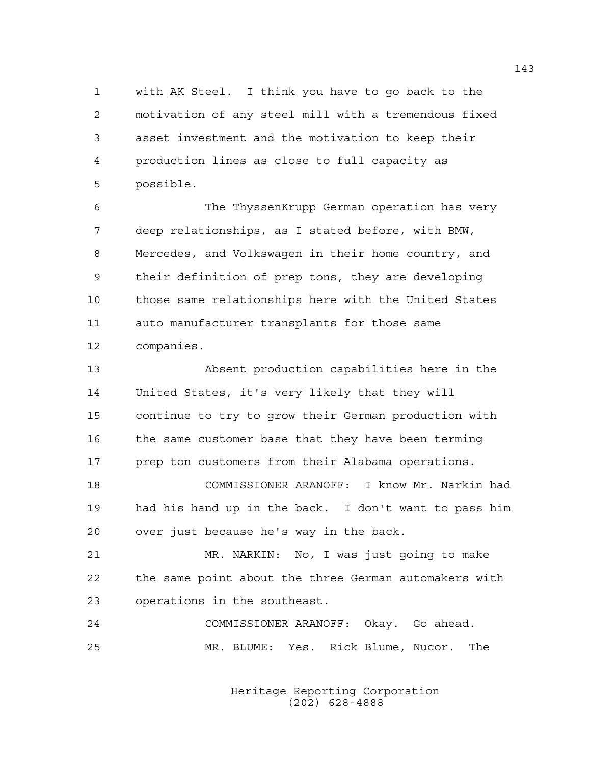1 with AK Steel. I think you have to go back to the 2 motivation of any steel mill with a tremendous fixed 3 asset investment and the motivation to keep their 4 production lines as close to full capacity as 5 possible.

6 The ThyssenKrupp German operation has very 7 deep relationships, as I stated before, with BMW, 8 Mercedes, and Volkswagen in their home country, and 9 their definition of prep tons, they are developing 10 those same relationships here with the United States 11 auto manufacturer transplants for those same 12 companies.

13 Absent production capabilities here in the 14 United States, it's very likely that they will 15 continue to try to grow their German production with 16 the same customer base that they have been terming 17 prep ton customers from their Alabama operations.

18 COMMISSIONER ARANOFF: I know Mr. Narkin had 19 had his hand up in the back. I don't want to pass him 20 over just because he's way in the back.

21 MR. NARKIN: No, I was just going to make 22 the same point about the three German automakers with 23 operations in the southeast.

24 COMMISSIONER ARANOFF: Okay. Go ahead. 25 MR. BLUME: Yes. Rick Blume, Nucor. The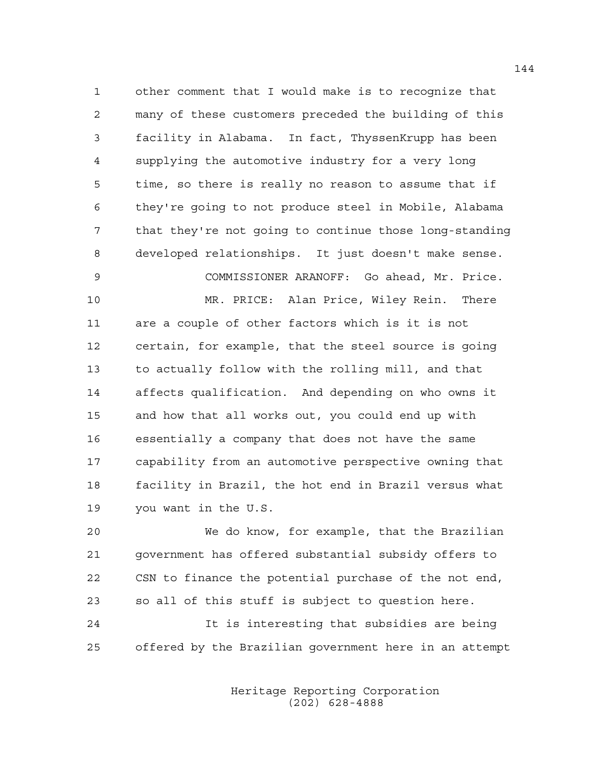1 other comment that I would make is to recognize that 2 many of these customers preceded the building of this 3 facility in Alabama. In fact, ThyssenKrupp has been 4 supplying the automotive industry for a very long 5 time, so there is really no reason to assume that if 6 they're going to not produce steel in Mobile, Alabama 7 that they're not going to continue those long-standing 8 developed relationships. It just doesn't make sense. 9 COMMISSIONER ARANOFF: Go ahead, Mr. Price.

10 MR. PRICE: Alan Price, Wiley Rein. There 11 are a couple of other factors which is it is not 12 certain, for example, that the steel source is going 13 to actually follow with the rolling mill, and that 14 affects qualification. And depending on who owns it 15 and how that all works out, you could end up with 16 essentially a company that does not have the same 17 capability from an automotive perspective owning that 18 facility in Brazil, the hot end in Brazil versus what 19 you want in the U.S.

20 We do know, for example, that the Brazilian 21 government has offered substantial subsidy offers to 22 CSN to finance the potential purchase of the not end, 23 so all of this stuff is subject to question here.

24 It is interesting that subsidies are being 25 offered by the Brazilian government here in an attempt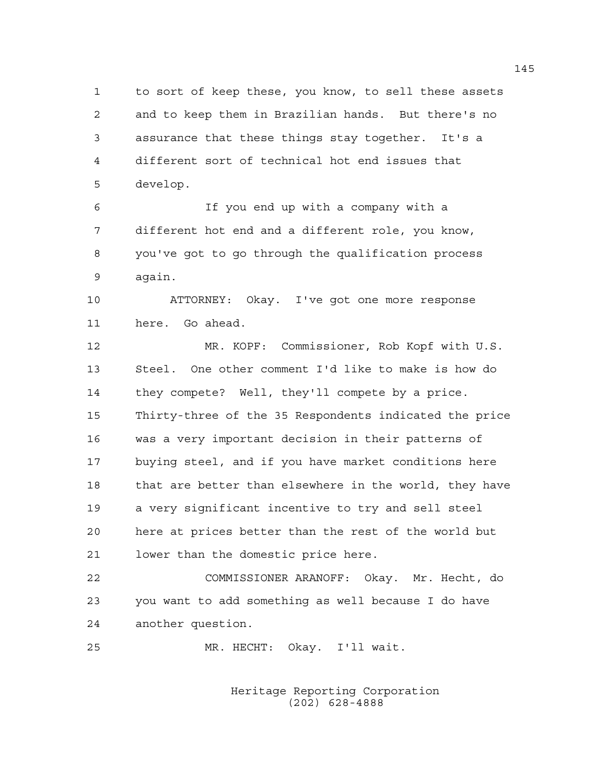1 to sort of keep these, you know, to sell these assets 2 and to keep them in Brazilian hands. But there's no 3 assurance that these things stay together. It's a 4 different sort of technical hot end issues that 5 develop.

6 If you end up with a company with a 7 different hot end and a different role, you know, 8 you've got to go through the qualification process 9 again.

10 ATTORNEY: Okay. I've got one more response 11 here. Go ahead.

12 MR. KOPF: Commissioner, Rob Kopf with U.S. 13 Steel. One other comment I'd like to make is how do 14 they compete? Well, they'll compete by a price. 15 Thirty-three of the 35 Respondents indicated the price 16 was a very important decision in their patterns of 17 buying steel, and if you have market conditions here 18 that are better than elsewhere in the world, they have 19 a very significant incentive to try and sell steel 20 here at prices better than the rest of the world but 21 lower than the domestic price here.

22 COMMISSIONER ARANOFF: Okay. Mr. Hecht, do 23 you want to add something as well because I do have 24 another question.

25 MR. HECHT: Okay. I'll wait.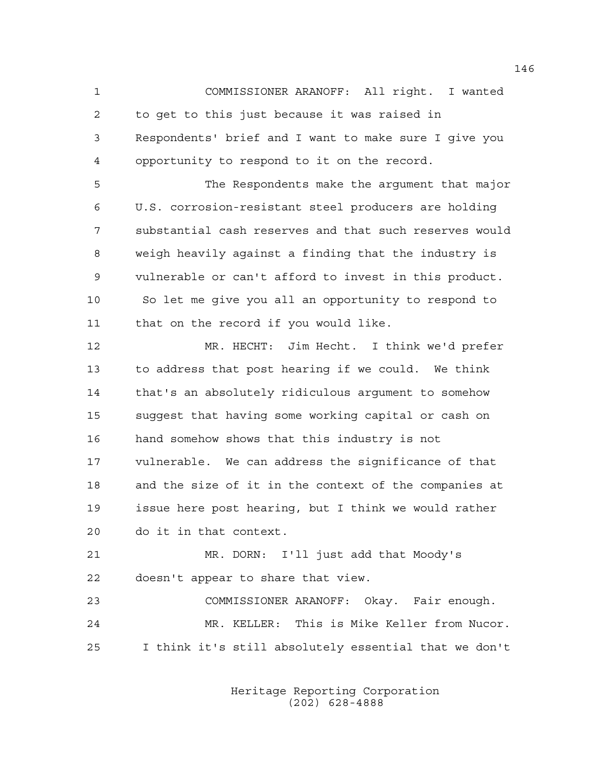1 COMMISSIONER ARANOFF: All right. I wanted 2 to get to this just because it was raised in 3 Respondents' brief and I want to make sure I give you 4 opportunity to respond to it on the record.

5 The Respondents make the argument that major 6 U.S. corrosion-resistant steel producers are holding 7 substantial cash reserves and that such reserves would 8 weigh heavily against a finding that the industry is 9 vulnerable or can't afford to invest in this product. 10 So let me give you all an opportunity to respond to 11 that on the record if you would like.

12 MR. HECHT: Jim Hecht. I think we'd prefer 13 to address that post hearing if we could. We think 14 that's an absolutely ridiculous argument to somehow 15 suggest that having some working capital or cash on 16 hand somehow shows that this industry is not 17 vulnerable. We can address the significance of that 18 and the size of it in the context of the companies at 19 issue here post hearing, but I think we would rather 20 do it in that context.

21 MR. DORN: I'll just add that Moody's 22 doesn't appear to share that view.

23 COMMISSIONER ARANOFF: Okay. Fair enough. 24 MR. KELLER: This is Mike Keller from Nucor. 25 I think it's still absolutely essential that we don't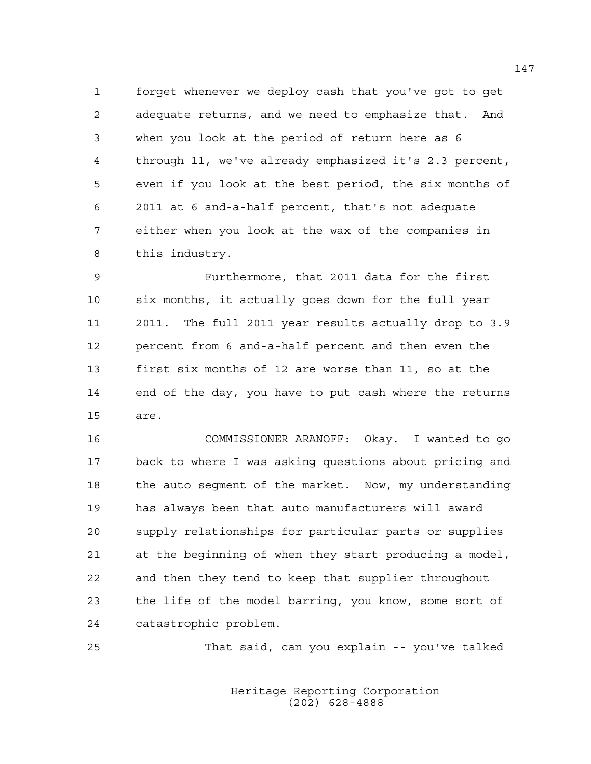1 forget whenever we deploy cash that you've got to get 2 adequate returns, and we need to emphasize that. And 3 when you look at the period of return here as 6 4 through 11, we've already emphasized it's 2.3 percent, 5 even if you look at the best period, the six months of 6 2011 at 6 and-a-half percent, that's not adequate 7 either when you look at the wax of the companies in 8 this industry.

9 Furthermore, that 2011 data for the first 10 six months, it actually goes down for the full year 11 2011. The full 2011 year results actually drop to 3.9 12 percent from 6 and-a-half percent and then even the 13 first six months of 12 are worse than 11, so at the 14 end of the day, you have to put cash where the returns 15 are.

16 COMMISSIONER ARANOFF: Okay. I wanted to go 17 back to where I was asking questions about pricing and 18 the auto segment of the market. Now, my understanding 19 has always been that auto manufacturers will award 20 supply relationships for particular parts or supplies 21 at the beginning of when they start producing a model, 22 and then they tend to keep that supplier throughout 23 the life of the model barring, you know, some sort of 24 catastrophic problem.

25 That said, can you explain -- you've talked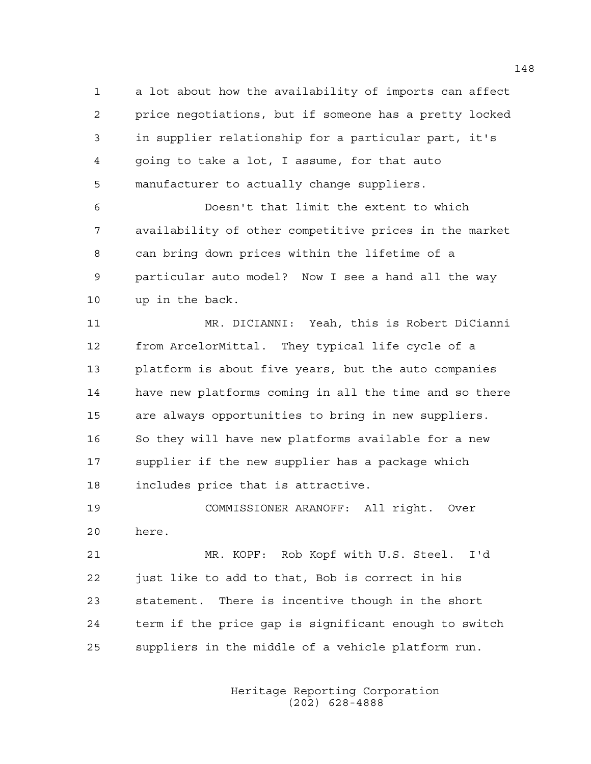1 a lot about how the availability of imports can affect 2 price negotiations, but if someone has a pretty locked 3 in supplier relationship for a particular part, it's 4 going to take a lot, I assume, for that auto 5 manufacturer to actually change suppliers.

6 Doesn't that limit the extent to which 7 availability of other competitive prices in the market 8 can bring down prices within the lifetime of a 9 particular auto model? Now I see a hand all the way 10 up in the back.

11 MR. DICIANNI: Yeah, this is Robert DiCianni 12 from ArcelorMittal. They typical life cycle of a 13 platform is about five years, but the auto companies 14 have new platforms coming in all the time and so there 15 are always opportunities to bring in new suppliers. 16 So they will have new platforms available for a new 17 supplier if the new supplier has a package which 18 includes price that is attractive.

19 COMMISSIONER ARANOFF: All right. Over 20 here.

21 MR. KOPF: Rob Kopf with U.S. Steel. I'd 22 just like to add to that, Bob is correct in his 23 statement. There is incentive though in the short 24 term if the price gap is significant enough to switch 25 suppliers in the middle of a vehicle platform run.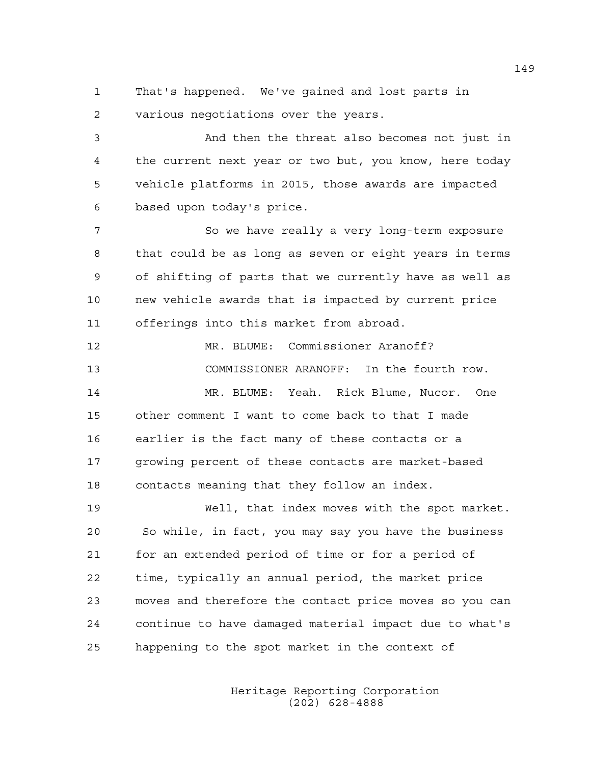1 That's happened. We've gained and lost parts in 2 various negotiations over the years.

3 And then the threat also becomes not just in 4 the current next year or two but, you know, here today 5 vehicle platforms in 2015, those awards are impacted 6 based upon today's price.

7 So we have really a very long-term exposure 8 that could be as long as seven or eight years in terms 9 of shifting of parts that we currently have as well as 10 new vehicle awards that is impacted by current price 11 offerings into this market from abroad.

12 MR. BLUME: Commissioner Aranoff? 13 COMMISSIONER ARANOFF: In the fourth row. 14 MR. BLUME: Yeah. Rick Blume, Nucor. One 15 other comment I want to come back to that I made 16 earlier is the fact many of these contacts or a 17 growing percent of these contacts are market-based

18 contacts meaning that they follow an index.

19 Well, that index moves with the spot market. 20 So while, in fact, you may say you have the business 21 for an extended period of time or for a period of 22 time, typically an annual period, the market price 23 moves and therefore the contact price moves so you can 24 continue to have damaged material impact due to what's 25 happening to the spot market in the context of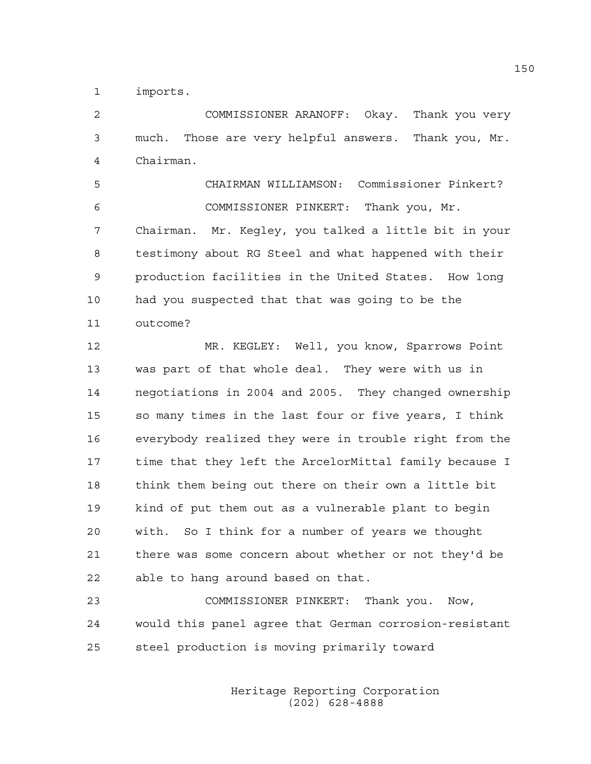1 imports.

2 COMMISSIONER ARANOFF: Okay. Thank you very 3 much. Those are very helpful answers. Thank you, Mr. 4 Chairman.

5 CHAIRMAN WILLIAMSON: Commissioner Pinkert? 6 COMMISSIONER PINKERT: Thank you, Mr. 7 Chairman. Mr. Kegley, you talked a little bit in your 8 testimony about RG Steel and what happened with their 9 production facilities in the United States. How long 10 had you suspected that that was going to be the 11 outcome?

12 MR. KEGLEY: Well, you know, Sparrows Point 13 was part of that whole deal. They were with us in 14 negotiations in 2004 and 2005. They changed ownership 15 so many times in the last four or five years, I think 16 everybody realized they were in trouble right from the 17 time that they left the ArcelorMittal family because I 18 think them being out there on their own a little bit 19 kind of put them out as a vulnerable plant to begin 20 with. So I think for a number of years we thought 21 there was some concern about whether or not they'd be 22 able to hang around based on that.

23 COMMISSIONER PINKERT: Thank you. Now, 24 would this panel agree that German corrosion-resistant 25 steel production is moving primarily toward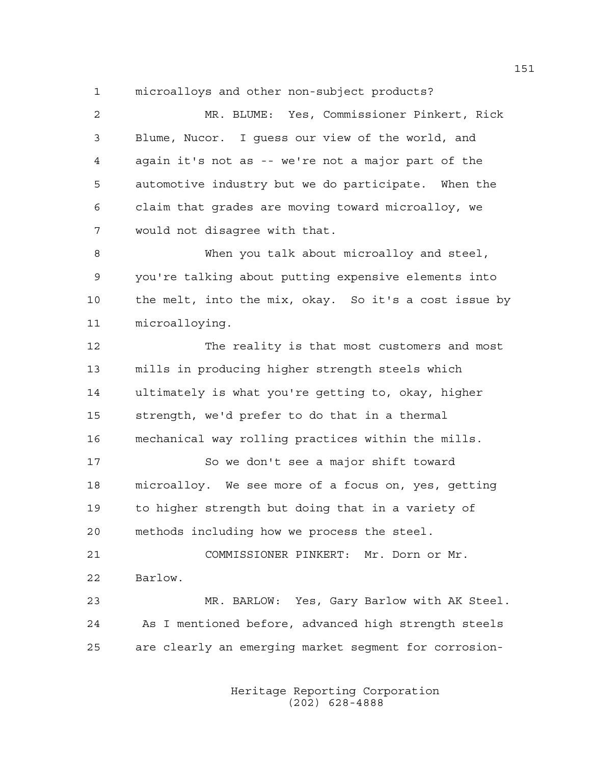1 microalloys and other non-subject products?

2 MR. BLUME: Yes, Commissioner Pinkert, Rick 3 Blume, Nucor. I guess our view of the world, and 4 again it's not as -- we're not a major part of the 5 automotive industry but we do participate. When the 6 claim that grades are moving toward microalloy, we 7 would not disagree with that.

8 When you talk about microalloy and steel, 9 you're talking about putting expensive elements into 10 the melt, into the mix, okay. So it's a cost issue by 11 microalloying.

12 The reality is that most customers and most 13 mills in producing higher strength steels which 14 ultimately is what you're getting to, okay, higher 15 strength, we'd prefer to do that in a thermal 16 mechanical way rolling practices within the mills.

17 So we don't see a major shift toward 18 microalloy. We see more of a focus on, yes, getting 19 to higher strength but doing that in a variety of 20 methods including how we process the steel.

21 COMMISSIONER PINKERT: Mr. Dorn or Mr. 22 Barlow.

23 MR. BARLOW: Yes, Gary Barlow with AK Steel. 24 As I mentioned before, advanced high strength steels 25 are clearly an emerging market segment for corrosion-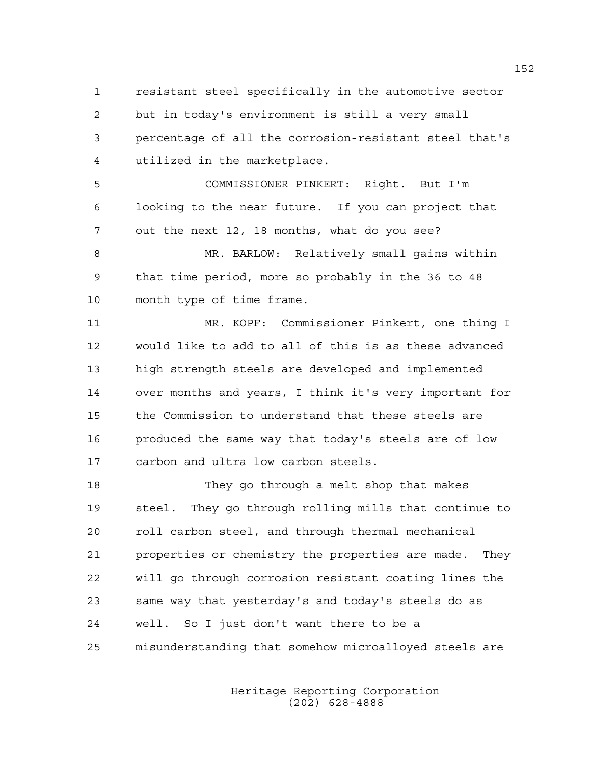1 resistant steel specifically in the automotive sector 2 but in today's environment is still a very small 3 percentage of all the corrosion-resistant steel that's 4 utilized in the marketplace.

5 COMMISSIONER PINKERT: Right. But I'm 6 looking to the near future. If you can project that 7 out the next 12, 18 months, what do you see?

8 MR. BARLOW: Relatively small gains within 9 that time period, more so probably in the 36 to 48 10 month type of time frame.

11 MR. KOPF: Commissioner Pinkert, one thing I 12 would like to add to all of this is as these advanced 13 high strength steels are developed and implemented 14 over months and years, I think it's very important for 15 the Commission to understand that these steels are 16 produced the same way that today's steels are of low 17 carbon and ultra low carbon steels.

18 They go through a melt shop that makes 19 steel. They go through rolling mills that continue to 20 roll carbon steel, and through thermal mechanical 21 properties or chemistry the properties are made. They 22 will go through corrosion resistant coating lines the 23 same way that yesterday's and today's steels do as 24 well. So I just don't want there to be a 25 misunderstanding that somehow microalloyed steels are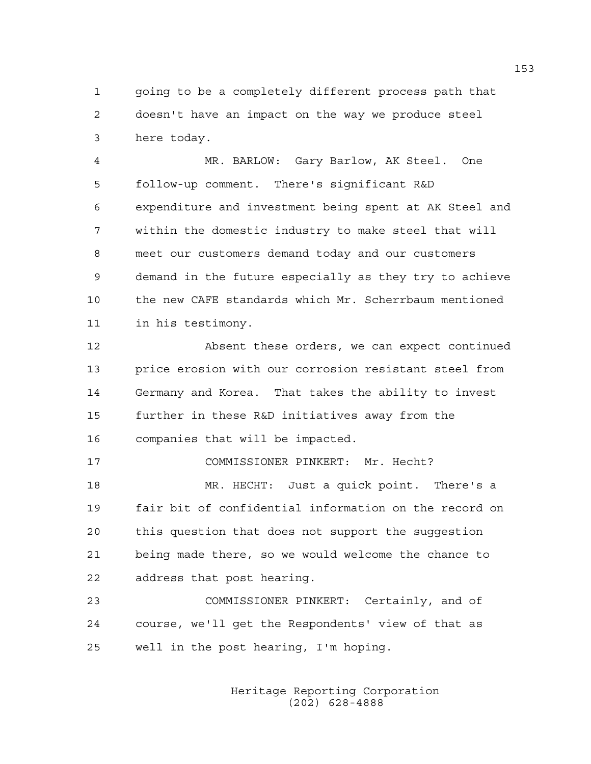1 going to be a completely different process path that 2 doesn't have an impact on the way we produce steel 3 here today.

4 MR. BARLOW: Gary Barlow, AK Steel. One 5 follow-up comment. There's significant R&D 6 expenditure and investment being spent at AK Steel and 7 within the domestic industry to make steel that will 8 meet our customers demand today and our customers 9 demand in the future especially as they try to achieve 10 the new CAFE standards which Mr. Scherrbaum mentioned 11 in his testimony.

12 Absent these orders, we can expect continued 13 price erosion with our corrosion resistant steel from 14 Germany and Korea. That takes the ability to invest 15 further in these R&D initiatives away from the 16 companies that will be impacted.

18 MR. HECHT: Just a quick point. There's a 19 fair bit of confidential information on the record on 20 this question that does not support the suggestion 21 being made there, so we would welcome the chance to 22 address that post hearing.

17 COMMISSIONER PINKERT: Mr. Hecht?

23 COMMISSIONER PINKERT: Certainly, and of 24 course, we'll get the Respondents' view of that as 25 well in the post hearing, I'm hoping.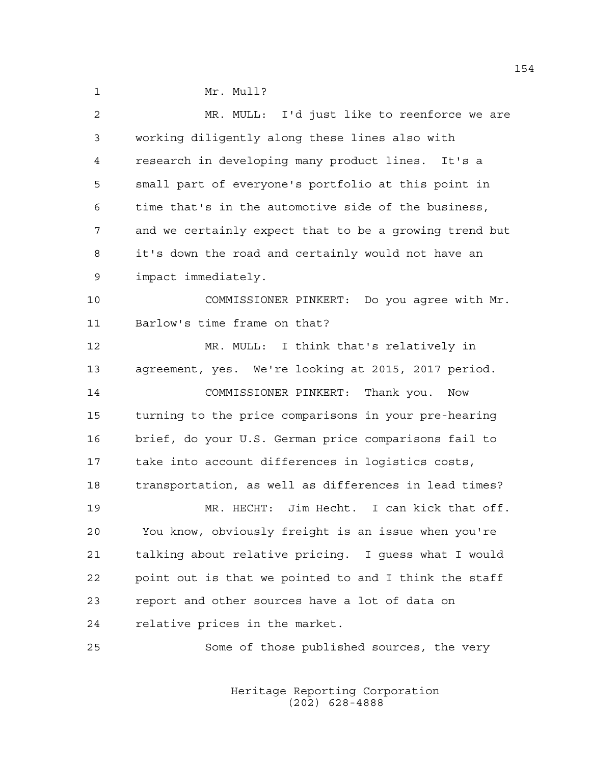1 Mr. Mull?

| 2  | MR. MULL: I'd just like to reenforce we are            |
|----|--------------------------------------------------------|
| 3  | working diligently along these lines also with         |
| 4  | research in developing many product lines. It's a      |
| 5  | small part of everyone's portfolio at this point in    |
| 6  | time that's in the automotive side of the business,    |
| 7  | and we certainly expect that to be a growing trend but |
| 8  | it's down the road and certainly would not have an     |
| 9  | impact immediately.                                    |
| 10 | COMMISSIONER PINKERT: Do you agree with Mr.            |
| 11 | Barlow's time frame on that?                           |
| 12 | MR. MULL: I think that's relatively in                 |
| 13 | agreement, yes. We're looking at 2015, 2017 period.    |
| 14 | COMMISSIONER PINKERT:<br>Thank you.<br>Now             |
| 15 | turning to the price comparisons in your pre-hearing   |
| 16 | brief, do your U.S. German price comparisons fail to   |
| 17 | take into account differences in logistics costs,      |
| 18 | transportation, as well as differences in lead times?  |
| 19 | Jim Hecht. I can kick that off.<br>MR. HECHT:          |
| 20 | You know, obviously freight is an issue when you're    |
| 21 | talking about relative pricing. I guess what I would   |
| 22 | point out is that we pointed to and I think the staff  |
| 23 | report and other sources have a lot of data on         |
| 24 | relative prices in the market.                         |
| 25 | Some of those published sources, the very              |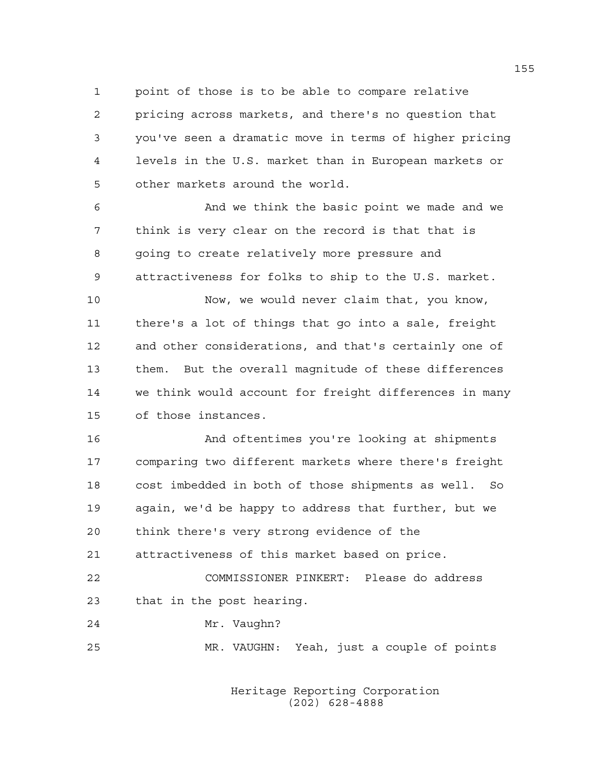1 point of those is to be able to compare relative 2 pricing across markets, and there's no question that 3 you've seen a dramatic move in terms of higher pricing 4 levels in the U.S. market than in European markets or 5 other markets around the world.

6 And we think the basic point we made and we 7 think is very clear on the record is that that is 8 going to create relatively more pressure and 9 attractiveness for folks to ship to the U.S. market.

10 Now, we would never claim that, you know, 11 there's a lot of things that go into a sale, freight 12 and other considerations, and that's certainly one of 13 them. But the overall magnitude of these differences 14 we think would account for freight differences in many 15 of those instances.

16 And oftentimes you're looking at shipments 17 comparing two different markets where there's freight 18 cost imbedded in both of those shipments as well. So 19 again, we'd be happy to address that further, but we 20 think there's very strong evidence of the 21 attractiveness of this market based on price.

22 COMMISSIONER PINKERT: Please do address 23 that in the post hearing.

24 Mr. Vaughn?

25 MR. VAUGHN: Yeah, just a couple of points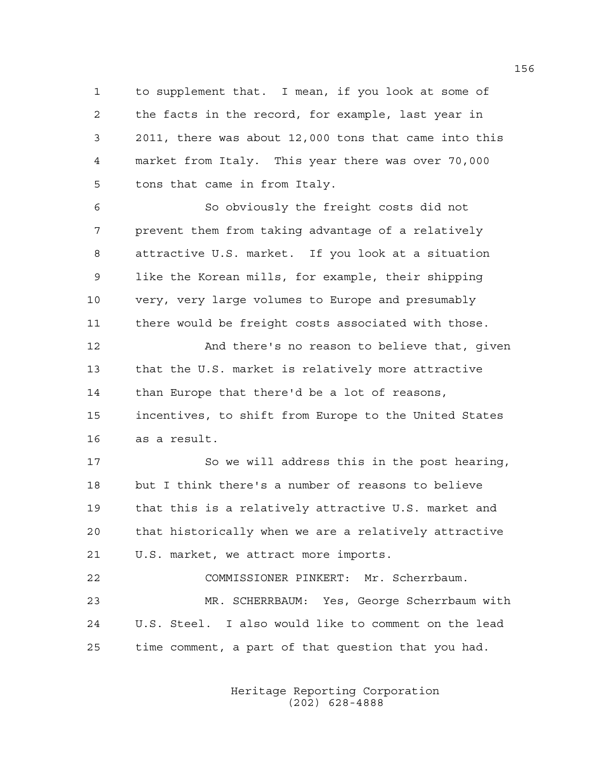1 to supplement that. I mean, if you look at some of 2 the facts in the record, for example, last year in 3 2011, there was about 12,000 tons that came into this 4 market from Italy. This year there was over 70,000 5 tons that came in from Italy.

6 So obviously the freight costs did not 7 prevent them from taking advantage of a relatively 8 attractive U.S. market. If you look at a situation 9 like the Korean mills, for example, their shipping 10 very, very large volumes to Europe and presumably 11 there would be freight costs associated with those.

12 And there's no reason to believe that, given 13 that the U.S. market is relatively more attractive 14 than Europe that there'd be a lot of reasons, 15 incentives, to shift from Europe to the United States 16 as a result.

17 So we will address this in the post hearing, 18 but I think there's a number of reasons to believe 19 that this is a relatively attractive U.S. market and 20 that historically when we are a relatively attractive 21 U.S. market, we attract more imports.

22 COMMISSIONER PINKERT: Mr. Scherrbaum. 23 MR. SCHERRBAUM: Yes, George Scherrbaum with 24 U.S. Steel. I also would like to comment on the lead 25 time comment, a part of that question that you had.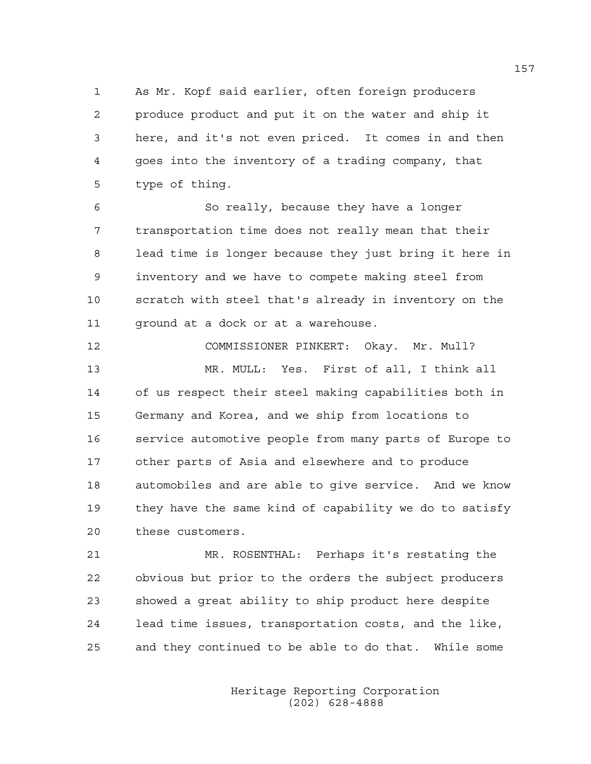1 As Mr. Kopf said earlier, often foreign producers 2 produce product and put it on the water and ship it 3 here, and it's not even priced. It comes in and then 4 goes into the inventory of a trading company, that 5 type of thing.

6 So really, because they have a longer 7 transportation time does not really mean that their 8 lead time is longer because they just bring it here in 9 inventory and we have to compete making steel from 10 scratch with steel that's already in inventory on the 11 ground at a dock or at a warehouse.

12 COMMISSIONER PINKERT: Okay. Mr. Mull? 13 MR. MULL: Yes. First of all, I think all 14 of us respect their steel making capabilities both in 15 Germany and Korea, and we ship from locations to 16 service automotive people from many parts of Europe to 17 other parts of Asia and elsewhere and to produce 18 automobiles and are able to give service. And we know 19 they have the same kind of capability we do to satisfy 20 these customers.

21 MR. ROSENTHAL: Perhaps it's restating the 22 obvious but prior to the orders the subject producers 23 showed a great ability to ship product here despite 24 lead time issues, transportation costs, and the like, 25 and they continued to be able to do that. While some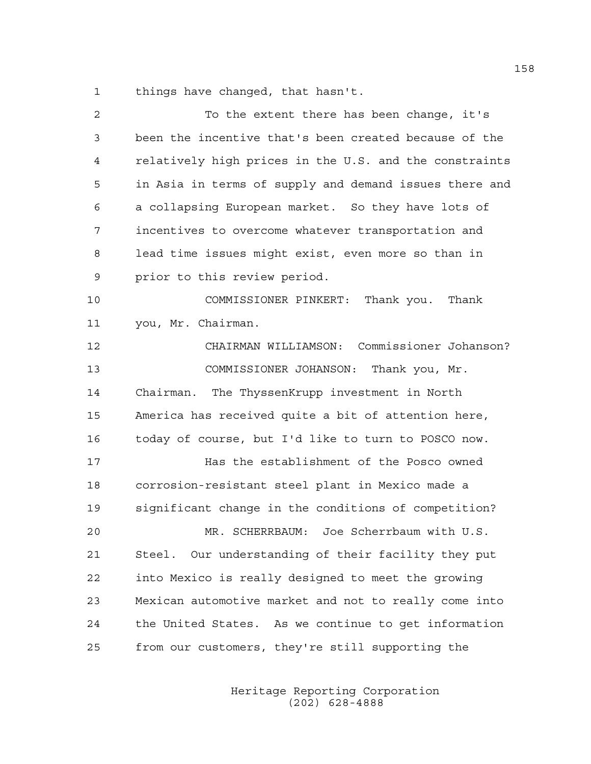1 things have changed, that hasn't.

| 2  | To the extent there has been change, it's              |
|----|--------------------------------------------------------|
| 3  | been the incentive that's been created because of the  |
| 4  | relatively high prices in the U.S. and the constraints |
| 5  | in Asia in terms of supply and demand issues there and |
| 6  | a collapsing European market. So they have lots of     |
| 7  | incentives to overcome whatever transportation and     |
| 8  | lead time issues might exist, even more so than in     |
| 9  | prior to this review period.                           |
| 10 | COMMISSIONER PINKERT: Thank you. Thank                 |
| 11 | you, Mr. Chairman.                                     |
| 12 | CHAIRMAN WILLIAMSON: Commissioner Johanson?            |
| 13 | COMMISSIONER JOHANSON: Thank you, Mr.                  |
| 14 | Chairman. The ThyssenKrupp investment in North         |
| 15 | America has received quite a bit of attention here,    |
| 16 | today of course, but I'd like to turn to POSCO now.    |
| 17 | Has the establishment of the Posco owned               |
| 18 | corrosion-resistant steel plant in Mexico made a       |
| 19 | significant change in the conditions of competition?   |
| 20 | MR. SCHERRBAUM: Joe Scherrbaum with U.S.               |
| 21 | Steel. Our understanding of their facility they put    |
| 22 | into Mexico is really designed to meet the growing     |
| 23 | Mexican automotive market and not to really come into  |
| 24 | the United States. As we continue to get information   |
| 25 | from our customers, they're still supporting the       |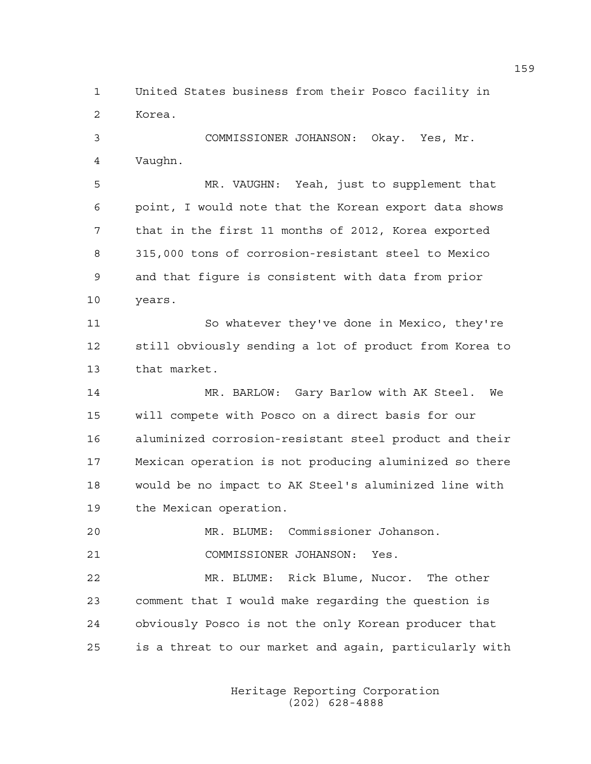1 United States business from their Posco facility in 2 Korea.

3 COMMISSIONER JOHANSON: Okay. Yes, Mr. 4 Vaughn.

5 MR. VAUGHN: Yeah, just to supplement that 6 point, I would note that the Korean export data shows 7 that in the first 11 months of 2012, Korea exported 8 315,000 tons of corrosion-resistant steel to Mexico 9 and that figure is consistent with data from prior 10 years.

11 So whatever they've done in Mexico, they're 12 still obviously sending a lot of product from Korea to 13 that market.

14 MR. BARLOW: Gary Barlow with AK Steel. We 15 will compete with Posco on a direct basis for our 16 aluminized corrosion-resistant steel product and their 17 Mexican operation is not producing aluminized so there 18 would be no impact to AK Steel's aluminized line with 19 the Mexican operation.

20 MR. BLUME: Commissioner Johanson.

21 COMMISSIONER JOHANSON: Yes.

22 MR. BLUME: Rick Blume, Nucor. The other 23 comment that I would make regarding the question is 24 obviously Posco is not the only Korean producer that 25 is a threat to our market and again, particularly with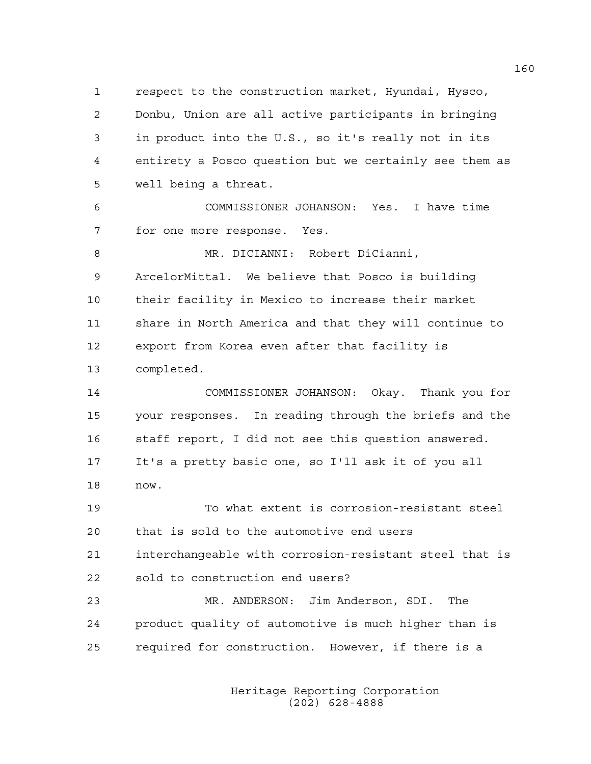1 respect to the construction market, Hyundai, Hysco, 2 Donbu, Union are all active participants in bringing 3 in product into the U.S., so it's really not in its 4 entirety a Posco question but we certainly see them as 5 well being a threat.

6 COMMISSIONER JOHANSON: Yes. I have time 7 for one more response. Yes.

8 MR. DICIANNI: Robert DiCianni, 9 ArcelorMittal. We believe that Posco is building 10 their facility in Mexico to increase their market 11 share in North America and that they will continue to 12 export from Korea even after that facility is 13 completed.

14 COMMISSIONER JOHANSON: Okay. Thank you for 15 your responses. In reading through the briefs and the 16 staff report, I did not see this question answered. 17 It's a pretty basic one, so I'll ask it of you all 18 now.

19 To what extent is corrosion-resistant steel 20 that is sold to the automotive end users 21 interchangeable with corrosion-resistant steel that is 22 sold to construction end users?

23 MR. ANDERSON: Jim Anderson, SDI. The 24 product quality of automotive is much higher than is 25 required for construction. However, if there is a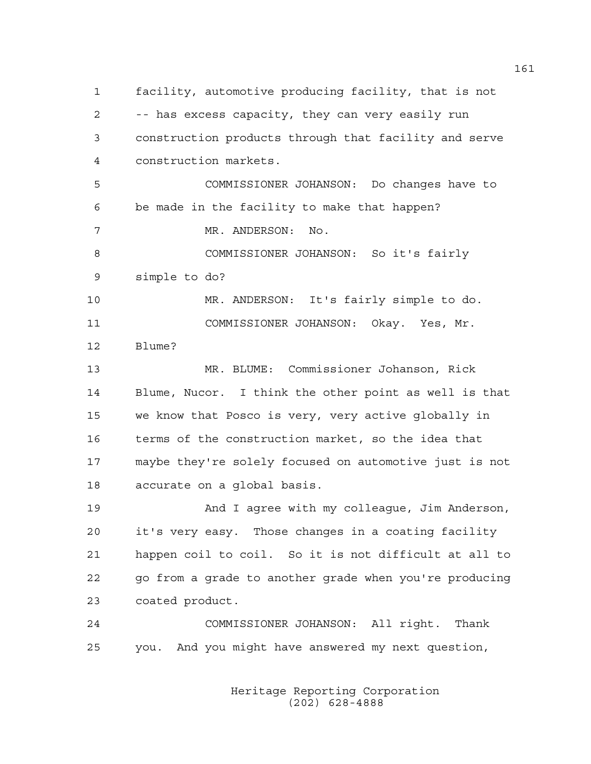1 facility, automotive producing facility, that is not 2 -- has excess capacity, they can very easily run 3 construction products through that facility and serve 4 construction markets. 5 COMMISSIONER JOHANSON: Do changes have to 6 be made in the facility to make that happen? 7 MR. ANDERSON: No. 8 COMMISSIONER JOHANSON: So it's fairly 9 simple to do? 10 MR. ANDERSON: It's fairly simple to do. 11 COMMISSIONER JOHANSON: Okay. Yes, Mr. 12 Blume? 13 MR. BLUME: Commissioner Johanson, Rick 14 Blume, Nucor. I think the other point as well is that 15 we know that Posco is very, very active globally in 16 terms of the construction market, so the idea that 17 maybe they're solely focused on automotive just is not 18 accurate on a global basis. 19 And I agree with my colleague, Jim Anderson, 20 it's very easy. Those changes in a coating facility 21 happen coil to coil. So it is not difficult at all to 22 go from a grade to another grade when you're producing 23 coated product. 24 COMMISSIONER JOHANSON: All right. Thank 25 you. And you might have answered my next question,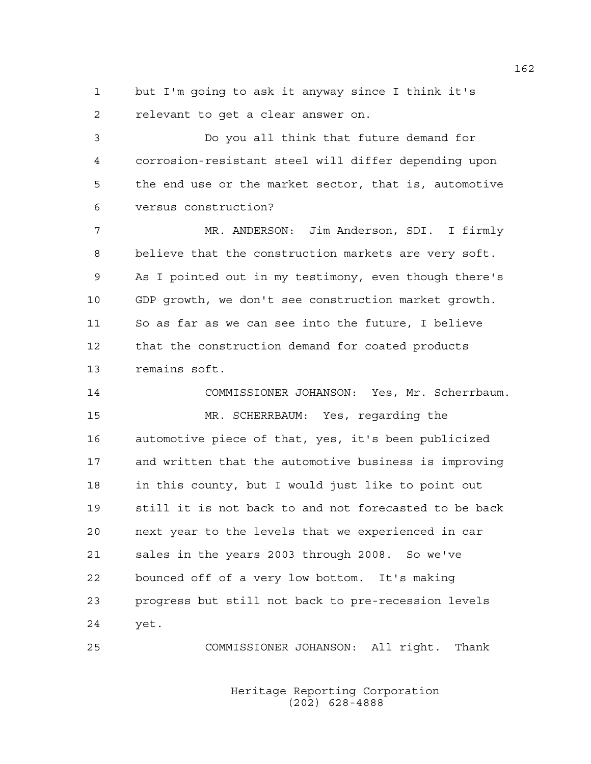1 but I'm going to ask it anyway since I think it's 2 relevant to get a clear answer on.

3 Do you all think that future demand for 4 corrosion-resistant steel will differ depending upon 5 the end use or the market sector, that is, automotive 6 versus construction?

7 MR. ANDERSON: Jim Anderson, SDI. I firmly 8 believe that the construction markets are very soft. 9 As I pointed out in my testimony, even though there's 10 GDP growth, we don't see construction market growth. 11 So as far as we can see into the future, I believe 12 that the construction demand for coated products 13 remains soft.

14 COMMISSIONER JOHANSON: Yes, Mr. Scherrbaum. 15 MR. SCHERRBAUM: Yes, regarding the 16 automotive piece of that, yes, it's been publicized 17 and written that the automotive business is improving 18 in this county, but I would just like to point out 19 still it is not back to and not forecasted to be back 20 next year to the levels that we experienced in car 21 sales in the years 2003 through 2008. So we've 22 bounced off of a very low bottom. It's making 23 progress but still not back to pre-recession levels 24 yet.

25 COMMISSIONER JOHANSON: All right. Thank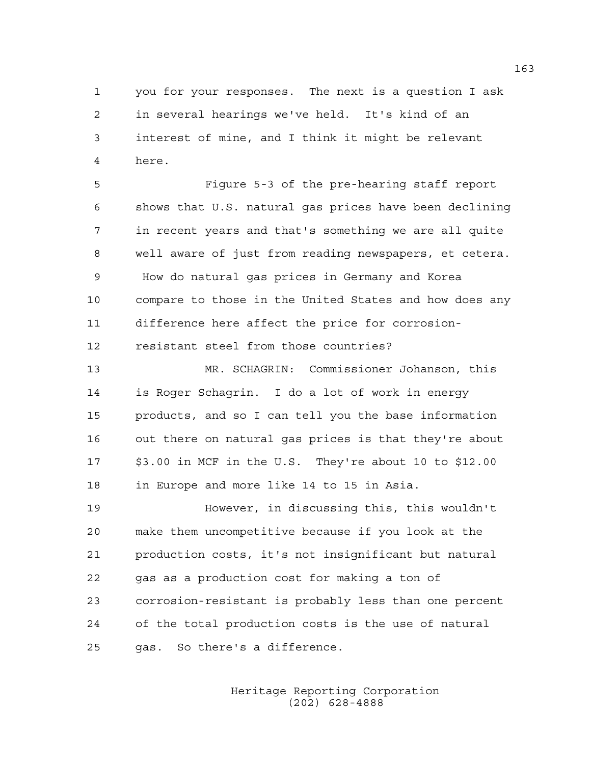1 you for your responses. The next is a question I ask 2 in several hearings we've held. It's kind of an 3 interest of mine, and I think it might be relevant 4 here.

5 Figure 5-3 of the pre-hearing staff report 6 shows that U.S. natural gas prices have been declining 7 in recent years and that's something we are all quite 8 well aware of just from reading newspapers, et cetera. 9 How do natural gas prices in Germany and Korea 10 compare to those in the United States and how does any 11 difference here affect the price for corrosion-12 resistant steel from those countries?

13 MR. SCHAGRIN: Commissioner Johanson, this 14 is Roger Schagrin. I do a lot of work in energy 15 products, and so I can tell you the base information 16 out there on natural gas prices is that they're about 17 \$3.00 in MCF in the U.S. They're about 10 to \$12.00 18 in Europe and more like 14 to 15 in Asia.

19 However, in discussing this, this wouldn't 20 make them uncompetitive because if you look at the 21 production costs, it's not insignificant but natural 22 gas as a production cost for making a ton of 23 corrosion-resistant is probably less than one percent 24 of the total production costs is the use of natural 25 gas. So there's a difference.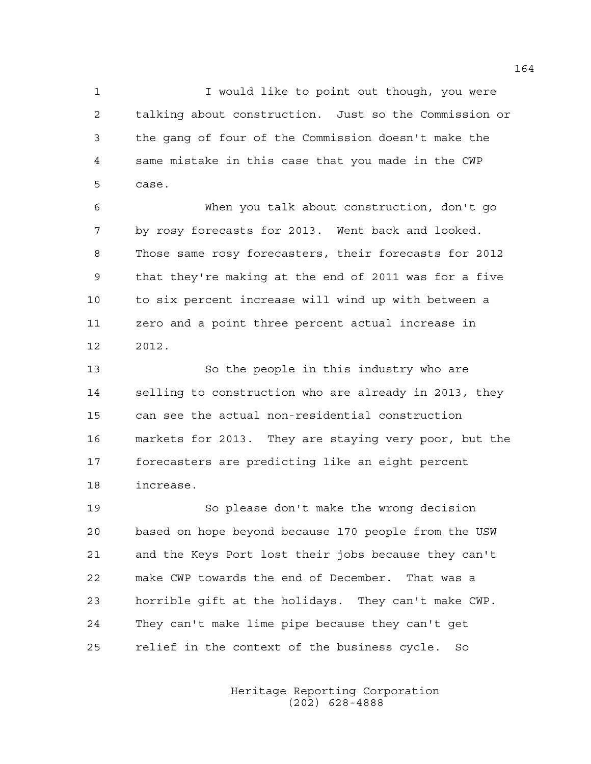1 1 I would like to point out though, you were 2 talking about construction. Just so the Commission or 3 the gang of four of the Commission doesn't make the 4 same mistake in this case that you made in the CWP 5 case.

6 When you talk about construction, don't go 7 by rosy forecasts for 2013. Went back and looked. 8 Those same rosy forecasters, their forecasts for 2012 9 that they're making at the end of 2011 was for a five 10 to six percent increase will wind up with between a 11 zero and a point three percent actual increase in 12 2012.

13 So the people in this industry who are 14 selling to construction who are already in 2013, they 15 can see the actual non-residential construction 16 markets for 2013. They are staying very poor, but the 17 forecasters are predicting like an eight percent 18 increase.

19 So please don't make the wrong decision 20 based on hope beyond because 170 people from the USW 21 and the Keys Port lost their jobs because they can't 22 make CWP towards the end of December. That was a 23 horrible gift at the holidays. They can't make CWP. 24 They can't make lime pipe because they can't get 25 relief in the context of the business cycle. So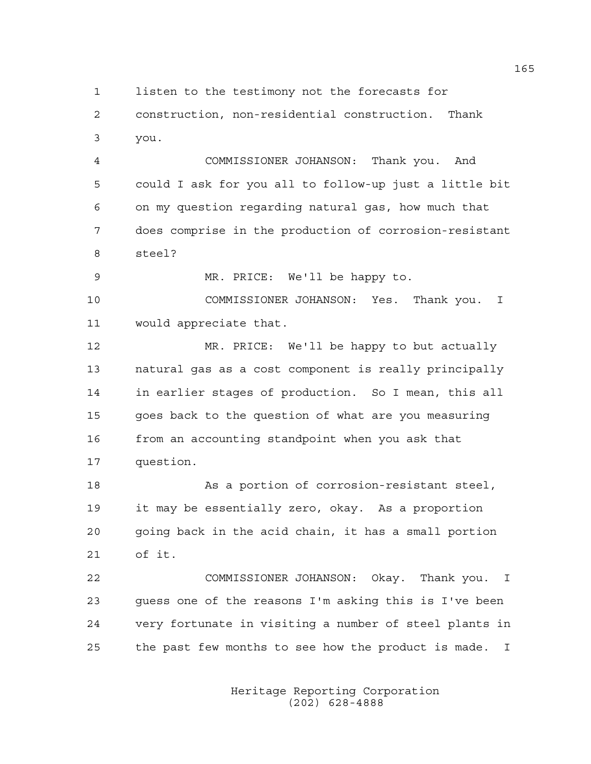1 listen to the testimony not the forecasts for

2 construction, non-residential construction. Thank 3 you.

4 COMMISSIONER JOHANSON: Thank you. And 5 could I ask for you all to follow-up just a little bit 6 on my question regarding natural gas, how much that 7 does comprise in the production of corrosion-resistant 8 steel?

9 MR. PRICE: We'll be happy to.

10 COMMISSIONER JOHANSON: Yes. Thank you. I 11 would appreciate that.

12 MR. PRICE: We'll be happy to but actually 13 natural gas as a cost component is really principally 14 in earlier stages of production. So I mean, this all 15 goes back to the question of what are you measuring 16 from an accounting standpoint when you ask that 17 question.

18 As a portion of corrosion-resistant steel, 19 it may be essentially zero, okay. As a proportion 20 going back in the acid chain, it has a small portion 21 of it.

22 COMMISSIONER JOHANSON: Okay. Thank you. I 23 guess one of the reasons I'm asking this is I've been 24 very fortunate in visiting a number of steel plants in 25 the past few months to see how the product is made. I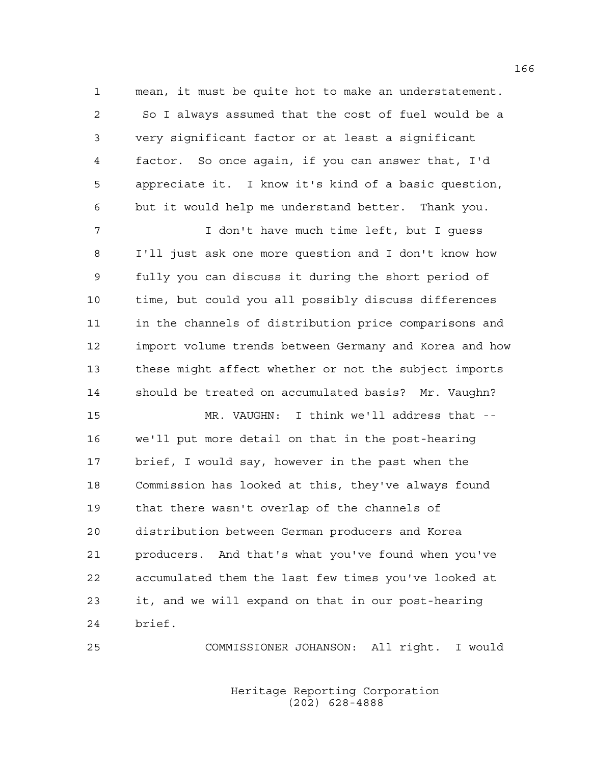1 mean, it must be quite hot to make an understatement. 2 So I always assumed that the cost of fuel would be a 3 very significant factor or at least a significant 4 factor. So once again, if you can answer that, I'd 5 appreciate it. I know it's kind of a basic question, 6 but it would help me understand better. Thank you.

7 I don't have much time left, but I guess 8 I'll just ask one more question and I don't know how 9 fully you can discuss it during the short period of 10 time, but could you all possibly discuss differences 11 in the channels of distribution price comparisons and 12 import volume trends between Germany and Korea and how 13 these might affect whether or not the subject imports 14 should be treated on accumulated basis? Mr. Vaughn?

15 MR. VAUGHN: I think we'll address that -- 16 we'll put more detail on that in the post-hearing 17 brief, I would say, however in the past when the 18 Commission has looked at this, they've always found 19 that there wasn't overlap of the channels of 20 distribution between German producers and Korea 21 producers. And that's what you've found when you've 22 accumulated them the last few times you've looked at 23 it, and we will expand on that in our post-hearing 24 brief.

25 COMMISSIONER JOHANSON: All right. I would

 Heritage Reporting Corporation (202) 628-4888

166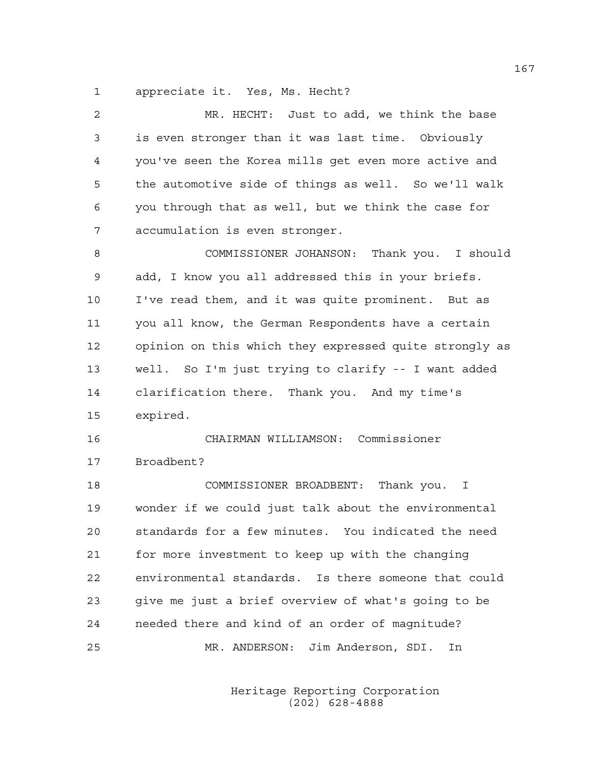1 appreciate it. Yes, Ms. Hecht?

| 2  | MR. HECHT: Just to add, we think the base              |
|----|--------------------------------------------------------|
| 3  | is even stronger than it was last time. Obviously      |
| 4  | you've seen the Korea mills get even more active and   |
| 5  | the automotive side of things as well. So we'll walk   |
| 6  | you through that as well, but we think the case for    |
| 7  | accumulation is even stronger.                         |
| 8  | COMMISSIONER JOHANSON: Thank you. I should             |
| 9  | add, I know you all addressed this in your briefs.     |
| 10 | I've read them, and it was quite prominent. But as     |
| 11 | you all know, the German Respondents have a certain    |
| 12 | opinion on this which they expressed quite strongly as |
| 13 | well. So I'm just trying to clarify -- I want added    |
| 14 | clarification there. Thank you. And my time's          |
| 15 | expired.                                               |
| 16 | CHAIRMAN WILLIAMSON: Commissioner                      |
| 17 | Broadbent?                                             |
| 18 | COMMISSIONER BROADBENT: Thank you. I                   |
| 19 | wonder if we could just talk about the environmental   |
| 20 | standards for a few minutes. You indicated the need    |
| 21 | for more investment to keep up with the changing       |
| 22 | environmental standards. Is there someone that could   |
| 23 | give me just a brief overview of what's going to be    |
| 24 | needed there and kind of an order of magnitude?        |
| 25 | MR. ANDERSON: Jim Anderson, SDI.<br>In                 |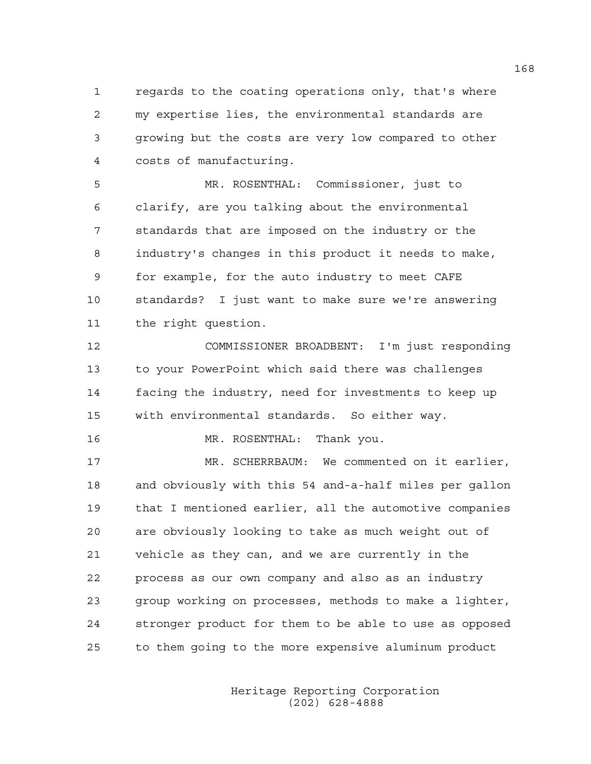1 regards to the coating operations only, that's where 2 my expertise lies, the environmental standards are 3 growing but the costs are very low compared to other 4 costs of manufacturing.

5 MR. ROSENTHAL: Commissioner, just to 6 clarify, are you talking about the environmental 7 standards that are imposed on the industry or the 8 industry's changes in this product it needs to make, 9 for example, for the auto industry to meet CAFE 10 standards? I just want to make sure we're answering 11 the right question.

12 COMMISSIONER BROADBENT: I'm just responding 13 to your PowerPoint which said there was challenges 14 facing the industry, need for investments to keep up 15 with environmental standards. So either way.

16 MR. ROSENTHAL: Thank you.

17 MR. SCHERRBAUM: We commented on it earlier, 18 and obviously with this 54 and-a-half miles per gallon 19 that I mentioned earlier, all the automotive companies 20 are obviously looking to take as much weight out of 21 vehicle as they can, and we are currently in the 22 process as our own company and also as an industry 23 group working on processes, methods to make a lighter, 24 stronger product for them to be able to use as opposed 25 to them going to the more expensive aluminum product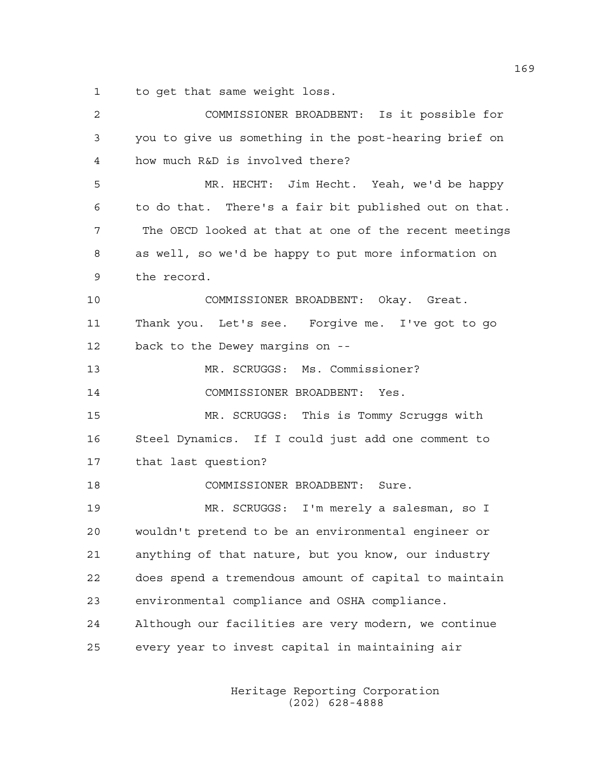1 to get that same weight loss.

| 2  | COMMISSIONER BROADBENT: Is it possible for            |
|----|-------------------------------------------------------|
| 3  | you to give us something in the post-hearing brief on |
| 4  | how much R&D is involved there?                       |
| 5  | MR. HECHT: Jim Hecht. Yeah, we'd be happy             |
| 6  | to do that. There's a fair bit published out on that. |
| 7  | The OECD looked at that at one of the recent meetings |
| 8  | as well, so we'd be happy to put more information on  |
| 9  | the record.                                           |
| 10 | COMMISSIONER BROADBENT: Okay. Great.                  |
| 11 | Thank you. Let's see. Forgive me. I've got to go      |
| 12 | back to the Dewey margins on --                       |
| 13 | MR. SCRUGGS: Ms. Commissioner?                        |
| 14 | COMMISSIONER BROADBENT: Yes.                          |
| 15 | MR. SCRUGGS: This is Tommy Scruggs with               |
| 16 | Steel Dynamics. If I could just add one comment to    |
| 17 | that last question?                                   |
| 18 | COMMISSIONER BROADBENT: Sure.                         |
| 19 | MR. SCRUGGS: I'm merely a salesman, so I              |
| 20 | wouldn't pretend to be an environmental engineer or   |
| 21 | anything of that nature, but you know, our industry   |
| 22 | does spend a tremendous amount of capital to maintain |
| 23 | environmental compliance and OSHA compliance.         |
| 24 | Although our facilities are very modern, we continue  |
| 25 | every year to invest capital in maintaining air       |
|    |                                                       |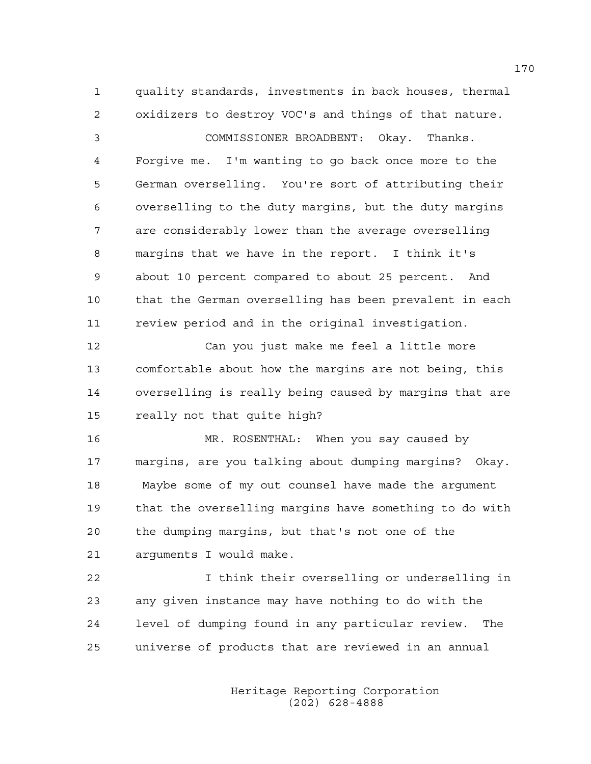1 quality standards, investments in back houses, thermal 2 oxidizers to destroy VOC's and things of that nature.

3 COMMISSIONER BROADBENT: Okay. Thanks. 4 Forgive me. I'm wanting to go back once more to the 5 German overselling. You're sort of attributing their 6 overselling to the duty margins, but the duty margins 7 are considerably lower than the average overselling 8 margins that we have in the report. I think it's 9 about 10 percent compared to about 25 percent. And 10 that the German overselling has been prevalent in each 11 review period and in the original investigation.

12 Can you just make me feel a little more 13 comfortable about how the margins are not being, this 14 overselling is really being caused by margins that are 15 really not that quite high?

16 MR. ROSENTHAL: When you say caused by 17 margins, are you talking about dumping margins? Okay. 18 Maybe some of my out counsel have made the argument 19 that the overselling margins have something to do with 20 the dumping margins, but that's not one of the 21 arguments I would make.

22 I think their overselling or underselling in 23 any given instance may have nothing to do with the 24 level of dumping found in any particular review. The 25 universe of products that are reviewed in an annual

> Heritage Reporting Corporation (202) 628-4888

170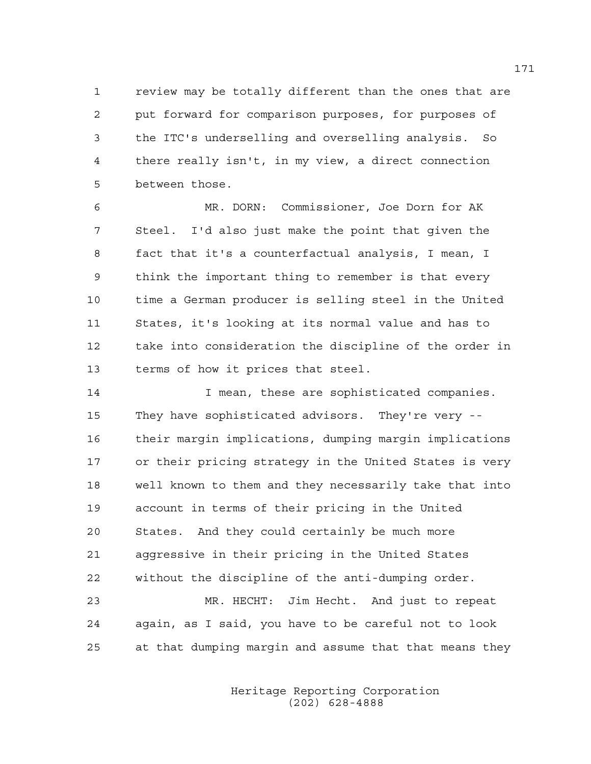1 review may be totally different than the ones that are 2 put forward for comparison purposes, for purposes of 3 the ITC's underselling and overselling analysis. So 4 there really isn't, in my view, a direct connection 5 between those.

6 MR. DORN: Commissioner, Joe Dorn for AK 7 Steel. I'd also just make the point that given the 8 fact that it's a counterfactual analysis, I mean, I 9 think the important thing to remember is that every 10 time a German producer is selling steel in the United 11 States, it's looking at its normal value and has to 12 take into consideration the discipline of the order in 13 terms of how it prices that steel.

14 I mean, these are sophisticated companies. 15 They have sophisticated advisors. They're very -- 16 their margin implications, dumping margin implications 17 or their pricing strategy in the United States is very 18 well known to them and they necessarily take that into 19 account in terms of their pricing in the United 20 States. And they could certainly be much more 21 aggressive in their pricing in the United States 22 without the discipline of the anti-dumping order. 23 MR. HECHT: Jim Hecht. And just to repeat 24 again, as I said, you have to be careful not to look

25 at that dumping margin and assume that that means they

 Heritage Reporting Corporation (202) 628-4888

171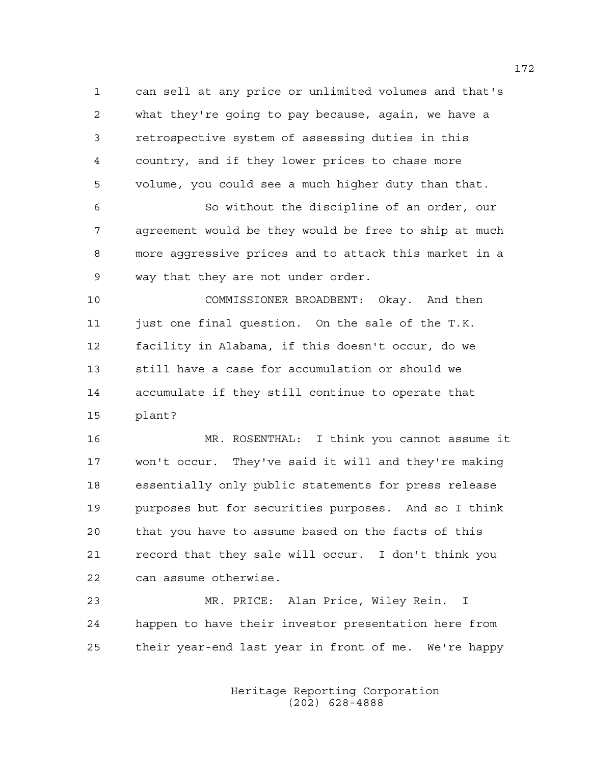1 can sell at any price or unlimited volumes and that's 2 what they're going to pay because, again, we have a 3 retrospective system of assessing duties in this 4 country, and if they lower prices to chase more 5 volume, you could see a much higher duty than that.

6 So without the discipline of an order, our 7 agreement would be they would be free to ship at much 8 more aggressive prices and to attack this market in a 9 way that they are not under order.

10 COMMISSIONER BROADBENT: Okay. And then 11 just one final question. On the sale of the T.K. 12 facility in Alabama, if this doesn't occur, do we 13 still have a case for accumulation or should we 14 accumulate if they still continue to operate that 15 plant?

16 MR. ROSENTHAL: I think you cannot assume it 17 won't occur. They've said it will and they're making 18 essentially only public statements for press release 19 purposes but for securities purposes. And so I think 20 that you have to assume based on the facts of this 21 record that they sale will occur. I don't think you 22 can assume otherwise.

23 MR. PRICE: Alan Price, Wiley Rein. I 24 happen to have their investor presentation here from 25 their year-end last year in front of me. We're happy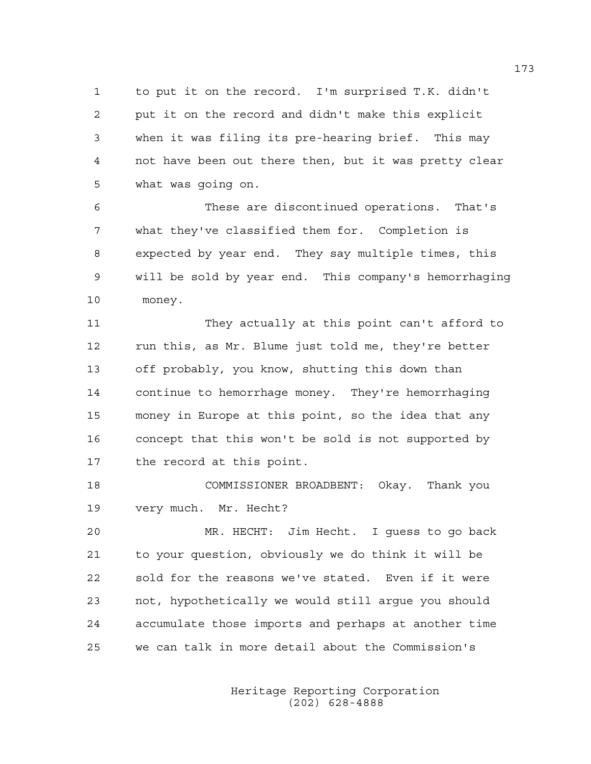1 to put it on the record. I'm surprised T.K. didn't 2 put it on the record and didn't make this explicit 3 when it was filing its pre-hearing brief. This may 4 not have been out there then, but it was pretty clear 5 what was going on.

6 These are discontinued operations. That's 7 what they've classified them for. Completion is 8 expected by year end. They say multiple times, this 9 will be sold by year end. This company's hemorrhaging 10 money.

11 They actually at this point can't afford to 12 run this, as Mr. Blume just told me, they're better 13 off probably, you know, shutting this down than 14 continue to hemorrhage money. They're hemorrhaging 15 money in Europe at this point, so the idea that any 16 concept that this won't be sold is not supported by 17 the record at this point.

18 COMMISSIONER BROADBENT: Okay. Thank you 19 very much. Mr. Hecht?

20 MR. HECHT: Jim Hecht. I guess to go back 21 to your question, obviously we do think it will be 22 sold for the reasons we've stated. Even if it were 23 not, hypothetically we would still argue you should 24 accumulate those imports and perhaps at another time 25 we can talk in more detail about the Commission's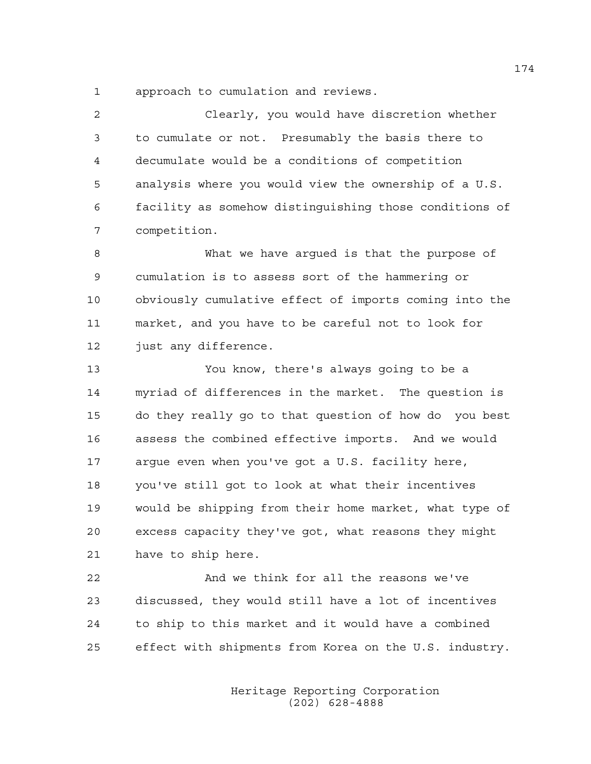1 approach to cumulation and reviews.

2 Clearly, you would have discretion whether 3 to cumulate or not. Presumably the basis there to 4 decumulate would be a conditions of competition 5 analysis where you would view the ownership of a U.S. 6 facility as somehow distinguishing those conditions of 7 competition.

8 What we have argued is that the purpose of 9 cumulation is to assess sort of the hammering or 10 obviously cumulative effect of imports coming into the 11 market, and you have to be careful not to look for 12 just any difference.

13 You know, there's always going to be a 14 myriad of differences in the market. The question is 15 do they really go to that question of how do you best 16 assess the combined effective imports. And we would 17 argue even when you've got a U.S. facility here, 18 you've still got to look at what their incentives 19 would be shipping from their home market, what type of 20 excess capacity they've got, what reasons they might 21 have to ship here.

22 And we think for all the reasons we've 23 discussed, they would still have a lot of incentives 24 to ship to this market and it would have a combined 25 effect with shipments from Korea on the U.S. industry.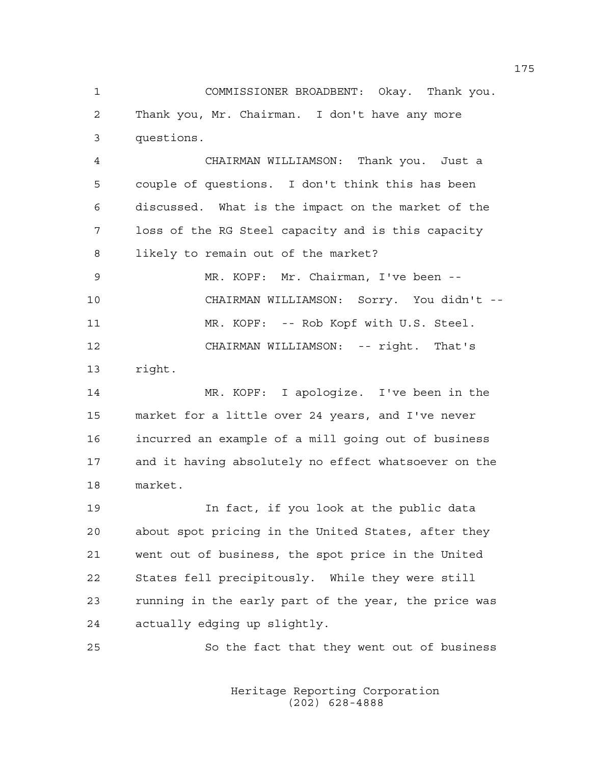1 COMMISSIONER BROADBENT: Okay. Thank you. 2 Thank you, Mr. Chairman. I don't have any more 3 questions.

4 CHAIRMAN WILLIAMSON: Thank you. Just a 5 couple of questions. I don't think this has been 6 discussed. What is the impact on the market of the 7 loss of the RG Steel capacity and is this capacity 8 likely to remain out of the market?

9 MR. KOPF: Mr. Chairman, I've been -- 10 CHAIRMAN WILLIAMSON: Sorry. You didn't -- 11 MR. KOPF: -- Rob Kopf with U.S. Steel. 12 CHAIRMAN WILLIAMSON: -- right. That's

13 right.

14 MR. KOPF: I apologize. I've been in the 15 market for a little over 24 years, and I've never 16 incurred an example of a mill going out of business 17 and it having absolutely no effect whatsoever on the 18 market.

19 In fact, if you look at the public data 20 about spot pricing in the United States, after they 21 went out of business, the spot price in the United 22 States fell precipitously. While they were still 23 running in the early part of the year, the price was 24 actually edging up slightly.

25 So the fact that they went out of business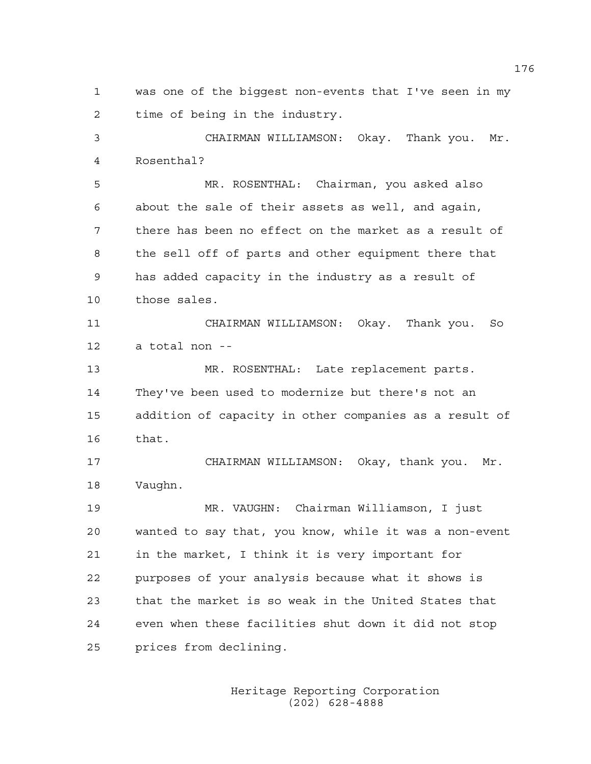1 was one of the biggest non-events that I've seen in my 2 time of being in the industry.

3 CHAIRMAN WILLIAMSON: Okay. Thank you. Mr. 4 Rosenthal?

5 MR. ROSENTHAL: Chairman, you asked also 6 about the sale of their assets as well, and again, 7 there has been no effect on the market as a result of 8 the sell off of parts and other equipment there that 9 has added capacity in the industry as a result of 10 those sales.

11 CHAIRMAN WILLIAMSON: Okay. Thank you. So 12 a total non --

13 MR. ROSENTHAL: Late replacement parts. 14 They've been used to modernize but there's not an 15 addition of capacity in other companies as a result of 16 that.

17 CHAIRMAN WILLIAMSON: Okay, thank you. Mr. 18 Vaughn.

19 MR. VAUGHN: Chairman Williamson, I just 20 wanted to say that, you know, while it was a non-event 21 in the market, I think it is very important for 22 purposes of your analysis because what it shows is 23 that the market is so weak in the United States that 24 even when these facilities shut down it did not stop 25 prices from declining.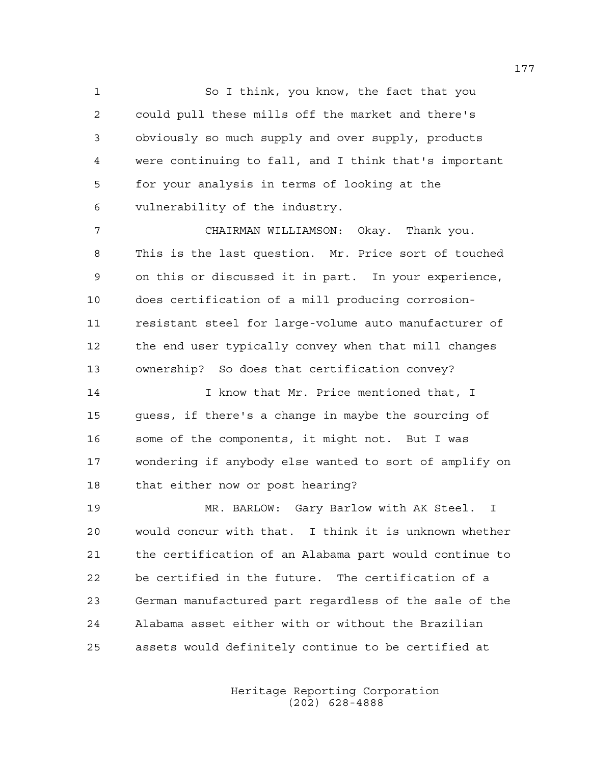1 So I think, you know, the fact that you 2 could pull these mills off the market and there's 3 obviously so much supply and over supply, products 4 were continuing to fall, and I think that's important 5 for your analysis in terms of looking at the 6 vulnerability of the industry.

7 CHAIRMAN WILLIAMSON: Okay. Thank you. 8 This is the last question. Mr. Price sort of touched 9 on this or discussed it in part. In your experience, 10 does certification of a mill producing corrosion-11 resistant steel for large-volume auto manufacturer of 12 the end user typically convey when that mill changes 13 ownership? So does that certification convey?

14 **I know that Mr. Price mentioned that, I** 15 guess, if there's a change in maybe the sourcing of 16 some of the components, it might not. But I was 17 wondering if anybody else wanted to sort of amplify on 18 that either now or post hearing?

19 MR. BARLOW: Gary Barlow with AK Steel. I 20 would concur with that. I think it is unknown whether 21 the certification of an Alabama part would continue to 22 be certified in the future. The certification of a 23 German manufactured part regardless of the sale of the 24 Alabama asset either with or without the Brazilian 25 assets would definitely continue to be certified at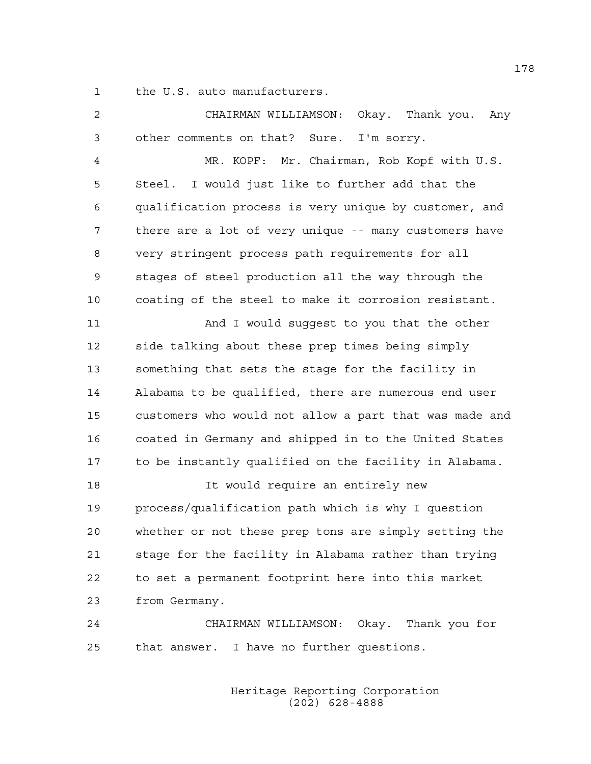1 the U.S. auto manufacturers.

| 2  | CHAIRMAN WILLIAMSON:<br>Okay.  Thank you.<br>Any       |
|----|--------------------------------------------------------|
| 3  | other comments on that? Sure. I'm sorry.               |
| 4  | MR. KOPF: Mr. Chairman, Rob Kopf with U.S.             |
| 5  | Steel. I would just like to further add that the       |
| 6  | qualification process is very unique by customer, and  |
| 7  | there are a lot of very unique -- many customers have  |
| 8  | very stringent process path requirements for all       |
| 9  | stages of steel production all the way through the     |
| 10 | coating of the steel to make it corrosion resistant.   |
| 11 | And I would suggest to you that the other              |
| 12 | side talking about these prep times being simply       |
| 13 | something that sets the stage for the facility in      |
| 14 | Alabama to be qualified, there are numerous end user   |
| 15 | customers who would not allow a part that was made and |
| 16 | coated in Germany and shipped in to the United States  |
| 17 | to be instantly qualified on the facility in Alabama.  |
| 18 | It would require an entirely new                       |
| 19 | process/qualification path which is why I question     |
| 20 | whether or not these prep tons are simply setting the  |
| 21 | stage for the facility in Alabama rather than trying   |
| 22 | to set a permanent footprint here into this market     |
| 23 | from Germany.                                          |
| 24 | CHAIRMAN WILLIAMSON: Okay. Thank you for               |
| 25 | that answer. I have no further questions.              |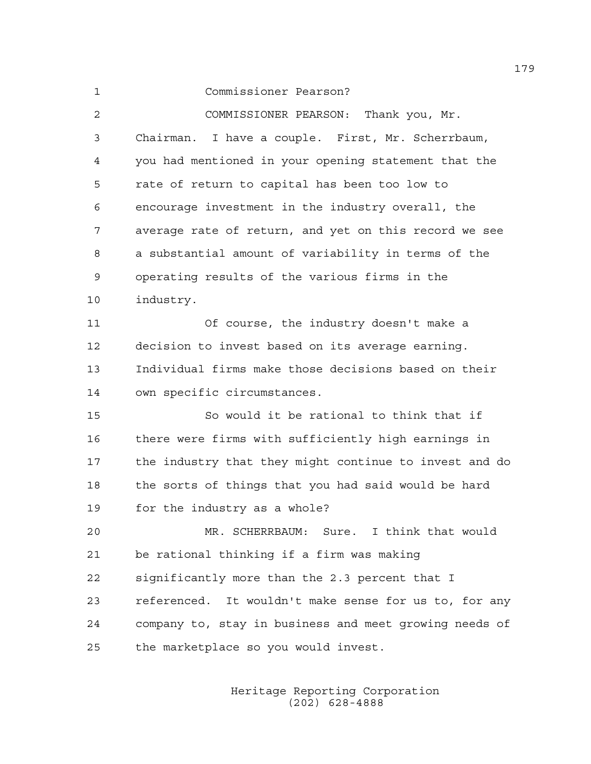## 1 Commissioner Pearson?

2 COMMISSIONER PEARSON: Thank you, Mr. 3 Chairman. I have a couple. First, Mr. Scherrbaum, 4 you had mentioned in your opening statement that the 5 rate of return to capital has been too low to 6 encourage investment in the industry overall, the 7 average rate of return, and yet on this record we see 8 a substantial amount of variability in terms of the 9 operating results of the various firms in the 10 industry.

11 Of course, the industry doesn't make a 12 decision to invest based on its average earning. 13 Individual firms make those decisions based on their 14 own specific circumstances.

15 So would it be rational to think that if 16 there were firms with sufficiently high earnings in 17 the industry that they might continue to invest and do 18 the sorts of things that you had said would be hard 19 for the industry as a whole?

20 MR. SCHERRBAUM: Sure. I think that would 21 be rational thinking if a firm was making 22 significantly more than the 2.3 percent that I 23 referenced. It wouldn't make sense for us to, for any 24 company to, stay in business and meet growing needs of 25 the marketplace so you would invest.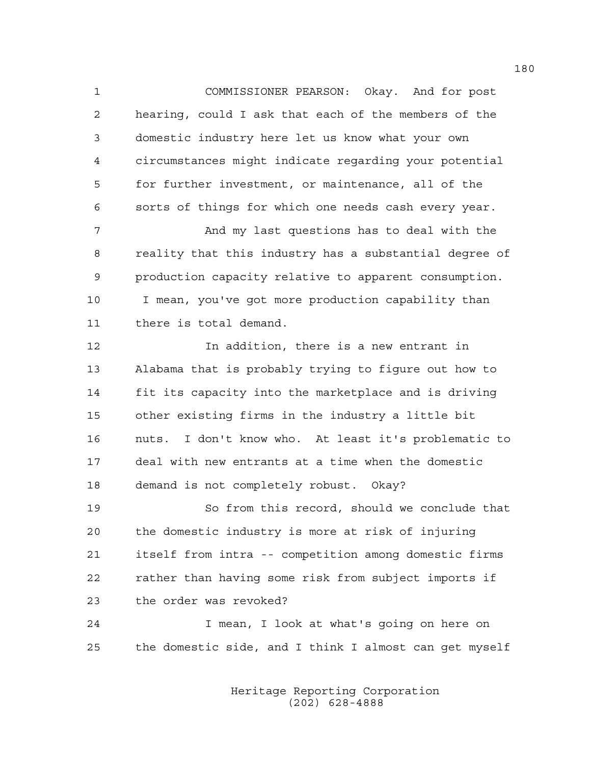1 COMMISSIONER PEARSON: Okay. And for post 2 hearing, could I ask that each of the members of the 3 domestic industry here let us know what your own 4 circumstances might indicate regarding your potential 5 for further investment, or maintenance, all of the 6 sorts of things for which one needs cash every year.

7 And my last questions has to deal with the 8 reality that this industry has a substantial degree of 9 production capacity relative to apparent consumption. 10 I mean, you've got more production capability than 11 there is total demand.

12 In addition, there is a new entrant in 13 Alabama that is probably trying to figure out how to 14 fit its capacity into the marketplace and is driving 15 other existing firms in the industry a little bit 16 nuts. I don't know who. At least it's problematic to 17 deal with new entrants at a time when the domestic 18 demand is not completely robust. Okay?

19 So from this record, should we conclude that 20 the domestic industry is more at risk of injuring 21 itself from intra -- competition among domestic firms 22 rather than having some risk from subject imports if 23 the order was revoked?

24 I mean, I look at what's going on here on 25 the domestic side, and I think I almost can get myself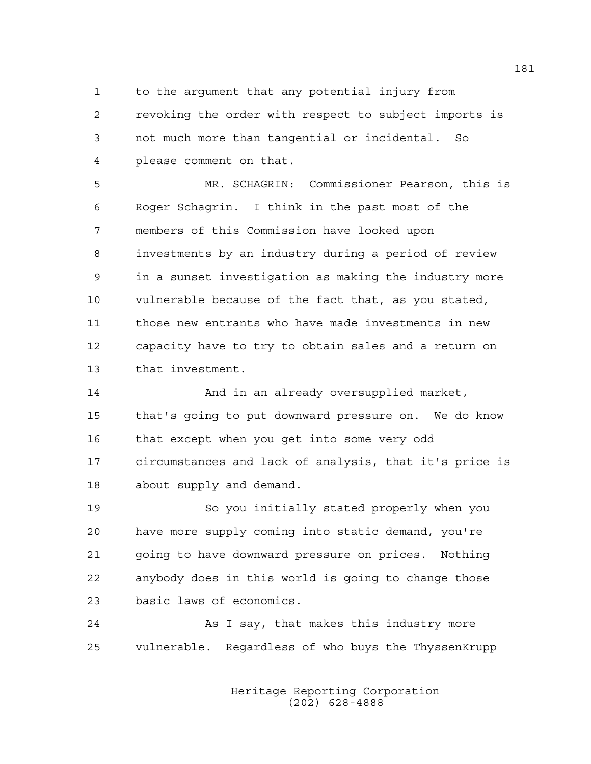1 to the argument that any potential injury from 2 revoking the order with respect to subject imports is 3 not much more than tangential or incidental. So 4 please comment on that.

5 MR. SCHAGRIN: Commissioner Pearson, this is 6 Roger Schagrin. I think in the past most of the 7 members of this Commission have looked upon 8 investments by an industry during a period of review 9 in a sunset investigation as making the industry more 10 vulnerable because of the fact that, as you stated, 11 those new entrants who have made investments in new 12 capacity have to try to obtain sales and a return on 13 that investment.

14 And in an already oversupplied market, 15 that's going to put downward pressure on. We do know 16 that except when you get into some very odd 17 circumstances and lack of analysis, that it's price is 18 about supply and demand.

19 So you initially stated properly when you 20 have more supply coming into static demand, you're 21 going to have downward pressure on prices. Nothing 22 anybody does in this world is going to change those 23 basic laws of economics.

24 As I say, that makes this industry more 25 vulnerable. Regardless of who buys the ThyssenKrupp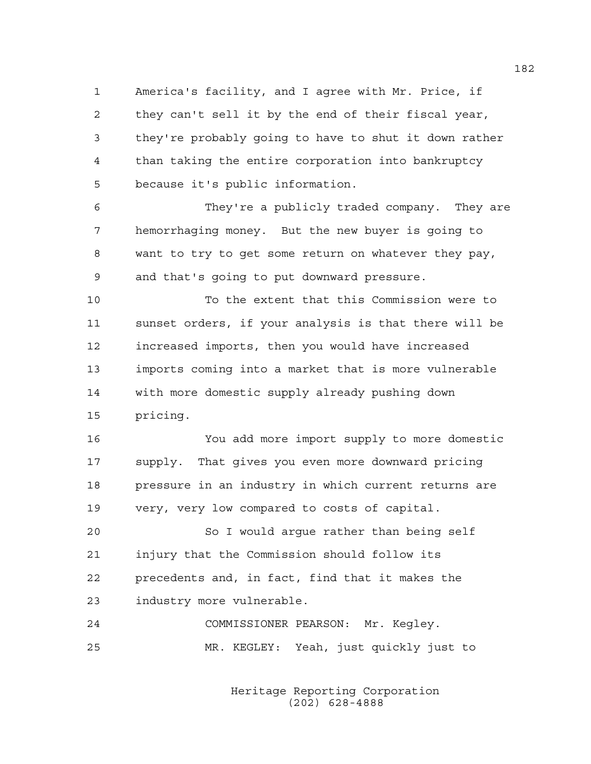1 America's facility, and I agree with Mr. Price, if 2 they can't sell it by the end of their fiscal year, 3 they're probably going to have to shut it down rather 4 than taking the entire corporation into bankruptcy 5 because it's public information.

6 They're a publicly traded company. They are 7 hemorrhaging money. But the new buyer is going to 8 want to try to get some return on whatever they pay, 9 and that's going to put downward pressure.

10 To the extent that this Commission were to 11 sunset orders, if your analysis is that there will be 12 increased imports, then you would have increased 13 imports coming into a market that is more vulnerable 14 with more domestic supply already pushing down 15 pricing.

16 You add more import supply to more domestic 17 supply. That gives you even more downward pricing 18 pressure in an industry in which current returns are 19 very, very low compared to costs of capital.

20 So I would argue rather than being self 21 injury that the Commission should follow its 22 precedents and, in fact, find that it makes the 23 industry more vulnerable.

24 COMMISSIONER PEARSON: Mr. Kegley. 25 MR. KEGLEY: Yeah, just quickly just to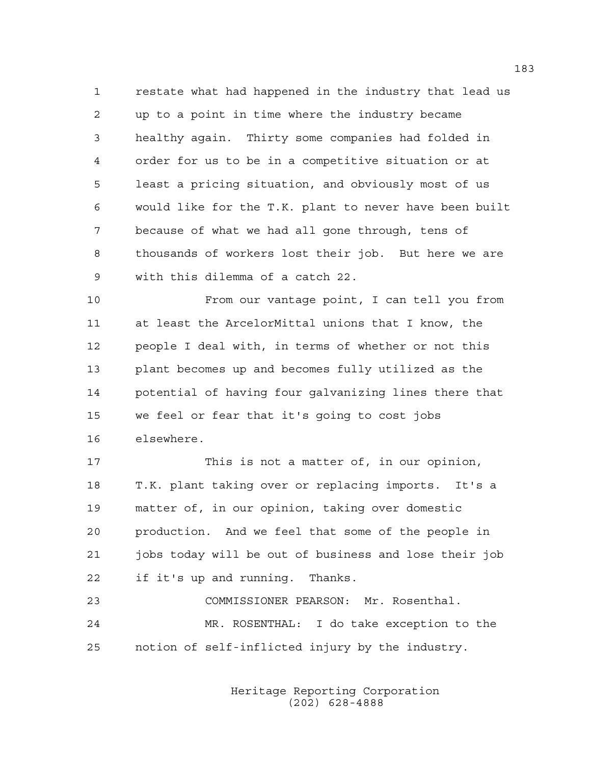1 restate what had happened in the industry that lead us 2 up to a point in time where the industry became 3 healthy again. Thirty some companies had folded in 4 order for us to be in a competitive situation or at 5 least a pricing situation, and obviously most of us 6 would like for the T.K. plant to never have been built 7 because of what we had all gone through, tens of 8 thousands of workers lost their job. But here we are 9 with this dilemma of a catch 22.

10 From our vantage point, I can tell you from 11 at least the ArcelorMittal unions that I know, the 12 people I deal with, in terms of whether or not this 13 plant becomes up and becomes fully utilized as the 14 potential of having four galvanizing lines there that 15 we feel or fear that it's going to cost jobs 16 elsewhere.

17 This is not a matter of, in our opinion, 18 T.K. plant taking over or replacing imports. It's a 19 matter of, in our opinion, taking over domestic 20 production. And we feel that some of the people in 21 jobs today will be out of business and lose their job 22 if it's up and running. Thanks.

23 COMMISSIONER PEARSON: Mr. Rosenthal. 24 MR. ROSENTHAL: I do take exception to the 25 notion of self-inflicted injury by the industry.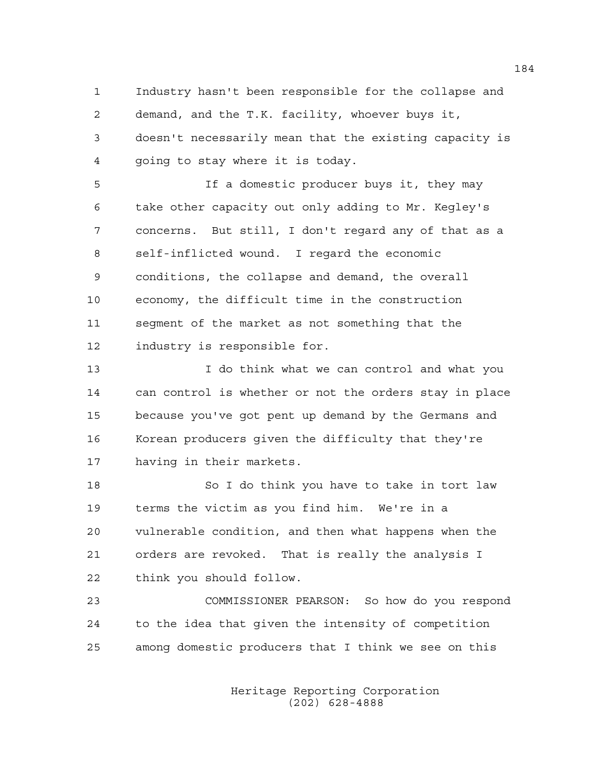1 Industry hasn't been responsible for the collapse and 2 demand, and the T.K. facility, whoever buys it, 3 doesn't necessarily mean that the existing capacity is 4 going to stay where it is today.

5 If a domestic producer buys it, they may 6 take other capacity out only adding to Mr. Kegley's 7 concerns. But still, I don't regard any of that as a 8 self-inflicted wound. I regard the economic 9 conditions, the collapse and demand, the overall 10 economy, the difficult time in the construction 11 segment of the market as not something that the 12 industry is responsible for.

13 I do think what we can control and what you 14 can control is whether or not the orders stay in place 15 because you've got pent up demand by the Germans and 16 Korean producers given the difficulty that they're 17 having in their markets.

18 So I do think you have to take in tort law 19 terms the victim as you find him. We're in a 20 vulnerable condition, and then what happens when the 21 orders are revoked. That is really the analysis I 22 think you should follow.

23 COMMISSIONER PEARSON: So how do you respond 24 to the idea that given the intensity of competition 25 among domestic producers that I think we see on this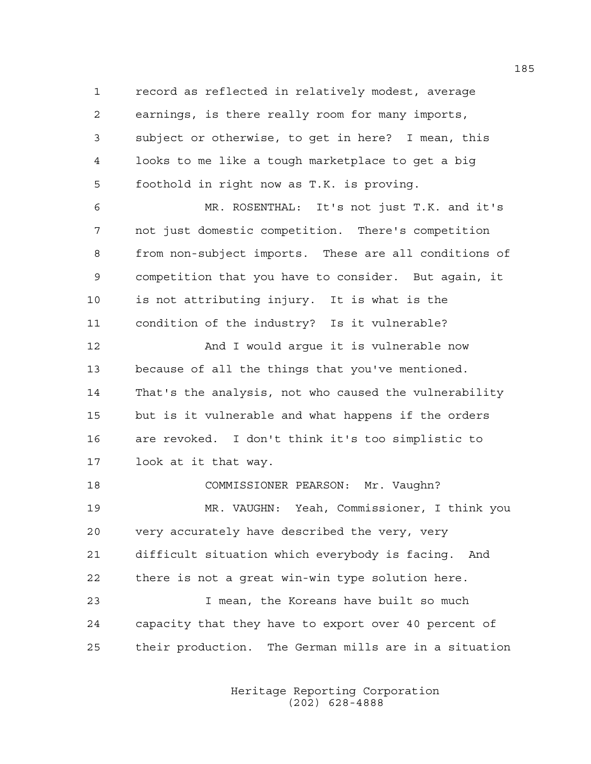1 record as reflected in relatively modest, average 2 earnings, is there really room for many imports, 3 subject or otherwise, to get in here? I mean, this 4 looks to me like a tough marketplace to get a big 5 foothold in right now as T.K. is proving.

6 MR. ROSENTHAL: It's not just T.K. and it's 7 not just domestic competition. There's competition 8 from non-subject imports. These are all conditions of 9 competition that you have to consider. But again, it 10 is not attributing injury. It is what is the 11 condition of the industry? Is it vulnerable?

12 And I would arque it is vulnerable now 13 because of all the things that you've mentioned. 14 That's the analysis, not who caused the vulnerability 15 but is it vulnerable and what happens if the orders 16 are revoked. I don't think it's too simplistic to 17 look at it that way.

18 COMMISSIONER PEARSON: Mr. Vaughn? 19 MR. VAUGHN: Yeah, Commissioner, I think you 20 very accurately have described the very, very 21 difficult situation which everybody is facing. And 22 there is not a great win-win type solution here. 23 I mean, the Koreans have built so much 24 capacity that they have to export over 40 percent of

25 their production. The German mills are in a situation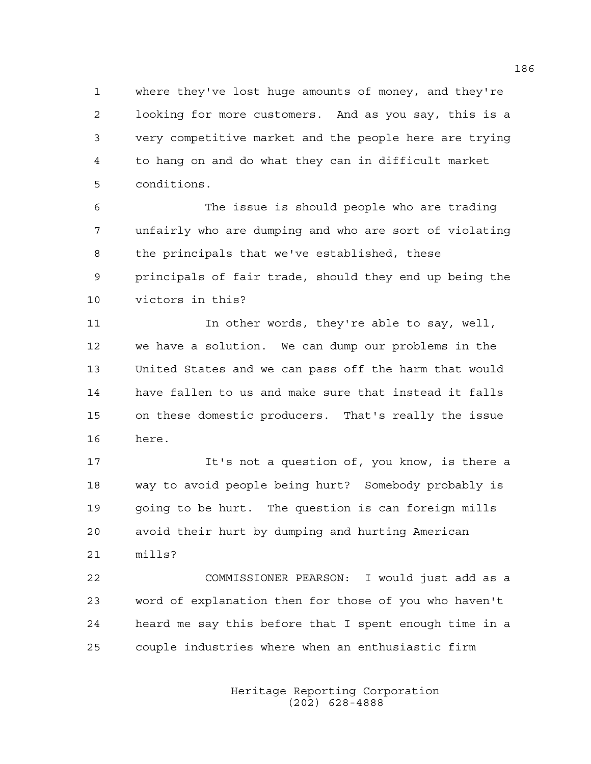1 where they've lost huge amounts of money, and they're 2 looking for more customers. And as you say, this is a 3 very competitive market and the people here are trying 4 to hang on and do what they can in difficult market 5 conditions.

6 The issue is should people who are trading 7 unfairly who are dumping and who are sort of violating 8 the principals that we've established, these 9 principals of fair trade, should they end up being the 10 victors in this?

11 In other words, they're able to say, well, 12 we have a solution. We can dump our problems in the 13 United States and we can pass off the harm that would 14 have fallen to us and make sure that instead it falls 15 on these domestic producers. That's really the issue 16 here.

17 It's not a question of, you know, is there a 18 way to avoid people being hurt? Somebody probably is 19 going to be hurt. The question is can foreign mills 20 avoid their hurt by dumping and hurting American 21 mills?

22 COMMISSIONER PEARSON: I would just add as a 23 word of explanation then for those of you who haven't 24 heard me say this before that I spent enough time in a 25 couple industries where when an enthusiastic firm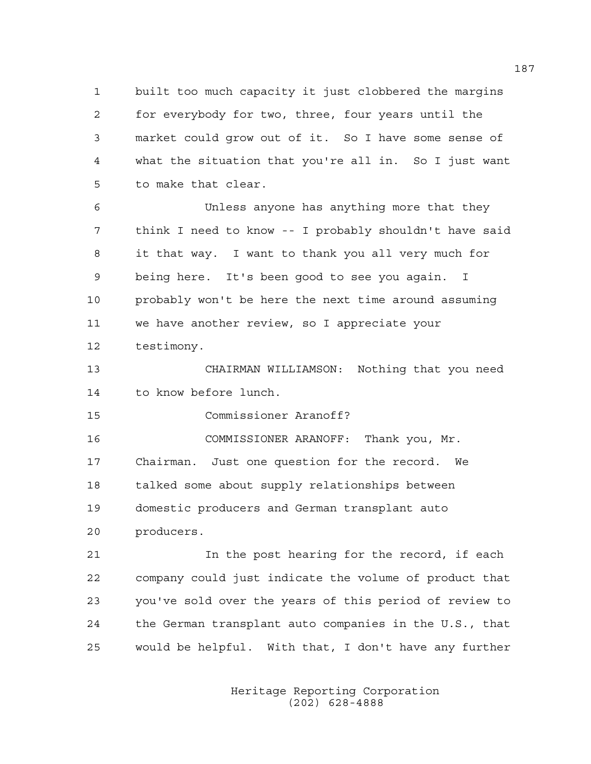1 built too much capacity it just clobbered the margins 2 for everybody for two, three, four years until the 3 market could grow out of it. So I have some sense of 4 what the situation that you're all in. So I just want 5 to make that clear.

6 Unless anyone has anything more that they 7 think I need to know -- I probably shouldn't have said 8 it that way. I want to thank you all very much for 9 being here. It's been good to see you again. I 10 probably won't be here the next time around assuming 11 we have another review, so I appreciate your 12 testimony.

13 CHAIRMAN WILLIAMSON: Nothing that you need 14 to know before lunch.

15 Commissioner Aranoff?

16 COMMISSIONER ARANOFF: Thank you, Mr.

17 Chairman. Just one question for the record. We 18 talked some about supply relationships between 19 domestic producers and German transplant auto 20 producers.

21 In the post hearing for the record, if each 22 company could just indicate the volume of product that 23 you've sold over the years of this period of review to 24 the German transplant auto companies in the U.S., that 25 would be helpful. With that, I don't have any further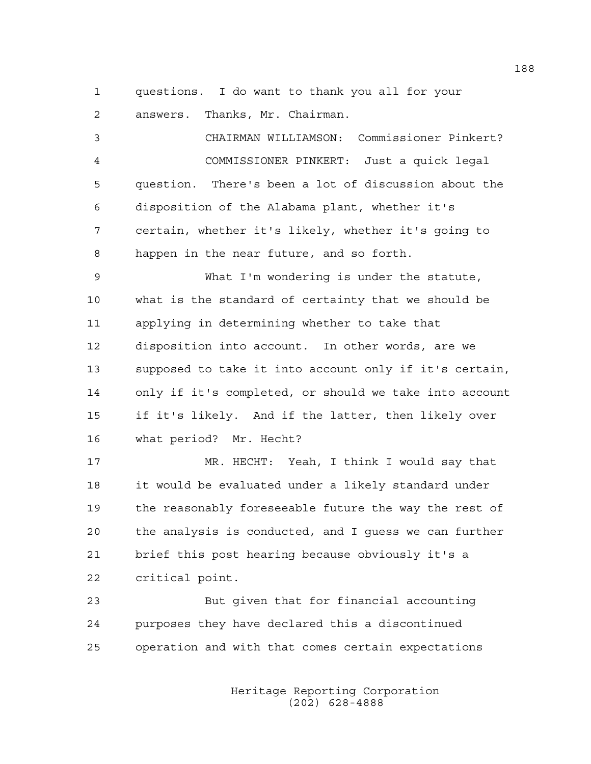1 questions. I do want to thank you all for your

2 answers. Thanks, Mr. Chairman.

3 CHAIRMAN WILLIAMSON: Commissioner Pinkert? 4 COMMISSIONER PINKERT: Just a quick legal 5 question. There's been a lot of discussion about the 6 disposition of the Alabama plant, whether it's 7 certain, whether it's likely, whether it's going to 8 happen in the near future, and so forth. 9 What I'm wondering is under the statute, 10 what is the standard of certainty that we should be 11 applying in determining whether to take that 12 disposition into account. In other words, are we 13 supposed to take it into account only if it's certain, 14 only if it's completed, or should we take into account 15 if it's likely. And if the latter, then likely over 16 what period? Mr. Hecht? 17 MR. HECHT: Yeah, I think I would say that 18 it would be evaluated under a likely standard under 19 the reasonably foreseeable future the way the rest of 20 the analysis is conducted, and I guess we can further 21 brief this post hearing because obviously it's a 22 critical point.

23 But given that for financial accounting 24 purposes they have declared this a discontinued 25 operation and with that comes certain expectations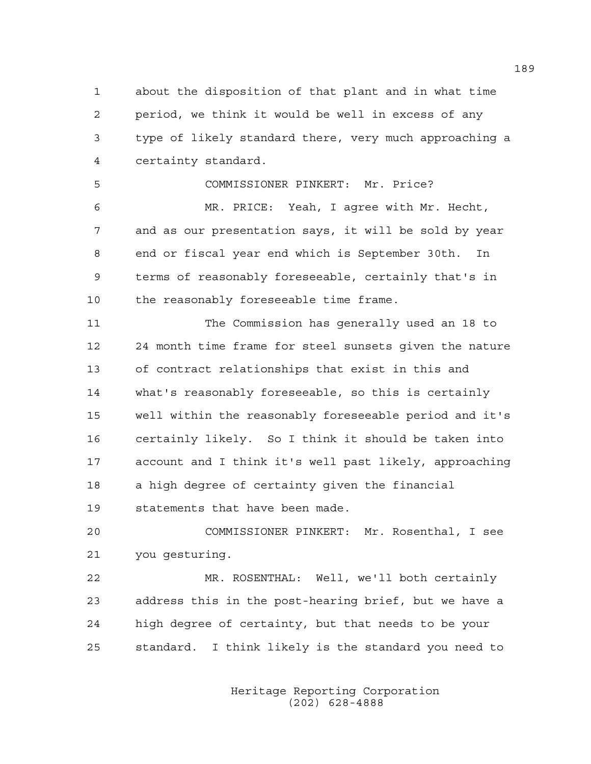1 about the disposition of that plant and in what time 2 period, we think it would be well in excess of any 3 type of likely standard there, very much approaching a 4 certainty standard.

5 COMMISSIONER PINKERT: Mr. Price? 6 MR. PRICE: Yeah, I agree with Mr. Hecht, 7 and as our presentation says, it will be sold by year 8 end or fiscal year end which is September 30th. In 9 terms of reasonably foreseeable, certainly that's in 10 the reasonably foreseeable time frame.

11 The Commission has generally used an 18 to 12 24 month time frame for steel sunsets given the nature 13 of contract relationships that exist in this and 14 what's reasonably foreseeable, so this is certainly 15 well within the reasonably foreseeable period and it's 16 certainly likely. So I think it should be taken into 17 account and I think it's well past likely, approaching 18 a high degree of certainty given the financial 19 statements that have been made.

20 COMMISSIONER PINKERT: Mr. Rosenthal, I see 21 you gesturing.

22 MR. ROSENTHAL: Well, we'll both certainly 23 address this in the post-hearing brief, but we have a 24 high degree of certainty, but that needs to be your 25 standard. I think likely is the standard you need to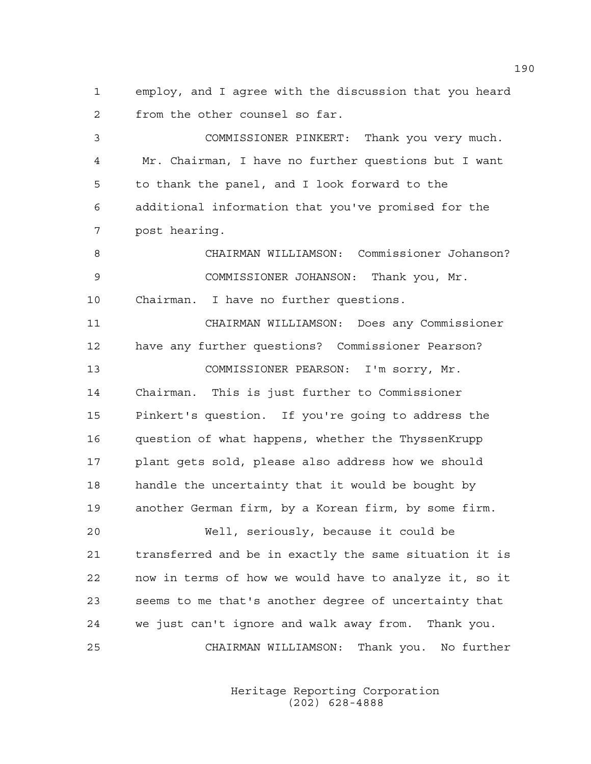1 employ, and I agree with the discussion that you heard 2 from the other counsel so far.

3 COMMISSIONER PINKERT: Thank you very much. 4 Mr. Chairman, I have no further questions but I want 5 to thank the panel, and I look forward to the 6 additional information that you've promised for the 7 post hearing.

8 CHAIRMAN WILLIAMSON: Commissioner Johanson? 9 COMMISSIONER JOHANSON: Thank you, Mr. 10 Chairman. I have no further questions.

11 CHAIRMAN WILLIAMSON: Does any Commissioner 12 have any further questions? Commissioner Pearson? 13 COMMISSIONER PEARSON: I'm sorry, Mr. 14 Chairman. This is just further to Commissioner 15 Pinkert's question. If you're going to address the 16 question of what happens, whether the ThyssenKrupp 17 plant gets sold, please also address how we should 18 handle the uncertainty that it would be bought by 19 another German firm, by a Korean firm, by some firm. 20 Well, seriously, because it could be 21 transferred and be in exactly the same situation it is

22 now in terms of how we would have to analyze it, so it 23 seems to me that's another degree of uncertainty that 24 we just can't ignore and walk away from. Thank you. 25 CHAIRMAN WILLIAMSON: Thank you. No further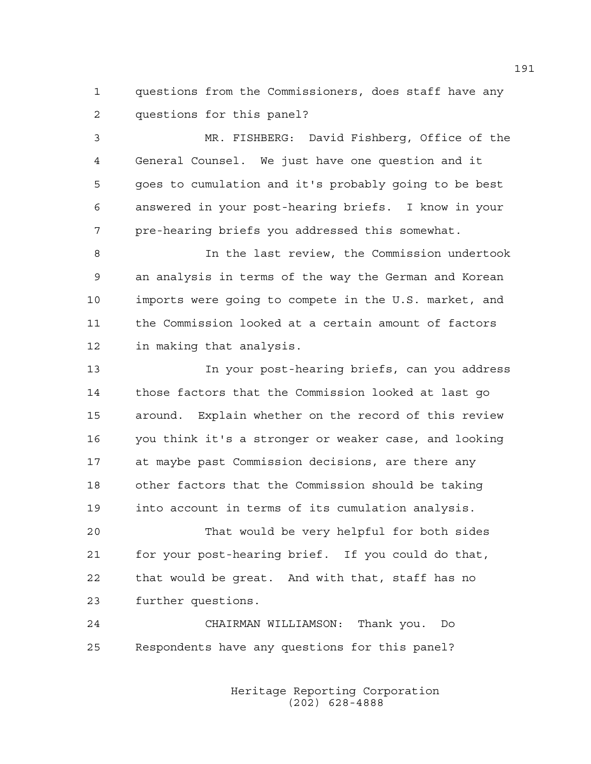1 questions from the Commissioners, does staff have any 2 questions for this panel?

3 MR. FISHBERG: David Fishberg, Office of the 4 General Counsel. We just have one question and it 5 goes to cumulation and it's probably going to be best 6 answered in your post-hearing briefs. I know in your 7 pre-hearing briefs you addressed this somewhat.

8 In the last review, the Commission undertook 9 an analysis in terms of the way the German and Korean 10 imports were going to compete in the U.S. market, and 11 the Commission looked at a certain amount of factors 12 in making that analysis.

13 In your post-hearing briefs, can you address 14 those factors that the Commission looked at last go 15 around. Explain whether on the record of this review 16 you think it's a stronger or weaker case, and looking 17 at maybe past Commission decisions, are there any 18 other factors that the Commission should be taking 19 into account in terms of its cumulation analysis.

20 That would be very helpful for both sides 21 for your post-hearing brief. If you could do that, 22 that would be great. And with that, staff has no 23 further questions.

24 CHAIRMAN WILLIAMSON: Thank you. Do 25 Respondents have any questions for this panel?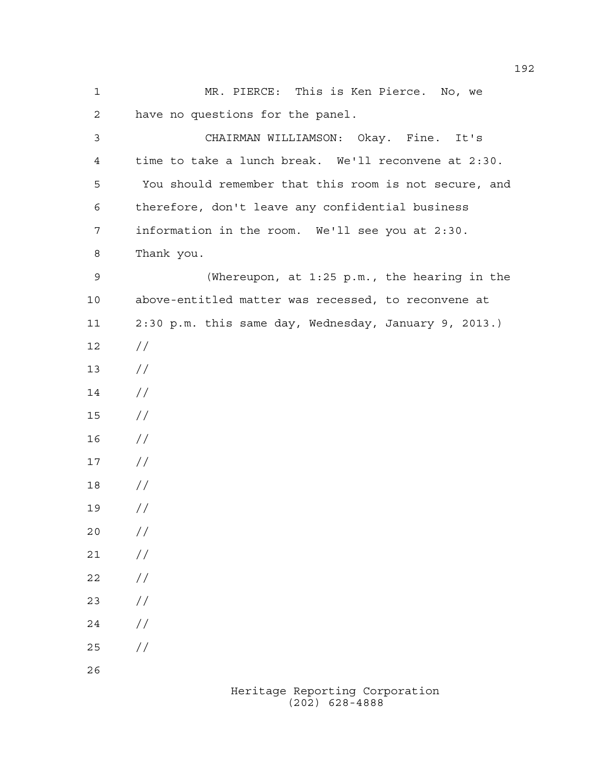1 MR. PIERCE: This is Ken Pierce. No, we 2 have no questions for the panel. 3 CHAIRMAN WILLIAMSON: Okay. Fine. It's 4 time to take a lunch break. We'll reconvene at 2:30. 5 You should remember that this room is not secure, and 6 therefore, don't leave any confidential business 7 information in the room. We'll see you at 2:30. 8 Thank you. 9 (Whereupon, at 1:25 p.m., the hearing in the 10 above-entitled matter was recessed, to reconvene at 11 2:30 p.m. this same day, Wednesday, January 9, 2013.) 12 // 13 //  $14 /$ 15 // 16 // 17 // 18 // 19 // 20 // 21 // 22 // 23 // 24 // 25 // 26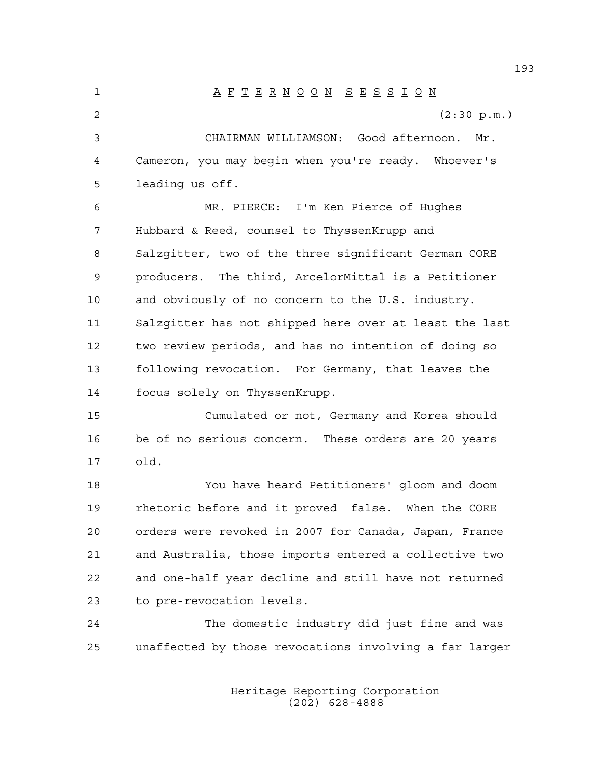1 A F T E R N O O N S E S S I O N 2 (2:30 p.m.) 3 CHAIRMAN WILLIAMSON: Good afternoon. Mr. 4 Cameron, you may begin when you're ready. Whoever's 5 leading us off. 6 MR. PIERCE: I'm Ken Pierce of Hughes 7 Hubbard & Reed, counsel to ThyssenKrupp and 8 Salzgitter, two of the three significant German CORE 9 producers. The third, ArcelorMittal is a Petitioner 10 and obviously of no concern to the U.S. industry. 11 Salzgitter has not shipped here over at least the last 12 two review periods, and has no intention of doing so 13 following revocation. For Germany, that leaves the 14 focus solely on ThyssenKrupp. 15 Cumulated or not, Germany and Korea should 16 be of no serious concern. These orders are 20 years 17 old. 18 You have heard Petitioners' gloom and doom 19 rhetoric before and it proved false. When the CORE 20 orders were revoked in 2007 for Canada, Japan, France 21 and Australia, those imports entered a collective two 22 and one-half year decline and still have not returned 23 to pre-revocation levels. 24 The domestic industry did just fine and was 25 unaffected by those revocations involving a far larger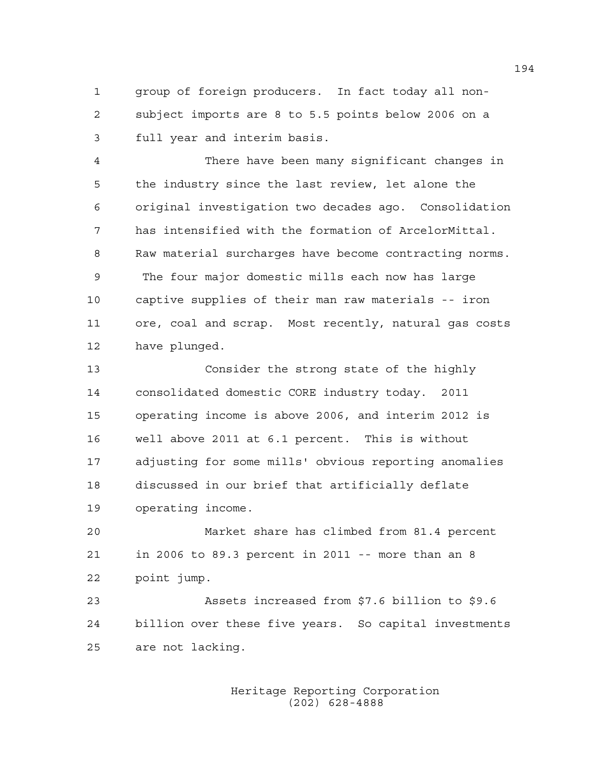1 group of foreign producers. In fact today all non-2 subject imports are 8 to 5.5 points below 2006 on a 3 full year and interim basis.

4 There have been many significant changes in 5 the industry since the last review, let alone the 6 original investigation two decades ago. Consolidation 7 has intensified with the formation of ArcelorMittal. 8 Raw material surcharges have become contracting norms. 9 The four major domestic mills each now has large 10 captive supplies of their man raw materials -- iron 11 ore, coal and scrap. Most recently, natural gas costs 12 have plunged.

13 Consider the strong state of the highly 14 consolidated domestic CORE industry today. 2011 15 operating income is above 2006, and interim 2012 is 16 well above 2011 at 6.1 percent. This is without 17 adjusting for some mills' obvious reporting anomalies 18 discussed in our brief that artificially deflate 19 operating income.

20 Market share has climbed from 81.4 percent 21 in 2006 to 89.3 percent in 2011 -- more than an 8 22 point jump.

23 Assets increased from \$7.6 billion to \$9.6 24 billion over these five years. So capital investments 25 are not lacking.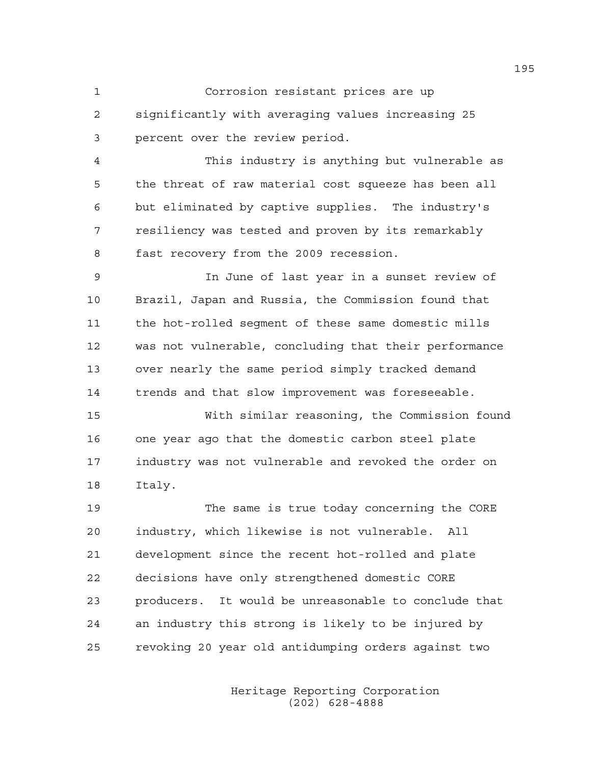1 Corrosion resistant prices are up 2 significantly with averaging values increasing 25 3 percent over the review period.

4 This industry is anything but vulnerable as 5 the threat of raw material cost squeeze has been all 6 but eliminated by captive supplies. The industry's 7 resiliency was tested and proven by its remarkably 8 fast recovery from the 2009 recession.

9 In June of last year in a sunset review of 10 Brazil, Japan and Russia, the Commission found that 11 the hot-rolled segment of these same domestic mills 12 was not vulnerable, concluding that their performance 13 over nearly the same period simply tracked demand 14 trends and that slow improvement was foreseeable.

15 With similar reasoning, the Commission found 16 one year ago that the domestic carbon steel plate 17 industry was not vulnerable and revoked the order on 18 Italy.

19 The same is true today concerning the CORE 20 industry, which likewise is not vulnerable. All 21 development since the recent hot-rolled and plate 22 decisions have only strengthened domestic CORE 23 producers. It would be unreasonable to conclude that 24 an industry this strong is likely to be injured by 25 revoking 20 year old antidumping orders against two

> Heritage Reporting Corporation (202) 628-4888

195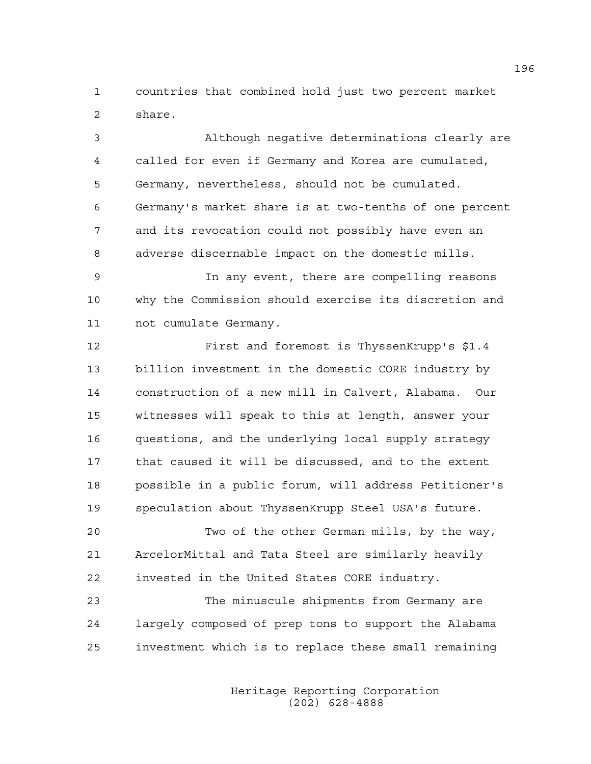1 countries that combined hold just two percent market 2 share.

3 Although negative determinations clearly are 4 called for even if Germany and Korea are cumulated, 5 Germany, nevertheless, should not be cumulated. 6 Germany's market share is at two-tenths of one percent 7 and its revocation could not possibly have even an 8 adverse discernable impact on the domestic mills.

9 In any event, there are compelling reasons 10 why the Commission should exercise its discretion and 11 not cumulate Germany.

12 First and foremost is ThyssenKrupp's \$1.4 13 billion investment in the domestic CORE industry by 14 construction of a new mill in Calvert, Alabama. Our 15 witnesses will speak to this at length, answer your 16 questions, and the underlying local supply strategy 17 that caused it will be discussed, and to the extent 18 possible in a public forum, will address Petitioner's 19 speculation about ThyssenKrupp Steel USA's future.

20 Two of the other German mills, by the way, 21 ArcelorMittal and Tata Steel are similarly heavily 22 invested in the United States CORE industry.

23 The minuscule shipments from Germany are 24 largely composed of prep tons to support the Alabama 25 investment which is to replace these small remaining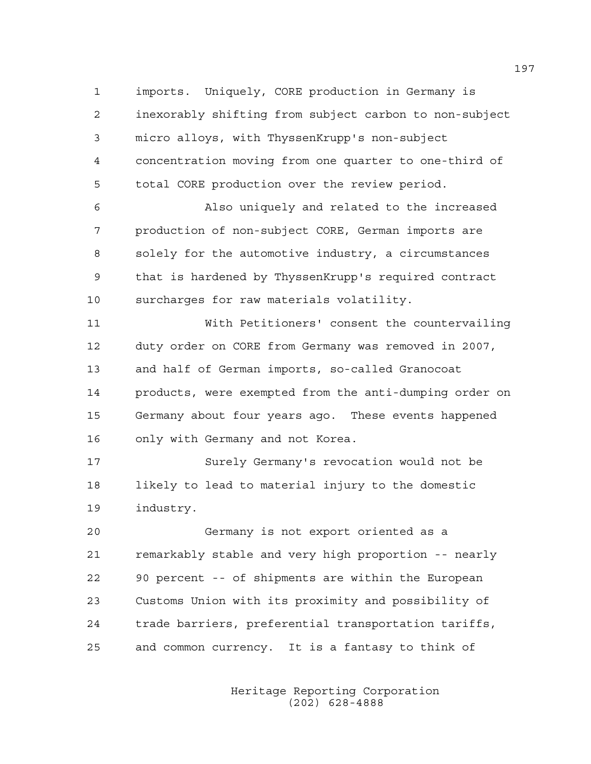1 imports. Uniquely, CORE production in Germany is 2 inexorably shifting from subject carbon to non-subject 3 micro alloys, with ThyssenKrupp's non-subject 4 concentration moving from one quarter to one-third of 5 total CORE production over the review period.

6 Also uniquely and related to the increased 7 production of non-subject CORE, German imports are 8 solely for the automotive industry, a circumstances 9 that is hardened by ThyssenKrupp's required contract 10 surcharges for raw materials volatility.

11 With Petitioners' consent the countervailing 12 duty order on CORE from Germany was removed in 2007, 13 and half of German imports, so-called Granocoat 14 products, were exempted from the anti-dumping order on 15 Germany about four years ago. These events happened 16 only with Germany and not Korea.

17 Surely Germany's revocation would not be 18 likely to lead to material injury to the domestic 19 industry.

20 Germany is not export oriented as a 21 remarkably stable and very high proportion -- nearly 22 90 percent -- of shipments are within the European 23 Customs Union with its proximity and possibility of 24 trade barriers, preferential transportation tariffs, 25 and common currency. It is a fantasy to think of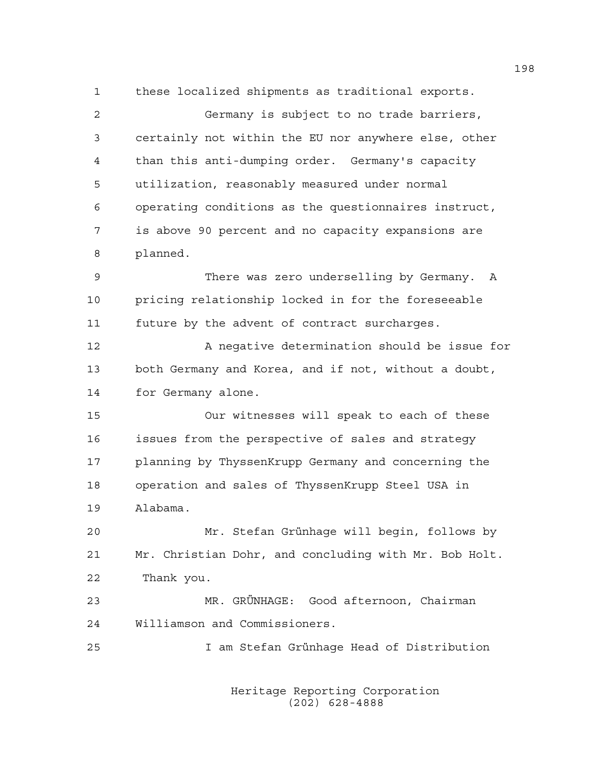1 these localized shipments as traditional exports. 2 Germany is subject to no trade barriers, 3 certainly not within the EU nor anywhere else, other 4 than this anti-dumping order. Germany's capacity 5 utilization, reasonably measured under normal 6 operating conditions as the questionnaires instruct, 7 is above 90 percent and no capacity expansions are 8 planned. 9 There was zero underselling by Germany. A 10 pricing relationship locked in for the foreseeable 11 future by the advent of contract surcharges. 12 A negative determination should be issue for 13 both Germany and Korea, and if not, without a doubt, 14 for Germany alone. 15 Our witnesses will speak to each of these 16 issues from the perspective of sales and strategy 17 planning by ThyssenKrupp Germany and concerning the 18 operation and sales of ThyssenKrupp Steel USA in 19 Alabama. 20 Mr. Stefan Grünhage will begin, follows by 21 Mr. Christian Dohr, and concluding with Mr. Bob Holt. 22 Thank you. 23 MR. GRÜNHAGE: Good afternoon, Chairman 24 Williamson and Commissioners. 25 I am Stefan Grünhage Head of Distribution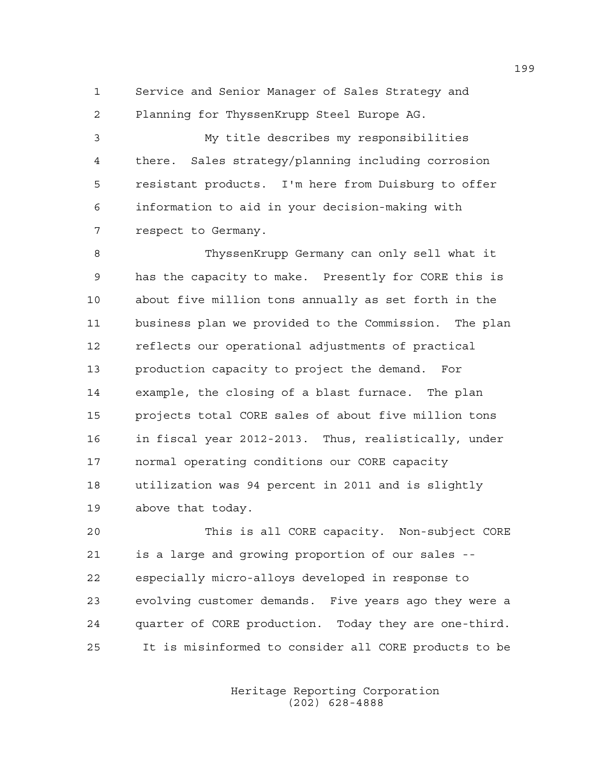1 Service and Senior Manager of Sales Strategy and 2 Planning for ThyssenKrupp Steel Europe AG.

3 My title describes my responsibilities 4 there. Sales strategy/planning including corrosion 5 resistant products. I'm here from Duisburg to offer 6 information to aid in your decision-making with 7 respect to Germany.

8 ThyssenKrupp Germany can only sell what it 9 has the capacity to make. Presently for CORE this is 10 about five million tons annually as set forth in the 11 business plan we provided to the Commission. The plan 12 reflects our operational adjustments of practical 13 production capacity to project the demand. For 14 example, the closing of a blast furnace. The plan 15 projects total CORE sales of about five million tons 16 in fiscal year 2012-2013. Thus, realistically, under 17 normal operating conditions our CORE capacity 18 utilization was 94 percent in 2011 and is slightly 19 above that today.

20 This is all CORE capacity. Non-subject CORE 21 is a large and growing proportion of our sales -- 22 especially micro-alloys developed in response to 23 evolving customer demands. Five years ago they were a 24 quarter of CORE production. Today they are one-third. 25 It is misinformed to consider all CORE products to be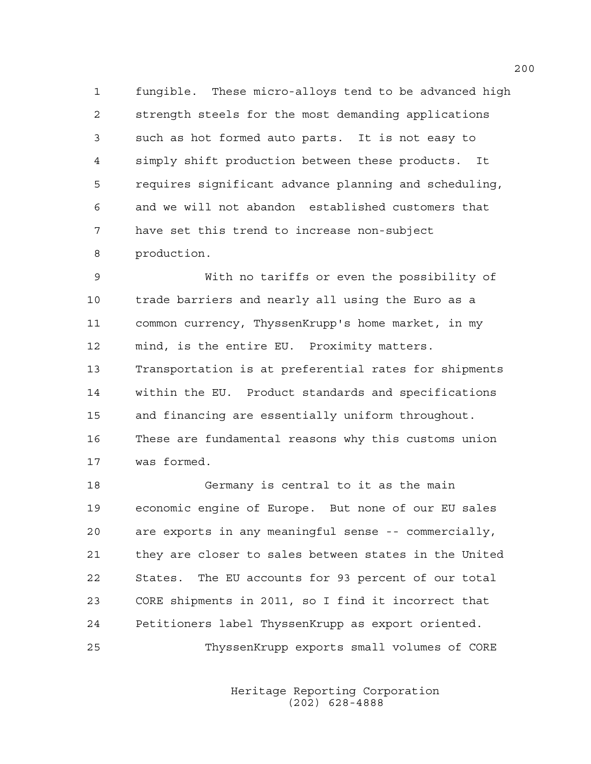1 fungible. These micro-alloys tend to be advanced high 2 strength steels for the most demanding applications 3 such as hot formed auto parts. It is not easy to 4 simply shift production between these products. It 5 requires significant advance planning and scheduling, 6 and we will not abandon established customers that 7 have set this trend to increase non-subject 8 production.

9 With no tariffs or even the possibility of 10 trade barriers and nearly all using the Euro as a 11 common currency, ThyssenKrupp's home market, in my 12 mind, is the entire EU. Proximity matters. 13 Transportation is at preferential rates for shipments 14 within the EU. Product standards and specifications 15 and financing are essentially uniform throughout. 16 These are fundamental reasons why this customs union 17 was formed.

18 Germany is central to it as the main 19 economic engine of Europe. But none of our EU sales 20 are exports in any meaningful sense -- commercially, 21 they are closer to sales between states in the United 22 States. The EU accounts for 93 percent of our total 23 CORE shipments in 2011, so I find it incorrect that 24 Petitioners label ThyssenKrupp as export oriented. 25 ThyssenKrupp exports small volumes of CORE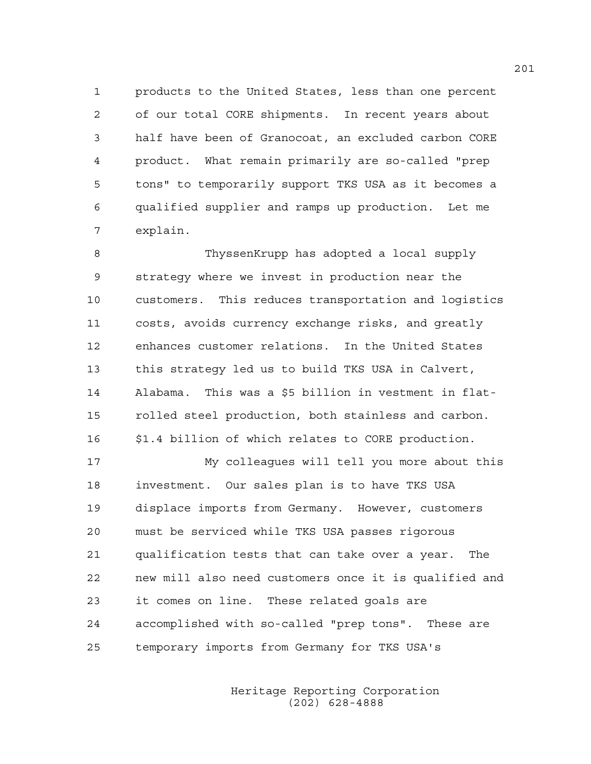1 products to the United States, less than one percent 2 of our total CORE shipments. In recent years about 3 half have been of Granocoat, an excluded carbon CORE 4 product. What remain primarily are so-called "prep 5 tons" to temporarily support TKS USA as it becomes a 6 qualified supplier and ramps up production. Let me 7 explain.

8 ThyssenKrupp has adopted a local supply 9 strategy where we invest in production near the 10 customers. This reduces transportation and logistics 11 costs, avoids currency exchange risks, and greatly 12 enhances customer relations. In the United States 13 this strategy led us to build TKS USA in Calvert, 14 Alabama. This was a \$5 billion in vestment in flat-15 rolled steel production, both stainless and carbon. 16 \$1.4 billion of which relates to CORE production.

17 My colleagues will tell you more about this 18 investment. Our sales plan is to have TKS USA 19 displace imports from Germany. However, customers 20 must be serviced while TKS USA passes rigorous 21 qualification tests that can take over a year. The 22 new mill also need customers once it is qualified and 23 it comes on line. These related goals are 24 accomplished with so-called "prep tons". These are 25 temporary imports from Germany for TKS USA's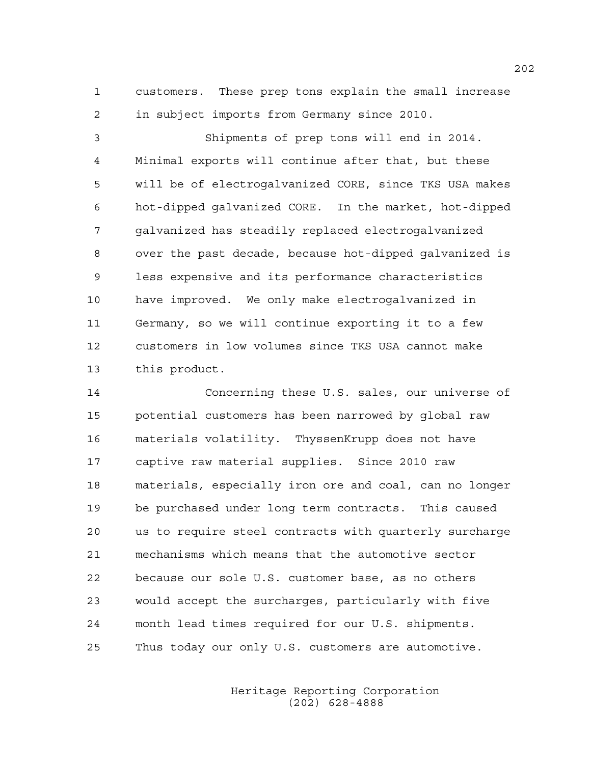1 customers. These prep tons explain the small increase 2 in subject imports from Germany since 2010.

3 Shipments of prep tons will end in 2014. 4 Minimal exports will continue after that, but these 5 will be of electrogalvanized CORE, since TKS USA makes 6 hot-dipped galvanized CORE. In the market, hot-dipped 7 galvanized has steadily replaced electrogalvanized 8 over the past decade, because hot-dipped galvanized is 9 less expensive and its performance characteristics 10 have improved. We only make electrogalvanized in 11 Germany, so we will continue exporting it to a few 12 customers in low volumes since TKS USA cannot make 13 this product.

14 Concerning these U.S. sales, our universe of 15 potential customers has been narrowed by global raw 16 materials volatility. ThyssenKrupp does not have 17 captive raw material supplies. Since 2010 raw 18 materials, especially iron ore and coal, can no longer 19 be purchased under long term contracts. This caused 20 us to require steel contracts with quarterly surcharge 21 mechanisms which means that the automotive sector 22 because our sole U.S. customer base, as no others 23 would accept the surcharges, particularly with five 24 month lead times required for our U.S. shipments. 25 Thus today our only U.S. customers are automotive.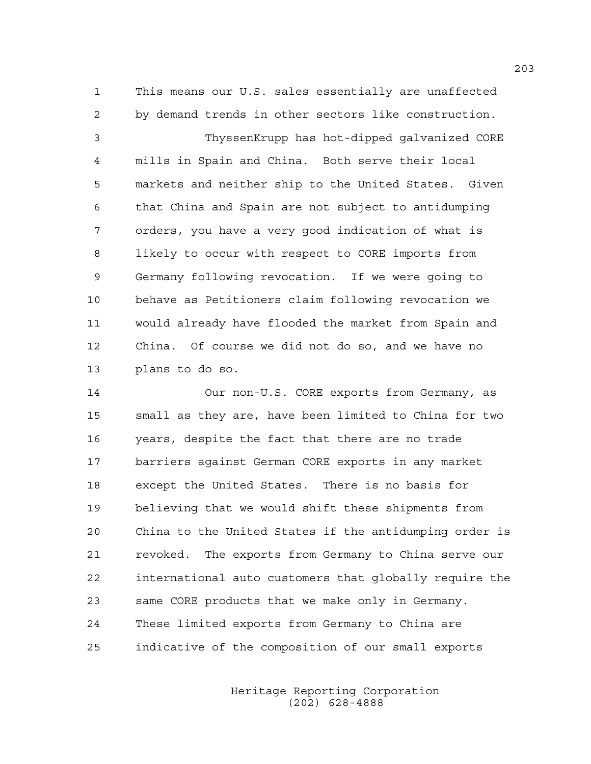1 This means our U.S. sales essentially are unaffected 2 by demand trends in other sectors like construction.

3 ThyssenKrupp has hot-dipped galvanized CORE 4 mills in Spain and China. Both serve their local 5 markets and neither ship to the United States. Given 6 that China and Spain are not subject to antidumping 7 orders, you have a very good indication of what is 8 likely to occur with respect to CORE imports from 9 Germany following revocation. If we were going to 10 behave as Petitioners claim following revocation we 11 would already have flooded the market from Spain and 12 China. Of course we did not do so, and we have no 13 plans to do so.

14 Our non-U.S. CORE exports from Germany, as 15 small as they are, have been limited to China for two 16 years, despite the fact that there are no trade 17 barriers against German CORE exports in any market 18 except the United States. There is no basis for 19 believing that we would shift these shipments from 20 China to the United States if the antidumping order is 21 revoked. The exports from Germany to China serve our 22 international auto customers that globally require the 23 same CORE products that we make only in Germany. 24 These limited exports from Germany to China are 25 indicative of the composition of our small exports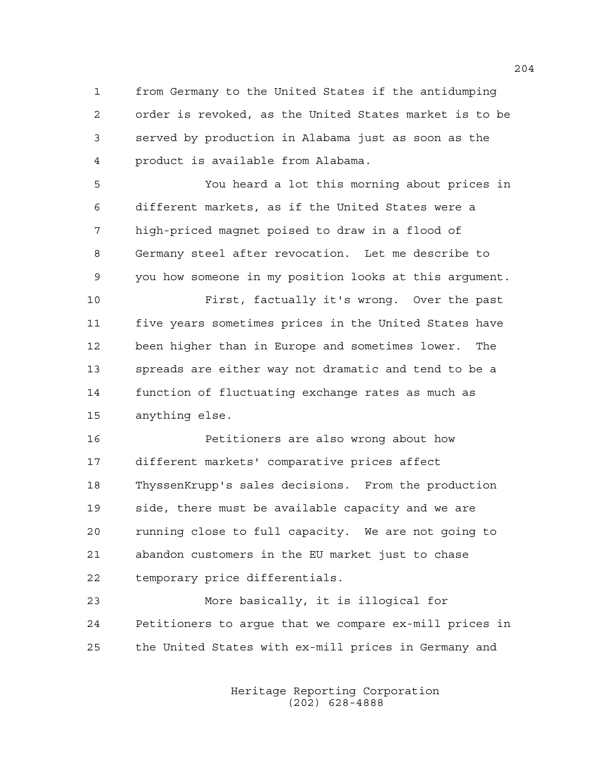1 from Germany to the United States if the antidumping 2 order is revoked, as the United States market is to be 3 served by production in Alabama just as soon as the 4 product is available from Alabama.

5 You heard a lot this morning about prices in 6 different markets, as if the United States were a 7 high-priced magnet poised to draw in a flood of 8 Germany steel after revocation. Let me describe to 9 you how someone in my position looks at this argument.

10 First, factually it's wrong. Over the past 11 five years sometimes prices in the United States have 12 been higher than in Europe and sometimes lower. The 13 spreads are either way not dramatic and tend to be a 14 function of fluctuating exchange rates as much as 15 anything else.

16 Petitioners are also wrong about how 17 different markets' comparative prices affect 18 ThyssenKrupp's sales decisions. From the production 19 side, there must be available capacity and we are 20 running close to full capacity. We are not going to 21 abandon customers in the EU market just to chase 22 temporary price differentials.

23 More basically, it is illogical for 24 Petitioners to argue that we compare ex-mill prices in 25 the United States with ex-mill prices in Germany and

> Heritage Reporting Corporation (202) 628-4888

204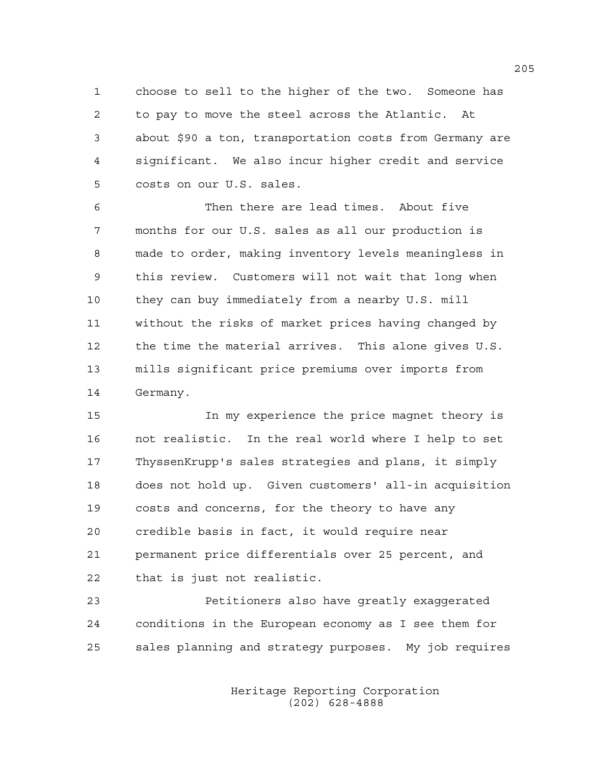1 choose to sell to the higher of the two. Someone has 2 to pay to move the steel across the Atlantic. At 3 about \$90 a ton, transportation costs from Germany are 4 significant. We also incur higher credit and service 5 costs on our U.S. sales.

6 Then there are lead times. About five 7 months for our U.S. sales as all our production is 8 made to order, making inventory levels meaningless in 9 this review. Customers will not wait that long when 10 they can buy immediately from a nearby U.S. mill 11 without the risks of market prices having changed by 12 the time the material arrives. This alone gives U.S. 13 mills significant price premiums over imports from 14 Germany.

15 In my experience the price magnet theory is 16 not realistic. In the real world where I help to set 17 ThyssenKrupp's sales strategies and plans, it simply 18 does not hold up. Given customers' all-in acquisition 19 costs and concerns, for the theory to have any 20 credible basis in fact, it would require near 21 permanent price differentials over 25 percent, and 22 that is just not realistic.

23 Petitioners also have greatly exaggerated 24 conditions in the European economy as I see them for 25 sales planning and strategy purposes. My job requires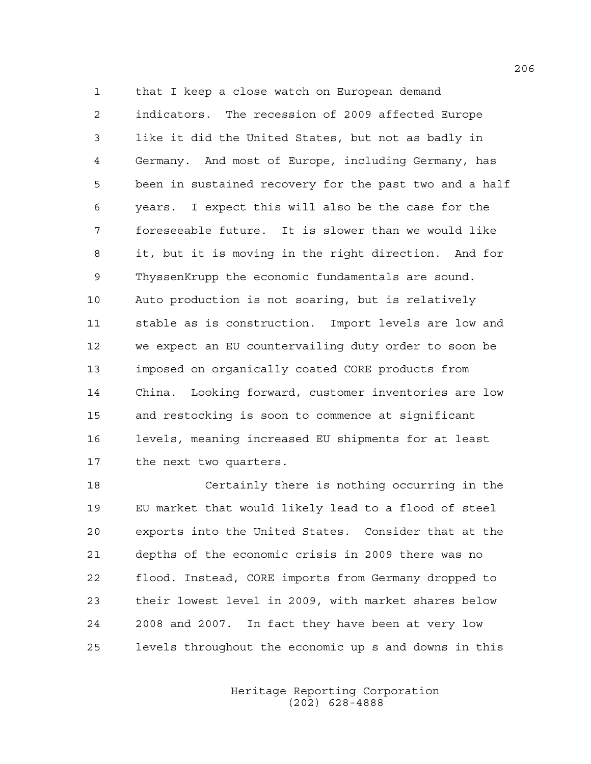1 that I keep a close watch on European demand 2 indicators. The recession of 2009 affected Europe 3 like it did the United States, but not as badly in 4 Germany. And most of Europe, including Germany, has 5 been in sustained recovery for the past two and a half 6 years. I expect this will also be the case for the 7 foreseeable future. It is slower than we would like 8 it, but it is moving in the right direction. And for 9 ThyssenKrupp the economic fundamentals are sound. 10 Auto production is not soaring, but is relatively 11 stable as is construction. Import levels are low and 12 we expect an EU countervailing duty order to soon be 13 imposed on organically coated CORE products from 14 China. Looking forward, customer inventories are low 15 and restocking is soon to commence at significant 16 levels, meaning increased EU shipments for at least 17 the next two quarters.

18 Certainly there is nothing occurring in the 19 EU market that would likely lead to a flood of steel 20 exports into the United States. Consider that at the 21 depths of the economic crisis in 2009 there was no 22 flood. Instead, CORE imports from Germany dropped to 23 their lowest level in 2009, with market shares below 24 2008 and 2007. In fact they have been at very low 25 levels throughout the economic up s and downs in this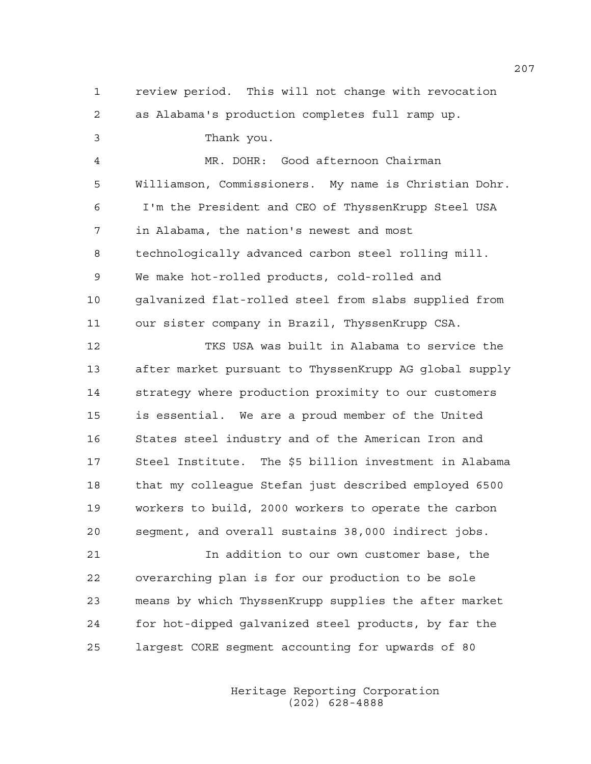1 review period. This will not change with revocation 2 as Alabama's production completes full ramp up. 3 Thank you. 4 MR. DOHR: Good afternoon Chairman 5 Williamson, Commissioners. My name is Christian Dohr. 6 I'm the President and CEO of ThyssenKrupp Steel USA 7 in Alabama, the nation's newest and most 8 technologically advanced carbon steel rolling mill. 9 We make hot-rolled products, cold-rolled and 10 galvanized flat-rolled steel from slabs supplied from 11 our sister company in Brazil, ThyssenKrupp CSA. 12 TKS USA was built in Alabama to service the 13 after market pursuant to ThyssenKrupp AG global supply 14 strategy where production proximity to our customers 15 is essential. We are a proud member of the United 16 States steel industry and of the American Iron and 17 Steel Institute. The \$5 billion investment in Alabama 18 that my colleague Stefan just described employed 6500 19 workers to build, 2000 workers to operate the carbon 20 segment, and overall sustains 38,000 indirect jobs. 21 In addition to our own customer base, the 22 overarching plan is for our production to be sole 23 means by which ThyssenKrupp supplies the after market 24 for hot-dipped galvanized steel products, by far the

25 largest CORE segment accounting for upwards of 80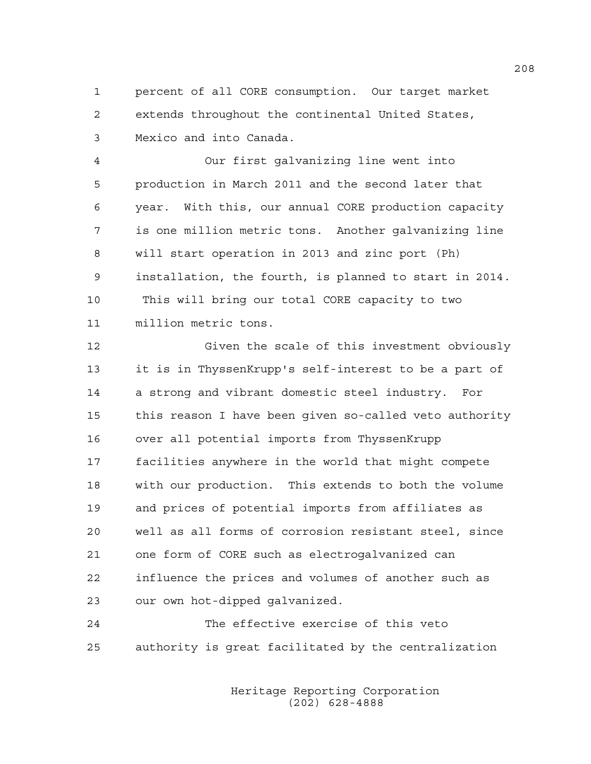1 percent of all CORE consumption. Our target market 2 extends throughout the continental United States, 3 Mexico and into Canada.

4 Our first galvanizing line went into 5 production in March 2011 and the second later that 6 year. With this, our annual CORE production capacity 7 is one million metric tons. Another galvanizing line 8 will start operation in 2013 and zinc port (Ph) 9 installation, the fourth, is planned to start in 2014. 10 This will bring our total CORE capacity to two 11 million metric tons.

12 Given the scale of this investment obviously 13 it is in ThyssenKrupp's self-interest to be a part of 14 a strong and vibrant domestic steel industry. For 15 this reason I have been given so-called veto authority 16 over all potential imports from ThyssenKrupp 17 facilities anywhere in the world that might compete 18 with our production. This extends to both the volume 19 and prices of potential imports from affiliates as 20 well as all forms of corrosion resistant steel, since 21 one form of CORE such as electrogalvanized can 22 influence the prices and volumes of another such as 23 our own hot-dipped galvanized.

24 The effective exercise of this veto 25 authority is great facilitated by the centralization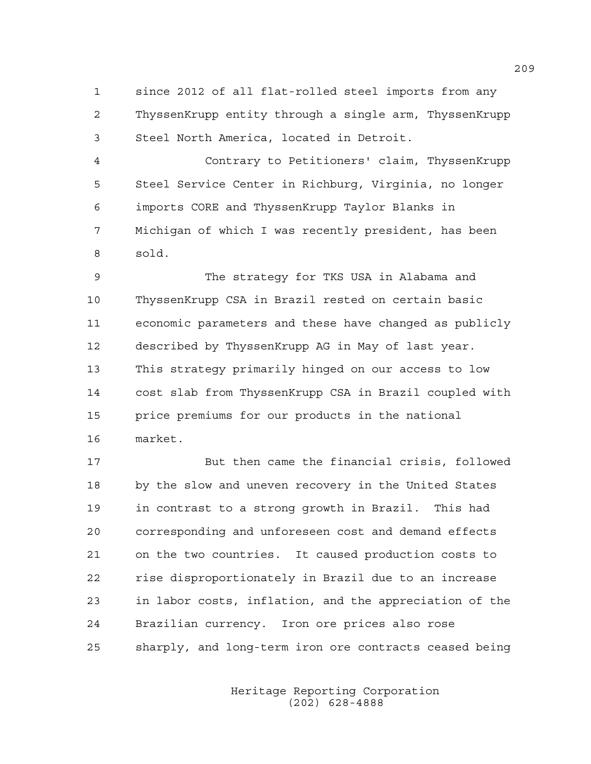1 since 2012 of all flat-rolled steel imports from any 2 ThyssenKrupp entity through a single arm, ThyssenKrupp 3 Steel North America, located in Detroit.

4 Contrary to Petitioners' claim, ThyssenKrupp 5 Steel Service Center in Richburg, Virginia, no longer 6 imports CORE and ThyssenKrupp Taylor Blanks in 7 Michigan of which I was recently president, has been 8 sold.

9 The strategy for TKS USA in Alabama and 10 ThyssenKrupp CSA in Brazil rested on certain basic 11 economic parameters and these have changed as publicly 12 described by ThyssenKrupp AG in May of last year. 13 This strategy primarily hinged on our access to low 14 cost slab from ThyssenKrupp CSA in Brazil coupled with 15 price premiums for our products in the national 16 market.

17 But then came the financial crisis, followed 18 by the slow and uneven recovery in the United States 19 in contrast to a strong growth in Brazil. This had 20 corresponding and unforeseen cost and demand effects 21 on the two countries. It caused production costs to 22 rise disproportionately in Brazil due to an increase 23 in labor costs, inflation, and the appreciation of the 24 Brazilian currency. Iron ore prices also rose 25 sharply, and long-term iron ore contracts ceased being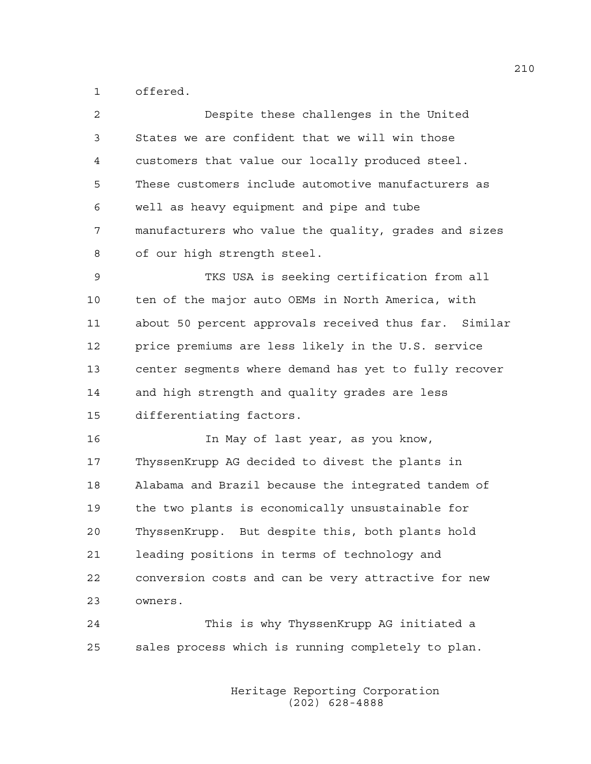1 offered.

| 2  | Despite these challenges in the United                |
|----|-------------------------------------------------------|
| 3  | States we are confident that we will win those        |
| 4  | customers that value our locally produced steel.      |
| 5  | These customers include automotive manufacturers as   |
| 6  | well as heavy equipment and pipe and tube             |
| 7  | manufacturers who value the quality, grades and sizes |
| 8  | of our high strength steel.                           |
| 9  | TKS USA is seeking certification from all             |
| 10 | ten of the major auto OEMs in North America, with     |
| 11 | about 50 percent approvals received thus far. Similar |
| 12 | price premiums are less likely in the U.S. service    |
| 13 | center segments where demand has yet to fully recover |
| 14 | and high strength and quality grades are less         |
| 15 | differentiating factors.                              |
| 16 | In May of last year, as you know,                     |
| 17 | ThyssenKrupp AG decided to divest the plants in       |
| 18 | Alabama and Brazil because the integrated tandem of   |
| 19 | the two plants is economically unsustainable for      |
| 20 | But despite this, both plants hold<br>ThyssenKrupp.   |
| 21 | leading positions in terms of technology and          |
| 22 | conversion costs and can be very attractive for new   |
| 23 | owners.                                               |
| 24 | This is why ThyssenKrupp AG initiated a               |

25 sales process which is running completely to plan.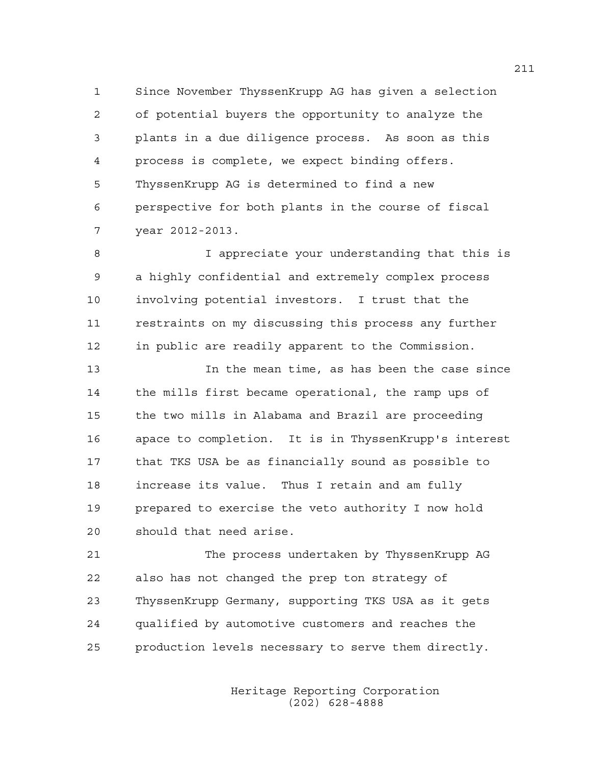1 Since November ThyssenKrupp AG has given a selection 2 of potential buyers the opportunity to analyze the 3 plants in a due diligence process. As soon as this 4 process is complete, we expect binding offers. 5 ThyssenKrupp AG is determined to find a new 6 perspective for both plants in the course of fiscal 7 year 2012-2013.

8 I appreciate your understanding that this is 9 a highly confidential and extremely complex process 10 involving potential investors. I trust that the 11 restraints on my discussing this process any further 12 in public are readily apparent to the Commission.

13 In the mean time, as has been the case since 14 the mills first became operational, the ramp ups of 15 the two mills in Alabama and Brazil are proceeding 16 apace to completion. It is in ThyssenKrupp's interest 17 that TKS USA be as financially sound as possible to 18 increase its value. Thus I retain and am fully 19 prepared to exercise the veto authority I now hold 20 should that need arise.

21 The process undertaken by ThyssenKrupp AG 22 also has not changed the prep ton strategy of 23 ThyssenKrupp Germany, supporting TKS USA as it gets 24 qualified by automotive customers and reaches the 25 production levels necessary to serve them directly.

> Heritage Reporting Corporation (202) 628-4888

211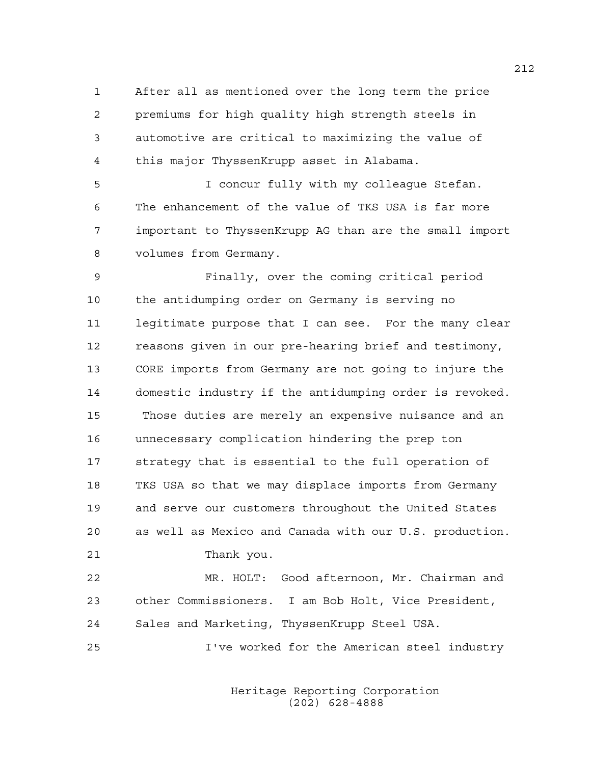1 After all as mentioned over the long term the price 2 premiums for high quality high strength steels in 3 automotive are critical to maximizing the value of 4 this major ThyssenKrupp asset in Alabama.

5 I concur fully with my colleague Stefan. 6 The enhancement of the value of TKS USA is far more 7 important to ThyssenKrupp AG than are the small import 8 volumes from Germany.

9 Finally, over the coming critical period 10 the antidumping order on Germany is serving no 11 legitimate purpose that I can see. For the many clear 12 reasons given in our pre-hearing brief and testimony, 13 CORE imports from Germany are not going to injure the 14 domestic industry if the antidumping order is revoked. 15 Those duties are merely an expensive nuisance and an 16 unnecessary complication hindering the prep ton 17 strategy that is essential to the full operation of 18 TKS USA so that we may displace imports from Germany 19 and serve our customers throughout the United States 20 as well as Mexico and Canada with our U.S. production. 21 Thank you.

22 MR. HOLT: Good afternoon, Mr. Chairman and 23 other Commissioners. I am Bob Holt, Vice President, 24 Sales and Marketing, ThyssenKrupp Steel USA.

25 I've worked for the American steel industry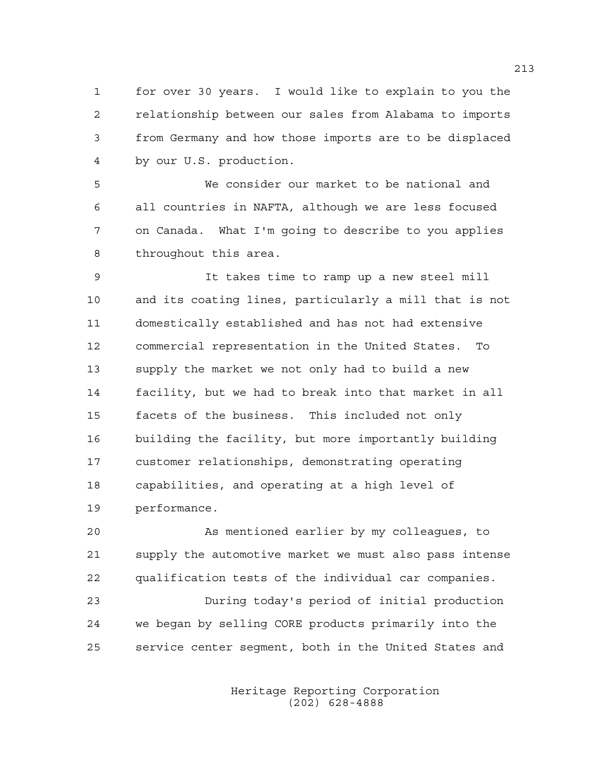1 for over 30 years. I would like to explain to you the 2 relationship between our sales from Alabama to imports 3 from Germany and how those imports are to be displaced 4 by our U.S. production.

5 We consider our market to be national and 6 all countries in NAFTA, although we are less focused 7 on Canada. What I'm going to describe to you applies 8 throughout this area.

9 It takes time to ramp up a new steel mill 10 and its coating lines, particularly a mill that is not 11 domestically established and has not had extensive 12 commercial representation in the United States. To 13 supply the market we not only had to build a new 14 facility, but we had to break into that market in all 15 facets of the business. This included not only 16 building the facility, but more importantly building 17 customer relationships, demonstrating operating 18 capabilities, and operating at a high level of 19 performance.

20 As mentioned earlier by my colleagues, to 21 supply the automotive market we must also pass intense 22 qualification tests of the individual car companies. 23 During today's period of initial production 24 we began by selling CORE products primarily into the 25 service center segment, both in the United States and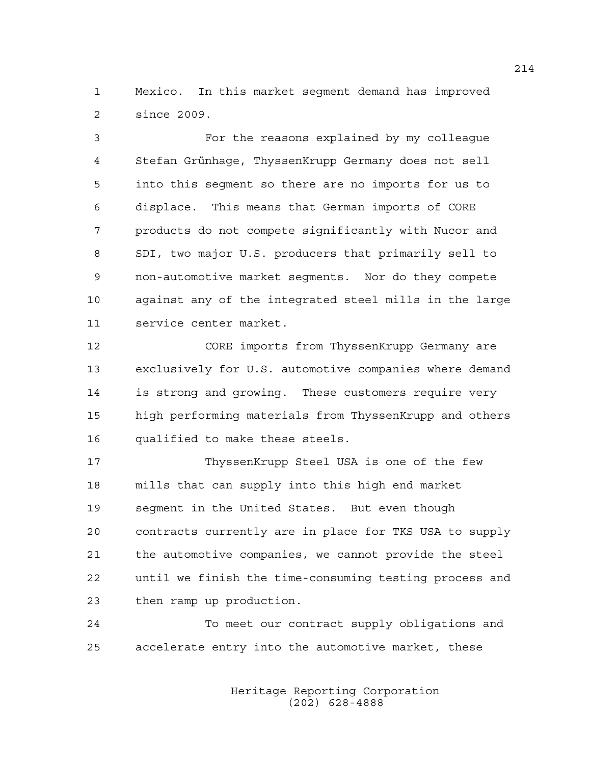1 Mexico. In this market segment demand has improved 2 since 2009.

3 For the reasons explained by my colleague 4 Stefan Grünhage, ThyssenKrupp Germany does not sell 5 into this segment so there are no imports for us to 6 displace. This means that German imports of CORE 7 products do not compete significantly with Nucor and 8 SDI, two major U.S. producers that primarily sell to 9 non-automotive market segments. Nor do they compete 10 against any of the integrated steel mills in the large 11 service center market.

12 CORE imports from ThyssenKrupp Germany are 13 exclusively for U.S. automotive companies where demand 14 is strong and growing. These customers require very 15 high performing materials from ThyssenKrupp and others 16 qualified to make these steels.

17 ThyssenKrupp Steel USA is one of the few 18 mills that can supply into this high end market 19 segment in the United States. But even though 20 contracts currently are in place for TKS USA to supply 21 the automotive companies, we cannot provide the steel 22 until we finish the time-consuming testing process and 23 then ramp up production.

24 To meet our contract supply obligations and 25 accelerate entry into the automotive market, these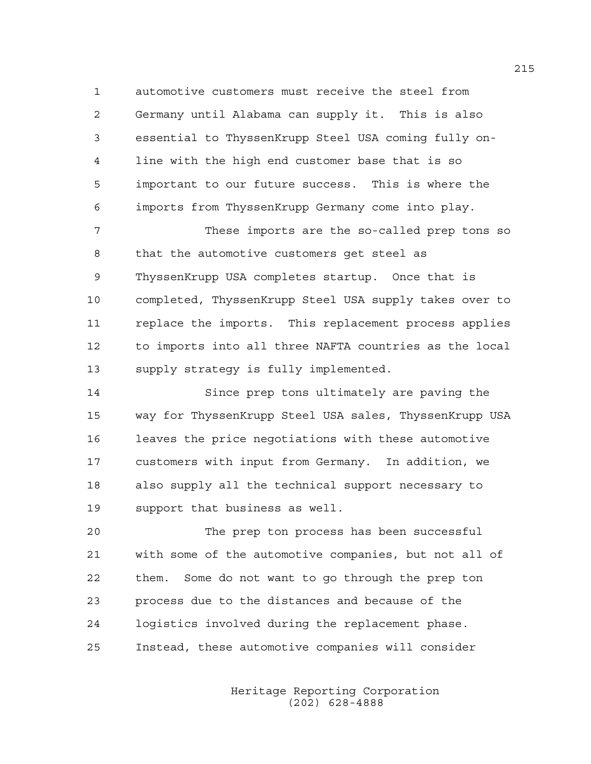1 automotive customers must receive the steel from 2 Germany until Alabama can supply it. This is also 3 essential to ThyssenKrupp Steel USA coming fully on-4 line with the high end customer base that is so 5 important to our future success. This is where the 6 imports from ThyssenKrupp Germany come into play.

7 These imports are the so-called prep tons so 8 that the automotive customers get steel as 9 ThyssenKrupp USA completes startup. Once that is 10 completed, ThyssenKrupp Steel USA supply takes over to 11 replace the imports. This replacement process applies 12 to imports into all three NAFTA countries as the local 13 supply strategy is fully implemented.

14 Since prep tons ultimately are paving the 15 way for ThyssenKrupp Steel USA sales, ThyssenKrupp USA 16 leaves the price negotiations with these automotive 17 customers with input from Germany. In addition, we 18 also supply all the technical support necessary to 19 support that business as well.

20 The prep ton process has been successful 21 with some of the automotive companies, but not all of 22 them. Some do not want to go through the prep ton 23 process due to the distances and because of the 24 logistics involved during the replacement phase. 25 Instead, these automotive companies will consider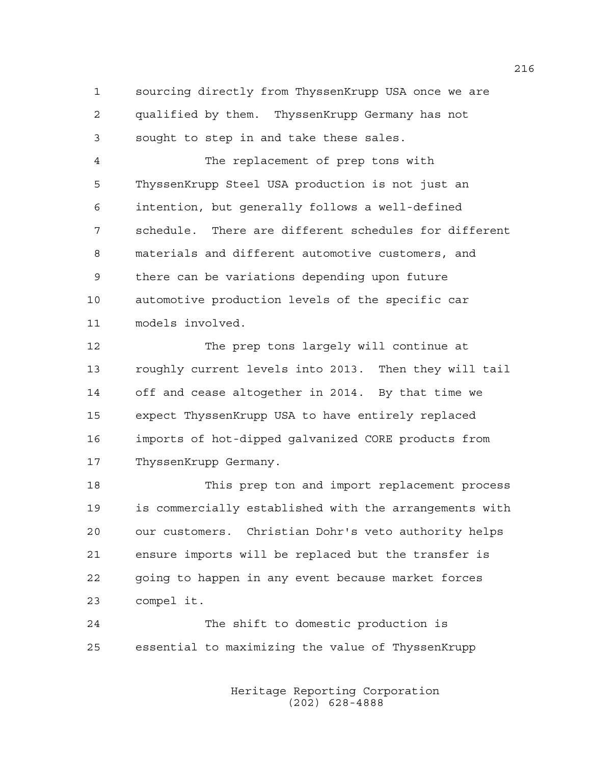1 sourcing directly from ThyssenKrupp USA once we are 2 qualified by them. ThyssenKrupp Germany has not 3 sought to step in and take these sales.

4 The replacement of prep tons with 5 ThyssenKrupp Steel USA production is not just an 6 intention, but generally follows a well-defined 7 schedule. There are different schedules for different 8 materials and different automotive customers, and 9 there can be variations depending upon future 10 automotive production levels of the specific car 11 models involved.

12 The prep tons largely will continue at 13 roughly current levels into 2013. Then they will tail 14 off and cease altogether in 2014. By that time we 15 expect ThyssenKrupp USA to have entirely replaced 16 imports of hot-dipped galvanized CORE products from 17 ThyssenKrupp Germany.

18 This prep ton and import replacement process 19 is commercially established with the arrangements with 20 our customers. Christian Dohr's veto authority helps 21 ensure imports will be replaced but the transfer is 22 going to happen in any event because market forces 23 compel it.

24 The shift to domestic production is 25 essential to maximizing the value of ThyssenKrupp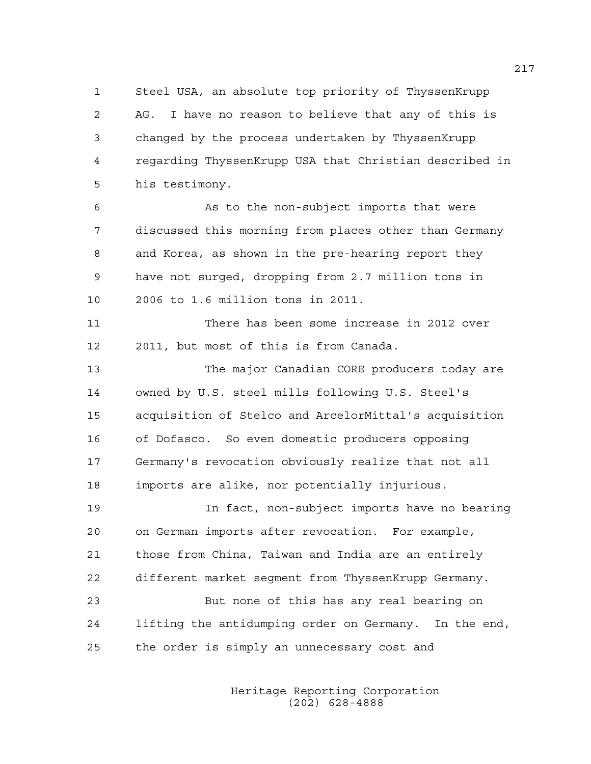1 Steel USA, an absolute top priority of ThyssenKrupp 2 AG. I have no reason to believe that any of this is 3 changed by the process undertaken by ThyssenKrupp 4 regarding ThyssenKrupp USA that Christian described in 5 his testimony.

6 As to the non-subject imports that were 7 discussed this morning from places other than Germany 8 and Korea, as shown in the pre-hearing report they 9 have not surged, dropping from 2.7 million tons in 10 2006 to 1.6 million tons in 2011.

11 There has been some increase in 2012 over 12 2011, but most of this is from Canada.

13 The major Canadian CORE producers today are 14 owned by U.S. steel mills following U.S. Steel's 15 acquisition of Stelco and ArcelorMittal's acquisition 16 of Dofasco. So even domestic producers opposing 17 Germany's revocation obviously realize that not all 18 imports are alike, nor potentially injurious.

19 In fact, non-subject imports have no bearing 20 on German imports after revocation. For example, 21 those from China, Taiwan and India are an entirely 22 different market segment from ThyssenKrupp Germany. 23 But none of this has any real bearing on 24 lifting the antidumping order on Germany. In the end,

25 the order is simply an unnecessary cost and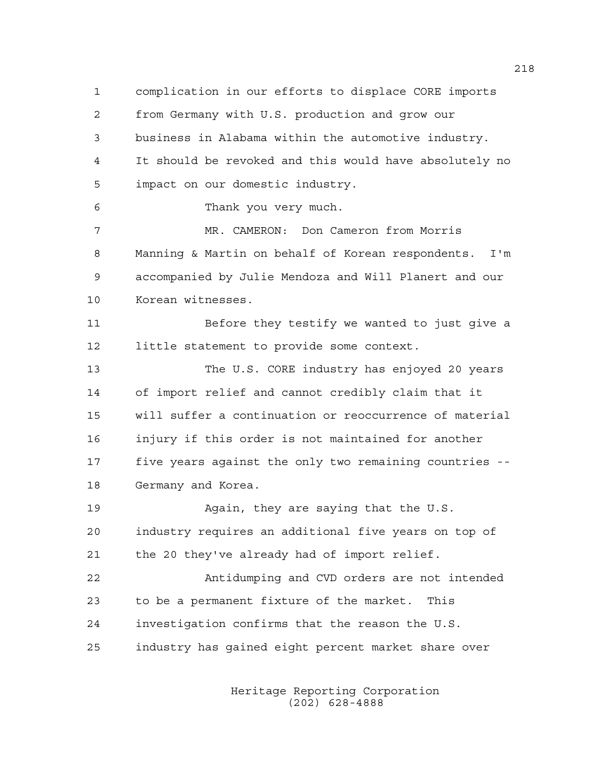1 complication in our efforts to displace CORE imports 2 from Germany with U.S. production and grow our 3 business in Alabama within the automotive industry. 4 It should be revoked and this would have absolutely no 5 impact on our domestic industry. 6 Thank you very much. 7 MR. CAMERON: Don Cameron from Morris 8 Manning & Martin on behalf of Korean respondents. I'm 9 accompanied by Julie Mendoza and Will Planert and our 10 Korean witnesses. 11 Before they testify we wanted to just give a 12 little statement to provide some context. 13 The U.S. CORE industry has enjoyed 20 years 14 of import relief and cannot credibly claim that it 15 will suffer a continuation or reoccurrence of material 16 injury if this order is not maintained for another 17 five years against the only two remaining countries -- 18 Germany and Korea. 19 Again, they are saying that the U.S. 20 industry requires an additional five years on top of 21 the 20 they've already had of import relief. 22 Antidumping and CVD orders are not intended 23 to be a permanent fixture of the market. This 24 investigation confirms that the reason the U.S. 25 industry has gained eight percent market share over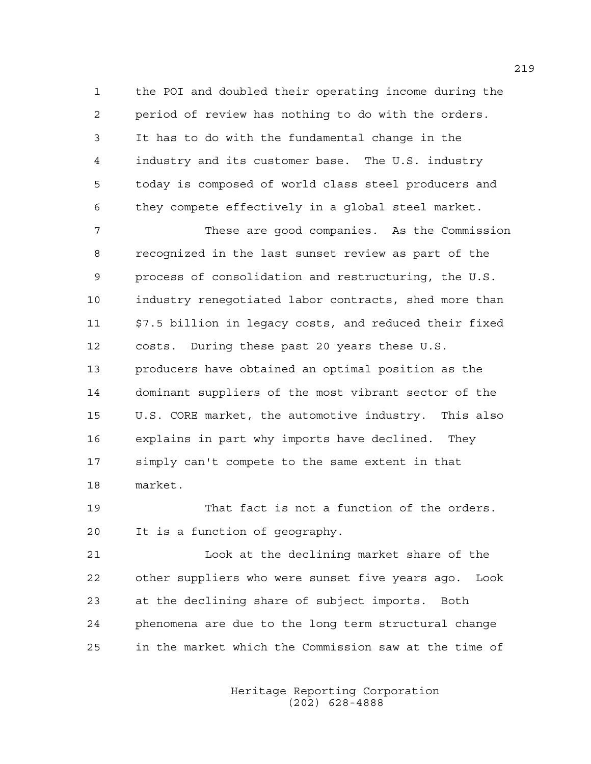1 the POI and doubled their operating income during the 2 period of review has nothing to do with the orders. 3 It has to do with the fundamental change in the 4 industry and its customer base. The U.S. industry 5 today is composed of world class steel producers and 6 they compete effectively in a global steel market.

7 These are good companies. As the Commission 8 recognized in the last sunset review as part of the 9 process of consolidation and restructuring, the U.S. 10 industry renegotiated labor contracts, shed more than 11 \$7.5 billion in legacy costs, and reduced their fixed 12 costs. During these past 20 years these U.S. 13 producers have obtained an optimal position as the 14 dominant suppliers of the most vibrant sector of the 15 U.S. CORE market, the automotive industry. This also 16 explains in part why imports have declined. They 17 simply can't compete to the same extent in that 18 market.

19 That fact is not a function of the orders. 20 It is a function of geography.

21 Look at the declining market share of the 22 other suppliers who were sunset five years ago. Look 23 at the declining share of subject imports. Both 24 phenomena are due to the long term structural change 25 in the market which the Commission saw at the time of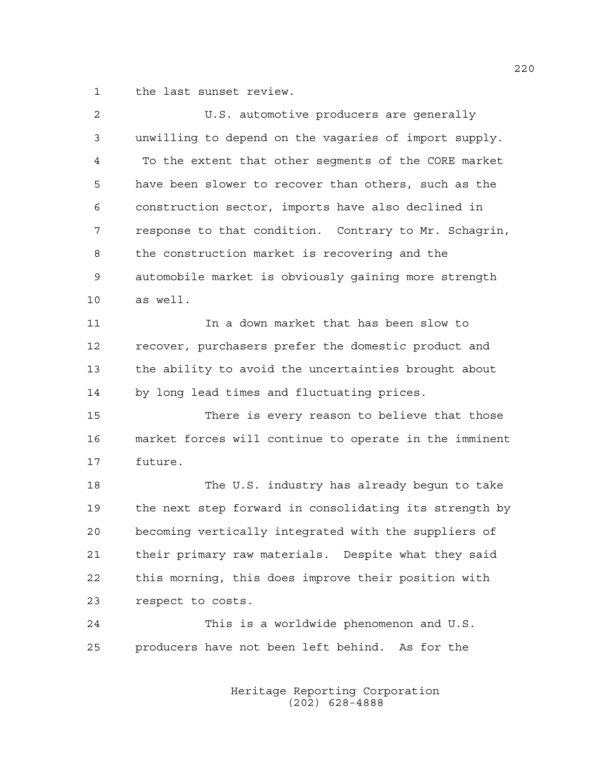1 the last sunset review.

| 2  | U.S. automotive producers are generally                |
|----|--------------------------------------------------------|
| 3  | unwilling to depend on the vagaries of import supply.  |
| 4  | To the extent that other segments of the CORE market   |
| 5  | have been slower to recover than others, such as the   |
| 6  | construction sector, imports have also declined in     |
| 7  | response to that condition. Contrary to Mr. Schagrin,  |
| 8  | the construction market is recovering and the          |
| 9  | automobile market is obviously gaining more strength   |
| 10 | as well.                                               |
| 11 | In a down market that has been slow to                 |
| 12 | recover, purchasers prefer the domestic product and    |
| 13 | the ability to avoid the uncertainties brought about   |
| 14 | by long lead times and fluctuating prices.             |
| 15 | There is every reason to believe that those            |
| 16 | market forces will continue to operate in the imminent |
| 17 | future.                                                |
| 18 | The U.S. industry has already begun to take            |
| 19 | the next step forward in consolidating its strength by |
| 20 | becoming vertically integrated with the suppliers of   |
| 21 | their primary raw materials. Despite what they said    |
| 22 | this morning, this does improve their position with    |
| 23 | respect to costs.                                      |
| 24 | This is a worldwide phenomenon and U.S.                |
| 25 | producers have not been left behind. As for the        |
|    |                                                        |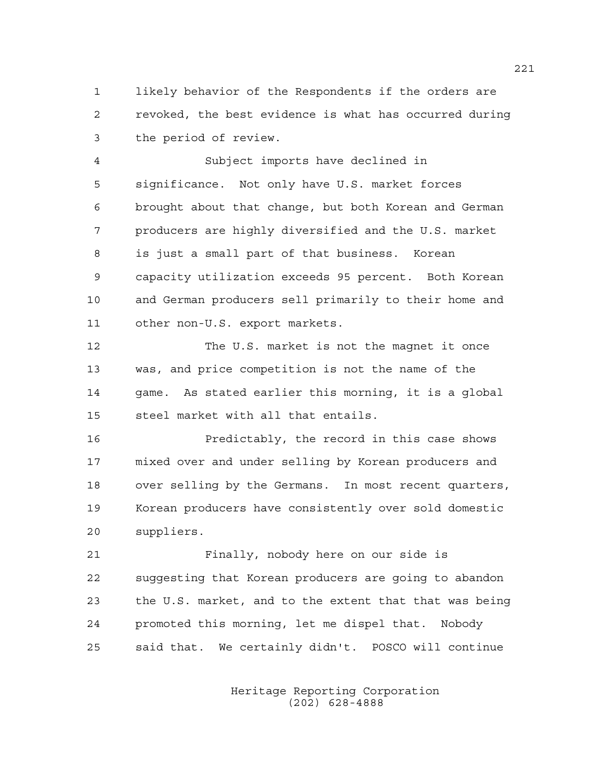1 likely behavior of the Respondents if the orders are 2 revoked, the best evidence is what has occurred during 3 the period of review.

4 Subject imports have declined in 5 significance. Not only have U.S. market forces 6 brought about that change, but both Korean and German 7 producers are highly diversified and the U.S. market 8 is just a small part of that business. Korean 9 capacity utilization exceeds 95 percent. Both Korean 10 and German producers sell primarily to their home and 11 other non-U.S. export markets.

12 The U.S. market is not the magnet it once 13 was, and price competition is not the name of the 14 game. As stated earlier this morning, it is a global 15 steel market with all that entails.

16 Predictably, the record in this case shows 17 mixed over and under selling by Korean producers and 18 over selling by the Germans. In most recent quarters, 19 Korean producers have consistently over sold domestic 20 suppliers.

21 Finally, nobody here on our side is 22 suggesting that Korean producers are going to abandon 23 the U.S. market, and to the extent that that was being 24 promoted this morning, let me dispel that. Nobody 25 said that. We certainly didn't. POSCO will continue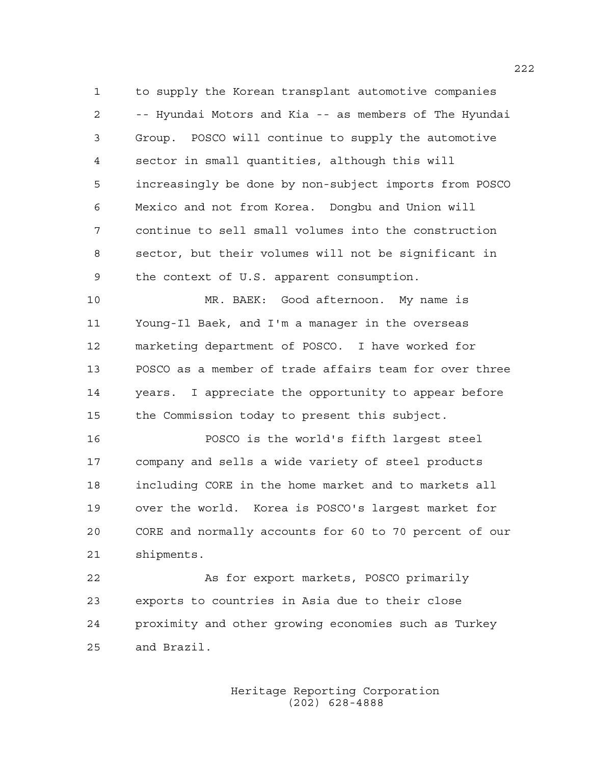1 to supply the Korean transplant automotive companies 2 -- Hyundai Motors and Kia -- as members of The Hyundai 3 Group. POSCO will continue to supply the automotive 4 sector in small quantities, although this will 5 increasingly be done by non-subject imports from POSCO 6 Mexico and not from Korea. Dongbu and Union will 7 continue to sell small volumes into the construction 8 sector, but their volumes will not be significant in 9 the context of U.S. apparent consumption.

10 MR. BAEK: Good afternoon. My name is 11 Young-Il Baek, and I'm a manager in the overseas 12 marketing department of POSCO. I have worked for 13 POSCO as a member of trade affairs team for over three 14 years. I appreciate the opportunity to appear before 15 the Commission today to present this subject.

16 POSCO is the world's fifth largest steel 17 company and sells a wide variety of steel products 18 including CORE in the home market and to markets all 19 over the world. Korea is POSCO's largest market for 20 CORE and normally accounts for 60 to 70 percent of our 21 shipments.

22 As for export markets, POSCO primarily 23 exports to countries in Asia due to their close 24 proximity and other growing economies such as Turkey 25 and Brazil.

> Heritage Reporting Corporation (202) 628-4888

222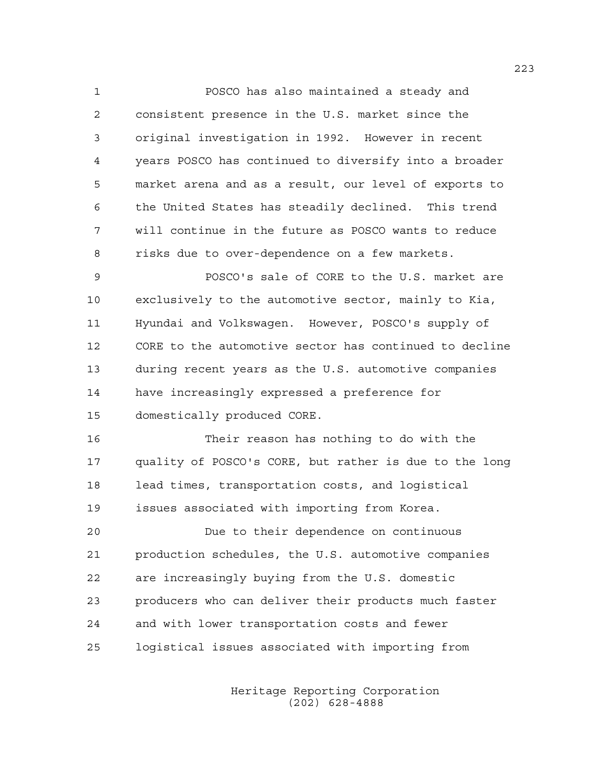1 POSCO has also maintained a steady and 2 consistent presence in the U.S. market since the 3 original investigation in 1992. However in recent 4 years POSCO has continued to diversify into a broader 5 market arena and as a result, our level of exports to 6 the United States has steadily declined. This trend 7 will continue in the future as POSCO wants to reduce 8 risks due to over-dependence on a few markets.

9 POSCO's sale of CORE to the U.S. market are 10 exclusively to the automotive sector, mainly to Kia, 11 Hyundai and Volkswagen. However, POSCO's supply of 12 CORE to the automotive sector has continued to decline 13 during recent years as the U.S. automotive companies 14 have increasingly expressed a preference for 15 domestically produced CORE.

16 Their reason has nothing to do with the 17 quality of POSCO's CORE, but rather is due to the long 18 lead times, transportation costs, and logistical 19 issues associated with importing from Korea.

20 Due to their dependence on continuous 21 production schedules, the U.S. automotive companies 22 are increasingly buying from the U.S. domestic 23 producers who can deliver their products much faster 24 and with lower transportation costs and fewer 25 logistical issues associated with importing from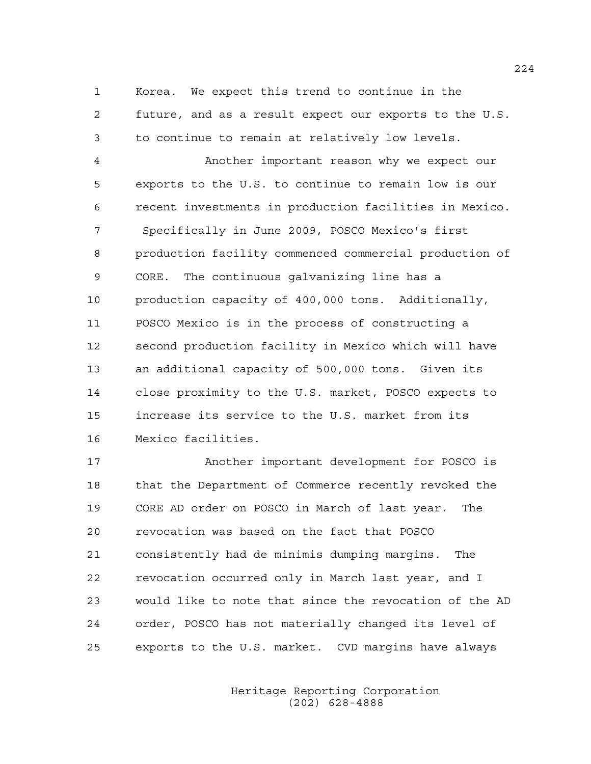1 Korea. We expect this trend to continue in the 2 future, and as a result expect our exports to the U.S. 3 to continue to remain at relatively low levels.

4 Another important reason why we expect our 5 exports to the U.S. to continue to remain low is our 6 recent investments in production facilities in Mexico. 7 Specifically in June 2009, POSCO Mexico's first 8 production facility commenced commercial production of 9 CORE. The continuous galvanizing line has a 10 production capacity of 400,000 tons. Additionally, 11 POSCO Mexico is in the process of constructing a 12 second production facility in Mexico which will have 13 an additional capacity of 500,000 tons. Given its 14 close proximity to the U.S. market, POSCO expects to 15 increase its service to the U.S. market from its 16 Mexico facilities.

17 Another important development for POSCO is 18 that the Department of Commerce recently revoked the 19 CORE AD order on POSCO in March of last year. The 20 revocation was based on the fact that POSCO 21 consistently had de minimis dumping margins. The 22 revocation occurred only in March last year, and I 23 would like to note that since the revocation of the AD 24 order, POSCO has not materially changed its level of 25 exports to the U.S. market. CVD margins have always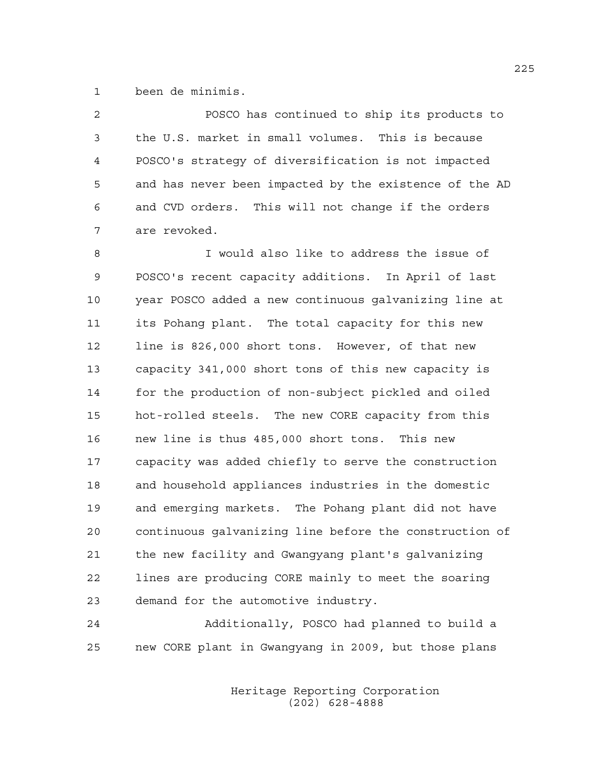1 been de minimis.

2 POSCO has continued to ship its products to 3 the U.S. market in small volumes. This is because 4 POSCO's strategy of diversification is not impacted 5 and has never been impacted by the existence of the AD 6 and CVD orders. This will not change if the orders 7 are revoked.

8 I would also like to address the issue of 9 POSCO's recent capacity additions. In April of last 10 year POSCO added a new continuous galvanizing line at 11 its Pohang plant. The total capacity for this new 12 line is 826,000 short tons. However, of that new 13 capacity 341,000 short tons of this new capacity is 14 for the production of non-subject pickled and oiled 15 hot-rolled steels. The new CORE capacity from this 16 new line is thus 485,000 short tons. This new 17 capacity was added chiefly to serve the construction 18 and household appliances industries in the domestic 19 and emerging markets. The Pohang plant did not have 20 continuous galvanizing line before the construction of 21 the new facility and Gwangyang plant's galvanizing 22 lines are producing CORE mainly to meet the soaring 23 demand for the automotive industry.

24 Additionally, POSCO had planned to build a 25 new CORE plant in Gwangyang in 2009, but those plans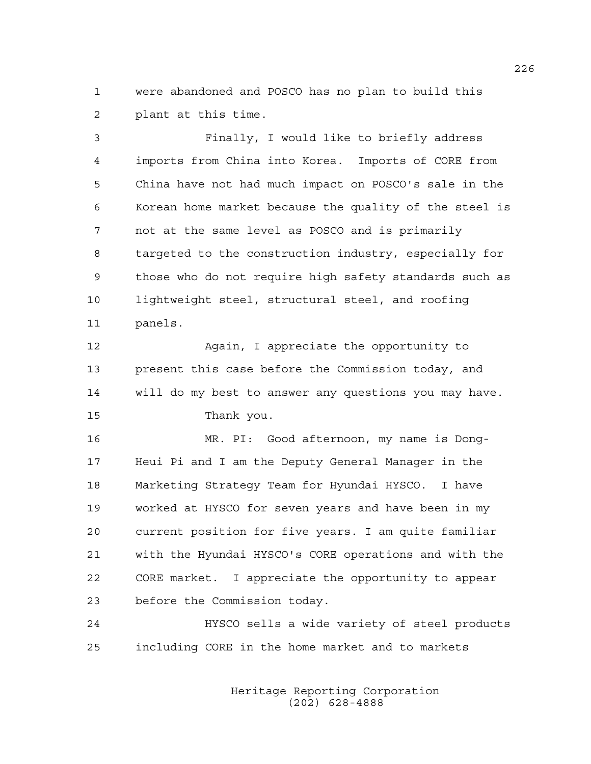1 were abandoned and POSCO has no plan to build this 2 plant at this time.

3 Finally, I would like to briefly address 4 imports from China into Korea. Imports of CORE from 5 China have not had much impact on POSCO's sale in the 6 Korean home market because the quality of the steel is 7 not at the same level as POSCO and is primarily 8 targeted to the construction industry, especially for 9 those who do not require high safety standards such as 10 lightweight steel, structural steel, and roofing 11 panels.

12 Again, I appreciate the opportunity to 13 present this case before the Commission today, and 14 will do my best to answer any questions you may have. 15 Thank you.

16 MR. PI: Good afternoon, my name is Dong-17 Heui Pi and I am the Deputy General Manager in the 18 Marketing Strategy Team for Hyundai HYSCO. I have 19 worked at HYSCO for seven years and have been in my 20 current position for five years. I am quite familiar 21 with the Hyundai HYSCO's CORE operations and with the 22 CORE market. I appreciate the opportunity to appear 23 before the Commission today.

24 HYSCO sells a wide variety of steel products 25 including CORE in the home market and to markets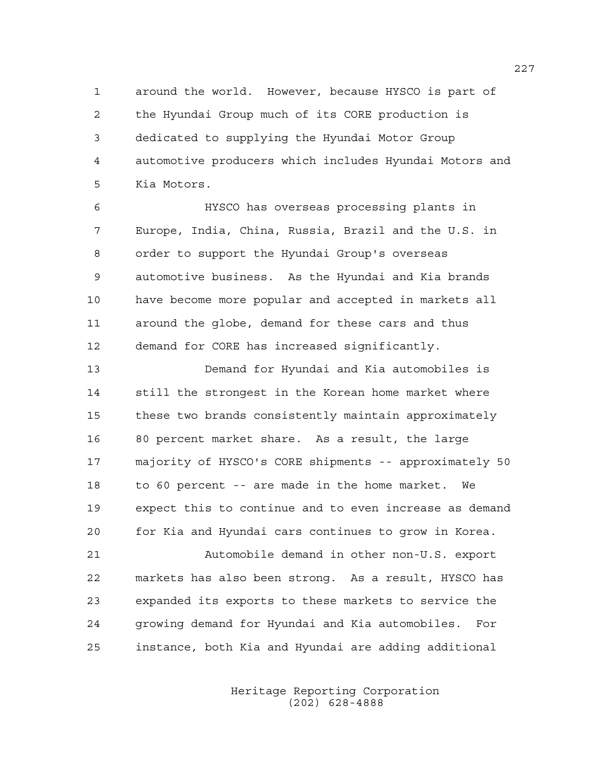1 around the world. However, because HYSCO is part of 2 the Hyundai Group much of its CORE production is 3 dedicated to supplying the Hyundai Motor Group 4 automotive producers which includes Hyundai Motors and 5 Kia Motors.

6 HYSCO has overseas processing plants in 7 Europe, India, China, Russia, Brazil and the U.S. in 8 order to support the Hyundai Group's overseas 9 automotive business. As the Hyundai and Kia brands 10 have become more popular and accepted in markets all 11 around the globe, demand for these cars and thus 12 demand for CORE has increased significantly.

13 Demand for Hyundai and Kia automobiles is 14 still the strongest in the Korean home market where 15 these two brands consistently maintain approximately 16 80 percent market share. As a result, the large 17 majority of HYSCO's CORE shipments -- approximately 50 18 to 60 percent -- are made in the home market. We 19 expect this to continue and to even increase as demand 20 for Kia and Hyundai cars continues to grow in Korea.

21 Automobile demand in other non-U.S. export 22 markets has also been strong. As a result, HYSCO has 23 expanded its exports to these markets to service the 24 growing demand for Hyundai and Kia automobiles. For 25 instance, both Kia and Hyundai are adding additional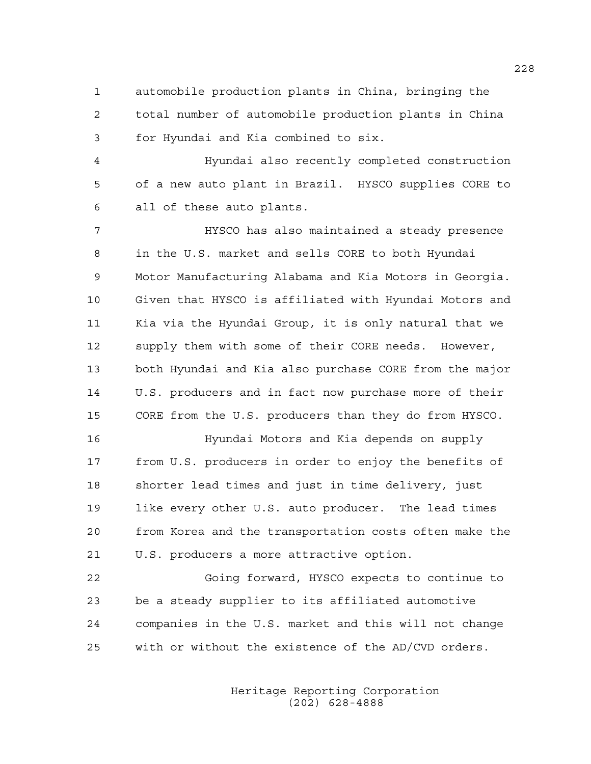1 automobile production plants in China, bringing the 2 total number of automobile production plants in China 3 for Hyundai and Kia combined to six.

4 Hyundai also recently completed construction 5 of a new auto plant in Brazil. HYSCO supplies CORE to 6 all of these auto plants.

7 HYSCO has also maintained a steady presence 8 in the U.S. market and sells CORE to both Hyundai 9 Motor Manufacturing Alabama and Kia Motors in Georgia. 10 Given that HYSCO is affiliated with Hyundai Motors and 11 Kia via the Hyundai Group, it is only natural that we 12 supply them with some of their CORE needs. However, 13 both Hyundai and Kia also purchase CORE from the major 14 U.S. producers and in fact now purchase more of their 15 CORE from the U.S. producers than they do from HYSCO.

16 Hyundai Motors and Kia depends on supply 17 from U.S. producers in order to enjoy the benefits of 18 shorter lead times and just in time delivery, just 19 like every other U.S. auto producer. The lead times 20 from Korea and the transportation costs often make the 21 U.S. producers a more attractive option.

22 Going forward, HYSCO expects to continue to 23 be a steady supplier to its affiliated automotive 24 companies in the U.S. market and this will not change 25 with or without the existence of the AD/CVD orders.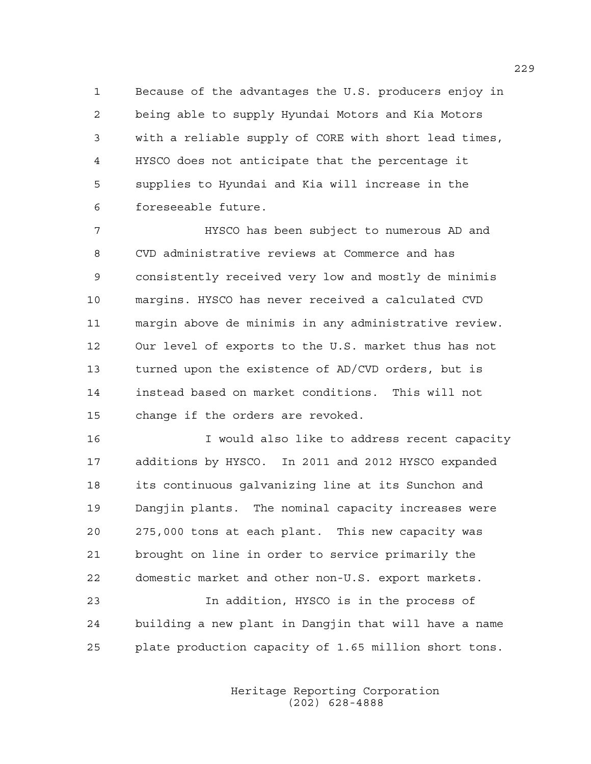1 Because of the advantages the U.S. producers enjoy in 2 being able to supply Hyundai Motors and Kia Motors 3 with a reliable supply of CORE with short lead times, 4 HYSCO does not anticipate that the percentage it 5 supplies to Hyundai and Kia will increase in the 6 foreseeable future.

7 HYSCO has been subject to numerous AD and 8 CVD administrative reviews at Commerce and has 9 consistently received very low and mostly de minimis 10 margins. HYSCO has never received a calculated CVD 11 margin above de minimis in any administrative review. 12 Our level of exports to the U.S. market thus has not 13 turned upon the existence of AD/CVD orders, but is 14 instead based on market conditions. This will not 15 change if the orders are revoked.

16 I would also like to address recent capacity 17 additions by HYSCO. In 2011 and 2012 HYSCO expanded 18 its continuous galvanizing line at its Sunchon and 19 Dangjin plants. The nominal capacity increases were 20 275,000 tons at each plant. This new capacity was 21 brought on line in order to service primarily the 22 domestic market and other non-U.S. export markets.

23 In addition, HYSCO is in the process of 24 building a new plant in Dangjin that will have a name 25 plate production capacity of 1.65 million short tons.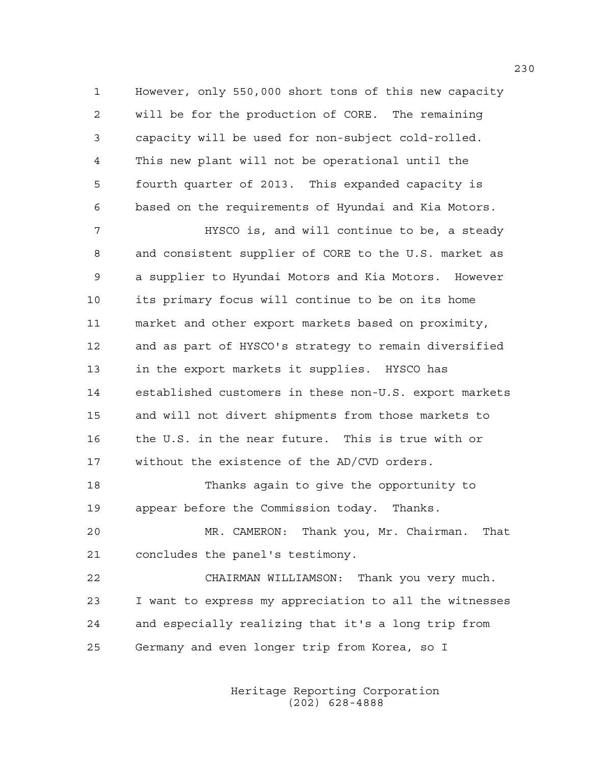1 However, only 550,000 short tons of this new capacity 2 will be for the production of CORE. The remaining 3 capacity will be used for non-subject cold-rolled. 4 This new plant will not be operational until the 5 fourth quarter of 2013. This expanded capacity is 6 based on the requirements of Hyundai and Kia Motors.

7 HYSCO is, and will continue to be, a steady 8 and consistent supplier of CORE to the U.S. market as 9 a supplier to Hyundai Motors and Kia Motors. However 10 its primary focus will continue to be on its home 11 market and other export markets based on proximity, 12 and as part of HYSCO's strategy to remain diversified 13 in the export markets it supplies. HYSCO has 14 established customers in these non-U.S. export markets 15 and will not divert shipments from those markets to 16 the U.S. in the near future. This is true with or 17 without the existence of the AD/CVD orders.

18 Thanks again to give the opportunity to 19 appear before the Commission today. Thanks.

20 MR. CAMERON: Thank you, Mr. Chairman. That 21 concludes the panel's testimony.

22 CHAIRMAN WILLIAMSON: Thank you very much. 23 I want to express my appreciation to all the witnesses 24 and especially realizing that it's a long trip from 25 Germany and even longer trip from Korea, so I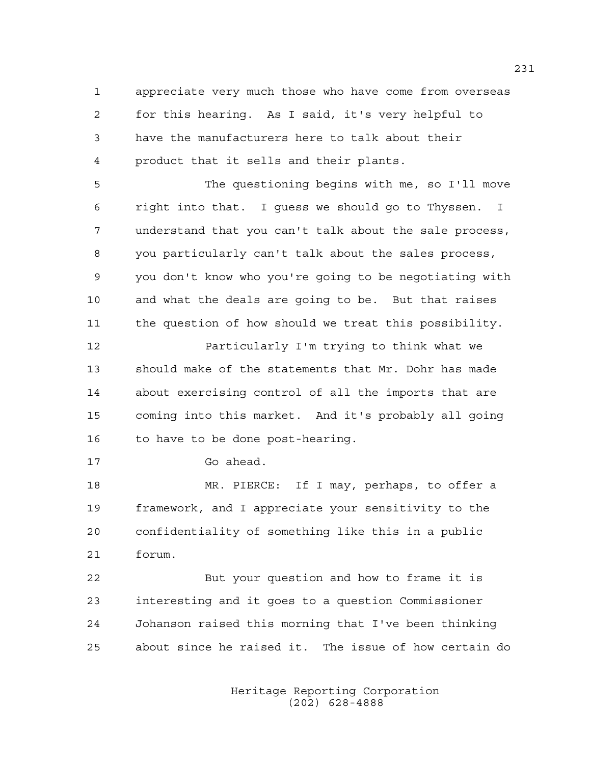1 appreciate very much those who have come from overseas 2 for this hearing. As I said, it's very helpful to 3 have the manufacturers here to talk about their 4 product that it sells and their plants.

5 The questioning begins with me, so I'll move 6 right into that. I guess we should go to Thyssen. I 7 understand that you can't talk about the sale process, 8 you particularly can't talk about the sales process, 9 you don't know who you're going to be negotiating with 10 and what the deals are going to be. But that raises 11 the question of how should we treat this possibility.

12 Particularly I'm trying to think what we 13 should make of the statements that Mr. Dohr has made 14 about exercising control of all the imports that are 15 coming into this market. And it's probably all going 16 to have to be done post-hearing.

17 Go ahead.

18 MR. PIERCE: If I may, perhaps, to offer a 19 framework, and I appreciate your sensitivity to the 20 confidentiality of something like this in a public 21 forum.

22 But your question and how to frame it is 23 interesting and it goes to a question Commissioner 24 Johanson raised this morning that I've been thinking 25 about since he raised it. The issue of how certain do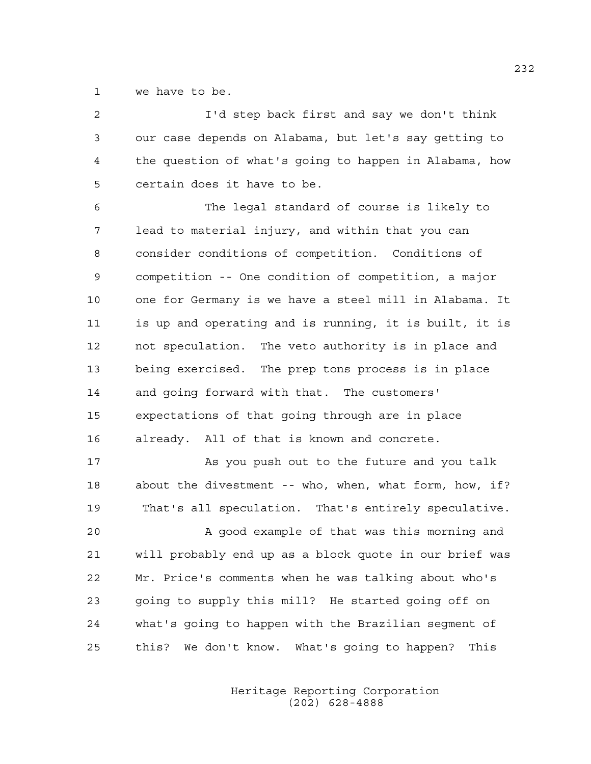1 we have to be.

| 2  | I'd step back first and say we don't think             |
|----|--------------------------------------------------------|
| 3  | our case depends on Alabama, but let's say getting to  |
| 4  | the question of what's going to happen in Alabama, how |
| 5  | certain does it have to be.                            |
| 6  | The legal standard of course is likely to              |
| 7  | lead to material injury, and within that you can       |
| 8  | consider conditions of competition. Conditions of      |
| 9  | competition -- One condition of competition, a major   |
| 10 | one for Germany is we have a steel mill in Alabama. It |
| 11 | is up and operating and is running, it is built, it is |
| 12 | not speculation. The veto authority is in place and    |
| 13 | being exercised. The prep tons process is in place     |
| 14 | and going forward with that. The customers'            |
| 15 | expectations of that going through are in place        |
| 16 | already. All of that is known and concrete.            |
| 17 | As you push out to the future and you talk             |
| 18 | about the divestment -- who, when, what form, how, if? |
| 19 | That's all speculation. That's entirely speculative.   |
| 20 | A good example of that was this morning and            |
| 21 | will probably end up as a block quote in our brief was |
| 22 | Mr. Price's comments when he was talking about who's   |
| 23 | going to supply this mill? He started going off on     |
| 24 | what's going to happen with the Brazilian segment of   |
| 25 | this? We don't know. What's going to happen?<br>This   |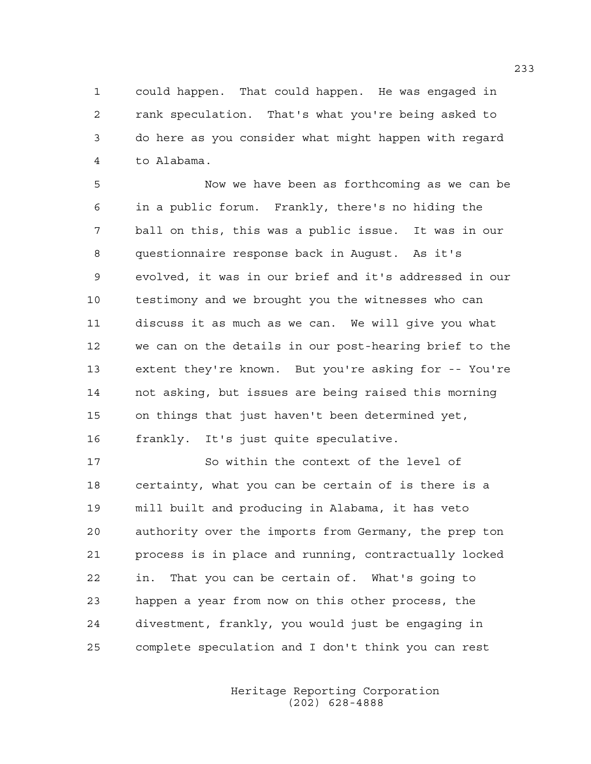1 could happen. That could happen. He was engaged in 2 rank speculation. That's what you're being asked to 3 do here as you consider what might happen with regard 4 to Alabama.

5 Now we have been as forthcoming as we can be 6 in a public forum. Frankly, there's no hiding the 7 ball on this, this was a public issue. It was in our 8 questionnaire response back in August. As it's 9 evolved, it was in our brief and it's addressed in our 10 testimony and we brought you the witnesses who can 11 discuss it as much as we can. We will give you what 12 we can on the details in our post-hearing brief to the 13 extent they're known. But you're asking for -- You're 14 not asking, but issues are being raised this morning 15 on things that just haven't been determined yet, 16 frankly. It's just quite speculative.

17 So within the context of the level of 18 certainty, what you can be certain of is there is a 19 mill built and producing in Alabama, it has veto 20 authority over the imports from Germany, the prep ton 21 process is in place and running, contractually locked 22 in. That you can be certain of. What's going to 23 happen a year from now on this other process, the 24 divestment, frankly, you would just be engaging in 25 complete speculation and I don't think you can rest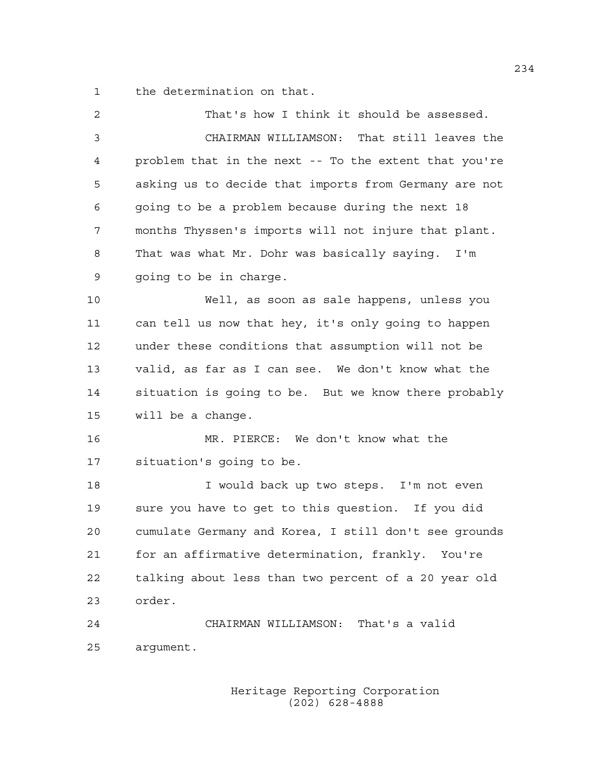1 the determination on that.

| $\overline{2}$ | That's how I think it should be assessed.             |
|----------------|-------------------------------------------------------|
| 3              | CHAIRMAN WILLIAMSON: That still leaves the            |
| 4              | problem that in the next -- To the extent that you're |
| 5              | asking us to decide that imports from Germany are not |
| 6              | going to be a problem because during the next 18      |
| 7              | months Thyssen's imports will not injure that plant.  |
| 8              | That was what Mr. Dohr was basically saying. I'm      |
| 9              | going to be in charge.                                |
| 10             | Well, as soon as sale happens, unless you             |
| 11             | can tell us now that hey, it's only going to happen   |
| 12             | under these conditions that assumption will not be    |
| 13             | valid, as far as I can see. We don't know what the    |
| 14             | situation is going to be. But we know there probably  |
| 15             | will be a change.                                     |
| 16             | MR. PIERCE: We don't know what the                    |
| 17             | situation's going to be.                              |
| 18             | I would back up two steps. I'm not even               |
| 19             | sure you have to get to this question. If you did     |
| 20             | cumulate Germany and Korea, I still don't see grounds |
| 21             | for an affirmative determination, frankly. You're     |
| 22             | talking about less than two percent of a 20 year old  |
| 23             | order.                                                |
| 24             | CHAIRMAN WILLIAMSON: That's a valid                   |
| 25             | argument.                                             |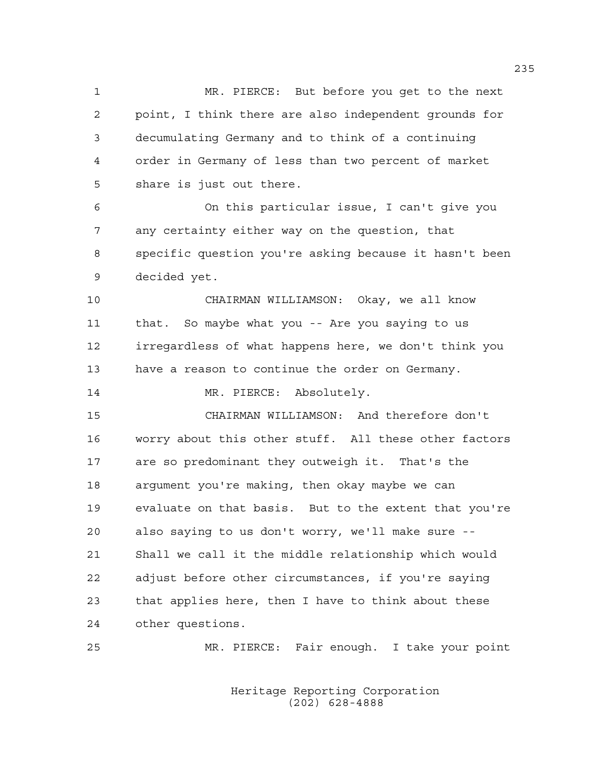1 MR. PIERCE: But before you get to the next 2 point, I think there are also independent grounds for 3 decumulating Germany and to think of a continuing 4 order in Germany of less than two percent of market 5 share is just out there.

6 On this particular issue, I can't give you 7 any certainty either way on the question, that 8 specific question you're asking because it hasn't been 9 decided yet.

10 CHAIRMAN WILLIAMSON: Okay, we all know 11 that. So maybe what you -- Are you saying to us 12 irregardless of what happens here, we don't think you 13 have a reason to continue the order on Germany.

14 MR. PIERCE: Absolutely.

15 CHAIRMAN WILLIAMSON: And therefore don't 16 worry about this other stuff. All these other factors 17 are so predominant they outweigh it. That's the 18 argument you're making, then okay maybe we can 19 evaluate on that basis. But to the extent that you're 20 also saying to us don't worry, we'll make sure -- 21 Shall we call it the middle relationship which would 22 adjust before other circumstances, if you're saying 23 that applies here, then I have to think about these 24 other questions.

25 MR. PIERCE: Fair enough. I take your point

 Heritage Reporting Corporation (202) 628-4888

235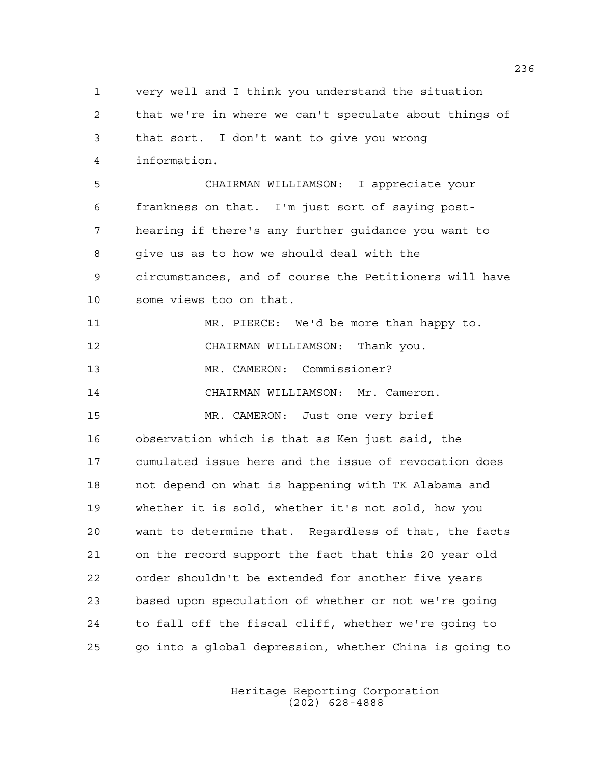1 very well and I think you understand the situation 2 that we're in where we can't speculate about things of 3 that sort. I don't want to give you wrong 4 information. 5 CHAIRMAN WILLIAMSON: I appreciate your 6 frankness on that. I'm just sort of saying post-7 hearing if there's any further guidance you want to 8 give us as to how we should deal with the 9 circumstances, and of course the Petitioners will have 10 some views too on that. 11 MR. PIERCE: We'd be more than happy to. 12 CHAIRMAN WILLIAMSON: Thank you. 13 MR. CAMERON: Commissioner? 14 CHAIRMAN WILLIAMSON: Mr. Cameron. 15 MR. CAMERON: Just one very brief 16 observation which is that as Ken just said, the 17 cumulated issue here and the issue of revocation does 18 not depend on what is happening with TK Alabama and 19 whether it is sold, whether it's not sold, how you 20 want to determine that. Regardless of that, the facts 21 on the record support the fact that this 20 year old 22 order shouldn't be extended for another five years 23 based upon speculation of whether or not we're going 24 to fall off the fiscal cliff, whether we're going to 25 go into a global depression, whether China is going to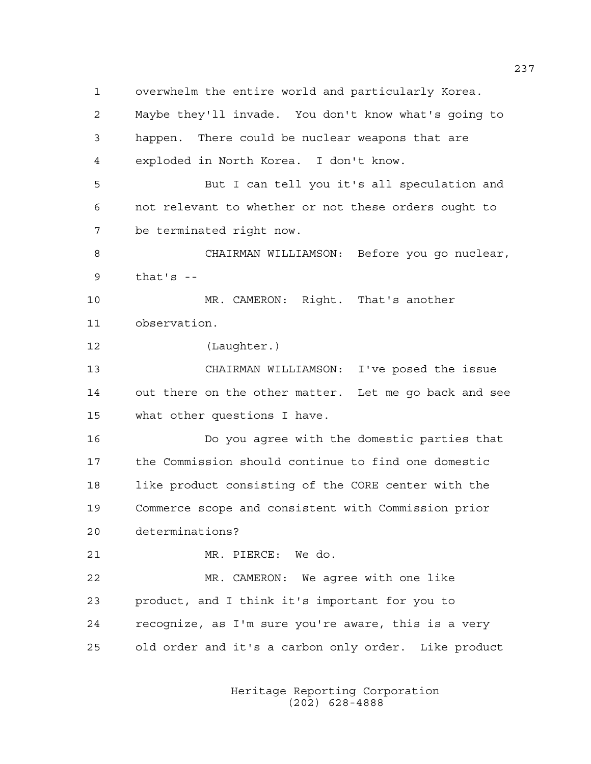1 overwhelm the entire world and particularly Korea. 2 Maybe they'll invade. You don't know what's going to 3 happen. There could be nuclear weapons that are 4 exploded in North Korea. I don't know. 5 But I can tell you it's all speculation and 6 not relevant to whether or not these orders ought to 7 be terminated right now. 8 CHAIRMAN WILLIAMSON: Before you go nuclear,  $9$  that's  $-$ 10 MR. CAMERON: Right. That's another 11 observation. 12 (Laughter.) 13 CHAIRMAN WILLIAMSON: I've posed the issue 14 out there on the other matter. Let me go back and see 15 what other questions I have. 16 Do you agree with the domestic parties that 17 the Commission should continue to find one domestic 18 like product consisting of the CORE center with the 19 Commerce scope and consistent with Commission prior 20 determinations? 21 MR. PIERCE: We do. 22 MR. CAMERON: We agree with one like 23 product, and I think it's important for you to 24 recognize, as I'm sure you're aware, this is a very 25 old order and it's a carbon only order. Like product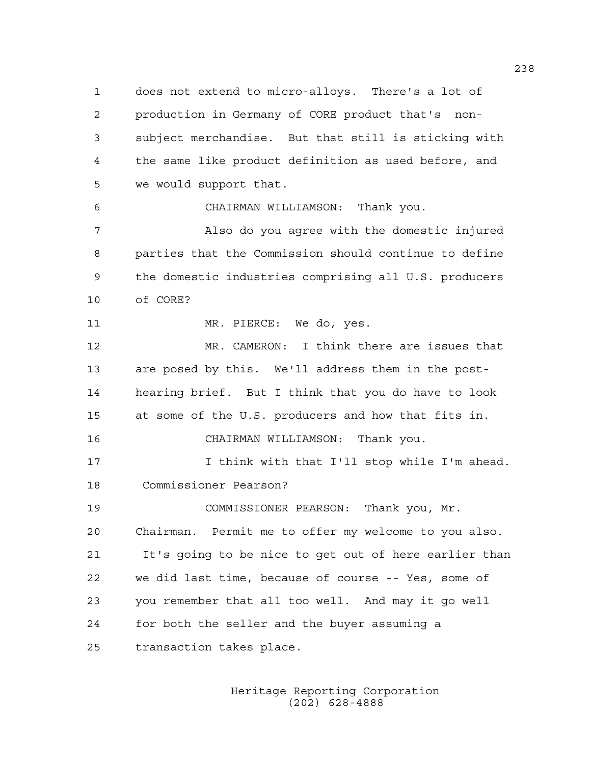1 does not extend to micro-alloys. There's a lot of 2 production in Germany of CORE product that's non-3 subject merchandise. But that still is sticking with 4 the same like product definition as used before, and 5 we would support that.

6 CHAIRMAN WILLIAMSON: Thank you.

7 Also do you agree with the domestic injured 8 parties that the Commission should continue to define 9 the domestic industries comprising all U.S. producers 10 of CORE?

11 MR. PIERCE: We do, yes.

12 MR. CAMERON: I think there are issues that 13 are posed by this. We'll address them in the post-14 hearing brief. But I think that you do have to look 15 at some of the U.S. producers and how that fits in. 16 CHAIRMAN WILLIAMSON: Thank you.

17 I think with that I'll stop while I'm ahead. 18 Commissioner Pearson?

19 COMMISSIONER PEARSON: Thank you, Mr. 20 Chairman. Permit me to offer my welcome to you also. 21 It's going to be nice to get out of here earlier than 22 we did last time, because of course -- Yes, some of 23 you remember that all too well. And may it go well 24 for both the seller and the buyer assuming a 25 transaction takes place.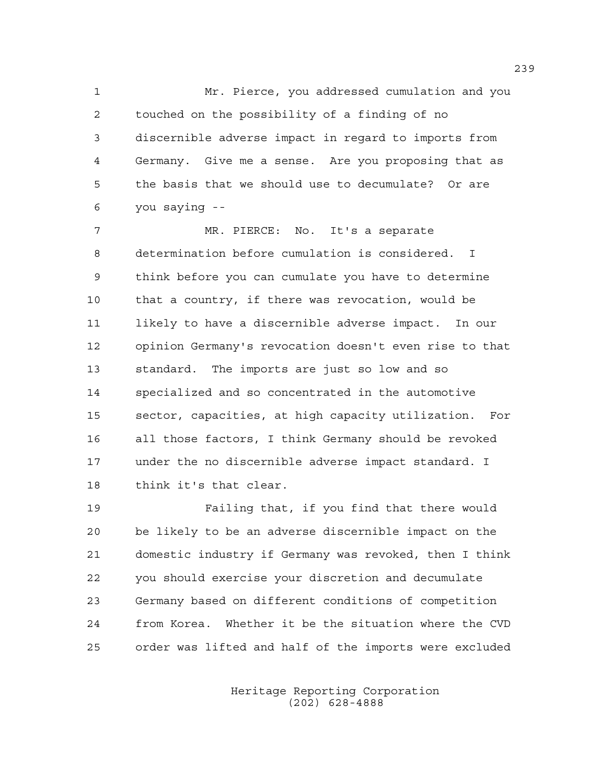1 Mr. Pierce, you addressed cumulation and you 2 touched on the possibility of a finding of no 3 discernible adverse impact in regard to imports from 4 Germany. Give me a sense. Are you proposing that as 5 the basis that we should use to decumulate? Or are 6 you saying --

7 MR. PIERCE: No. It's a separate 8 determination before cumulation is considered. I 9 think before you can cumulate you have to determine 10 that a country, if there was revocation, would be 11 likely to have a discernible adverse impact. In our 12 opinion Germany's revocation doesn't even rise to that 13 standard. The imports are just so low and so 14 specialized and so concentrated in the automotive 15 sector, capacities, at high capacity utilization. For 16 all those factors, I think Germany should be revoked 17 under the no discernible adverse impact standard. I 18 think it's that clear.

19 Failing that, if you find that there would 20 be likely to be an adverse discernible impact on the 21 domestic industry if Germany was revoked, then I think 22 you should exercise your discretion and decumulate 23 Germany based on different conditions of competition 24 from Korea. Whether it be the situation where the CVD 25 order was lifted and half of the imports were excluded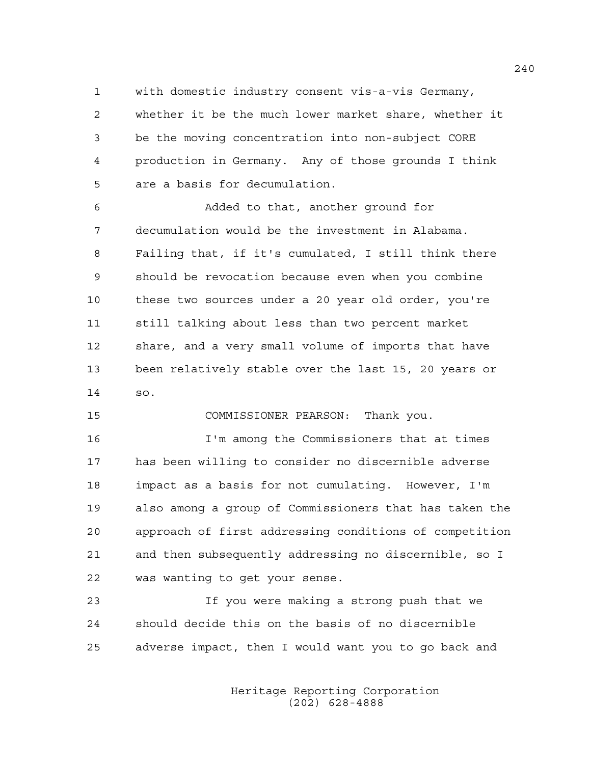1 with domestic industry consent vis-a-vis Germany, 2 whether it be the much lower market share, whether it 3 be the moving concentration into non-subject CORE 4 production in Germany. Any of those grounds I think 5 are a basis for decumulation.

6 Added to that, another ground for 7 decumulation would be the investment in Alabama. 8 Failing that, if it's cumulated, I still think there 9 should be revocation because even when you combine 10 these two sources under a 20 year old order, you're 11 still talking about less than two percent market 12 share, and a very small volume of imports that have 13 been relatively stable over the last 15, 20 years or 14 so.

15 COMMISSIONER PEARSON: Thank you.

16 I'm among the Commissioners that at times 17 has been willing to consider no discernible adverse 18 impact as a basis for not cumulating. However, I'm 19 also among a group of Commissioners that has taken the 20 approach of first addressing conditions of competition 21 and then subsequently addressing no discernible, so I 22 was wanting to get your sense.

23 If you were making a strong push that we 24 should decide this on the basis of no discernible 25 adverse impact, then I would want you to go back and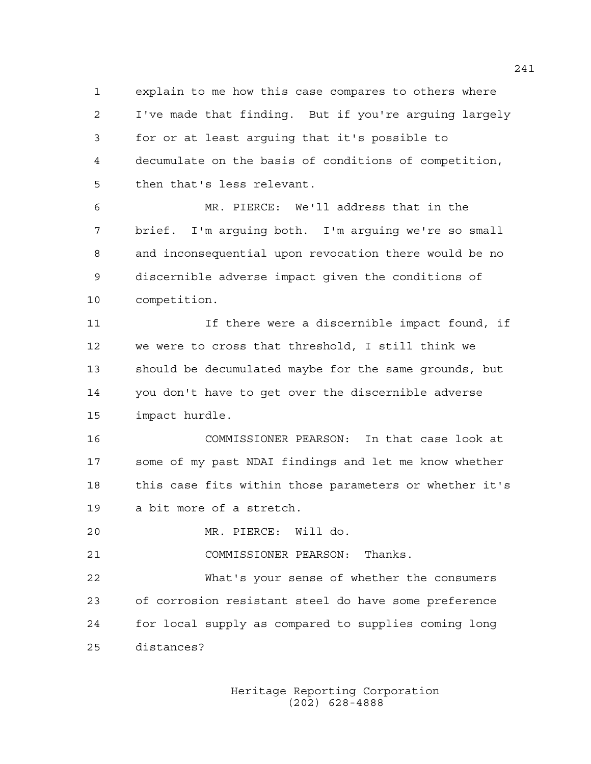1 explain to me how this case compares to others where 2 I've made that finding. But if you're arguing largely 3 for or at least arguing that it's possible to 4 decumulate on the basis of conditions of competition, 5 then that's less relevant.

6 MR. PIERCE: We'll address that in the 7 brief. I'm arguing both. I'm arguing we're so small 8 and inconsequential upon revocation there would be no 9 discernible adverse impact given the conditions of 10 competition.

11 If there were a discernible impact found, if 12 we were to cross that threshold, I still think we 13 should be decumulated maybe for the same grounds, but 14 you don't have to get over the discernible adverse 15 impact hurdle.

16 COMMISSIONER PEARSON: In that case look at 17 some of my past NDAI findings and let me know whether 18 this case fits within those parameters or whether it's 19 a bit more of a stretch.

20 MR. PIERCE: Will do.

21 COMMISSIONER PEARSON: Thanks.

22 What's your sense of whether the consumers 23 of corrosion resistant steel do have some preference 24 for local supply as compared to supplies coming long 25 distances?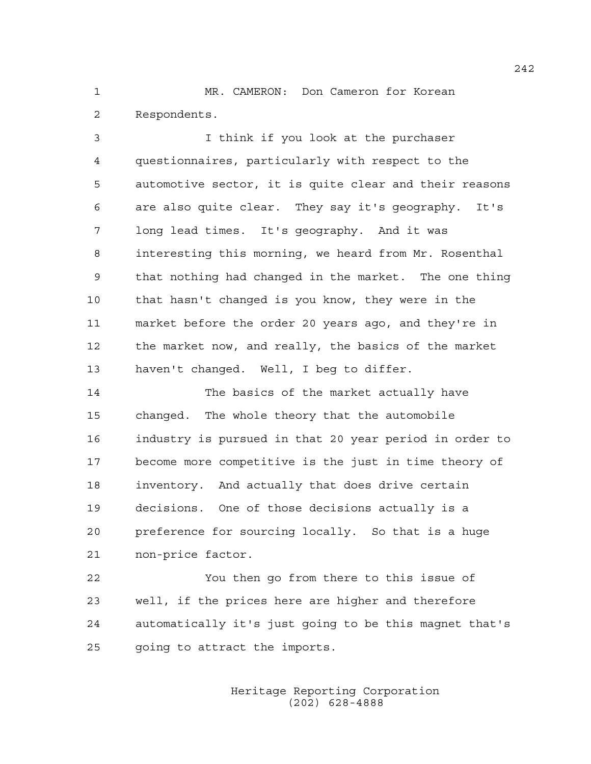1 MR. CAMERON: Don Cameron for Korean 2 Respondents.

3 I think if you look at the purchaser 4 questionnaires, particularly with respect to the 5 automotive sector, it is quite clear and their reasons 6 are also quite clear. They say it's geography. It's 7 long lead times. It's geography. And it was 8 interesting this morning, we heard from Mr. Rosenthal 9 that nothing had changed in the market. The one thing 10 that hasn't changed is you know, they were in the 11 market before the order 20 years ago, and they're in 12 the market now, and really, the basics of the market 13 haven't changed. Well, I beg to differ.

14 The basics of the market actually have 15 changed. The whole theory that the automobile 16 industry is pursued in that 20 year period in order to 17 become more competitive is the just in time theory of 18 inventory. And actually that does drive certain 19 decisions. One of those decisions actually is a 20 preference for sourcing locally. So that is a huge 21 non-price factor.

22 You then go from there to this issue of 23 well, if the prices here are higher and therefore 24 automatically it's just going to be this magnet that's 25 going to attract the imports.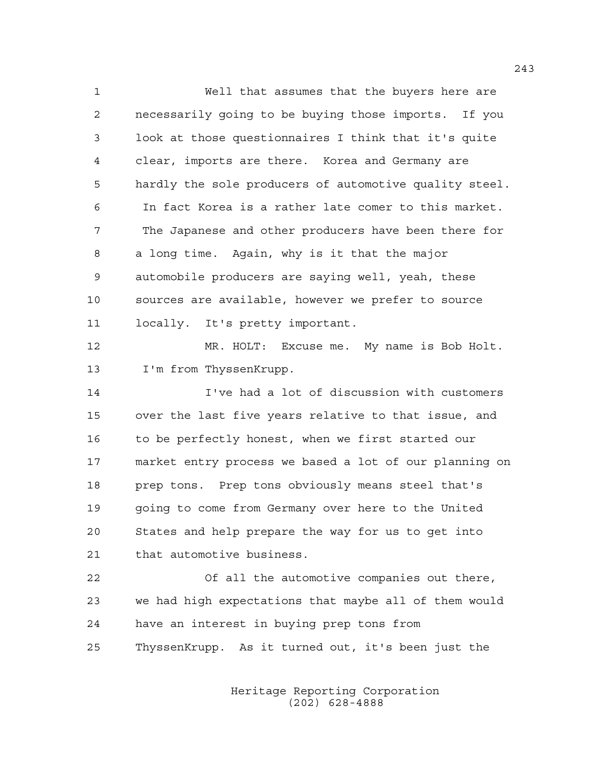1 Well that assumes that the buyers here are 2 necessarily going to be buying those imports. If you 3 look at those questionnaires I think that it's quite 4 clear, imports are there. Korea and Germany are 5 hardly the sole producers of automotive quality steel. 6 In fact Korea is a rather late comer to this market. 7 The Japanese and other producers have been there for 8 a long time. Again, why is it that the major 9 automobile producers are saying well, yeah, these 10 sources are available, however we prefer to source 11 locally. It's pretty important. 12 MR. HOLT: Excuse me. My name is Bob Holt. 13 I'm from ThyssenKrupp. 14 I've had a lot of discussion with customers 15 over the last five years relative to that issue, and 16 to be perfectly honest, when we first started our 17 market entry process we based a lot of our planning on 18 prep tons. Prep tons obviously means steel that's 19 going to come from Germany over here to the United 20 States and help prepare the way for us to get into 21 that automotive business.

22 Of all the automotive companies out there, 23 we had high expectations that maybe all of them would 24 have an interest in buying prep tons from 25 ThyssenKrupp. As it turned out, it's been just the

> Heritage Reporting Corporation (202) 628-4888

243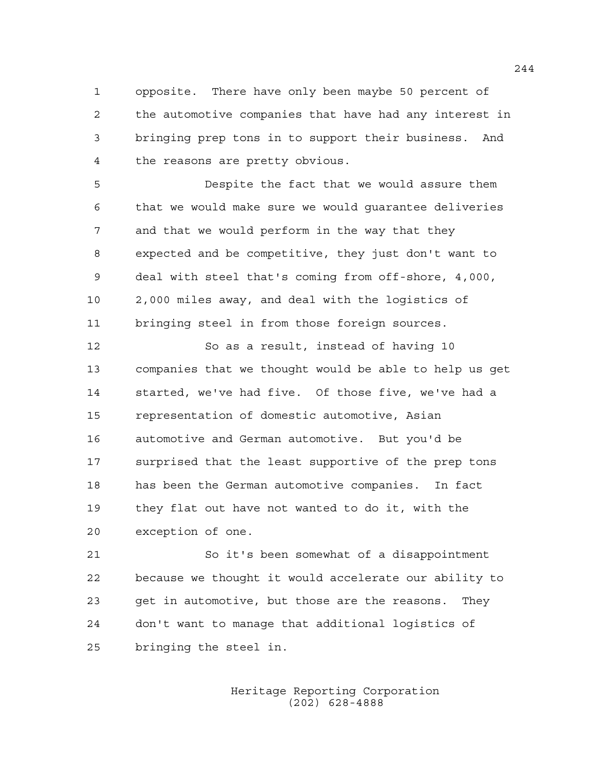1 opposite. There have only been maybe 50 percent of 2 the automotive companies that have had any interest in 3 bringing prep tons in to support their business. And 4 the reasons are pretty obvious.

5 Despite the fact that we would assure them 6 that we would make sure we would guarantee deliveries 7 and that we would perform in the way that they 8 expected and be competitive, they just don't want to 9 deal with steel that's coming from off-shore, 4,000, 10 2,000 miles away, and deal with the logistics of 11 bringing steel in from those foreign sources.

12 So as a result, instead of having 10 13 companies that we thought would be able to help us get 14 started, we've had five. Of those five, we've had a 15 representation of domestic automotive, Asian 16 automotive and German automotive. But you'd be 17 surprised that the least supportive of the prep tons 18 has been the German automotive companies. In fact 19 they flat out have not wanted to do it, with the 20 exception of one.

21 So it's been somewhat of a disappointment 22 because we thought it would accelerate our ability to 23 get in automotive, but those are the reasons. They 24 don't want to manage that additional logistics of 25 bringing the steel in.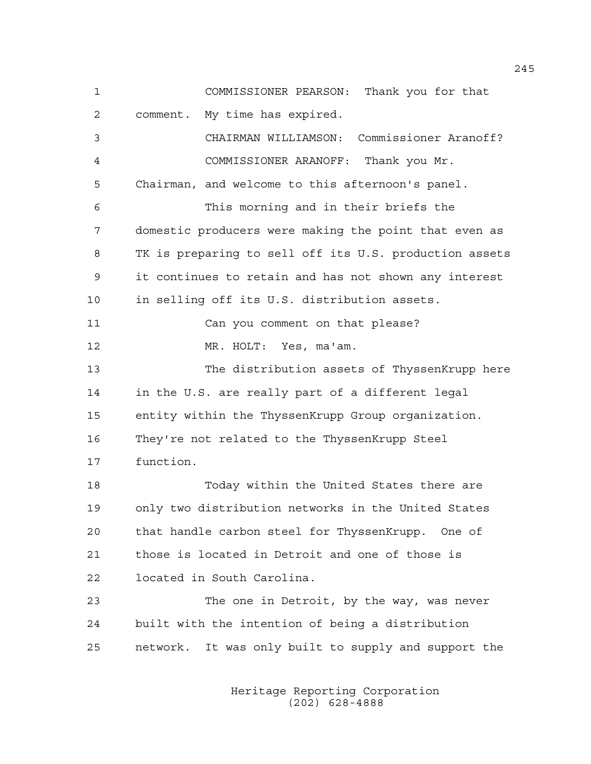1 COMMISSIONER PEARSON: Thank you for that 2 comment. My time has expired. 3 CHAIRMAN WILLIAMSON: Commissioner Aranoff? 4 COMMISSIONER ARANOFF: Thank you Mr. 5 Chairman, and welcome to this afternoon's panel. 6 This morning and in their briefs the 7 domestic producers were making the point that even as 8 TK is preparing to sell off its U.S. production assets 9 it continues to retain and has not shown any interest 10 in selling off its U.S. distribution assets. 11 Can you comment on that please? 12 MR. HOLT: Yes, ma'am. 13 The distribution assets of ThyssenKrupp here 14 in the U.S. are really part of a different legal 15 entity within the ThyssenKrupp Group organization. 16 They're not related to the ThyssenKrupp Steel 17 function. 18 Today within the United States there are 19 only two distribution networks in the United States 20 that handle carbon steel for ThyssenKrupp. One of 21 those is located in Detroit and one of those is 22 located in South Carolina. 23 The one in Detroit, by the way, was never 24 built with the intention of being a distribution 25 network. It was only built to supply and support the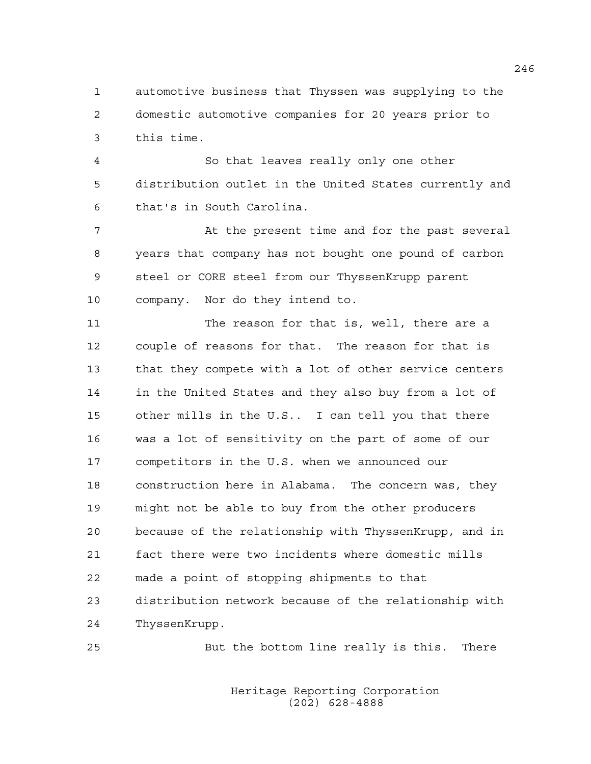1 automotive business that Thyssen was supplying to the 2 domestic automotive companies for 20 years prior to 3 this time.

4 So that leaves really only one other 5 distribution outlet in the United States currently and 6 that's in South Carolina.

7 At the present time and for the past several 8 years that company has not bought one pound of carbon 9 steel or CORE steel from our ThyssenKrupp parent 10 company. Nor do they intend to.

11 The reason for that is, well, there are a 12 couple of reasons for that. The reason for that is 13 that they compete with a lot of other service centers 14 in the United States and they also buy from a lot of 15 other mills in the U.S.. I can tell you that there 16 was a lot of sensitivity on the part of some of our 17 competitors in the U.S. when we announced our 18 construction here in Alabama. The concern was, they 19 might not be able to buy from the other producers 20 because of the relationship with ThyssenKrupp, and in 21 fact there were two incidents where domestic mills 22 made a point of stopping shipments to that 23 distribution network because of the relationship with 24 ThyssenKrupp.

25 But the bottom line really is this. There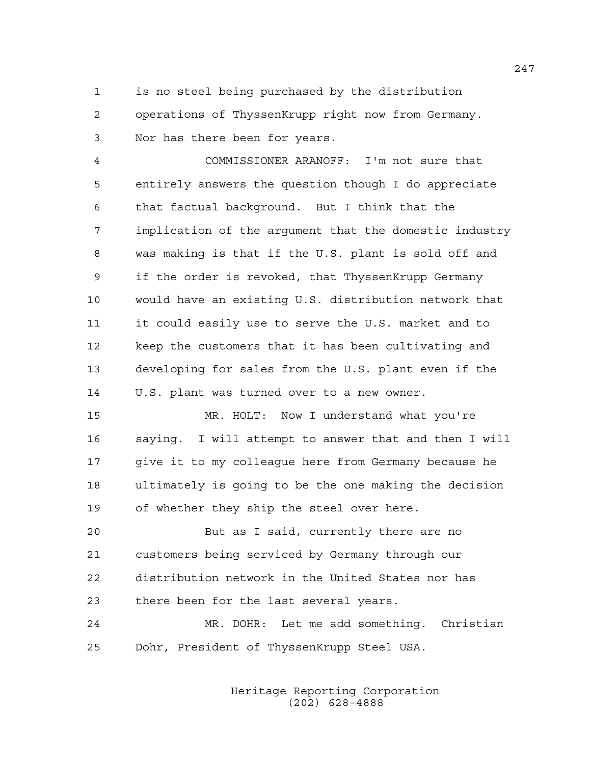1 is no steel being purchased by the distribution 2 operations of ThyssenKrupp right now from Germany. 3 Nor has there been for years.

4 COMMISSIONER ARANOFF: I'm not sure that 5 entirely answers the question though I do appreciate 6 that factual background. But I think that the 7 implication of the argument that the domestic industry 8 was making is that if the U.S. plant is sold off and 9 if the order is revoked, that ThyssenKrupp Germany 10 would have an existing U.S. distribution network that 11 it could easily use to serve the U.S. market and to 12 keep the customers that it has been cultivating and 13 developing for sales from the U.S. plant even if the 14 U.S. plant was turned over to a new owner.

15 MR. HOLT: Now I understand what you're 16 saying. I will attempt to answer that and then I will 17 give it to my colleaque here from Germany because he 18 ultimately is going to be the one making the decision 19 of whether they ship the steel over here.

20 But as I said, currently there are no 21 customers being serviced by Germany through our 22 distribution network in the United States nor has 23 there been for the last several years.

24 MR. DOHR: Let me add something. Christian 25 Dohr, President of ThyssenKrupp Steel USA.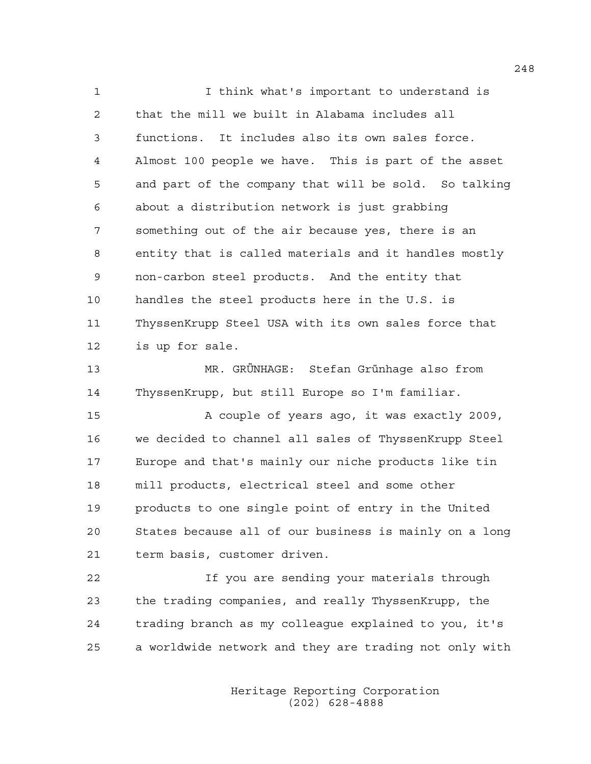1 I think what's important to understand is 2 that the mill we built in Alabama includes all 3 functions. It includes also its own sales force. 4 Almost 100 people we have. This is part of the asset 5 and part of the company that will be sold. So talking 6 about a distribution network is just grabbing 7 something out of the air because yes, there is an 8 entity that is called materials and it handles mostly 9 non-carbon steel products. And the entity that 10 handles the steel products here in the U.S. is 11 ThyssenKrupp Steel USA with its own sales force that 12 is up for sale.

13 MR. GRÜNHAGE: Stefan Grünhage also from 14 ThyssenKrupp, but still Europe so I'm familiar.

15 A couple of years ago, it was exactly 2009, 16 we decided to channel all sales of ThyssenKrupp Steel 17 Europe and that's mainly our niche products like tin 18 mill products, electrical steel and some other 19 products to one single point of entry in the United 20 States because all of our business is mainly on a long 21 term basis, customer driven.

22 If you are sending your materials through 23 the trading companies, and really ThyssenKrupp, the 24 trading branch as my colleague explained to you, it's 25 a worldwide network and they are trading not only with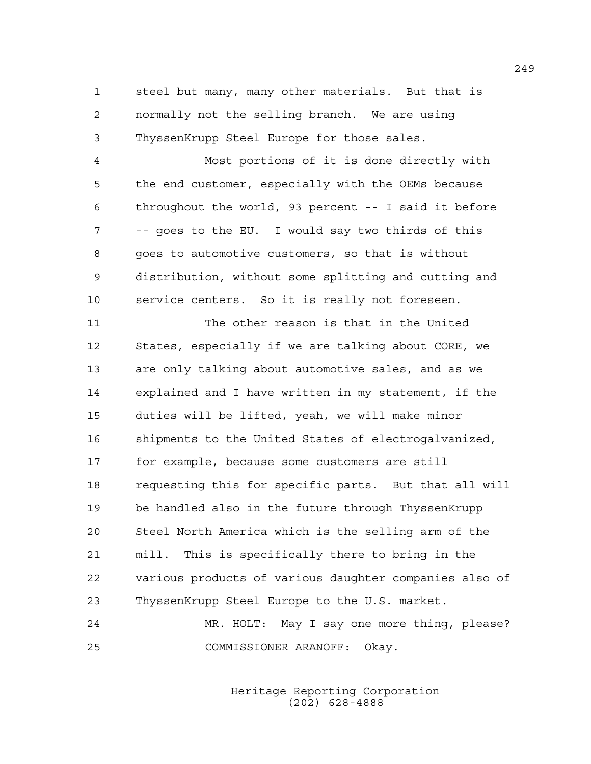1 steel but many, many other materials. But that is 2 normally not the selling branch. We are using 3 ThyssenKrupp Steel Europe for those sales.

4 Most portions of it is done directly with 5 the end customer, especially with the OEMs because 6 throughout the world, 93 percent -- I said it before 7 -- goes to the EU. I would say two thirds of this 8 goes to automotive customers, so that is without 9 distribution, without some splitting and cutting and 10 service centers. So it is really not foreseen.

11 The other reason is that in the United 12 States, especially if we are talking about CORE, we 13 are only talking about automotive sales, and as we 14 explained and I have written in my statement, if the 15 duties will be lifted, yeah, we will make minor 16 shipments to the United States of electrogalvanized, 17 for example, because some customers are still 18 requesting this for specific parts. But that all will 19 be handled also in the future through ThyssenKrupp 20 Steel North America which is the selling arm of the 21 mill. This is specifically there to bring in the 22 various products of various daughter companies also of 23 ThyssenKrupp Steel Europe to the U.S. market.

24 MR. HOLT: May I say one more thing, please? 25 COMMISSIONER ARANOFF: Okay.

> Heritage Reporting Corporation (202) 628-4888

249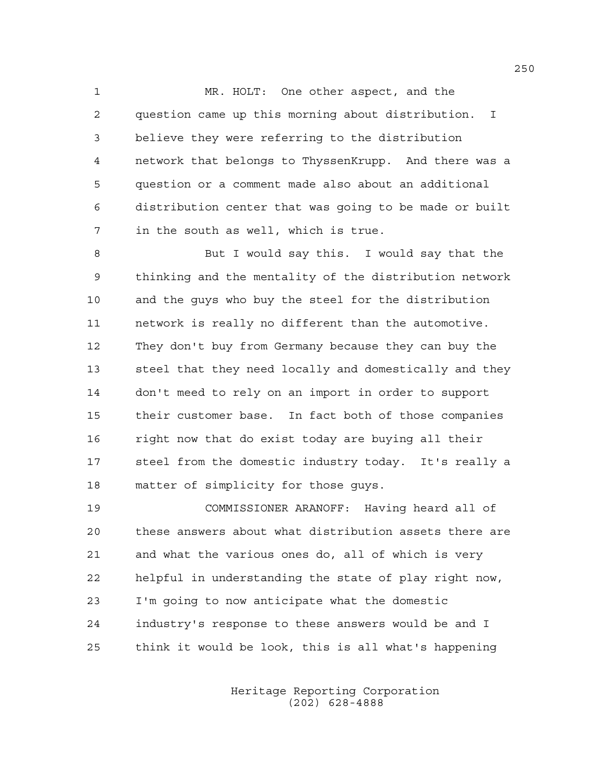1 MR. HOLT: One other aspect, and the 2 question came up this morning about distribution. I 3 believe they were referring to the distribution 4 network that belongs to ThyssenKrupp. And there was a 5 question or a comment made also about an additional 6 distribution center that was going to be made or built 7 in the south as well, which is true.

8 But I would say this. I would say that the 9 thinking and the mentality of the distribution network 10 and the guys who buy the steel for the distribution 11 network is really no different than the automotive. 12 They don't buy from Germany because they can buy the 13 steel that they need locally and domestically and they 14 don't meed to rely on an import in order to support 15 their customer base. In fact both of those companies 16 right now that do exist today are buying all their 17 steel from the domestic industry today. It's really a 18 matter of simplicity for those guys.

19 COMMISSIONER ARANOFF: Having heard all of 20 these answers about what distribution assets there are 21 and what the various ones do, all of which is very 22 helpful in understanding the state of play right now, 23 I'm going to now anticipate what the domestic 24 industry's response to these answers would be and I 25 think it would be look, this is all what's happening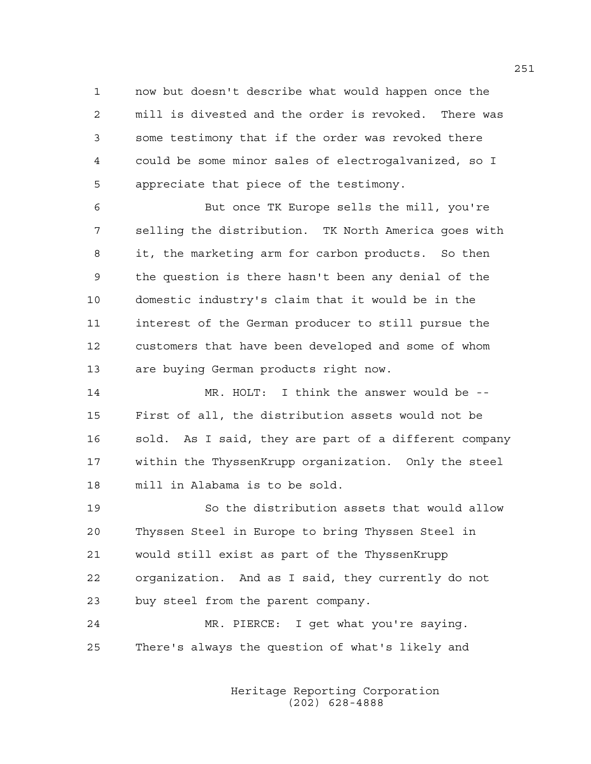1 now but doesn't describe what would happen once the 2 mill is divested and the order is revoked. There was 3 some testimony that if the order was revoked there 4 could be some minor sales of electrogalvanized, so I 5 appreciate that piece of the testimony.

6 But once TK Europe sells the mill, you're 7 selling the distribution. TK North America goes with 8 it, the marketing arm for carbon products. So then 9 the question is there hasn't been any denial of the 10 domestic industry's claim that it would be in the 11 interest of the German producer to still pursue the 12 customers that have been developed and some of whom 13 are buying German products right now.

14 MR. HOLT: I think the answer would be -- 15 First of all, the distribution assets would not be 16 sold. As I said, they are part of a different company 17 within the ThyssenKrupp organization. Only the steel 18 mill in Alabama is to be sold.

19 So the distribution assets that would allow 20 Thyssen Steel in Europe to bring Thyssen Steel in 21 would still exist as part of the ThyssenKrupp 22 organization. And as I said, they currently do not 23 buy steel from the parent company.

24 MR. PIERCE: I get what you're saying. 25 There's always the question of what's likely and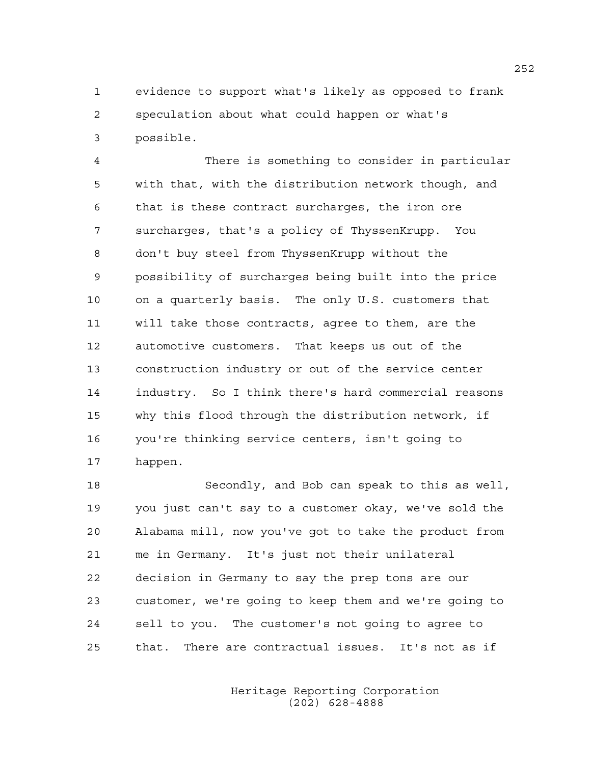1 evidence to support what's likely as opposed to frank 2 speculation about what could happen or what's 3 possible.

4 There is something to consider in particular 5 with that, with the distribution network though, and 6 that is these contract surcharges, the iron ore 7 surcharges, that's a policy of ThyssenKrupp. You 8 don't buy steel from ThyssenKrupp without the 9 possibility of surcharges being built into the price 10 on a quarterly basis. The only U.S. customers that 11 will take those contracts, agree to them, are the 12 automotive customers. That keeps us out of the 13 construction industry or out of the service center 14 industry. So I think there's hard commercial reasons 15 why this flood through the distribution network, if 16 you're thinking service centers, isn't going to 17 happen.

18 Secondly, and Bob can speak to this as well, 19 you just can't say to a customer okay, we've sold the 20 Alabama mill, now you've got to take the product from 21 me in Germany. It's just not their unilateral 22 decision in Germany to say the prep tons are our 23 customer, we're going to keep them and we're going to 24 sell to you. The customer's not going to agree to 25 that. There are contractual issues. It's not as if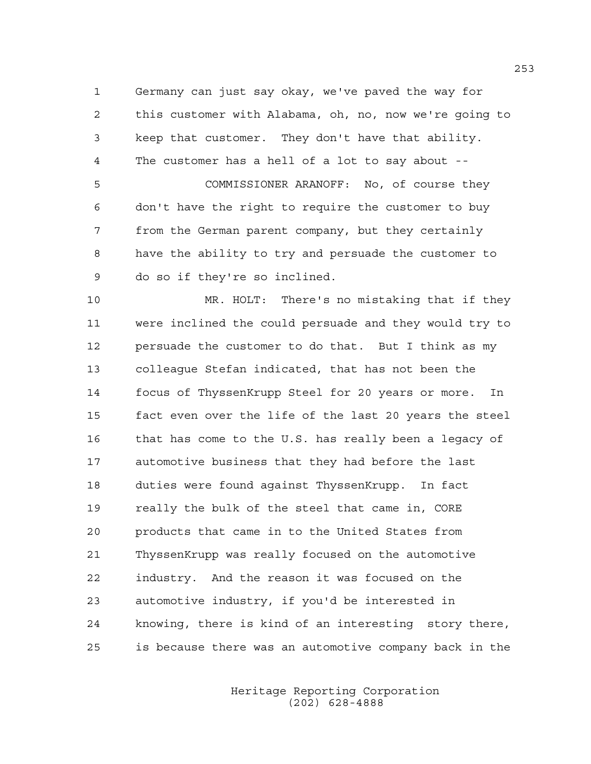1 Germany can just say okay, we've paved the way for 2 this customer with Alabama, oh, no, now we're going to 3 keep that customer. They don't have that ability. 4 The customer has a hell of a lot to say about --

5 COMMISSIONER ARANOFF: No, of course they 6 don't have the right to require the customer to buy 7 from the German parent company, but they certainly 8 have the ability to try and persuade the customer to 9 do so if they're so inclined.

10 MR. HOLT: There's no mistaking that if they 11 were inclined the could persuade and they would try to 12 persuade the customer to do that. But I think as my 13 colleague Stefan indicated, that has not been the 14 focus of ThyssenKrupp Steel for 20 years or more. In 15 fact even over the life of the last 20 years the steel 16 that has come to the U.S. has really been a legacy of 17 automotive business that they had before the last 18 duties were found against ThyssenKrupp. In fact 19 really the bulk of the steel that came in, CORE 20 products that came in to the United States from 21 ThyssenKrupp was really focused on the automotive 22 industry. And the reason it was focused on the 23 automotive industry, if you'd be interested in 24 knowing, there is kind of an interesting story there, 25 is because there was an automotive company back in the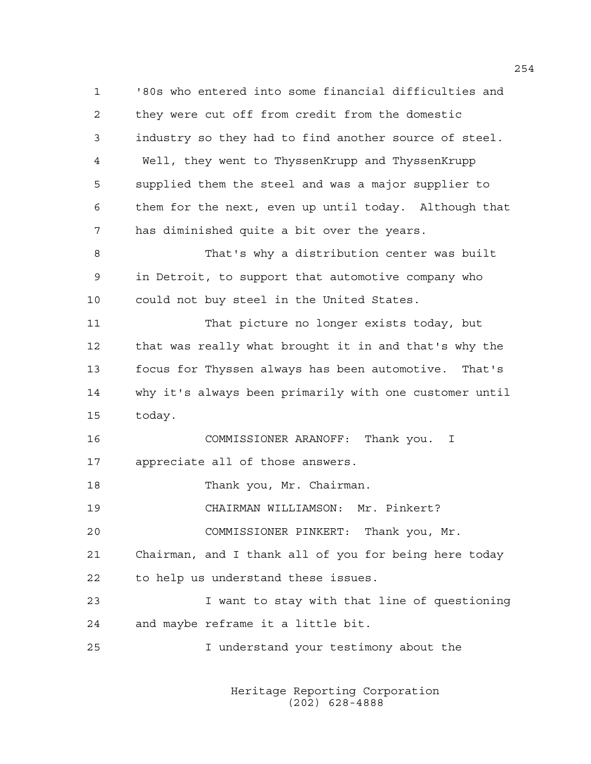1 '80s who entered into some financial difficulties and 2 they were cut off from credit from the domestic 3 industry so they had to find another source of steel. 4 Well, they went to ThyssenKrupp and ThyssenKrupp 5 supplied them the steel and was a major supplier to 6 them for the next, even up until today. Although that 7 has diminished quite a bit over the years. 8 That's why a distribution center was built 9 in Detroit, to support that automotive company who 10 could not buy steel in the United States. 11 That picture no longer exists today, but 12 that was really what brought it in and that's why the 13 focus for Thyssen always has been automotive. That's 14 why it's always been primarily with one customer until 15 today. 16 COMMISSIONER ARANOFF: Thank you. I 17 appreciate all of those answers. 18 Thank you, Mr. Chairman. 19 CHAIRMAN WILLIAMSON: Mr. Pinkert? 20 COMMISSIONER PINKERT: Thank you, Mr. 21 Chairman, and I thank all of you for being here today 22 to help us understand these issues. 23 I want to stay with that line of questioning 24 and maybe reframe it a little bit. 25 I understand your testimony about the

> Heritage Reporting Corporation (202) 628-4888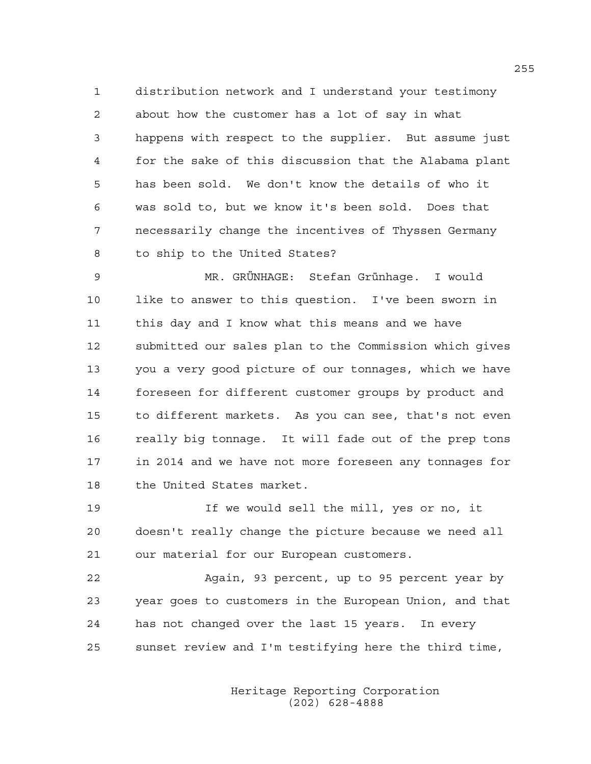1 distribution network and I understand your testimony 2 about how the customer has a lot of say in what 3 happens with respect to the supplier. But assume just 4 for the sake of this discussion that the Alabama plant 5 has been sold. We don't know the details of who it 6 was sold to, but we know it's been sold. Does that 7 necessarily change the incentives of Thyssen Germany 8 to ship to the United States?

9 MR. GRÜNHAGE: Stefan Grünhage. I would 10 like to answer to this question. I've been sworn in 11 this day and I know what this means and we have 12 submitted our sales plan to the Commission which gives 13 you a very good picture of our tonnages, which we have 14 foreseen for different customer groups by product and 15 to different markets. As you can see, that's not even 16 really big tonnage. It will fade out of the prep tons 17 in 2014 and we have not more foreseen any tonnages for 18 the United States market.

19 If we would sell the mill, yes or no, it 20 doesn't really change the picture because we need all 21 our material for our European customers.

22 Again, 93 percent, up to 95 percent year by 23 year goes to customers in the European Union, and that 24 has not changed over the last 15 years. In every 25 sunset review and I'm testifying here the third time,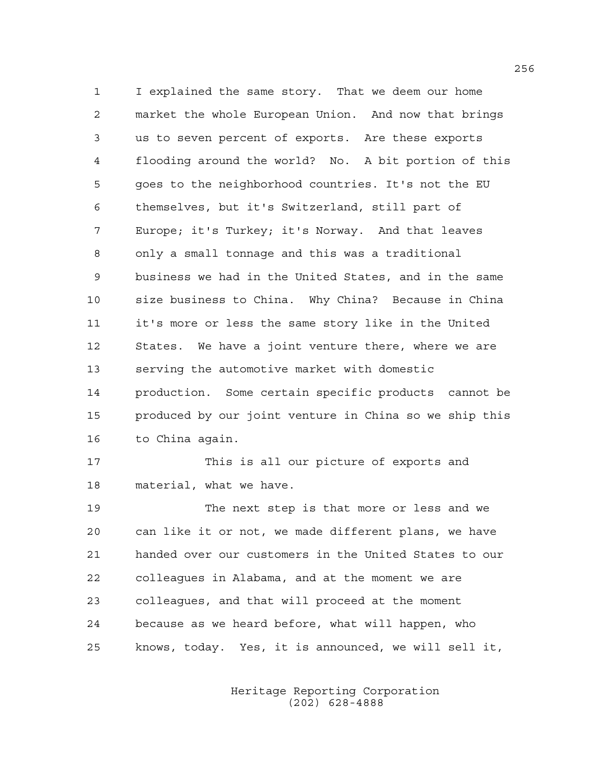1 I explained the same story. That we deem our home 2 market the whole European Union. And now that brings 3 us to seven percent of exports. Are these exports 4 flooding around the world? No. A bit portion of this 5 goes to the neighborhood countries. It's not the EU 6 themselves, but it's Switzerland, still part of 7 Europe; it's Turkey; it's Norway. And that leaves 8 only a small tonnage and this was a traditional 9 business we had in the United States, and in the same 10 size business to China. Why China? Because in China 11 it's more or less the same story like in the United 12 States. We have a joint venture there, where we are 13 serving the automotive market with domestic 14 production. Some certain specific products cannot be 15 produced by our joint venture in China so we ship this 16 to China again.

17 This is all our picture of exports and 18 material, what we have.

19 The next step is that more or less and we 20 can like it or not, we made different plans, we have 21 handed over our customers in the United States to our 22 colleagues in Alabama, and at the moment we are 23 colleagues, and that will proceed at the moment 24 because as we heard before, what will happen, who 25 knows, today. Yes, it is announced, we will sell it,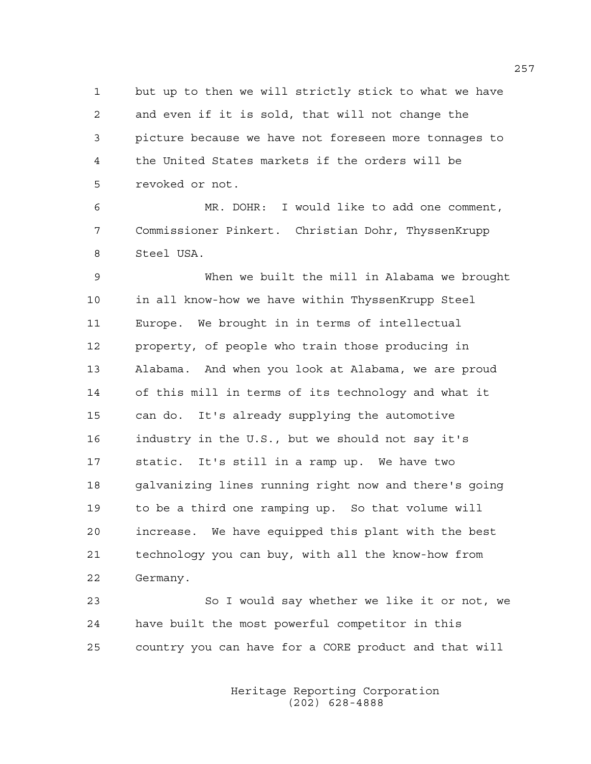1 but up to then we will strictly stick to what we have 2 and even if it is sold, that will not change the 3 picture because we have not foreseen more tonnages to 4 the United States markets if the orders will be 5 revoked or not.

6 MR. DOHR: I would like to add one comment, 7 Commissioner Pinkert. Christian Dohr, ThyssenKrupp 8 Steel USA.

9 When we built the mill in Alabama we brought 10 in all know-how we have within ThyssenKrupp Steel 11 Europe. We brought in in terms of intellectual 12 property, of people who train those producing in 13 Alabama. And when you look at Alabama, we are proud 14 of this mill in terms of its technology and what it 15 can do. It's already supplying the automotive 16 industry in the U.S., but we should not say it's 17 static. It's still in a ramp up. We have two 18 galvanizing lines running right now and there's going 19 to be a third one ramping up. So that volume will 20 increase. We have equipped this plant with the best 21 technology you can buy, with all the know-how from 22 Germany.

23 So I would say whether we like it or not, we 24 have built the most powerful competitor in this 25 country you can have for a CORE product and that will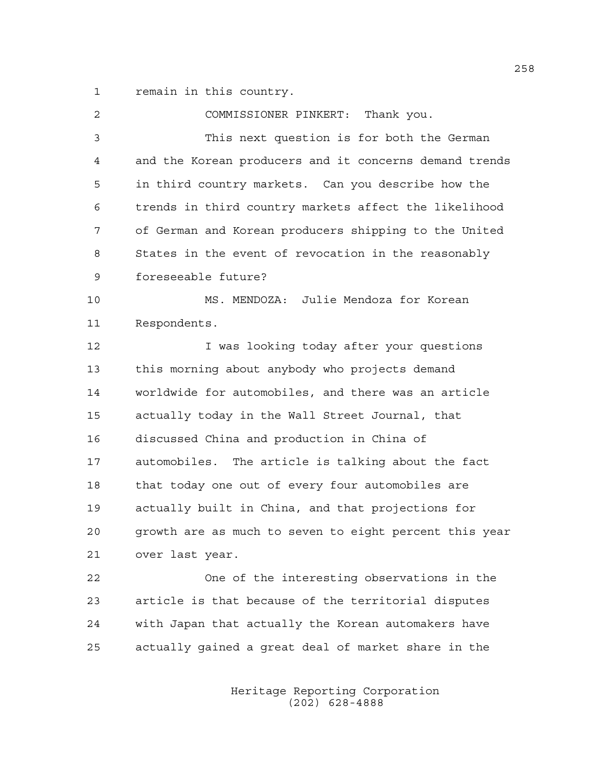1 remain in this country.

| $\overline{2}$ | COMMISSIONER PINKERT: Thank you.                       |
|----------------|--------------------------------------------------------|
| 3              | This next question is for both the German              |
| 4              | and the Korean producers and it concerns demand trends |
| 5              | in third country markets. Can you describe how the     |
| 6              | trends in third country markets affect the likelihood  |
| 7              | of German and Korean producers shipping to the United  |
| 8              | States in the event of revocation in the reasonably    |
| 9              | foreseeable future?                                    |
| 10             | MS. MENDOZA: Julie Mendoza for Korean                  |
| 11             | Respondents.                                           |
| 12             | I was looking today after your questions               |
| 13             | this morning about anybody who projects demand         |
| 14             | worldwide for automobiles, and there was an article    |
| 15             | actually today in the Wall Street Journal, that        |
| 16             | discussed China and production in China of             |
| 17             | automobiles. The article is talking about the fact     |
| 18             | that today one out of every four automobiles are       |
| 19             | actually built in China, and that projections for      |
| 20             | growth are as much to seven to eight percent this year |
| 21             | over last year.                                        |
| 22             | One of the interesting observations in the             |
| 23             | article is that because of the territorial disputes    |
| 24             | with Japan that actually the Korean automakers have    |
| 25             | actually gained a great deal of market share in the    |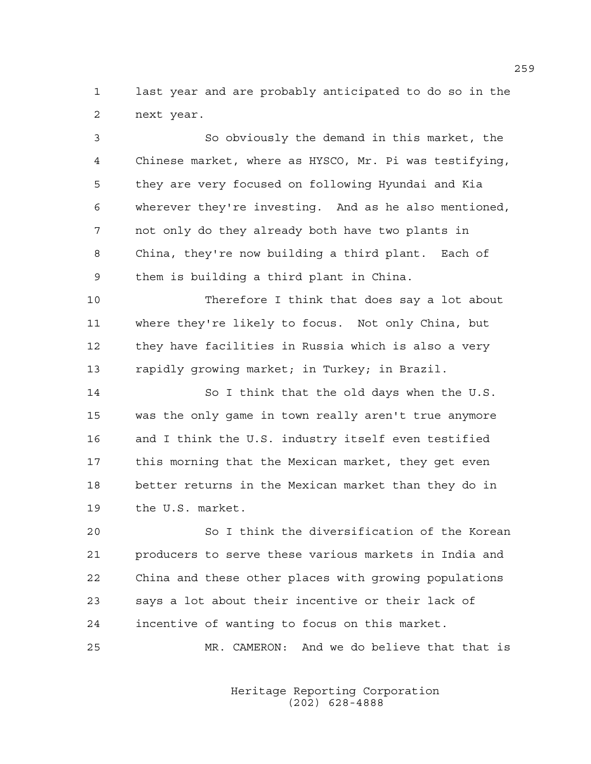1 last year and are probably anticipated to do so in the 2 next year.

3 So obviously the demand in this market, the 4 Chinese market, where as HYSCO, Mr. Pi was testifying, 5 they are very focused on following Hyundai and Kia 6 wherever they're investing. And as he also mentioned, 7 not only do they already both have two plants in 8 China, they're now building a third plant. Each of 9 them is building a third plant in China.

10 Therefore I think that does say a lot about 11 where they're likely to focus. Not only China, but 12 they have facilities in Russia which is also a very 13 rapidly growing market; in Turkey; in Brazil.

14 So I think that the old days when the U.S. 15 was the only game in town really aren't true anymore 16 and I think the U.S. industry itself even testified 17 this morning that the Mexican market, they get even 18 better returns in the Mexican market than they do in 19 the U.S. market.

20 So I think the diversification of the Korean 21 producers to serve these various markets in India and 22 China and these other places with growing populations 23 says a lot about their incentive or their lack of 24 incentive of wanting to focus on this market.

25 MR. CAMERON: And we do believe that that is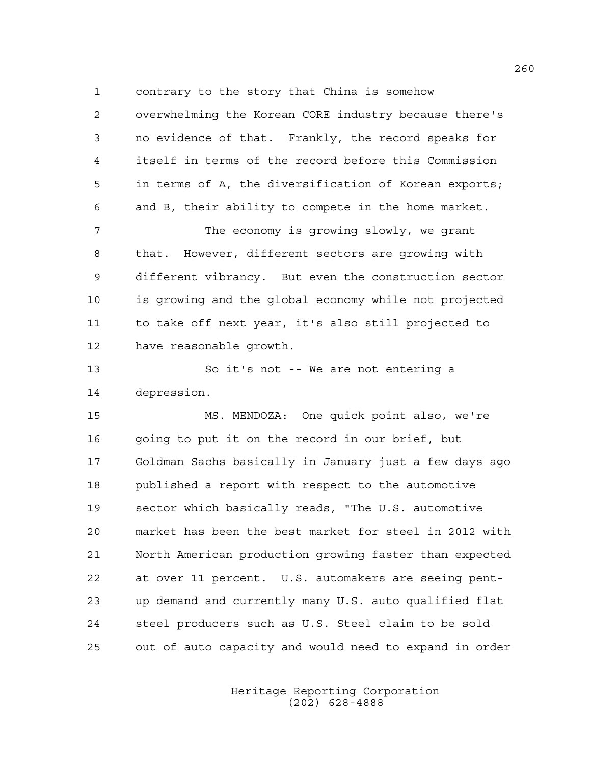1 contrary to the story that China is somehow

2 overwhelming the Korean CORE industry because there's 3 no evidence of that. Frankly, the record speaks for 4 itself in terms of the record before this Commission 5 in terms of A, the diversification of Korean exports; 6 and B, their ability to compete in the home market. 7 The economy is growing slowly, we grant 8 that. However, different sectors are growing with 9 different vibrancy. But even the construction sector 10 is growing and the global economy while not projected 11 to take off next year, it's also still projected to 12 have reasonable growth. 13 So it's not -- We are not entering a 14 depression. 15 MS. MENDOZA: One quick point also, we're 16 going to put it on the record in our brief, but 17 Goldman Sachs basically in January just a few days ago 18 published a report with respect to the automotive 19 sector which basically reads, "The U.S. automotive 20 market has been the best market for steel in 2012 with 21 North American production growing faster than expected 22 at over 11 percent. U.S. automakers are seeing pent-

23 up demand and currently many U.S. auto qualified flat 24 steel producers such as U.S. Steel claim to be sold 25 out of auto capacity and would need to expand in order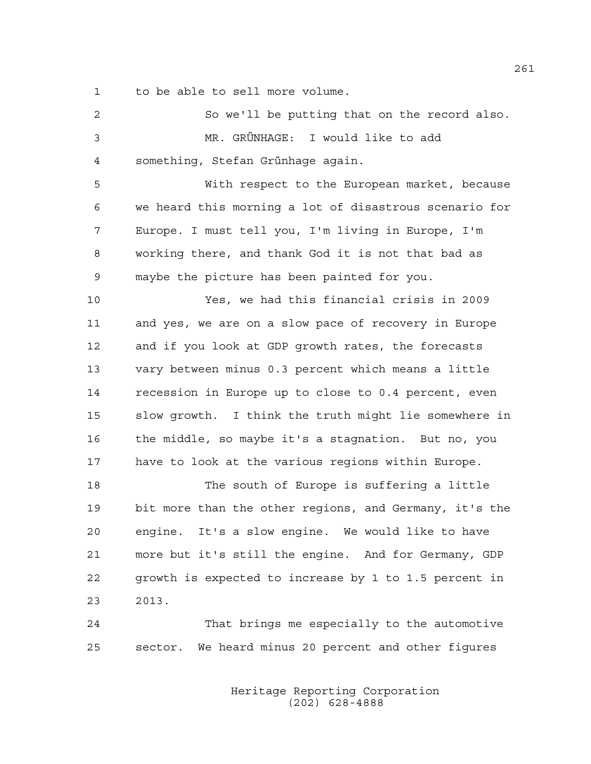1 to be able to sell more volume.

| 2  | So we'll be putting that on the record also.           |
|----|--------------------------------------------------------|
| 3  | MR. GRÜNHAGE: I would like to add                      |
| 4  | something, Stefan Grünhage again.                      |
| 5  | With respect to the European market, because           |
| 6  | we heard this morning a lot of disastrous scenario for |
| 7  | Europe. I must tell you, I'm living in Europe, I'm     |
| 8  | working there, and thank God it is not that bad as     |
| 9  | maybe the picture has been painted for you.            |
| 10 | Yes, we had this financial crisis in 2009              |
| 11 | and yes, we are on a slow pace of recovery in Europe   |
| 12 | and if you look at GDP growth rates, the forecasts     |
| 13 | vary between minus 0.3 percent which means a little    |
| 14 | recession in Europe up to close to 0.4 percent, even   |
| 15 | slow growth. I think the truth might lie somewhere in  |
| 16 | the middle, so maybe it's a stagnation. But no, you    |
| 17 | have to look at the various regions within Europe.     |
| 18 | The south of Europe is suffering a little              |
| 19 | bit more than the other regions, and Germany, it's the |
| 20 | engine. It's a slow engine. We would like to have      |
| 21 | more but it's still the engine. And for Germany, GDP   |
| 22 | growth is expected to increase by 1 to 1.5 percent in  |
| 23 | 2013.                                                  |
| 24 | That brings me especially to the automotive            |
| 25 | sector. We heard minus 20 percent and other figures    |
|    |                                                        |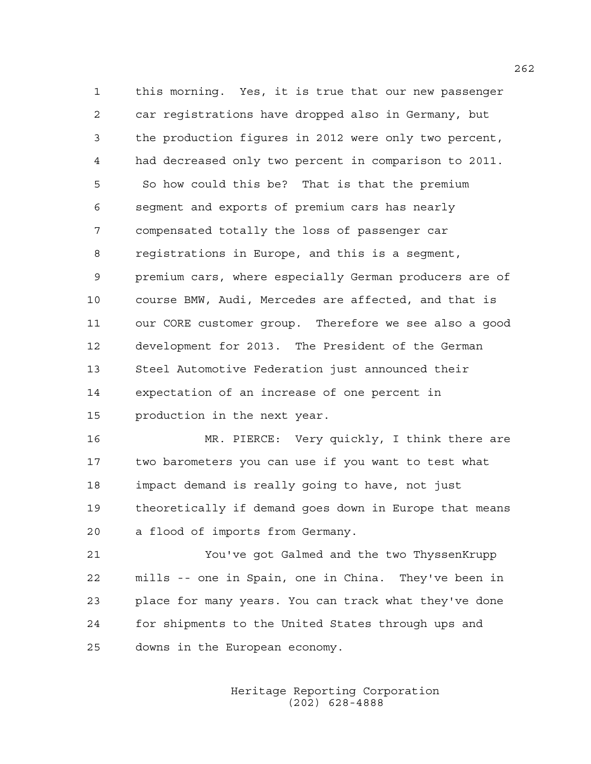1 this morning. Yes, it is true that our new passenger 2 car registrations have dropped also in Germany, but 3 the production figures in 2012 were only two percent, 4 had decreased only two percent in comparison to 2011. 5 So how could this be? That is that the premium 6 segment and exports of premium cars has nearly 7 compensated totally the loss of passenger car 8 registrations in Europe, and this is a segment, 9 premium cars, where especially German producers are of 10 course BMW, Audi, Mercedes are affected, and that is 11 our CORE customer group. Therefore we see also a good 12 development for 2013. The President of the German 13 Steel Automotive Federation just announced their 14 expectation of an increase of one percent in 15 production in the next year.

16 MR. PIERCE: Very quickly, I think there are 17 two barometers you can use if you want to test what 18 impact demand is really going to have, not just 19 theoretically if demand goes down in Europe that means 20 a flood of imports from Germany.

21 You've got Galmed and the two ThyssenKrupp 22 mills -- one in Spain, one in China. They've been in 23 place for many years. You can track what they've done 24 for shipments to the United States through ups and 25 downs in the European economy.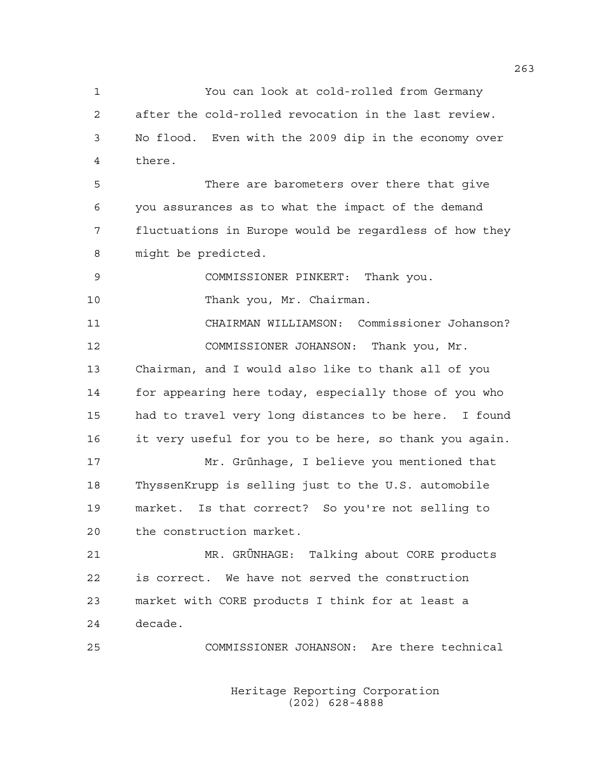1 You can look at cold-rolled from Germany 2 after the cold-rolled revocation in the last review. 3 No flood. Even with the 2009 dip in the economy over 4 there.

5 There are barometers over there that give 6 you assurances as to what the impact of the demand 7 fluctuations in Europe would be regardless of how they 8 might be predicted.

9 COMMISSIONER PINKERT: Thank you.

10 Thank you, Mr. Chairman.

11 CHAIRMAN WILLIAMSON: Commissioner Johanson? 12 COMMISSIONER JOHANSON: Thank you, Mr. 13 Chairman, and I would also like to thank all of you 14 for appearing here today, especially those of you who 15 had to travel very long distances to be here. I found 16 it very useful for you to be here, so thank you again. 17 Mr. Grünhage, I believe you mentioned that

18 ThyssenKrupp is selling just to the U.S. automobile 19 market. Is that correct? So you're not selling to 20 the construction market.

21 MR. GRÜNHAGE: Talking about CORE products 22 is correct. We have not served the construction 23 market with CORE products I think for at least a 24 decade.

25 COMMISSIONER JOHANSON: Are there technical

 Heritage Reporting Corporation (202) 628-4888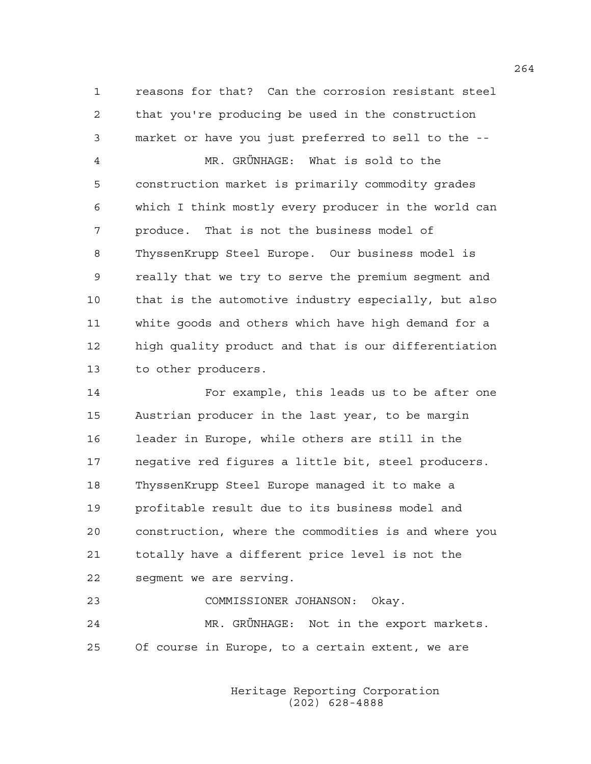1 reasons for that? Can the corrosion resistant steel 2 that you're producing be used in the construction 3 market or have you just preferred to sell to the --

4 MR. GRÜNHAGE: What is sold to the 5 construction market is primarily commodity grades 6 which I think mostly every producer in the world can 7 produce. That is not the business model of 8 ThyssenKrupp Steel Europe. Our business model is 9 really that we try to serve the premium segment and 10 that is the automotive industry especially, but also 11 white goods and others which have high demand for a 12 high quality product and that is our differentiation 13 to other producers.

14 For example, this leads us to be after one 15 Austrian producer in the last year, to be margin 16 leader in Europe, while others are still in the 17 negative red figures a little bit, steel producers. 18 ThyssenKrupp Steel Europe managed it to make a 19 profitable result due to its business model and 20 construction, where the commodities is and where you 21 totally have a different price level is not the 22 segment we are serving.

23 COMMISSIONER JOHANSON: Okay. 24 MR. GRÜNHAGE: Not in the export markets. 25 Of course in Europe, to a certain extent, we are

> Heritage Reporting Corporation (202) 628-4888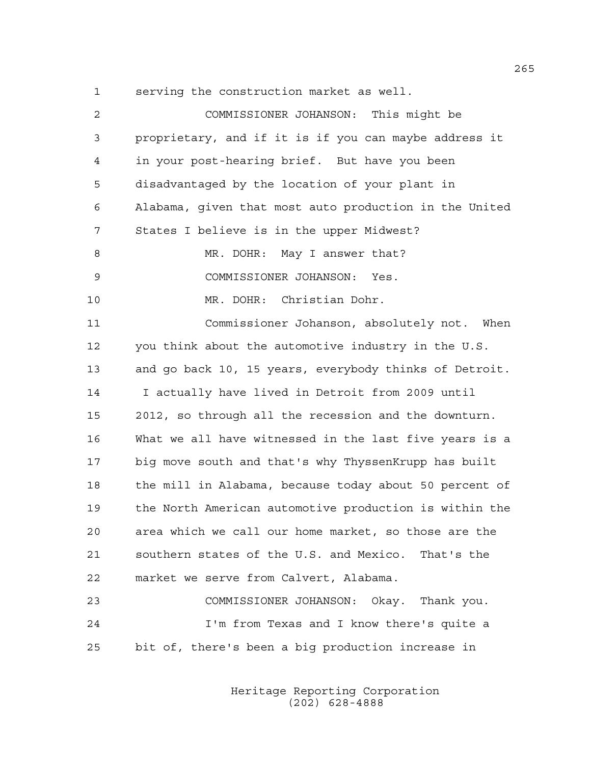1 serving the construction market as well.

| 2  | COMMISSIONER JOHANSON: This might be                   |
|----|--------------------------------------------------------|
| 3  | proprietary, and if it is if you can maybe address it  |
| 4  | in your post-hearing brief. But have you been          |
| 5  | disadvantaged by the location of your plant in         |
| 6  | Alabama, given that most auto production in the United |
| 7  | States I believe is in the upper Midwest?              |
| 8  | MR. DOHR: May I answer that?                           |
| 9  | COMMISSIONER JOHANSON: Yes.                            |
| 10 | MR. DOHR: Christian Dohr.                              |
| 11 | Commissioner Johanson, absolutely not. When            |
| 12 | you think about the automotive industry in the U.S.    |
| 13 | and go back 10, 15 years, everybody thinks of Detroit. |
| 14 | I actually have lived in Detroit from 2009 until       |
| 15 | 2012, so through all the recession and the downturn.   |
| 16 | What we all have witnessed in the last five years is a |
| 17 | big move south and that's why ThyssenKrupp has built   |
| 18 | the mill in Alabama, because today about 50 percent of |
| 19 | the North American automotive production is within the |
| 20 | area which we call our home market, so those are the   |
| 21 | southern states of the U.S. and Mexico. That's the     |
| 22 | market we serve from Calvert, Alabama.                 |
| 23 | COMMISSIONER JOHANSON: Okay. Thank you.                |
| 24 | I'm from Texas and I know there's quite a              |
| 25 | bit of, there's been a big production increase in      |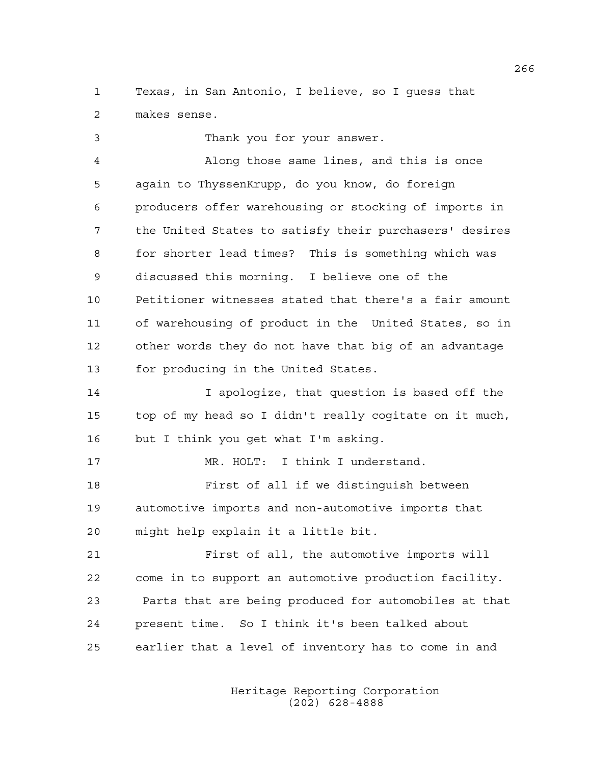1 Texas, in San Antonio, I believe, so I guess that 2 makes sense.

3 Thank you for your answer. 4 Along those same lines, and this is once 5 again to ThyssenKrupp, do you know, do foreign 6 producers offer warehousing or stocking of imports in 7 the United States to satisfy their purchasers' desires 8 for shorter lead times? This is something which was 9 discussed this morning. I believe one of the 10 Petitioner witnesses stated that there's a fair amount 11 of warehousing of product in the United States, so in 12 other words they do not have that big of an advantage 13 for producing in the United States. 14 I apologize, that question is based off the

15 top of my head so I didn't really cogitate on it much, 16 but I think you get what I'm asking.

17 MR. HOLT: I think I understand. 18 First of all if we distinguish between 19 automotive imports and non-automotive imports that 20 might help explain it a little bit.

21 First of all, the automotive imports will 22 come in to support an automotive production facility. 23 Parts that are being produced for automobiles at that 24 present time. So I think it's been talked about 25 earlier that a level of inventory has to come in and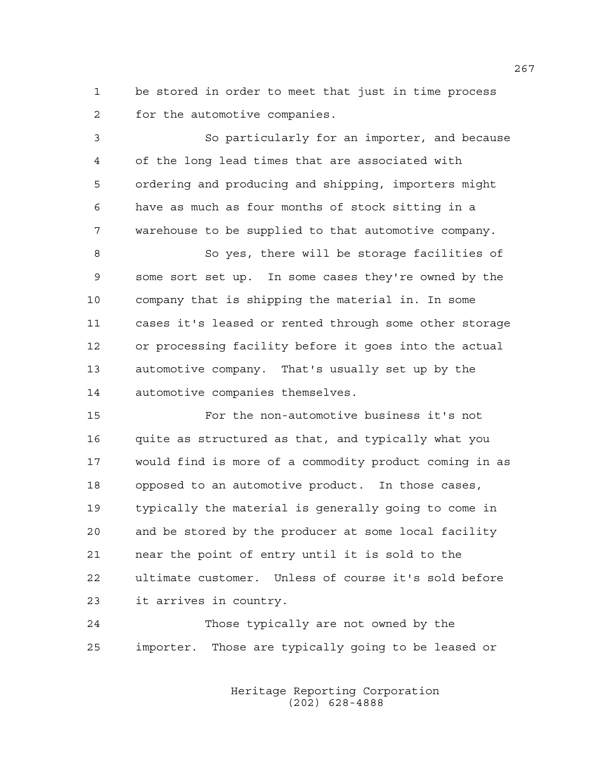1 be stored in order to meet that just in time process 2 for the automotive companies.

3 So particularly for an importer, and because 4 of the long lead times that are associated with 5 ordering and producing and shipping, importers might 6 have as much as four months of stock sitting in a 7 warehouse to be supplied to that automotive company.

8 So yes, there will be storage facilities of 9 some sort set up. In some cases they're owned by the 10 company that is shipping the material in. In some 11 cases it's leased or rented through some other storage 12 or processing facility before it goes into the actual 13 automotive company. That's usually set up by the 14 automotive companies themselves.

15 For the non-automotive business it's not 16 quite as structured as that, and typically what you 17 would find is more of a commodity product coming in as 18 opposed to an automotive product. In those cases, 19 typically the material is generally going to come in 20 and be stored by the producer at some local facility 21 near the point of entry until it is sold to the 22 ultimate customer. Unless of course it's sold before 23 it arrives in country.

24 Those typically are not owned by the 25 importer. Those are typically going to be leased or

> Heritage Reporting Corporation (202) 628-4888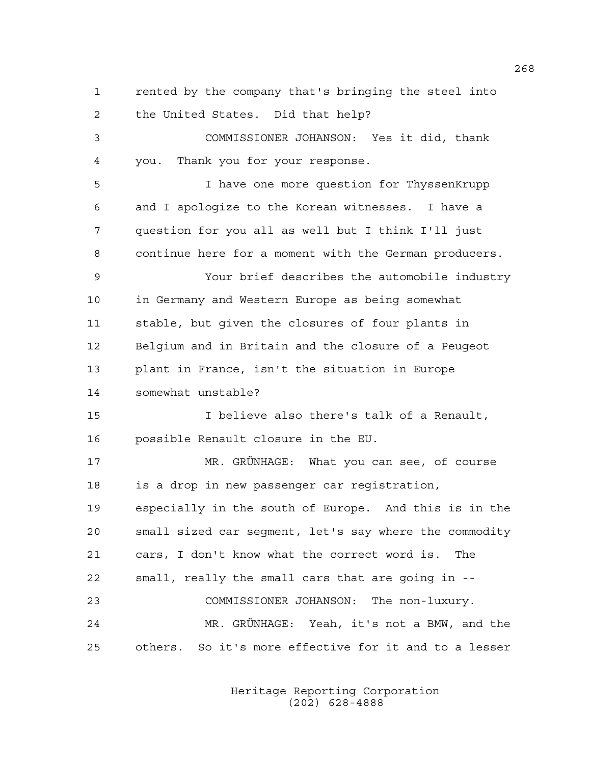1 rented by the company that's bringing the steel into 2 the United States. Did that help? 3 COMMISSIONER JOHANSON: Yes it did, thank 4 you. Thank you for your response. 5 I have one more question for ThyssenKrupp 6 and I apologize to the Korean witnesses. I have a 7 question for you all as well but I think I'll just 8 continue here for a moment with the German producers. 9 Your brief describes the automobile industry 10 in Germany and Western Europe as being somewhat 11 stable, but given the closures of four plants in 12 Belgium and in Britain and the closure of a Peugeot 13 plant in France, isn't the situation in Europe 14 somewhat unstable? 15 I believe also there's talk of a Renault, 16 possible Renault closure in the EU. 17 MR. GRÜNHAGE: What you can see, of course 18 is a drop in new passenger car registration, 19 especially in the south of Europe. And this is in the 20 small sized car segment, let's say where the commodity 21 cars, I don't know what the correct word is. The 22 small, really the small cars that are going in -- 23 COMMISSIONER JOHANSON: The non-luxury. 24 MR. GRÜNHAGE: Yeah, it's not a BMW, and the 25 others. So it's more effective for it and to a lesser

> Heritage Reporting Corporation (202) 628-4888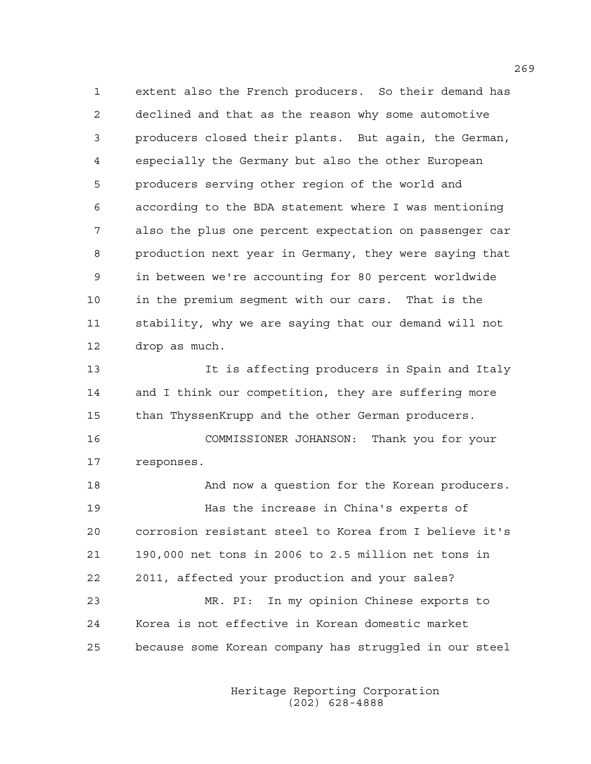1 extent also the French producers. So their demand has 2 declined and that as the reason why some automotive 3 producers closed their plants. But again, the German, 4 especially the Germany but also the other European 5 producers serving other region of the world and 6 according to the BDA statement where I was mentioning 7 also the plus one percent expectation on passenger car 8 production next year in Germany, they were saying that 9 in between we're accounting for 80 percent worldwide 10 in the premium segment with our cars. That is the 11 stability, why we are saying that our demand will not 12 drop as much.

13 It is affecting producers in Spain and Italy 14 and I think our competition, they are suffering more 15 than ThyssenKrupp and the other German producers. 16 COMMISSIONER JOHANSON: Thank you for your

17 responses.

18 And now a question for the Korean producers. 19 Has the increase in China's experts of 20 corrosion resistant steel to Korea from I believe it's 21 190,000 net tons in 2006 to 2.5 million net tons in 22 2011, affected your production and your sales? 23 MR. PI: In my opinion Chinese exports to 24 Korea is not effective in Korean domestic market 25 because some Korean company has struggled in our steel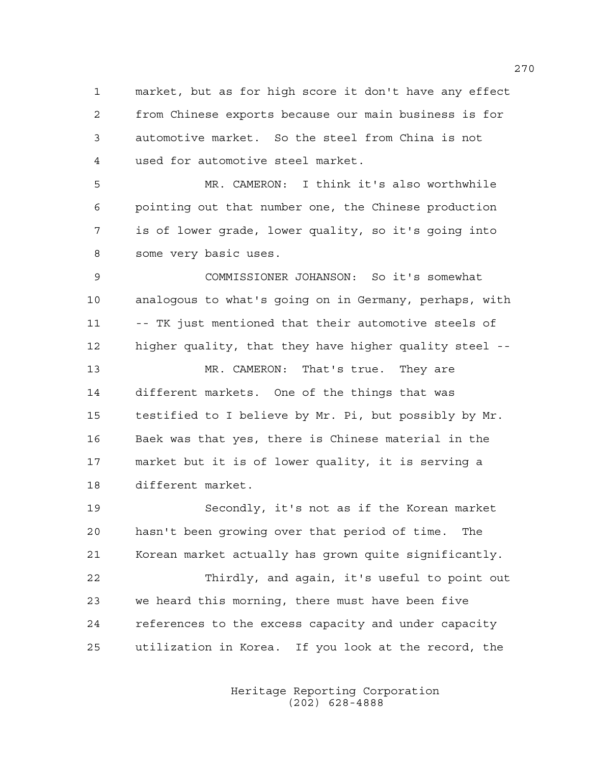1 market, but as for high score it don't have any effect 2 from Chinese exports because our main business is for 3 automotive market. So the steel from China is not 4 used for automotive steel market.

5 MR. CAMERON: I think it's also worthwhile 6 pointing out that number one, the Chinese production 7 is of lower grade, lower quality, so it's going into 8 some very basic uses.

9 COMMISSIONER JOHANSON: So it's somewhat 10 analogous to what's going on in Germany, perhaps, with 11 -- TK just mentioned that their automotive steels of 12 higher quality, that they have higher quality steel --

13 MR. CAMERON: That's true. They are 14 different markets. One of the things that was 15 testified to I believe by Mr. Pi, but possibly by Mr. 16 Baek was that yes, there is Chinese material in the 17 market but it is of lower quality, it is serving a 18 different market.

19 Secondly, it's not as if the Korean market 20 hasn't been growing over that period of time. The 21 Korean market actually has grown quite significantly. 22 Thirdly, and again, it's useful to point out 23 we heard this morning, there must have been five 24 references to the excess capacity and under capacity 25 utilization in Korea. If you look at the record, the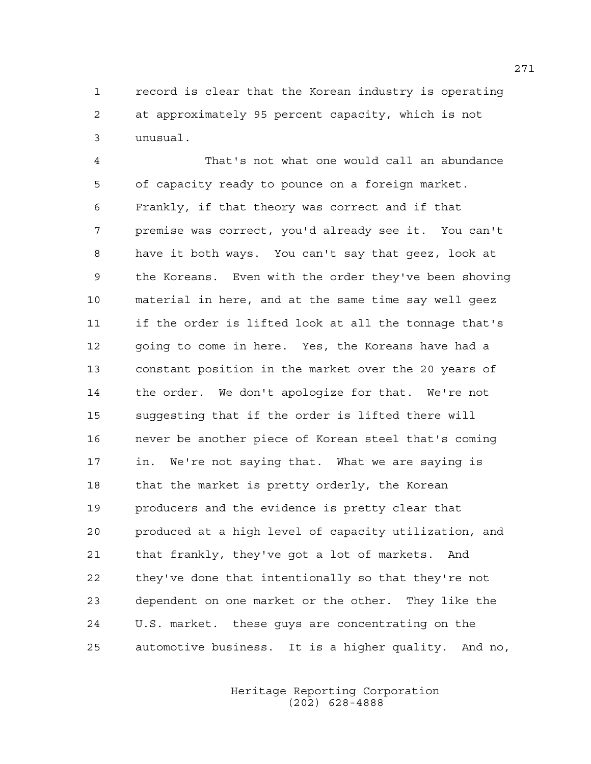1 record is clear that the Korean industry is operating 2 at approximately 95 percent capacity, which is not 3 unusual.

4 That's not what one would call an abundance 5 of capacity ready to pounce on a foreign market. 6 Frankly, if that theory was correct and if that 7 premise was correct, you'd already see it. You can't 8 have it both ways. You can't say that geez, look at 9 the Koreans. Even with the order they've been shoving 10 material in here, and at the same time say well geez 11 if the order is lifted look at all the tonnage that's 12 going to come in here. Yes, the Koreans have had a 13 constant position in the market over the 20 years of 14 the order. We don't apologize for that. We're not 15 suggesting that if the order is lifted there will 16 never be another piece of Korean steel that's coming 17 in. We're not saying that. What we are saying is 18 that the market is pretty orderly, the Korean 19 producers and the evidence is pretty clear that 20 produced at a high level of capacity utilization, and 21 that frankly, they've got a lot of markets. And 22 they've done that intentionally so that they're not 23 dependent on one market or the other. They like the 24 U.S. market. these guys are concentrating on the 25 automotive business. It is a higher quality. And no,

> Heritage Reporting Corporation (202) 628-4888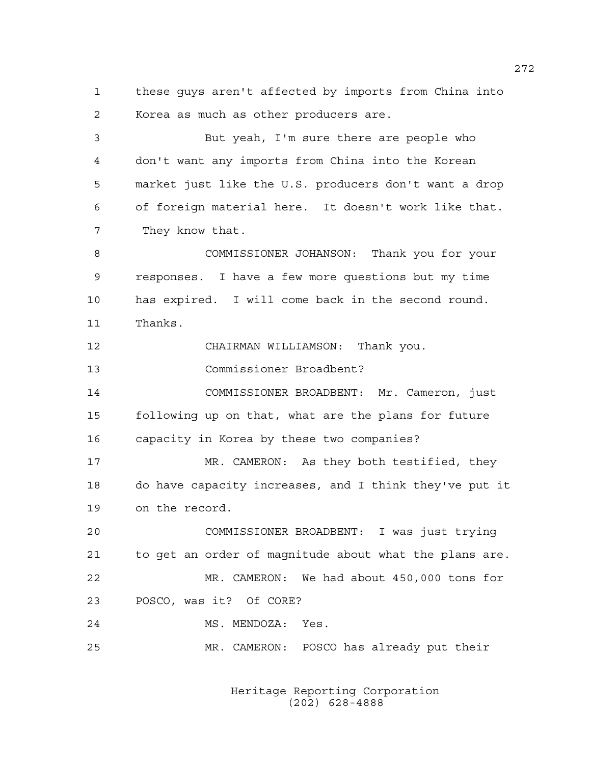1 these guys aren't affected by imports from China into 2 Korea as much as other producers are.

3 But yeah, I'm sure there are people who 4 don't want any imports from China into the Korean 5 market just like the U.S. producers don't want a drop 6 of foreign material here. It doesn't work like that. 7 They know that.

8 COMMISSIONER JOHANSON: Thank you for your 9 responses. I have a few more questions but my time 10 has expired. I will come back in the second round. 11 Thanks.

12 CHAIRMAN WILLIAMSON: Thank you.

13 Commissioner Broadbent?

14 COMMISSIONER BROADBENT: Mr. Cameron, just 15 following up on that, what are the plans for future 16 capacity in Korea by these two companies?

17 MR. CAMERON: As they both testified, they 18 do have capacity increases, and I think they've put it 19 on the record.

20 COMMISSIONER BROADBENT: I was just trying 21 to get an order of magnitude about what the plans are. 22 MR. CAMERON: We had about 450,000 tons for 23 POSCO, was it? Of CORE?

24 MS. MENDOZA: Yes.

25 MR. CAMERON: POSCO has already put their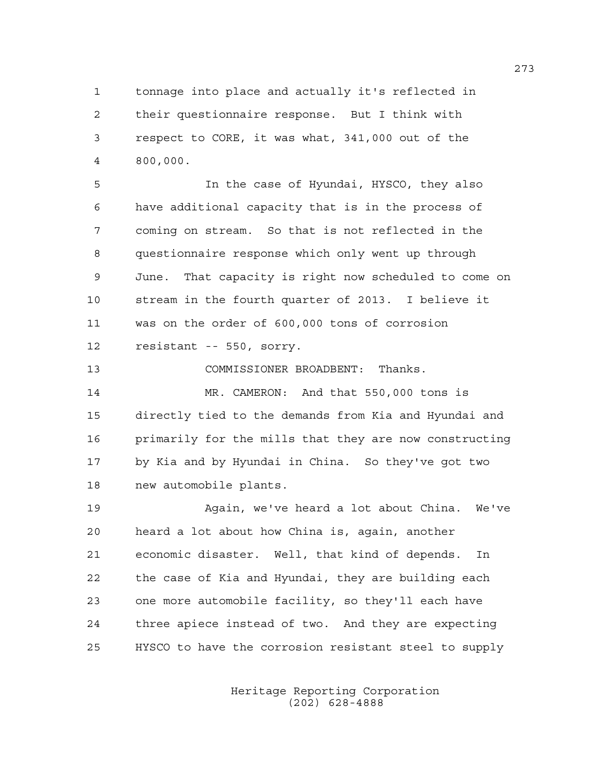1 tonnage into place and actually it's reflected in 2 their questionnaire response. But I think with 3 respect to CORE, it was what, 341,000 out of the 4 800,000.

5 In the case of Hyundai, HYSCO, they also 6 have additional capacity that is in the process of 7 coming on stream. So that is not reflected in the 8 questionnaire response which only went up through 9 June. That capacity is right now scheduled to come on 10 stream in the fourth quarter of 2013. I believe it 11 was on the order of 600,000 tons of corrosion 12 resistant -- 550, sorry.

13 COMMISSIONER BROADBENT: Thanks.

14 MR. CAMERON: And that 550,000 tons is 15 directly tied to the demands from Kia and Hyundai and 16 primarily for the mills that they are now constructing 17 by Kia and by Hyundai in China. So they've got two 18 new automobile plants.

19 Again, we've heard a lot about China. We've 20 heard a lot about how China is, again, another 21 economic disaster. Well, that kind of depends. In 22 the case of Kia and Hyundai, they are building each 23 one more automobile facility, so they'll each have 24 three apiece instead of two. And they are expecting 25 HYSCO to have the corrosion resistant steel to supply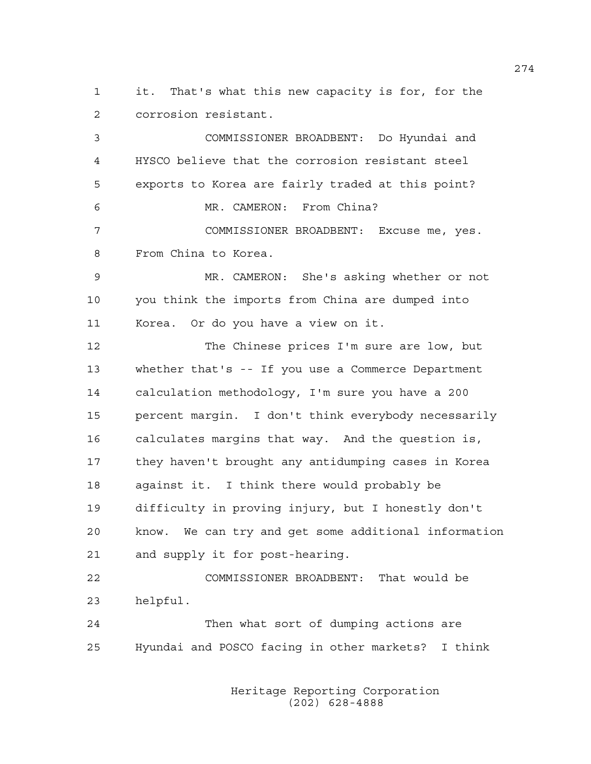1 it. That's what this new capacity is for, for the 2 corrosion resistant.

3 COMMISSIONER BROADBENT: Do Hyundai and 4 HYSCO believe that the corrosion resistant steel 5 exports to Korea are fairly traded at this point? 6 MR. CAMERON: From China? 7 COMMISSIONER BROADBENT: Excuse me, yes. 8 From China to Korea. 9 MR. CAMERON: She's asking whether or not 10 you think the imports from China are dumped into 11 Korea. Or do you have a view on it. 12 The Chinese prices I'm sure are low, but 13 whether that's -- If you use a Commerce Department 14 calculation methodology, I'm sure you have a 200 15 percent margin. I don't think everybody necessarily 16 calculates margins that way. And the question is, 17 they haven't brought any antidumping cases in Korea 18 against it. I think there would probably be 19 difficulty in proving injury, but I honestly don't 20 know. We can try and get some additional information 21 and supply it for post-hearing. 22 COMMISSIONER BROADBENT: That would be 23 helpful.

24 Then what sort of dumping actions are 25 Hyundai and POSCO facing in other markets? I think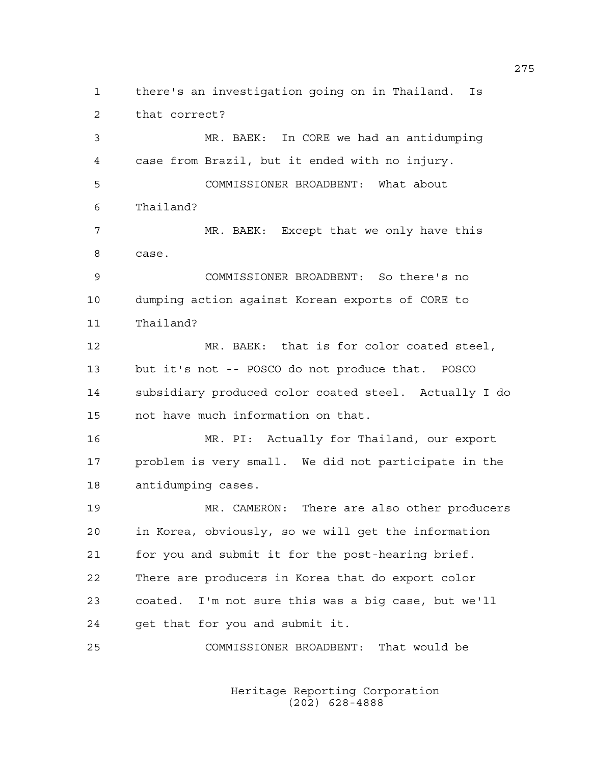1 there's an investigation going on in Thailand. Is 2 that correct? 3 MR. BAEK: In CORE we had an antidumping 4 case from Brazil, but it ended with no injury. 5 COMMISSIONER BROADBENT: What about 6 Thailand? 7 MR. BAEK: Except that we only have this 8 case. 9 COMMISSIONER BROADBENT: So there's no 10 dumping action against Korean exports of CORE to 11 Thailand? 12 MR. BAEK: that is for color coated steel, 13 but it's not -- POSCO do not produce that. POSCO 14 subsidiary produced color coated steel. Actually I do 15 not have much information on that. 16 MR. PI: Actually for Thailand, our export 17 problem is very small. We did not participate in the 18 antidumping cases. 19 MR. CAMERON: There are also other producers 20 in Korea, obviously, so we will get the information 21 for you and submit it for the post-hearing brief. 22 There are producers in Korea that do export color 23 coated. I'm not sure this was a big case, but we'll 24 get that for you and submit it. 25 COMMISSIONER BROADBENT: That would be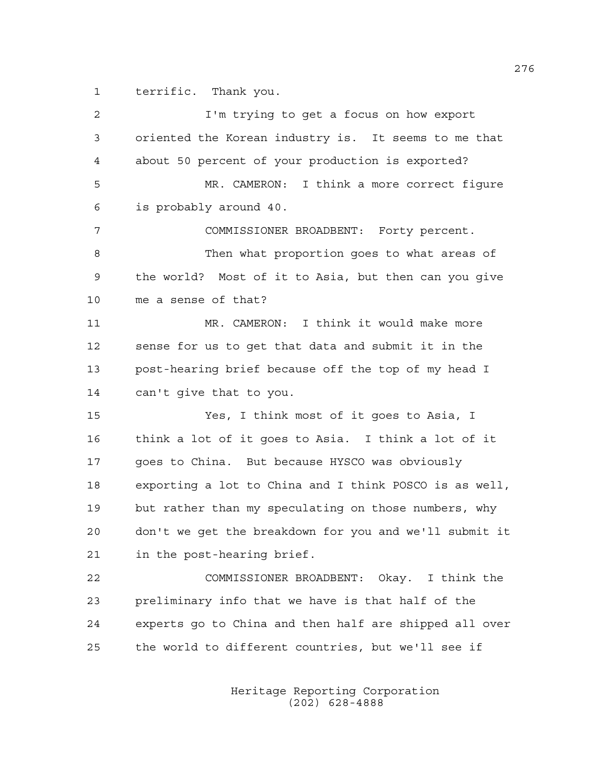1 terrific. Thank you.

| 2  | I'm trying to get a focus on how export                |
|----|--------------------------------------------------------|
| 3  | oriented the Korean industry is. It seems to me that   |
| 4  | about 50 percent of your production is exported?       |
| 5  | MR. CAMERON: I think a more correct figure             |
| 6  | is probably around 40.                                 |
| 7  | COMMISSIONER BROADBENT: Forty percent.                 |
| 8  | Then what proportion goes to what areas of             |
| 9  | the world? Most of it to Asia, but then can you give   |
| 10 | me a sense of that?                                    |
| 11 | MR. CAMERON: I think it would make more                |
| 12 | sense for us to get that data and submit it in the     |
| 13 | post-hearing brief because off the top of my head I    |
| 14 | can't give that to you.                                |
| 15 | Yes, I think most of it goes to Asia, I                |
| 16 | think a lot of it goes to Asia. I think a lot of it    |
| 17 | goes to China. But because HYSCO was obviously         |
| 18 | exporting a lot to China and I think POSCO is as well, |
| 19 | but rather than my speculating on those numbers, why   |
| 20 | don't we get the breakdown for you and we'll submit it |
| 21 | in the post-hearing brief.                             |
| 22 | COMMISSIONER BROADBENT: Okay. I think the              |
| 23 | preliminary info that we have is that half of the      |
| 24 | experts go to China and then half are shipped all over |
| 25 | the world to different countries, but we'll see if     |
|    |                                                        |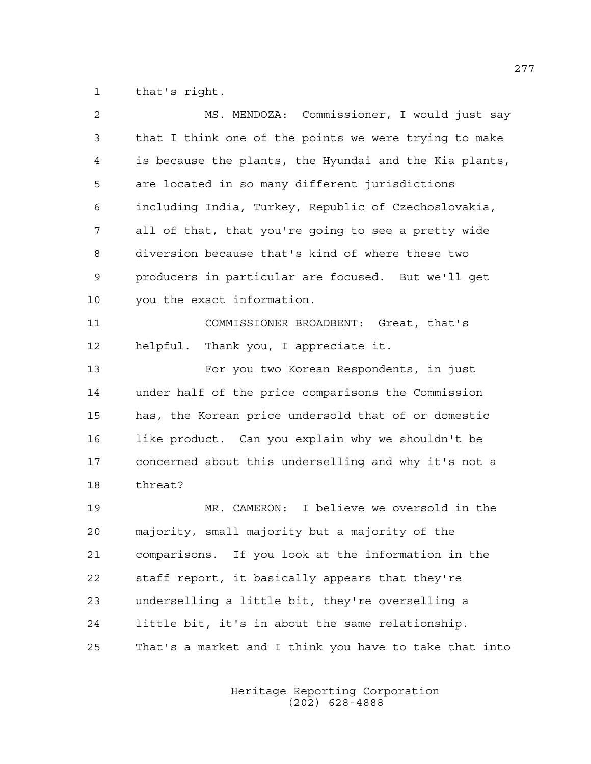1 that's right.

| 2              | MS. MENDOZA: Commissioner, I would just say            |
|----------------|--------------------------------------------------------|
| 3              | that I think one of the points we were trying to make  |
| $\overline{4}$ | is because the plants, the Hyundai and the Kia plants, |
| 5              | are located in so many different jurisdictions         |
| 6              | including India, Turkey, Republic of Czechoslovakia,   |
| 7              | all of that, that you're going to see a pretty wide    |
| 8              | diversion because that's kind of where these two       |
| 9              | producers in particular are focused. But we'll get     |
| 10             | you the exact information.                             |
| 11             | COMMISSIONER BROADBENT: Great, that's                  |
| 12             | helpful. Thank you, I appreciate it.                   |
| 13             | For you two Korean Respondents, in just                |
| 14             | under half of the price comparisons the Commission     |
| 15             | has, the Korean price undersold that of or domestic    |
| 16             | like product. Can you explain why we shouldn't be      |
| 17             | concerned about this underselling and why it's not a   |
| 18             | threat?                                                |
| 19             | MR. CAMERON: I believe we oversold in the              |
| 20             | majority, small majority but a majority of the         |
| 21             | comparisons. If you look at the information in the     |
| 22             | staff report, it basically appears that they're        |
| 23             | underselling a little bit, they're overselling a       |
| 24             | little bit, it's in about the same relationship.       |
| 25             | That's a market and I think you have to take that into |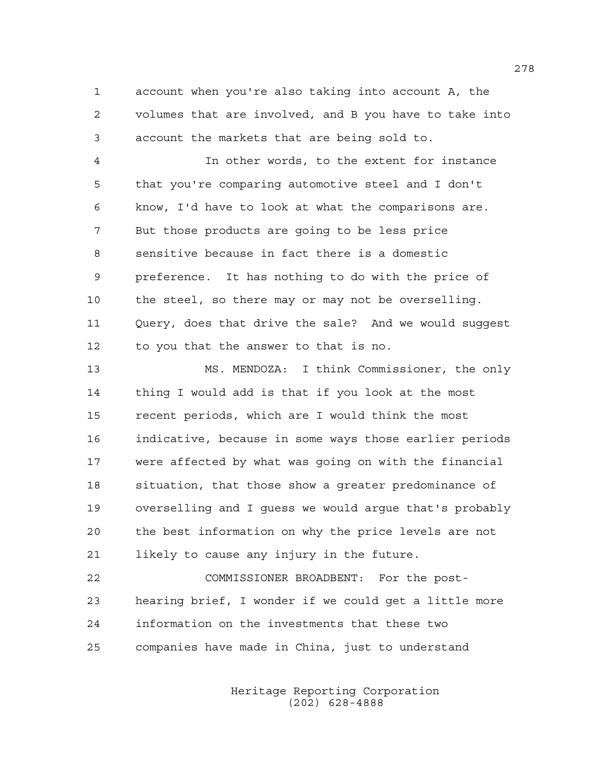1 account when you're also taking into account A, the 2 volumes that are involved, and B you have to take into 3 account the markets that are being sold to.

4 In other words, to the extent for instance 5 that you're comparing automotive steel and I don't 6 know, I'd have to look at what the comparisons are. 7 But those products are going to be less price 8 sensitive because in fact there is a domestic 9 preference. It has nothing to do with the price of 10 the steel, so there may or may not be overselling. 11 Ouery, does that drive the sale? And we would suggest 12 to you that the answer to that is no.

13 MS. MENDOZA: I think Commissioner, the only 14 thing I would add is that if you look at the most 15 recent periods, which are I would think the most 16 indicative, because in some ways those earlier periods 17 were affected by what was going on with the financial 18 situation, that those show a greater predominance of 19 overselling and I guess we would argue that's probably 20 the best information on why the price levels are not 21 likely to cause any injury in the future.

22 COMMISSIONER BROADBENT: For the post-23 hearing brief, I wonder if we could get a little more 24 information on the investments that these two 25 companies have made in China, just to understand

> Heritage Reporting Corporation (202) 628-4888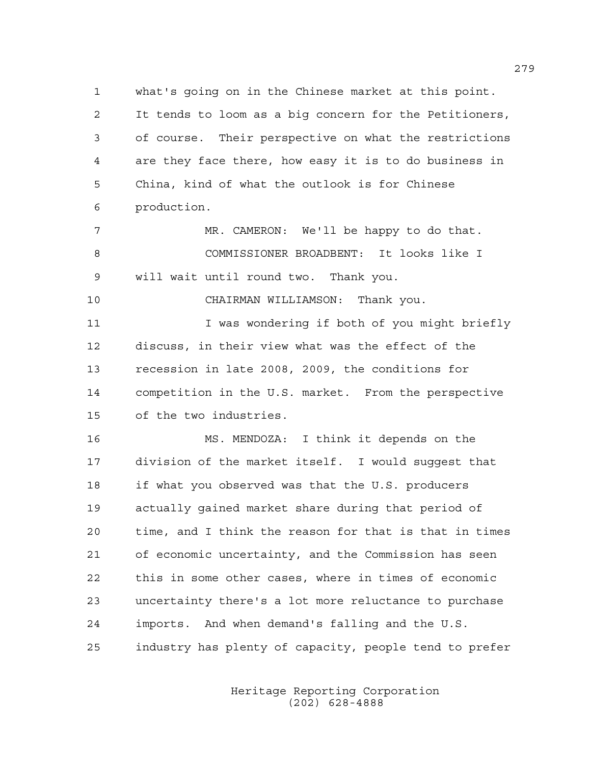1 what's going on in the Chinese market at this point. 2 It tends to loom as a big concern for the Petitioners, 3 of course. Their perspective on what the restrictions 4 are they face there, how easy it is to do business in 5 China, kind of what the outlook is for Chinese 6 production.

7 MR. CAMERON: We'll be happy to do that. 8 COMMISSIONER BROADBENT: It looks like I 9 will wait until round two. Thank you.

10 CHAIRMAN WILLIAMSON: Thank you.

11 I was wondering if both of you might briefly 12 discuss, in their view what was the effect of the 13 recession in late 2008, 2009, the conditions for 14 competition in the U.S. market. From the perspective 15 of the two industries.

16 MS. MENDOZA: I think it depends on the 17 division of the market itself. I would suggest that 18 if what you observed was that the U.S. producers 19 actually gained market share during that period of 20 time, and I think the reason for that is that in times 21 of economic uncertainty, and the Commission has seen 22 this in some other cases, where in times of economic 23 uncertainty there's a lot more reluctance to purchase 24 imports. And when demand's falling and the U.S. 25 industry has plenty of capacity, people tend to prefer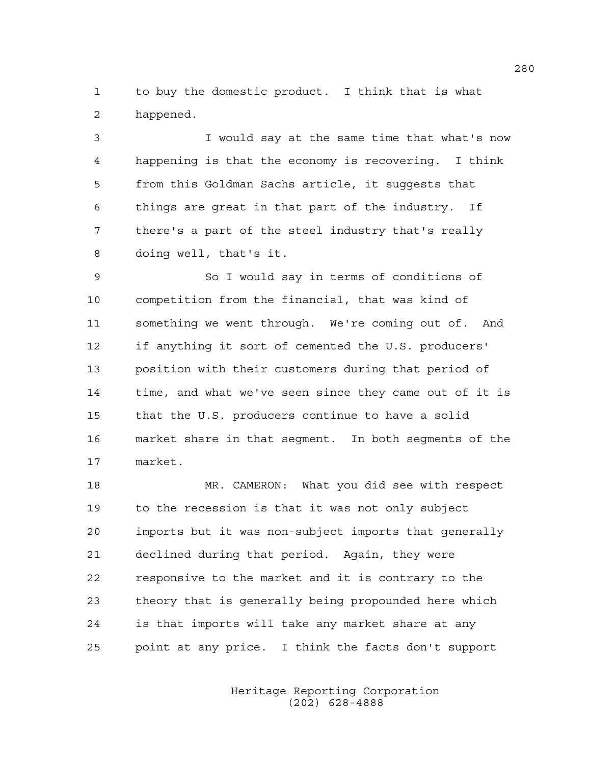1 to buy the domestic product. I think that is what 2 happened.

3 I would say at the same time that what's now 4 happening is that the economy is recovering. I think 5 from this Goldman Sachs article, it suggests that 6 things are great in that part of the industry. If 7 there's a part of the steel industry that's really 8 doing well, that's it.

9 So I would say in terms of conditions of 10 competition from the financial, that was kind of 11 something we went through. We're coming out of. And 12 if anything it sort of cemented the U.S. producers' 13 position with their customers during that period of 14 time, and what we've seen since they came out of it is 15 that the U.S. producers continue to have a solid 16 market share in that segment. In both segments of the 17 market.

18 MR. CAMERON: What you did see with respect 19 to the recession is that it was not only subject 20 imports but it was non-subject imports that generally 21 declined during that period. Again, they were 22 responsive to the market and it is contrary to the 23 theory that is generally being propounded here which 24 is that imports will take any market share at any 25 point at any price. I think the facts don't support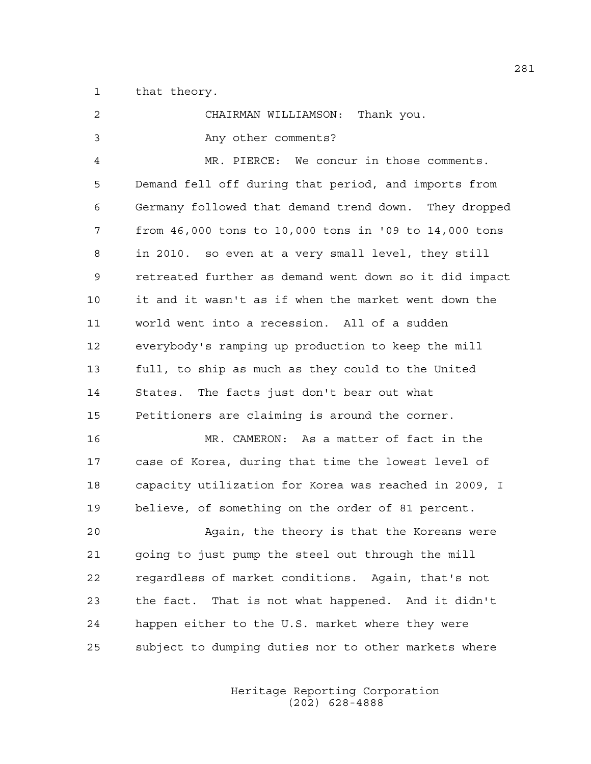1 that theory.

| 2  | CHAIRMAN WILLIAMSON:<br>Thank you.                     |
|----|--------------------------------------------------------|
| 3  | Any other comments?                                    |
| 4  | MR. PIERCE: We concur in those comments.               |
| 5  | Demand fell off during that period, and imports from   |
| 6  | Germany followed that demand trend down. They dropped  |
| 7  | from 46,000 tons to 10,000 tons in '09 to 14,000 tons  |
| 8  | in 2010. so even at a very small level, they still     |
| 9  | retreated further as demand went down so it did impact |
| 10 | it and it wasn't as if when the market went down the   |
| 11 | world went into a recession. All of a sudden           |
| 12 | everybody's ramping up production to keep the mill     |
| 13 | full, to ship as much as they could to the United      |
| 14 | States. The facts just don't bear out what             |
| 15 | Petitioners are claiming is around the corner.         |
| 16 | MR. CAMERON: As a matter of fact in the                |
| 17 | case of Korea, during that time the lowest level of    |
| 18 | capacity utilization for Korea was reached in 2009, I  |
| 19 | believe, of something on the order of 81 percent.      |
| 20 | Again, the theory is that the Koreans were             |
| 21 | going to just pump the steel out through the mill      |
| 22 | regardless of market conditions. Again, that's not     |
| 23 | That is not what happened. And it didn't<br>the fact.  |
| 24 | happen either to the U.S. market where they were       |
| 25 | subject to dumping duties nor to other markets where   |
|    |                                                        |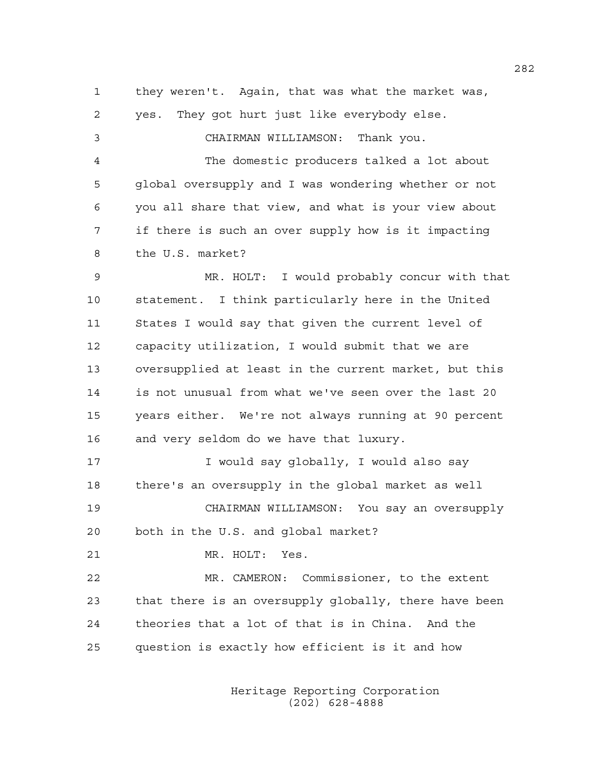1 they weren't. Again, that was what the market was, 2 yes. They got hurt just like everybody else. 3 CHAIRMAN WILLIAMSON: Thank you. 4 The domestic producers talked a lot about 5 global oversupply and I was wondering whether or not 6 you all share that view, and what is your view about 7 if there is such an over supply how is it impacting 8 the U.S. market? 9 MR. HOLT: I would probably concur with that 10 statement. I think particularly here in the United 11 States I would say that given the current level of 12 capacity utilization, I would submit that we are 13 oversupplied at least in the current market, but this 14 is not unusual from what we've seen over the last 20 15 years either. We're not always running at 90 percent 16 and very seldom do we have that luxury. 17 I would say qlobally, I would also say 18 there's an oversupply in the global market as well 19 CHAIRMAN WILLIAMSON: You say an oversupply 20 both in the U.S. and global market? 21 MR. HOLT: Yes. 22 MR. CAMERON: Commissioner, to the extent 23 that there is an oversupply globally, there have been 24 theories that a lot of that is in China. And the 25 question is exactly how efficient is it and how

> Heritage Reporting Corporation (202) 628-4888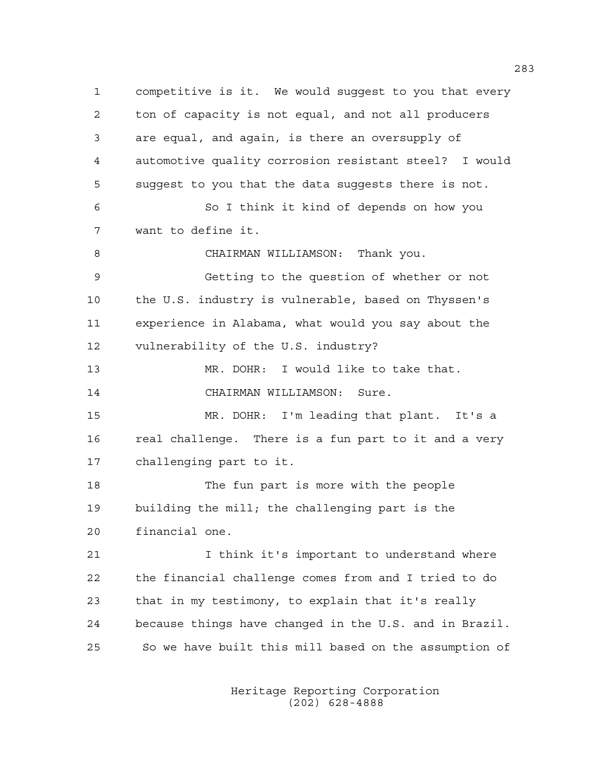1 competitive is it. We would suggest to you that every 2 ton of capacity is not equal, and not all producers 3 are equal, and again, is there an oversupply of 4 automotive quality corrosion resistant steel? I would 5 suggest to you that the data suggests there is not. 6 So I think it kind of depends on how you 7 want to define it. 8 CHAIRMAN WILLIAMSON: Thank you. 9 Getting to the question of whether or not 10 the U.S. industry is vulnerable, based on Thyssen's 11 experience in Alabama, what would you say about the 12 vulnerability of the U.S. industry? 13 MR. DOHR: I would like to take that. 14 CHAIRMAN WILLIAMSON: Sure. 15 MR. DOHR: I'm leading that plant. It's a 16 real challenge. There is a fun part to it and a very 17 challenging part to it. 18 The fun part is more with the people 19 building the mill; the challenging part is the 20 financial one. 21 I think it's important to understand where 22 the financial challenge comes from and I tried to do 23 that in my testimony, to explain that it's really 24 because things have changed in the U.S. and in Brazil. 25 So we have built this mill based on the assumption of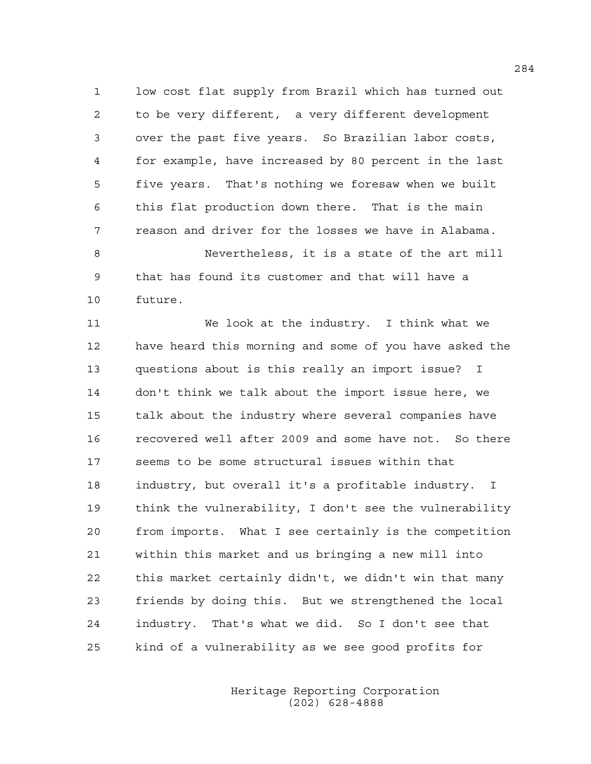1 low cost flat supply from Brazil which has turned out 2 to be very different, a very different development 3 over the past five years. So Brazilian labor costs, 4 for example, have increased by 80 percent in the last 5 five years. That's nothing we foresaw when we built 6 this flat production down there. That is the main 7 reason and driver for the losses we have in Alabama. 8 Nevertheless, it is a state of the art mill

9 that has found its customer and that will have a 10 future.

11 We look at the industry. I think what we 12 have heard this morning and some of you have asked the 13 questions about is this really an import issue? I 14 don't think we talk about the import issue here, we 15 talk about the industry where several companies have 16 recovered well after 2009 and some have not. So there 17 seems to be some structural issues within that 18 industry, but overall it's a profitable industry. I 19 think the vulnerability, I don't see the vulnerability 20 from imports. What I see certainly is the competition 21 within this market and us bringing a new mill into 22 this market certainly didn't, we didn't win that many 23 friends by doing this. But we strengthened the local 24 industry. That's what we did. So I don't see that 25 kind of a vulnerability as we see good profits for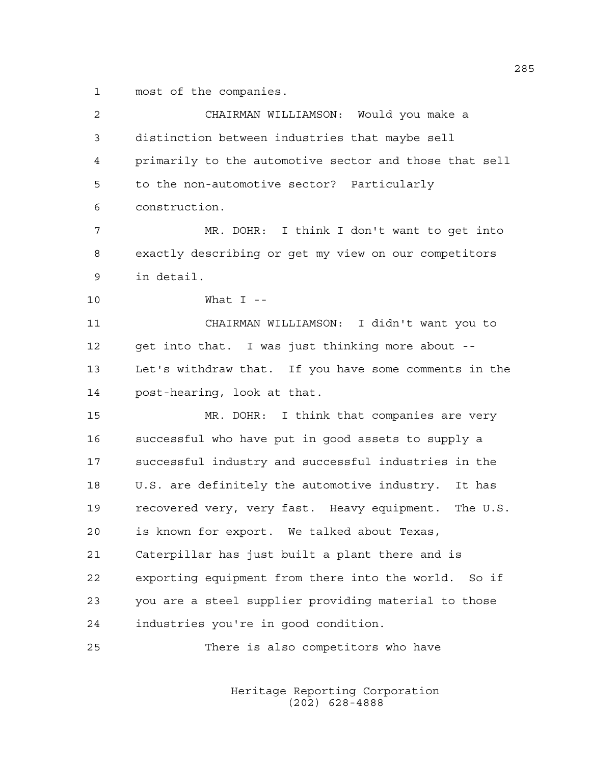1 most of the companies.

| 2  | CHAIRMAN WILLIAMSON: Would you make a                  |
|----|--------------------------------------------------------|
| 3  | distinction between industries that maybe sell         |
| 4  | primarily to the automotive sector and those that sell |
| 5  | to the non-automotive sector? Particularly             |
| 6  | construction.                                          |
| 7  | MR. DOHR: I think I don't want to get into             |
| 8  | exactly describing or get my view on our competitors   |
| 9  | in detail.                                             |
| 10 | What $I$ --                                            |
| 11 | CHAIRMAN WILLIAMSON: I didn't want you to              |
| 12 | get into that. I was just thinking more about --       |
| 13 | Let's withdraw that. If you have some comments in the  |
| 14 | post-hearing, look at that.                            |
| 15 | MR. DOHR: I think that companies are very              |
| 16 | successful who have put in good assets to supply a     |
| 17 | successful industry and successful industries in the   |
| 18 | U.S. are definitely the automotive industry. It has    |
| 19 | recovered very, very fast. Heavy equipment. The U.S.   |
| 20 | is known for export. We talked about Texas,            |
| 21 | Caterpillar has just built a plant there and is        |
| 22 | exporting equipment from there into the world. So if   |
| 23 | you are a steel supplier providing material to those   |
| 24 | industries you're in good condition.                   |
| 25 | There is also competitors who have                     |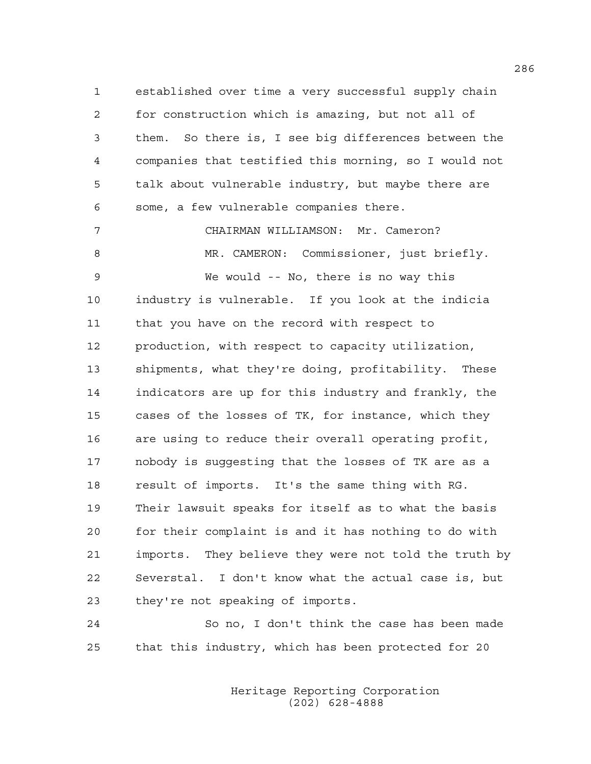1 established over time a very successful supply chain 2 for construction which is amazing, but not all of 3 them. So there is, I see big differences between the 4 companies that testified this morning, so I would not 5 talk about vulnerable industry, but maybe there are 6 some, a few vulnerable companies there.

7 CHAIRMAN WILLIAMSON: Mr. Cameron?

8 MR. CAMERON: Commissioner, just briefly. 9 We would -- No, there is no way this 10 industry is vulnerable. If you look at the indicia 11 that you have on the record with respect to 12 production, with respect to capacity utilization, 13 shipments, what they're doing, profitability. These 14 indicators are up for this industry and frankly, the 15 cases of the losses of TK, for instance, which they 16 are using to reduce their overall operating profit, 17 nobody is suggesting that the losses of TK are as a 18 result of imports. It's the same thing with RG. 19 Their lawsuit speaks for itself as to what the basis 20 for their complaint is and it has nothing to do with 21 imports. They believe they were not told the truth by 22 Severstal. I don't know what the actual case is, but 23 they're not speaking of imports.

24 So no, I don't think the case has been made 25 that this industry, which has been protected for 20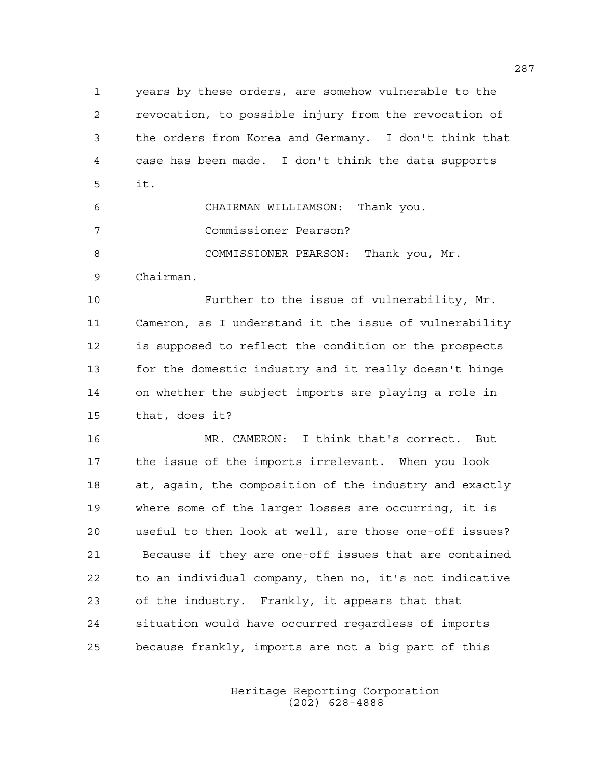1 years by these orders, are somehow vulnerable to the 2 revocation, to possible injury from the revocation of 3 the orders from Korea and Germany. I don't think that 4 case has been made. I don't think the data supports 5 it. 6 CHAIRMAN WILLIAMSON: Thank you.

7 Commissioner Pearson?

8 COMMISSIONER PEARSON: Thank you, Mr.

9 Chairman.

10 Further to the issue of vulnerability, Mr. 11 Cameron, as I understand it the issue of vulnerability 12 is supposed to reflect the condition or the prospects 13 for the domestic industry and it really doesn't hinge 14 on whether the subject imports are playing a role in 15 that, does it?

16 MR. CAMERON: I think that's correct. But 17 the issue of the imports irrelevant. When you look 18 at, again, the composition of the industry and exactly 19 where some of the larger losses are occurring, it is 20 useful to then look at well, are those one-off issues? 21 Because if they are one-off issues that are contained 22 to an individual company, then no, it's not indicative 23 of the industry. Frankly, it appears that that 24 situation would have occurred regardless of imports 25 because frankly, imports are not a big part of this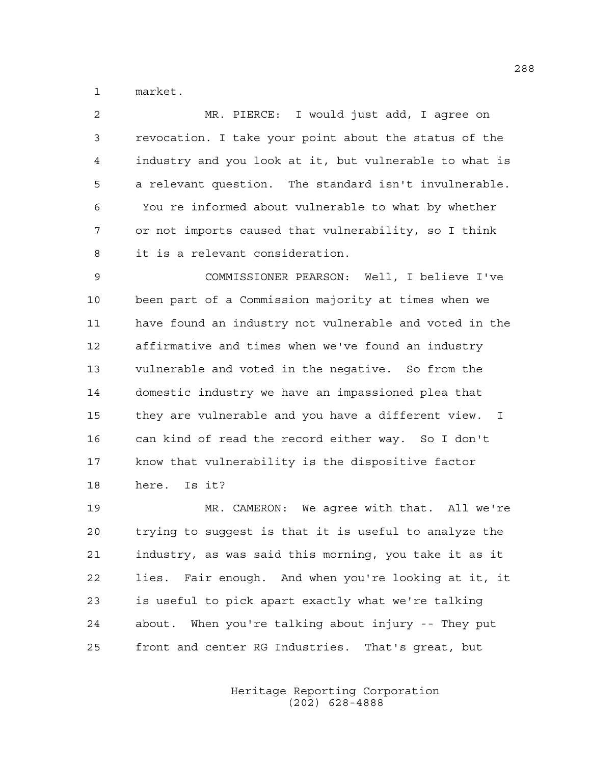1 market.

| $\overline{2}$ | MR. PIERCE: I would just add, I agree on               |
|----------------|--------------------------------------------------------|
| 3              | revocation. I take your point about the status of the  |
| 4              | industry and you look at it, but vulnerable to what is |
| 5              | a relevant question. The standard isn't invulnerable.  |
| 6              | You re informed about vulnerable to what by whether    |
| 7              | or not imports caused that vulnerability, so I think   |
| 8              | it is a relevant consideration.                        |
| $\mathsf 9$    | COMMISSIONER PEARSON: Well, I believe I've             |
| 10             | been part of a Commission majority at times when we    |
| 11             | have found an industry not vulnerable and voted in the |
| 12             | affirmative and times when we've found an industry     |
| 13             | vulnerable and voted in the negative. So from the      |
| 14             | domestic industry we have an impassioned plea that     |
| 15             | they are vulnerable and you have a different view. I   |
| 16             | can kind of read the record either way. So I don't     |
| 17             | know that vulnerability is the dispositive factor      |
| 18             | here. Is it?                                           |
| 19             | MR. CAMERON: We agree with that. All we're             |
| 20             | trying to suggest is that it is useful to analyze the  |
| 21             | industry, as was said this morning, you take it as it  |

22 lies. Fair enough. And when you're looking at it, it 23 is useful to pick apart exactly what we're talking 24 about. When you're talking about injury -- They put 25 front and center RG Industries. That's great, but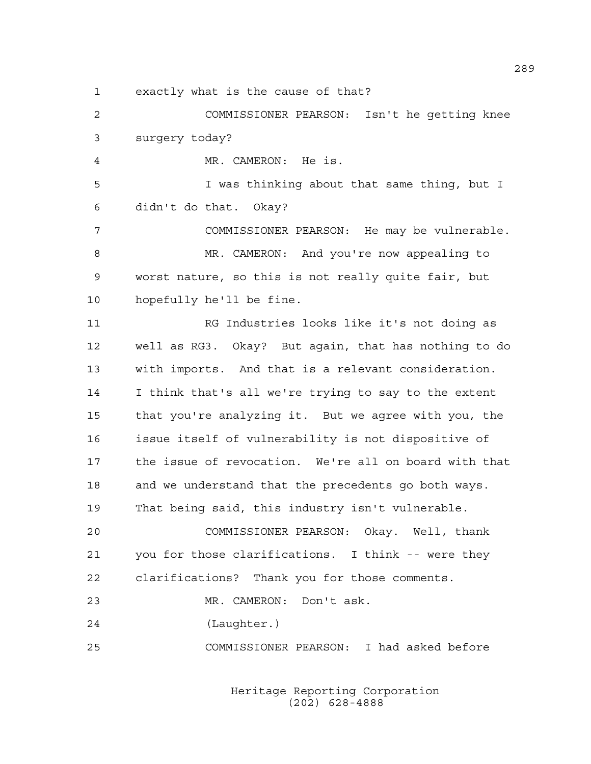1 exactly what is the cause of that?

2 COMMISSIONER PEARSON: Isn't he getting knee 3 surgery today?

4 MR. CAMERON: He is.

5 I was thinking about that same thing, but I 6 didn't do that. Okay?

7 COMMISSIONER PEARSON: He may be vulnerable. 8 MR. CAMERON: And you're now appealing to 9 worst nature, so this is not really quite fair, but 10 hopefully he'll be fine.

11 RG Industries looks like it's not doing as 12 well as RG3. Okay? But again, that has nothing to do 13 with imports. And that is a relevant consideration. 14 I think that's all we're trying to say to the extent 15 that you're analyzing it. But we agree with you, the 16 issue itself of vulnerability is not dispositive of 17 the issue of revocation. We're all on board with that 18 and we understand that the precedents go both ways. 19 That being said, this industry isn't vulnerable.

20 COMMISSIONER PEARSON: Okay. Well, thank 21 you for those clarifications. I think -- were they 22 clarifications? Thank you for those comments.

23 MR. CAMERON: Don't ask.

24 (Laughter.)

25 COMMISSIONER PEARSON: I had asked before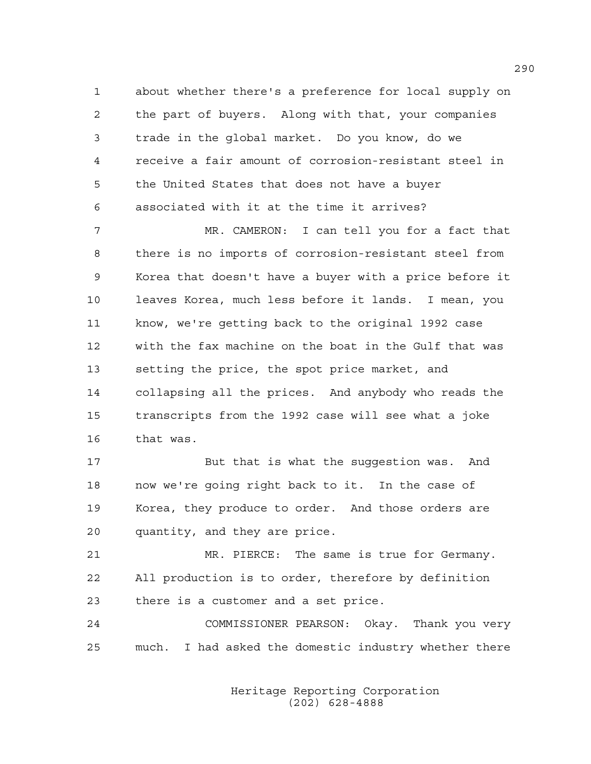1 about whether there's a preference for local supply on 2 the part of buyers. Along with that, your companies 3 trade in the global market. Do you know, do we 4 receive a fair amount of corrosion-resistant steel in 5 the United States that does not have a buyer 6 associated with it at the time it arrives?

7 MR. CAMERON: I can tell you for a fact that 8 there is no imports of corrosion-resistant steel from 9 Korea that doesn't have a buyer with a price before it 10 leaves Korea, much less before it lands. I mean, you 11 know, we're getting back to the original 1992 case 12 with the fax machine on the boat in the Gulf that was 13 setting the price, the spot price market, and 14 collapsing all the prices. And anybody who reads the 15 transcripts from the 1992 case will see what a joke 16 that was.

17 But that is what the suggestion was. And 18 now we're going right back to it. In the case of 19 Korea, they produce to order. And those orders are 20 quantity, and they are price.

21 MR. PIERCE: The same is true for Germany. 22 All production is to order, therefore by definition 23 there is a customer and a set price.

24 COMMISSIONER PEARSON: Okay. Thank you very 25 much. I had asked the domestic industry whether there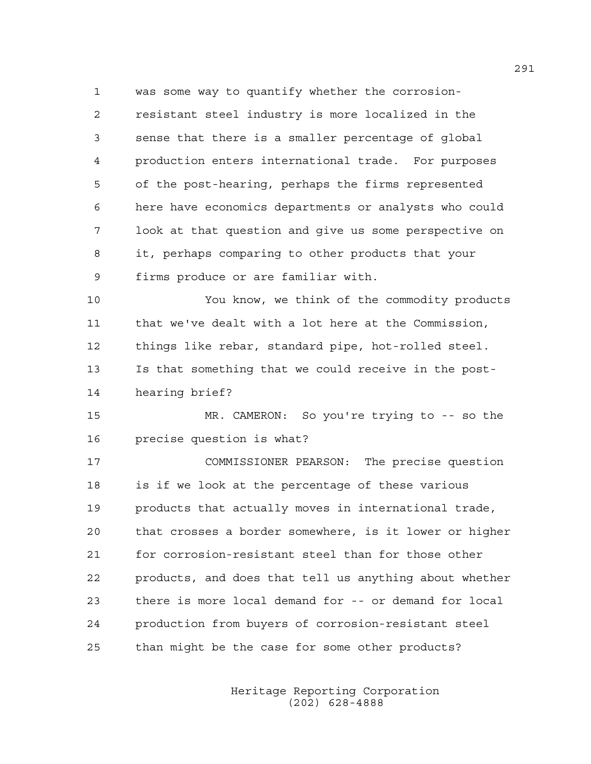1 was some way to quantify whether the corrosion-2 resistant steel industry is more localized in the 3 sense that there is a smaller percentage of global 4 production enters international trade. For purposes 5 of the post-hearing, perhaps the firms represented 6 here have economics departments or analysts who could 7 look at that question and give us some perspective on 8 it, perhaps comparing to other products that your 9 firms produce or are familiar with.

10 You know, we think of the commodity products 11 that we've dealt with a lot here at the Commission, 12 things like rebar, standard pipe, hot-rolled steel. 13 Is that something that we could receive in the post-14 hearing brief?

15 MR. CAMERON: So you're trying to -- so the 16 precise question is what?

17 COMMISSIONER PEARSON: The precise question 18 is if we look at the percentage of these various 19 products that actually moves in international trade, 20 that crosses a border somewhere, is it lower or higher 21 for corrosion-resistant steel than for those other 22 products, and does that tell us anything about whether 23 there is more local demand for -- or demand for local 24 production from buyers of corrosion-resistant steel 25 than might be the case for some other products?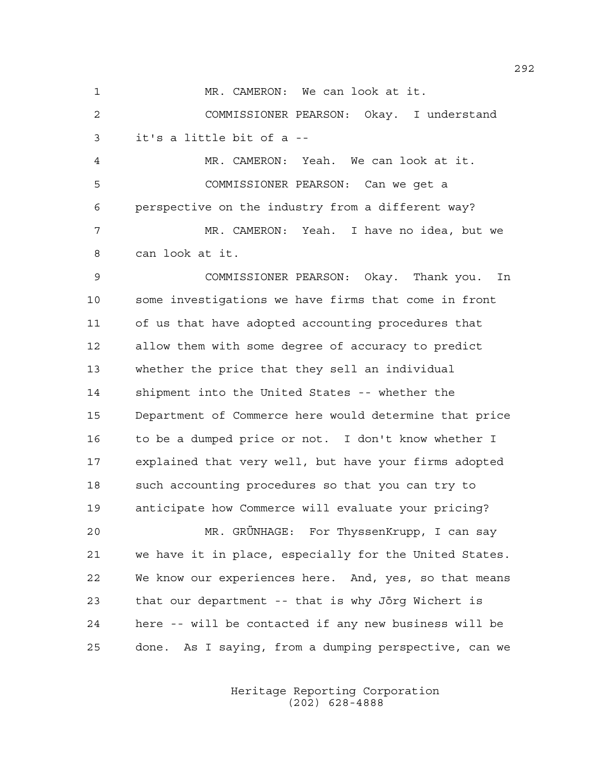1 MR. CAMERON: We can look at it.

2 COMMISSIONER PEARSON: Okay. I understand 3 it's a little bit of a --

4 MR. CAMERON: Yeah. We can look at it. 5 COMMISSIONER PEARSON: Can we get a 6 perspective on the industry from a different way? 7 MR. CAMERON: Yeah. I have no idea, but we 8 can look at it.

9 COMMISSIONER PEARSON: Okay. Thank you. In 10 some investigations we have firms that come in front 11 of us that have adopted accounting procedures that 12 allow them with some degree of accuracy to predict 13 whether the price that they sell an individual 14 shipment into the United States -- whether the 15 Department of Commerce here would determine that price 16 to be a dumped price or not. I don't know whether I 17 explained that very well, but have your firms adopted 18 such accounting procedures so that you can try to 19 anticipate how Commerce will evaluate your pricing?

20 MR. GRÜNHAGE: For ThyssenKrupp, I can say 21 we have it in place, especially for the United States. 22 We know our experiences here. And, yes, so that means 23 that our department -- that is why Jörg Wichert is 24 here -- will be contacted if any new business will be 25 done. As I saying, from a dumping perspective, can we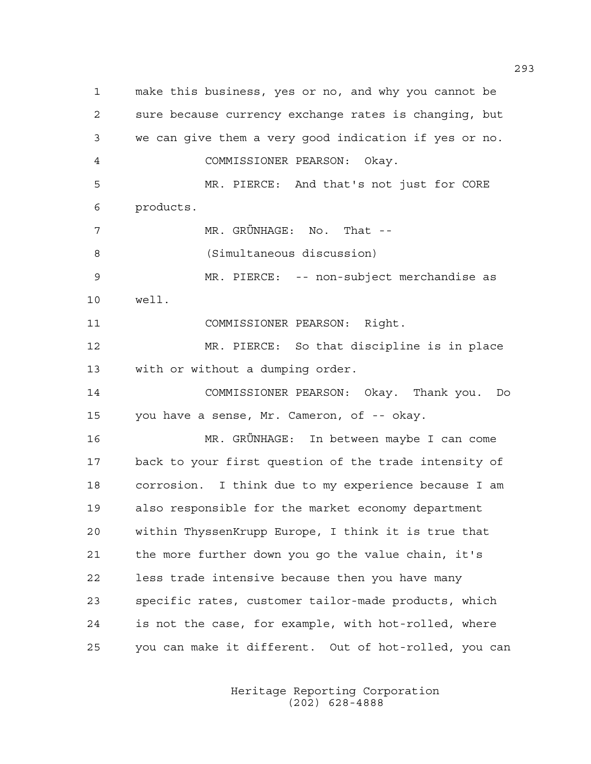1 make this business, yes or no, and why you cannot be 2 sure because currency exchange rates is changing, but 3 we can give them a very good indication if yes or no. 4 COMMISSIONER PEARSON: Okay. 5 MR. PIERCE: And that's not just for CORE 6 products. 7 MR. GRÜNHAGE: No. That -- 8 (Simultaneous discussion) 9 MR. PIERCE: -- non-subject merchandise as 10 well. 11 COMMISSIONER PEARSON: Right. 12 MR. PIERCE: So that discipline is in place 13 with or without a dumping order. 14 COMMISSIONER PEARSON: Okay. Thank you. Do 15 you have a sense, Mr. Cameron, of -- okay. 16 MR. GRÜNHAGE: In between maybe I can come 17 back to your first question of the trade intensity of 18 corrosion. I think due to my experience because I am 19 also responsible for the market economy department 20 within ThyssenKrupp Europe, I think it is true that 21 the more further down you go the value chain, it's 22 less trade intensive because then you have many 23 specific rates, customer tailor-made products, which 24 is not the case, for example, with hot-rolled, where 25 you can make it different. Out of hot-rolled, you can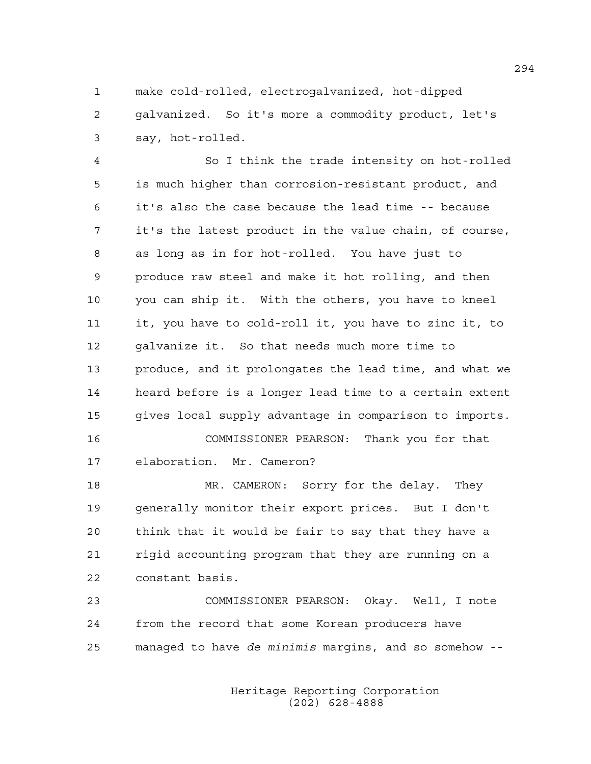1 make cold-rolled, electrogalvanized, hot-dipped 2 galvanized. So it's more a commodity product, let's 3 say, hot-rolled.

4 So I think the trade intensity on hot-rolled 5 is much higher than corrosion-resistant product, and 6 it's also the case because the lead time -- because 7 it's the latest product in the value chain, of course, 8 as long as in for hot-rolled. You have just to 9 produce raw steel and make it hot rolling, and then 10 you can ship it. With the others, you have to kneel 11 it, you have to cold-roll it, you have to zinc it, to 12 galvanize it. So that needs much more time to 13 produce, and it prolongates the lead time, and what we 14 heard before is a longer lead time to a certain extent 15 gives local supply advantage in comparison to imports. 16 COMMISSIONER PEARSON: Thank you for that 17 elaboration. Mr. Cameron?

18 MR. CAMERON: Sorry for the delay. They 19 generally monitor their export prices. But I don't 20 think that it would be fair to say that they have a 21 rigid accounting program that they are running on a 22 constant basis.

23 COMMISSIONER PEARSON: Okay. Well, I note 24 from the record that some Korean producers have 25 managed to have *de minimis* margins, and so somehow --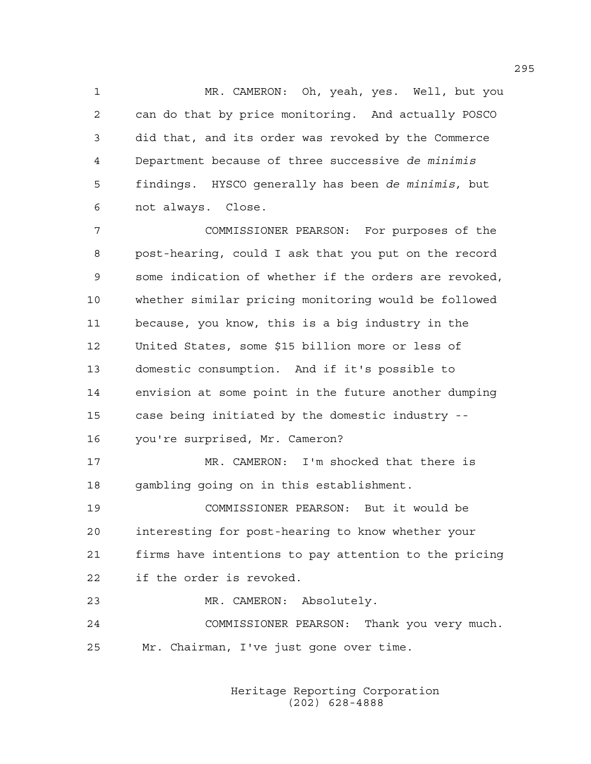1 MR. CAMERON: Oh, yeah, yes. Well, but you 2 can do that by price monitoring. And actually POSCO 3 did that, and its order was revoked by the Commerce 4 Department because of three successive *de minimis* 5 findings. HYSCO generally has been *de minimis*, but 6 not always. Close.

7 COMMISSIONER PEARSON: For purposes of the 8 post-hearing, could I ask that you put on the record 9 some indication of whether if the orders are revoked, 10 whether similar pricing monitoring would be followed 11 because, you know, this is a big industry in the 12 United States, some \$15 billion more or less of 13 domestic consumption. And if it's possible to 14 envision at some point in the future another dumping 15 case being initiated by the domestic industry -- 16 you're surprised, Mr. Cameron? 17 MR. CAMERON: I'm shocked that there is 18 gambling going on in this establishment. 19 COMMISSIONER PEARSON: But it would be 20 interesting for post-hearing to know whether your 21 firms have intentions to pay attention to the pricing 22 if the order is revoked. 23 MR. CAMERON: Absolutely. 24 COMMISSIONER PEARSON: Thank you very much.

25 Mr. Chairman, I've just gone over time.

 Heritage Reporting Corporation (202) 628-4888

295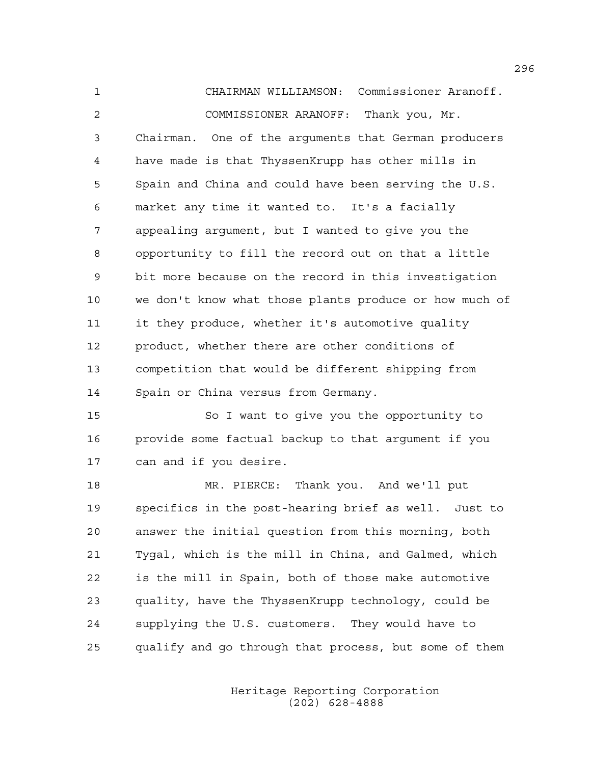1 CHAIRMAN WILLIAMSON: Commissioner Aranoff. 2 COMMISSIONER ARANOFF: Thank you, Mr. 3 Chairman. One of the arguments that German producers 4 have made is that ThyssenKrupp has other mills in 5 Spain and China and could have been serving the U.S. 6 market any time it wanted to. It's a facially 7 appealing argument, but I wanted to give you the 8 opportunity to fill the record out on that a little 9 bit more because on the record in this investigation 10 we don't know what those plants produce or how much of 11 it they produce, whether it's automotive quality 12 product, whether there are other conditions of 13 competition that would be different shipping from 14 Spain or China versus from Germany. 15 So I want to give you the opportunity to 16 provide some factual backup to that argument if you 17 can and if you desire. 18 MR. PIERCE: Thank you. And we'll put 19 specifics in the post-hearing brief as well. Just to 20 answer the initial question from this morning, both 21 Tygal, which is the mill in China, and Galmed, which 22 is the mill in Spain, both of those make automotive 23 quality, have the ThyssenKrupp technology, could be 24 supplying the U.S. customers. They would have to

25 qualify and go through that process, but some of them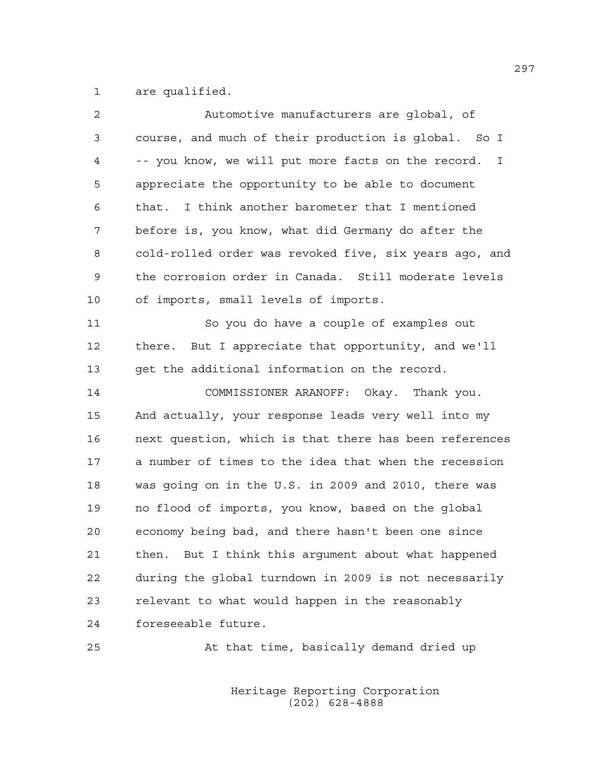1 are qualified.

| 2           | Automotive manufacturers are global, of                            |
|-------------|--------------------------------------------------------------------|
| $\mathsf 3$ | course, and much of their production is global. So I               |
| 4           | -- you know, we will put more facts on the record.<br>$\mathbb{I}$ |
| 5           | appreciate the opportunity to be able to document                  |
| 6           | I think another barometer that I mentioned<br>that.                |
| 7           | before is, you know, what did Germany do after the                 |
| 8           | cold-rolled order was revoked five, six years ago, and             |
| 9           | the corrosion order in Canada. Still moderate levels               |
| 10          | of imports, small levels of imports.                               |
| 11          | So you do have a couple of examples out                            |
| 12          | there. But I appreciate that opportunity, and we'll                |
| 13          | get the additional information on the record.                      |
| 14          | COMMISSIONER ARANOFF: Okay. Thank you.                             |
| 15          | And actually, your response leads very well into my                |
| 16          | next question, which is that there has been references             |
| 17          | a number of times to the idea that when the recession              |
| 18          | was going on in the U.S. in 2009 and 2010, there was               |
| 19          | no flood of imports, you know, based on the global                 |
| 20          | economy being bad, and there hasn't been one since                 |
| 21          | then. But I think this argument about what happened                |
| 22          | during the global turndown in 2009 is not necessarily              |
| 23          | relevant to what would happen in the reasonably                    |
| 24          | foreseeable future.                                                |
| 25          | At that time, basically demand dried up                            |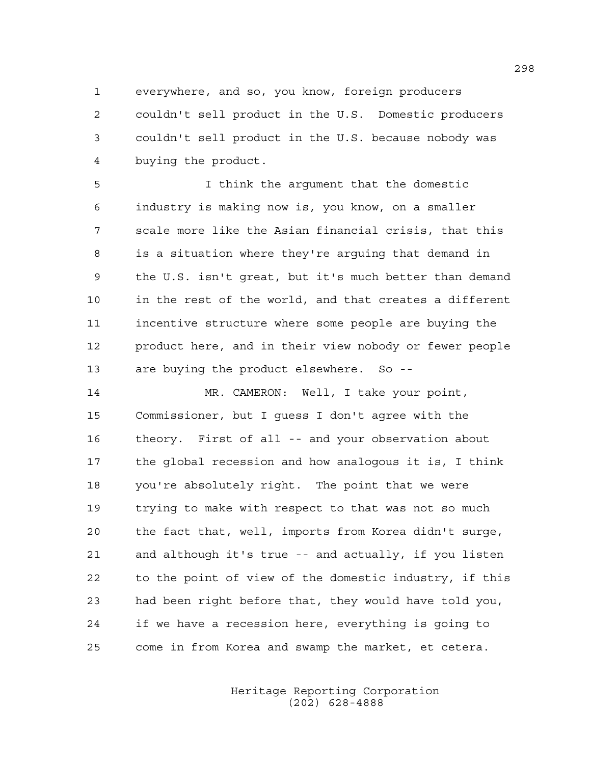1 everywhere, and so, you know, foreign producers 2 couldn't sell product in the U.S. Domestic producers 3 couldn't sell product in the U.S. because nobody was 4 buying the product.

5 I think the argument that the domestic 6 industry is making now is, you know, on a smaller 7 scale more like the Asian financial crisis, that this 8 is a situation where they're arguing that demand in 9 the U.S. isn't great, but it's much better than demand 10 in the rest of the world, and that creates a different 11 incentive structure where some people are buying the 12 product here, and in their view nobody or fewer people 13 are buying the product elsewhere. So --

14 MR. CAMERON: Well, I take your point, 15 Commissioner, but I guess I don't agree with the 16 theory. First of all -- and your observation about 17 the global recession and how analogous it is, I think 18 you're absolutely right. The point that we were 19 trying to make with respect to that was not so much 20 the fact that, well, imports from Korea didn't surge, 21 and although it's true -- and actually, if you listen 22 to the point of view of the domestic industry, if this 23 had been right before that, they would have told you, 24 if we have a recession here, everything is going to 25 come in from Korea and swamp the market, et cetera.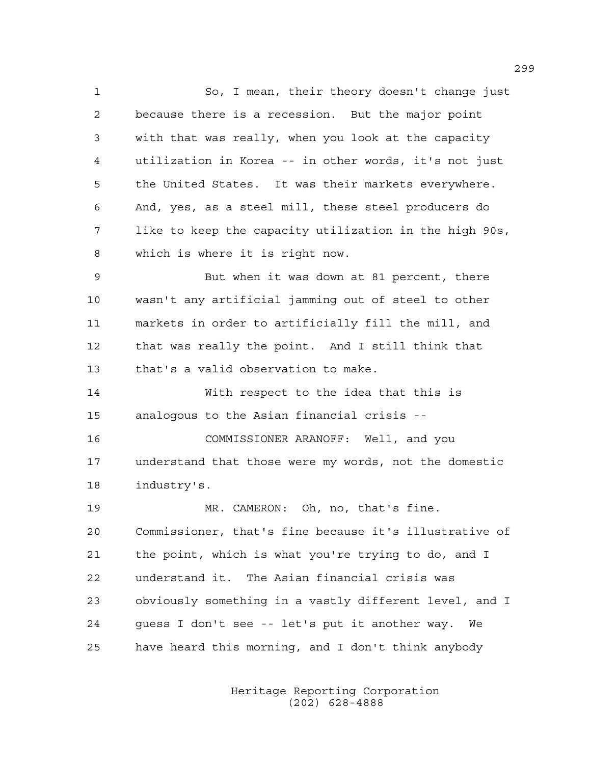1 So, I mean, their theory doesn't change just 2 because there is a recession. But the major point 3 with that was really, when you look at the capacity 4 utilization in Korea -- in other words, it's not just 5 the United States. It was their markets everywhere. 6 And, yes, as a steel mill, these steel producers do 7 like to keep the capacity utilization in the high 90s, 8 which is where it is right now. 9 But when it was down at 81 percent, there

10 wasn't any artificial jamming out of steel to other 11 markets in order to artificially fill the mill, and 12 that was really the point. And I still think that 13 that's a valid observation to make.

14 With respect to the idea that this is 15 analogous to the Asian financial crisis --

16 COMMISSIONER ARANOFF: Well, and you 17 understand that those were my words, not the domestic 18 industry's.

19 MR. CAMERON: Oh, no, that's fine. 20 Commissioner, that's fine because it's illustrative of 21 the point, which is what you're trying to do, and I 22 understand it. The Asian financial crisis was 23 obviously something in a vastly different level, and I 24 guess I don't see -- let's put it another way. We 25 have heard this morning, and I don't think anybody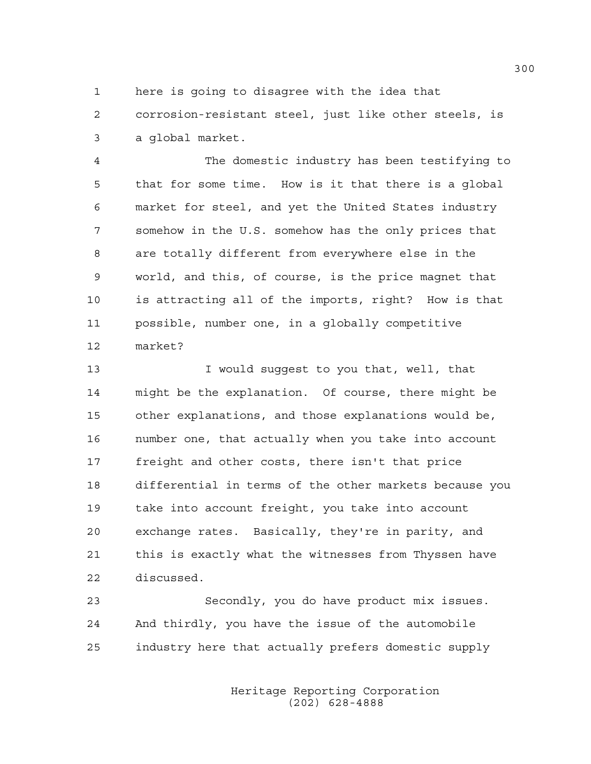1 here is going to disagree with the idea that

2 corrosion-resistant steel, just like other steels, is 3 a global market.

4 The domestic industry has been testifying to 5 that for some time. How is it that there is a global 6 market for steel, and yet the United States industry 7 somehow in the U.S. somehow has the only prices that 8 are totally different from everywhere else in the 9 world, and this, of course, is the price magnet that 10 is attracting all of the imports, right? How is that 11 possible, number one, in a globally competitive 12 market?

13 **I** would suggest to you that, well, that 14 might be the explanation. Of course, there might be 15 other explanations, and those explanations would be, 16 number one, that actually when you take into account 17 freight and other costs, there isn't that price 18 differential in terms of the other markets because you 19 take into account freight, you take into account 20 exchange rates. Basically, they're in parity, and 21 this is exactly what the witnesses from Thyssen have 22 discussed.

23 Secondly, you do have product mix issues. 24 And thirdly, you have the issue of the automobile 25 industry here that actually prefers domestic supply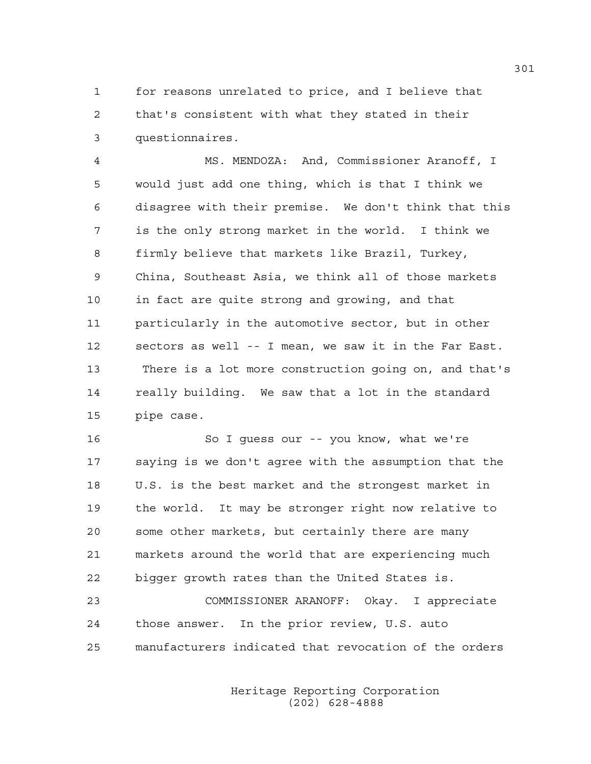1 for reasons unrelated to price, and I believe that 2 that's consistent with what they stated in their 3 questionnaires.

4 MS. MENDOZA: And, Commissioner Aranoff, I 5 would just add one thing, which is that I think we 6 disagree with their premise. We don't think that this 7 is the only strong market in the world. I think we 8 firmly believe that markets like Brazil, Turkey, 9 China, Southeast Asia, we think all of those markets 10 in fact are quite strong and growing, and that 11 particularly in the automotive sector, but in other 12 sectors as well -- I mean, we saw it in the Far East. 13 There is a lot more construction going on, and that's 14 really building. We saw that a lot in the standard 15 pipe case.

16 So I guess our -- you know, what we're 17 saying is we don't agree with the assumption that the 18 U.S. is the best market and the strongest market in 19 the world. It may be stronger right now relative to 20 some other markets, but certainly there are many 21 markets around the world that are experiencing much 22 bigger growth rates than the United States is.

23 COMMISSIONER ARANOFF: Okay. I appreciate 24 those answer. In the prior review, U.S. auto 25 manufacturers indicated that revocation of the orders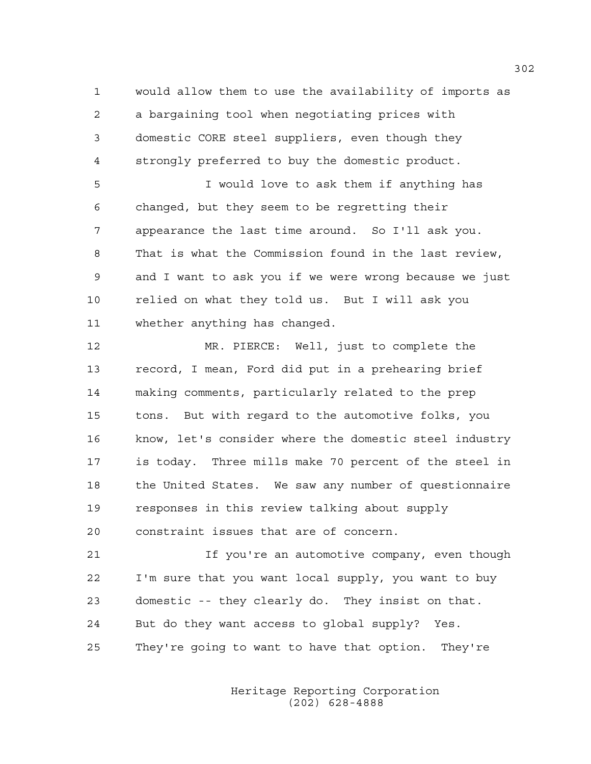1 would allow them to use the availability of imports as 2 a bargaining tool when negotiating prices with 3 domestic CORE steel suppliers, even though they 4 strongly preferred to buy the domestic product.

5 I would love to ask them if anything has 6 changed, but they seem to be regretting their 7 appearance the last time around. So I'll ask you. 8 That is what the Commission found in the last review, 9 and I want to ask you if we were wrong because we just 10 relied on what they told us. But I will ask you 11 whether anything has changed.

12 MR. PIERCE: Well, just to complete the 13 record, I mean, Ford did put in a prehearing brief 14 making comments, particularly related to the prep 15 tons. But with regard to the automotive folks, you 16 know, let's consider where the domestic steel industry 17 is today. Three mills make 70 percent of the steel in 18 the United States. We saw any number of questionnaire 19 responses in this review talking about supply 20 constraint issues that are of concern.

21 If you're an automotive company, even though 22 I'm sure that you want local supply, you want to buy 23 domestic -- they clearly do. They insist on that. 24 But do they want access to global supply? Yes. 25 They're going to want to have that option. They're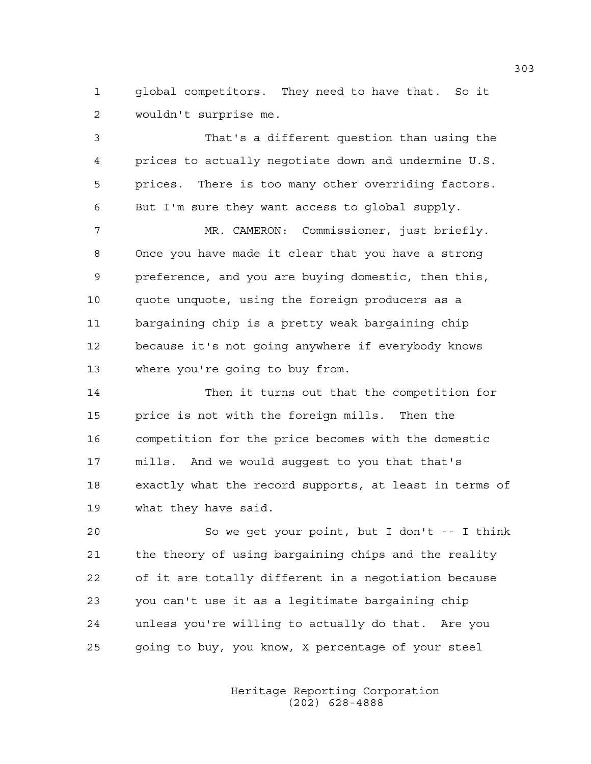1 alobal competitors. They need to have that. So it 2 wouldn't surprise me.

3 That's a different question than using the 4 prices to actually negotiate down and undermine U.S. 5 prices. There is too many other overriding factors. 6 But I'm sure they want access to global supply.

7 MR. CAMERON: Commissioner, just briefly. 8 Once you have made it clear that you have a strong 9 preference, and you are buying domestic, then this, 10 quote unquote, using the foreign producers as a 11 bargaining chip is a pretty weak bargaining chip 12 because it's not going anywhere if everybody knows 13 where you're going to buy from.

14 Then it turns out that the competition for 15 price is not with the foreign mills. Then the 16 competition for the price becomes with the domestic 17 mills. And we would suggest to you that that's 18 exactly what the record supports, at least in terms of 19 what they have said.

20 So we get your point, but I don't -- I think 21 the theory of using bargaining chips and the reality 22 of it are totally different in a negotiation because 23 you can't use it as a legitimate bargaining chip 24 unless you're willing to actually do that. Are you 25 going to buy, you know, X percentage of your steel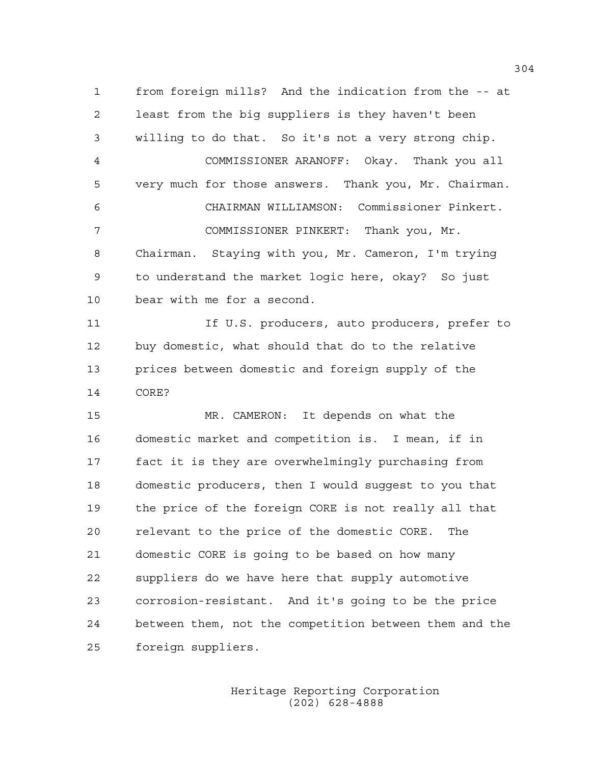1 from foreign mills? And the indication from the -- at 2 least from the big suppliers is they haven't been 3 willing to do that. So it's not a very strong chip. 4 COMMISSIONER ARANOFF: Okay. Thank you all 5 very much for those answers. Thank you, Mr. Chairman. 6 CHAIRMAN WILLIAMSON: Commissioner Pinkert. 7 COMMISSIONER PINKERT: Thank you, Mr. 8 Chairman. Staying with you, Mr. Cameron, I'm trying 9 to understand the market logic here, okay? So just 10 bear with me for a second. 11 If U.S. producers, auto producers, prefer to 12 buy domestic, what should that do to the relative 13 prices between domestic and foreign supply of the 14 CORE? 15 MR. CAMERON: It depends on what the 16 domestic market and competition is. I mean, if in 17 fact it is they are overwhelmingly purchasing from 18 domestic producers, then I would suggest to you that 19 the price of the foreign CORE is not really all that 20 relevant to the price of the domestic CORE. The 21 domestic CORE is going to be based on how many 22 suppliers do we have here that supply automotive 23 corrosion-resistant. And it's going to be the price 24 between them, not the competition between them and the

25 foreign suppliers.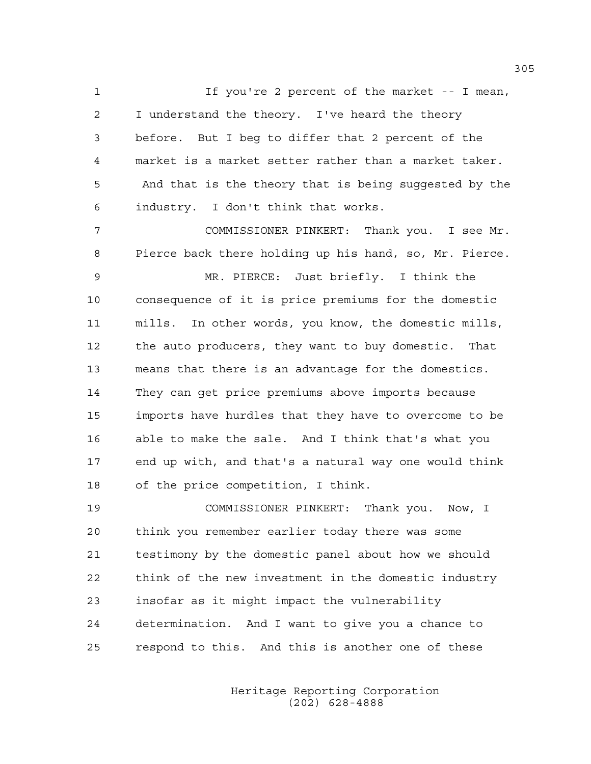1 If you're 2 percent of the market -- I mean, 2 I understand the theory. I've heard the theory 3 before. But I beg to differ that 2 percent of the 4 market is a market setter rather than a market taker. 5 And that is the theory that is being suggested by the 6 industry. I don't think that works.

7 COMMISSIONER PINKERT: Thank you. I see Mr. 8 Pierce back there holding up his hand, so, Mr. Pierce.

9 MR. PIERCE: Just briefly. I think the 10 consequence of it is price premiums for the domestic 11 mills. In other words, you know, the domestic mills, 12 the auto producers, they want to buy domestic. That 13 means that there is an advantage for the domestics. 14 They can get price premiums above imports because 15 imports have hurdles that they have to overcome to be 16 able to make the sale. And I think that's what you 17 end up with, and that's a natural way one would think 18 of the price competition, I think.

19 COMMISSIONER PINKERT: Thank you. Now, I 20 think you remember earlier today there was some 21 testimony by the domestic panel about how we should 22 think of the new investment in the domestic industry 23 insofar as it might impact the vulnerability 24 determination. And I want to give you a chance to 25 respond to this. And this is another one of these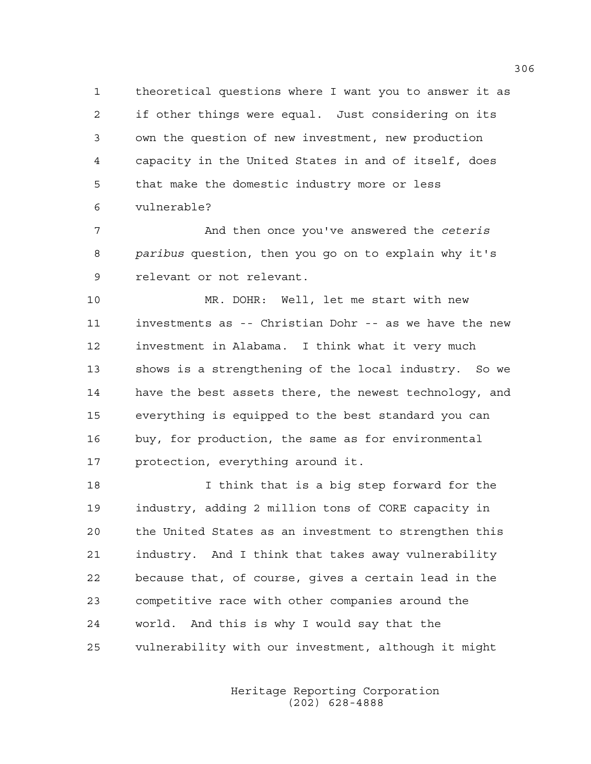1 theoretical questions where I want you to answer it as 2 if other things were equal. Just considering on its 3 own the question of new investment, new production 4 capacity in the United States in and of itself, does 5 that make the domestic industry more or less 6 vulnerable?

7 And then once you've answered the *ceteris*  8 *paribus* question, then you go on to explain why it's 9 relevant or not relevant.

10 MR. DOHR: Well, let me start with new 11 investments as -- Christian Dohr -- as we have the new 12 investment in Alabama. I think what it very much 13 shows is a strengthening of the local industry. So we 14 have the best assets there, the newest technology, and 15 everything is equipped to the best standard you can 16 buy, for production, the same as for environmental 17 protection, everything around it.

18 I think that is a big step forward for the 19 industry, adding 2 million tons of CORE capacity in 20 the United States as an investment to strengthen this 21 industry. And I think that takes away vulnerability 22 because that, of course, gives a certain lead in the 23 competitive race with other companies around the 24 world. And this is why I would say that the 25 vulnerability with our investment, although it might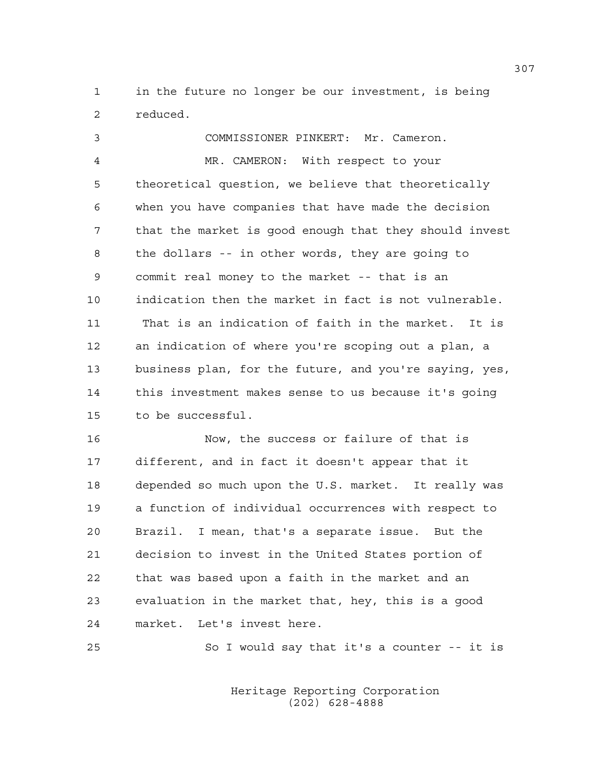1 in the future no longer be our investment, is being 2 reduced.

3 COMMISSIONER PINKERT: Mr. Cameron. 4 MR. CAMERON: With respect to your 5 theoretical question, we believe that theoretically 6 when you have companies that have made the decision 7 that the market is good enough that they should invest 8 the dollars -- in other words, they are going to 9 commit real money to the market -- that is an 10 indication then the market in fact is not vulnerable. 11 That is an indication of faith in the market. It is 12 an indication of where you're scoping out a plan, a 13 business plan, for the future, and you're saying, yes, 14 this investment makes sense to us because it's going 15 to be successful.

16 Now, the success or failure of that is 17 different, and in fact it doesn't appear that it 18 depended so much upon the U.S. market. It really was 19 a function of individual occurrences with respect to 20 Brazil. I mean, that's a separate issue. But the 21 decision to invest in the United States portion of 22 that was based upon a faith in the market and an 23 evaluation in the market that, hey, this is a good 24 market. Let's invest here.

25 So I would say that it's a counter -- it is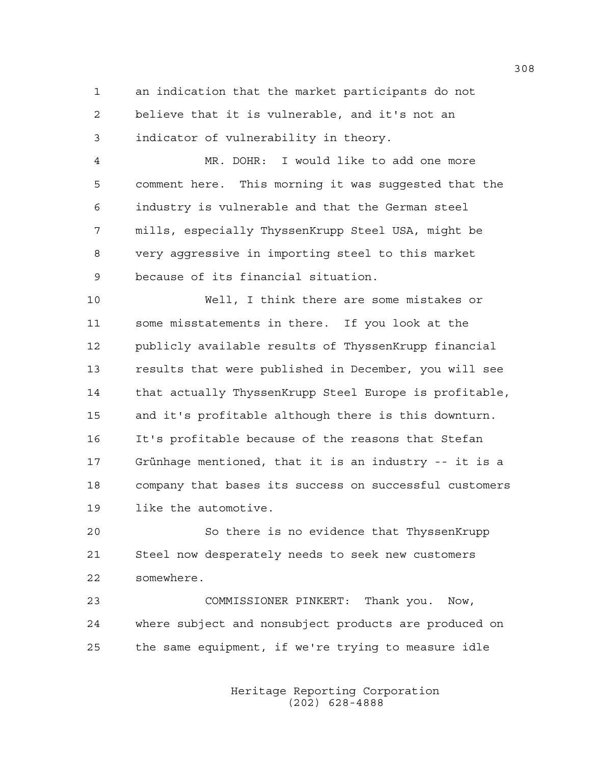1 an indication that the market participants do not 2 believe that it is vulnerable, and it's not an 3 indicator of vulnerability in theory.

4 MR. DOHR: I would like to add one more 5 comment here. This morning it was suggested that the 6 industry is vulnerable and that the German steel 7 mills, especially ThyssenKrupp Steel USA, might be 8 very aggressive in importing steel to this market 9 because of its financial situation.

10 Well, I think there are some mistakes or 11 some misstatements in there. If you look at the 12 publicly available results of ThyssenKrupp financial 13 results that were published in December, you will see 14 that actually ThyssenKrupp Steel Europe is profitable, 15 and it's profitable although there is this downturn. 16 It's profitable because of the reasons that Stefan 17 Grünhage mentioned, that it is an industry -- it is a 18 company that bases its success on successful customers 19 like the automotive.

20 So there is no evidence that ThyssenKrupp 21 Steel now desperately needs to seek new customers 22 somewhere.

23 COMMISSIONER PINKERT: Thank you. Now, 24 where subject and nonsubject products are produced on 25 the same equipment, if we're trying to measure idle

> Heritage Reporting Corporation (202) 628-4888

308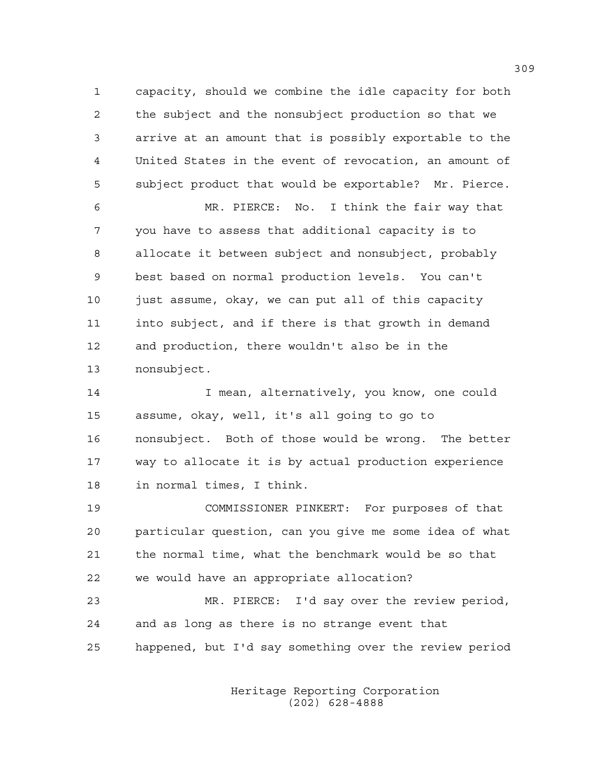1 capacity, should we combine the idle capacity for both 2 the subject and the nonsubject production so that we 3 arrive at an amount that is possibly exportable to the 4 United States in the event of revocation, an amount of 5 subject product that would be exportable? Mr. Pierce.

6 MR. PIERCE: No. I think the fair way that 7 you have to assess that additional capacity is to 8 allocate it between subject and nonsubject, probably 9 best based on normal production levels. You can't 10 just assume, okay, we can put all of this capacity 11 into subject, and if there is that growth in demand 12 and production, there wouldn't also be in the 13 nonsubject.

14 I mean, alternatively, you know, one could 15 assume, okay, well, it's all going to go to 16 nonsubject. Both of those would be wrong. The better 17 way to allocate it is by actual production experience 18 in normal times, I think.

19 COMMISSIONER PINKERT: For purposes of that 20 particular question, can you give me some idea of what 21 the normal time, what the benchmark would be so that 22 we would have an appropriate allocation?

23 MR. PIERCE: I'd say over the review period, 24 and as long as there is no strange event that 25 happened, but I'd say something over the review period

> Heritage Reporting Corporation (202) 628-4888

309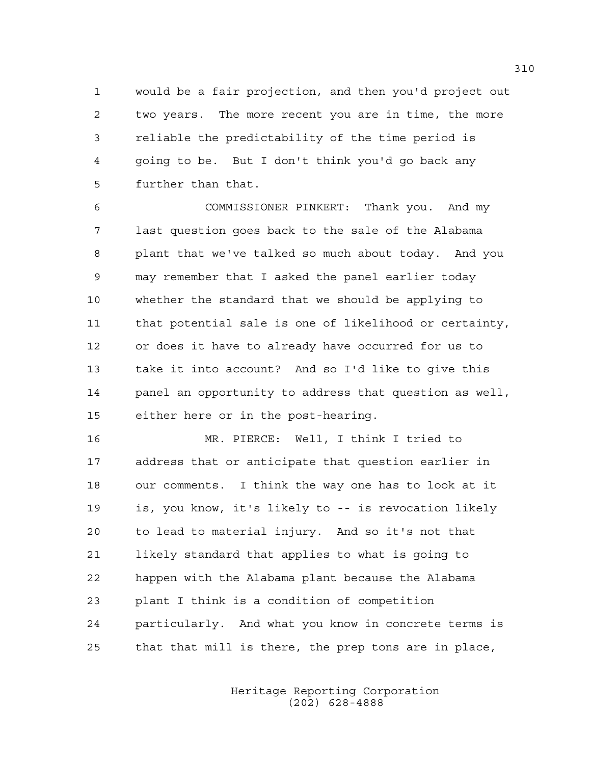1 would be a fair projection, and then you'd project out 2 two years. The more recent you are in time, the more 3 reliable the predictability of the time period is 4 going to be. But I don't think you'd go back any 5 further than that.

6 COMMISSIONER PINKERT: Thank you. And my 7 last question goes back to the sale of the Alabama 8 plant that we've talked so much about today. And you 9 may remember that I asked the panel earlier today 10 whether the standard that we should be applying to 11 that potential sale is one of likelihood or certainty, 12 or does it have to already have occurred for us to 13 take it into account? And so I'd like to give this 14 panel an opportunity to address that question as well, 15 either here or in the post-hearing.

16 MR. PIERCE: Well, I think I tried to 17 address that or anticipate that question earlier in 18 our comments. I think the way one has to look at it 19 is, you know, it's likely to -- is revocation likely 20 to lead to material injury. And so it's not that 21 likely standard that applies to what is going to 22 happen with the Alabama plant because the Alabama 23 plant I think is a condition of competition 24 particularly. And what you know in concrete terms is 25 that that mill is there, the prep tons are in place,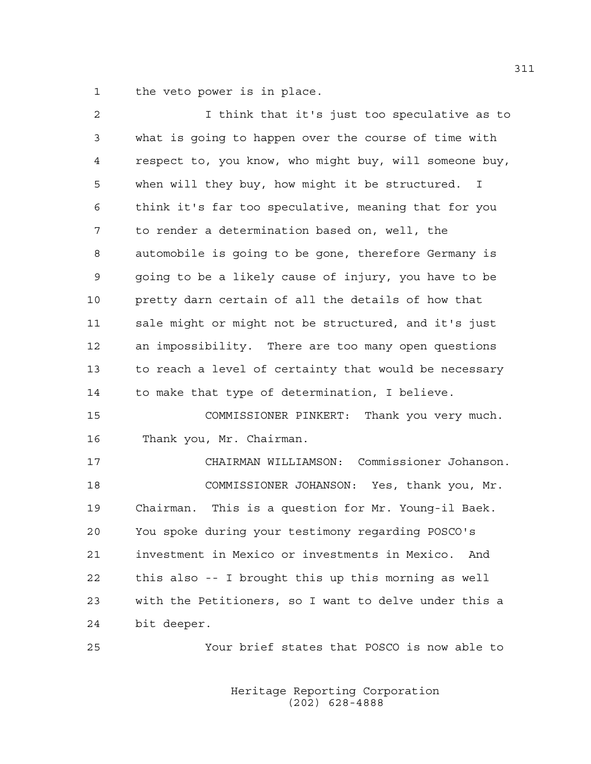1 the veto power is in place.

| 2              | I think that it's just too speculative as to           |
|----------------|--------------------------------------------------------|
| 3              | what is going to happen over the course of time with   |
| $\overline{4}$ | respect to, you know, who might buy, will someone buy, |
| 5              | when will they buy, how might it be structured. I      |
| 6              | think it's far too speculative, meaning that for you   |
| 7              | to render a determination based on, well, the          |
| 8              | automobile is going to be gone, therefore Germany is   |
| 9              | going to be a likely cause of injury, you have to be   |
| 10             | pretty darn certain of all the details of how that     |
| 11             | sale might or might not be structured, and it's just   |
| 12             | an impossibility. There are too many open questions    |
| 13             | to reach a level of certainty that would be necessary  |
| 14             | to make that type of determination, I believe.         |
| 15             | COMMISSIONER PINKERT: Thank you very much.             |
| 16             | Thank you, Mr. Chairman.                               |
| 17             | CHAIRMAN WILLIAMSON: Commissioner Johanson.            |
| 18             | COMMISSIONER JOHANSON: Yes, thank you, Mr.             |
| 19             | Chairman. This is a question for Mr. Young-il Baek.    |
| 20             | You spoke during your testimony regarding POSCO's      |
| 21             | investment in Mexico or investments in Mexico. And     |
| 22             | this also -- I brought this up this morning as well    |
| 23             | with the Petitioners, so I want to delve under this a  |
| 24             | bit deeper.                                            |
| 25             | Your brief states that POSCO is now able to            |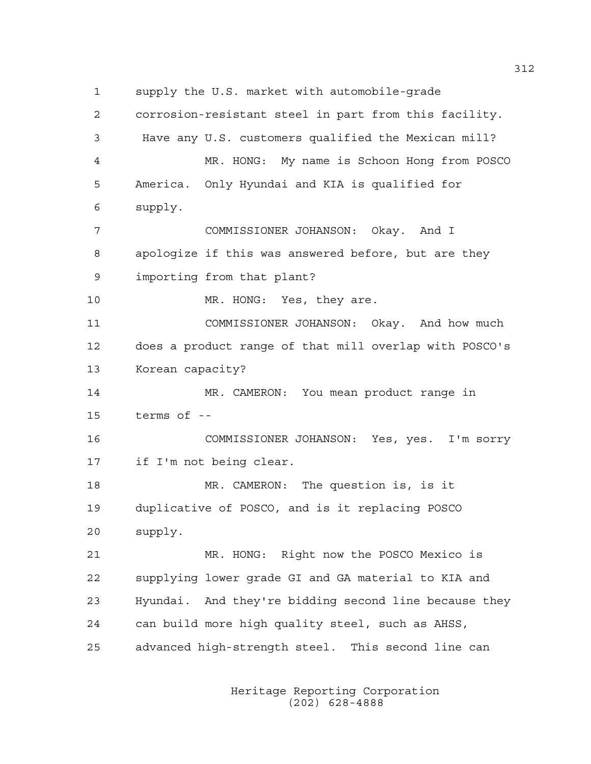1 supply the U.S. market with automobile-grade 2 corrosion-resistant steel in part from this facility. 3 Have any U.S. customers qualified the Mexican mill? 4 MR. HONG: My name is Schoon Hong from POSCO 5 America. Only Hyundai and KIA is qualified for 6 supply. 7 COMMISSIONER JOHANSON: Okay. And I 8 apologize if this was answered before, but are they 9 importing from that plant? 10 MR. HONG: Yes, they are. 11 COMMISSIONER JOHANSON: Okay. And how much 12 does a product range of that mill overlap with POSCO's 13 Korean capacity? 14 MR. CAMERON: You mean product range in 15 terms of -- 16 COMMISSIONER JOHANSON: Yes, yes. I'm sorry 17 if I'm not being clear. 18 MR. CAMERON: The question is, is it 19 duplicative of POSCO, and is it replacing POSCO 20 supply. 21 MR. HONG: Right now the POSCO Mexico is 22 supplying lower grade GI and GA material to KIA and 23 Hyundai. And they're bidding second line because they 24 can build more high quality steel, such as AHSS, 25 advanced high-strength steel. This second line can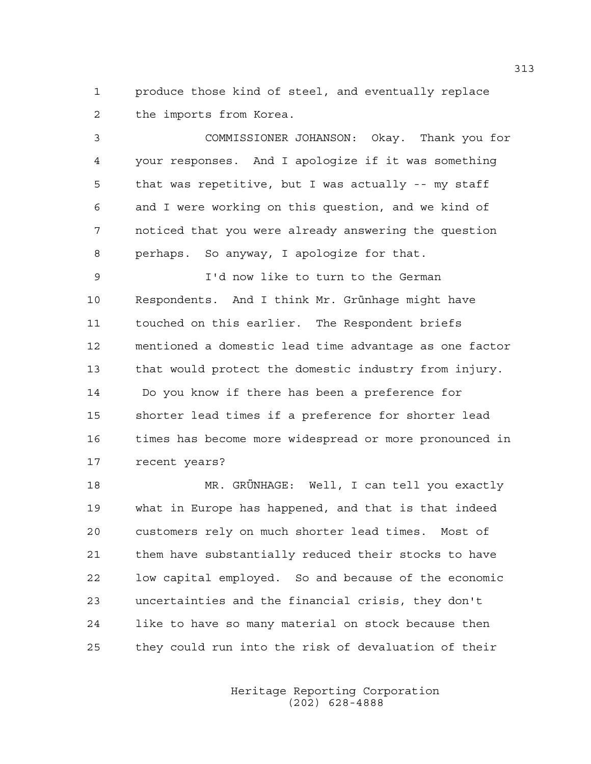1 produce those kind of steel, and eventually replace 2 the imports from Korea.

3 COMMISSIONER JOHANSON: Okay. Thank you for 4 your responses. And I apologize if it was something 5 that was repetitive, but I was actually -- my staff 6 and I were working on this question, and we kind of 7 noticed that you were already answering the question 8 perhaps. So anyway, I apologize for that.

9 I'd now like to turn to the German 10 Respondents. And I think Mr. Grünhage might have 11 touched on this earlier. The Respondent briefs 12 mentioned a domestic lead time advantage as one factor 13 that would protect the domestic industry from injury. 14 Do you know if there has been a preference for 15 shorter lead times if a preference for shorter lead 16 times has become more widespread or more pronounced in 17 recent years?

18 MR. GRÜNHAGE: Well, I can tell you exactly 19 what in Europe has happened, and that is that indeed 20 customers rely on much shorter lead times. Most of 21 them have substantially reduced their stocks to have 22 low capital employed. So and because of the economic 23 uncertainties and the financial crisis, they don't 24 like to have so many material on stock because then 25 they could run into the risk of devaluation of their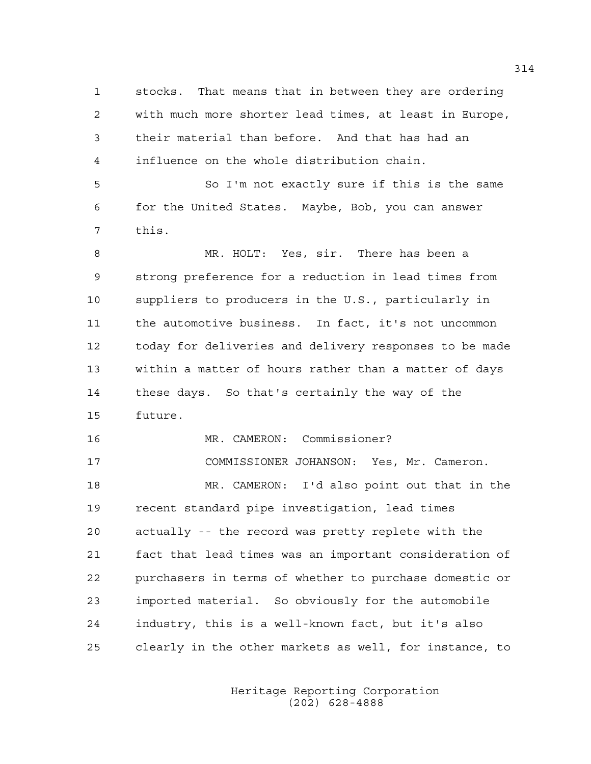1 stocks. That means that in between they are ordering 2 with much more shorter lead times, at least in Europe, 3 their material than before. And that has had an 4 influence on the whole distribution chain. 5 So I'm not exactly sure if this is the same 6 for the United States. Maybe, Bob, you can answer 7 this. 8 MR. HOLT: Yes, sir. There has been a 9 strong preference for a reduction in lead times from 10 suppliers to producers in the U.S., particularly in 11 the automotive business. In fact, it's not uncommon 12 today for deliveries and delivery responses to be made 13 within a matter of hours rather than a matter of days 14 these days. So that's certainly the way of the 15 future. 16 MR. CAMERON: Commissioner? 17 COMMISSIONER JOHANSON: Yes, Mr. Cameron. 18 MR. CAMERON: I'd also point out that in the 19 recent standard pipe investigation, lead times 20 actually -- the record was pretty replete with the 21 fact that lead times was an important consideration of 22 purchasers in terms of whether to purchase domestic or 23 imported material. So obviously for the automobile 24 industry, this is a well-known fact, but it's also 25 clearly in the other markets as well, for instance, to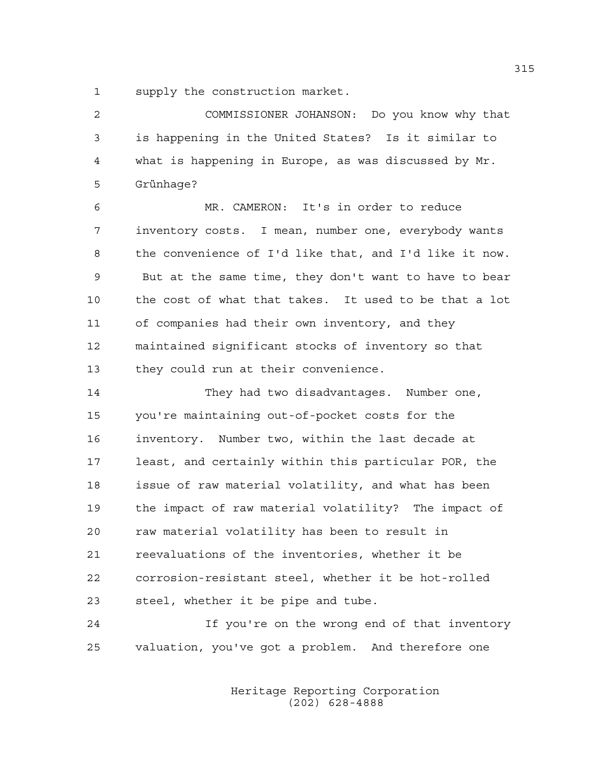1 supply the construction market.

2 COMMISSIONER JOHANSON: Do you know why that 3 is happening in the United States? Is it similar to 4 what is happening in Europe, as was discussed by Mr. 5 Grünhage?

6 MR. CAMERON: It's in order to reduce 7 inventory costs. I mean, number one, everybody wants 8 the convenience of I'd like that, and I'd like it now. 9 But at the same time, they don't want to have to bear 10 the cost of what that takes. It used to be that a lot 11 of companies had their own inventory, and they 12 maintained significant stocks of inventory so that 13 they could run at their convenience.

14 They had two disadvantages. Number one, 15 you're maintaining out-of-pocket costs for the 16 inventory. Number two, within the last decade at 17 least, and certainly within this particular POR, the 18 issue of raw material volatility, and what has been 19 the impact of raw material volatility? The impact of 20 raw material volatility has been to result in 21 reevaluations of the inventories, whether it be 22 corrosion-resistant steel, whether it be hot-rolled 23 steel, whether it be pipe and tube.

24 If you're on the wrong end of that inventory 25 valuation, you've got a problem. And therefore one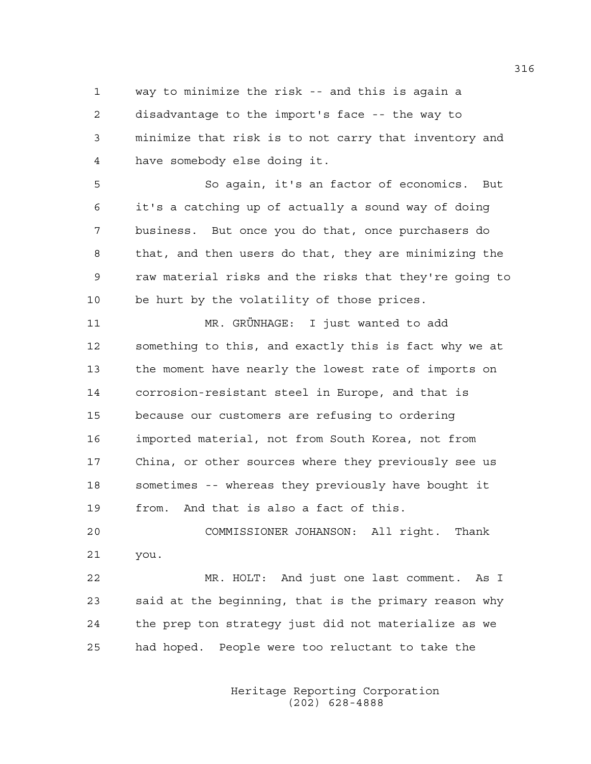1 way to minimize the risk -- and this is again a 2 disadvantage to the import's face -- the way to 3 minimize that risk is to not carry that inventory and 4 have somebody else doing it.

5 So again, it's an factor of economics. But 6 it's a catching up of actually a sound way of doing 7 business. But once you do that, once purchasers do 8 that, and then users do that, they are minimizing the 9 raw material risks and the risks that they're going to 10 be hurt by the volatility of those prices.

11 MR. GRÜNHAGE: I just wanted to add 12 something to this, and exactly this is fact why we at 13 the moment have nearly the lowest rate of imports on 14 corrosion-resistant steel in Europe, and that is 15 because our customers are refusing to ordering 16 imported material, not from South Korea, not from 17 China, or other sources where they previously see us 18 sometimes -- whereas they previously have bought it 19 from. And that is also a fact of this.

20 COMMISSIONER JOHANSON: All right. Thank 21 you.

22 MR. HOLT: And just one last comment. As I 23 said at the beginning, that is the primary reason why 24 the prep ton strategy just did not materialize as we 25 had hoped. People were too reluctant to take the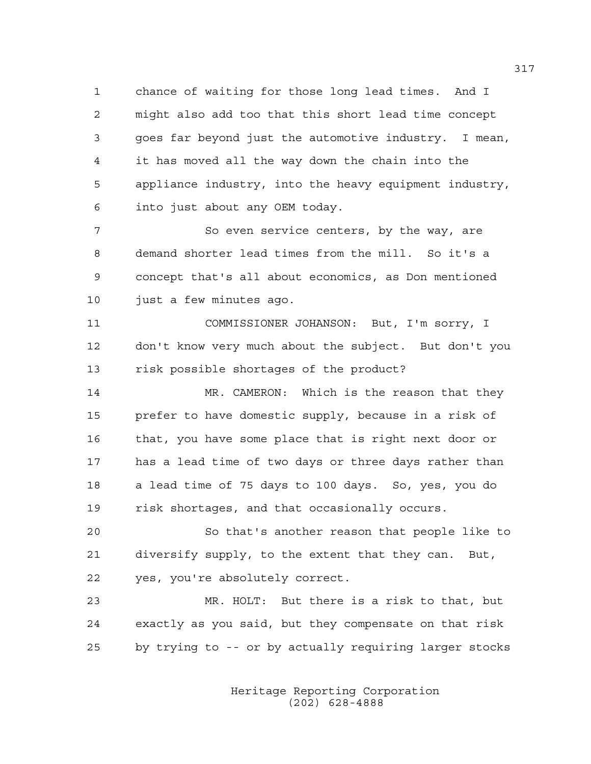1 chance of waiting for those long lead times. And I 2 might also add too that this short lead time concept 3 goes far beyond just the automotive industry. I mean, 4 it has moved all the way down the chain into the 5 appliance industry, into the heavy equipment industry, 6 into just about any OEM today.

7 So even service centers, by the way, are 8 demand shorter lead times from the mill. So it's a 9 concept that's all about economics, as Don mentioned 10 just a few minutes ago.

11 COMMISSIONER JOHANSON: But, I'm sorry, I 12 don't know very much about the subject. But don't you 13 risk possible shortages of the product?

14 MR. CAMERON: Which is the reason that they 15 prefer to have domestic supply, because in a risk of 16 that, you have some place that is right next door or 17 has a lead time of two days or three days rather than 18 a lead time of 75 days to 100 days. So, yes, you do 19 risk shortages, and that occasionally occurs.

20 So that's another reason that people like to 21 diversify supply, to the extent that they can. But, 22 yes, you're absolutely correct.

23 MR. HOLT: But there is a risk to that, but 24 exactly as you said, but they compensate on that risk 25 by trying to -- or by actually requiring larger stocks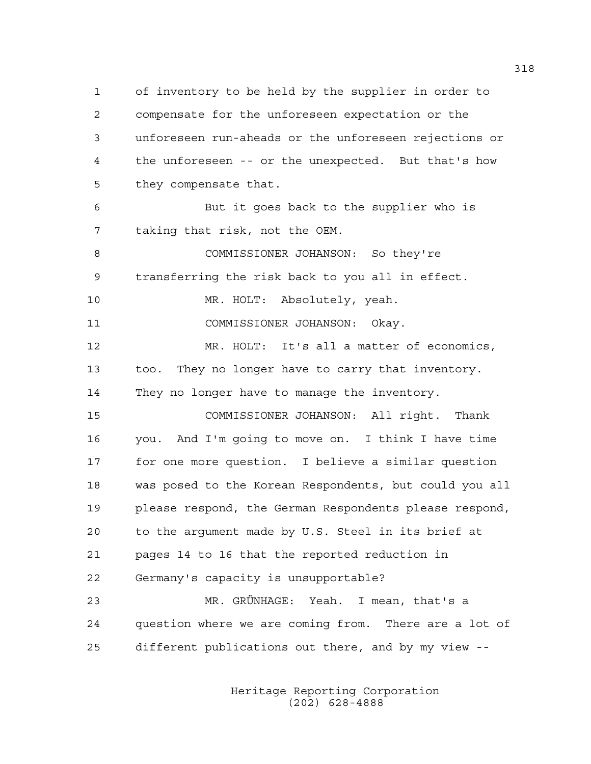1 of inventory to be held by the supplier in order to 2 compensate for the unforeseen expectation or the 3 unforeseen run-aheads or the unforeseen rejections or 4 the unforeseen -- or the unexpected. But that's how 5 they compensate that.

6 But it goes back to the supplier who is 7 taking that risk, not the OEM.

8 COMMISSIONER JOHANSON: So they're 9 transferring the risk back to you all in effect.

10 MR. HOLT: Absolutely, yeah.

11 COMMISSIONER JOHANSON: Okay.

12 MR. HOLT: It's all a matter of economics, 13 too. They no longer have to carry that inventory. 14 They no longer have to manage the inventory.

15 COMMISSIONER JOHANSON: All right. Thank 16 you. And I'm going to move on. I think I have time 17 for one more question. I believe a similar question 18 was posed to the Korean Respondents, but could you all 19 please respond, the German Respondents please respond, 20 to the argument made by U.S. Steel in its brief at 21 pages 14 to 16 that the reported reduction in 22 Germany's capacity is unsupportable?

23 MR. GRÜNHAGE: Yeah. I mean, that's a 24 question where we are coming from. There are a lot of 25 different publications out there, and by my view --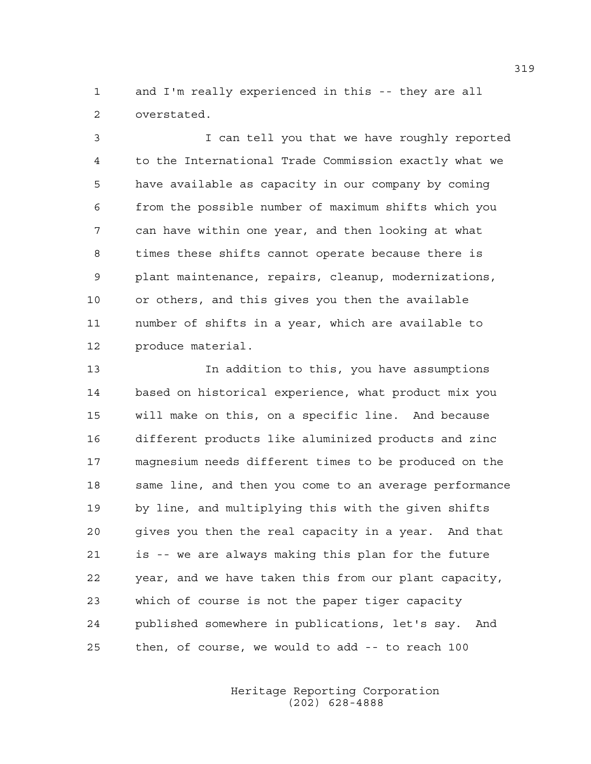1 and I'm really experienced in this -- they are all 2 overstated.

3 I can tell you that we have roughly reported 4 to the International Trade Commission exactly what we 5 have available as capacity in our company by coming 6 from the possible number of maximum shifts which you 7 can have within one year, and then looking at what 8 times these shifts cannot operate because there is 9 plant maintenance, repairs, cleanup, modernizations, 10 or others, and this gives you then the available 11 number of shifts in a year, which are available to 12 produce material.

13 In addition to this, you have assumptions 14 based on historical experience, what product mix you 15 will make on this, on a specific line. And because 16 different products like aluminized products and zinc 17 magnesium needs different times to be produced on the 18 same line, and then you come to an average performance 19 by line, and multiplying this with the given shifts 20 gives you then the real capacity in a year. And that 21 is -- we are always making this plan for the future 22 year, and we have taken this from our plant capacity, 23 which of course is not the paper tiger capacity 24 published somewhere in publications, let's say. And 25 then, of course, we would to add -- to reach 100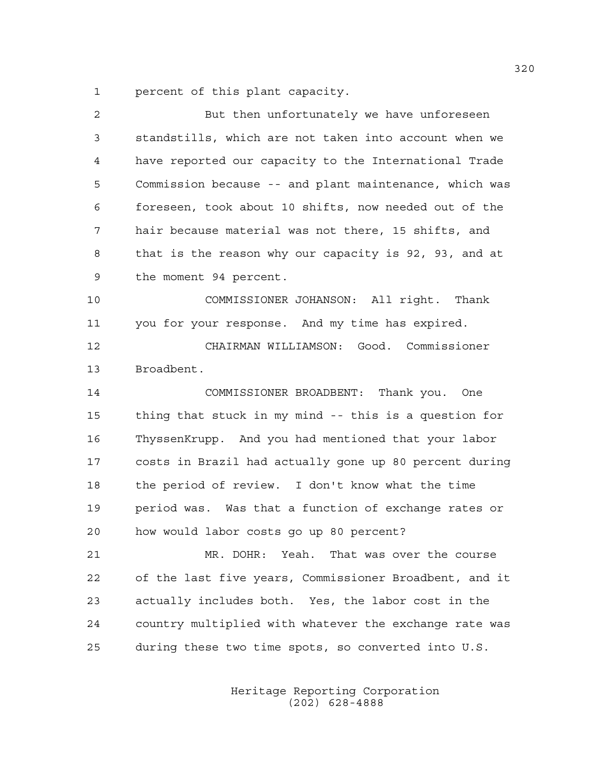1 percent of this plant capacity.

| $\overline{c}$ | But then unfortunately we have unforeseen              |
|----------------|--------------------------------------------------------|
| 3              | standstills, which are not taken into account when we  |
| 4              | have reported our capacity to the International Trade  |
| 5              | Commission because -- and plant maintenance, which was |
| 6              | foreseen, took about 10 shifts, now needed out of the  |
| 7              | hair because material was not there, 15 shifts, and    |
| 8              | that is the reason why our capacity is 92, 93, and at  |
| 9              | the moment 94 percent.                                 |
| 10             | COMMISSIONER JOHANSON: All right. Thank                |
| 11             | you for your response. And my time has expired.        |
| 12             | CHAIRMAN WILLIAMSON: Good. Commissioner                |
| 13             | Broadbent.                                             |
| 14             | COMMISSIONER BROADBENT: Thank you. One                 |
| 15             | thing that stuck in my mind -- this is a question for  |
| 16             | ThyssenKrupp. And you had mentioned that your labor    |
| 17             | costs in Brazil had actually gone up 80 percent during |
| 18             | the period of review. I don't know what the time       |
| 19             | period was. Was that a function of exchange rates or   |
| 20             | how would labor costs go up 80 percent?                |
| 21             | MR. DOHR: Yeah. That was over the course               |
| 22             | of the last five years, Commissioner Broadbent, and it |
| 23             | actually includes both. Yes, the labor cost in the     |
| 24             | country multiplied with whatever the exchange rate was |
| 25             | during these two time spots, so converted into U.S.    |
|                |                                                        |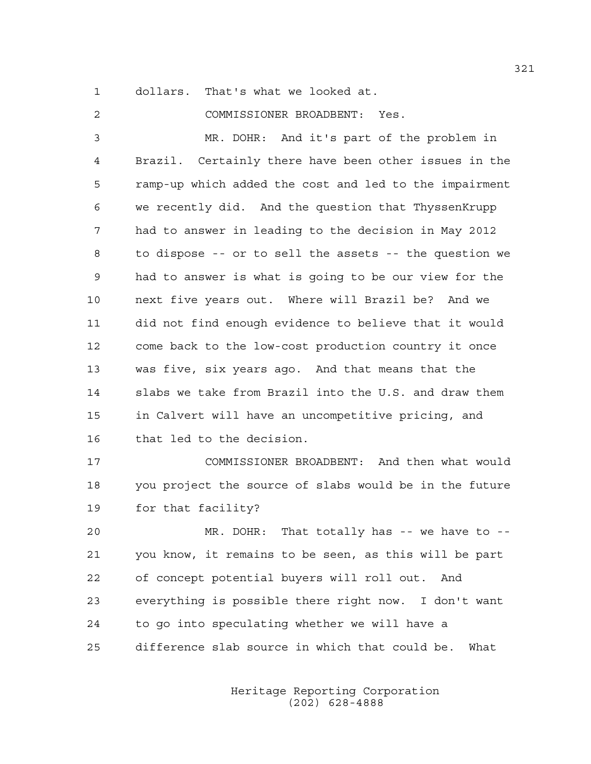1 dollars. That's what we looked at.

2 COMMISSIONER BROADBENT: Yes. 3 MR. DOHR: And it's part of the problem in 4 Brazil. Certainly there have been other issues in the 5 ramp-up which added the cost and led to the impairment 6 we recently did. And the question that ThyssenKrupp 7 had to answer in leading to the decision in May 2012 8 to dispose -- or to sell the assets -- the question we 9 had to answer is what is going to be our view for the 10 next five years out. Where will Brazil be? And we 11 did not find enough evidence to believe that it would 12 come back to the low-cost production country it once 13 was five, six years ago. And that means that the 14 slabs we take from Brazil into the U.S. and draw them 15 in Calvert will have an uncompetitive pricing, and 16 that led to the decision.

17 COMMISSIONER BROADBENT: And then what would 18 you project the source of slabs would be in the future 19 for that facility?

20 MR. DOHR: That totally has -- we have to -- 21 you know, it remains to be seen, as this will be part 22 of concept potential buyers will roll out. And 23 everything is possible there right now. I don't want 24 to go into speculating whether we will have a 25 difference slab source in which that could be. What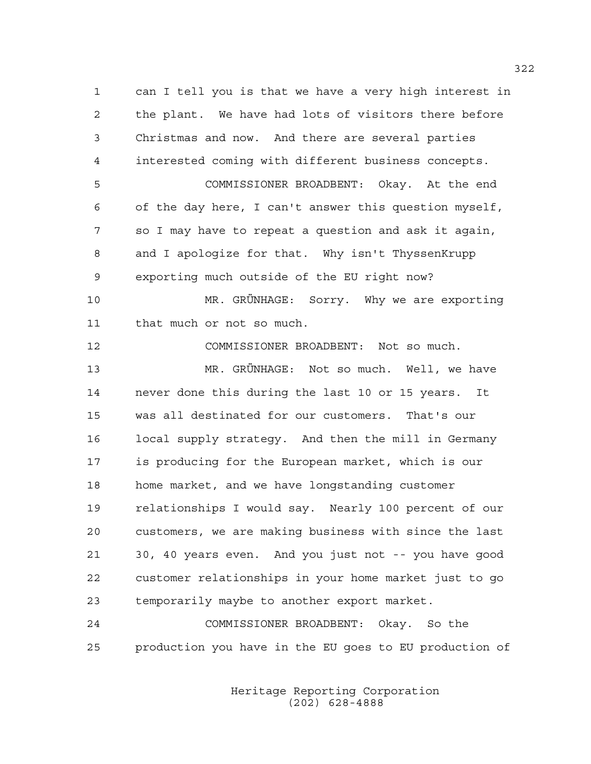1 can I tell you is that we have a very high interest in 2 the plant. We have had lots of visitors there before 3 Christmas and now. And there are several parties 4 interested coming with different business concepts. 5 COMMISSIONER BROADBENT: Okay. At the end 6 of the day here, I can't answer this question myself, 7 so I may have to repeat a question and ask it again, 8 and I apologize for that. Why isn't ThyssenKrupp 9 exporting much outside of the EU right now? 10 MR. GRÜNHAGE: Sorry. Why we are exporting 11 that much or not so much. 12 COMMISSIONER BROADBENT: Not so much. 13 MR. GRÜNHAGE: Not so much. Well, we have 14 never done this during the last 10 or 15 years. It 15 was all destinated for our customers. That's our 16 local supply strategy. And then the mill in Germany 17 is producing for the European market, which is our 18 home market, and we have longstanding customer 19 relationships I would say. Nearly 100 percent of our 20 customers, we are making business with since the last 21 30, 40 years even. And you just not -- you have good 22 customer relationships in your home market just to go 23 temporarily maybe to another export market.

24 COMMISSIONER BROADBENT: Okay. So the 25 production you have in the EU goes to EU production of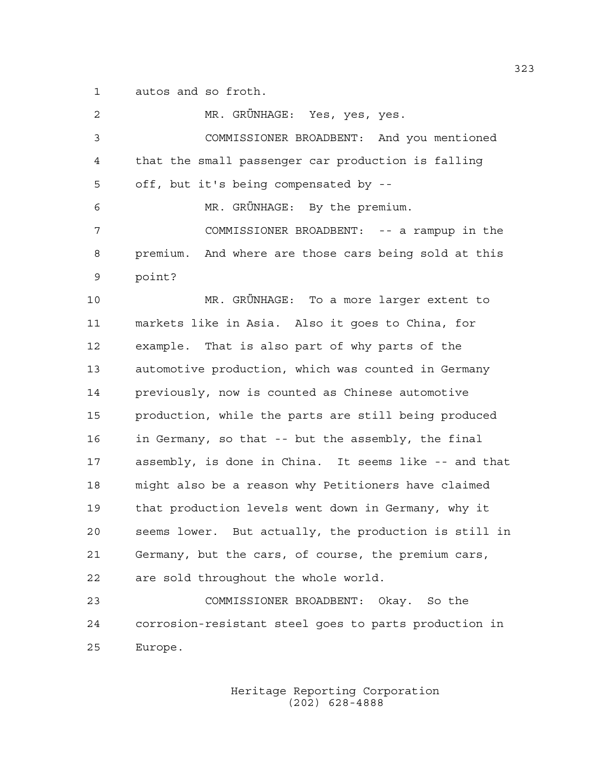1 autos and so froth.

2 MR. GRÜNHAGE: Yes, yes, yes. 3 COMMISSIONER BROADBENT: And you mentioned 4 that the small passenger car production is falling 5 off, but it's being compensated by -- 6 MR. GRÜNHAGE: By the premium. 7 COMMISSIONER BROADBENT: -- a rampup in the 8 premium. And where are those cars being sold at this 9 point? 10 MR. GRÜNHAGE: To a more larger extent to 11 markets like in Asia. Also it goes to China, for 12 example. That is also part of why parts of the 13 automotive production, which was counted in Germany 14 previously, now is counted as Chinese automotive 15 production, while the parts are still being produced 16 in Germany, so that -- but the assembly, the final 17 assembly, is done in China. It seems like -- and that 18 might also be a reason why Petitioners have claimed 19 that production levels went down in Germany, why it 20 seems lower. But actually, the production is still in 21 Germany, but the cars, of course, the premium cars, 22 are sold throughout the whole world. 23 COMMISSIONER BROADBENT: Okay. So the 24 corrosion-resistant steel goes to parts production in 25 Europe.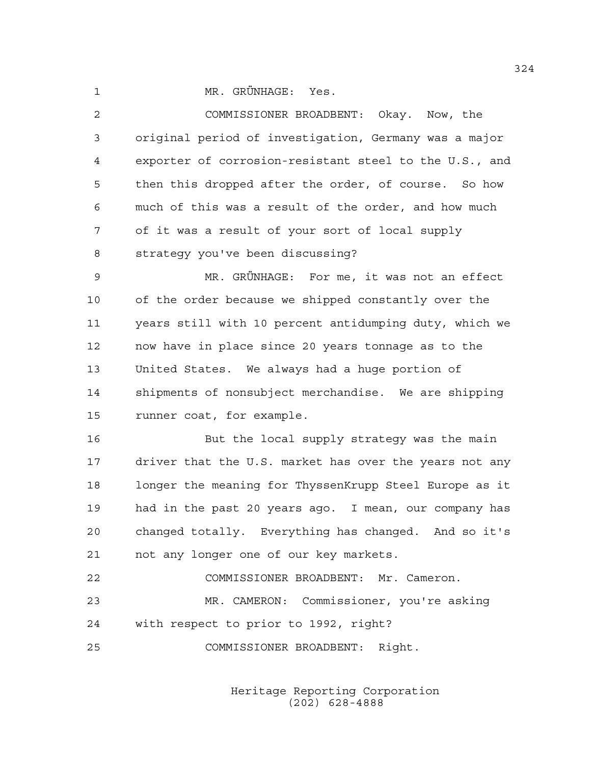1 MR. GRÜNHAGE: Yes.

2 COMMISSIONER BROADBENT: Okay. Now, the 3 original period of investigation, Germany was a major 4 exporter of corrosion-resistant steel to the U.S., and 5 then this dropped after the order, of course. So how 6 much of this was a result of the order, and how much 7 of it was a result of your sort of local supply 8 strategy you've been discussing?

9 MR. GRÜNHAGE: For me, it was not an effect 10 of the order because we shipped constantly over the 11 years still with 10 percent antidumping duty, which we 12 now have in place since 20 years tonnage as to the 13 United States. We always had a huge portion of 14 shipments of nonsubject merchandise. We are shipping 15 runner coat, for example.

16 But the local supply strategy was the main 17 driver that the U.S. market has over the years not any 18 longer the meaning for ThyssenKrupp Steel Europe as it 19 had in the past 20 years ago. I mean, our company has 20 changed totally. Everything has changed. And so it's 21 not any longer one of our key markets.

22 COMMISSIONER BROADBENT: Mr. Cameron. 23 MR. CAMERON: Commissioner, you're asking 24 with respect to prior to 1992, right?

25 COMMISSIONER BROADBENT: Right.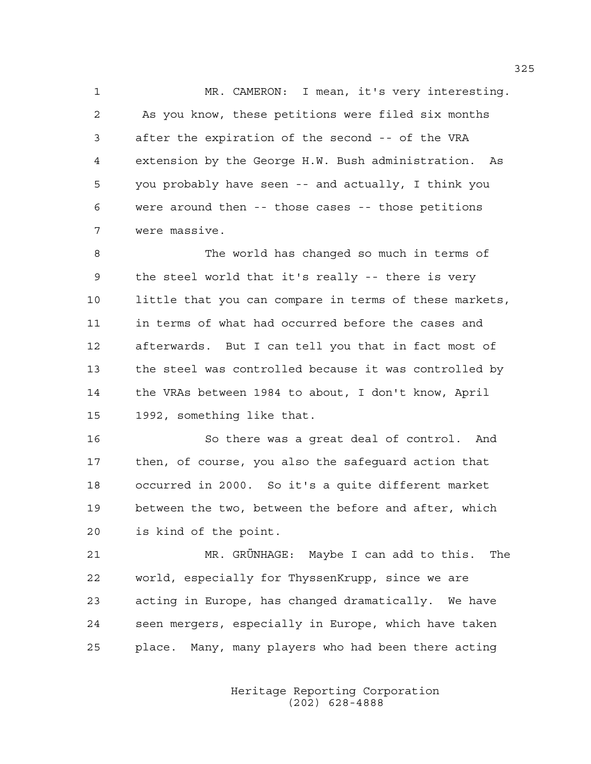1 MR. CAMERON: I mean, it's very interesting. 2 As you know, these petitions were filed six months 3 after the expiration of the second -- of the VRA 4 extension by the George H.W. Bush administration. As 5 you probably have seen -- and actually, I think you 6 were around then -- those cases -- those petitions 7 were massive.

8 The world has changed so much in terms of 9 the steel world that it's really -- there is very 10 little that you can compare in terms of these markets, 11 in terms of what had occurred before the cases and 12 afterwards. But I can tell you that in fact most of 13 the steel was controlled because it was controlled by 14 the VRAs between 1984 to about, I don't know, April 15 1992, something like that.

16 So there was a great deal of control. And 17 then, of course, you also the safeguard action that 18 occurred in 2000. So it's a quite different market 19 between the two, between the before and after, which 20 is kind of the point.

21 MR. GRÜNHAGE: Maybe I can add to this. The 22 world, especially for ThyssenKrupp, since we are 23 acting in Europe, has changed dramatically. We have 24 seen mergers, especially in Europe, which have taken 25 place. Many, many players who had been there acting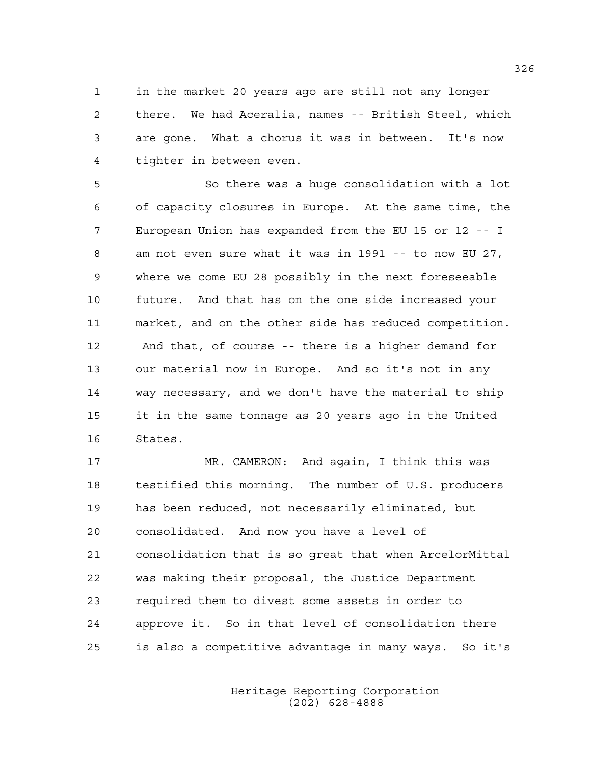1 in the market 20 years ago are still not any longer 2 there. We had Aceralia, names -- British Steel, which 3 are gone. What a chorus it was in between. It's now 4 tighter in between even.

5 So there was a huge consolidation with a lot 6 of capacity closures in Europe. At the same time, the 7 European Union has expanded from the EU 15 or 12 -- I 8 am not even sure what it was in 1991 -- to now EU 27, 9 where we come EU 28 possibly in the next foreseeable 10 future. And that has on the one side increased your 11 market, and on the other side has reduced competition. 12 And that, of course -- there is a higher demand for 13 our material now in Europe. And so it's not in any 14 way necessary, and we don't have the material to ship 15 it in the same tonnage as 20 years ago in the United 16 States.

17 MR. CAMERON: And again, I think this was 18 testified this morning. The number of U.S. producers 19 has been reduced, not necessarily eliminated, but 20 consolidated. And now you have a level of 21 consolidation that is so great that when ArcelorMittal 22 was making their proposal, the Justice Department 23 required them to divest some assets in order to 24 approve it. So in that level of consolidation there 25 is also a competitive advantage in many ways. So it's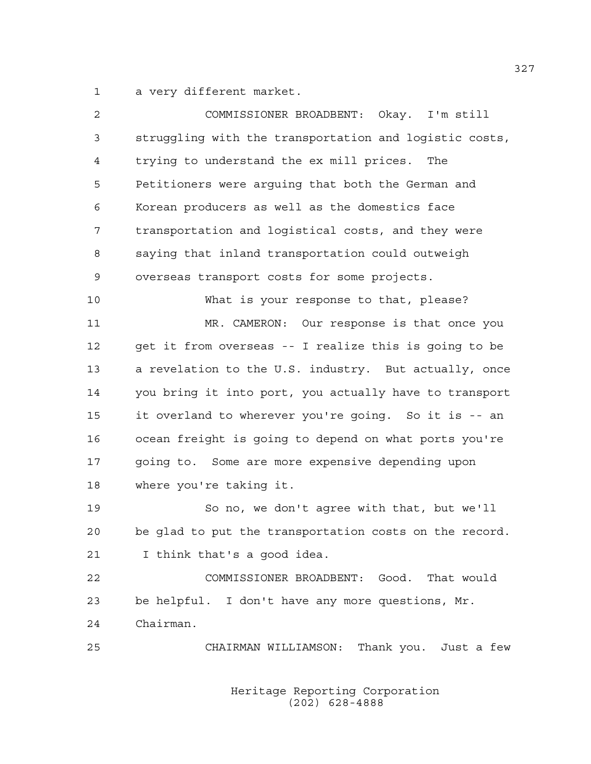1 a very different market.

| 2  | COMMISSIONER BROADBENT: Okay. I'm still                |
|----|--------------------------------------------------------|
| 3  | struggling with the transportation and logistic costs, |
| 4  | trying to understand the ex mill prices.<br>The        |
| 5  | Petitioners were arguing that both the German and      |
| 6  | Korean producers as well as the domestics face         |
| 7  | transportation and logistical costs, and they were     |
| 8  | saying that inland transportation could outweigh       |
| 9  | overseas transport costs for some projects.            |
| 10 | What is your response to that, please?                 |
| 11 | MR. CAMERON: Our response is that once you             |
| 12 | get it from overseas -- I realize this is going to be  |
| 13 | a revelation to the U.S. industry. But actually, once  |
| 14 | you bring it into port, you actually have to transport |
| 15 | it overland to wherever you're going. So it is -- an   |
| 16 | ocean freight is going to depend on what ports you're  |
| 17 | going to. Some are more expensive depending upon       |
| 18 | where you're taking it.                                |
| 19 | So no, we don't agree with that, but we'll             |
| 20 | be glad to put the transportation costs on the record. |
| 21 | I think that's a good idea.                            |
| 22 | COMMISSIONER BROADBENT: Good. That would               |
| 23 | be helpful. I don't have any more questions, Mr.       |
| 24 | Chairman.                                              |
| 25 | CHAIRMAN WILLIAMSON: Thank you. Just a few             |
|    |                                                        |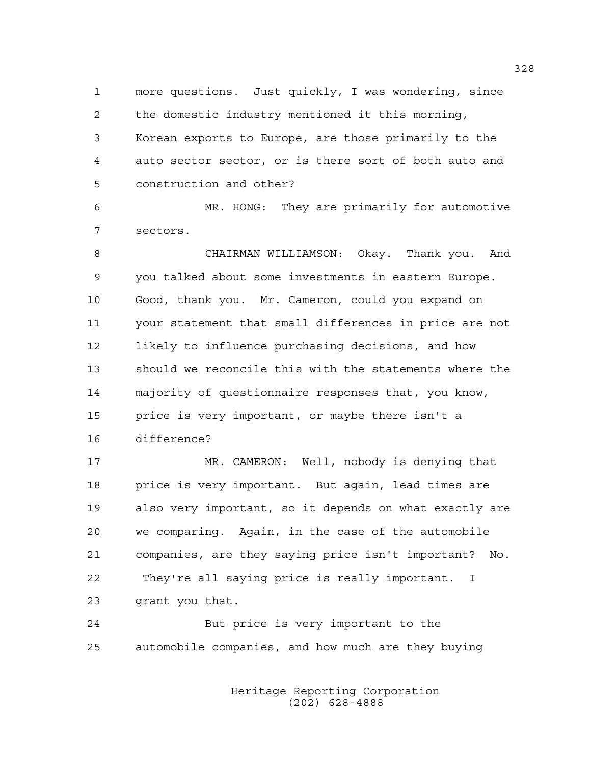1 more questions. Just quickly, I was wondering, since 2 the domestic industry mentioned it this morning, 3 Korean exports to Europe, are those primarily to the 4 auto sector sector, or is there sort of both auto and 5 construction and other?

6 MR. HONG: They are primarily for automotive 7 sectors.

8 CHAIRMAN WILLIAMSON: Okay. Thank you. And 9 you talked about some investments in eastern Europe. 10 Good, thank you. Mr. Cameron, could you expand on 11 your statement that small differences in price are not 12 likely to influence purchasing decisions, and how 13 should we reconcile this with the statements where the 14 majority of questionnaire responses that, you know, 15 price is very important, or maybe there isn't a 16 difference?

17 MR. CAMERON: Well, nobody is denying that 18 price is very important. But again, lead times are 19 also very important, so it depends on what exactly are 20 we comparing. Again, in the case of the automobile 21 companies, are they saying price isn't important? No. 22 They're all saying price is really important. I 23 grant you that.

24 But price is very important to the 25 automobile companies, and how much are they buying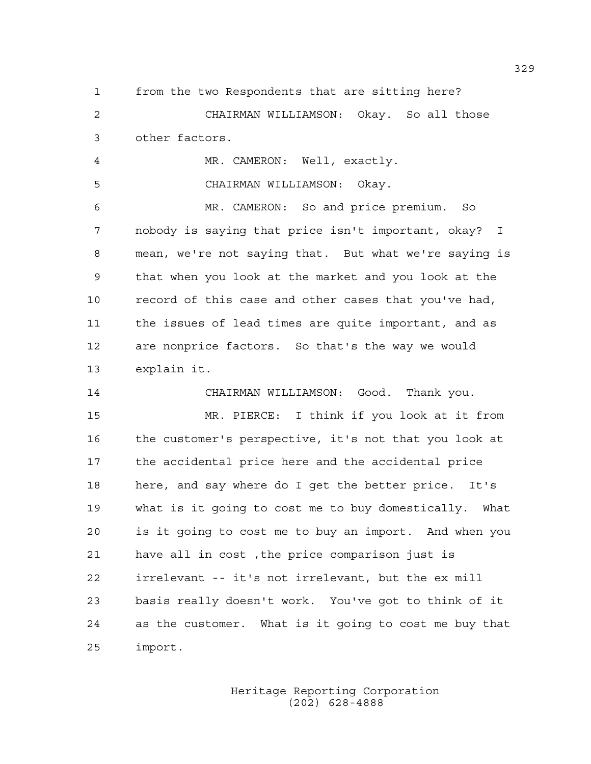1 from the two Respondents that are sitting here?

2 CHAIRMAN WILLIAMSON: Okay. So all those 3 other factors.

4 MR. CAMERON: Well, exactly.

5 CHAIRMAN WILLIAMSON: Okay.

6 MR. CAMERON: So and price premium. So 7 nobody is saying that price isn't important, okay? I 8 mean, we're not saying that. But what we're saying is 9 that when you look at the market and you look at the 10 record of this case and other cases that you've had, 11 the issues of lead times are quite important, and as 12 are nonprice factors. So that's the way we would 13 explain it.

14 CHAIRMAN WILLIAMSON: Good. Thank you. 15 MR. PIERCE: I think if you look at it from 16 the customer's perspective, it's not that you look at 17 the accidental price here and the accidental price 18 here, and say where do I get the better price. It's 19 what is it going to cost me to buy domestically. What 20 is it going to cost me to buy an import. And when you 21 have all in cost ,the price comparison just is 22 irrelevant -- it's not irrelevant, but the ex mill 23 basis really doesn't work. You've got to think of it 24 as the customer. What is it going to cost me buy that 25 import.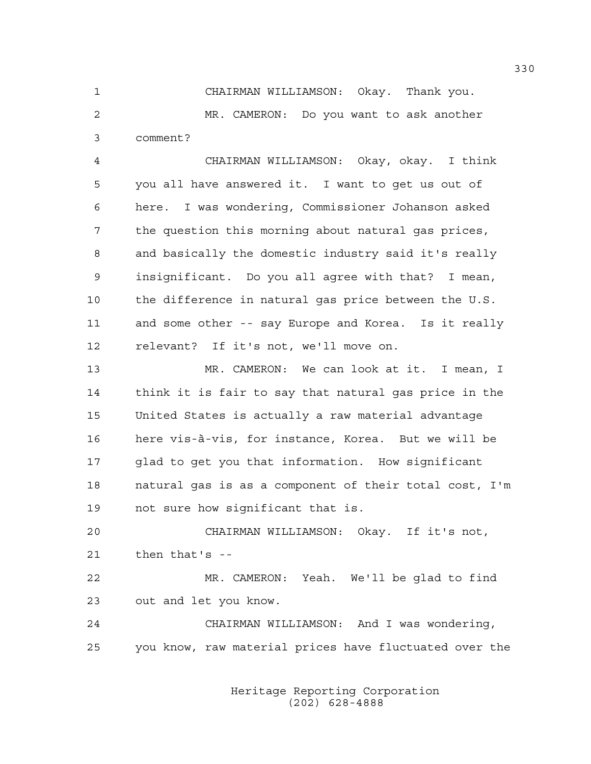1 CHAIRMAN WILLIAMSON: Okay. Thank you. 2 MR. CAMERON: Do you want to ask another 3 comment?

4 CHAIRMAN WILLIAMSON: Okay, okay. I think 5 you all have answered it. I want to get us out of 6 here. I was wondering, Commissioner Johanson asked 7 the question this morning about natural gas prices, 8 and basically the domestic industry said it's really 9 insignificant. Do you all agree with that? I mean, 10 the difference in natural gas price between the U.S. 11 and some other -- say Europe and Korea. Is it really 12 relevant? If it's not, we'll move on.

13 MR. CAMERON: We can look at it. I mean, I 14 think it is fair to say that natural gas price in the 15 United States is actually a raw material advantage 16 here vis-à-vis, for instance, Korea. But we will be 17 glad to get you that information. How significant 18 natural gas is as a component of their total cost, I'm 19 not sure how significant that is.

20 CHAIRMAN WILLIAMSON: Okay. If it's not, 21 then that's --

22 MR. CAMERON: Yeah. We'll be glad to find 23 out and let you know.

24 CHAIRMAN WILLIAMSON: And I was wondering, 25 you know, raw material prices have fluctuated over the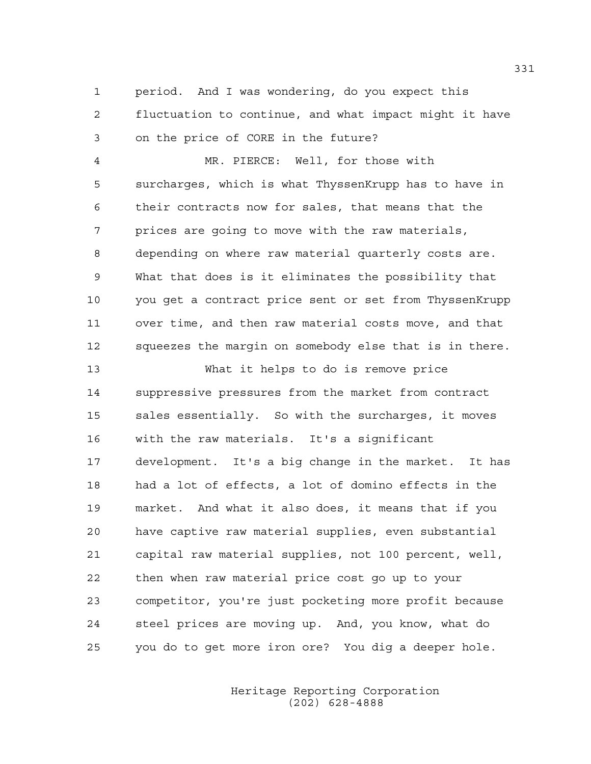1 period. And I was wondering, do you expect this 2 fluctuation to continue, and what impact might it have 3 on the price of CORE in the future?

4 MR. PIERCE: Well, for those with 5 surcharges, which is what ThyssenKrupp has to have in 6 their contracts now for sales, that means that the 7 prices are going to move with the raw materials, 8 depending on where raw material quarterly costs are. 9 What that does is it eliminates the possibility that 10 you get a contract price sent or set from ThyssenKrupp 11 over time, and then raw material costs move, and that 12 squeezes the margin on somebody else that is in there.

13 What it helps to do is remove price 14 suppressive pressures from the market from contract 15 sales essentially. So with the surcharges, it moves 16 with the raw materials. It's a significant 17 development. It's a big change in the market. It has 18 had a lot of effects, a lot of domino effects in the 19 market. And what it also does, it means that if you 20 have captive raw material supplies, even substantial 21 capital raw material supplies, not 100 percent, well, 22 then when raw material price cost go up to your 23 competitor, you're just pocketing more profit because 24 steel prices are moving up. And, you know, what do 25 you do to get more iron ore? You dig a deeper hole.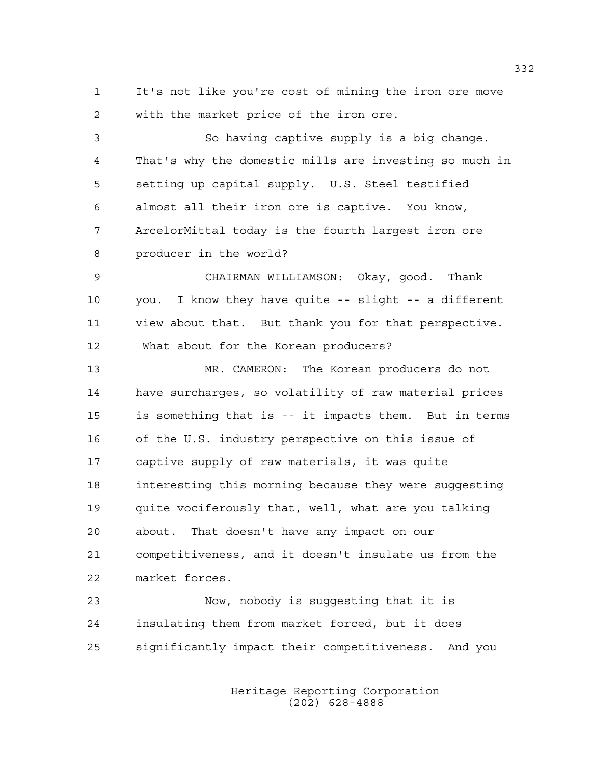1 It's not like you're cost of mining the iron ore move 2 with the market price of the iron ore.

3 So having captive supply is a big change. 4 That's why the domestic mills are investing so much in 5 setting up capital supply. U.S. Steel testified 6 almost all their iron ore is captive. You know, 7 ArcelorMittal today is the fourth largest iron ore 8 producer in the world? 9 CHAIRMAN WILLIAMSON: Okay, good. Thank 10 you. I know they have quite -- slight -- a different 11 view about that. But thank you for that perspective. 12 What about for the Korean producers? 13 MR. CAMERON: The Korean producers do not 14 have surcharges, so volatility of raw material prices 15 is something that is -- it impacts them. But in terms 16 of the U.S. industry perspective on this issue of 17 captive supply of raw materials, it was quite 18 interesting this morning because they were suggesting 19 quite vociferously that, well, what are you talking 20 about. That doesn't have any impact on our 21 competitiveness, and it doesn't insulate us from the 22 market forces. 23 Now, nobody is suggesting that it is

24 insulating them from market forced, but it does 25 significantly impact their competitiveness. And you

> Heritage Reporting Corporation (202) 628-4888

332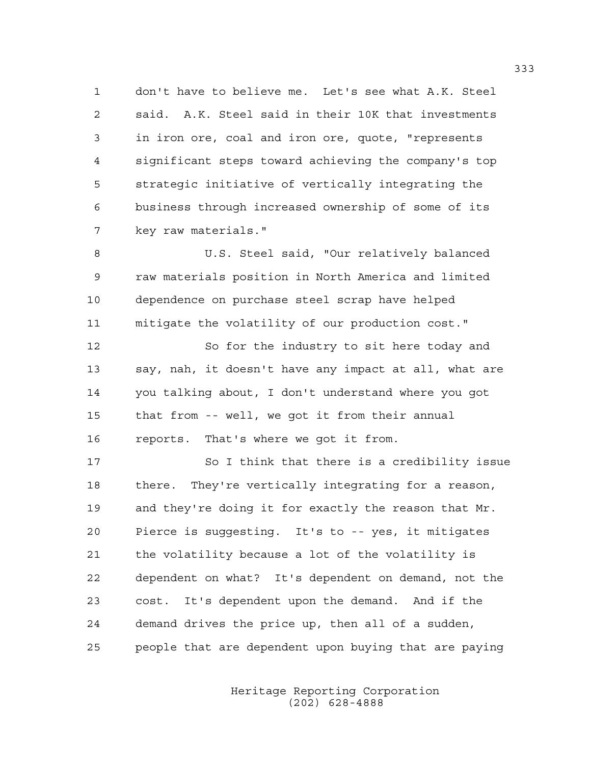1 don't have to believe me. Let's see what A.K. Steel 2 said. A.K. Steel said in their 10K that investments 3 in iron ore, coal and iron ore, quote, "represents 4 significant steps toward achieving the company's top 5 strategic initiative of vertically integrating the 6 business through increased ownership of some of its 7 key raw materials."

8 U.S. Steel said, "Our relatively balanced 9 raw materials position in North America and limited 10 dependence on purchase steel scrap have helped 11 mitigate the volatility of our production cost."

12 So for the industry to sit here today and 13 say, nah, it doesn't have any impact at all, what are 14 you talking about, I don't understand where you got 15 that from -- well, we got it from their annual 16 reports. That's where we got it from.

17 So I think that there is a credibility issue 18 there. They're vertically integrating for a reason, 19 and they're doing it for exactly the reason that Mr. 20 Pierce is suggesting. It's to -- yes, it mitigates 21 the volatility because a lot of the volatility is 22 dependent on what? It's dependent on demand, not the 23 cost. It's dependent upon the demand. And if the 24 demand drives the price up, then all of a sudden, 25 people that are dependent upon buying that are paying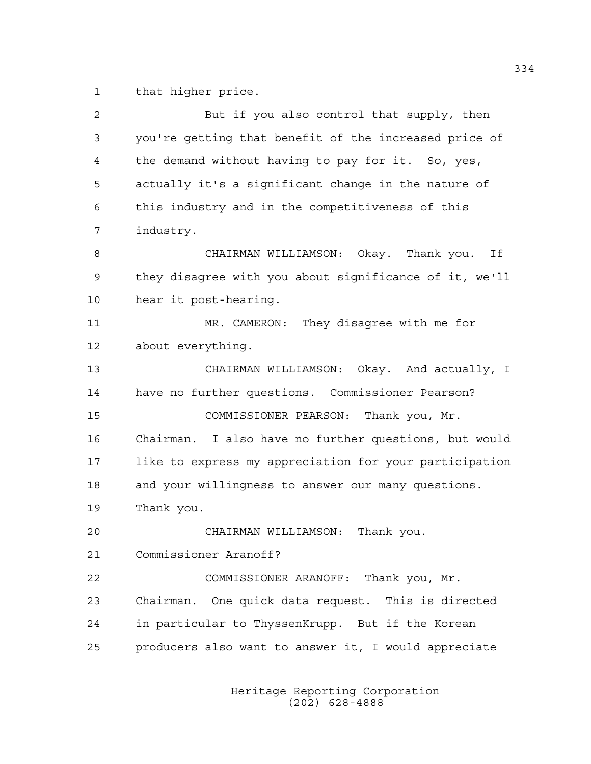1 that higher price.

| $\overline{2}$ | But if you also control that supply, then              |
|----------------|--------------------------------------------------------|
| 3              | you're getting that benefit of the increased price of  |
| 4              | the demand without having to pay for it. So, yes,      |
| 5              | actually it's a significant change in the nature of    |
| 6              | this industry and in the competitiveness of this       |
| 7              | industry.                                              |
| 8              | CHAIRMAN WILLIAMSON: Okay. Thank you.<br>Ιf            |
| 9              | they disagree with you about significance of it, we'll |
| 10             | hear it post-hearing.                                  |
| 11             | MR. CAMERON: They disagree with me for                 |
| 12             | about everything.                                      |
| 13             | CHAIRMAN WILLIAMSON: Okay. And actually, I             |
| 14             | have no further questions. Commissioner Pearson?       |
| 15             | COMMISSIONER PEARSON: Thank you, Mr.                   |
| 16             | Chairman. I also have no further questions, but would  |
| 17             | like to express my appreciation for your participation |
| 18             | and your willingness to answer our many questions.     |
| 19             | Thank you.                                             |
| 20             | CHAIRMAN WILLIAMSON:<br>Thank you.                     |
| 21             | Commissioner Aranoff?                                  |
| 22             | COMMISSIONER ARANOFF: Thank you, Mr.                   |
| 23             | Chairman. One quick data request. This is directed     |
| 24             | in particular to ThyssenKrupp. But if the Korean       |
| 25             | producers also want to answer it, I would appreciate   |
|                |                                                        |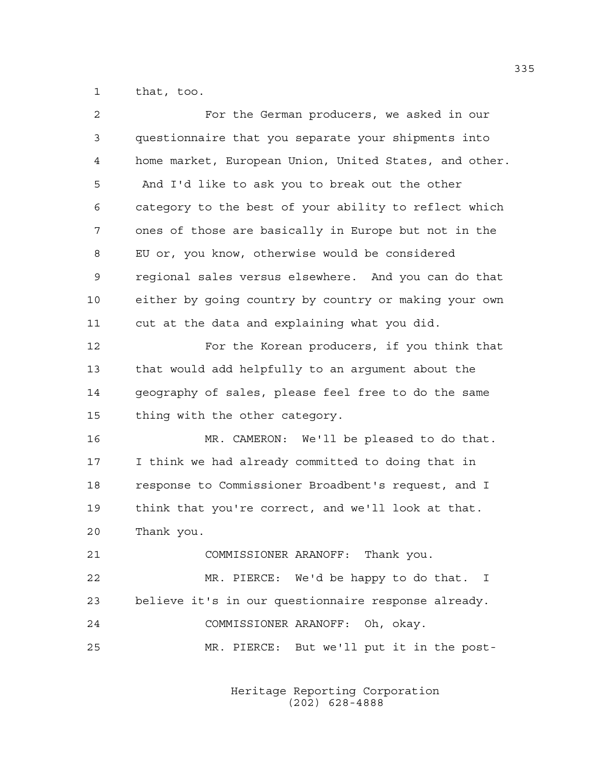1 that, too.

| $\overline{2}$ | For the German producers, we asked in our              |
|----------------|--------------------------------------------------------|
| 3              | questionnaire that you separate your shipments into    |
| $\overline{4}$ | home market, European Union, United States, and other. |
| 5              | And I'd like to ask you to break out the other         |
| 6              | category to the best of your ability to reflect which  |
| 7              | ones of those are basically in Europe but not in the   |
| 8              | EU or, you know, otherwise would be considered         |
| $\mathsf 9$    | regional sales versus elsewhere. And you can do that   |
| 10             | either by going country by country or making your own  |
| 11             | cut at the data and explaining what you did.           |
| 12             | For the Korean producers, if you think that            |
| 13             | that would add helpfully to an argument about the      |
| 14             | geography of sales, please feel free to do the same    |
| 15             | thing with the other category.                         |
| 16             | MR. CAMERON: We'll be pleased to do that.              |
| 17             | I think we had already committed to doing that in      |
| 18             | response to Commissioner Broadbent's request, and I    |
| 19             | think that you're correct, and we'll look at that.     |
| 20             | Thank you.                                             |
| 21             | COMMISSIONER ARANOFF: Thank you.                       |
| 22             | MR. PIERCE: We'd be happy to do that. I                |
| 23             | believe it's in our questionnaire response already.    |
| 24             | COMMISSIONER ARANOFF: Oh, okay.                        |
| 25             | MR. PIERCE: But we'll put it in the post-              |
|                |                                                        |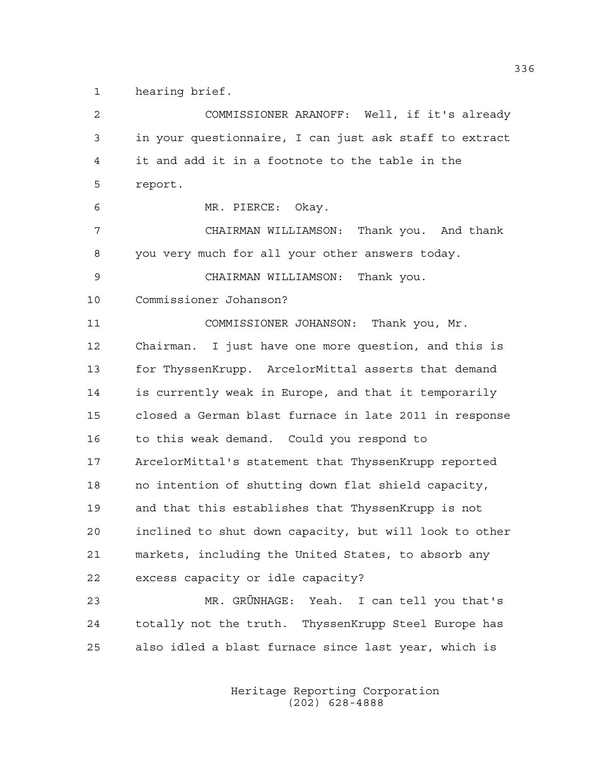1 hearing brief.

2 COMMISSIONER ARANOFF: Well, if it's already 3 in your questionnaire, I can just ask staff to extract 4 it and add it in a footnote to the table in the 5 report. 6 MR. PIERCE: Okay. 7 CHAIRMAN WILLIAMSON: Thank you. And thank 8 you very much for all your other answers today. 9 CHAIRMAN WILLIAMSON: Thank you. 10 Commissioner Johanson? 11 COMMISSIONER JOHANSON: Thank you, Mr. 12 Chairman. I just have one more question, and this is 13 for ThyssenKrupp. ArcelorMittal asserts that demand 14 is currently weak in Europe, and that it temporarily 15 closed a German blast furnace in late 2011 in response 16 to this weak demand. Could you respond to 17 ArcelorMittal's statement that ThyssenKrupp reported 18 no intention of shutting down flat shield capacity, 19 and that this establishes that ThyssenKrupp is not 20 inclined to shut down capacity, but will look to other 21 markets, including the United States, to absorb any 22 excess capacity or idle capacity? 23 MR. GRÜNHAGE: Yeah. I can tell you that's 24 totally not the truth. ThyssenKrupp Steel Europe has 25 also idled a blast furnace since last year, which is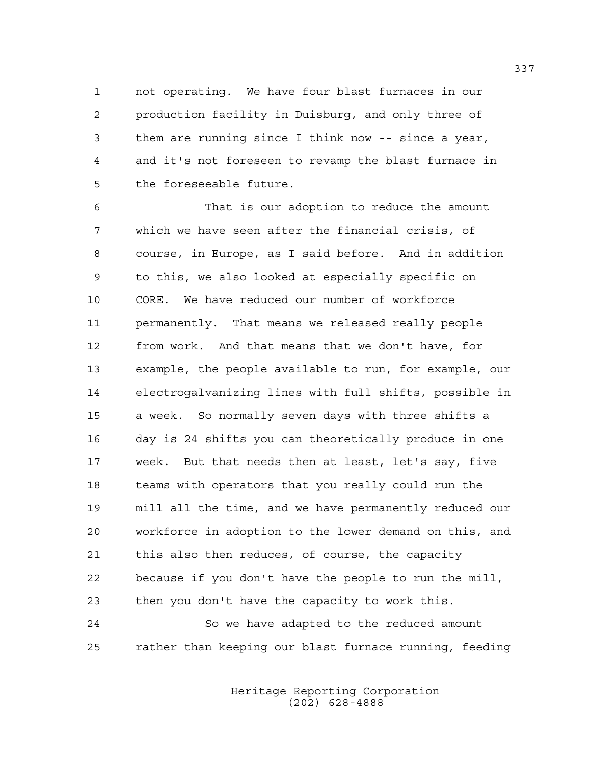1 not operating. We have four blast furnaces in our 2 production facility in Duisburg, and only three of 3 them are running since I think now -- since a year, 4 and it's not foreseen to revamp the blast furnace in 5 the foreseeable future.

6 That is our adoption to reduce the amount 7 which we have seen after the financial crisis, of 8 course, in Europe, as I said before. And in addition 9 to this, we also looked at especially specific on 10 CORE. We have reduced our number of workforce 11 permanently. That means we released really people 12 from work. And that means that we don't have, for 13 example, the people available to run, for example, our 14 electrogalvanizing lines with full shifts, possible in 15 a week. So normally seven days with three shifts a 16 day is 24 shifts you can theoretically produce in one 17 week. But that needs then at least, let's say, five 18 teams with operators that you really could run the 19 mill all the time, and we have permanently reduced our 20 workforce in adoption to the lower demand on this, and 21 this also then reduces, of course, the capacity 22 because if you don't have the people to run the mill, 23 then you don't have the capacity to work this. 24 So we have adapted to the reduced amount

25 rather than keeping our blast furnace running, feeding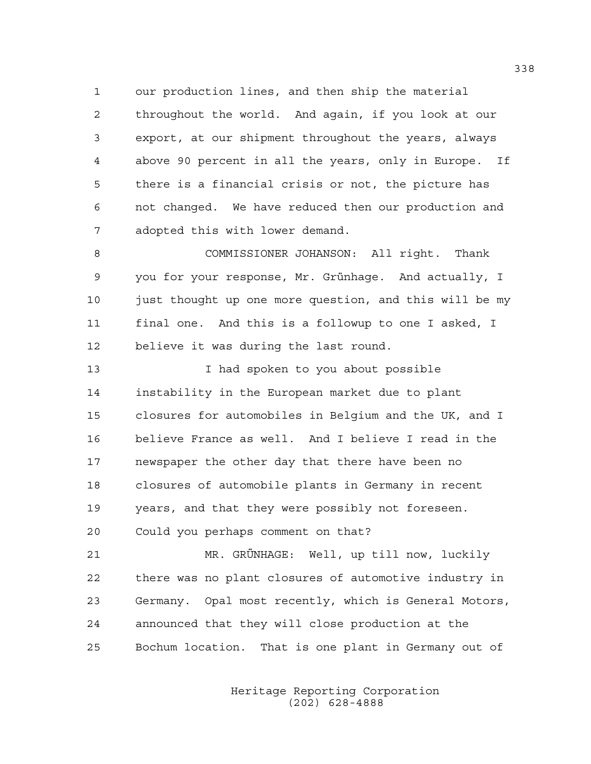1 our production lines, and then ship the material 2 throughout the world. And again, if you look at our 3 export, at our shipment throughout the years, always 4 above 90 percent in all the years, only in Europe. If 5 there is a financial crisis or not, the picture has 6 not changed. We have reduced then our production and 7 adopted this with lower demand.

8 COMMISSIONER JOHANSON: All right. Thank 9 you for your response, Mr. Grünhage. And actually, I 10 just thought up one more question, and this will be my 11 final one. And this is a followup to one I asked, I 12 believe it was during the last round.

13 I had spoken to you about possible 14 instability in the European market due to plant 15 closures for automobiles in Belgium and the UK, and I 16 believe France as well. And I believe I read in the 17 newspaper the other day that there have been no 18 closures of automobile plants in Germany in recent 19 years, and that they were possibly not foreseen. 20 Could you perhaps comment on that?

21 MR. GRÜNHAGE: Well, up till now, luckily 22 there was no plant closures of automotive industry in 23 Germany. Opal most recently, which is General Motors, 24 announced that they will close production at the 25 Bochum location. That is one plant in Germany out of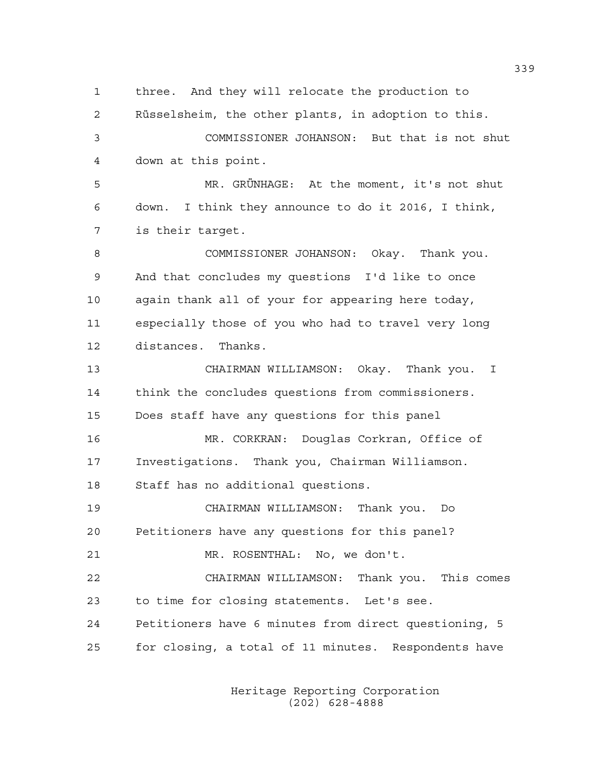1 three. And they will relocate the production to 2 Rüsselsheim, the other plants, in adoption to this. 3 COMMISSIONER JOHANSON: But that is not shut 4 down at this point. 5 MR. GRÜNHAGE: At the moment, it's not shut 6 down. I think they announce to do it 2016, I think, 7 is their target. 8 COMMISSIONER JOHANSON: Okay. Thank you. 9 And that concludes my questions I'd like to once 10 again thank all of your for appearing here today, 11 especially those of you who had to travel very long 12 distances. Thanks. 13 CHAIRMAN WILLIAMSON: Okay. Thank you. I 14 think the concludes questions from commissioners. 15 Does staff have any questions for this panel 16 MR. CORKRAN: Douglas Corkran, Office of 17 Investigations. Thank you, Chairman Williamson. 18 Staff has no additional questions. 19 CHAIRMAN WILLIAMSON: Thank you. Do 20 Petitioners have any questions for this panel? 21 MR. ROSENTHAL: No, we don't. 22 CHAIRMAN WILLIAMSON: Thank you. This comes 23 to time for closing statements. Let's see. 24 Petitioners have 6 minutes from direct questioning, 5 25 for closing, a total of 11 minutes. Respondents have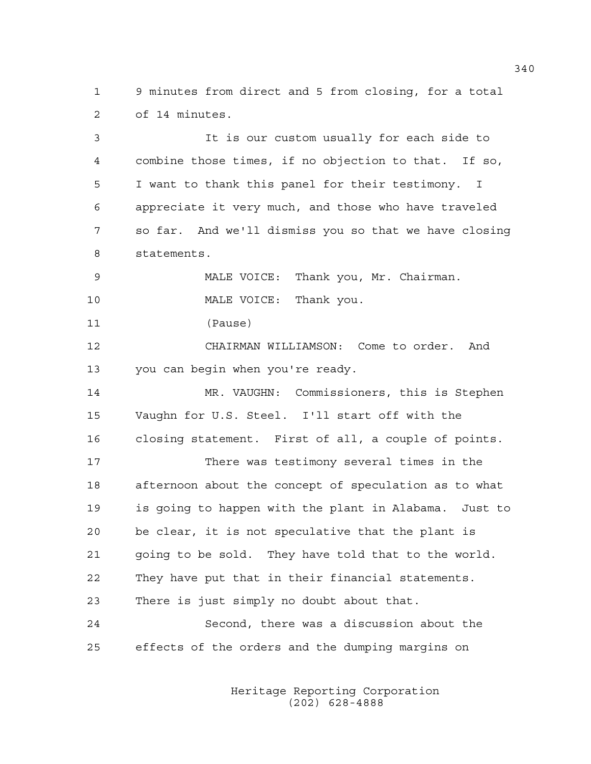1 9 minutes from direct and 5 from closing, for a total 2 of 14 minutes.

3 It is our custom usually for each side to 4 combine those times, if no objection to that. If so, 5 I want to thank this panel for their testimony. I 6 appreciate it very much, and those who have traveled 7 so far. And we'll dismiss you so that we have closing 8 statements. 9 MALE VOICE: Thank you, Mr. Chairman. 10 MALE VOICE: Thank you. 11 (Pause) 12 CHAIRMAN WILLIAMSON: Come to order. And 13 you can begin when you're ready. 14 MR. VAUGHN: Commissioners, this is Stephen 15 Vaughn for U.S. Steel. I'll start off with the 16 closing statement. First of all, a couple of points. 17 There was testimony several times in the 18 afternoon about the concept of speculation as to what 19 is going to happen with the plant in Alabama. Just to 20 be clear, it is not speculative that the plant is 21 going to be sold. They have told that to the world. 22 They have put that in their financial statements. 23 There is just simply no doubt about that. 24 Second, there was a discussion about the 25 effects of the orders and the dumping margins on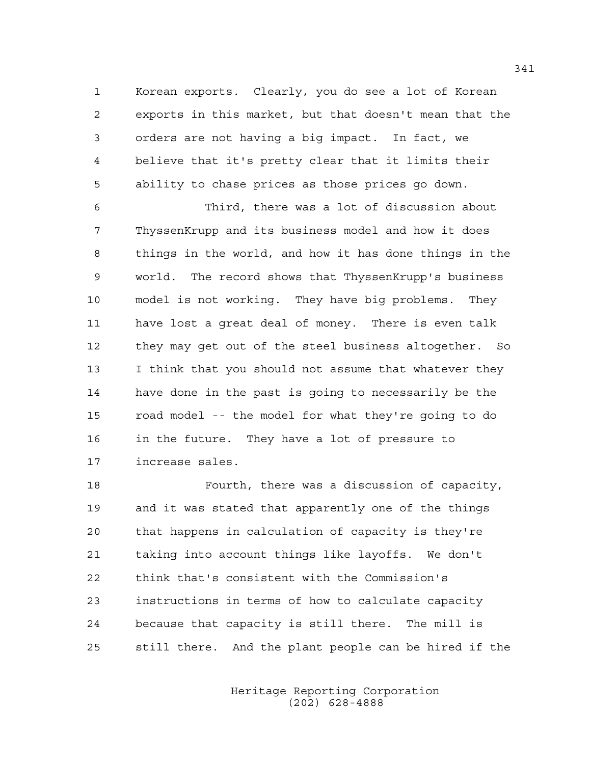1 Korean exports. Clearly, you do see a lot of Korean 2 exports in this market, but that doesn't mean that the 3 orders are not having a big impact. In fact, we 4 believe that it's pretty clear that it limits their 5 ability to chase prices as those prices go down.

6 Third, there was a lot of discussion about 7 ThyssenKrupp and its business model and how it does 8 things in the world, and how it has done things in the 9 world. The record shows that ThyssenKrupp's business 10 model is not working. They have big problems. They 11 have lost a great deal of money. There is even talk 12 they may get out of the steel business altogether. So 13 I think that you should not assume that whatever they 14 have done in the past is going to necessarily be the 15 road model -- the model for what they're going to do 16 in the future. They have a lot of pressure to 17 increase sales.

18 Fourth, there was a discussion of capacity, 19 and it was stated that apparently one of the things 20 that happens in calculation of capacity is they're 21 taking into account things like layoffs. We don't 22 think that's consistent with the Commission's 23 instructions in terms of how to calculate capacity 24 because that capacity is still there. The mill is 25 still there. And the plant people can be hired if the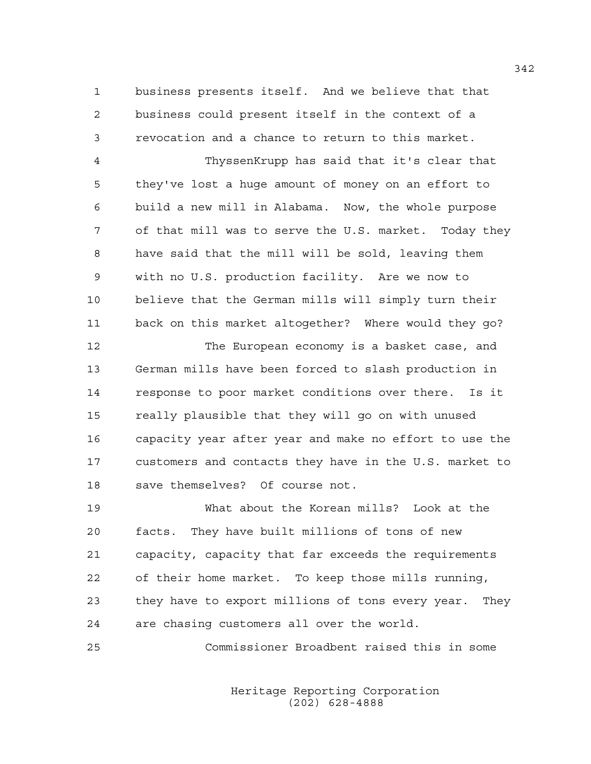1 business presents itself. And we believe that that 2 business could present itself in the context of a 3 revocation and a chance to return to this market.

4 ThyssenKrupp has said that it's clear that 5 they've lost a huge amount of money on an effort to 6 build a new mill in Alabama. Now, the whole purpose 7 of that mill was to serve the U.S. market. Today they 8 have said that the mill will be sold, leaving them 9 with no U.S. production facility. Are we now to 10 believe that the German mills will simply turn their 11 back on this market altogether? Where would they go?

12 The European economy is a basket case, and 13 German mills have been forced to slash production in 14 response to poor market conditions over there. Is it 15 really plausible that they will go on with unused 16 capacity year after year and make no effort to use the 17 customers and contacts they have in the U.S. market to 18 save themselves? Of course not.

19 What about the Korean mills? Look at the 20 facts. They have built millions of tons of new 21 capacity, capacity that far exceeds the requirements 22 of their home market. To keep those mills running, 23 they have to export millions of tons every year. They 24 are chasing customers all over the world.

25 Commissioner Broadbent raised this in some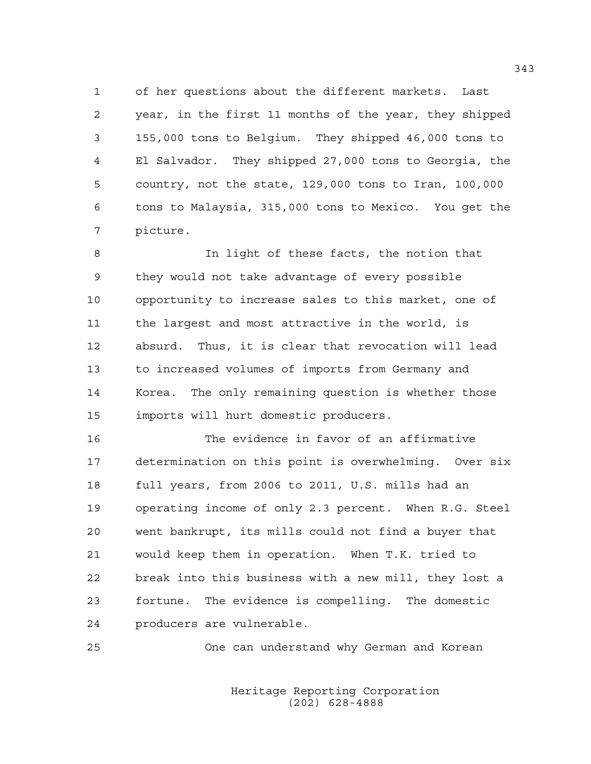1 of her questions about the different markets. Last 2 year, in the first 11 months of the year, they shipped 3 155,000 tons to Belgium. They shipped 46,000 tons to 4 El Salvador. They shipped 27,000 tons to Georgia, the 5 country, not the state, 129,000 tons to Iran, 100,000 6 tons to Malaysia, 315,000 tons to Mexico. You get the 7 picture.

8 In light of these facts, the notion that 9 they would not take advantage of every possible 10 opportunity to increase sales to this market, one of 11 the largest and most attractive in the world, is 12 absurd. Thus, it is clear that revocation will lead 13 to increased volumes of imports from Germany and 14 Korea. The only remaining question is whether those 15 imports will hurt domestic producers.

16 The evidence in favor of an affirmative 17 determination on this point is overwhelming. Over six 18 full years, from 2006 to 2011, U.S. mills had an 19 operating income of only 2.3 percent. When R.G. Steel 20 went bankrupt, its mills could not find a buyer that 21 would keep them in operation. When T.K. tried to 22 break into this business with a new mill, they lost a 23 fortune. The evidence is compelling. The domestic 24 producers are vulnerable.

25 One can understand why German and Korean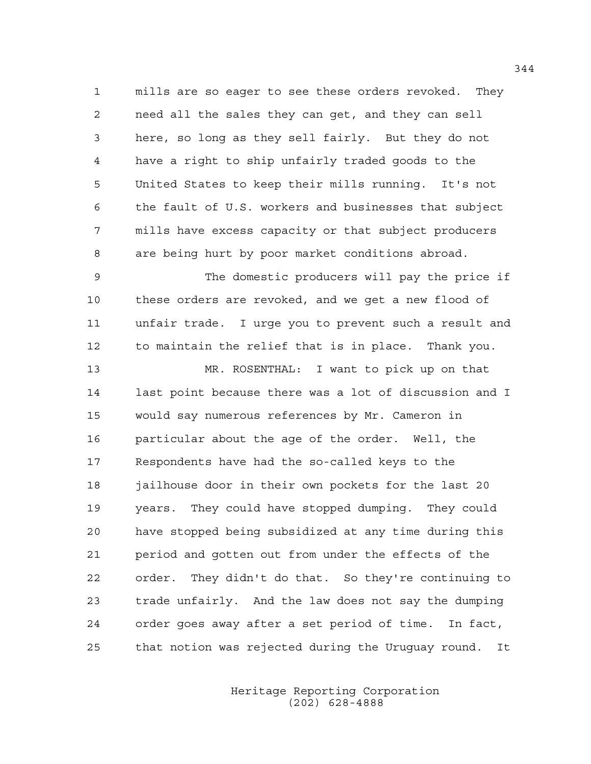1 mills are so eager to see these orders revoked. They 2 need all the sales they can get, and they can sell 3 here, so long as they sell fairly. But they do not 4 have a right to ship unfairly traded goods to the 5 United States to keep their mills running. It's not 6 the fault of U.S. workers and businesses that subject 7 mills have excess capacity or that subject producers 8 are being hurt by poor market conditions abroad.

9 The domestic producers will pay the price if 10 these orders are revoked, and we get a new flood of 11 unfair trade. I urge you to prevent such a result and 12 to maintain the relief that is in place. Thank you.

13 MR. ROSENTHAL: I want to pick up on that 14 last point because there was a lot of discussion and I 15 would say numerous references by Mr. Cameron in 16 particular about the age of the order. Well, the 17 Respondents have had the so-called keys to the 18 jailhouse door in their own pockets for the last 20 19 years. They could have stopped dumping. They could 20 have stopped being subsidized at any time during this 21 period and gotten out from under the effects of the 22 order. They didn't do that. So they're continuing to 23 trade unfairly. And the law does not say the dumping 24 order goes away after a set period of time. In fact, 25 that notion was rejected during the Uruguay round. It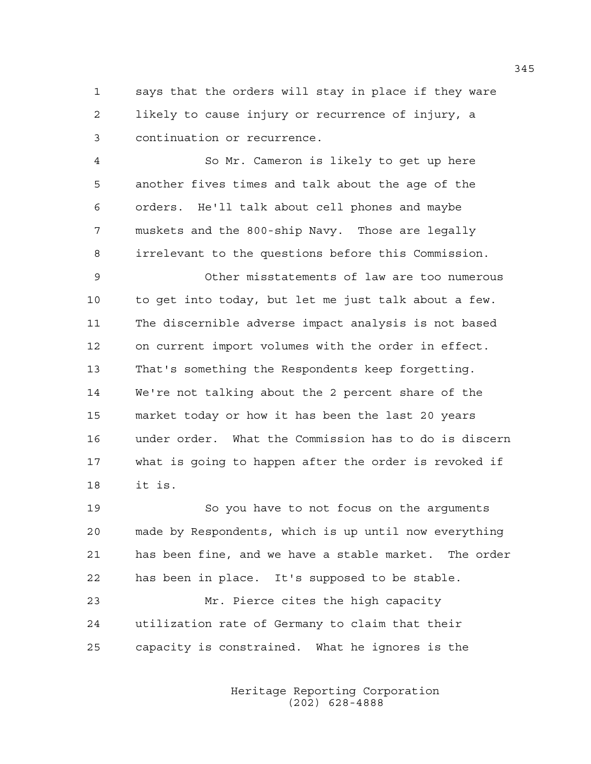1 says that the orders will stay in place if they ware 2 likely to cause injury or recurrence of injury, a 3 continuation or recurrence.

4 So Mr. Cameron is likely to get up here 5 another fives times and talk about the age of the 6 orders. He'll talk about cell phones and maybe 7 muskets and the 800-ship Navy. Those are legally 8 irrelevant to the questions before this Commission.

9 Other misstatements of law are too numerous 10 to get into today, but let me just talk about a few. 11 The discernible adverse impact analysis is not based 12 on current import volumes with the order in effect. 13 That's something the Respondents keep forgetting. 14 We're not talking about the 2 percent share of the 15 market today or how it has been the last 20 years 16 under order. What the Commission has to do is discern 17 what is going to happen after the order is revoked if 18 it is.

19 So you have to not focus on the arguments 20 made by Respondents, which is up until now everything 21 has been fine, and we have a stable market. The order 22 has been in place. It's supposed to be stable.

23 Mr. Pierce cites the high capacity 24 utilization rate of Germany to claim that their 25 capacity is constrained. What he ignores is the

> Heritage Reporting Corporation (202) 628-4888

345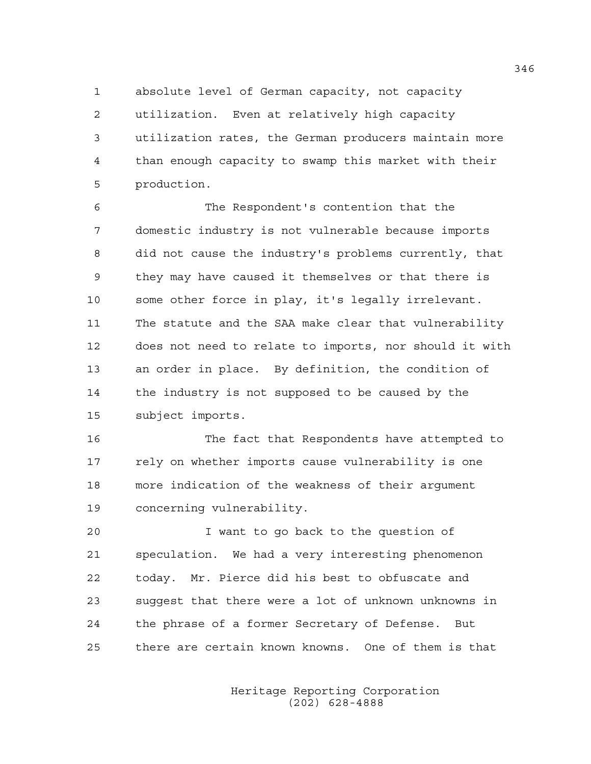1 absolute level of German capacity, not capacity 2 utilization. Even at relatively high capacity 3 utilization rates, the German producers maintain more 4 than enough capacity to swamp this market with their 5 production.

6 The Respondent's contention that the 7 domestic industry is not vulnerable because imports 8 did not cause the industry's problems currently, that 9 they may have caused it themselves or that there is 10 some other force in play, it's legally irrelevant. 11 The statute and the SAA make clear that vulnerability 12 does not need to relate to imports, nor should it with 13 an order in place. By definition, the condition of 14 the industry is not supposed to be caused by the 15 subject imports.

16 The fact that Respondents have attempted to 17 rely on whether imports cause vulnerability is one 18 more indication of the weakness of their argument 19 concerning vulnerability.

20 I want to go back to the question of 21 speculation. We had a very interesting phenomenon 22 today. Mr. Pierce did his best to obfuscate and 23 suggest that there were a lot of unknown unknowns in 24 the phrase of a former Secretary of Defense. But 25 there are certain known knowns. One of them is that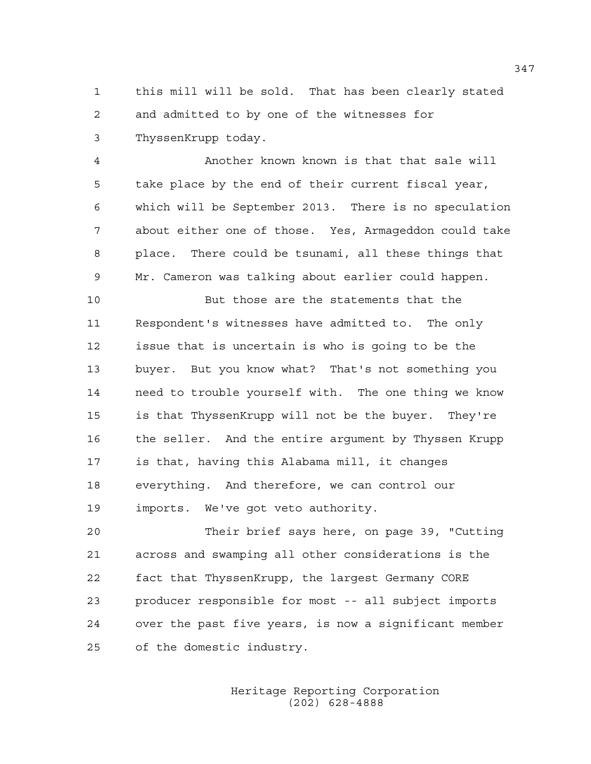1 this mill will be sold. That has been clearly stated 2 and admitted to by one of the witnesses for 3 ThyssenKrupp today.

4 Another known known is that that sale will 5 take place by the end of their current fiscal year, 6 which will be September 2013. There is no speculation 7 about either one of those. Yes, Armageddon could take 8 place. There could be tsunami, all these things that 9 Mr. Cameron was talking about earlier could happen.

10 But those are the statements that the 11 Respondent's witnesses have admitted to. The only 12 issue that is uncertain is who is going to be the 13 buyer. But you know what? That's not something you 14 need to trouble yourself with. The one thing we know 15 is that ThyssenKrupp will not be the buyer. They're 16 the seller. And the entire argument by Thyssen Krupp 17 is that, having this Alabama mill, it changes 18 everything. And therefore, we can control our 19 imports. We've got veto authority.

20 Their brief says here, on page 39, "Cutting 21 across and swamping all other considerations is the 22 fact that ThyssenKrupp, the largest Germany CORE 23 producer responsible for most -- all subject imports 24 over the past five years, is now a significant member 25 of the domestic industry.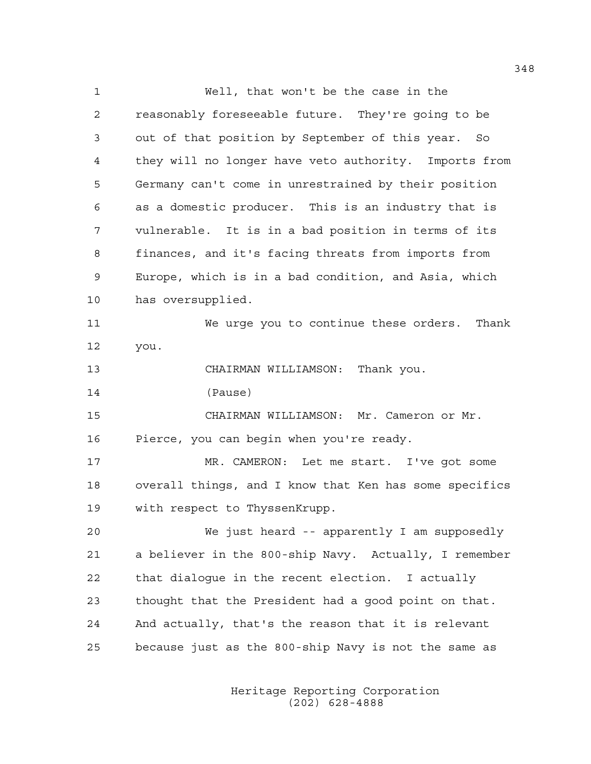1 Well, that won't be the case in the 2 reasonably foreseeable future. They're going to be 3 out of that position by September of this year. So 4 they will no longer have veto authority. Imports from 5 Germany can't come in unrestrained by their position 6 as a domestic producer. This is an industry that is 7 vulnerable. It is in a bad position in terms of its 8 finances, and it's facing threats from imports from 9 Europe, which is in a bad condition, and Asia, which 10 has oversupplied. 11 We urge you to continue these orders. Thank 12 you. 13 CHAIRMAN WILLIAMSON: Thank you. 14 (Pause) 15 CHAIRMAN WILLIAMSON: Mr. Cameron or Mr. 16 Pierce, you can begin when you're ready. 17 MR. CAMERON: Let me start. I've got some 18 overall things, and I know that Ken has some specifics 19 with respect to ThyssenKrupp. 20 We just heard -- apparently I am supposedly 21 a believer in the 800-ship Navy. Actually, I remember 22 that dialogue in the recent election. I actually 23 thought that the President had a good point on that. 24 And actually, that's the reason that it is relevant 25 because just as the 800-ship Navy is not the same as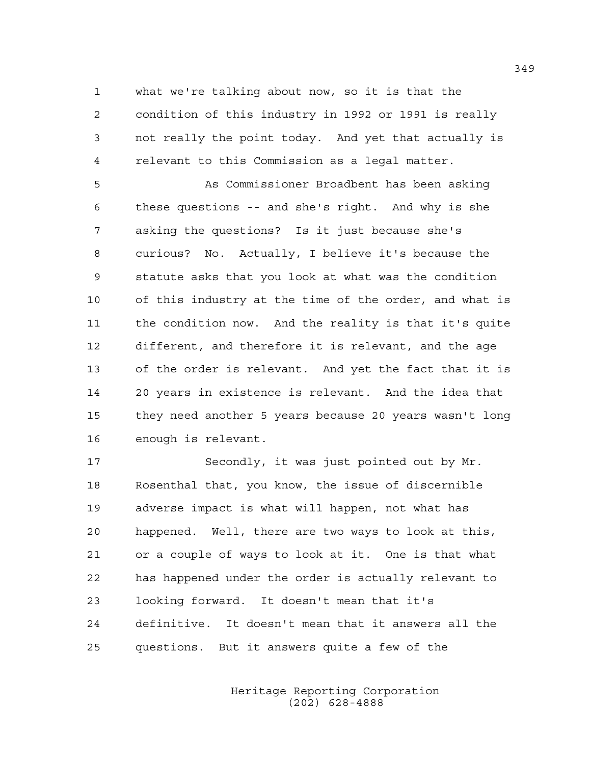1 what we're talking about now, so it is that the 2 condition of this industry in 1992 or 1991 is really 3 not really the point today. And yet that actually is 4 relevant to this Commission as a legal matter.

5 As Commissioner Broadbent has been asking 6 these questions -- and she's right. And why is she 7 asking the questions? Is it just because she's 8 curious? No. Actually, I believe it's because the 9 statute asks that you look at what was the condition 10 of this industry at the time of the order, and what is 11 the condition now. And the reality is that it's quite 12 different, and therefore it is relevant, and the age 13 of the order is relevant. And yet the fact that it is 14 20 years in existence is relevant. And the idea that 15 they need another 5 years because 20 years wasn't long 16 enough is relevant.

17 Secondly, it was just pointed out by Mr. 18 Rosenthal that, you know, the issue of discernible 19 adverse impact is what will happen, not what has 20 happened. Well, there are two ways to look at this, 21 or a couple of ways to look at it. One is that what 22 has happened under the order is actually relevant to 23 looking forward. It doesn't mean that it's 24 definitive. It doesn't mean that it answers all the 25 questions. But it answers quite a few of the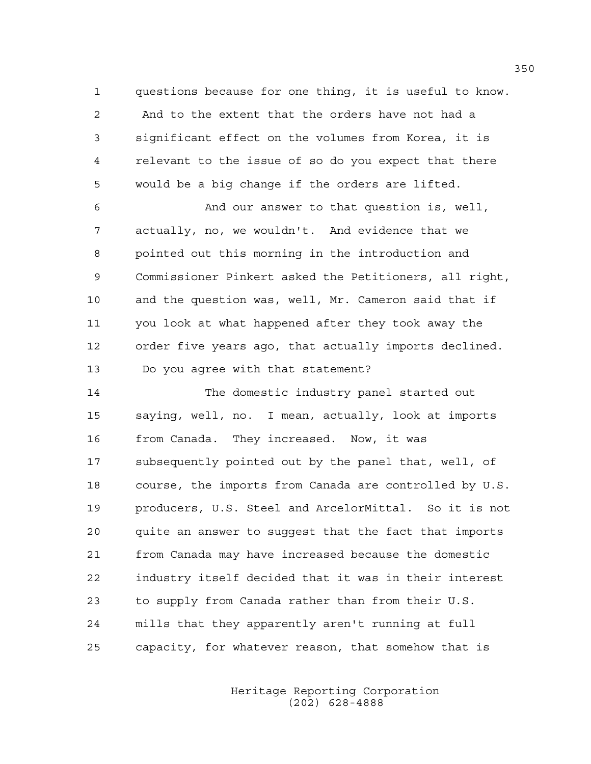1 questions because for one thing, it is useful to know. 2 And to the extent that the orders have not had a 3 significant effect on the volumes from Korea, it is 4 relevant to the issue of so do you expect that there 5 would be a big change if the orders are lifted.

6 And our answer to that question is, well, 7 actually, no, we wouldn't. And evidence that we 8 pointed out this morning in the introduction and 9 Commissioner Pinkert asked the Petitioners, all right, 10 and the question was, well, Mr. Cameron said that if 11 you look at what happened after they took away the 12 order five years ago, that actually imports declined. 13 Do you agree with that statement?

14 The domestic industry panel started out 15 saying, well, no. I mean, actually, look at imports 16 from Canada. They increased. Now, it was 17 subsequently pointed out by the panel that, well, of 18 course, the imports from Canada are controlled by U.S. 19 producers, U.S. Steel and ArcelorMittal. So it is not 20 quite an answer to suggest that the fact that imports 21 from Canada may have increased because the domestic 22 industry itself decided that it was in their interest 23 to supply from Canada rather than from their U.S. 24 mills that they apparently aren't running at full 25 capacity, for whatever reason, that somehow that is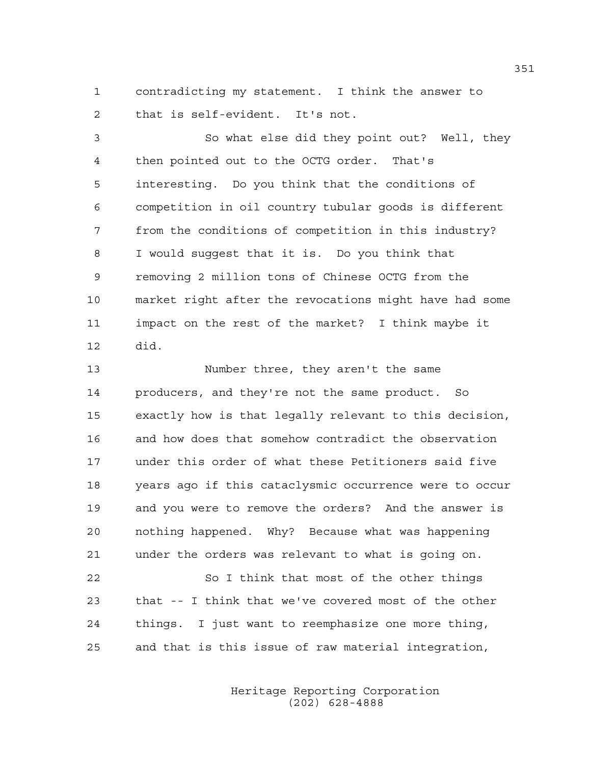1 contradicting my statement. I think the answer to 2 that is self-evident. It's not.

3 So what else did they point out? Well, they 4 then pointed out to the OCTG order. That's 5 interesting. Do you think that the conditions of 6 competition in oil country tubular goods is different 7 from the conditions of competition in this industry? 8 I would suggest that it is. Do you think that 9 removing 2 million tons of Chinese OCTG from the 10 market right after the revocations might have had some 11 impact on the rest of the market? I think maybe it 12 did.

13 Number three, they aren't the same 14 producers, and they're not the same product. So 15 exactly how is that legally relevant to this decision, 16 and how does that somehow contradict the observation 17 under this order of what these Petitioners said five 18 years ago if this cataclysmic occurrence were to occur 19 and you were to remove the orders? And the answer is 20 nothing happened. Why? Because what was happening 21 under the orders was relevant to what is going on.

22 So I think that most of the other things 23 that -- I think that we've covered most of the other 24 things. I just want to reemphasize one more thing, 25 and that is this issue of raw material integration,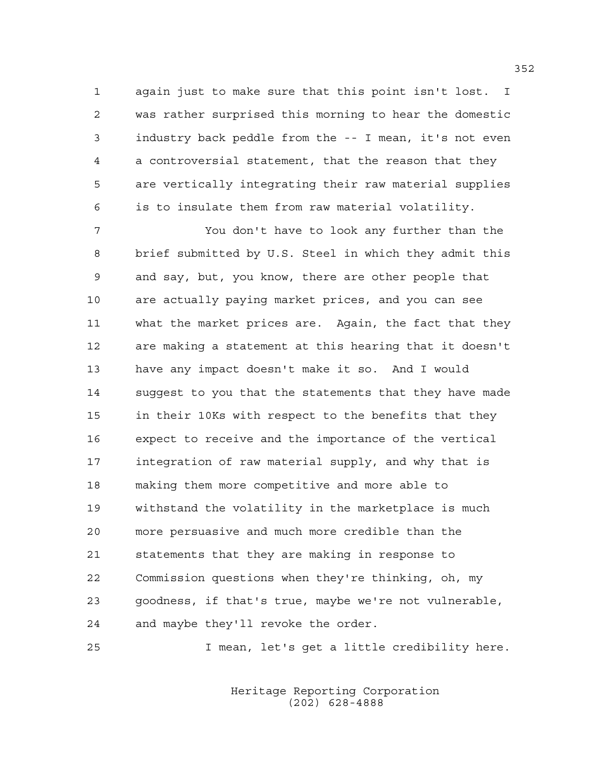1 again just to make sure that this point isn't lost. I 2 was rather surprised this morning to hear the domestic 3 industry back peddle from the -- I mean, it's not even 4 a controversial statement, that the reason that they 5 are vertically integrating their raw material supplies 6 is to insulate them from raw material volatility.

7 You don't have to look any further than the 8 brief submitted by U.S. Steel in which they admit this 9 and say, but, you know, there are other people that 10 are actually paying market prices, and you can see 11 what the market prices are. Again, the fact that they 12 are making a statement at this hearing that it doesn't 13 have any impact doesn't make it so. And I would 14 suggest to you that the statements that they have made 15 in their 10Ks with respect to the benefits that they 16 expect to receive and the importance of the vertical 17 integration of raw material supply, and why that is 18 making them more competitive and more able to 19 withstand the volatility in the marketplace is much 20 more persuasive and much more credible than the 21 statements that they are making in response to 22 Commission questions when they're thinking, oh, my 23 goodness, if that's true, maybe we're not vulnerable, 24 and maybe they'll revoke the order.

25 I mean, let's get a little credibility here.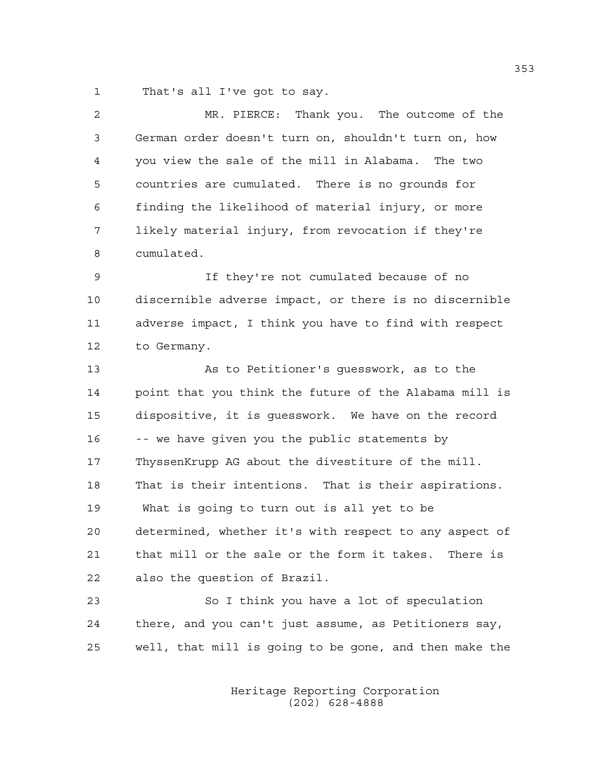1 That's all I've got to say.

| 2  | MR. PIERCE: Thank you. The outcome of the              |
|----|--------------------------------------------------------|
| 3  | German order doesn't turn on, shouldn't turn on, how   |
| 4  | you view the sale of the mill in Alabama. The two      |
| 5  | countries are cumulated. There is no grounds for       |
| 6  | finding the likelihood of material injury, or more     |
| 7  | likely material injury, from revocation if they're     |
| 8  | cumulated.                                             |
| 9  | If they're not cumulated because of no                 |
| 10 | discernible adverse impact, or there is no discernible |
| 11 | adverse impact, I think you have to find with respect  |
| 12 | to Germany.                                            |
| 13 | As to Petitioner's guesswork, as to the                |
| 14 | point that you think the future of the Alabama mill is |
| 15 | dispositive, it is guesswork. We have on the record    |
| 16 | -- we have given you the public statements by          |
| 17 | ThyssenKrupp AG about the divestiture of the mill.     |
| 18 | That is their intentions. That is their aspirations.   |
| 19 | What is going to turn out is all yet to be             |
| 20 | determined, whether it's with respect to any aspect of |
| 21 | that mill or the sale or the form it takes. There is   |
| 22 | also the question of Brazil.                           |
| 23 | So I think you have a lot of speculation               |
| 24 | there, and you can't just assume, as Petitioners say,  |

 Heritage Reporting Corporation (202) 628-4888

25 well, that mill is going to be gone, and then make the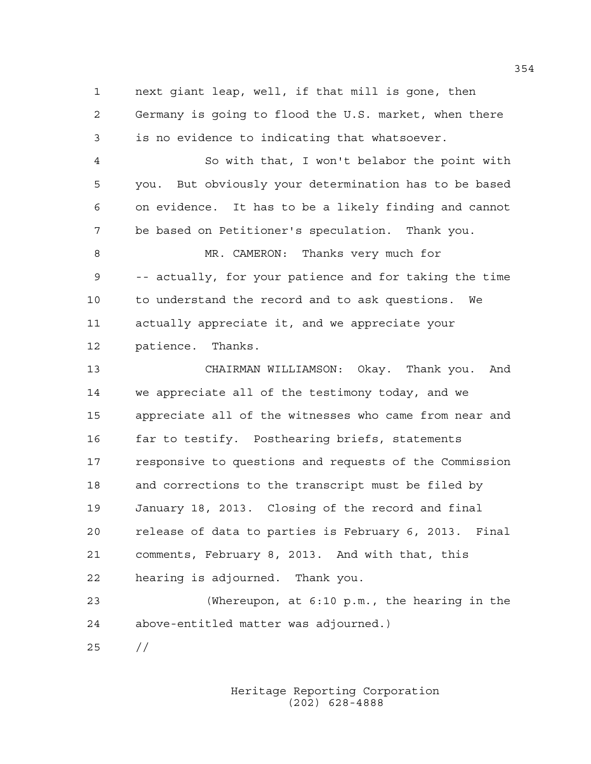1 next giant leap, well, if that mill is gone, then 2 Germany is going to flood the U.S. market, when there 3 is no evidence to indicating that whatsoever. 4 So with that, I won't belabor the point with 5 you. But obviously your determination has to be based 6 on evidence. It has to be a likely finding and cannot 7 be based on Petitioner's speculation. Thank you. 8 MR. CAMERON: Thanks very much for 9 -- actually, for your patience and for taking the time 10 to understand the record and to ask questions. We 11 actually appreciate it, and we appreciate your 12 patience. Thanks. 13 CHAIRMAN WILLIAMSON: Okay. Thank you. And 14 we appreciate all of the testimony today, and we 15 appreciate all of the witnesses who came from near and 16 far to testify. Posthearing briefs, statements 17 responsive to questions and requests of the Commission 18 and corrections to the transcript must be filed by 19 January 18, 2013. Closing of the record and final 20 release of data to parties is February 6, 2013. Final 21 comments, February 8, 2013. And with that, this 22 hearing is adjourned. Thank you. 23 (Whereupon, at 6:10 p.m., the hearing in the 24 above-entitled matter was adjourned.)

> Heritage Reporting Corporation (202) 628-4888

25 //